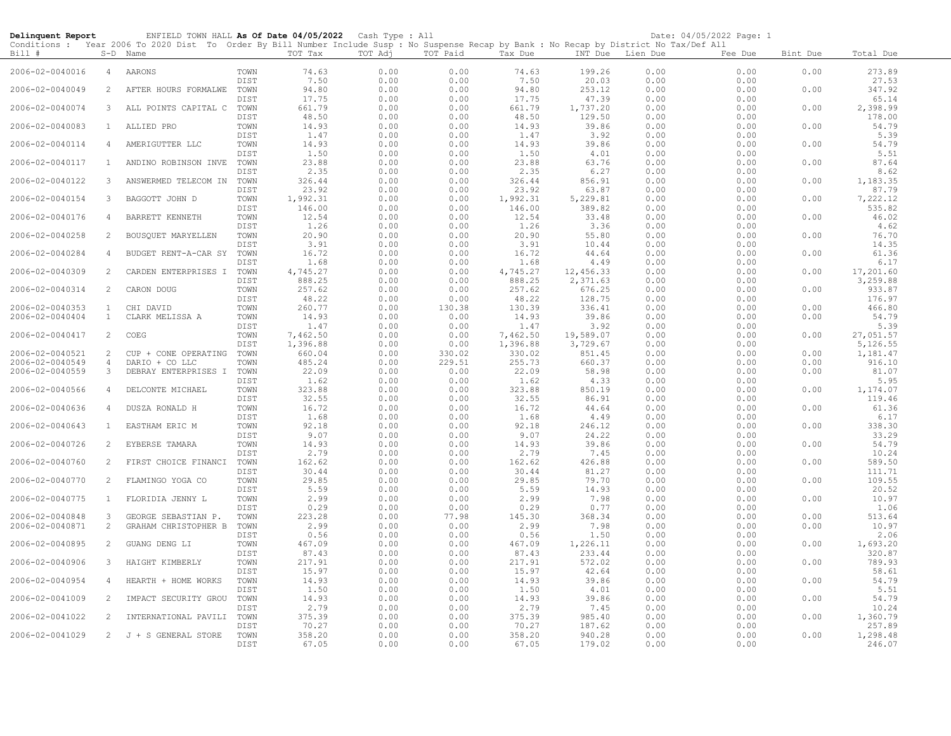| Delinquent Report                  |                     | ENFIELD TOWN HALL As Of Date 04/05/2022 Cash Type : All                                                                                                |                     |                      |              |                  |                      |                       |                  | Date: 04/05/2022 Page: 1 |              |                           |
|------------------------------------|---------------------|--------------------------------------------------------------------------------------------------------------------------------------------------------|---------------------|----------------------|--------------|------------------|----------------------|-----------------------|------------------|--------------------------|--------------|---------------------------|
| Bill #                             |                     | Conditions : Year 2006 To 2020 Dist To Order By Bill Number Include Susp : No Suspense Recap by Bank : No Recap by District No Tax/Def All<br>S-D Name |                     | TOT Tax              | TOT Adj      | TOT Paid         | Tax Due              |                       | INT Due Lien Due | Fee Due                  | Bint Due     | Total Due                 |
| 2006-02-0040016                    | $\overline{4}$      | AARONS                                                                                                                                                 | TOWN<br><b>DIST</b> | 74.63<br>7.50        | 0.00<br>0.00 | 0.00<br>0.00     | 74.63<br>7.50        | 199.26<br>20.03       | 0.00<br>0.00     | 0.00<br>0.00             | 0.00         | 273.89<br>27.53           |
| 2006-02-0040049                    | 2                   | AFTER HOURS FORMALWE                                                                                                                                   | TOWN<br>DIST        | 94.80<br>17.75       | 0.00<br>0.00 | 0.00<br>0.00     | 94.80<br>17.75       | 253.12<br>47.39       | 0.00<br>0.00     | 0.00<br>0.00             | 0.00         | 347.92<br>65.14           |
| 2006-02-0040074                    | 3                   | ALL POINTS CAPITAL C                                                                                                                                   | TOWN                | 661.79               | 0.00         | 0.00             | 661.79               | 1,737.20              | 0.00             | 0.00                     | 0.00         | 2,398.99                  |
| 2006-02-0040083                    | $\mathbf{1}$        | ALLIED PRO                                                                                                                                             | DIST<br>TOWN        | 48.50<br>14.93       | 0.00<br>0.00 | 0.00<br>0.00     | 48.50<br>14.93       | 129.50<br>39.86       | 0.00<br>0.00     | 0.00<br>0.00             | 0.00         | 178.00<br>54.79           |
| 2006-02-0040114                    | 4                   | AMERIGUTTER LLC                                                                                                                                        | DIST<br>TOWN        | 1.47<br>14.93        | 0.00<br>0.00 | 0.00<br>0.00     | 1.47<br>14.93        | 3.92<br>39.86         | 0.00<br>0.00     | 0.00<br>0.00             | 0.00         | 5.39<br>54.79             |
| 2006-02-0040117                    | $\mathbf{1}$        | ANDINO ROBINSON INVE                                                                                                                                   | DIST<br>TOWN        | 1.50<br>23.88        | 0.00<br>0.00 | 0.00<br>0.00     | 1.50<br>23.88        | 4.01<br>63.76         | 0.00<br>0.00     | 0.00<br>0.00             | 0.00         | 5.51<br>87.64             |
| 2006-02-0040122                    | 3                   | ANSWERMED TELECOM IN                                                                                                                                   | DIST<br>TOWN        | 2.35<br>326.44       | 0.00<br>0.00 | 0.00<br>0.00     | 2.35<br>326.44       | 6.27<br>856.91        | 0.00<br>0.00     | 0.00<br>0.00             | 0.00         | 8.62<br>1,183.35<br>87.79 |
| 2006-02-0040154                    | 3                   | BAGGOTT JOHN D                                                                                                                                         | DIST<br>TOWN        | 23.92<br>1,992.31    | 0.00<br>0.00 | 0.00<br>0.00     | 23.92<br>1,992.31    | 63.87<br>5,229.81     | 0.00<br>0.00     | 0.00<br>0.00             | 0.00         | 7,222.12                  |
| 2006-02-0040176                    | 4                   | BARRETT KENNETH                                                                                                                                        | DIST<br>TOWN        | 146.00<br>12.54      | 0.00<br>0.00 | 0.00<br>0.00     | 146.00<br>12.54      | 389.82<br>33.48       | 0.00<br>0.00     | 0.00<br>0.00             | 0.00         | 535.82<br>46.02           |
| 2006-02-0040258                    | 2                   | BOUSQUET MARYELLEN                                                                                                                                     | DIST<br>TOWN        | 1.26<br>20.90        | 0.00<br>0.00 | 0.00<br>0.00     | 1.26<br>20.90        | 3.36<br>55.80         | 0.00<br>0.00     | 0.00<br>0.00             | 0.00         | 4.62<br>76.70             |
| 2006-02-0040284                    | 4                   | BUDGET RENT-A-CAR SY                                                                                                                                   | DIST<br>TOWN        | 3.91<br>16.72        | 0.00<br>0.00 | 0.00<br>0.00     | 3.91<br>16.72        | 10.44<br>44.64        | 0.00<br>0.00     | 0.00<br>0.00             | 0.00         | 14.35<br>61.36            |
| 2006-02-0040309                    | $\overline{2}$      | CARDEN ENTERPRISES I                                                                                                                                   | DIST<br>TOWN        | 1.68<br>4,745.27     | 0.00<br>0.00 | 0.00<br>0.00     | 1.68<br>4,745.27     | 4.49<br>12,456.33     | 0.00<br>0.00     | 0.00<br>0.00             | 0.00         | 6.17<br>17,201.60         |
| 2006-02-0040314                    | $\overline{2}$      | CARON DOUG                                                                                                                                             | DIST<br>TOWN        | 888.25<br>257.62     | 0.00<br>0.00 | 0.00<br>0.00     | 888.25<br>257.62     | 2,371.63<br>676.25    | 0.00<br>0.00     | 0.00<br>0.00             | 0.00         | 3,259.88<br>933.87        |
| 2006-02-0040353                    | <sup>1</sup>        | CHI DAVID                                                                                                                                              | DIST<br>TOWN        | 48.22<br>260.77      | 0.00<br>0.00 | 0.00<br>130.38   | 48.22<br>130.39      | 128.75<br>336.41      | 0.00<br>0.00     | 0.00<br>0.00             | 0.00         | 176.97<br>466.80          |
| 2006-02-0040404                    | $\mathbf{1}$        | CLARK MELISSA A                                                                                                                                        | TOWN<br>DIST        | 14.93<br>1.47        | 0.00<br>0.00 | 0.00<br>0.00     | 14.93<br>1.47        | 39.86<br>3.92         | 0.00<br>0.00     | 0.00<br>0.00             | 0.00         | 54.79<br>5.39             |
| 2006-02-0040417                    | 2                   | COEG                                                                                                                                                   | TOWN<br>DIST        | 7,462.50<br>1,396.88 | 0.00<br>0.00 | 0.00<br>0.00     | 7,462.50<br>1,396.88 | 19,589.07<br>3,729.67 | 0.00<br>0.00     | 0.00<br>0.00             | 0.00         | 27,051.57<br>5,126.55     |
| 2006-02-0040521<br>2006-02-0040549 | 2<br>$\overline{4}$ | CUP + CONE OPERATING<br>DARIO + CO LLC                                                                                                                 | TOWN<br>TOWN        | 660.04<br>485.24     | 0.00<br>0.00 | 330.02<br>229.51 | 330.02<br>255.73     | 851.45<br>660.37      | 0.00<br>0.00     | 0.00<br>0.00             | 0.00<br>0.00 | 1,181.47<br>916.10        |
| 2006-02-0040559                    | 3                   | DEBRAY ENTERPRISES I                                                                                                                                   | TOWN                | 22.09                | 0.00         | 0.00             | 22.09                | 58.98                 | 0.00             | 0.00                     | 0.00         | 81.07                     |
| 2006-02-0040566                    | 4                   | DELCONTE MICHAEL                                                                                                                                       | DIST<br>TOWN        | 1.62<br>323.88       | 0.00<br>0.00 | 0.00<br>0.00     | 1.62<br>323.88       | 4.33<br>850.19        | 0.00<br>0.00     | 0.00<br>0.00             | 0.00         | 5.95<br>1,174.07          |
|                                    |                     |                                                                                                                                                        | DIST                | 32.55                | 0.00         | 0.00             | 32.55                | 86.91                 | 0.00             | 0.00                     |              | 119.46                    |
| 2006-02-0040636                    | 4                   | DUSZA RONALD H                                                                                                                                         | TOWN<br>DIST        | 16.72<br>1.68        | 0.00<br>0.00 | 0.00<br>0.00     | 16.72<br>1.68        | 44.64<br>4.49         | 0.00<br>0.00     | 0.00<br>0.00             | 0.00         | 61.36<br>6.17             |
| 2006-02-0040643                    | <sup>1</sup>        | EASTHAM ERIC M                                                                                                                                         | TOWN<br>DIST        | 92.18<br>9.07        | 0.00<br>0.00 | 0.00<br>0.00     | 92.18<br>9.07        | 246.12<br>24.22       | 0.00<br>0.00     | 0.00<br>0.00             | 0.00         | 338.30<br>33.29           |
| 2006-02-0040726                    | 2                   | EYBERSE TAMARA                                                                                                                                         | TOWN<br>DIST        | 14.93<br>2.79        | 0.00<br>0.00 | 0.00<br>0.00     | 14.93<br>2.79        | 39.86<br>7.45         | 0.00<br>0.00     | 0.00<br>0.00             | 0.00         | 54.79<br>10.24            |
| 2006-02-0040760                    | 2                   | FIRST CHOICE FINANCI                                                                                                                                   | TOWN<br>DIST        | 162.62<br>30.44      | 0.00<br>0.00 | 0.00<br>0.00     | 162.62<br>30.44      | 426.88<br>81.27       | 0.00<br>0.00     | 0.00<br>0.00             | 0.00         | 589.50<br>111.71          |
| 2006-02-0040770                    | 2                   | FLAMINGO YOGA CO                                                                                                                                       | TOWN<br>DIST        | 29.85<br>5.59        | 0.00<br>0.00 | 0.00<br>0.00     | 29.85<br>5.59        | 79.70<br>14.93        | 0.00<br>0.00     | 0.00<br>0.00             | 0.00         | 109.55<br>20.52           |
| 2006-02-0040775                    | $\mathbf{1}$        | FLORIDIA JENNY L                                                                                                                                       | TOWN<br>DIST        | 2.99<br>0.29         | 0.00<br>0.00 | 0.00<br>0.00     | 2.99<br>0.29         | 7.98<br>0.77          | 0.00<br>0.00     | 0.00<br>0.00             | 0.00         | 10.97<br>1.06             |
| 2006-02-0040848<br>2006-02-0040871 | 3<br>2              | GEORGE SEBASTIAN P.<br>GRAHAM CHRISTOPHER B                                                                                                            | TOWN<br>TOWN        | 223.28<br>2.99       | 0.00<br>0.00 | 77.98<br>0.00    | 145.30<br>2.99       | 368.34<br>7.98        | 0.00<br>0.00     | 0.00<br>0.00             | 0.00<br>0.00 | 513.64<br>10.97           |
| 2006-02-0040895                    | 2                   | GUANG DENG LI                                                                                                                                          | DIST<br>TOWN        | 0.56<br>467.09       | 0.00<br>0.00 | 0.00<br>0.00     | 0.56<br>467.09       | 1.50<br>1,226.11      | 0.00<br>0.00     | 0.00<br>0.00             | 0.00         | 2.06<br>1,693.20          |
| 2006-02-0040906                    | 3                   | HAIGHT KIMBERLY                                                                                                                                        | DIST<br>TOWN        | 87.43<br>217.91      | 0.00<br>0.00 | 0.00<br>0.00     | 87.43<br>217.91      | 233.44<br>572.02      | 0.00<br>0.00     | 0.00<br>0.00             | 0.00         | 320.87<br>789.93          |
| 2006-02-0040954                    | 4                   | HEARTH + HOME WORKS                                                                                                                                    | DIST<br>TOWN        | 15.97<br>14.93       | 0.00<br>0.00 | 0.00<br>0.00     | 15.97<br>14.93       | 42.64<br>39.86        | 0.00<br>0.00     | 0.00<br>0.00             | 0.00         | 58.61<br>54.79            |
| 2006-02-0041009                    | 2                   | IMPACT SECURITY GROU                                                                                                                                   | DIST<br>TOWN        | 1.50<br>14.93        | 0.00<br>0.00 | 0.00<br>0.00     | 1.50<br>14.93        | 4.01<br>39.86         | 0.00<br>0.00     | 0.00<br>0.00             | 0.00         | 5.51<br>54.79             |
| 2006-02-0041022                    | 2                   | INTERNATIONAL PAVILI                                                                                                                                   | DIST<br>TOWN        | 2.79<br>375.39       | 0.00<br>0.00 | 0.00<br>0.00     | 2.79<br>375.39       | 7.45<br>985.40        | 0.00<br>0.00     | 0.00<br>0.00             | 0.00         | 10.24<br>1,360.79         |
| 2006-02-0041029                    |                     | 2 J + S GENERAL STORE                                                                                                                                  | DIST<br>TOWN        | 70.27<br>358.20      | 0.00<br>0.00 | 0.00<br>0.00     | 70.27<br>358.20      | 187.62<br>940.28      | 0.00<br>0.00     | 0.00<br>0.00             | 0.00         | 257.89<br>1,298.48        |
|                                    |                     |                                                                                                                                                        | DIST                | 67.05                | 0.00         | 0.00             | 67.05                | 179.02                | 0.00             | 0.00                     |              | 246.07                    |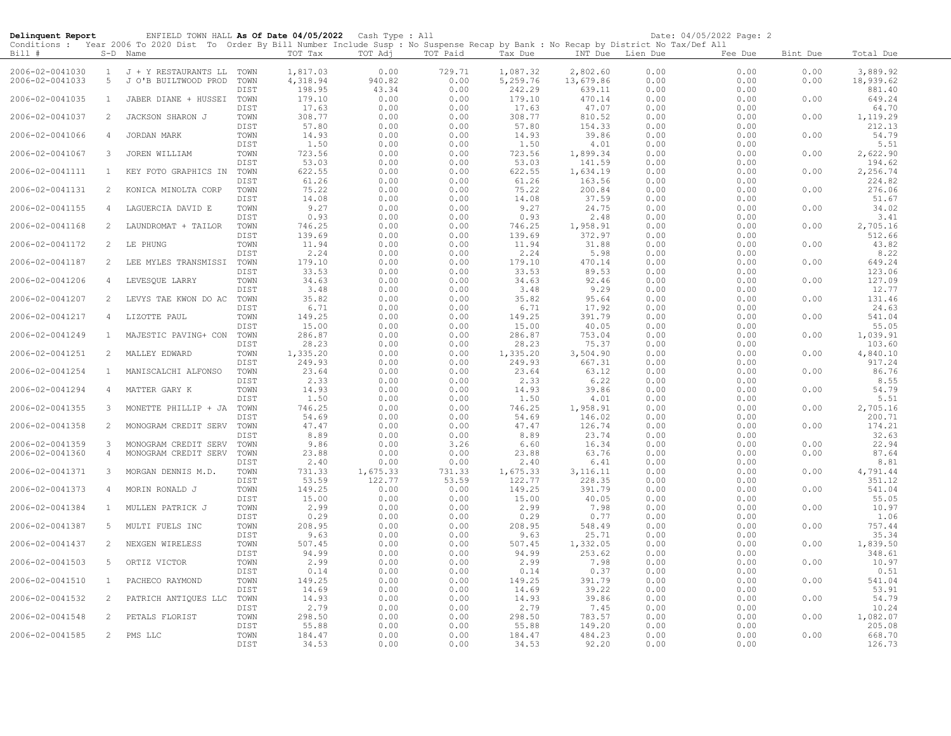| Delinquent Report                  |                | ENFIELD TOWN HALL As Of Date 04/05/2022 Cash Type : All                                                                                    |              |                    |              |              |                    |                    |                  | Date: 04/05/2022 Page: 2 |              |                    |
|------------------------------------|----------------|--------------------------------------------------------------------------------------------------------------------------------------------|--------------|--------------------|--------------|--------------|--------------------|--------------------|------------------|--------------------------|--------------|--------------------|
|                                    |                | Conditions : Year 2006 To 2020 Dist To Order By Bill Number Include Susp : No Suspense Recap by Bank : No Recap by District No Tax/Def All |              |                    |              |              |                    |                    |                  |                          |              |                    |
| Bill #                             |                | S-D Name                                                                                                                                   |              | TOT Tax            | TOT Adj      | TOT Paid     | Tax Due            |                    | INT Due Lien Due | Fee Due                  | Bint Due     | Total Due          |
| 2006-02-0041030                    | $\mathbf{1}$   | J + Y RESTAURANTS LL                                                                                                                       | TOWN         | 1,817.03           | 0.00         | 729.71       | 1,087.32           | 2,802.60           | 0.00             | 0.00                     | 0.00         | 3,889.92           |
| 2006-02-0041033                    | 5              | J O'B BUILTWOOD PROD                                                                                                                       | TOWN         | 4,318.94           | 940.82       | 0.00         | 5,259.76           | 13,679.86          | 0.00             | 0.00                     | 0.00         | 18,939.62          |
|                                    |                |                                                                                                                                            | DIST         | 198.95             | 43.34        | 0.00         | 242.29             | 639.11             | 0.00             | 0.00                     |              | 881.40             |
| 2006-02-0041035                    | $\mathbf{1}$   | JABER DIANE + HUSSEI TOWN                                                                                                                  |              | 179.10             | 0.00         | 0.00         | 179.10             | 470.14             | 0.00             | 0.00                     | 0.00         | 649.24             |
|                                    |                |                                                                                                                                            | DIST         | 17.63              | 0.00         | 0.00         | 17.63              | 47.07              | 0.00             | 0.00                     |              | 64.70              |
| 2006-02-0041037                    | 2              | JACKSON SHARON J                                                                                                                           | TOWN         | 308.77             | 0.00         | 0.00         | 308.77             | 810.52             | 0.00             | 0.00                     | 0.00         | 1,119.29           |
|                                    |                |                                                                                                                                            | DIST         | 57.80              | 0.00         | 0.00         | 57.80              | 154.33             | 0.00             | 0.00                     |              | 212.13             |
| 2006-02-0041066                    | 4              | JORDAN MARK                                                                                                                                | TOWN         | 14.93              | 0.00         | 0.00         | 14.93              | 39.86              | 0.00             | 0.00                     | 0.00         | 54.79              |
| 2006-02-0041067                    | 3              | JOREN WILLIAM                                                                                                                              | DIST<br>TOWN | 1.50<br>723.56     | 0.00<br>0.00 | 0.00<br>0.00 | 1.50<br>723.56     | 4.01<br>1,899.34   | 0.00<br>0.00     | 0.00<br>0.00             | 0.00         | 5.51<br>2,622.90   |
|                                    |                |                                                                                                                                            | DIST         | 53.03              | 0.00         | 0.00         | 53.03              | 141.59             | 0.00             | 0.00                     |              | 194.62             |
| 2006-02-0041111                    | 1              | KEY FOTO GRAPHICS IN                                                                                                                       | TOWN         | 622.55             | 0.00         | 0.00         | 622.55             | 1,634.19           | 0.00             | 0.00                     | 0.00         | 2,256.74           |
|                                    |                |                                                                                                                                            | DIST         | 61.26              | 0.00         | 0.00         | 61.26              | 163.56             | 0.00             | 0.00                     |              | 224.82             |
| 2006-02-0041131                    | 2              | KONICA MINOLTA CORP                                                                                                                        | TOWN         | 75.22              | 0.00         | 0.00         | 75.22              | 200.84             | 0.00             | 0.00                     | 0.00         | 276.06             |
|                                    |                |                                                                                                                                            | DIST         | 14.08              | 0.00         | 0.00         | 14.08              | 37.59              | 0.00             | 0.00                     |              | 51.67              |
| 2006-02-0041155                    | 4              | LAGUERCIA DAVID E                                                                                                                          | TOWN         | 9.27               | 0.00         | 0.00         | 9.27               | 24.75              | 0.00             | 0.00                     | 0.00         | 34.02              |
|                                    |                |                                                                                                                                            | DIST         | 0.93               | 0.00         | 0.00         | 0.93               | 2.48               | 0.00             | 0.00                     |              | 3.41               |
| 2006-02-0041168                    | $\overline{2}$ | LAUNDROMAT + TAILOR                                                                                                                        | TOWN         | 746.25             | 0.00         | 0.00         | 746.25             | 1,958.91           | 0.00             | 0.00                     | 0.00         | 2,705.16           |
|                                    |                |                                                                                                                                            | DIST<br>TOWN | 139.69             | 0.00         | 0.00         | 139.69             | 372.97             | 0.00             | 0.00                     |              | 512.66             |
| 2006-02-0041172                    | 2              | LE PHUNG                                                                                                                                   | DIST         | 11.94<br>2.24      | 0.00<br>0.00 | 0.00<br>0.00 | 11.94<br>2.24      | 31.88<br>5.98      | 0.00<br>0.00     | 0.00<br>0.00             | 0.00         | 43.82<br>8.22      |
| 2006-02-0041187                    | 2              | LEE MYLES TRANSMISSI                                                                                                                       | TOWN         | 179.10             | 0.00         | 0.00         | 179.10             | 470.14             | 0.00             | 0.00                     | 0.00         | 649.24             |
|                                    |                |                                                                                                                                            | DIST         | 33.53              | 0.00         | 0.00         | 33.53              | 89.53              | 0.00             | 0.00                     |              | 123.06             |
| 2006-02-0041206                    | 4              | LEVESQUE LARRY                                                                                                                             | TOWN         | 34.63              | 0.00         | 0.00         | 34.63              | 92.46              | 0.00             | 0.00                     | 0.00         | 127.09             |
|                                    |                |                                                                                                                                            | DIST         | 3.48               | 0.00         | 0.00         | 3.48               | 9.29               | 0.00             | 0.00                     |              | 12.77              |
| 2006-02-0041207                    | 2              | LEVYS TAE KWON DO AC                                                                                                                       | TOWN         | 35.82              | 0.00         | 0.00         | 35.82              | 95.64              | 0.00             | 0.00                     | 0.00         | 131.46             |
|                                    |                |                                                                                                                                            | DIST         | 6.71               | 0.00         | 0.00         | 6.71               | 17.92              | 0.00             | 0.00                     |              | 24.63              |
| 2006-02-0041217                    | $\overline{4}$ | LIZOTTE PAUL                                                                                                                               | TOWN         | 149.25             | 0.00         | 0.00         | 149.25             | 391.79             | 0.00             | 0.00                     | 0.00         | 541.04             |
|                                    |                |                                                                                                                                            | DIST         | 15.00              | 0.00         | 0.00         | 15.00              | 40.05              | 0.00             | 0.00                     |              | 55.05              |
| 2006-02-0041249                    | 1              | MAJESTIC PAVING+ CON                                                                                                                       | TOWN         | 286.87             | 0.00         | 0.00         | 286.87             | 753.04             | 0.00             | 0.00                     | 0.00         | 1,039.91           |
|                                    |                |                                                                                                                                            | DIST         | 28.23              | 0.00         | 0.00         | 28.23              | 75.37              | 0.00             | 0.00                     |              | 103.60<br>4,840.10 |
| 2006-02-0041251                    | 2              | MALLEY EDWARD                                                                                                                              | TOWN<br>DIST | 1,335.20<br>249.93 | 0.00<br>0.00 | 0.00<br>0.00 | 1,335.20<br>249.93 | 3,504.90<br>667.31 | 0.00<br>0.00     | 0.00<br>0.00             | 0.00         | 917.24             |
| 2006-02-0041254                    | $\mathbf{1}$   | MANISCALCHI ALFONSO                                                                                                                        | TOWN         | 23.64              | 0.00         | 0.00         | 23.64              | 63.12              | 0.00             | 0.00                     | 0.00         | 86.76              |
|                                    |                |                                                                                                                                            | DIST         | 2.33               | 0.00         | 0.00         | 2.33               | 6.22               | 0.00             | 0.00                     |              | 8.55               |
| 2006-02-0041294                    | $\overline{4}$ | MATTER GARY K                                                                                                                              | TOWN         | 14.93              | 0.00         | 0.00         | 14.93              | 39.86              | 0.00             | 0.00                     | 0.00         | 54.79              |
|                                    |                |                                                                                                                                            | DIST         | 1.50               | 0.00         | 0.00         | 1.50               | 4.01               | 0.00             | 0.00                     |              | 5.51               |
| 2006-02-0041355                    | 3              | MONETTE PHILLIP + JA                                                                                                                       | TOWN         | 746.25             | 0.00         | 0.00         | 746.25             | 1,958.91           | 0.00             | 0.00                     | 0.00         | 2,705.16           |
|                                    |                |                                                                                                                                            | DIST         | 54.69              | 0.00         | 0.00         | 54.69              | 146.02             | 0.00             | 0.00                     |              | 200.71             |
| 2006-02-0041358                    | 2              | MONOGRAM CREDIT SERV                                                                                                                       | TOWN         | 47.47              | 0.00         | 0.00         | 47.47              | 126.74             | 0.00             | 0.00                     | 0.00         | 174.21             |
|                                    |                |                                                                                                                                            | DIST         | 8.89               | 0.00         | 0.00         | 8.89               | 23.74              | 0.00             | 0.00                     |              | 32.63              |
| 2006-02-0041359<br>2006-02-0041360 | 3<br>4         | MONOGRAM CREDIT SERV<br>MONOGRAM CREDIT SERV                                                                                               | TOWN<br>TOWN | 9.86<br>23.88      | 0.00<br>0.00 | 3.26<br>0.00 | 6.60<br>23.88      | 16.34<br>63.76     | 0.00<br>0.00     | 0.00<br>0.00             | 0.00<br>0.00 | 22.94<br>87.64     |
|                                    |                |                                                                                                                                            | DIST         | 2.40               | 0.00         | 0.00         | 2.40               | 6.41               | 0.00             | 0.00                     |              | 8.81               |
| 2006-02-0041371                    | 3              | MORGAN DENNIS M.D.                                                                                                                         | TOWN         | 731.33             | 1,675.33     | 731.33       | 1,675.33           | 3,116.11           | 0.00             | 0.00                     | 0.00         | 4,791.44           |
|                                    |                |                                                                                                                                            | DIST         | 53.59              | 122.77       | 53.59        | 122.77             | 228.35             | 0.00             | 0.00                     |              | 351.12             |
| 2006-02-0041373                    | 4              | MORIN RONALD J                                                                                                                             | TOWN         | 149.25             | 0.00         | 0.00         | 149.25             | 391.79             | 0.00             | 0.00                     | 0.00         | 541.04             |
|                                    |                |                                                                                                                                            | DIST         | 15.00              | 0.00         | 0.00         | 15.00              | 40.05              | 0.00             | 0.00                     |              | 55.05              |
| 2006-02-0041384                    | $\mathbf{1}$   | MULLEN PATRICK J                                                                                                                           | TOWN         | 2.99               | 0.00         | 0.00         | 2.99               | 7.98               | 0.00             | 0.00                     | 0.00         | 10.97              |
|                                    |                |                                                                                                                                            | DIST         | 0.29               | 0.00         | 0.00         | 0.29               | 0.77               | 0.00             | 0.00                     |              | 1.06               |
| 2006-02-0041387                    | 5              | MULTI FUELS INC                                                                                                                            | TOWN         | 208.95             | 0.00         | 0.00         | 208.95             | 548.49             | 0.00             | 0.00                     | 0.00         | 757.44             |
| 2006-02-0041437                    | 2              | NEXGEN WIRELESS                                                                                                                            | DIST<br>TOWN | 9.63<br>507.45     | 0.00<br>0.00 | 0.00<br>0.00 | 9.63<br>507.45     | 25.71<br>1,332.05  | 0.00<br>0.00     | 0.00<br>0.00             | 0.00         | 35.34<br>1,839.50  |
|                                    |                |                                                                                                                                            | DIST         | 94.99              | 0.00         | 0.00         | 94.99              | 253.62             | 0.00             | 0.00                     |              | 348.61             |
| 2006-02-0041503                    | 5              | ORTIZ VICTOR                                                                                                                               | TOWN         | 2.99               | 0.00         | 0.00         | 2.99               | 7.98               | 0.00             | 0.00                     | 0.00         | 10.97              |
|                                    |                |                                                                                                                                            | DIST         | 0.14               | 0.00         | 0.00         | 0.14               | 0.37               | 0.00             | 0.00                     |              | 0.51               |
| 2006-02-0041510                    | <sup>1</sup>   | PACHECO RAYMOND                                                                                                                            | TOWN         | 149.25             | 0.00         | 0.00         | 149.25             | 391.79             | 0.00             | 0.00                     | 0.00         | 541.04             |
|                                    |                |                                                                                                                                            | DIST         | 14.69              | 0.00         | 0.00         | 14.69              | 39.22              | 0.00             | 0.00                     |              | 53.91              |
| 2006-02-0041532                    | 2              | PATRICH ANTIQUES LLC                                                                                                                       | TOWN         | 14.93              | 0.00         | 0.00         | 14.93              | 39.86              | 0.00             | 0.00                     | 0.00         | 54.79              |
|                                    |                |                                                                                                                                            | DIST         | 2.79               | 0.00         | 0.00         | 2.79               | 7.45               | 0.00             | 0.00                     |              | 10.24              |
| 2006-02-0041548                    | 2              | PETALS FLORIST                                                                                                                             | TOWN         | 298.50             | 0.00         | 0.00         | 298.50             | 783.57             | 0.00             | 0.00                     | 0.00         | 1,082.07           |
| 2006-02-0041585                    | 2              | PMS LLC                                                                                                                                    | DIST<br>TOWN | 55.88<br>184.47    | 0.00<br>0.00 | 0.00<br>0.00 | 55.88<br>184.47    | 149.20<br>484.23   | 0.00<br>0.00     | 0.00<br>0.00             | 0.00         | 205.08<br>668.70   |
|                                    |                |                                                                                                                                            | DIST         | 34.53              | 0.00         | 0.00         | 34.53              | 92.20              | 0.00             | 0.00                     |              | 126.73             |
|                                    |                |                                                                                                                                            |              |                    |              |              |                    |                    |                  |                          |              |                    |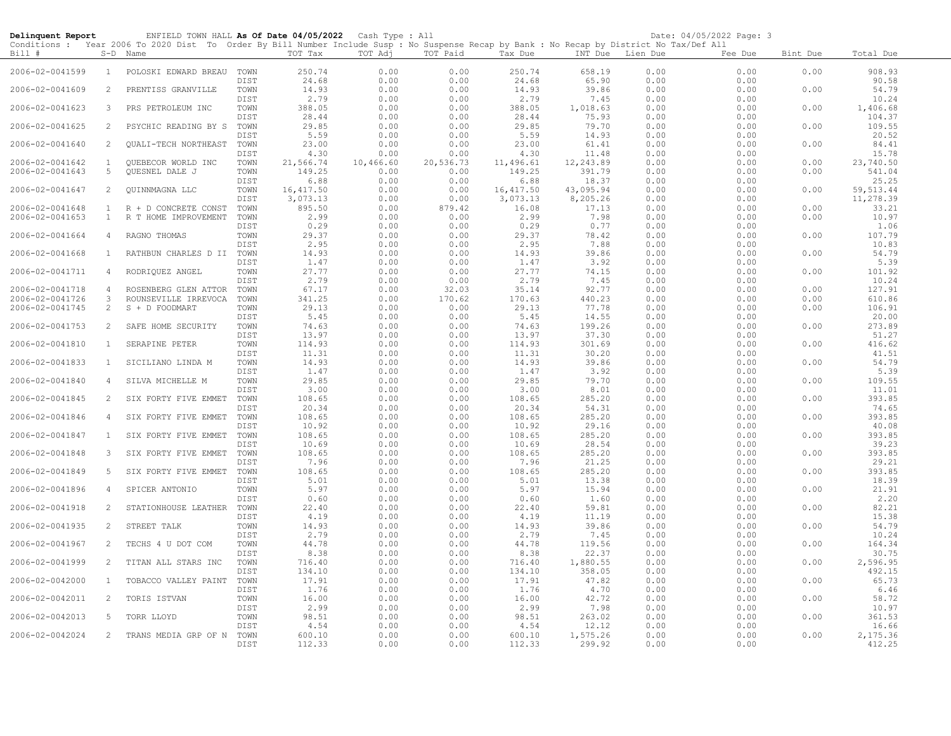| Delinquent Report |                | ENFIELD TOWN HALL As Of Date 04/05/2022 Cash Type : All                                                                                    |              |                   |                   |                   |                   |                    |              | Date: 04/05/2022 Page: 3 |          |                    |
|-------------------|----------------|--------------------------------------------------------------------------------------------------------------------------------------------|--------------|-------------------|-------------------|-------------------|-------------------|--------------------|--------------|--------------------------|----------|--------------------|
|                   |                | Conditions : Year 2006 To 2020 Dist To Order By Bill Number Include Susp : No Suspense Recap by Bank : No Recap by District No Tax/Def All |              |                   |                   |                   |                   |                    |              |                          |          |                    |
| Bill #            |                | S-D Name                                                                                                                                   |              | TOT Tax           | TOT Adj           | TOT Paid          | Tax Due           | INT Due            | Lien Due     | Fee Due                  | Bint Due | Total Due          |
| 2006-02-0041599   | <sup>1</sup>   | POLOSKI EDWARD BREAU                                                                                                                       | TOWN         | 250.74            | 0.00              | 0.00              | 250.74            | 658.19             | 0.00         | 0.00                     | 0.00     | 908.93             |
|                   |                |                                                                                                                                            | DIST         | 24.68             | 0.00              | 0.00              | 24.68             | 65.90              | 0.00         | 0.00                     |          | 90.58              |
| 2006-02-0041609   | $\overline{2}$ | PRENTISS GRANVILLE                                                                                                                         | TOWN         | 14.93             | 0.00              | 0.00              | 14.93             | 39.86              | 0.00         | 0.00                     | 0.00     | 54.79              |
|                   |                |                                                                                                                                            | DIST         | 2.79              | 0.00              | 0.00              | 2.79              | 7.45               | 0.00         | 0.00                     |          | 10.24              |
| 2006-02-0041623   | 3              | PRS PETROLEUM INC                                                                                                                          | TOWN         | 388.05            | 0.00              | 0.00              | 388.05            | 1,018.63           | 0.00         | 0.00                     | 0.00     | 1,406.68           |
|                   |                |                                                                                                                                            | DIST         | 28.44             | 0.00              | 0.00              | 28.44             | 75.93              | 0.00         | 0.00                     |          | 104.37             |
| 2006-02-0041625   | 2              | PSYCHIC READING BY S                                                                                                                       | TOWN         | 29.85             | 0.00              | 0.00              | 29.85             | 79.70              | 0.00         | 0.00                     | 0.00     | 109.55             |
|                   |                |                                                                                                                                            | DIST         | 5.59              | 0.00              | 0.00              | 5.59              | 14.93              | 0.00         | 0.00                     |          | 20.52              |
| 2006-02-0041640   | 2              | QUALI-TECH NORTHEAST                                                                                                                       | TOWN         | 23.00             | 0.00              | 0.00              | 23.00             | 61.41              | 0.00         | 0.00                     | 0.00     | 84.41              |
| 2006-02-0041642   | 1              |                                                                                                                                            | DIST<br>TOWN | 4.30<br>21,566.74 | 0.00<br>10,466.60 | 0.00<br>20,536.73 | 4.30<br>11,496.61 | 11.48<br>12,243.89 | 0.00<br>0.00 | 0.00<br>0.00             | 0.00     | 15.78<br>23,740.50 |
| 2006-02-0041643   | 5              | QUEBECOR WORLD INC<br>QUESNEL DALE J                                                                                                       | TOWN         | 149.25            | 0.00              | 0.00              | 149.25            | 391.79             | 0.00         | 0.00                     | 0.00     | 541.04             |
|                   |                |                                                                                                                                            | DIST         | 6.88              | 0.00              | 0.00              | 6.88              | 18.37              | 0.00         | 0.00                     |          | 25.25              |
| 2006-02-0041647   | $\overline{2}$ | QUINNMAGNA LLC                                                                                                                             | TOWN         | 16, 417.50        | 0.00              | 0.00              | 16, 417.50        | 43,095.94          | 0.00         | 0.00                     | 0.00     | 59, 513.44         |
|                   |                |                                                                                                                                            | DIST         | 3,073.13          | 0.00              | 0.00              | 3,073.13          | 8,205.26           | 0.00         | 0.00                     |          | 11,278.39          |
| 2006-02-0041648   | 1              | R + D CONCRETE CONST                                                                                                                       | TOWN         | 895.50            | 0.00              | 879.42            | 16.08             | 17.13              | 0.00         | 0.00                     | 0.00     | 33.21              |
| 2006-02-0041653   | $\mathbf{1}$   | R T HOME IMPROVEMENT                                                                                                                       | TOWN         | 2.99              | 0.00              | 0.00              | 2.99              | 7.98               | 0.00         | 0.00                     | 0.00     | 10.97              |
|                   |                |                                                                                                                                            | DIST         | 0.29              | 0.00              | 0.00              | 0.29              | 0.77               | 0.00         | 0.00                     |          | 1.06               |
| 2006-02-0041664   | 4              | RAGNO THOMAS                                                                                                                               | TOWN<br>DIST | 29.37<br>2.95     | 0.00              | 0.00              | 29.37<br>2.95     | 78.42              | 0.00<br>0.00 | 0.00<br>0.00             | 0.00     | 107.79<br>10.83    |
| 2006-02-0041668   | <sup>1</sup>   | RATHBUN CHARLES D II                                                                                                                       | TOWN         | 14.93             | 0.00<br>0.00      | 0.00<br>0.00      | 14.93             | 7.88<br>39.86      | 0.00         | 0.00                     | 0.00     | 54.79              |
|                   |                |                                                                                                                                            | DIST         | 1.47              | 0.00              | 0.00              | 1.47              | 3.92               | 0.00         | 0.00                     |          | 5.39               |
| 2006-02-0041711   | $\overline{4}$ | RODRIQUEZ ANGEL                                                                                                                            | TOWN         | 27.77             | 0.00              | 0.00              | 27.77             | 74.15              | 0.00         | 0.00                     | 0.00     | 101.92             |
|                   |                |                                                                                                                                            | DIST         | 2.79              | 0.00              | 0.00              | 2.79              | 7.45               | 0.00         | 0.00                     |          | 10.24              |
| 2006-02-0041718   | $\overline{4}$ | ROSENBERG GLEN ATTOR                                                                                                                       | TOWN         | 67.17             | 0.00              | 32.03             | 35.14             | 92.77              | 0.00         | 0.00                     | 0.00     | 127.91             |
| 2006-02-0041726   | 3              | ROUNSEVILLE IRREVOCA                                                                                                                       | TOWN         | 341.25            | 0.00              | 170.62            | 170.63            | 440.23             | 0.00         | 0.00                     | 0.00     | 610.86             |
| 2006-02-0041745   | 2              | S + D FOODMART                                                                                                                             | TOWN         | 29.13             | 0.00              | 0.00              | 29.13             | 77.78              | 0.00         | 0.00                     | 0.00     | 106.91             |
|                   |                |                                                                                                                                            | DIST         | 5.45              | 0.00              | 0.00              | 5.45              | 14.55              | 0.00         | 0.00                     |          | 20.00              |
| 2006-02-0041753   | 2              | SAFE HOME SECURITY                                                                                                                         | TOWN         | 74.63             | 0.00              | 0.00              | 74.63             | 199.26             | 0.00         | 0.00                     | 0.00     | 273.89             |
| 2006-02-0041810   | 1              | SERAPINE PETER                                                                                                                             | DIST<br>TOWN | 13.97<br>114.93   | 0.00<br>0.00      | 0.00<br>0.00      | 13.97<br>114.93   | 37.30<br>301.69    | 0.00<br>0.00 | 0.00<br>0.00             | 0.00     | 51.27<br>416.62    |
|                   |                |                                                                                                                                            | DIST         | 11.31             | 0.00              | 0.00              | 11.31             | 30.20              | 0.00         | 0.00                     |          | 41.51              |
| 2006-02-0041833   | 1              | SICILIANO LINDA M                                                                                                                          | TOWN         | 14.93             | 0.00              | 0.00              | 14.93             | 39.86              | 0.00         | 0.00                     | 0.00     | 54.79              |
|                   |                |                                                                                                                                            | DIST         | 1.47              | 0.00              | 0.00              | 1.47              | 3.92               | 0.00         | 0.00                     |          | 5.39               |
| 2006-02-0041840   | $\overline{4}$ | SILVA MICHELLE M                                                                                                                           | TOWN         | 29.85             | 0.00              | 0.00              | 29.85             | 79.70              | 0.00         | 0.00                     | 0.00     | 109.55             |
|                   |                |                                                                                                                                            | DIST         | 3.00              | 0.00              | 0.00              | 3.00              | 8.01               | 0.00         | 0.00                     |          | 11.01              |
| 2006-02-0041845   | $\overline{2}$ | SIX FORTY FIVE EMMET                                                                                                                       | TOWN         | 108.65            | 0.00              | 0.00              | 108.65            | 285.20             | 0.00         | 0.00                     | 0.00     | 393.85             |
| 2006-02-0041846   | $\overline{4}$ |                                                                                                                                            | DIST<br>TOWN | 20.34<br>108.65   | 0.00<br>0.00      | 0.00<br>0.00      | 20.34<br>108.65   | 54.31<br>285.20    | 0.00<br>0.00 | 0.00<br>0.00             |          | 74.65<br>393.85    |
|                   |                | SIX FORTY FIVE EMMET                                                                                                                       | DIST         | 10.92             | 0.00              | 0.00              | 10.92             | 29.16              | 0.00         | 0.00                     | 0.00     | 40.08              |
| 2006-02-0041847   | <sup>1</sup>   | SIX FORTY FIVE EMMET                                                                                                                       | TOWN         | 108.65            | 0.00              | 0.00              | 108.65            | 285.20             | 0.00         | 0.00                     | 0.00     | 393.85             |
|                   |                |                                                                                                                                            | DIST         | 10.69             | 0.00              | 0.00              | 10.69             | 28.54              | 0.00         | 0.00                     |          | 39.23              |
| 2006-02-0041848   | 3              | SIX FORTY FIVE EMMET                                                                                                                       | TOWN         | 108.65            | 0.00              | 0.00              | 108.65            | 285.20             | 0.00         | 0.00                     | 0.00     | 393.85             |
|                   |                |                                                                                                                                            | <b>DIST</b>  | 7.96              | 0.00              | 0.00              | 7.96              | 21.25              | 0.00         | 0.00                     |          | 29.21              |
| 2006-02-0041849   | 5              | SIX FORTY FIVE EMMET                                                                                                                       | TOWN         | 108.65            | 0.00              | 0.00              | 108.65            | 285.20             | 0.00         | 0.00                     | 0.00     | 393.85             |
|                   |                |                                                                                                                                            | DIST         | 5.01              | 0.00              | 0.00              | 5.01              | 13.38              | 0.00         | 0.00                     |          | 18.39              |
| 2006-02-0041896   | $\overline{4}$ | SPICER ANTONIO                                                                                                                             | TOWN<br>DIST | 5.97<br>0.60      | 0.00<br>0.00      | 0.00<br>0.00      | 5.97<br>0.60      | 15.94<br>1.60      | 0.00<br>0.00 | 0.00<br>0.00             | 0.00     | 21.91<br>2.20      |
| 2006-02-0041918   | 2              | STATIONHOUSE LEATHER                                                                                                                       | TOWN         | 22.40             | 0.00              | 0.00              | 22.40             | 59.81              | 0.00         | 0.00                     | 0.00     | 82.21              |
|                   |                |                                                                                                                                            | DIST         | 4.19              | 0.00              | 0.00              | 4.19              | 11.19              | 0.00         | 0.00                     |          | 15.38              |
| 2006-02-0041935   | 2              | STREET TALK                                                                                                                                | TOWN         | 14.93             | 0.00              | 0.00              | 14.93             | 39.86              | 0.00         | 0.00                     | 0.00     | 54.79              |
|                   |                |                                                                                                                                            | DIST         | 2.79              | 0.00              | 0.00              | 2.79              | 7.45               | 0.00         | 0.00                     |          | 10.24              |
| 2006-02-0041967   | 2              | TECHS 4 U DOT COM                                                                                                                          | TOWN         | 44.78             | 0.00              | 0.00              | 44.78             | 119.56             | 0.00         | 0.00                     | 0.00     | 164.34             |
|                   |                |                                                                                                                                            | DIST         | 8.38              | 0.00              | 0.00              | 8.38              | 22.37              | 0.00         | 0.00                     |          | 30.75              |
| 2006-02-0041999   | 2              | TITAN ALL STARS INC                                                                                                                        | TOWN         | 716.40            | 0.00              | 0.00              | 716.40            | 1,880.55           | 0.00         | 0.00                     | 0.00     | 2,596.95           |
|                   | $\overline{1}$ |                                                                                                                                            | DIST         | 134.10            | 0.00              | 0.00              | 134.10            | 358.05             | 0.00         | 0.00                     |          | 492.15             |
| 2006-02-0042000   |                | TOBACCO VALLEY PAINT                                                                                                                       | TOWN<br>DIST | 17.91<br>1.76     | 0.00<br>0.00      | 0.00<br>0.00      | 17.91<br>1.76     | 47.82<br>4.70      | 0.00<br>0.00 | 0.00<br>0.00             | 0.00     | 65.73<br>6.46      |
| 2006-02-0042011   | 2              | TORIS ISTVAN                                                                                                                               | TOWN         | 16.00             | 0.00              | 0.00              | 16.00             | 42.72              | 0.00         | 0.00                     | 0.00     | 58.72              |
|                   |                |                                                                                                                                            | DIST         | 2.99              | 0.00              | 0.00              | 2.99              | 7.98               | 0.00         | 0.00                     |          | 10.97              |
| 2006-02-0042013   | 5              | TORR LLOYD                                                                                                                                 | TOWN         | 98.51             | 0.00              | 0.00              | 98.51             | 263.02             | 0.00         | 0.00                     | 0.00     | 361.53             |
|                   |                |                                                                                                                                            | DIST         | 4.54              | 0.00              | 0.00              | 4.54              | 12.12              | 0.00         | 0.00                     |          | 16.66              |
| 2006-02-0042024   | 2              | TRANS MEDIA GRP OF N                                                                                                                       | TOWN         | 600.10            | 0.00              | 0.00              | 600.10            | 1,575.26           | 0.00         | 0.00                     | 0.00     | 2,175.36           |
|                   |                |                                                                                                                                            | DIST         | 112.33            | 0.00              | 0.00              | 112.33            | 299.92             | 0.00         | 0.00                     |          | 412.25             |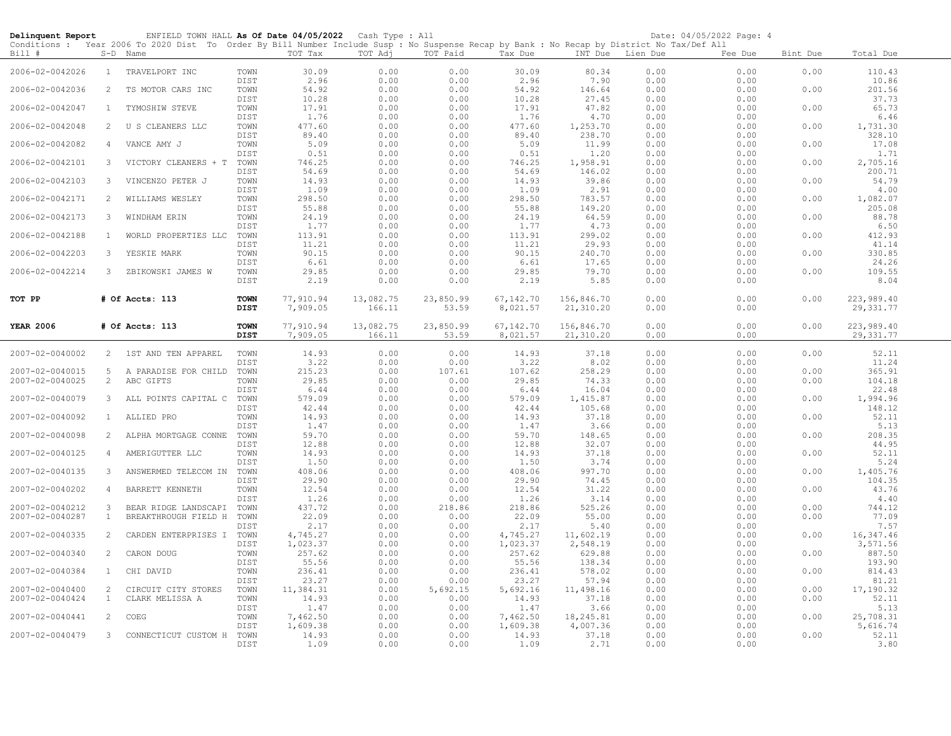| Delinquent Report |                | ENFIELD TOWN HALL As Of Date 04/05/2022 Cash Type : All                                                                                 |                            |                       |                     |                    |                       |                         |                  | Date: 04/05/2022 Page: 4 |          |                          |
|-------------------|----------------|-----------------------------------------------------------------------------------------------------------------------------------------|----------------------------|-----------------------|---------------------|--------------------|-----------------------|-------------------------|------------------|--------------------------|----------|--------------------------|
|                   |                | Conditions: Year 2006 To 2020 Dist To Order By Bill Number Include Susp: No Suspense Recap by Bank: No Recap by District No Tax/Def All |                            |                       |                     |                    |                       |                         |                  |                          |          |                          |
| Bill #            |                | S-D Name                                                                                                                                |                            | TOT Tax               | TOT Adj             | TOT Paid           | Tax Due               |                         | INT Due Lien Due | Fee Due                  | Bint Due | Total Due                |
| 2006-02-0042026   | $\mathbf{1}$   | TRAVELPORT INC                                                                                                                          | TOWN<br>DIST               | 30.09<br>2.96         | 0.00<br>0.00        | 0.00<br>0.00       | 30.09<br>2.96         | 80.34<br>7.90           | 0.00<br>0.00     | 0.00<br>0.00             | 0.00     | 110.43<br>10.86          |
| 2006-02-0042036   | 2              | TS MOTOR CARS INC                                                                                                                       | TOWN<br>DIST               | 54.92<br>10.28        | 0.00<br>0.00        | 0.00<br>0.00       | 54.92<br>10.28        | 146.64<br>27.45         | 0.00<br>0.00     | 0.00<br>0.00             | 0.00     | 201.56<br>37.73          |
| 2006-02-0042047   | 1              | TYMOSHIW STEVE                                                                                                                          | TOWN<br>DIST               | 17.91<br>1.76         | 0.00<br>0.00        | 0.00<br>0.00       | 17.91<br>1.76         | 47.82<br>4.70           | 0.00<br>0.00     | 0.00<br>0.00             | 0.00     | 65.73<br>6.46            |
| 2006-02-0042048   | 2              | U S CLEANERS LLC                                                                                                                        | TOWN<br>DIST               | 477.60                | 0.00                | 0.00<br>0.00       | 477.60                | 1,253.70<br>238.70      | 0.00             | 0.00<br>0.00             | 0.00     | 1,731.30<br>328.10       |
| 2006-02-0042082   | 4              | VANCE AMY J                                                                                                                             | TOWN                       | 89.40<br>5.09         | 0.00<br>0.00        | 0.00               | 89.40<br>5.09         | 11.99                   | 0.00<br>0.00     | 0.00                     | 0.00     | 17.08                    |
| 2006-02-0042101   | 3              | VICTORY CLEANERS + T                                                                                                                    | DIST<br>TOWN               | 0.51<br>746.25        | 0.00<br>0.00        | 0.00<br>0.00       | 0.51<br>746.25        | 1.20<br>1,958.91        | 0.00<br>0.00     | 0.00<br>0.00             | 0.00     | 1.71<br>2,705.16         |
| 2006-02-0042103   | $\overline{3}$ | VINCENZO PETER J                                                                                                                        | DIST<br>TOWN               | 54.69<br>14.93        | 0.00<br>0.00        | 0.00<br>0.00       | 54.69<br>14.93        | 146.02<br>39.86         | 0.00<br>0.00     | 0.00<br>0.00             | 0.00     | 200.71<br>54.79          |
| 2006-02-0042171   | $\mathcal{L}$  | WILLIAMS WESLEY                                                                                                                         | DIST<br>TOWN               | 1.09<br>298.50        | 0.00<br>0.00        | 0.00<br>0.00       | 1.09<br>298.50        | 2.91<br>783.57          | 0.00<br>0.00     | 0.00<br>0.00             | 0.00     | 4.00<br>1,082.07         |
| 2006-02-0042173   | 3              | WINDHAM ERIN                                                                                                                            | DIST<br>TOWN               | 55.88<br>24.19        | 0.00<br>0.00        | 0.00<br>0.00       | 55.88<br>24.19        | 149.20<br>64.59         | 0.00<br>0.00     | 0.00<br>0.00             | 0.00     | 205.08<br>88.78          |
| 2006-02-0042188   | $\mathbf{1}$   | WORLD PROPERTIES LLC                                                                                                                    | DIST<br>TOWN               | 1.77<br>113.91        | 0.00<br>0.00        | 0.00<br>0.00       | 1.77<br>113.91        | 4.73<br>299.02          | 0.00<br>0.00     | 0.00<br>0.00             | 0.00     | 6.50<br>412.93           |
| 2006-02-0042203   | $\mathbf{3}$   | YESKIE MARK                                                                                                                             | DIST<br>TOWN               | 11.21<br>90.15        | 0.00<br>0.00        | 0.00<br>0.00       | 11.21<br>90.15        | 29.93<br>240.70         | 0.00<br>0.00     | 0.00<br>0.00             | 0.00     | 41.14<br>330.85          |
| 2006-02-0042214   | $\mathbf{3}$   | ZBIKOWSKI JAMES W                                                                                                                       | DIST<br>TOWN               | 6.61<br>29.85         | 0.00<br>0.00        | 0.00<br>0.00       | 6.61<br>29.85         | 17.65<br>79.70          | 0.00<br>0.00     | 0.00<br>0.00             | 0.00     | 24.26<br>109.55          |
|                   |                |                                                                                                                                         | DIST                       | 2.19                  | 0.00                | 0.00               | 2.19                  | 5.85                    | 0.00             | 0.00                     |          | 8.04                     |
| TOT PP            |                | # Of Accts: 113                                                                                                                         | <b>TOWN</b><br><b>DIST</b> | 77,910.94<br>7,909.05 | 13,082.75<br>166.11 | 23,850.99<br>53.59 | 67,142.70<br>8,021.57 | 156,846.70<br>21,310.20 | 0.00<br>0.00     | 0.00<br>0.00             | 0.00     | 223,989.40<br>29, 331.77 |
| <b>YEAR 2006</b>  |                | # Of Accts: 113                                                                                                                         | <b>TOWN</b><br><b>DIST</b> | 77,910.94<br>7,909.05 | 13,082.75<br>166.11 | 23,850.99<br>53.59 | 67,142.70<br>8,021.57 | 156,846.70<br>21,310.20 | 0.00<br>0.00     | 0.00<br>0.00             | 0.00     | 223,989.40<br>29, 331.77 |
| 2007-02-0040002   |                | 2 1ST AND TEN APPAREL                                                                                                                   | TOWN                       | 14.93                 | 0.00                | 0.00               | 14.93                 | 37.18                   | 0.00             | 0.00                     | 0.00     | 52.11                    |
| 2007-02-0040015   | 5              | A PARADISE FOR CHILD                                                                                                                    | DIST<br>TOWN               | 3.22<br>215.23        | 0.00<br>0.00        | 0.00<br>107.61     | 3.22<br>107.62        | 8.02<br>258.29          | 0.00<br>0.00     | 0.00<br>0.00             | 0.00     | 11.24<br>365.91          |
| 2007-02-0040025   | 2              | ABC GIFTS                                                                                                                               | TOWN<br>DIST               | 29.85<br>6.44         | 0.00<br>0.00        | 0.00<br>0.00       | 29.85<br>6.44         | 74.33<br>16.04          | 0.00<br>0.00     | 0.00<br>0.00             | 0.00     | 104.18<br>22.48          |
| 2007-02-0040079   | $\mathbf{3}$   | ALL POINTS CAPITAL C                                                                                                                    | TOWN<br>DIST               | 579.09<br>42.44       | 0.00<br>0.00        | 0.00<br>0.00       | 579.09<br>42.44       | 1,415.87<br>105.68      | 0.00<br>0.00     | 0.00<br>0.00             | 0.00     | 1,994.96<br>148.12       |
| 2007-02-0040092   | $\mathbf{1}$   | ALLIED PRO                                                                                                                              | TOWN<br>DIST               | 14.93<br>1.47         | 0.00<br>0.00        | 0.00<br>0.00       | 14.93<br>1.47         | 37.18<br>3.66           | 0.00<br>0.00     | 0.00<br>0.00             | 0.00     | 52.11<br>5.13            |
| 2007-02-0040098   | 2              | ALPHA MORTGAGE CONNE                                                                                                                    | TOWN<br>DIST               | 59.70<br>12.88        | 0.00<br>0.00        | 0.00<br>0.00       | 59.70<br>12.88        | 148.65<br>32.07         | 0.00<br>0.00     | 0.00<br>0.00             | 0.00     | 208.35<br>44.95          |
| 2007-02-0040125   | $\overline{4}$ | AMERIGUTTER LLC                                                                                                                         | TOWN<br>DIST               | 14.93<br>1.50         | 0.00<br>0.00        | 0.00<br>0.00       | 14.93<br>1.50         | 37.18<br>3.74           | 0.00<br>0.00     | 0.00<br>0.00             | 0.00     | 52.11<br>5.24            |
| 2007-02-0040135   | 3              | ANSWERMED TELECOM IN                                                                                                                    | TOWN<br>DIST               | 408.06<br>29.90       | 0.00<br>0.00        | 0.00<br>0.00       | 408.06<br>29.90       | 997.70<br>74.45         | 0.00<br>0.00     | 0.00<br>0.00             | 0.00     | 1,405.76<br>104.35       |
| 2007-02-0040202   | 4              | BARRETT KENNETH                                                                                                                         | TOWN<br><b>DIST</b>        | 12.54<br>1.26         | 0.00<br>0.00        | 0.00<br>0.00       | 12.54<br>1.26         | 31.22<br>3.14           | 0.00<br>0.00     | 0.00<br>0.00             | 0.00     | 43.76<br>4.40            |
| 2007-02-0040212   | $\mathbf{3}$   | BEAR RIDGE LANDSCAPI                                                                                                                    | TOWN                       | 437.72                | 0.00                | 218.86             | 218.86                | 525.26                  | 0.00             | 0.00                     | 0.00     | 744.12                   |
| 2007-02-0040287   | $\mathbf{1}$   | BREAKTHROUGH FIELD H                                                                                                                    | TOWN                       | 22.09                 | 0.00                | 0.00               | 22.09                 | 55.00                   | 0.00             | 0.00                     | 0.00     | 77.09                    |
| 2007-02-0040335   | 2              | CARDEN ENTERPRISES I                                                                                                                    | <b>DIST</b><br>TOWN        | 2.17<br>4,745.27      | 0.00<br>0.00        | 0.00<br>0.00       | 2.17<br>4,745.27      | 5.40<br>11,602.19       | 0.00<br>0.00     | 0.00<br>0.00             | 0.00     | 7.57<br>16, 347.46       |
| 2007-02-0040340   | 2              | CARON DOUG                                                                                                                              | DIST<br>TOWN               | 1,023.37<br>257.62    | 0.00<br>0.00        | 0.00<br>0.00       | 1,023.37<br>257.62    | 2,548.19<br>629.88      | 0.00<br>0.00     | 0.00<br>0.00             | 0.00     | 3,571.56<br>887.50       |
| 2007-02-0040384   | $\mathbf{1}$   | CHI DAVID                                                                                                                               | DIST<br>TOWN               | 55.56<br>236.41       | 0.00<br>0.00        | 0.00<br>0.00       | 55.56<br>236.41       | 138.34<br>578.02        | 0.00<br>0.00     | 0.00<br>0.00             | 0.00     | 193.90<br>814.43         |
| 2007-02-0040400   | 2              | CIRCUIT CITY STORES                                                                                                                     | DIST<br>TOWN               | 23.27<br>11,384.31    | 0.00<br>0.00        | 0.00<br>5,692.15   | 23.27<br>5,692.16     | 57.94<br>11,498.16      | 0.00<br>0.00     | 0.00<br>0.00             | 0.00     | 81.21<br>17,190.32       |
| 2007-02-0040424   | $\mathbf{1}$   | CLARK MELISSA A                                                                                                                         | TOWN                       | 14.93                 | 0.00                | 0.00               | 14.93                 | 37.18                   | 0.00             | 0.00                     | 0.00     | 52.11                    |
| 2007-02-0040441   | 2              | COEG                                                                                                                                    | DIST<br>TOWN               | 1.47<br>7,462.50      | 0.00<br>0.00        | 0.00<br>0.00       | 1.47<br>7,462.50      | 3.66<br>18,245.81       | 0.00<br>0.00     | 0.00<br>0.00             | 0.00     | 5.13<br>25,708.31        |
|                   |                |                                                                                                                                         | DIST                       | 1,609.38              | 0.00                | 0.00               | 1,609.38              | 4,007.36                | 0.00             | 0.00                     |          | 5,616.74                 |
| 2007-02-0040479   | $\mathbf{3}$   | CONNECTICUT CUSTOM H                                                                                                                    | TOWN<br>DIST               | 14.93<br>1.09         | 0.00<br>0.00        | 0.00<br>0.00       | 14.93<br>1.09         | 37.18<br>2.71           | 0.00<br>0.00     | 0.00<br>0.00             | 0.00     | 52.11<br>3.80            |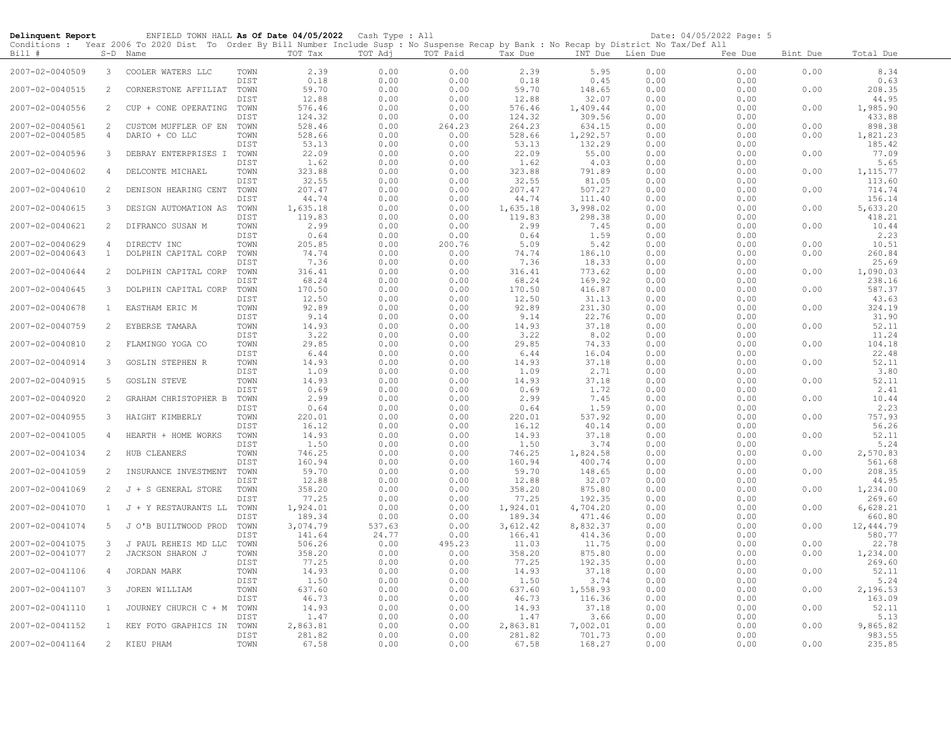| Delinquent Report |                | ENFIELD TOWN HALL As Of Date 04/05/2022 Cash Type : All                                                                                    |              |                    |               |                |                    |                    |              | Date: 04/05/2022 Page: 5 |          |                    |
|-------------------|----------------|--------------------------------------------------------------------------------------------------------------------------------------------|--------------|--------------------|---------------|----------------|--------------------|--------------------|--------------|--------------------------|----------|--------------------|
|                   |                | Conditions : Year 2006 To 2020 Dist To Order By Bill Number Include Susp : No Suspense Recap by Bank : No Recap by District No Tax/Def All |              |                    |               |                |                    |                    |              |                          |          |                    |
| Bill #            |                | S-D Name                                                                                                                                   |              | TOT Tax            | TOT Adj       | TOT Paid       | Tax Due            | INT Due            | Lien Due     | Fee Due                  | Bint Due | Total Due          |
| 2007-02-0040509   | 3              | COOLER WATERS LLC                                                                                                                          | TOWN<br>DIST | 2.39<br>0.18       | 0.00<br>0.00  | 0.00<br>0.00   | 2.39<br>0.18       | 5.95<br>0.45       | 0.00<br>0.00 | 0.00<br>0.00             | 0.00     | 8.34<br>0.63       |
| 2007-02-0040515   | 2              | CORNERSTONE AFFILIAT                                                                                                                       | TOWN         | 59.70<br>12.88     | 0.00<br>0.00  | 0.00           | 59.70              | 148.65<br>32.07    | 0.00         | 0.00                     | 0.00     | 208.35<br>44.95    |
| 2007-02-0040556   | 2              | CUP + CONE OPERATING                                                                                                                       | DIST<br>TOWN | 576.46             | 0.00          | 0.00<br>0.00   | 12.88<br>576.46    | 1,409.44           | 0.00<br>0.00 | 0.00<br>0.00             | 0.00     | 1,985.90           |
| 2007-02-0040561   | $\overline{2}$ | CUSTOM MUFFLER OF EN                                                                                                                       | DIST<br>TOWN | 124.32<br>528.46   | 0.00<br>0.00  | 0.00<br>264.23 | 124.32<br>264.23   | 309.56<br>634.15   | 0.00<br>0.00 | 0.00<br>0.00             | 0.00     | 433.88<br>898.38   |
| 2007-02-0040585   | 4              | DARIO + CO LLC                                                                                                                             | TOWN         | 528.66             | 0.00          | 0.00           | 528.66             | 1,292.57<br>132.29 | 0.00         | 0.00                     | 0.00     | 1,821.23           |
| 2007-02-0040596   | 3              | DEBRAY ENTERPRISES I                                                                                                                       | DIST<br>TOWN | 53.13<br>22.09     | 0.00<br>0.00  | 0.00<br>0.00   | 53.13<br>22.09     | 55.00              | 0.00<br>0.00 | 0.00<br>0.00             | 0.00     | 185.42<br>77.09    |
| 2007-02-0040602   | 4              | DELCONTE MICHAEL                                                                                                                           | DIST<br>TOWN | 1.62<br>323.88     | 0.00<br>0.00  | 0.00<br>0.00   | 1.62<br>323.88     | 4.03<br>791.89     | 0.00<br>0.00 | 0.00<br>0.00             | 0.00     | 5.65<br>1,115.77   |
| 2007-02-0040610   | $\overline{2}$ | DENISON HEARING CENT                                                                                                                       | DIST<br>TOWN | 32.55<br>207.47    | 0.00<br>0.00  | 0.00<br>0.00   | 32.55<br>207.47    | 81.05<br>507.27    | 0.00<br>0.00 | 0.00<br>0.00             | 0.00     | 113.60<br>714.74   |
| 2007-02-0040615   | 3              | DESIGN AUTOMATION AS                                                                                                                       | DIST<br>TOWN | 44.74<br>1,635.18  | 0.00<br>0.00  | 0.00<br>0.00   | 44.74<br>1,635.18  | 111.40<br>3,998.02 | 0.00<br>0.00 | 0.00<br>0.00             | 0.00     | 156.14<br>5,633.20 |
| 2007-02-0040621   | $\overline{c}$ | DIFRANCO SUSAN M                                                                                                                           | DIST<br>TOWN | 119.83<br>2.99     | 0.00<br>0.00  | 0.00<br>0.00   | 119.83<br>2.99     | 298.38<br>7.45     | 0.00<br>0.00 | 0.00<br>0.00             | 0.00     | 418.21<br>10.44    |
|                   |                |                                                                                                                                            | DIST         | 0.64               | 0.00          | 0.00           | 0.64               | 1.59               | 0.00         | 0.00                     |          | 2.23               |
| 2007-02-0040629   | 4              | DIRECTV INC                                                                                                                                | TOWN         | 205.85             | 0.00          | 200.76         | 5.09               | 5.42               | 0.00         | 0.00                     | 0.00     | 10.51              |
| 2007-02-0040643   | $\mathbf{1}$   | DOLPHIN CAPITAL CORP                                                                                                                       | TOWN<br>DIST | 74.74<br>7.36      | 0.00<br>0.00  | 0.00<br>0.00   | 74.74<br>7.36      | 186.10<br>18.33    | 0.00<br>0.00 | 0.00<br>0.00             | 0.00     | 260.84<br>25.69    |
| 2007-02-0040644   | 2              | DOLPHIN CAPITAL CORP                                                                                                                       | TOWN<br>DIST | 316.41<br>68.24    | 0.00<br>0.00  | 0.00<br>0.00   | 316.41<br>68.24    | 773.62<br>169.92   | 0.00<br>0.00 | 0.00<br>0.00             | 0.00     | 1,090.03           |
| 2007-02-0040645   | 3              | DOLPHIN CAPITAL CORP                                                                                                                       | TOWN         | 170.50             | 0.00          | 0.00           | 170.50             | 416.87             | 0.00         | 0.00                     | 0.00     | 238.16<br>587.37   |
| 2007-02-0040678   | 1              | EASTHAM ERIC M                                                                                                                             | DIST<br>TOWN | 12.50<br>92.89     | 0.00<br>0.00  | 0.00<br>0.00   | 12.50<br>92.89     | 31.13<br>231.30    | 0.00<br>0.00 | 0.00<br>0.00             | 0.00     | 43.63<br>324.19    |
| 2007-02-0040759   | 2              | EYBERSE TAMARA                                                                                                                             | DIST<br>TOWN | 9.14<br>14.93      | 0.00<br>0.00  | 0.00<br>0.00   | 9.14<br>14.93      | 22.76<br>37.18     | 0.00<br>0.00 | 0.00<br>0.00             | 0.00     | 31.90<br>52.11     |
| 2007-02-0040810   | 2              | FLAMINGO YOGA CO                                                                                                                           | DIST<br>TOWN | 3.22<br>29.85      | 0.00<br>0.00  | 0.00<br>0.00   | 3.22<br>29.85      | 8.02<br>74.33      | 0.00<br>0.00 | 0.00<br>0.00             | 0.00     | 11.24<br>104.18    |
| 2007-02-0040914   | 3              | GOSLIN STEPHEN R                                                                                                                           | DIST<br>TOWN | 6.44<br>14.93      | 0.00<br>0.00  | 0.00<br>0.00   | 6.44<br>14.93      | 16.04<br>37.18     | 0.00<br>0.00 | 0.00<br>0.00             | 0.00     | 22.48<br>52.11     |
| 2007-02-0040915   | 5              | <b>GOSLIN STEVE</b>                                                                                                                        | DIST<br>TOWN | 1.09<br>14.93      | 0.00<br>0.00  | 0.00<br>0.00   | 1.09<br>14.93      | 2.71<br>37.18      | 0.00<br>0.00 | 0.00<br>0.00             | 0.00     | 3.80<br>52.11      |
| 2007-02-0040920   | 2              | GRAHAM CHRISTOPHER B                                                                                                                       | DIST<br>TOWN | 0.69<br>2.99       | 0.00<br>0.00  | 0.00<br>0.00   | 0.69<br>2.99       | 1.72<br>7.45       | 0.00<br>0.00 | 0.00<br>0.00             | 0.00     | 2.41<br>10.44      |
|                   |                |                                                                                                                                            | DIST         | 0.64               | 0.00          | 0.00           | 0.64               | 1.59               | 0.00         | 0.00                     |          | 2.23               |
| 2007-02-0040955   | 3              | HAIGHT KIMBERLY                                                                                                                            | TOWN<br>DIST | 220.01<br>16.12    | 0.00<br>0.00  | 0.00<br>0.00   | 220.01<br>16.12    | 537.92<br>40.14    | 0.00<br>0.00 | 0.00<br>0.00             | 0.00     | 757.93<br>56.26    |
| 2007-02-0041005   | 4              | HEARTH + HOME WORKS                                                                                                                        | TOWN<br>DIST | 14.93<br>1.50      | 0.00<br>0.00  | 0.00<br>0.00   | 14.93<br>1.50      | 37.18<br>3.74      | 0.00<br>0.00 | 0.00<br>0.00             | 0.00     | 52.11<br>5.24      |
| 2007-02-0041034   | 2              | HUB CLEANERS                                                                                                                               | TOWN<br>DIST | 746.25<br>160.94   | 0.00<br>0.00  | 0.00<br>0.00   | 746.25<br>160.94   | 1,824.58<br>400.74 | 0.00<br>0.00 | 0.00<br>0.00             | 0.00     | 2,570.83<br>561.68 |
| 2007-02-0041059   | 2              | INSURANCE INVESTMENT                                                                                                                       | TOWN<br>DIST | 59.70<br>12.88     | 0.00<br>0.00  | 0.00<br>0.00   | 59.70<br>12.88     | 148.65<br>32.07    | 0.00<br>0.00 | 0.00<br>0.00             | 0.00     | 208.35<br>44.95    |
| 2007-02-0041069   | 2              | J + S GENERAL STORE                                                                                                                        | TOWN<br>DIST | 358.20<br>77.25    | 0.00<br>0.00  | 0.00<br>0.00   | 358.20<br>77.25    | 875.80<br>192.35   | 0.00<br>0.00 | 0.00<br>0.00             | 0.00     | 1,234.00<br>269.60 |
| 2007-02-0041070   | $\mathbf{1}$   | J + Y RESTAURANTS LL                                                                                                                       | TOWN<br>DIST | 1,924.01<br>189.34 | 0.00<br>0.00  | 0.00<br>0.00   | 1,924.01<br>189.34 | 4,704.20<br>471.46 | 0.00<br>0.00 | 0.00<br>0.00             | 0.00     | 6,628.21<br>660.80 |
| 2007-02-0041074   | 5              | J O'B BUILTWOOD PROD                                                                                                                       | TOWN         | 3,074.79           | 537.63        | 0.00           | 3,612.42           | 8,832.37           | 0.00         | 0.00                     | 0.00     | 12,444.79          |
| 2007-02-0041075   | 3              | J PAUL REHEIS MD LLC                                                                                                                       | DIST<br>TOWN | 141.64<br>506.26   | 24.77<br>0.00 | 0.00<br>495.23 | 166.41<br>11.03    | 414.36<br>11.75    | 0.00<br>0.00 | 0.00<br>0.00             | 0.00     | 580.77<br>22.78    |
| 2007-02-0041077   | $\overline{c}$ | JACKSON SHARON J                                                                                                                           | TOWN         | 358.20<br>77.25    | 0.00<br>0.00  | 0.00<br>0.00   | 358.20<br>77.25    | 875.80<br>192.35   | 0.00<br>0.00 | 0.00<br>0.00             | 0.00     | 1,234.00<br>269.60 |
| 2007-02-0041106   | $\overline{4}$ | JORDAN MARK                                                                                                                                | DIST<br>TOWN | 14.93              | 0.00          | 0.00           | 14.93              | 37.18              | 0.00         | 0.00                     | 0.00     | 52.11              |
| 2007-02-0041107   | 3              | JOREN WILLIAM                                                                                                                              | DIST<br>TOWN | 1.50<br>637.60     | 0.00<br>0.00  | 0.00<br>0.00   | 1.50<br>637.60     | 3.74<br>1,558.93   | 0.00<br>0.00 | 0.00<br>0.00             | 0.00     | 5.24<br>2,196.53   |
| 2007-02-0041110   | 1              | JOURNEY CHURCH C + M                                                                                                                       | DIST<br>TOWN | 46.73<br>14.93     | 0.00<br>0.00  | 0.00<br>0.00   | 46.73<br>14.93     | 116.36<br>37.18    | 0.00<br>0.00 | 0.00<br>0.00             | 0.00     | 163.09<br>52.11    |
| 2007-02-0041152   | $\mathbf{1}$   | KEY FOTO GRAPHICS IN                                                                                                                       | DIST<br>TOWN | 1.47<br>2,863.81   | 0.00<br>0.00  | 0.00<br>0.00   | 1.47<br>2,863.81   | 3.66<br>7,002.01   | 0.00<br>0.00 | 0.00<br>0.00             | 0.00     | 5.13<br>9,865.82   |
| 2007-02-0041164   | $2^{\circ}$    | KIEU PHAM                                                                                                                                  | DIST<br>TOWN | 281.82<br>67.58    | 0.00<br>0.00  | 0.00<br>0.00   | 281.82<br>67.58    | 701.73<br>168.27   | 0.00<br>0.00 | 0.00<br>0.00             | 0.00     | 983.55<br>235.85   |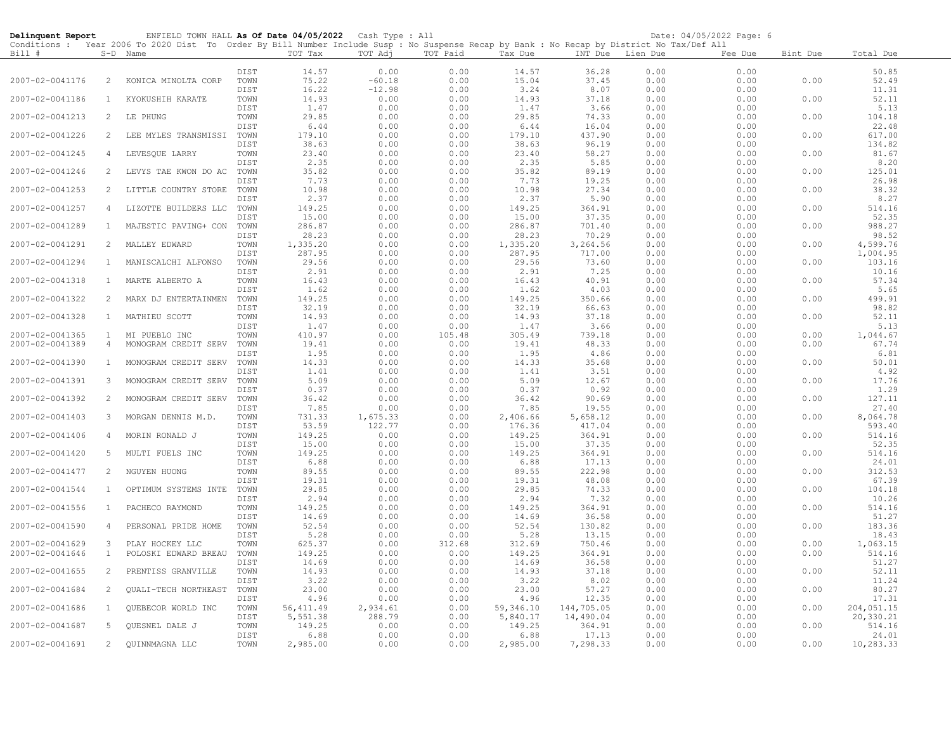| Delinquent Report |                | ENFIELD TOWN HALL As Of Date 04/05/2022 Cash Type : All                                                                                    |              |                 |              |                |                 |                     |                  | Date: 04/05/2022 Page: 6 |          |                    |
|-------------------|----------------|--------------------------------------------------------------------------------------------------------------------------------------------|--------------|-----------------|--------------|----------------|-----------------|---------------------|------------------|--------------------------|----------|--------------------|
|                   |                | Conditions : Year 2006 To 2020 Dist To Order By Bill Number Include Susp : No Suspense Recap by Bank : No Recap by District No Tax/Def All |              |                 |              |                |                 |                     |                  |                          |          |                    |
| Bill #            |                | S-D Name                                                                                                                                   |              | TOT Tax         | TOT Adj      | TOT Paid       | Tax Due         |                     | INT Due Lien Due | Fee Due                  | Bint Due | Total Due          |
|                   |                |                                                                                                                                            | DIST         | 14.57           | 0.00         | 0.00           | 14.57           | 36.28               | 0.00             | 0.00                     |          | 50.85              |
| 2007-02-0041176   | 2              | KONICA MINOLTA CORP                                                                                                                        | TOWN         | 75.22           | $-60.18$     | 0.00           | 15.04           | 37.45               | 0.00             | 0.00                     | 0.00     | 52.49              |
|                   |                |                                                                                                                                            | DIST         | 16.22           | $-12.98$     | 0.00           | 3.24            | 8.07                | 0.00             | 0.00                     |          | 11.31              |
| 2007-02-0041186   | $\mathbf{1}$   | KYOKUSHIH KARATE                                                                                                                           | TOWN         | 14.93           | 0.00         | 0.00           | 14.93           | 37.18               | 0.00             | 0.00                     | 0.00     | 52.11              |
|                   |                |                                                                                                                                            | DIST         | 1.47            | 0.00         | 0.00           | 1.47            | 3.66                | 0.00             | 0.00                     |          | 5.13               |
| 2007-02-0041213   | 2              | LE PHUNG                                                                                                                                   | TOWN         | 29.85           | 0.00         | 0.00           | 29.85           | 74.33               | 0.00             | 0.00                     | 0.00     | 104.18             |
|                   |                |                                                                                                                                            | DIST         | 6.44            | 0.00         | 0.00           | 6.44            | 16.04               | 0.00             | 0.00                     |          | 22.48              |
| 2007-02-0041226   | 2              | LEE MYLES TRANSMISSI                                                                                                                       | TOWN         | 179.10          | 0.00         | 0.00           | 179.10          | 437.90              | 0.00             | 0.00                     | 0.00     | 617.00             |
|                   |                |                                                                                                                                            | DIST         | 38.63           | 0.00         | 0.00           | 38.63           | 96.19               | 0.00             | 0.00                     |          | 134.82             |
| 2007-02-0041245   | 4              | LEVESQUE LARRY                                                                                                                             | TOWN         | 23.40           | 0.00         | 0.00           | 23.40           | 58.27               | 0.00             | 0.00                     | 0.00     | 81.67              |
| 2007-02-0041246   | 2              |                                                                                                                                            | DIST<br>TOWN | 2.35<br>35.82   | 0.00<br>0.00 | 0.00<br>0.00   | 2.35<br>35.82   | 5.85<br>89.19       | 0.00<br>0.00     | 0.00<br>0.00             | 0.00     | 8.20<br>125.01     |
|                   |                | LEVYS TAE KWON DO AC                                                                                                                       | DIST         | 7.73            | 0.00         | 0.00           | 7.73            | 19.25               | 0.00             | 0.00                     |          | 26.98              |
| 2007-02-0041253   | $\overline{2}$ | LITTLE COUNTRY STORE                                                                                                                       | TOWN         | 10.98           | 0.00         | 0.00           | 10.98           | 27.34               | 0.00             | 0.00                     | 0.00     | 38.32              |
|                   |                |                                                                                                                                            | DIST         | 2.37            | 0.00         | 0.00           | 2.37            | 5.90                | 0.00             | 0.00                     |          | 8.27               |
| 2007-02-0041257   | $\overline{4}$ | LIZOTTE BUILDERS LLC                                                                                                                       | TOWN         | 149.25          | 0.00         | 0.00           | 149.25          | 364.91              | 0.00             | 0.00                     | 0.00     | 514.16             |
|                   |                |                                                                                                                                            | DIST         | 15.00           | 0.00         | 0.00           | 15.00           | 37.35               | 0.00             | 0.00                     |          | 52.35              |
| 2007-02-0041289   | 1              | MAJESTIC PAVING+ CON                                                                                                                       | TOWN         | 286.87          | 0.00         | 0.00           | 286.87          | 701.40              | 0.00             | 0.00                     | 0.00     | 988.27             |
|                   |                |                                                                                                                                            | DIST         | 28.23           | 0.00         | 0.00           | 28.23           | 70.29               | 0.00             | 0.00                     |          | 98.52              |
| 2007-02-0041291   | 2              | MALLEY EDWARD                                                                                                                              | TOWN         | 1,335.20        | 0.00         | 0.00           | 1,335.20        | 3,264.56            | 0.00             | 0.00                     | 0.00     | 4,599.76           |
|                   | 1              |                                                                                                                                            | DIST         | 287.95          | 0.00         | 0.00           | 287.95          | 717.00              | 0.00             | 0.00                     |          | 1,004.95<br>103.16 |
| 2007-02-0041294   |                | MANISCALCHI ALFONSO                                                                                                                        | TOWN<br>DIST | 29.56<br>2.91   | 0.00<br>0.00 | 0.00<br>0.00   | 29.56<br>2.91   | 73.60<br>7.25       | 0.00<br>0.00     | 0.00<br>0.00             | 0.00     | 10.16              |
| 2007-02-0041318   | $\mathbf{1}$   | MARTE ALBERTO A                                                                                                                            | TOWN         | 16.43           | 0.00         | 0.00           | 16.43           | 40.91               | 0.00             | 0.00                     | 0.00     | 57.34              |
|                   |                |                                                                                                                                            | DIST         | 1.62            | 0.00         | 0.00           | 1.62            | 4.03                | 0.00             | 0.00                     |          | 5.65               |
| 2007-02-0041322   | 2              | MARX DJ ENTERTAINMEN                                                                                                                       | TOWN         | 149.25          | 0.00         | 0.00           | 149.25          | 350.66              | 0.00             | 0.00                     | 0.00     | 499.91             |
|                   |                |                                                                                                                                            | DIST         | 32.19           | 0.00         | 0.00           | 32.19           | 66.63               | 0.00             | 0.00                     |          | 98.82              |
| 2007-02-0041328   | $\mathbf{1}$   | MATHIEU SCOTT                                                                                                                              | TOWN         | 14.93           | 0.00         | 0.00           | 14.93           | 37.18               | 0.00             | 0.00                     | 0.00     | 52.11              |
|                   |                |                                                                                                                                            | DIST         | 1.47            | 0.00         | 0.00           | 1.47            | 3.66                | 0.00             | 0.00                     |          | 5.13               |
| 2007-02-0041365   | $\mathbf{1}$   | MI PUEBLO INC                                                                                                                              | TOWN         | 410.97          | 0.00         | 105.48         | 305.49          | 739.18              | 0.00             | 0.00                     | 0.00     | 1,044.67           |
| 2007-02-0041389   | $\overline{4}$ | MONOGRAM CREDIT SERV                                                                                                                       | TOWN         | 19.41           | 0.00         | 0.00           | 19.41           | 48.33               | 0.00             | 0.00                     | 0.00     | 67.74              |
| 2007-02-0041390   | $\mathbf{1}$   | MONOGRAM CREDIT SERV                                                                                                                       | DIST<br>TOWN | 1.95<br>14.33   | 0.00<br>0.00 | 0.00<br>0.00   | 1.95<br>14.33   | 4.86<br>35.68       | 0.00<br>0.00     | 0.00<br>0.00             | 0.00     | 6.81<br>50.01      |
|                   |                |                                                                                                                                            | DIST         | 1.41            | 0.00         | 0.00           | 1.41            | 3.51                | 0.00             | 0.00                     |          | 4.92               |
| 2007-02-0041391   | 3              | MONOGRAM CREDIT SERV                                                                                                                       | TOWN         | 5.09            | 0.00         | 0.00           | 5.09            | 12.67               | 0.00             | 0.00                     | 0.00     | 17.76              |
|                   |                |                                                                                                                                            | DIST         | 0.37            | 0.00         | 0.00           | 0.37            | 0.92                | 0.00             | 0.00                     |          | 1.29               |
| 2007-02-0041392   | $\overline{2}$ | MONOGRAM CREDIT SERV                                                                                                                       | TOWN         | 36.42           | 0.00         | 0.00           | 36.42           | 90.69               | 0.00             | 0.00                     | 0.00     | 127.11             |
|                   |                |                                                                                                                                            | DIST         | 7.85            | 0.00         | 0.00           | 7.85            | 19.55               | 0.00             | 0.00                     |          | 27.40              |
| 2007-02-0041403   | 3              | MORGAN DENNIS M.D.                                                                                                                         | TOWN         | 731.33          | 1,675.33     | 0.00           | 2,406.66        | 5,658.12            | 0.00             | 0.00                     | 0.00     | 8,064.78           |
|                   |                |                                                                                                                                            | DIST         | 53.59           | 122.77       | 0.00           | 176.36          | 417.04              | 0.00             | 0.00                     |          | 593.40             |
| 2007-02-0041406   | 4              | MORIN RONALD J                                                                                                                             | TOWN         | 149.25          | 0.00         | 0.00           | 149.25          | 364.91              | 0.00             | 0.00                     | 0.00     | 514.16             |
| 2007-02-0041420   | 5              | MULTI FUELS INC                                                                                                                            | DIST<br>TOWN | 15.00<br>149.25 | 0.00<br>0.00 | 0.00<br>0.00   | 15.00<br>149.25 | 37.35<br>364.91     | 0.00<br>0.00     | 0.00<br>0.00             | 0.00     | 52.35<br>514.16    |
|                   |                |                                                                                                                                            | DIST         | 6.88            | 0.00         | 0.00           | 6.88            | 17.13               | 0.00             | 0.00                     |          | 24.01              |
| 2007-02-0041477   | 2              | NGUYEN HUONG                                                                                                                               | TOWN         | 89.55           | 0.00         | 0.00           | 89.55           | 222.98              | 0.00             | 0.00                     | 0.00     | 312.53             |
|                   |                |                                                                                                                                            | DIST         | 19.31           | 0.00         | 0.00           | 19.31           | 48.08               | 0.00             | 0.00                     |          | 67.39              |
| 2007-02-0041544   | $\mathbf{1}$   | OPTIMUM SYSTEMS INTE TOWN                                                                                                                  |              | 29.85           | 0.00         | 0.00           | 29.85           | 74.33               | 0.00             | 0.00                     | 0.00     | 104.18             |
|                   |                |                                                                                                                                            | DIST         | 2.94            | 0.00         | 0.00           | 2.94            | 7.32                | 0.00             | 0.00                     |          | 10.26              |
| 2007-02-0041556   | $\mathbf{1}$   | PACHECO RAYMOND                                                                                                                            | TOWN         | 149.25          | 0.00         | 0.00           | 149.25          | 364.91              | 0.00             | 0.00                     | 0.00     | 514.16             |
|                   |                |                                                                                                                                            | DIST         | 14.69           | 0.00         | 0.00           | 14.69           | 36.58               | 0.00             | 0.00                     |          | 51.27              |
| 2007-02-0041590   | 4              | PERSONAL PRIDE HOME                                                                                                                        | TOWN         | 52.54           | 0.00         | 0.00           | 52.54           | 130.82              | 0.00             | 0.00                     | 0.00     | 183.36             |
| 2007-02-0041629   | 3              | PLAY HOCKEY LLC                                                                                                                            | DIST<br>TOWN | 5.28<br>625.37  | 0.00<br>0.00 | 0.00<br>312.68 | 5.28<br>312.69  | 13.15<br>750.46     | 0.00<br>0.00     | 0.00<br>0.00             | 0.00     | 18.43<br>1,063.15  |
| 2007-02-0041646   | $\mathbf{1}$   | POLOSKI EDWARD BREAU                                                                                                                       | TOWN         | 149.25          | 0.00         | 0.00           | 149.25          | 364.91              | 0.00             | 0.00                     | 0.00     | 514.16             |
|                   |                |                                                                                                                                            | DIST         | 14.69           | 0.00         | 0.00           | 14.69           | 36.58               | 0.00             | 0.00                     |          | 51.27              |
| 2007-02-0041655   | 2              | PRENTISS GRANVILLE                                                                                                                         | TOWN         | 14.93           | 0.00         | 0.00           | 14.93           | 37.18               | 0.00             | 0.00                     | 0.00     | 52.11              |
|                   |                |                                                                                                                                            | DIST         | 3.22            | 0.00         | 0.00           | 3.22            | 8.02                | 0.00             | 0.00                     |          | 11.24              |
| 2007-02-0041684   | 2              | <b>OUALI-TECH NORTHEAST</b>                                                                                                                | TOWN         | 23.00           | 0.00         | 0.00           | 23.00           | 57.27               | 0.00             | 0.00                     | 0.00     | 80.27              |
|                   |                |                                                                                                                                            | DIST         | 4.96            | 0.00         | 0.00           | 4.96            | 12.35               | 0.00             | 0.00                     |          | 17.31              |
| 2007-02-0041686   | 1              | QUEBECOR WORLD INC                                                                                                                         | TOWN         | 56, 411.49      | 2,934.61     | 0.00           | 59,346.10       | 144,705.05          | 0.00             | 0.00                     | 0.00     | 204,051.15         |
|                   | 5              |                                                                                                                                            | DIST         | 5,551.38        | 288.79       | 0.00<br>0.00   | 5,840.17        | 14,490.04<br>364.91 | 0.00             | 0.00                     |          | 20,330.21          |
| 2007-02-0041687   |                | QUESNEL DALE J                                                                                                                             | TOWN<br>DIST | 149.25<br>6.88  | 0.00<br>0.00 | 0.00           | 149.25<br>6.88  | 17.13               | 0.00<br>0.00     | 0.00<br>0.00             | 0.00     | 514.16<br>24.01    |
| 2007-02-0041691   | $\overline{2}$ | QUINNMAGNA LLC                                                                                                                             | TOWN         | 2,985.00        | 0.00         | 0.00           | 2,985.00        | 7,298.33            | 0.00             | 0.00                     | 0.00     | 10,283.33          |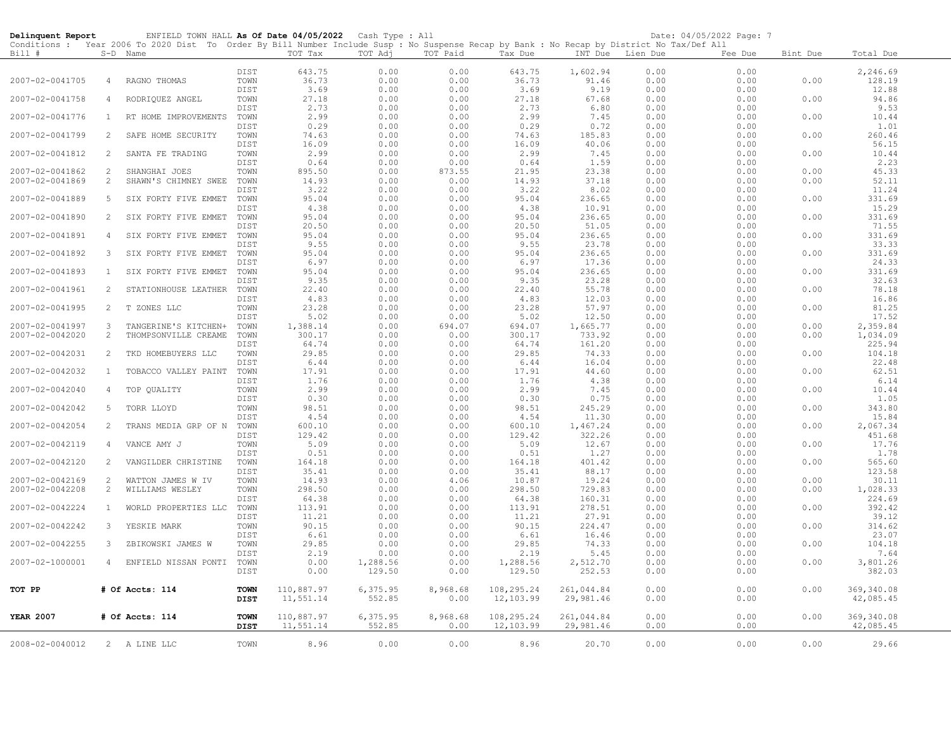| Delinquent Report |                | ENFIELD TOWN HALL As Of Date 04/05/2022 Cash Type : All                                                                                    |              |                 |                    |              |                    |                    |              | Date: 04/05/2022 Page: 7 |          |                    |
|-------------------|----------------|--------------------------------------------------------------------------------------------------------------------------------------------|--------------|-----------------|--------------------|--------------|--------------------|--------------------|--------------|--------------------------|----------|--------------------|
|                   |                | Conditions : Year 2006 To 2020 Dist To Order By Bill Number Include Susp : No Suspense Recap by Bank : No Recap by District No Tax/Def All |              |                 |                    |              |                    |                    |              |                          |          |                    |
| Bill #            |                | S-D Name                                                                                                                                   |              | TOT Tax         | TOT Adj            | TOT Paid     | Tax Due            | INT Due Lien Due   |              | Fee Due                  | Bint Due | Total Due          |
|                   |                |                                                                                                                                            | DIST         |                 |                    |              |                    | 1,602.94           | 0.00         | 0.00                     |          |                    |
| 2007-02-0041705   | 4              | RAGNO THOMAS                                                                                                                               | TOWN         | 643.75<br>36.73 | 0.00<br>0.00       | 0.00<br>0.00 | 643.75<br>36.73    | 91.46              | 0.00         | 0.00                     | 0.00     | 2,246.69<br>128.19 |
|                   |                |                                                                                                                                            | DIST         | 3.69            | 0.00               | 0.00         | 3.69               | 9.19               | 0.00         | 0.00                     |          | 12.88              |
| 2007-02-0041758   | 4              | RODRIQUEZ ANGEL                                                                                                                            | TOWN         | 27.18           | 0.00               | 0.00         | 27.18              | 67.68              | 0.00         | 0.00                     | 0.00     | 94.86              |
|                   |                |                                                                                                                                            | DIST         | 2.73            | 0.00               | 0.00         | 2.73               | 6.80               | 0.00         | 0.00                     |          | 9.53               |
| 2007-02-0041776   | <sup>1</sup>   | RT HOME IMPROVEMENTS                                                                                                                       | TOWN         | 2.99            | 0.00               | 0.00         | 2.99               | 7.45               | 0.00         | 0.00                     | 0.00     | 10.44              |
|                   |                |                                                                                                                                            | DIST         | 0.29            | 0.00               | 0.00         | 0.29               | 0.72               | 0.00         | 0.00                     |          | 1.01               |
| 2007-02-0041799   | 2              | SAFE HOME SECURITY                                                                                                                         | TOWN         | 74.63           | 0.00               | 0.00         | 74.63              | 185.83             | 0.00         | 0.00                     | 0.00     | 260.46             |
|                   |                |                                                                                                                                            | DIST         | 16.09           | 0.00               | 0.00         | 16.09              | 40.06              | 0.00         | 0.00                     |          | 56.15              |
| 2007-02-0041812   | 2              | SANTA FE TRADING                                                                                                                           | TOWN         | 2.99            | 0.00               | 0.00         | 2.99               | 7.45               | 0.00         | 0.00                     | 0.00     | 10.44              |
|                   |                |                                                                                                                                            | DIST         | 0.64            | 0.00               | 0.00         | 0.64               | 1.59               | 0.00         | 0.00                     |          | 2.23               |
| 2007-02-0041862   | 2              | SHANGHAI JOES                                                                                                                              | TOWN         | 895.50          | 0.00               | 873.55       | 21.95              | 23.38              | 0.00         | 0.00                     | 0.00     | 45.33              |
| 2007-02-0041869   | $\overline{c}$ | SHAWN'S CHIMNEY SWEE                                                                                                                       | TOWN         | 14.93           | 0.00               | 0.00         | 14.93              | 37.18              | 0.00         | 0.00                     | 0.00     | 52.11              |
|                   |                |                                                                                                                                            | DIST         | 3.22            | 0.00               | 0.00         | 3.22               | 8.02               | 0.00         | 0.00                     |          | 11.24              |
| 2007-02-0041889   | 5              | SIX FORTY FIVE EMMET                                                                                                                       | TOWN         | 95.04           | 0.00               | 0.00         | 95.04              | 236.65             | 0.00         | 0.00                     | 0.00     | 331.69             |
|                   |                |                                                                                                                                            | DIST         | 4.38            | 0.00               | 0.00         | 4.38               | 10.91              | 0.00         | 0.00                     |          | 15.29              |
| 2007-02-0041890   | 2              | SIX FORTY FIVE EMMET                                                                                                                       | TOWN<br>DIST | 95.04<br>20.50  | 0.00<br>0.00       | 0.00<br>0.00 | 95.04<br>20.50     | 236.65             | 0.00<br>0.00 | 0.00<br>0.00             | 0.00     | 331.69<br>71.55    |
| 2007-02-0041891   | 4              | SIX FORTY FIVE EMMET                                                                                                                       | TOWN         | 95.04           | 0.00               | 0.00         | 95.04              | 51.05<br>236.65    | 0.00         | 0.00                     | 0.00     | 331.69             |
|                   |                |                                                                                                                                            | DIST         | 9.55            | 0.00               | 0.00         | 9.55               | 23.78              | 0.00         | 0.00                     |          | 33.33              |
| 2007-02-0041892   | 3              | SIX FORTY FIVE EMMET                                                                                                                       | TOWN         | 95.04           | 0.00               | 0.00         | 95.04              | 236.65             | 0.00         | 0.00                     | 0.00     | 331.69             |
|                   |                |                                                                                                                                            | DIST         | 6.97            | 0.00               | 0.00         | 6.97               | 17.36              | 0.00         | 0.00                     |          | 24.33              |
| 2007-02-0041893   | $\mathbf{1}$   | SIX FORTY FIVE EMMET                                                                                                                       | TOWN         | 95.04           | 0.00               | 0.00         | 95.04              | 236.65             | 0.00         | 0.00                     | 0.00     | 331.69             |
|                   |                |                                                                                                                                            | DIST         | 9.35            | 0.00               | 0.00         | 9.35               | 23.28              | 0.00         | 0.00                     |          | 32.63              |
| 2007-02-0041961   | 2              | STATIONHOUSE LEATHER                                                                                                                       | TOWN         | 22.40           | 0.00               | 0.00         | 22.40              | 55.78              | 0.00         | 0.00                     | 0.00     | 78.18              |
|                   |                |                                                                                                                                            | DIST         | 4.83            | 0.00               | 0.00         | 4.83               | 12.03              | 0.00         | 0.00                     |          | 16.86              |
| 2007-02-0041995   | 2              | T ZONES LLC                                                                                                                                | TOWN         | 23.28           | 0.00               | 0.00         | 23.28              | 57.97              | 0.00         | 0.00                     | 0.00     | 81.25              |
|                   |                |                                                                                                                                            | DIST         | 5.02            | 0.00               | 0.00         | 5.02               | 12.50              | 0.00         | 0.00                     |          | 17.52              |
| 2007-02-0041997   | 3              | TANGERINE'S KITCHEN+                                                                                                                       | TOWN         | 1,388.14        | 0.00               | 694.07       | 694.07             | 1,665.77           | 0.00         | 0.00                     | 0.00     | 2,359.84           |
| 2007-02-0042020   | 2              | THOMPSONVILLE CREAME                                                                                                                       | TOWN         | 300.17          | 0.00               | 0.00         | 300.17             | 733.92             | 0.00         | 0.00                     | 0.00     | 1,034.09           |
|                   |                |                                                                                                                                            | DIST         | 64.74           | 0.00               | 0.00         | 64.74              | 161.20             | 0.00         | 0.00                     |          | 225.94             |
| 2007-02-0042031   | 2              | TKD HOMEBUYERS LLC                                                                                                                         | TOWN         | 29.85           | 0.00               | 0.00         | 29.85              | 74.33              | 0.00         | 0.00                     | 0.00     | 104.18             |
|                   |                |                                                                                                                                            | DIST         | 6.44            | 0.00               | 0.00         | 6.44               | 16.04              | 0.00         | 0.00                     |          | 22.48              |
| 2007-02-0042032   | $\mathbf{1}$   | TOBACCO VALLEY PAINT                                                                                                                       | TOWN         | 17.91           | 0.00               | 0.00         | 17.91              | 44.60              | 0.00         | 0.00                     | 0.00     | 62.51              |
|                   |                |                                                                                                                                            | DIST         | 1.76            | 0.00               | 0.00         | 1.76               | 4.38               | 0.00         | 0.00                     |          | 6.14               |
| 2007-02-0042040   | 4              | TOP QUALITY                                                                                                                                | TOWN         | 2.99            | 0.00               | 0.00         | 2.99               | 7.45               | 0.00         | 0.00<br>0.00             | 0.00     | 10.44<br>1.05      |
| 2007-02-0042042   | 5              | TORR LLOYD                                                                                                                                 | DIST<br>TOWN | 0.30<br>98.51   | 0.00<br>0.00       | 0.00<br>0.00 | 0.30<br>98.51      | 0.75<br>245.29     | 0.00<br>0.00 | 0.00                     | 0.00     | 343.80             |
|                   |                |                                                                                                                                            | DIST         | 4.54            | 0.00               | 0.00         | 4.54               | 11.30              | 0.00         | 0.00                     |          | 15.84              |
| 2007-02-0042054   | 2              | TRANS MEDIA GRP OF N                                                                                                                       | TOWN         | 600.10          | 0.00               | 0.00         | 600.10             | 1,467.24           | 0.00         | 0.00                     | 0.00     | 2,067.34           |
|                   |                |                                                                                                                                            | DIST         | 129.42          | 0.00               | 0.00         | 129.42             | 322.26             | 0.00         | 0.00                     |          | 451.68             |
| 2007-02-0042119   | 4              | VANCE AMY J                                                                                                                                | TOWN         | 5.09            | 0.00               | 0.00         | 5.09               | 12.67              | 0.00         | 0.00                     | 0.00     | 17.76              |
|                   |                |                                                                                                                                            | DIST         | 0.51            | 0.00               | 0.00         | 0.51               | 1.27               | 0.00         | 0.00                     |          | 1.78               |
| 2007-02-0042120   | 2              | VANGILDER CHRISTINE                                                                                                                        | TOWN         | 164.18          | 0.00               | 0.00         | 164.18             | 401.42             | 0.00         | 0.00                     | 0.00     | 565.60             |
|                   |                |                                                                                                                                            | DIST         | 35.41           | 0.00               | 0.00         | 35.41              | 88.17              | 0.00         | 0.00                     |          | 123.58             |
| 2007-02-0042169   | 2              | WATTON JAMES W IV                                                                                                                          | TOWN         | 14.93           | 0.00               | 4.06         | 10.87              | 19.24              | 0.00         | 0.00                     | 0.00     | 30.11              |
| 2007-02-0042208   | $\overline{c}$ | WILLIAMS WESLEY                                                                                                                            | TOWN         | 298.50          | 0.00               | 0.00         | 298.50             | 729.83             | 0.00         | 0.00                     | 0.00     | 1,028.33           |
|                   |                |                                                                                                                                            | DIST         | 64.38           | 0.00               | 0.00         | 64.38              | 160.31             | 0.00         | 0.00                     |          | 224.69             |
| 2007-02-0042224   | $\mathbf{1}$   | WORLD PROPERTIES LLC                                                                                                                       | TOWN         | 113.91          | 0.00               | 0.00         | 113.91             | 278.51             | 0.00         | 0.00                     | 0.00     | 392.42             |
|                   |                |                                                                                                                                            | DIST         | 11.21           | 0.00               | 0.00         | 11.21              | 27.91              | 0.00         | 0.00                     |          | 39.12              |
| 2007-02-0042242   | 3              | YESKIE MARK                                                                                                                                | TOWN         | 90.15           | 0.00               | 0.00         | 90.15              | 224.47             | 0.00         | 0.00                     | 0.00     | 314.62             |
|                   |                |                                                                                                                                            | DIST         | 6.61            | 0.00               | 0.00         | 6.61               | 16.46              | 0.00         | 0.00                     |          | 23.07              |
| 2007-02-0042255   | 3              | ZBIKOWSKI JAMES W                                                                                                                          | TOWN         | 29.85           | 0.00               | 0.00         | 29.85              | 74.33              | 0.00         | 0.00                     | 0.00     | 104.18             |
|                   |                |                                                                                                                                            | DIST         | 2.19            | 0.00               | 0.00         | 2.19               | 5.45               | 0.00         | 0.00                     |          | 7.64               |
| 2007-02-1000001   |                | 4 ENFIELD NISSAN PONTI                                                                                                                     | TOWN<br>DIST | 0.00<br>0.00    | 1,288.56<br>129.50 | 0.00<br>0.00 | 1,288.56<br>129.50 | 2,512.70<br>252.53 | 0.00<br>0.00 | 0.00<br>0.00             | 0.00     | 3,801.26<br>382.03 |
|                   |                |                                                                                                                                            |              |                 |                    |              |                    |                    |              |                          |          |                    |
| TOT PP            |                | # Of Accts: 114                                                                                                                            | <b>TOWN</b>  | 110,887.97      | 6,375.95           | 8,968.68     | 108,295.24         | 261,044.84         | 0.00         | 0.00                     | 0.00     | 369, 340.08        |
|                   |                |                                                                                                                                            | <b>DIST</b>  | 11,551.14       | 552.85             | 0.00         | 12,103.99          | 29,981.46          | 0.00         | 0.00                     |          | 42,085.45          |
|                   |                |                                                                                                                                            |              |                 |                    |              |                    |                    |              |                          |          |                    |
| <b>YEAR 2007</b>  |                | # Of Accts: 114                                                                                                                            | <b>TOWN</b>  | 110,887.97      | 6,375.95           | 8,968.68     | 108,295.24         | 261,044.84         | 0.00         | 0.00                     | 0.00     | 369, 340.08        |
|                   |                |                                                                                                                                            | DIST         | 11,551.14       | 552.85             | 0.00         | 12,103.99          | 29,981.46          | 0.00         | 0.00                     |          | 42,085.45          |
|                   |                |                                                                                                                                            |              |                 |                    |              |                    |                    |              |                          |          |                    |
| 2008-02-0040012   |                | 2 A LINE LLC                                                                                                                               | TOWN         | 8.96            | 0.00               | 0.00         | 8.96               | 20.70              | 0.00         | 0.00                     | 0.00     | 29.66              |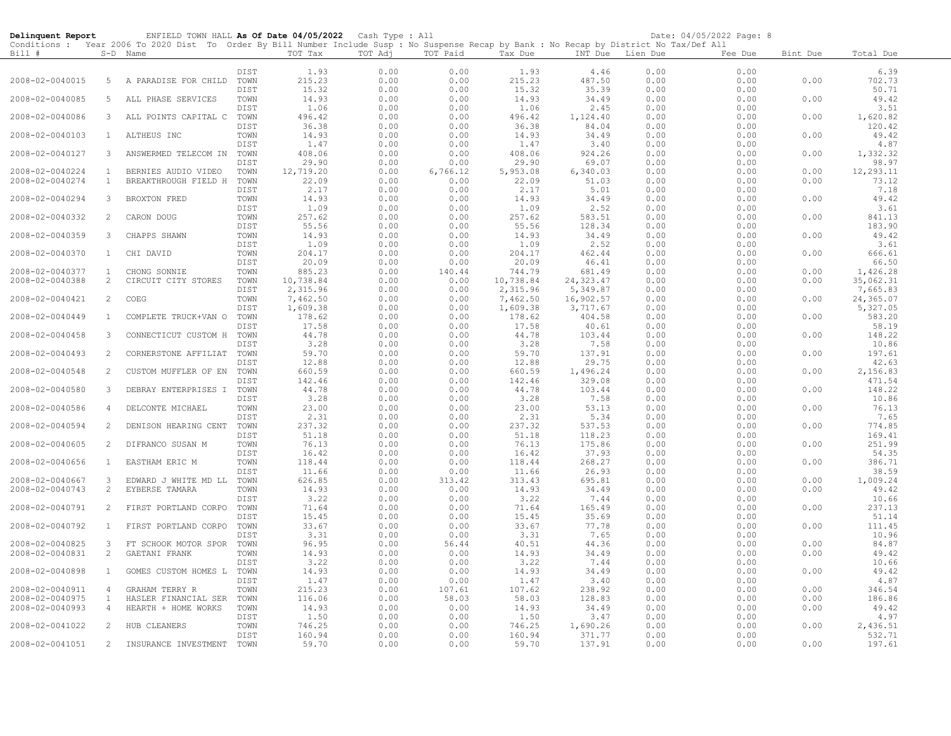| Delinquent Report |                | ENFIELD TOWN HALL As Of Date 04/05/2022                                                                                                    |      |                | Cash Type : All |              |                 |                   |              | Date: 04/05/2022 Page: 8 |          |                |
|-------------------|----------------|--------------------------------------------------------------------------------------------------------------------------------------------|------|----------------|-----------------|--------------|-----------------|-------------------|--------------|--------------------------|----------|----------------|
|                   |                | Conditions : Year 2006 To 2020 Dist To Order By Bill Number Include Susp : No Suspense Recap by Bank : No Recap by District No Tax/Def All |      |                |                 |              |                 |                   |              |                          |          |                |
| Bill #            |                | S-D Name                                                                                                                                   |      | TOT Tax        | TOT Adj         | TOT Paid     | Tax Due         | INT Due           | Lien Due     | Fee Due                  | Bint Due | Total Due      |
|                   |                |                                                                                                                                            | DIST |                |                 |              |                 |                   |              |                          |          |                |
| 2008-02-0040015   | 5              | A PARADISE FOR CHILD                                                                                                                       | TOWN | 1.93<br>215.23 | 0.00<br>0.00    | 0.00<br>0.00 | 1.93<br>215.23  | 4.46<br>487.50    | 0.00<br>0.00 | 0.00<br>0.00             | 0.00     | 6.39<br>702.73 |
|                   |                |                                                                                                                                            | DIST | 15.32          | 0.00            | 0.00         | 15.32           | 35.39             | 0.00         | 0.00                     |          | 50.71          |
| 2008-02-0040085   | 5              | ALL PHASE SERVICES                                                                                                                         | TOWN | 14.93          | 0.00            | 0.00         | 14.93           | 34.49             | 0.00         | 0.00                     | 0.00     | 49.42          |
|                   |                |                                                                                                                                            | DIST | 1.06           | 0.00            | 0.00         | 1.06            | 2.45              | 0.00         | 0.00                     |          | 3.51           |
| 2008-02-0040086   | 3              | ALL POINTS CAPITAL C TOWN                                                                                                                  |      | 496.42         | 0.00            | 0.00         |                 |                   | 0.00         | 0.00                     | 0.00     | 1,620.82       |
|                   |                |                                                                                                                                            | DIST | 36.38          | 0.00            | 0.00         | 496.42<br>36.38 | 1,124.40<br>84.04 | 0.00         | 0.00                     |          | 120.42         |
| 2008-02-0040103   | $\mathbf{1}$   | ALTHEUS INC                                                                                                                                | TOWN | 14.93          | 0.00            | 0.00         | 14.93           | 34.49             | 0.00         | 0.00                     | 0.00     | 49.42          |
|                   |                |                                                                                                                                            | DIST | 1.47           | 0.00            | 0.00         | 1.47            | 3.40              | 0.00         | 0.00                     |          | 4.87           |
| 2008-02-0040127   | 3              | ANSWERMED TELECOM IN                                                                                                                       | TOWN | 408.06         | 0.00            | 0.00         | 408.06          | 924.26            | 0.00         | 0.00                     | 0.00     | 1,332.32       |
|                   |                |                                                                                                                                            | DIST | 29.90          | 0.00            | 0.00         | 29.90           | 69.07             | 0.00         | 0.00                     |          | 98.97          |
| 2008-02-0040224   | $\mathbf{1}$   | BERNIES AUDIO VIDEO                                                                                                                        | TOWN | 12,719.20      | 0.00            | 6,766.12     | 5,953.08        | 6,340.03          | 0.00         | 0.00                     | 0.00     | 12,293.11      |
| 2008-02-0040274   | $\mathbf{1}$   | BREAKTHROUGH FIELD H                                                                                                                       | TOWN | 22.09          | 0.00            | 0.00         | 22.09           | 51.03             | 0.00         | 0.00                     | 0.00     | 73.12          |
|                   |                |                                                                                                                                            | DIST | 2.17           | 0.00            | 0.00         | 2.17            | 5.01              | 0.00         | 0.00                     |          | 7.18           |
| 2008-02-0040294   | 3              | BROXTON FRED                                                                                                                               | TOWN | 14.93          | 0.00            | 0.00         | 14.93           | 34.49             | 0.00         | 0.00                     | 0.00     | 49.42          |
|                   |                |                                                                                                                                            | DIST | 1.09           | 0.00            | 0.00         | 1.09            | 2.52              | 0.00         | 0.00                     |          | 3.61           |
| 2008-02-0040332   | 2              | CARON DOUG                                                                                                                                 | TOWN | 257.62         | 0.00            | 0.00         | 257.62          | 583.51            | 0.00         | 0.00                     | 0.00     | 841.13         |
|                   |                |                                                                                                                                            | DIST | 55.56          | 0.00            | 0.00         | 55.56           | 128.34            | 0.00         | 0.00                     |          | 183.90         |
| 2008-02-0040359   | 3              | CHAPPS SHAWN                                                                                                                               | TOWN | 14.93          | 0.00            | 0.00         | 14.93           | 34.49             | 0.00         | 0.00                     | 0.00     | 49.42          |
|                   |                |                                                                                                                                            | DIST | 1.09           | 0.00            | 0.00         | 1.09            | 2.52              | 0.00         | 0.00                     |          | 3.61           |
| 2008-02-0040370   | 1              | CHI DAVID                                                                                                                                  | TOWN | 204.17         | 0.00            | 0.00         | 204.17          | 462.44            | 0.00         | 0.00                     | 0.00     | 666.61         |
|                   |                |                                                                                                                                            | DIST | 20.09          | 0.00            | 0.00         | 20.09           | 46.41             | 0.00         | 0.00                     |          | 66.50          |
| 2008-02-0040377   | $\overline{1}$ | CHONG SONNIE                                                                                                                               | TOWN | 885.23         | 0.00            | 140.44       | 744.79          | 681.49            | 0.00         | 0.00                     | 0.00     | 1,426.28       |
| 2008-02-0040388   | 2              | CIRCUIT CITY STORES                                                                                                                        | TOWN | 10,738.84      | 0.00            | 0.00         | 10,738.84       | 24, 323.47        | 0.00         | 0.00                     | 0.00     | 35,062.31      |
|                   |                |                                                                                                                                            | DIST | 2,315.96       | 0.00            | 0.00         | 2,315.96        | 5,349.87          | 0.00         | 0.00                     |          | 7,665.83       |
| 2008-02-0040421   | 2              | COEG                                                                                                                                       | TOWN | 7,462.50       | 0.00            | 0.00         | 7,462.50        | 16,902.57         | 0.00         | 0.00                     | 0.00     | 24,365.07      |
|                   |                |                                                                                                                                            | DIST | 1,609.38       | 0.00            | 0.00         | 1,609.38        | 3,717.67          | 0.00         | 0.00                     |          | 5,327.05       |
| 2008-02-0040449   | 1              | COMPLETE TRUCK+VAN O                                                                                                                       | TOWN | 178.62         | 0.00            | 0.00         | 178.62          | 404.58            | 0.00         | 0.00                     | 0.00     | 583.20         |
|                   |                |                                                                                                                                            | DIST | 17.58          | 0.00            | 0.00         | 17.58           | 40.61             | 0.00         | 0.00                     |          | 58.19          |
| 2008-02-0040458   | 3              | CONNECTICUT CUSTOM H                                                                                                                       | TOWN | 44.78          | 0.00            | 0.00         | 44.78           | 103.44            | 0.00         | 0.00                     | 0.00     | 148.22         |
|                   |                |                                                                                                                                            | DIST | 3.28           | 0.00            | 0.00         | 3.28            | 7.58              | 0.00         | 0.00                     |          | 10.86          |
| 2008-02-0040493   | 2              | CORNERSTONE AFFILIAT                                                                                                                       | TOWN | 59.70          | 0.00            | 0.00         | 59.70           | 137.91            | 0.00         | 0.00                     | 0.00     | 197.61         |
|                   |                |                                                                                                                                            | DIST | 12.88          | 0.00            | 0.00         | 12.88           | 29.75             | 0.00         | 0.00                     |          | 42.63          |
| 2008-02-0040548   | 2              | CUSTOM MUFFLER OF EN                                                                                                                       | TOWN | 660.59         | 0.00            | 0.00         | 660.59          | 1,496.24          | 0.00         | 0.00                     | 0.00     | 2,156.83       |
|                   |                |                                                                                                                                            | DIST | 142.46         | 0.00            | 0.00         | 142.46          | 329.08            | 0.00         | 0.00                     |          | 471.54         |
| 2008-02-0040580   | 3              | DEBRAY ENTERPRISES I TOWN                                                                                                                  |      | 44.78          | 0.00            | 0.00         | 44.78           | 103.44            | 0.00         | 0.00                     | 0.00     | 148.22         |
|                   |                |                                                                                                                                            | DIST | 3.28           | 0.00            | 0.00         | 3.28            | 7.58              | 0.00         | 0.00                     |          | 10.86          |
| 2008-02-0040586   | $\overline{4}$ | DELCONTE MICHAEL                                                                                                                           | TOWN | 23.00          | 0.00            | 0.00         | 23.00           | 53.13             | 0.00         | 0.00                     | 0.00     | 76.13          |
|                   |                |                                                                                                                                            | DIST | 2.31           | 0.00            | 0.00         | 2.31            | 5.34              | 0.00         | 0.00                     |          | 7.65           |
| 2008-02-0040594   | 2              | DENISON HEARING CENT                                                                                                                       | TOWN | 237.32         | 0.00            | 0.00         | 237.32          | 537.53            | 0.00         | 0.00                     | 0.00     | 774.85         |
|                   |                |                                                                                                                                            | DIST | 51.18          | 0.00            | 0.00         | 51.18           | 118.23            | 0.00         | 0.00                     |          | 169.41         |
| 2008-02-0040605   | 2              | DIFRANCO SUSAN M                                                                                                                           | TOWN | 76.13          | 0.00            | 0.00         | 76.13           | 175.86            | 0.00         | 0.00                     | 0.00     | 251.99         |
|                   |                |                                                                                                                                            | DIST | 16.42          | 0.00            | 0.00         | 16.42           | 37.93             | 0.00         | 0.00                     |          | 54.35          |
| 2008-02-0040656   | $\mathbf{1}$   | EASTHAM ERIC M                                                                                                                             | TOWN | 118.44         | 0.00            | 0.00         | 118.44          | 268.27            | 0.00         | 0.00                     | 0.00     | 386.71         |
|                   |                |                                                                                                                                            | DIST | 11.66          | 0.00            | 0.00         | 11.66           | 26.93             | 0.00         | 0.00                     |          | 38.59          |
| 2008-02-0040667   | 3              | EDWARD J WHITE MD LL TOWN                                                                                                                  |      | 626.85         | 0.00            | 313.42       | 313.43          | 695.81            | 0.00         | 0.00                     | 0.00     | 1,009.24       |
| 2008-02-0040743   | $\overline{c}$ | EYBERSE TAMARA                                                                                                                             | TOWN | 14.93          | 0.00            | 0.00         | 14.93           | 34.49             | 0.00         | 0.00                     | 0.00     | 49.42          |
|                   |                |                                                                                                                                            | DIST | 3.22           | 0.00            | 0.00         | 3.22            | 7.44              | 0.00         | 0.00                     |          | 10.66          |
| 2008-02-0040791   | 2              | FIRST PORTLAND CORPO                                                                                                                       | TOWN | 71.64          | 0.00            | 0.00         | 71.64           | 165.49            | 0.00         | 0.00                     | 0.00     | 237.13         |
|                   |                |                                                                                                                                            | DIST | 15.45          | 0.00            | 0.00         | 15.45           | 35.69             | 0.00         | 0.00                     |          | 51.14          |
| 2008-02-0040792   | $\mathbf{1}$   | FIRST PORTLAND CORPO                                                                                                                       | TOWN | 33.67          | 0.00            | 0.00         | 33.67           | 77.78             | 0.00         | 0.00                     | 0.00     | 111.45         |
|                   |                |                                                                                                                                            | DIST | 3.31           | 0.00            | 0.00         | 3.31            | 7.65              | 0.00         | 0.00                     |          | 10.96          |
| 2008-02-0040825   | 3              | FT SCHOOK MOTOR SPOR                                                                                                                       | TOWN | 96.95          | 0.00            | 56.44        | 40.51           | 44.36             | 0.00         | 0.00                     | 0.00     | 84.87          |
| 2008-02-0040831   | $\overline{c}$ | GAETANI FRANK                                                                                                                              | TOWN | 14.93          | 0.00            | 0.00         | 14.93           | 34.49             | 0.00         | 0.00                     | 0.00     | 49.42          |
|                   |                |                                                                                                                                            | DIST | 3.22           | 0.00            | 0.00         | 3.22            | 7.44              | 0.00         | 0.00                     |          | 10.66          |
| 2008-02-0040898   | $\mathbf{1}$   | GOMES CUSTOM HOMES L TOWN                                                                                                                  |      | 14.93          | 0.00            | 0.00         | 14.93           | 34.49             | 0.00         | 0.00                     | 0.00     | 49.42          |
|                   |                |                                                                                                                                            | DIST | 1.47           | 0.00            | 0.00         | 1.47            | 3.40              | 0.00         | 0.00                     |          | 4.87           |
| 2008-02-0040911   | 4              | GRAHAM TERRY R                                                                                                                             | TOWN | 215.23         | 0.00            | 107.61       | 107.62          | 238.92            | 0.00         | 0.00                     | 0.00     | 346.54         |
| 2008-02-0040975   | $\mathbf{1}$   | HASLER FINANCIAL SER                                                                                                                       | TOWN | 116.06         | 0.00            | 58.03        | 58.03           | 128.83            | 0.00         | 0.00                     | 0.00     | 186.86         |
| 2008-02-0040993   | $\overline{4}$ | HEARTH + HOME WORKS                                                                                                                        | TOWN | 14.93          | 0.00            | 0.00         | 14.93           | 34.49             | 0.00         | 0.00                     | 0.00     | 49.42          |
|                   |                |                                                                                                                                            | DIST | 1.50           | 0.00            | 0.00         | 1.50            | 3.47              | 0.00         | 0.00                     |          | 4.97           |
| 2008-02-0041022   | 2              | HUB CLEANERS                                                                                                                               | TOWN | 746.25         | 0.00            | 0.00         | 746.25          | 1,690.26          | 0.00         | 0.00                     | 0.00     | 2,436.51       |
|                   |                |                                                                                                                                            | DIST | 160.94         | 0.00            | 0.00         | 160.94          | 371.77            | 0.00         | 0.00                     |          | 532.71         |
| 2008-02-0041051   | 2              | INSURANCE INVESTMENT                                                                                                                       | TOWN | 59.70          | 0.00            | 0.00         | 59.70           | 137.91            | 0.00         | 0.00                     | 0.00     | 197.61         |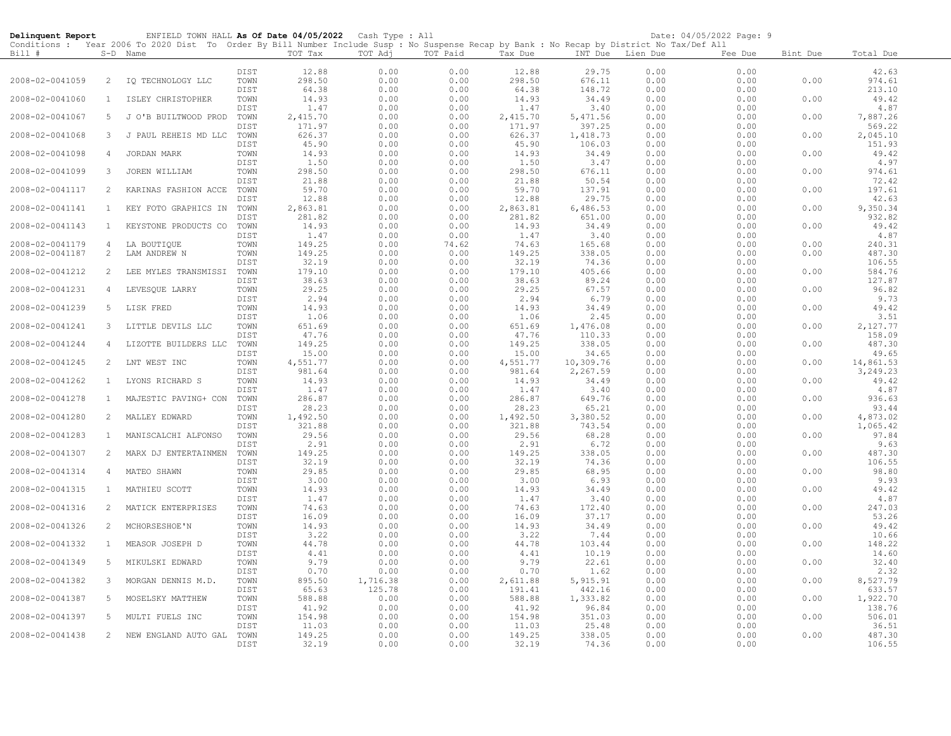| Delinquent Report                  |                     | ENFIELD TOWN HALL As Of Date 04/05/2022 Cash Type : All                                                                                    |              |                    |              |               |                    |                       |              | Date: 04/05/2022 Page: 9 |              |                       |
|------------------------------------|---------------------|--------------------------------------------------------------------------------------------------------------------------------------------|--------------|--------------------|--------------|---------------|--------------------|-----------------------|--------------|--------------------------|--------------|-----------------------|
|                                    |                     | Conditions : Year 2006 To 2020 Dist To Order By Bill Number Include Susp : No Suspense Recap by Bank : No Recap by District No Tax/Def All |              |                    |              |               |                    |                       |              |                          |              |                       |
| Bill #                             |                     | S-D Name                                                                                                                                   |              | TOT Tax            | TOT Adj      | TOT Paid      | Tax Due            | INT Due               | Lien Due     | Fee Due                  | Bint Due     | Total Due             |
|                                    |                     |                                                                                                                                            | DIST         | 12.88              | 0.00         | 0.00          | 12.88              | 29.75                 | 0.00         | 0.00                     |              | 42.63                 |
| 2008-02-0041059                    | 2                   | IQ TECHNOLOGY LLC                                                                                                                          | TOWN         | 298.50             | 0.00         | 0.00          | 298.50             | 676.11                | 0.00         | 0.00                     | 0.00         | 974.61                |
|                                    |                     |                                                                                                                                            | DIST         | 64.38              | 0.00         | 0.00          | 64.38              | 148.72                | 0.00         | 0.00                     |              | 213.10                |
| 2008-02-0041060                    | 1                   | ISLEY CHRISTOPHER                                                                                                                          | TOWN         | 14.93              | 0.00         | 0.00          | 14.93              | 34.49                 | 0.00         | 0.00                     | 0.00         | 49.42                 |
|                                    |                     |                                                                                                                                            | DIST         | 1.47               | 0.00         | 0.00          | 1.47               | 3.40                  | 0.00         | 0.00                     |              | 4.87                  |
| 2008-02-0041067                    | 5                   | J O'B BUILTWOOD PROD TOWN                                                                                                                  | DIST         | 2,415.70<br>171.97 | 0.00<br>0.00 | 0.00<br>0.00  | 2,415.70<br>171.97 | 5,471.56<br>397.25    | 0.00<br>0.00 | 0.00<br>0.00             | 0.00         | 7,887.26<br>569.22    |
| 2008-02-0041068                    | 3                   | J PAUL REHEIS MD LLC                                                                                                                       | TOWN         | 626.37             | 0.00         | 0.00          | 626.37             | 1,418.73              | 0.00         | 0.00                     | 0.00         | 2,045.10              |
|                                    |                     |                                                                                                                                            | DIST         | 45.90              | 0.00         | 0.00          | 45.90              | 106.03                | 0.00         | 0.00                     |              | 151.93                |
| 2008-02-0041098                    | $\overline{4}$      | JORDAN MARK                                                                                                                                | TOWN         | 14.93              | 0.00         | 0.00          | 14.93              | 34.49                 | 0.00         | 0.00                     | 0.00         | 49.42                 |
|                                    |                     |                                                                                                                                            | DIST         | 1.50               | 0.00         | 0.00          | 1.50               | 3.47                  | 0.00         | 0.00                     |              | 4.97                  |
| 2008-02-0041099                    | 3                   | JOREN WILLIAM                                                                                                                              | TOWN         | 298.50             | 0.00         | 0.00          | 298.50             | 676.11                | 0.00         | 0.00                     | 0.00         | 974.61                |
| 2008-02-0041117                    | $\overline{2}$      | KARINAS FASHION ACCE                                                                                                                       | DIST<br>TOWN | 21.88<br>59.70     | 0.00<br>0.00 | 0.00<br>0.00  | 21.88<br>59.70     | 50.54<br>137.91       | 0.00<br>0.00 | 0.00<br>0.00             | 0.00         | 72.42<br>197.61       |
|                                    |                     |                                                                                                                                            | DIST         | 12.88              | 0.00         | 0.00          | 12.88              | 29.75                 | 0.00         | 0.00                     |              | 42.63                 |
| 2008-02-0041141                    | $\mathbf{1}$        | KEY FOTO GRAPHICS IN TOWN                                                                                                                  |              | 2,863.81           | 0.00         | 0.00          | 2,863.81           | 6,486.53              | 0.00         | 0.00                     | 0.00         | 9,350.34              |
|                                    |                     |                                                                                                                                            | DIST         | 281.82             | 0.00         | 0.00          | 281.82             | 651.00                | 0.00         | 0.00                     |              | 932.82                |
| 2008-02-0041143                    | <sup>1</sup>        | KEYSTONE PRODUCTS CO                                                                                                                       | TOWN         | 14.93              | 0.00         | 0.00          | 14.93              | 34.49                 | 0.00         | 0.00                     | 0.00         | 49.42                 |
|                                    |                     |                                                                                                                                            | DIST         | 1.47               | 0.00         | 0.00          | 1.47               | 3.40                  | 0.00         | 0.00                     |              | 4.87<br>240.31        |
| 2008-02-0041179<br>2008-02-0041187 | 4<br>$\overline{2}$ | LA BOUTIQUE<br>LAM ANDREW N                                                                                                                | TOWN<br>TOWN | 149.25<br>149.25   | 0.00<br>0.00 | 74.62<br>0.00 | 74.63<br>149.25    | 165.68<br>338.05      | 0.00<br>0.00 | 0.00<br>0.00             | 0.00<br>0.00 | 487.30                |
|                                    |                     |                                                                                                                                            | DIST         | 32.19              | 0.00         | 0.00          | 32.19              | 74.36                 | 0.00         | 0.00                     |              | 106.55                |
| 2008-02-0041212                    | 2                   | LEE MYLES TRANSMISSI                                                                                                                       | TOWN         | 179.10             | 0.00         | 0.00          | 179.10             | 405.66                | 0.00         | 0.00                     | 0.00         | 584.76                |
|                                    |                     |                                                                                                                                            | DIST         | 38.63              | 0.00         | 0.00          | 38.63              | 89.24                 | 0.00         | 0.00                     |              | 127.87                |
| 2008-02-0041231                    | 4                   | LEVESQUE LARRY                                                                                                                             | TOWN         | 29.25              | 0.00         | 0.00          | 29.25              | 67.57                 | 0.00         | 0.00                     | 0.00         | 96.82                 |
|                                    |                     |                                                                                                                                            | DIST         | 2.94               | 0.00         | 0.00          | 2.94               | 6.79                  | 0.00         | 0.00                     |              | 9.73                  |
| 2008-02-0041239                    | 5                   | LISK FRED                                                                                                                                  | TOWN<br>DIST | 14.93<br>1.06      | 0.00<br>0.00 | 0.00<br>0.00  | 14.93<br>1.06      | 34.49<br>2.45         | 0.00<br>0.00 | 0.00<br>0.00             | 0.00         | 49.42<br>3.51         |
| 2008-02-0041241                    | 3                   | LITTLE DEVILS LLC                                                                                                                          | TOWN         | 651.69             | 0.00         | 0.00          | 651.69             | 1,476.08              | 0.00         | 0.00                     | 0.00         | 2,127.77              |
|                                    |                     |                                                                                                                                            | DIST         | 47.76              | 0.00         | 0.00          | 47.76              | 110.33                | 0.00         | 0.00                     |              | 158.09                |
| 2008-02-0041244                    | 4                   | LIZOTTE BUILDERS LLC                                                                                                                       | TOWN         | 149.25             | 0.00         | 0.00          | 149.25             | 338.05                | 0.00         | 0.00                     | 0.00         | 487.30                |
|                                    |                     |                                                                                                                                            | DIST         | 15.00              | 0.00         | 0.00          | 15.00              | 34.65                 | 0.00         | 0.00                     |              | 49.65                 |
| 2008-02-0041245                    | 2                   | LNT WEST INC                                                                                                                               | TOWN<br>DIST | 4,551.77<br>981.64 | 0.00<br>0.00 | 0.00<br>0.00  | 4,551.77<br>981.64 | 10,309.76<br>2,267.59 | 0.00<br>0.00 | 0.00<br>0.00             | 0.00         | 14,861.53<br>3,249.23 |
| 2008-02-0041262                    | $\mathbf{1}$        | LYONS RICHARD S                                                                                                                            | TOWN         | 14.93              | 0.00         | 0.00          | 14.93              | 34.49                 | 0.00         | 0.00                     | 0.00         | 49.42                 |
|                                    |                     |                                                                                                                                            | DIST         | 1.47               | 0.00         | 0.00          | 1.47               | 3.40                  | 0.00         | 0.00                     |              | 4.87                  |
| 2008-02-0041278                    | $\mathbf{1}$        | MAJESTIC PAVING+ CON                                                                                                                       | TOWN         | 286.87             | 0.00         | 0.00          | 286.87             | 649.76                | 0.00         | 0.00                     | 0.00         | 936.63                |
|                                    |                     |                                                                                                                                            | DIST         | 28.23              | 0.00         | 0.00          | 28.23              | 65.21                 | 0.00         | 0.00                     |              | 93.44                 |
| 2008-02-0041280                    | $\overline{2}$      | MALLEY EDWARD                                                                                                                              | TOWN         | 1,492.50           | 0.00         | 0.00          | 1,492.50           | 3,380.52              | 0.00         | 0.00                     | 0.00         | 4,873.02              |
| 2008-02-0041283                    | 1                   | MANISCALCHI ALFONSO                                                                                                                        | DIST<br>TOWN | 321.88<br>29.56    | 0.00<br>0.00 | 0.00<br>0.00  | 321.88<br>29.56    | 743.54<br>68.28       | 0.00<br>0.00 | 0.00<br>0.00             | 0.00         | 1,065.42<br>97.84     |
|                                    |                     |                                                                                                                                            | DIST         | 2.91               | 0.00         | 0.00          | 2.91               | 6.72                  | 0.00         | 0.00                     |              | 9.63                  |
| 2008-02-0041307                    | 2                   | MARX DJ ENTERTAINMEN                                                                                                                       | TOWN         | 149.25             | 0.00         | 0.00          | 149.25             | 338.05                | 0.00         | 0.00                     | 0.00         | 487.30                |
|                                    |                     |                                                                                                                                            | DIST         | 32.19              | 0.00         | 0.00          | 32.19              | 74.36                 | 0.00         | 0.00                     |              | 106.55                |
| 2008-02-0041314                    | 4                   | MATEO SHAWN                                                                                                                                | TOWN         | 29.85              | 0.00         | 0.00          | 29.85              | 68.95                 | 0.00         | 0.00                     | 0.00         | 98.80                 |
| 2008-02-0041315                    | $\mathbf{1}$        | MATHIEU SCOTT                                                                                                                              | DIST<br>TOWN | 3.00<br>14.93      | 0.00<br>0.00 | 0.00<br>0.00  | 3.00<br>14.93      | 6.93<br>34.49         | 0.00<br>0.00 | 0.00<br>0.00             | 0.00         | 9.93<br>49.42         |
|                                    |                     |                                                                                                                                            | DIST         | 1.47               | 0.00         | 0.00          | 1.47               | 3.40                  | 0.00         | 0.00                     |              | 4.87                  |
| 2008-02-0041316                    | $\mathbf{2}$        | MATICK ENTERPRISES                                                                                                                         | TOWN         | 74.63              | 0.00         | 0.00          | 74.63              | 172.40                | 0.00         | 0.00                     | 0.00         | 247.03                |
|                                    |                     |                                                                                                                                            | DIST         | 16.09              | 0.00         | 0.00          | 16.09              | 37.17                 | 0.00         | 0.00                     |              | 53.26                 |
| 2008-02-0041326                    | 2                   | MCHORSESHOE'N                                                                                                                              | TOWN         | 14.93              | 0.00         | 0.00          | 14.93              | 34.49                 | 0.00         | 0.00                     | 0.00         | 49.42                 |
|                                    |                     |                                                                                                                                            | DIST         | 3.22               | 0.00         | 0.00          | 3.22               | 7.44                  | 0.00         | 0.00                     |              | 10.66                 |
| 2008-02-0041332                    | $\mathbf{1}$        | MEASOR JOSEPH D                                                                                                                            | TOWN<br>DIST | 44.78<br>4.41      | 0.00<br>0.00 | 0.00<br>0.00  | 44.78<br>4.41      | 103.44<br>10.19       | 0.00<br>0.00 | 0.00<br>0.00             | 0.00         | 148.22<br>14.60       |
| 2008-02-0041349                    | 5                   | MIKULSKI EDWARD                                                                                                                            | TOWN         | 9.79               | 0.00         | 0.00          | 9.79               | 22.61                 | 0.00         | 0.00                     | 0.00         | 32.40                 |
|                                    |                     |                                                                                                                                            | DIST         | 0.70               | 0.00         | 0.00          | 0.70               | 1.62                  | 0.00         | 0.00                     |              | 2.32                  |
| 2008-02-0041382                    | 3                   | MORGAN DENNIS M.D.                                                                                                                         | TOWN         | 895.50             | 1,716.38     | 0.00          | 2,611.88           | 5, 915.91             | 0.00         | 0.00                     | 0.00         | 8,527.79              |
|                                    |                     |                                                                                                                                            | DIST         | 65.63              | 125.78       | 0.00          | 191.41             | 442.16                | 0.00         | 0.00                     |              | 633.57                |
| 2008-02-0041387                    | 5                   | MOSELSKY MATTHEW                                                                                                                           | TOWN<br>DIST | 588.88<br>41.92    | 0.00<br>0.00 | 0.00<br>0.00  | 588.88<br>41.92    | 1,333.82<br>96.84     | 0.00<br>0.00 | 0.00<br>0.00             | 0.00         | 1,922.70<br>138.76    |
| 2008-02-0041397                    | 5                   | MULTI FUELS INC                                                                                                                            | TOWN         | 154.98             | 0.00         | 0.00          | 154.98             | 351.03                | 0.00         | 0.00                     | 0.00         | 506.01                |
|                                    |                     |                                                                                                                                            | DIST         | 11.03              | 0.00         | 0.00          | 11.03              | 25.48                 | 0.00         | 0.00                     |              | 36.51                 |
| 2008-02-0041438                    | 2                   | NEW ENGLAND AUTO GAL                                                                                                                       | TOWN         | 149.25             | 0.00         | 0.00          | 149.25             | 338.05                | 0.00         | 0.00                     | 0.00         | 487.30                |
|                                    |                     |                                                                                                                                            | DIST         | 32.19              | 0.00         | 0.00          | 32.19              | 74.36                 | 0.00         | 0.00                     |              | 106.55                |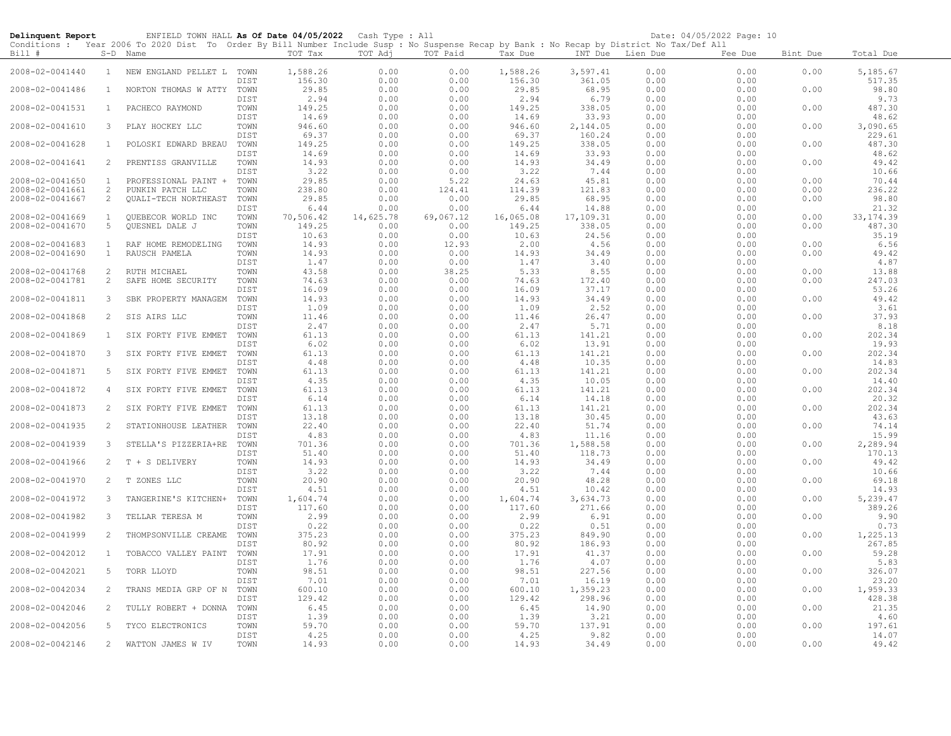| Delinquent Report                  |                              | ENFIELD TOWN HALL As Of Date 04/05/2022 Cash Type : All<br>Conditions : Year 2006 To 2020 Dist To Order By Bill Number Include Susp : No Suspense Recap by Bank : No Recap by District No Tax/Def All |              |                    |                   |                   |                    |                    |                  | Date: 04/05/2022 Page: 10 |              |                        |
|------------------------------------|------------------------------|-------------------------------------------------------------------------------------------------------------------------------------------------------------------------------------------------------|--------------|--------------------|-------------------|-------------------|--------------------|--------------------|------------------|---------------------------|--------------|------------------------|
| Bill #                             |                              | S-D Name                                                                                                                                                                                              |              | TOT Tax            | TOT Adj           | TOT Paid          | Tax Due            |                    | INT Due Lien Due | Fee Due                   | Bint Due     | Total Due              |
| 2008-02-0041440                    | $\mathbf{1}$                 | NEW ENGLAND PELLET L TOWN                                                                                                                                                                             | DIST         | 1,588.26<br>156.30 | 0.00<br>0.00      | 0.00<br>0.00      | 1,588.26<br>156.30 | 3,597.41<br>361.05 | 0.00<br>0.00     | 0.00<br>0.00              | 0.00         | 5,185.67<br>517.35     |
| 2008-02-0041486                    | $\mathbf{1}$                 | NORTON THOMAS W ATTY                                                                                                                                                                                  | TOWN<br>DIST | 29.85<br>2.94      | 0.00<br>0.00      | 0.00<br>0.00      | 29.85<br>2.94      | 68.95<br>6.79      | 0.00<br>0.00     | 0.00<br>0.00              | 0.00         | 98.80<br>9.73          |
| 2008-02-0041531                    | $\mathbf{1}$                 | PACHECO RAYMOND                                                                                                                                                                                       | TOWN<br>DIST | 149.25<br>14.69    | 0.00<br>0.00      | 0.00<br>0.00      | 149.25<br>14.69    | 338.05<br>33.93    | 0.00<br>0.00     | 0.00<br>0.00              | 0.00         | 487.30<br>48.62        |
| 2008-02-0041610                    | 3                            | PLAY HOCKEY LLC                                                                                                                                                                                       | TOWN<br>DIST | 946.60<br>69.37    | 0.00<br>0.00      | 0.00<br>0.00      | 946.60<br>69.37    | 2,144.05<br>160.24 | 0.00<br>0.00     | 0.00<br>0.00              | 0.00         | 3,090.65<br>229.61     |
| 2008-02-0041628                    | $\mathbf{1}$                 | POLOSKI EDWARD BREAU                                                                                                                                                                                  | TOWN<br>DIST | 149.25<br>14.69    | 0.00<br>0.00      | 0.00<br>0.00      | 149.25<br>14.69    | 338.05<br>33.93    | 0.00<br>0.00     | 0.00<br>0.00              | 0.00         | 487.30<br>48.62        |
| 2008-02-0041641                    | 2                            | PRENTISS GRANVILLE                                                                                                                                                                                    | TOWN<br>DIST | 14.93<br>3.22      | 0.00<br>0.00      | 0.00<br>0.00      | 14.93<br>3.22      | 34.49<br>7.44      | 0.00<br>0.00     | 0.00<br>0.00              | 0.00         | 49.42<br>10.66         |
| 2008-02-0041650<br>2008-02-0041661 | 1<br>2                       | PROFESSIONAL PAINT +<br>PUNKIN PATCH LLC                                                                                                                                                              | TOWN<br>TOWN | 29.85<br>238.80    | 0.00<br>0.00      | 5.22<br>124.41    | 24.63<br>114.39    | 45.81<br>121.83    | 0.00<br>0.00     | 0.00<br>0.00              | 0.00<br>0.00 | 70.44<br>236.22        |
| 2008-02-0041667                    | 2                            | QUALI-TECH NORTHEAST                                                                                                                                                                                  | TOWN         | 29.85              | 0.00              | 0.00              | 29.85              | 68.95              | 0.00             | 0.00                      | 0.00         | 98.80                  |
| 2008-02-0041669                    | $\mathbf{1}$                 | QUEBECOR WORLD INC                                                                                                                                                                                    | DIST<br>TOWN | 6.44<br>70,506.42  | 0.00<br>14,625.78 | 0.00<br>69,067.12 | 6.44<br>16,065.08  | 14.88<br>17,109.31 | 0.00<br>0.00     | 0.00<br>0.00              | 0.00         | 21.32<br>33, 174.39    |
| 2008-02-0041670                    | 5                            | QUESNEL DALE J                                                                                                                                                                                        | TOWN<br>DIST | 149.25<br>10.63    | 0.00<br>0.00      | 0.00<br>0.00      | 149.25<br>10.63    | 338.05<br>24.56    | 0.00<br>0.00     | 0.00<br>0.00              | 0.00         | 487.30<br>35.19        |
| 2008-02-0041683<br>2008-02-0041690 | $\mathbf{1}$<br>$\mathbf{1}$ | RAF HOME REMODELING<br>RAUSCH PAMELA                                                                                                                                                                  | TOWN<br>TOWN | 14.93<br>14.93     | 0.00<br>0.00      | 12.93<br>0.00     | 2.00<br>14.93      | 4.56<br>34.49      | 0.00<br>0.00     | 0.00<br>0.00              | 0.00<br>0.00 | 6.56<br>49.42          |
| 2008-02-0041768                    | 2                            | RUTH MICHAEL                                                                                                                                                                                          | DIST<br>TOWN | 1.47<br>43.58      | 0.00<br>0.00      | 0.00<br>38.25     | 1.47<br>5.33       | 3.40<br>8.55       | 0.00<br>0.00     | 0.00<br>0.00              | 0.00         | 4.87<br>13.88          |
| 2008-02-0041781                    | 2                            | SAFE HOME SECURITY                                                                                                                                                                                    | TOWN<br>DIST | 74.63<br>16.09     | 0.00<br>0.00      | 0.00<br>0.00      | 74.63<br>16.09     | 172.40<br>37.17    | 0.00<br>0.00     | 0.00<br>0.00              | 0.00         | 247.03<br>53.26        |
| 2008-02-0041811                    | 3                            | SBK PROPERTY MANAGEM                                                                                                                                                                                  | TOWN<br>DIST | 14.93<br>1.09      | 0.00<br>0.00      | 0.00<br>0.00      | 14.93<br>1.09      | 34.49<br>2.52      | 0.00<br>0.00     | 0.00<br>0.00              | 0.00         | 49.42<br>3.61<br>37.93 |
| 2008-02-0041868                    | 2                            | SIS AIRS LLC                                                                                                                                                                                          | TOWN<br>DIST | 11.46<br>2.47      | 0.00<br>0.00      | 0.00<br>0.00      | 11.46<br>2.47      | 26.47<br>5.71      | 0.00<br>0.00     | 0.00<br>0.00              | 0.00         | 8.18                   |
| 2008-02-0041869                    | 1                            | SIX FORTY FIVE EMMET                                                                                                                                                                                  | TOWN<br>DIST | 61.13<br>6.02      | 0.00<br>0.00      | 0.00<br>0.00      | 61.13<br>6.02      | 141.21<br>13.91    | 0.00<br>0.00     | 0.00<br>0.00              | 0.00         | 202.34<br>19.93        |
| 2008-02-0041870                    | 3                            | SIX FORTY FIVE EMMET                                                                                                                                                                                  | TOWN<br>DIST | 61.13<br>4.48      | 0.00<br>0.00      | 0.00<br>0.00      | 61.13<br>4.48      | 141.21<br>10.35    | 0.00<br>0.00     | 0.00<br>0.00              | 0.00         | 202.34<br>14.83        |
| 2008-02-0041871                    | 5                            | SIX FORTY FIVE EMMET                                                                                                                                                                                  | TOWN<br>DIST | 61.13<br>4.35      | 0.00<br>0.00      | 0.00<br>0.00      | 61.13<br>4.35      | 141.21<br>10.05    | 0.00<br>0.00     | 0.00<br>0.00              | 0.00         | 202.34<br>14.40        |
| 2008-02-0041872                    | $\overline{4}$               | SIX FORTY FIVE EMMET                                                                                                                                                                                  | TOWN<br>DIST | 61.13<br>6.14      | 0.00<br>0.00      | 0.00<br>0.00      | 61.13<br>6.14      | 141.21<br>14.18    | 0.00<br>0.00     | 0.00<br>0.00              | 0.00         | 202.34<br>20.32        |
| 2008-02-0041873                    | 2                            | SIX FORTY FIVE EMMET                                                                                                                                                                                  | TOWN<br>DIST | 61.13<br>13.18     | 0.00<br>0.00      | 0.00<br>0.00      | 61.13<br>13.18     | 141.21<br>30.45    | 0.00<br>0.00     | 0.00<br>0.00              | 0.00         | 202.34<br>43.63        |
| 2008-02-0041935                    | 2                            | STATIONHOUSE LEATHER                                                                                                                                                                                  | TOWN<br>DIST | 22.40<br>4.83      | 0.00<br>0.00      | 0.00<br>0.00      | 22.40<br>4.83      | 51.74<br>11.16     | 0.00<br>0.00     | 0.00<br>0.00              | 0.00         | 74.14<br>15.99         |
| 2008-02-0041939                    | 3                            | STELLA'S PIZZERIA+RE                                                                                                                                                                                  | TOWN<br>DIST | 701.36<br>51.40    | 0.00<br>0.00      | 0.00<br>0.00      | 701.36<br>51.40    | 1,588.58<br>118.73 | 0.00<br>0.00     | 0.00<br>0.00              | 0.00         | 2,289.94<br>170.13     |
| 2008-02-0041966                    | 2                            | T + S DELIVERY                                                                                                                                                                                        | TOWN<br>DIST | 14.93<br>3.22      | 0.00<br>0.00      | 0.00<br>0.00      | 14.93<br>3.22      | 34.49<br>7.44      | 0.00<br>0.00     | 0.00<br>0.00              | 0.00         | 49.42<br>10.66         |
| 2008-02-0041970                    | 2                            | T ZONES LLC                                                                                                                                                                                           | TOWN<br>DIST | 20.90<br>4.51      | 0.00<br>0.00      | 0.00<br>0.00      | 20.90<br>4.51      | 48.28<br>10.42     | 0.00<br>0.00     | 0.00<br>0.00              | 0.00         | 69.18<br>14.93         |
| 2008-02-0041972                    | 3                            | TANGERINE'S KITCHEN+                                                                                                                                                                                  | TOWN<br>DIST | 1,604.74<br>117.60 | 0.00<br>0.00      | 0.00<br>0.00      | 1,604.74<br>117.60 | 3,634.73<br>271.66 | 0.00<br>0.00     | 0.00<br>0.00              | 0.00         | 5,239.47<br>389.26     |
| 2008-02-0041982                    | 3                            | TELLAR TERESA M                                                                                                                                                                                       | TOWN<br>DIST | 2.99<br>0.22       | 0.00<br>0.00      | 0.00<br>0.00      | 2.99<br>0.22       | 6.91<br>0.51       | 0.00<br>0.00     | 0.00<br>0.00              | 0.00         | 9.90<br>0.73           |
| 2008-02-0041999                    | 2                            | THOMPSONVILLE CREAME                                                                                                                                                                                  | TOWN<br>DIST | 375.23<br>80.92    | 0.00<br>0.00      | 0.00<br>0.00      | 375.23<br>80.92    | 849.90<br>186.93   | 0.00<br>0.00     | 0.00<br>0.00              | 0.00         | 1,225.13<br>267.85     |
| 2008-02-0042012                    | $\mathbf{1}$                 | TOBACCO VALLEY PAINT                                                                                                                                                                                  | TOWN<br>DIST | 17.91<br>1.76      | 0.00<br>0.00      | 0.00<br>0.00      | 17.91<br>1.76      | 41.37<br>4.07      | 0.00<br>0.00     | 0.00<br>0.00              | 0.00         | 59.28<br>5.83          |
| 2008-02-0042021                    | 5                            | TORR LLOYD                                                                                                                                                                                            | TOWN<br>DIST | 98.51<br>7.01      | 0.00<br>0.00      | 0.00<br>0.00      | 98.51<br>7.01      | 227.56<br>16.19    | 0.00<br>0.00     | 0.00<br>0.00              | 0.00         | 326.07<br>23.20        |
| 2008-02-0042034                    | 2                            | TRANS MEDIA GRP OF N                                                                                                                                                                                  | TOWN<br>DIST | 600.10<br>129.42   | 0.00<br>0.00      | 0.00<br>0.00      | 600.10<br>129.42   | 1,359.23<br>298.96 | 0.00<br>0.00     | 0.00<br>0.00              | 0.00         | 1,959.33<br>428.38     |
| 2008-02-0042046                    | 2                            | TULLY ROBERT + DONNA                                                                                                                                                                                  | TOWN<br>DIST | 6.45<br>1.39       | 0.00<br>0.00      | 0.00<br>0.00      | 6.45<br>1.39       | 14.90<br>3.21      | 0.00<br>0.00     | 0.00<br>0.00              | 0.00         | 21.35<br>4.60          |
| 2008-02-0042056                    | 5 <sup>5</sup>               | TYCO ELECTRONICS                                                                                                                                                                                      | TOWN<br>DIST | 59.70<br>4.25      | 0.00<br>0.00      | 0.00<br>0.00      | 59.70<br>4.25      | 137.91<br>9.82     | 0.00<br>0.00     | 0.00<br>0.00              | 0.00         | 197.61<br>14.07        |
| 2008-02-0042146                    | 2                            | WATTON JAMES W IV                                                                                                                                                                                     | TOWN         | 14.93              | 0.00              | 0.00              | 14.93              | 34.49              | 0.00             | 0.00                      | 0.00         | 49.42                  |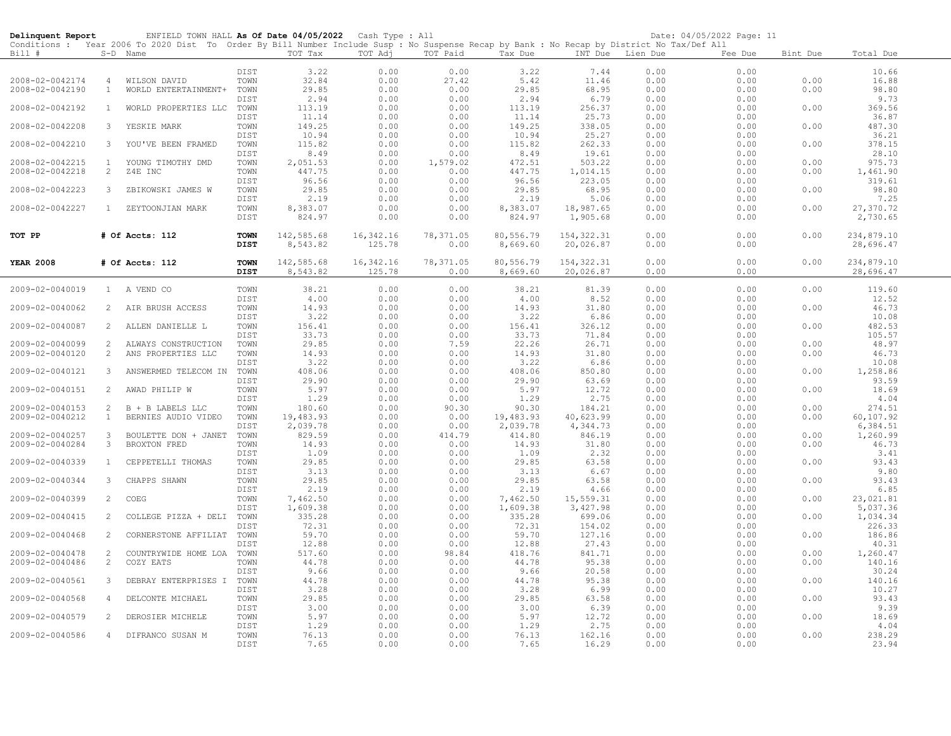| Delinquent Report                  |                    | ENFIELD TOWN HALL As Of Date 04/05/2022 Cash Type : All                                                                                    |              |                    |              |                  |                  |                    |                  | Date: 04/05/2022 Page: 11 |              |                    |
|------------------------------------|--------------------|--------------------------------------------------------------------------------------------------------------------------------------------|--------------|--------------------|--------------|------------------|------------------|--------------------|------------------|---------------------------|--------------|--------------------|
|                                    |                    | Conditions : Year 2006 To 2020 Dist To Order By Bill Number Include Susp : No Suspense Recap by Bank : No Recap by District No Tax/Def All |              |                    |              |                  |                  |                    |                  |                           |              |                    |
| Bill #                             |                    | S-D Name                                                                                                                                   |              | TOT Tax            | TOT Adj      | TOT Paid         | Tax Due          |                    | INT Due Lien Due | Fee Due                   | Bint Due     | Total Due          |
|                                    |                    |                                                                                                                                            | DIST         | 3.22               | 0.00         | 0.00             | 3.22             | 7.44               | 0.00             | 0.00                      |              | 10.66              |
| 2008-02-0042174                    | $\overline{4}$     | WILSON DAVID                                                                                                                               | TOWN         | 32.84              | 0.00         | 27.42            | 5.42             | 11.46              | 0.00             | 0.00                      | 0.00         | 16.88              |
| 2008-02-0042190                    | $\mathbf{1}$       | WORLD ENTERTAINMENT+                                                                                                                       | TOWN         | 29.85              | 0.00         | 0.00             | 29.85            | 68.95              | 0.00             | 0.00                      | 0.00         | 98.80              |
|                                    |                    |                                                                                                                                            | DIST         | 2.94               | 0.00         | 0.00             | 2.94             | 6.79               | 0.00             | 0.00                      |              | 9.73               |
| 2008-02-0042192                    | $\mathbf{1}$       | WORLD PROPERTIES LLC                                                                                                                       | TOWN         | 113.19             | 0.00         | 0.00             | 113.19           | 256.37             | 0.00             | 0.00                      | 0.00         | 369.56             |
|                                    |                    |                                                                                                                                            | DIST         | 11.14              | 0.00         | 0.00             | 11.14            | 25.73              | 0.00             | 0.00                      |              | 36.87              |
| 2008-02-0042208                    | 3                  | YESKIE MARK                                                                                                                                | TOWN         | 149.25             | 0.00         | 0.00             | 149.25           | 338.05             | 0.00             | 0.00                      | 0.00         | 487.30             |
|                                    |                    |                                                                                                                                            | DIST         | 10.94              | 0.00         | 0.00             | 10.94            | 25.27              | 0.00             | 0.00                      |              | 36.21              |
| 2008-02-0042210                    | 3                  | YOU'VE BEEN FRAMED                                                                                                                         | TOWN         | 115.82             | 0.00         | 0.00             | 115.82           | 262.33             | 0.00             | 0.00                      | 0.00         | 378.15             |
|                                    |                    |                                                                                                                                            | DIST         | 8.49               | 0.00         | 0.00             | 8.49             | 19.61              | 0.00             | 0.00                      |              | 28.10              |
| 2008-02-0042215<br>2008-02-0042218 | $\mathbf{1}$<br>2  | YOUNG TIMOTHY DMD<br>Z4E INC                                                                                                               | TOWN<br>TOWN | 2,051.53<br>447.75 | 0.00<br>0.00 | 1,579.02<br>0.00 | 472.51<br>447.75 | 503.22<br>1,014.15 | 0.00<br>0.00     | 0.00<br>0.00              | 0.00<br>0.00 | 975.73<br>1,461.90 |
|                                    |                    |                                                                                                                                            | DIST         | 96.56              | 0.00         | 0.00             | 96.56            | 223.05             | 0.00             | 0.00                      |              | 319.61             |
| 2008-02-0042223                    | 3                  | ZBIKOWSKI JAMES W                                                                                                                          | TOWN         | 29.85              | 0.00         | 0.00             | 29.85            | 68.95              | 0.00             | 0.00                      | 0.00         | 98.80              |
|                                    |                    |                                                                                                                                            | DIST         | 2.19               | 0.00         | 0.00             | 2.19             | 5.06               | 0.00             | 0.00                      |              | 7.25               |
| 2008-02-0042227                    | $\mathbf{1}$       | ZEYTOONJIAN MARK                                                                                                                           | TOWN         | 8,383.07           | 0.00         | 0.00             | 8,383.07         | 18,987.65          | 0.00             | 0.00                      | 0.00         | 27,370.72          |
|                                    |                    |                                                                                                                                            | DIST         | 824.97             | 0.00         | 0.00             | 824.97           | 1,905.68           | 0.00             | 0.00                      |              | 2,730.65           |
|                                    |                    |                                                                                                                                            |              |                    |              |                  |                  |                    |                  |                           |              |                    |
| TOT PP                             |                    | # Of Accts: 112                                                                                                                            | <b>TOWN</b>  | 142,585.68         | 16, 342.16   | 78,371.05        | 80,556.79        | 154, 322.31        | 0.00             | 0.00                      | 0.00         | 234,879.10         |
|                                    |                    |                                                                                                                                            | <b>DIST</b>  | 8,543.82           | 125.78       | 0.00             | 8,669.60         | 20,026.87          | 0.00             | 0.00                      |              | 28,696.47          |
| <b>YEAR 2008</b>                   |                    | # Of Accts: 112                                                                                                                            | <b>TOWN</b>  | 142,585.68         | 16,342.16    | 78,371.05        | 80,556.79        | 154,322.31         | 0.00             | 0.00                      | 0.00         | 234,879.10         |
|                                    |                    |                                                                                                                                            | <b>DIST</b>  | 8,543.82           | 125.78       | 0.00             | 8,669.60         | 20,026.87          | 0.00             | 0.00                      |              | 28,696.47          |
|                                    |                    |                                                                                                                                            |              |                    |              |                  |                  |                    |                  |                           |              |                    |
| 2009-02-0040019                    |                    | 1 A VEND CO                                                                                                                                | TOWN         | 38.21              | 0.00         | 0.00             | 38.21            | 81.39              | 0.00             | 0.00                      | 0.00         | 119.60             |
|                                    |                    |                                                                                                                                            | DIST         | 4.00               | 0.00         | 0.00             | 4.00             | 8.52               | 0.00             | 0.00                      |              | 12.52              |
| 2009-02-0040062                    | 2                  | AIR BRUSH ACCESS                                                                                                                           | TOWN         | 14.93              | 0.00         | 0.00             | 14.93            | 31.80              | 0.00             | 0.00                      | 0.00         | 46.73              |
|                                    |                    |                                                                                                                                            | DIST         | 3.22               | 0.00         | 0.00             | 3.22             | 6.86               | 0.00             | 0.00                      |              | 10.08              |
| 2009-02-0040087                    | 2                  | ALLEN DANIELLE L                                                                                                                           | TOWN         | 156.41             | 0.00         | 0.00             | 156.41           | 326.12             | 0.00             | 0.00                      | 0.00         | 482.53             |
| 2009-02-0040099                    | 2                  | ALWAYS CONSTRUCTION                                                                                                                        | DIST<br>TOWN | 33.73<br>29.85     | 0.00<br>0.00 | 0.00<br>7.59     | 33.73<br>22.26   | 71.84<br>26.71     | 0.00<br>0.00     | 0.00<br>0.00              | 0.00         | 105.57<br>48.97    |
| 2009-02-0040120                    | $\overline{2}$     | ANS PROPERTIES LLC                                                                                                                         | TOWN         | 14.93              | 0.00         | 0.00             | 14.93            | 31.80              | 0.00             | 0.00                      | 0.00         | 46.73              |
|                                    |                    |                                                                                                                                            | DIST         | 3.22               | 0.00         | 0.00             | 3.22             | 6.86               | 0.00             | 0.00                      |              | 10.08              |
| 2009-02-0040121                    | 3                  | ANSWERMED TELECOM IN                                                                                                                       | TOWN         | 408.06             | 0.00         | 0.00             | 408.06           | 850.80             | 0.00             | 0.00                      | 0.00         | 1,258.86           |
|                                    |                    |                                                                                                                                            | DIST         | 29.90              | 0.00         | 0.00             | 29.90            | 63.69              | 0.00             | 0.00                      |              | 93.59              |
| 2009-02-0040151                    | $\overline{2}$     | AWAD PHILIP W                                                                                                                              | TOWN         | 5.97               | 0.00         | 0.00             | 5.97             | 12.72              | 0.00             | 0.00                      | 0.00         | 18.69              |
|                                    |                    |                                                                                                                                            | DIST         | 1.29               | 0.00         | 0.00             | 1.29             | 2.75               | 0.00             | 0.00                      |              | 4.04               |
| 2009-02-0040153                    | 2                  | B + B LABELS LLC                                                                                                                           | TOWN         | 180.60             | 0.00         | 90.30            | 90.30            | 184.21             | 0.00             | 0.00                      | 0.00         | 274.51             |
| 2009-02-0040212                    | $\mathbf{1}$       | BERNIES AUDIO VIDEO                                                                                                                        | TOWN         | 19,483.93          | 0.00         | 0.00             | 19,483.93        | 40,623.99          | 0.00             | 0.00                      | 0.00         | 60,107.92          |
|                                    |                    |                                                                                                                                            | DIST         | 2,039.78           | 0.00         | 0.00             | 2,039.78         | 4,344.73           | 0.00             | 0.00                      |              | 6,384.51           |
| 2009-02-0040257                    | $\mathcal{B}$<br>3 | BOULETTE DON + JANET                                                                                                                       | TOWN<br>TOWN | 829.59<br>14.93    | 0.00<br>0.00 | 414.79<br>0.00   | 414.80<br>14.93  | 846.19<br>31.80    | 0.00<br>0.00     | 0.00<br>0.00              | 0.00         | 1,260.99<br>46.73  |
| 2009-02-0040284                    |                    | BROXTON FRED                                                                                                                               | DIST         | 1.09               | 0.00         | 0.00             | 1.09             | 2.32               | 0.00             | 0.00                      | 0.00         | 3.41               |
| 2009-02-0040339                    | $\mathbf{1}$       | CEPPETELLI THOMAS                                                                                                                          | TOWN         | 29.85              | 0.00         | 0.00             | 29.85            | 63.58              | 0.00             | 0.00                      | 0.00         | 93.43              |
|                                    |                    |                                                                                                                                            | DIST         | 3.13               | 0.00         | 0.00             | 3.13             | 6.67               | 0.00             | 0.00                      |              | 9.80               |
| 2009-02-0040344                    | $\mathbf{3}$       | CHAPPS SHAWN                                                                                                                               | TOWN         | 29.85              | 0.00         | 0.00             | 29.85            | 63.58              | 0.00             | 0.00                      | 0.00         | 93.43              |
|                                    |                    |                                                                                                                                            | DIST         | 2.19               | 0.00         | 0.00             | 2.19             | 4.66               | 0.00             | 0.00                      |              | 6.85               |
| 2009-02-0040399                    | 2                  | COEG                                                                                                                                       | TOWN         | 7,462.50           | 0.00         | 0.00             | 7,462.50         | 15,559.31          | 0.00             | 0.00                      | 0.00         | 23,021.81          |
|                                    |                    |                                                                                                                                            | DIST         | 1,609.38           | 0.00         | 0.00             | 1,609.38         | 3,427.98           | 0.00             | 0.00                      |              | 5,037.36           |
| 2009-02-0040415                    | 2                  | COLLEGE PIZZA + DELI                                                                                                                       | TOWN         | 335.28             | 0.00         | 0.00             | 335.28           | 699.06             | 0.00             | 0.00                      | 0.00         | 1,034.34           |
| 2009-02-0040468                    | 2                  |                                                                                                                                            | DIST<br>TOWN | 72.31<br>59.70     | 0.00<br>0.00 | 0.00<br>0.00     | 72.31<br>59.70   | 154.02             | 0.00<br>0.00     | 0.00<br>0.00              |              | 226.33<br>186.86   |
|                                    |                    | CORNERSTONE AFFILIAT                                                                                                                       | DIST         | 12.88              | 0.00         | 0.00             | 12.88            | 127.16<br>27.43    | 0.00             | 0.00                      | 0.00         | 40.31              |
| 2009-02-0040478                    | 2                  | COUNTRYWIDE HOME LOA                                                                                                                       | TOWN         | 517.60             | 0.00         | 98.84            | 418.76           | 841.71             | 0.00             | 0.00                      | 0.00         | 1,260.47           |
| 2009-02-0040486                    | $\overline{2}$     | COZY EATS                                                                                                                                  | TOWN         | 44.78              | 0.00         | 0.00             | 44.78            | 95.38              | 0.00             | 0.00                      | 0.00         | 140.16             |
|                                    |                    |                                                                                                                                            | DIST         | 9.66               | 0.00         | 0.00             | 9.66             | 20.58              | 0.00             | 0.00                      |              | 30.24              |
| 2009-02-0040561                    | 3                  | DEBRAY ENTERPRISES I TOWN                                                                                                                  |              | 44.78              | 0.00         | 0.00             | 44.78            | 95.38              | 0.00             | 0.00                      | 0.00         | 140.16             |
|                                    |                    |                                                                                                                                            | DIST         | 3.28               | 0.00         | 0.00             | 3.28             | 6.99               | 0.00             | 0.00                      |              | 10.27              |
| 2009-02-0040568                    | $\overline{4}$     | DELCONTE MICHAEL                                                                                                                           | TOWN         | 29.85              | 0.00         | 0.00             | 29.85            | 63.58              | 0.00             | 0.00                      | 0.00         | 93.43              |
|                                    |                    |                                                                                                                                            | DIST         | 3.00               | 0.00         | 0.00             | 3.00             | 6.39               | 0.00             | 0.00                      |              | 9.39               |
| 2009-02-0040579                    | 2                  | DEROSIER MICHELE                                                                                                                           | TOWN         | 5.97               | 0.00         | 0.00             | 5.97             | 12.72              | 0.00             | 0.00                      | 0.00         | 18.69              |
| 2009-02-0040586                    | $\overline{4}$     | DIFRANCO SUSAN M                                                                                                                           | DIST<br>TOWN | 1.29<br>76.13      | 0.00<br>0.00 | 0.00<br>0.00     | 1.29<br>76.13    | 2.75<br>162.16     | 0.00<br>0.00     | 0.00<br>0.00              | 0.00         | 4.04<br>238.29     |
|                                    |                    |                                                                                                                                            | DIST         | 7.65               | 0.00         | 0.00             | 7.65             | 16.29              | 0.00             | 0.00                      |              | 23.94              |
|                                    |                    |                                                                                                                                            |              |                    |              |                  |                  |                    |                  |                           |              |                    |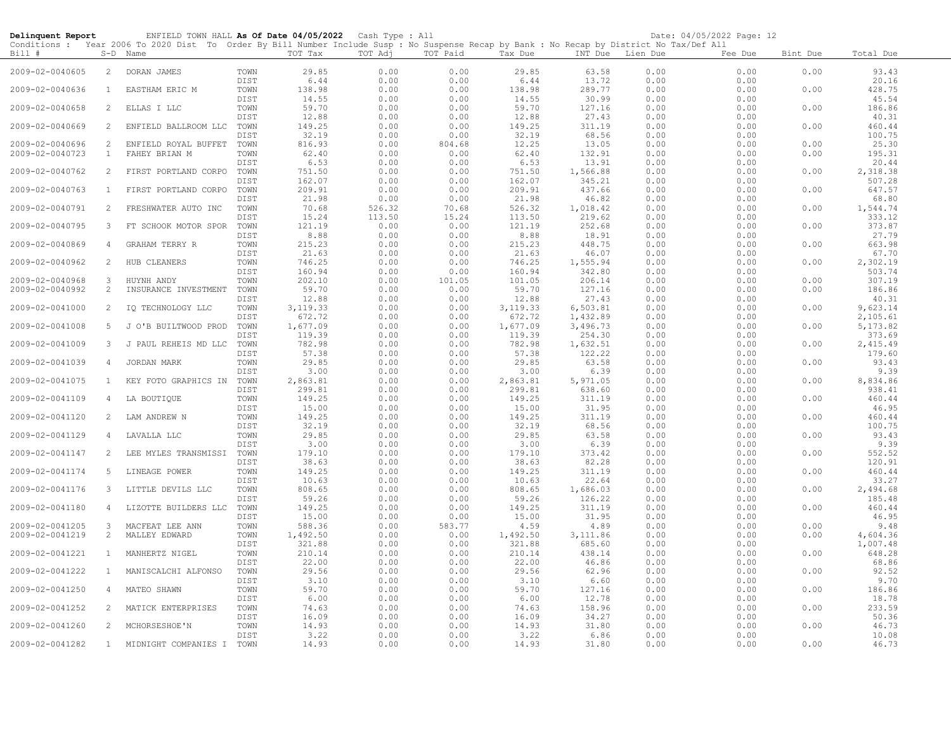| Delinquent Report |                | ENFIELD TOWN HALL As Of Date 04/05/2022 Cash Type : All                                                                                    |              |                    |                  |                |                    |                    |                  | Date: 04/05/2022 Page: 12 |              |                    |
|-------------------|----------------|--------------------------------------------------------------------------------------------------------------------------------------------|--------------|--------------------|------------------|----------------|--------------------|--------------------|------------------|---------------------------|--------------|--------------------|
|                   |                | Conditions : Year 2006 To 2020 Dist To Order By Bill Number Include Susp : No Suspense Recap by Bank : No Recap by District No Tax/Def All |              |                    |                  |                |                    |                    |                  |                           |              |                    |
| Bill #            |                | S-D Name                                                                                                                                   |              | TOT Tax            | TOT Adj          | TOT Paid       | Tax Due            |                    | INT Due Lien Due | Fee Due                   | Bint Due     | Total Due          |
| 2009-02-0040605   | $\overline{2}$ | DORAN JAMES                                                                                                                                | TOWN         | 29.85              | 0.00             | 0.00           | 29.85              | 63.58              | 0.00             | 0.00                      | 0.00         | 93.43              |
|                   |                |                                                                                                                                            | DIST         | 6.44               | 0.00             | 0.00           | 6.44               | 13.72              | 0.00             | 0.00                      |              | 20.16              |
| 2009-02-0040636   | $\overline{1}$ | EASTHAM ERIC M                                                                                                                             | TOWN<br>DIST | 138.98<br>14.55    | 0.00<br>0.00     | 0.00<br>0.00   | 138.98<br>14.55    | 289.77<br>30.99    | 0.00<br>0.00     | 0.00<br>0.00              | 0.00         | 428.75<br>45.54    |
| 2009-02-0040658   | 2              | ELLAS I LLC                                                                                                                                | TOWN         | 59.70              | 0.00             | 0.00           | 59.70              | 127.16             | 0.00             | 0.00                      | 0.00         | 186.86             |
|                   |                |                                                                                                                                            | DIST         | 12.88              | 0.00             | 0.00           | 12.88              | 27.43              | 0.00             | 0.00                      |              | 40.31              |
| 2009-02-0040669   | 2              | ENFIELD BALLROOM LLC                                                                                                                       | TOWN         | 149.25             | 0.00             | 0.00           | 149.25             | 311.19             | 0.00             | 0.00                      | 0.00         | 460.44             |
|                   |                |                                                                                                                                            | DIST         | 32.19              | 0.00             | 0.00           | 32.19              | 68.56              | 0.00             | 0.00                      |              | 100.75             |
| 2009-02-0040696   | 2              | ENFIELD ROYAL BUFFET                                                                                                                       | TOWN         | 816.93             | 0.00             | 804.68         | 12.25<br>62.40     | 13.05              | 0.00             | 0.00                      | 0.00<br>0.00 | 25.30<br>195.31    |
| 2009-02-0040723   | $\mathbf{1}$   | FAHEY BRIAN M                                                                                                                              | TOWN<br>DIST | 62.40<br>6.53      | 0.00<br>0.00     | 0.00<br>0.00   | 6.53               | 132.91<br>13.91    | 0.00<br>0.00     | 0.00<br>0.00              |              | 20.44              |
| 2009-02-0040762   | 2              | FIRST PORTLAND CORPO                                                                                                                       | TOWN         | 751.50             | 0.00             | 0.00           | 751.50             | 1,566.88           | 0.00             | 0.00                      | 0.00         | 2,318.38           |
|                   |                |                                                                                                                                            | DIST         | 162.07             | 0.00             | 0.00           | 162.07             | 345.21             | 0.00             | 0.00                      |              | 507.28             |
| 2009-02-0040763   | $\mathbf{1}$   | FIRST PORTLAND CORPO                                                                                                                       | TOWN         | 209.91             | 0.00             | 0.00           | 209.91             | 437.66             | 0.00             | 0.00                      | 0.00         | 647.57             |
|                   |                |                                                                                                                                            | DIST         | 21.98              | 0.00             | 0.00           | 21.98              | 46.82              | 0.00             | 0.00                      |              | 68.80              |
| 2009-02-0040791   | 2              | FRESHWATER AUTO INC                                                                                                                        | TOWN<br>DIST | 70.68<br>15.24     | 526.32<br>113.50 | 70.68<br>15.24 | 526.32<br>113.50   | 1,018.42<br>219.62 | 0.00<br>0.00     | 0.00<br>0.00              | 0.00         | 1,544.74<br>333.12 |
| 2009-02-0040795   | 3              | FT SCHOOK MOTOR SPOR                                                                                                                       | TOWN         | 121.19             | 0.00             | 0.00           | 121.19             | 252.68             | 0.00             | 0.00                      | 0.00         | 373.87             |
|                   |                |                                                                                                                                            | DIST         | 8.88               | 0.00             | 0.00           | 8.88               | 18.91              | 0.00             | 0.00                      |              | 27.79              |
| 2009-02-0040869   | $\overline{4}$ | GRAHAM TERRY R                                                                                                                             | TOWN         | 215.23             | 0.00             | 0.00           | 215.23             | 448.75             | 0.00             | 0.00                      | 0.00         | 663.98             |
|                   |                |                                                                                                                                            | DIST         | 21.63              | 0.00             | 0.00           | 21.63              | 46.07              | 0.00             | 0.00                      |              | 67.70              |
| 2009-02-0040962   | $\overline{2}$ | HUB CLEANERS                                                                                                                               | TOWN         | 746.25             | 0.00             | 0.00           | 746.25             | 1,555.94           | 0.00             | 0.00                      | 0.00         | 2,302.19           |
| 2009-02-0040968   | 3              | HUYNH ANDY                                                                                                                                 | DIST<br>TOWN | 160.94<br>202.10   | 0.00<br>0.00     | 0.00<br>101.05 | 160.94<br>101.05   | 342.80<br>206.14   | 0.00<br>0.00     | 0.00<br>0.00              | 0.00         | 503.74<br>307.19   |
| 2009-02-0040992   | 2              | INSURANCE INVESTMENT                                                                                                                       | TOWN         | 59.70              | 0.00             | 0.00           | 59.70              | 127.16             | 0.00             | 0.00                      | 0.00         | 186.86             |
|                   |                |                                                                                                                                            | DIST         | 12.88              | 0.00             | 0.00           | 12.88              | 27.43              | 0.00             | 0.00                      |              | 40.31              |
| 2009-02-0041000   | 2              | IQ TECHNOLOGY LLC                                                                                                                          | TOWN         | 3, 119.33          | 0.00             | 0.00           | 3,119.33           | 6,503.81           | 0.00             | 0.00                      | 0.00         | 9,623.14           |
|                   |                |                                                                                                                                            | DIST         | 672.72             | 0.00             | 0.00           | 672.72             | 1,432.89           | 0.00             | 0.00                      |              | 2,105.61           |
| 2009-02-0041008   | 5              | J O'B BUILTWOOD PROD                                                                                                                       | TOWN<br>DIST | 1,677.09<br>119.39 | 0.00<br>0.00     | 0.00<br>0.00   | 1,677.09<br>119.39 | 3,496.73<br>254.30 | 0.00<br>0.00     | 0.00<br>0.00              | 0.00         | 5,173.82<br>373.69 |
| 2009-02-0041009   | $\mathbf{3}$   | J PAUL REHEIS MD LLC                                                                                                                       | TOWN         | 782.98             | 0.00             | 0.00           | 782.98             | 1,632.51           | 0.00             | 0.00                      | 0.00         | 2,415.49           |
|                   |                |                                                                                                                                            | DIST         | 57.38              | 0.00             | 0.00           | 57.38              | 122.22             | 0.00             | 0.00                      |              | 179.60             |
| 2009-02-0041039   | 4              | JORDAN MARK                                                                                                                                | TOWN         | 29.85              | 0.00             | 0.00           | 29.85              | 63.58              | 0.00             | 0.00                      | 0.00         | 93.43              |
|                   |                |                                                                                                                                            | DIST         | 3.00               | 0.00             | 0.00           | 3.00               | 6.39               | 0.00             | 0.00                      |              | 9.39               |
| 2009-02-0041075   | $\mathbf{1}$   | KEY FOTO GRAPHICS IN                                                                                                                       | TOWN<br>DIST | 2,863.81<br>299.81 | 0.00<br>0.00     | 0.00<br>0.00   | 2,863.81<br>299.81 | 5,971.05<br>638.60 | 0.00<br>0.00     | 0.00<br>0.00              | 0.00         | 8,834.86<br>938.41 |
| 2009-02-0041109   | 4              | LA BOUTIQUE                                                                                                                                | TOWN         | 149.25             | 0.00             | 0.00           | 149.25             | 311.19             | 0.00             | 0.00                      | 0.00         | 460.44             |
|                   |                |                                                                                                                                            | DIST         | 15.00              | 0.00             | 0.00           | 15.00              | 31.95              | 0.00             | 0.00                      |              | 46.95              |
| 2009-02-0041120   | 2              | LAM ANDREW N                                                                                                                               | TOWN         | 149.25             | 0.00             | 0.00           | 149.25             | 311.19             | 0.00             | 0.00                      | 0.00         | 460.44             |
|                   |                |                                                                                                                                            | DIST         | 32.19              | 0.00             | 0.00           | 32.19              | 68.56              | 0.00             | 0.00                      |              | 100.75             |
| 2009-02-0041129   | 4              | LAVALLA LLC                                                                                                                                | TOWN<br>DIST | 29.85<br>3.00      | 0.00<br>0.00     | 0.00<br>0.00   | 29.85<br>3.00      | 63.58<br>6.39      | 0.00<br>0.00     | 0.00<br>0.00              | 0.00         | 93.43<br>9.39      |
| 2009-02-0041147   | 2              | LEE MYLES TRANSMISSI                                                                                                                       | TOWN         | 179.10             | 0.00             | 0.00           | 179.10             | 373.42             | 0.00             | 0.00                      | 0.00         | 552.52             |
|                   |                |                                                                                                                                            | DIST         | 38.63              | 0.00             | 0.00           | 38.63              | 82.28              | 0.00             | 0.00                      |              | 120.91             |
| 2009-02-0041174   | 5              | LINEAGE POWER                                                                                                                              | TOWN         | 149.25             | 0.00             | 0.00           | 149.25             | 311.19             | 0.00             | 0.00                      | 0.00         | 460.44             |
|                   |                |                                                                                                                                            | DIST         | 10.63              | 0.00             | 0.00           | 10.63              | 22.64              | 0.00             | 0.00                      |              | 33.27              |
| 2009-02-0041176   | 3              | LITTLE DEVILS LLC                                                                                                                          | TOWN<br>DIST | 808.65<br>59.26    | 0.00<br>0.00     | 0.00<br>0.00   | 808.65<br>59.26    | 1,686.03<br>126.22 | 0.00<br>0.00     | 0.00<br>0.00              | 0.00         | 2,494.68<br>185.48 |
| 2009-02-0041180   | $\overline{4}$ | LIZOTTE BUILDERS LLC                                                                                                                       | TOWN         | 149.25             | 0.00             | 0.00           | 149.25             | 311.19             | 0.00             | 0.00                      | 0.00         | 460.44             |
|                   |                |                                                                                                                                            | DIST         | 15.00              | 0.00             | 0.00           | 15.00              | 31.95              | 0.00             | 0.00                      |              | 46.95              |
| 2009-02-0041205   | 3              | MACFEAT LEE ANN                                                                                                                            | TOWN         | 588.36             | 0.00             | 583.77         | 4.59               | 4.89               | 0.00             | 0.00                      | 0.00         | 9.48               |
| 2009-02-0041219   | $\overline{2}$ | MALLEY EDWARD                                                                                                                              | TOWN         | 1,492.50           | 0.00             | 0.00           | 1,492.50           | 3,111.86           | 0.00             | 0.00                      | 0.00         | 4,604.36           |
| 2009-02-0041221   | $\mathbf{1}$   | MANHERTZ NIGEL                                                                                                                             | DIST<br>TOWN | 321.88<br>210.14   | 0.00<br>0.00     | 0.00<br>0.00   | 321.88<br>210.14   | 685.60<br>438.14   | 0.00<br>0.00     | 0.00<br>0.00              | 0.00         | 1,007.48<br>648.28 |
|                   |                |                                                                                                                                            | DIST         | 22.00              | 0.00             | 0.00           | 22.00              | 46.86              | 0.00             | 0.00                      |              | 68.86              |
| 2009-02-0041222   | $\mathbf{1}$   | MANISCALCHI ALFONSO                                                                                                                        | TOWN         | 29.56              | 0.00             | 0.00           | 29.56              | 62.96              | 0.00             | 0.00                      | 0.00         | 92.52              |
|                   |                |                                                                                                                                            | DIST         | 3.10               | 0.00             | 0.00           | 3.10               | 6.60               | 0.00             | 0.00                      |              | 9.70               |
| 2009-02-0041250   | 4              | MATEO SHAWN                                                                                                                                | TOWN         | 59.70              | 0.00             | 0.00           | 59.70              | 127.16             | 0.00             | 0.00                      | 0.00         | 186.86             |
| 2009-02-0041252   | 2              | MATICK ENTERPRISES                                                                                                                         | DIST<br>TOWN | 6.00<br>74.63      | 0.00<br>0.00     | 0.00<br>0.00   | 6.00<br>74.63      | 12.78<br>158.96    | 0.00<br>0.00     | 0.00<br>0.00              | 0.00         | 18.78<br>233.59    |
|                   |                |                                                                                                                                            | DIST         | 16.09              | 0.00             | 0.00           | 16.09              | 34.27              | 0.00             | 0.00                      |              | 50.36              |
| 2009-02-0041260   | 2              | MCHORSESHOE'N                                                                                                                              | TOWN         | 14.93              | 0.00             | 0.00           | 14.93              | 31.80              | 0.00             | 0.00                      | 0.00         | 46.73              |
|                   |                |                                                                                                                                            | DIST         | 3.22               | 0.00             | 0.00           | 3.22               | 6.86               | 0.00             | 0.00                      |              | 10.08              |
| 2009-02-0041282   |                | 1 MIDNIGHT COMPANIES I                                                                                                                     | TOWN         | 14.93              | 0.00             | 0.00           | 14.93              | 31.80              | 0.00             | 0.00                      | 0.00         | 46.73              |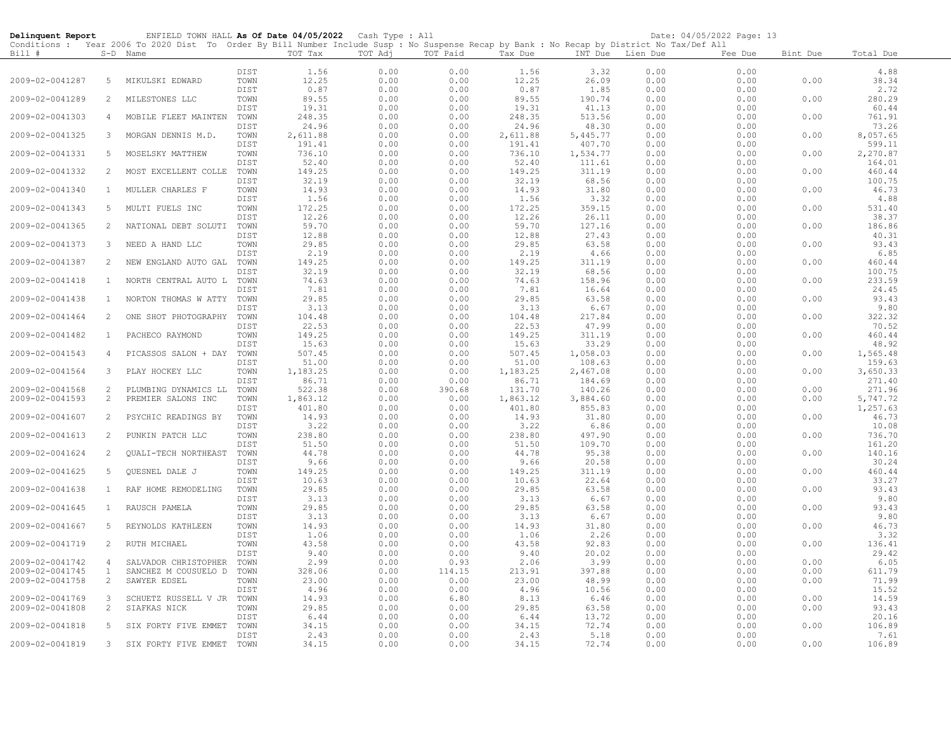| Delinquent Report |              | ENFIELD TOWN HALL As Of Date 04/05/2022 Cash Type : All                                                                                    |              |                 |              |              |                 |                    |              | Date: 04/05/2022 Page: 13 |          |                    |
|-------------------|--------------|--------------------------------------------------------------------------------------------------------------------------------------------|--------------|-----------------|--------------|--------------|-----------------|--------------------|--------------|---------------------------|----------|--------------------|
|                   |              | Conditions : Year 2006 To 2020 Dist To Order By Bill Number Include Susp : No Suspense Recap by Bank : No Recap by District No Tax/Def All |              |                 |              |              |                 |                    |              |                           |          |                    |
| Bill #            |              | S-D Name                                                                                                                                   |              | TOT Tax         | TOT Adj      | TOT Paid     | Tax Due         | INT Due            | Lien Due     | Fee Due                   | Bint Due | Total Due          |
|                   |              |                                                                                                                                            | DIST         | 1.56            | 0.00         | 0.00         |                 | 3.32               | 0.00         | 0.00                      |          | 4.88               |
| 2009-02-0041287   | 5            | MIKULSKI EDWARD                                                                                                                            | TOWN         | 12.25           | 0.00         | 0.00         | 1.56<br>12.25   | 26.09              | 0.00         | 0.00                      | 0.00     | 38.34              |
|                   |              |                                                                                                                                            | DIST         | 0.87            | 0.00         | 0.00         | 0.87            | 1.85               | 0.00         | 0.00                      |          | 2.72               |
| 2009-02-0041289   | 2            | MILESTONES LLC                                                                                                                             | TOWN         | 89.55           | 0.00         | 0.00         | 89.55           | 190.74             | 0.00         | 0.00                      | 0.00     | 280.29             |
|                   |              |                                                                                                                                            | DIST         | 19.31           | 0.00         | 0.00         | 19.31           | 41.13              | 0.00         | 0.00                      |          | 60.44              |
| 2009-02-0041303   | 4            | MOBILE FLEET MAINTEN                                                                                                                       | TOWN         | 248.35          | 0.00         | 0.00         | 248.35          | 513.56             | 0.00         | 0.00                      | 0.00     | 761.91             |
|                   |              |                                                                                                                                            | DIST         | 24.96           | 0.00         | 0.00         | 24.96           | 48.30              | 0.00         | 0.00                      |          | 73.26              |
| 2009-02-0041325   | 3            | MORGAN DENNIS M.D.                                                                                                                         | TOWN         | 2,611.88        | 0.00         | 0.00         | 2,611.88        | 5,445.77           | 0.00         | 0.00                      | 0.00     | 8,057.65           |
|                   |              |                                                                                                                                            | DIST         | 191.41          | 0.00         | 0.00         | 191.41          | 407.70             | 0.00         | 0.00                      |          | 599.11             |
| 2009-02-0041331   | 5            | MOSELSKY MATTHEW                                                                                                                           | TOWN         | 736.10          | 0.00         | 0.00         | 736.10          | 1,534.77           | 0.00         | 0.00                      | 0.00     | 2,270.87           |
|                   |              |                                                                                                                                            | DIST         | 52.40           | 0.00<br>0.00 | 0.00         | 52.40           | 111.61             | 0.00         | 0.00                      |          | 164.01             |
| 2009-02-0041332   | 2            | MOST EXCELLENT COLLE                                                                                                                       | TOWN<br>DIST | 149.25<br>32.19 | 0.00         | 0.00<br>0.00 | 149.25<br>32.19 | 311.19<br>68.56    | 0.00<br>0.00 | 0.00<br>0.00              | 0.00     | 460.44<br>100.75   |
| 2009-02-0041340   | $\mathbf{1}$ | MULLER CHARLES F                                                                                                                           | TOWN         | 14.93           | 0.00         | 0.00         | 14.93           | 31.80              | 0.00         | 0.00                      | 0.00     | 46.73              |
|                   |              |                                                                                                                                            | DIST         | 1.56            | 0.00         | 0.00         | 1.56            | 3.32               | 0.00         | 0.00                      |          | 4.88               |
| 2009-02-0041343   | 5            | MULTI FUELS INC                                                                                                                            | TOWN         | 172.25          | 0.00         | 0.00         | 172.25          | 359.15             | 0.00         | 0.00                      | 0.00     | 531.40             |
|                   |              |                                                                                                                                            | DIST         | 12.26           | 0.00         | 0.00         | 12.26           | 26.11              | 0.00         | 0.00                      |          | 38.37              |
| 2009-02-0041365   | 2            | NATIONAL DEBT SOLUTI                                                                                                                       | TOWN         | 59.70           | 0.00         | 0.00         | 59.70           | 127.16             | 0.00         | 0.00                      | 0.00     | 186.86             |
|                   |              |                                                                                                                                            | DIST         | 12.88           | 0.00         | 0.00         | 12.88           | 27.43              | 0.00         | 0.00                      |          | 40.31              |
| 2009-02-0041373   | 3            | NEED A HAND LLC                                                                                                                            | TOWN         | 29.85           | 0.00         | 0.00         | 29.85           | 63.58              | 0.00         | 0.00                      | 0.00     | 93.43              |
| 2009-02-0041387   | 2            |                                                                                                                                            | DIST<br>TOWN | 2.19<br>149.25  | 0.00<br>0.00 | 0.00<br>0.00 | 2.19<br>149.25  | 4.66<br>311.19     | 0.00<br>0.00 | 0.00<br>0.00              | 0.00     | 6.85<br>460.44     |
|                   |              | NEW ENGLAND AUTO GAL                                                                                                                       | DIST         | 32.19           | 0.00         | 0.00         | 32.19           | 68.56              | 0.00         | 0.00                      |          | 100.75             |
| 2009-02-0041418   | $\mathbf{1}$ | NORTH CENTRAL AUTO L TOWN                                                                                                                  |              | 74.63           | 0.00         | 0.00         | 74.63           | 158.96             | 0.00         | 0.00                      | 0.00     | 233.59             |
|                   |              |                                                                                                                                            | DIST         | 7.81            | 0.00         | 0.00         | 7.81            | 16.64              | 0.00         | 0.00                      |          | 24.45              |
| 2009-02-0041438   | $\mathbf{1}$ | NORTON THOMAS W ATTY TOWN                                                                                                                  |              | 29.85           | 0.00         | 0.00         | 29.85           | 63.58              | 0.00         | 0.00                      | 0.00     | 93.43              |
|                   |              |                                                                                                                                            | DIST         | 3.13            | 0.00         | 0.00         | 3.13            | 6.67               | 0.00         | 0.00                      |          | 9.80               |
| 2009-02-0041464   | 2            | ONE SHOT PHOTOGRAPHY                                                                                                                       | TOWN         | 104.48          | 0.00         | 0.00         | 104.48          | 217.84             | 0.00         | 0.00                      | 0.00     | 322.32             |
|                   |              |                                                                                                                                            | DIST         | 22.53           | 0.00         | 0.00         | 22.53           | 47.99              | 0.00         | 0.00                      |          | 70.52              |
| 2009-02-0041482   | $\mathbf{1}$ | PACHECO RAYMOND                                                                                                                            | TOWN         | 149.25          | 0.00         | 0.00         | 149.25          | 311.19             | 0.00         | 0.00                      | 0.00     | 460.44             |
|                   |              |                                                                                                                                            | DIST         | 15.63           | 0.00         | 0.00         | 15.63           | 33.29              | 0.00         | 0.00                      |          | 48.92              |
| 2009-02-0041543   | 4            | PICASSOS SALON + DAY                                                                                                                       | TOWN<br>DIST | 507.45<br>51.00 | 0.00<br>0.00 | 0.00<br>0.00 | 507.45<br>51.00 | 1,058.03<br>108.63 | 0.00<br>0.00 | 0.00<br>0.00              | 0.00     | 1,565.48<br>159.63 |
| 2009-02-0041564   | $\mathbf{3}$ | PLAY HOCKEY LLC                                                                                                                            | TOWN         | 1,183.25        | 0.00         | 0.00         | 1,183.25        | 2,467.08           | 0.00         | 0.00                      | 0.00     | 3,650.33           |
|                   |              |                                                                                                                                            | DIST         | 86.71           | 0.00         | 0.00         | 86.71           | 184.69             | 0.00         | 0.00                      |          | 271.40             |
| 2009-02-0041568   | 2            | PLUMBING DYNAMICS LL                                                                                                                       | TOWN         | 522.38          | 0.00         | 390.68       | 131.70          | 140.26             | 0.00         | 0.00                      | 0.00     | 271.96             |
| 2009-02-0041593   | 2            | PREMIER SALONS INC                                                                                                                         | TOWN         | 1,863.12        | 0.00         | 0.00         | 1,863.12        | 3,884.60           | 0.00         | 0.00                      | 0.00     | 5,747.72           |
|                   |              |                                                                                                                                            | DIST         | 401.80          | 0.00         | 0.00         | 401.80          | 855.83             | 0.00         | 0.00                      |          | 1,257.63           |
| 2009-02-0041607   | 2            | PSYCHIC READINGS BY                                                                                                                        | TOWN         | 14.93           | 0.00         | 0.00         | 14.93           | 31.80              | 0.00         | 0.00                      | 0.00     | 46.73              |
|                   |              |                                                                                                                                            | DIST         | 3.22            | 0.00         | 0.00         | 3.22            | 6.86               | 0.00         | 0.00                      |          | 10.08              |
| 2009-02-0041613   | 2            | PUNKIN PATCH LLC                                                                                                                           | TOWN         | 238.80          | 0.00         | 0.00         | 238.80          | 497.90             | 0.00         | 0.00                      | 0.00     | 736.70             |
| 2009-02-0041624   | 2            | <b>OUALI-TECH NORTHEAST</b>                                                                                                                | DIST<br>TOWN | 51.50<br>44.78  | 0.00<br>0.00 | 0.00<br>0.00 | 51.50<br>44.78  | 109.70<br>95.38    | 0.00<br>0.00 | 0.00<br>0.00              | 0.00     | 161.20<br>140.16   |
|                   |              |                                                                                                                                            | DIST         | 9.66            | 0.00         | 0.00         | 9.66            | 20.58              | 0.00         | 0.00                      |          | 30.24              |
| 2009-02-0041625   | 5            | QUESNEL DALE J                                                                                                                             | TOWN         | 149.25          | 0.00         | 0.00         | 149.25          | 311.19             | 0.00         | 0.00                      | 0.00     | 460.44             |
|                   |              |                                                                                                                                            | DIST         | 10.63           | 0.00         | 0.00         | 10.63           | 22.64              | 0.00         | 0.00                      |          | 33.27              |
| 2009-02-0041638   | $\mathbf{1}$ | RAF HOME REMODELING                                                                                                                        | TOWN         | 29.85           | 0.00         | 0.00         | 29.85           | 63.58              | 0.00         | 0.00                      | 0.00     | 93.43              |
|                   |              |                                                                                                                                            | DIST         | 3.13            | 0.00         | 0.00         | 3.13            | 6.67               | 0.00         | 0.00                      |          | 9.80               |
| 2009-02-0041645   | $\mathbf{1}$ | RAUSCH PAMELA                                                                                                                              | TOWN         | 29.85           | 0.00         | 0.00         | 29.85           | 63.58              | 0.00         | 0.00                      | 0.00     | 93.43              |
|                   |              |                                                                                                                                            | DIST         | 3.13            | 0.00         | 0.00         | 3.13            | 6.67               | 0.00         | 0.00                      |          | 9.80               |
| 2009-02-0041667   | 5            | REYNOLDS KATHLEEN                                                                                                                          | TOWN<br>DIST | 14.93<br>1.06   | 0.00<br>0.00 | 0.00<br>0.00 | 14.93<br>1.06   | 31.80<br>2.26      | 0.00<br>0.00 | 0.00<br>0.00              | 0.00     | 46.73<br>3.32      |
| 2009-02-0041719   | 2            | RUTH MICHAEL                                                                                                                               | TOWN         | 43.58           | 0.00         | 0.00         | 43.58           | 92.83              | 0.00         | 0.00                      | 0.00     | 136.41             |
|                   |              |                                                                                                                                            | DIST         | 9.40            | 0.00         | 0.00         | 9.40            | 20.02              | 0.00         | 0.00                      |          | 29.42              |
| 2009-02-0041742   | 4            | SALVADOR CHRISTOPHER                                                                                                                       | TOWN         | 2.99            | 0.00         | 0.93         | 2.06            | 3.99               | 0.00         | 0.00                      | 0.00     | 6.05               |
| 2009-02-0041745   | <sup>1</sup> | SANCHEZ M COUSUELO D                                                                                                                       | TOWN         | 328.06          | 0.00         | 114.15       | 213.91          | 397.88             | 0.00         | 0.00                      | 0.00     | 611.79             |
| 2009-02-0041758   | 2            | SAWYER EDSEL                                                                                                                               | TOWN         | 23.00           | 0.00         | 0.00         | 23.00           | 48.99              | 0.00         | 0.00                      | 0.00     | 71.99              |
|                   |              |                                                                                                                                            | DIST         | 4.96            | 0.00         | 0.00         | 4.96            | 10.56              | 0.00         | 0.00                      |          | 15.52              |
| 2009-02-0041769   | 3            | SCHUETZ RUSSELL V JR                                                                                                                       | TOWN         | 14.93           | 0.00         | 6.80         | 8.13            | 6.46               | 0.00         | 0.00                      | 0.00     | 14.59              |
| 2009-02-0041808   | 2            | SIAFKAS NICK                                                                                                                               | TOWN         | 29.85           | 0.00         | 0.00         | 29.85           | 63.58              | 0.00         | 0.00                      | 0.00     | 93.43              |
| 2009-02-0041818   | 5            | SIX FORTY FIVE EMMET                                                                                                                       | DIST<br>TOWN | 6.44<br>34.15   | 0.00<br>0.00 | 0.00<br>0.00 | 6.44<br>34.15   | 13.72<br>72.74     | 0.00<br>0.00 | 0.00<br>0.00              | 0.00     | 20.16<br>106.89    |
|                   |              |                                                                                                                                            | DIST         | 2.43            | 0.00         | 0.00         | 2.43            | 5.18               | 0.00         | 0.00                      |          | 7.61               |
| 2009-02-0041819   | $3 -$        | SIX FORTY FIVE EMMET                                                                                                                       | TOWN         | 34.15           | 0.00         | 0.00         | 34.15           | 72.74              | 0.00         | 0.00                      | 0.00     | 106.89             |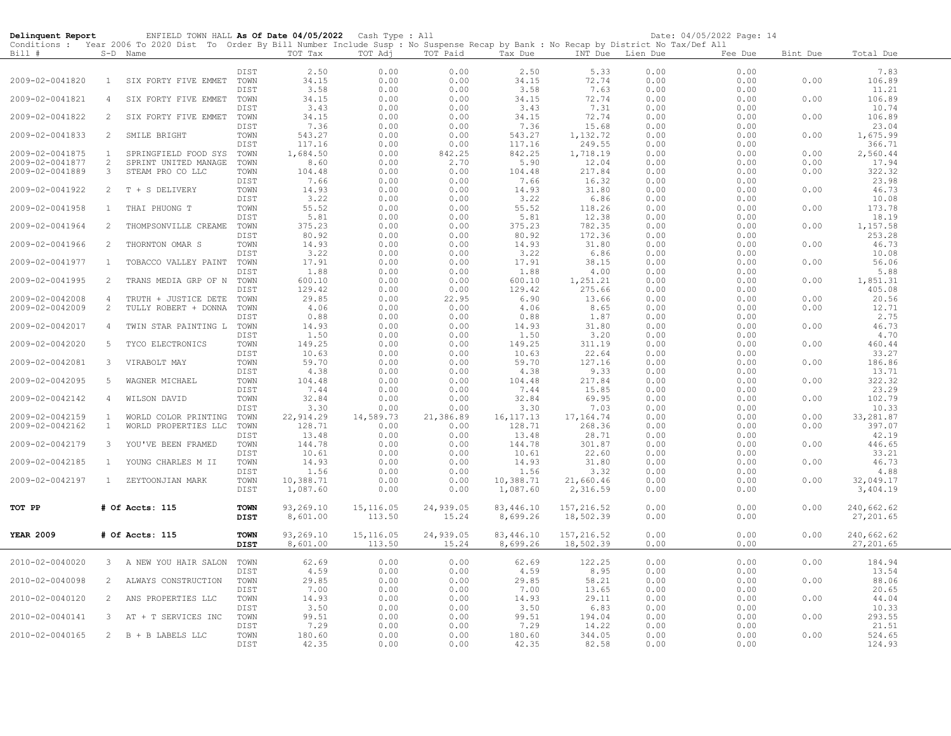| Delinquent Report                  |                                | ENFIELD TOWN HALL As Of Date 04/05/2022 Cash Type : All                                                                                                |                            |                       |                      |                    |                       |                         |                  | Date: 04/05/2022 Page: 14 |              |                         |  |
|------------------------------------|--------------------------------|--------------------------------------------------------------------------------------------------------------------------------------------------------|----------------------------|-----------------------|----------------------|--------------------|-----------------------|-------------------------|------------------|---------------------------|--------------|-------------------------|--|
| Bill #                             |                                | Conditions : Year 2006 To 2020 Dist To Order By Bill Number Include Susp : No Suspense Recap by Bank : No Recap by District No Tax/Def All<br>S-D Name |                            | TOT Tax               | TOT Adj              | TOT Paid           | Tax Due               |                         | INT Due Lien Due | Fee Due                   | Bint Due     | Total Due               |  |
|                                    |                                |                                                                                                                                                        |                            |                       |                      |                    |                       |                         |                  |                           |              |                         |  |
|                                    |                                |                                                                                                                                                        | DIST                       | 2.50                  | 0.00                 | 0.00               | 2.50                  | 5.33                    | 0.00             | 0.00                      |              | 7.83                    |  |
| 2009-02-0041820                    | $\mathbf{1}$                   | SIX FORTY FIVE EMMET                                                                                                                                   | TOWN                       | 34.15                 | 0.00                 | 0.00               | 34.15                 | 72.74                   | 0.00             | 0.00                      | 0.00         | 106.89                  |  |
|                                    |                                |                                                                                                                                                        | DIST                       | 3.58                  | 0.00                 | 0.00               | 3.58                  | 7.63                    | 0.00             | 0.00                      |              | 11.21                   |  |
| 2009-02-0041821                    | 4                              | SIX FORTY FIVE EMMET                                                                                                                                   | TOWN<br>DIST               | 34.15<br>3.43         | 0.00<br>0.00         | 0.00<br>0.00       | 34.15<br>3.43         | 72.74<br>7.31           | 0.00<br>0.00     | 0.00<br>0.00              | 0.00         | 106.89<br>10.74         |  |
| 2009-02-0041822                    | 2                              | SIX FORTY FIVE EMMET                                                                                                                                   | TOWN                       | 34.15                 | 0.00                 | 0.00               | 34.15                 | 72.74                   | 0.00             | 0.00                      | 0.00         | 106.89                  |  |
|                                    |                                |                                                                                                                                                        | DIST                       | 7.36                  | 0.00                 | 0.00               | 7.36                  | 15.68                   | 0.00             | 0.00                      |              | 23.04                   |  |
| 2009-02-0041833                    | 2                              | SMILE BRIGHT                                                                                                                                           | TOWN                       | 543.27                | 0.00                 | 0.00               | 543.27                | 1,132.72                | 0.00             | 0.00                      | 0.00         | 1,675.99                |  |
|                                    |                                |                                                                                                                                                        | DIST                       | 117.16                | 0.00                 | 0.00               | 117.16                | 249.55                  | 0.00             | 0.00                      |              | 366.71                  |  |
| 2009-02-0041875                    | $\mathbf{1}$                   | SPRINGFIELD FOOD SYS                                                                                                                                   | TOWN                       | 1,684.50              | 0.00                 | 842.25             | 842.25                | 1,718.19                | 0.00             | 0.00                      | 0.00         | 2,560.44                |  |
| 2009-02-0041877<br>2009-02-0041889 | $\overline{2}$<br>3            | SPRINT UNITED MANAGE                                                                                                                                   | TOWN<br>TOWN               | 8.60<br>104.48        | 0.00<br>0.00         | 2.70<br>0.00       | 5.90<br>104.48        | 12.04<br>217.84         | 0.00<br>0.00     | 0.00<br>0.00              | 0.00<br>0.00 | 17.94<br>322.32         |  |
|                                    |                                | STEAM PRO CO LLC                                                                                                                                       | DIST                       | 7.66                  | 0.00                 | 0.00               | 7.66                  | 16.32                   | 0.00             | 0.00                      |              | 23.98                   |  |
| 2009-02-0041922                    | $\overline{2}$                 | T + S DELIVERY                                                                                                                                         | TOWN                       | 14.93                 | 0.00                 | 0.00               | 14.93                 | 31.80                   | 0.00             | 0.00                      | 0.00         | 46.73                   |  |
|                                    |                                |                                                                                                                                                        | DIST                       | 3.22                  | 0.00                 | 0.00               | 3.22                  | 6.86                    | 0.00             | 0.00                      |              | 10.08                   |  |
| 2009-02-0041958                    | $\mathbf{1}$                   | THAI PHUONG T                                                                                                                                          | TOWN                       | 55.52                 | 0.00                 | 0.00               | 55.52                 | 118.26                  | 0.00             | 0.00                      | 0.00         | 173.78                  |  |
|                                    |                                |                                                                                                                                                        | DIST                       | 5.81                  | 0.00                 | 0.00               | 5.81                  | 12.38                   | 0.00             | 0.00                      |              | 18.19                   |  |
| 2009-02-0041964                    | $\overline{2}$                 | THOMPSONVILLE CREAME                                                                                                                                   | TOWN<br>DIST               | 375.23<br>80.92       | 0.00<br>0.00         | 0.00<br>0.00       | 375.23<br>80.92       | 782.35<br>172.36        | 0.00<br>0.00     | 0.00<br>0.00              | 0.00         | 1,157.58<br>253.28      |  |
| 2009-02-0041966                    | 2                              | THORNTON OMAR S                                                                                                                                        | TOWN                       | 14.93                 | 0.00                 | 0.00               | 14.93                 | 31.80                   | 0.00             | 0.00                      | 0.00         | 46.73                   |  |
|                                    |                                |                                                                                                                                                        | DIST                       | 3.22                  | 0.00                 | 0.00               | 3.22                  | 6.86                    | 0.00             | 0.00                      |              | 10.08                   |  |
| 2009-02-0041977                    | $\mathbf{1}$                   | TOBACCO VALLEY PAINT                                                                                                                                   | TOWN                       | 17.91                 | 0.00                 | 0.00               | 17.91                 | 38.15                   | 0.00             | 0.00                      | 0.00         | 56.06                   |  |
|                                    |                                |                                                                                                                                                        | DIST                       | 1.88                  | 0.00                 | 0.00               | 1.88                  | 4.00                    | 0.00             | 0.00                      |              | 5.88                    |  |
| 2009-02-0041995                    | 2                              | TRANS MEDIA GRP OF N                                                                                                                                   | TOWN                       | 600.10                | 0.00                 | 0.00               | 600.10                | 1,251.21                | 0.00             | 0.00                      | 0.00         | 1,851.31                |  |
| 2009-02-0042008                    | $\overline{4}$                 |                                                                                                                                                        | <b>DIST</b><br>TOWN        | 129.42<br>29.85       | 0.00<br>0.00         | 0.00<br>22.95      | 129.42<br>6.90        | 275.66<br>13.66         | 0.00<br>0.00     | 0.00<br>0.00              | 0.00         | 405.08<br>20.56         |  |
| 2009-02-0042009                    | 2                              | TRUTH + JUSTICE DETE<br>TULLY ROBERT + DONNA                                                                                                           | TOWN                       | 4.06                  | 0.00                 | 0.00               | 4.06                  | 8.65                    | 0.00             | 0.00                      | 0.00         | 12.71                   |  |
|                                    |                                |                                                                                                                                                        | DIST                       | 0.88                  | 0.00                 | 0.00               | 0.88                  | 1.87                    | 0.00             | 0.00                      |              | 2.75                    |  |
| 2009-02-0042017                    | 4                              | TWIN STAR PAINTING L                                                                                                                                   | TOWN                       | 14.93                 | 0.00                 | 0.00               | 14.93                 | 31.80                   | 0.00             | 0.00                      | 0.00         | 46.73                   |  |
|                                    |                                |                                                                                                                                                        | DIST                       | 1.50                  | 0.00                 | 0.00               | 1.50                  | 3.20                    | 0.00             | 0.00                      |              | 4.70                    |  |
| 2009-02-0042020                    | 5                              | TYCO ELECTRONICS                                                                                                                                       | TOWN                       | 149.25                | 0.00                 | 0.00               | 149.25                | 311.19                  | 0.00             | 0.00                      | 0.00         | 460.44                  |  |
| 2009-02-0042081                    | 3                              |                                                                                                                                                        | DIST<br>TOWN               | 10.63                 | 0.00                 | 0.00               | 10.63                 | 22.64<br>127.16         | 0.00             | 0.00                      |              | 33.27<br>186.86         |  |
|                                    |                                | VIRABOLT MAY                                                                                                                                           | DIST                       | 59.70<br>4.38         | 0.00<br>0.00         | 0.00<br>0.00       | 59.70<br>4.38         | 9.33                    | 0.00<br>0.00     | 0.00<br>0.00              | 0.00         | 13.71                   |  |
| 2009-02-0042095                    | 5                              | WAGNER MICHAEL                                                                                                                                         | TOWN                       | 104.48                | 0.00                 | 0.00               | 104.48                | 217.84                  | 0.00             | 0.00                      | 0.00         | 322.32                  |  |
|                                    |                                |                                                                                                                                                        | DIST                       | 7.44                  | 0.00                 | 0.00               | 7.44                  | 15.85                   | 0.00             | 0.00                      |              | 23.29                   |  |
| 2009-02-0042142                    | 4                              | WILSON DAVID                                                                                                                                           | TOWN                       | 32.84                 | 0.00                 | 0.00               | 32.84                 | 69.95                   | 0.00             | 0.00                      | 0.00         | 102.79                  |  |
|                                    |                                |                                                                                                                                                        | DIST                       | 3.30                  | 0.00                 | 0.00               | 3.30                  | 7.03                    | 0.00             | 0.00                      |              | 10.33                   |  |
| 2009-02-0042159                    | $\overline{1}$<br>$\mathbf{1}$ | WORLD COLOR PRINTING                                                                                                                                   | TOWN                       | 22, 914.29<br>128.71  | 14,589.73            | 21,386.89          | 16, 117. 13           | 17,164.74<br>268.36     | 0.00<br>0.00     | 0.00                      | 0.00<br>0.00 | 33,281.87               |  |
| 2009-02-0042162                    |                                | WORLD PROPERTIES LLC                                                                                                                                   | TOWN<br>DIST               | 13.48                 | 0.00<br>0.00         | 0.00<br>0.00       | 128.71<br>13.48       | 28.71                   | 0.00             | 0.00<br>0.00              |              | 397.07<br>42.19         |  |
| 2009-02-0042179                    | 3                              | YOU'VE BEEN FRAMED                                                                                                                                     | TOWN                       | 144.78                | 0.00                 | 0.00               | 144.78                | 301.87                  | 0.00             | 0.00                      | 0.00         | 446.65                  |  |
|                                    |                                |                                                                                                                                                        | DIST                       | 10.61                 | 0.00                 | 0.00               | 10.61                 | 22.60                   | 0.00             | 0.00                      |              | 33.21                   |  |
| 2009-02-0042185                    | $\overline{1}$                 | YOUNG CHARLES M II                                                                                                                                     | TOWN                       | 14.93                 | 0.00                 | 0.00               | 14.93                 | 31.80                   | 0.00             | 0.00                      | 0.00         | 46.73                   |  |
|                                    |                                |                                                                                                                                                        | DIST                       | 1.56                  | 0.00                 | 0.00               | 1.56                  | 3.32                    | 0.00             | 0.00                      |              | 4.88                    |  |
| 2009-02-0042197                    |                                | 1 ZEYTOONJIAN MARK                                                                                                                                     | TOWN                       | 10,388.71             | 0.00                 | 0.00               | 10,388.71             | 21,660.46               | 0.00             | 0.00                      | 0.00         | 32,049.17               |  |
|                                    |                                |                                                                                                                                                        | DIST                       | 1,087.60              | 0.00                 | 0.00               | 1,087.60              | 2,316.59                | 0.00             | 0.00                      |              | 3,404.19                |  |
| TOT PP                             |                                | # Of Accts: 115                                                                                                                                        | <b>TOWN</b>                | 93,269.10             | 15, 116.05           | 24,939.05          | 83,446.10             | 157,216.52              | 0.00             | 0.00                      | 0.00         | 240,662.62              |  |
|                                    |                                |                                                                                                                                                        | <b>DIST</b>                | 8,601.00              | 113.50               | 15.24              | 8,699.26              | 18,502.39               | 0.00             | 0.00                      |              | 27,201.65               |  |
|                                    |                                |                                                                                                                                                        |                            |                       |                      |                    |                       |                         |                  |                           |              |                         |  |
| <b>YEAR 2009</b>                   |                                | # Of Accts: 115                                                                                                                                        | <b>TOWN</b><br><b>DIST</b> | 93,269.10<br>8,601.00 | 15, 116.05<br>113.50 | 24,939.05<br>15.24 | 83,446.10<br>8,699.26 | 157,216.52<br>18,502.39 | 0.00<br>0.00     | 0.00<br>0.00              | 0.00         | 240,662.62<br>27,201.65 |  |
|                                    |                                |                                                                                                                                                        |                            |                       |                      |                    |                       |                         |                  |                           |              |                         |  |
| 2010-02-0040020                    |                                | 3 A NEW YOU HAIR SALON                                                                                                                                 | TOWN                       | 62.69                 | 0.00                 | 0.00               | 62.69                 | 122.25                  | 0.00             | 0.00                      | 0.00         | 184.94                  |  |
|                                    |                                |                                                                                                                                                        | <b>DIST</b>                | 4.59                  | 0.00                 | 0.00               | 4.59                  | 8.95                    | 0.00             | 0.00                      |              | 13.54                   |  |
| 2010-02-0040098                    | $\overline{2}$                 | ALWAYS CONSTRUCTION                                                                                                                                    | TOWN                       | 29.85                 | 0.00                 | 0.00               | 29.85                 | 58.21                   | 0.00             | 0.00                      | 0.00         | 88.06                   |  |
| 2010-02-0040120                    | $\overline{2}$                 | ANS PROPERTIES LLC                                                                                                                                     | DIST<br>TOWN               | 7.00<br>14.93         | 0.00<br>0.00         | 0.00<br>0.00       | 7.00<br>14.93         | 13.65<br>29.11          | 0.00<br>0.00     | 0.00<br>0.00              | 0.00         | 20.65<br>44.04          |  |
|                                    |                                |                                                                                                                                                        | DIST                       | 3.50                  | 0.00                 | 0.00               | 3.50                  | 6.83                    | 0.00             | 0.00                      |              | 10.33                   |  |
| 2010-02-0040141                    | $\mathbf{3}$                   | AT<br>+ T SERVICES INC                                                                                                                                 | TOWN                       | 99.51                 | 0.00                 | 0.00               | 99.51                 | 194.04                  | 0.00             | 0.00                      | 0.00         | 293.55                  |  |
|                                    |                                |                                                                                                                                                        | DIST                       | 7.29                  | 0.00                 | 0.00               | 7.29                  | 14.22                   | 0.00             | 0.00                      |              | 21.51                   |  |
| 2010-02-0040165                    |                                | 2 B + B LABELS LLC                                                                                                                                     | TOWN                       | 180.60                | 0.00                 | 0.00               | 180.60                | 344.05                  | 0.00             | 0.00                      | 0.00         | 524.65                  |  |
|                                    |                                |                                                                                                                                                        | DIST                       | 42.35                 | 0.00                 | 0.00               | 42.35                 | 82.58                   | 0.00             | 0.00                      |              | 124.93                  |  |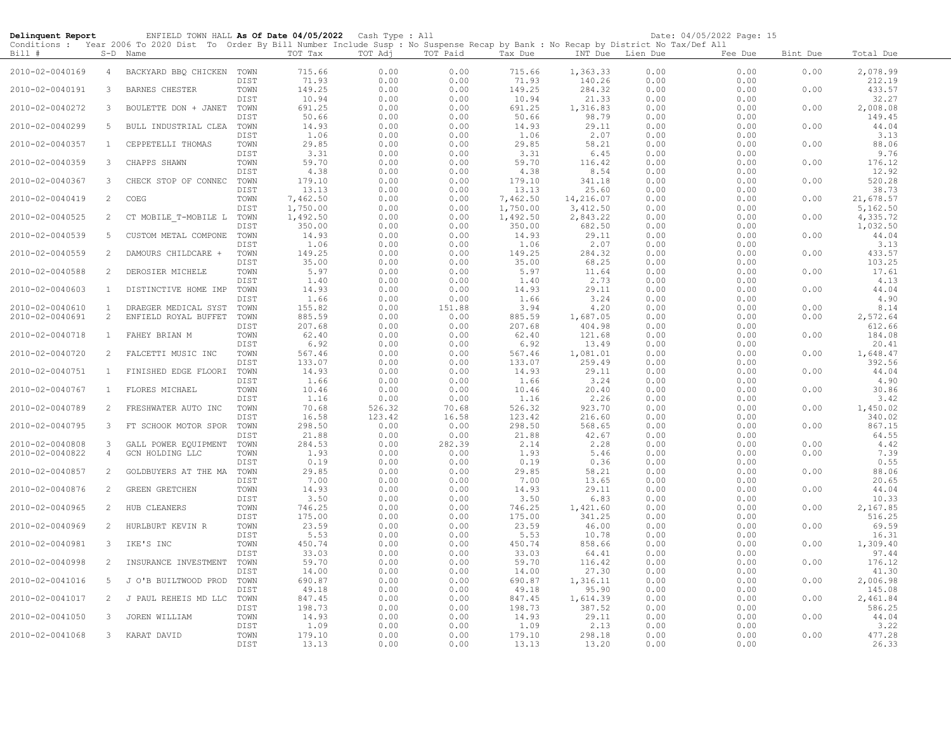| Delinquent Report                  |                     | ENFIELD TOWN HALL As Of Date 04/05/2022 Cash Type : All                                                                                             |              |                      |                  |                |                      |                      |                  | Date: 04/05/2022 Page: 15 |              |                      |
|------------------------------------|---------------------|-----------------------------------------------------------------------------------------------------------------------------------------------------|--------------|----------------------|------------------|----------------|----------------------|----------------------|------------------|---------------------------|--------------|----------------------|
| Bill #                             |                     | Conditions: Year 2006 To 2020 Dist To Order By Bill Number Include Susp: No Suspense Recap by Bank: No Recap by District No Tax/Def All<br>S-D Name |              | TOT Tax              | TOT Adj          | TOT Paid       | Tax Due              |                      | INT Due Lien Due | Fee Due                   | Bint Due     | Total Due            |
| 2010-02-0040169                    | $\overline{4}$      | BACKYARD BBO CHICKEN                                                                                                                                | TOWN<br>DIST | 715.66<br>71.93      | 0.00<br>0.00     | 0.00<br>0.00   | 715.66<br>71.93      | 1,363.33<br>140.26   | 0.00<br>0.00     | 0.00<br>0.00              | 0.00         | 2,078.99<br>212.19   |
| 2010-02-0040191                    | 3                   | BARNES CHESTER                                                                                                                                      | TOWN         | 149.25               | 0.00             | 0.00           | 149.25               | 284.32               | 0.00             | 0.00                      | 0.00         | 433.57               |
| 2010-02-0040272                    | 3                   | BOULETTE DON + JANET                                                                                                                                | DIST<br>TOWN | 10.94<br>691.25      | 0.00<br>0.00     | 0.00<br>0.00   | 10.94<br>691.25      | 21.33<br>1,316.83    | 0.00<br>0.00     | 0.00<br>0.00              | 0.00         | 32.27<br>2,008.08    |
| 2010-02-0040299                    | 5                   | BULL INDUSTRIAL CLEA                                                                                                                                | DIST<br>TOWN | 50.66<br>14.93       | 0.00<br>0.00     | 0.00<br>0.00   | 50.66<br>14.93       | 98.79<br>29.11       | 0.00<br>0.00     | 0.00<br>0.00              | 0.00         | 149.45<br>44.04      |
| 2010-02-0040357                    | $\mathbf{1}$        | CEPPETELLI THOMAS                                                                                                                                   | DIST<br>TOWN | 1.06<br>29.85        | 0.00<br>0.00     | 0.00<br>0.00   | 1.06<br>29.85        | 2.07<br>58.21        | 0.00<br>0.00     | 0.00<br>0.00              | 0.00         | 3.13<br>88.06        |
| 2010-02-0040359                    | 3                   | CHAPPS SHAWN                                                                                                                                        | DIST<br>TOWN | 3.31<br>59.70        | 0.00<br>0.00     | 0.00<br>0.00   | 3.31<br>59.70        | 6.45<br>116.42       | 0.00<br>0.00     | 0.00<br>0.00              | 0.00         | 9.76<br>176.12       |
| 2010-02-0040367                    | 3                   | CHECK STOP OF CONNEC                                                                                                                                | DIST<br>TOWN | 4.38<br>179.10       | 0.00<br>0.00     | 0.00<br>0.00   | 4.38<br>179.10       | 8.54<br>341.18       | 0.00<br>0.00     | 0.00<br>0.00              | 0.00         | 12.92<br>520.28      |
| 2010-02-0040419                    | $\overline{c}$      | COEG                                                                                                                                                | DIST<br>TOWN | 13.13<br>7,462.50    | 0.00<br>0.00     | 0.00<br>0.00   | 13.13<br>7,462.50    | 25.60<br>14,216.07   | 0.00<br>0.00     | 0.00<br>0.00              | 0.00         | 38.73<br>21,678.57   |
| 2010-02-0040525                    | $\overline{2}$      | CT MOBILE T-MOBILE L TOWN                                                                                                                           | DIST         | 1,750.00<br>1,492.50 | 0.00<br>0.00     | 0.00<br>0.00   | 1,750.00<br>1,492.50 | 3,412.50<br>2,843.22 | 0.00<br>0.00     | 0.00<br>0.00              | 0.00         | 5,162.50<br>4,335.72 |
| 2010-02-0040539                    | 5                   | CUSTOM METAL COMPONE                                                                                                                                | DIST<br>TOWN | 350.00<br>14.93      | 0.00<br>0.00     | 0.00<br>0.00   | 350.00<br>14.93      | 682.50<br>29.11      | 0.00<br>0.00     | 0.00<br>0.00              | 0.00         | 1,032.50<br>44.04    |
| 2010-02-0040559                    | 2                   | DAMOURS CHILDCARE +                                                                                                                                 | DIST<br>TOWN | 1.06<br>149.25       | 0.00<br>0.00     | 0.00<br>0.00   | 1.06<br>149.25       | 2.07<br>284.32       | 0.00<br>0.00     | 0.00<br>0.00              | 0.00         | 3.13<br>433.57       |
| 2010-02-0040588                    | 2                   | DEROSIER MICHELE                                                                                                                                    | DIST<br>TOWN | 35.00<br>5.97        | 0.00<br>0.00     | 0.00<br>0.00   | 35.00<br>5.97        | 68.25<br>11.64       | 0.00<br>0.00     | 0.00<br>0.00              | 0.00         | 103.25<br>17.61      |
| 2010-02-0040603                    | $\mathbf{1}$        | DISTINCTIVE HOME IMP                                                                                                                                | DIST<br>TOWN | 1.40<br>14.93        | 0.00<br>0.00     | 0.00<br>0.00   | 1.40<br>14.93        | 2.73<br>29.11        | 0.00<br>0.00     | 0.00<br>0.00              | 0.00         | 4.13<br>44.04        |
| 2010-02-0040610                    | <sup>1</sup>        | DRAEGER MEDICAL SYST                                                                                                                                | DIST<br>TOWN | 1.66<br>155.82       | 0.00<br>0.00     | 0.00<br>151.88 | 1.66<br>3.94         | 3.24<br>4.20         | 0.00<br>0.00     | 0.00<br>0.00              | 0.00         | 4.90<br>8.14         |
| 2010-02-0040691                    | 2                   | ENFIELD ROYAL BUFFET                                                                                                                                | TOWN<br>DIST | 885.59<br>207.68     | 0.00<br>0.00     | 0.00<br>0.00   | 885.59<br>207.68     | 1,687.05<br>404.98   | 0.00<br>0.00     | 0.00<br>0.00              | 0.00         | 2,572.64<br>612.66   |
| 2010-02-0040718                    | $\mathbf{1}$        | FAHEY BRIAN M                                                                                                                                       | TOWN<br>DIST | 62.40<br>6.92        | 0.00<br>0.00     | 0.00<br>0.00   | 62.40<br>6.92        | 121.68<br>13.49      | 0.00<br>0.00     | 0.00<br>0.00              | 0.00         | 184.08<br>20.41      |
| 2010-02-0040720                    | 2                   | FALCETTI MUSIC INC                                                                                                                                  | TOWN<br>DIST | 567.46<br>133.07     | 0.00<br>0.00     | 0.00<br>0.00   | 567.46<br>133.07     | 1,081.01<br>259.49   | 0.00<br>0.00     | 0.00<br>0.00              | 0.00         | 1,648.47<br>392.56   |
| 2010-02-0040751                    | $\mathbf{1}$        | FINISHED EDGE FLOORI                                                                                                                                | TOWN<br>DIST | 14.93<br>1.66        | 0.00<br>0.00     | 0.00<br>0.00   | 14.93<br>1.66        | 29.11<br>3.24        | 0.00<br>0.00     | 0.00<br>0.00              | 0.00         | 44.04<br>4.90        |
| 2010-02-0040767                    | $\mathbf{1}$        | FLORES MICHAEL                                                                                                                                      | TOWN<br>DIST | 10.46<br>1.16        | 0.00<br>0.00     | 0.00<br>0.00   | 10.46<br>1.16        | 20.40<br>2.26        | 0.00<br>0.00     | 0.00<br>0.00              | 0.00         | 30.86<br>3.42        |
| 2010-02-0040789                    | 2                   | FRESHWATER AUTO INC                                                                                                                                 | TOWN<br>DIST | 70.68<br>16.58       | 526.32<br>123.42 | 70.68<br>16.58 | 526.32<br>123.42     | 923.70<br>216.60     | 0.00<br>0.00     | 0.00<br>0.00              | 0.00         | 1,450.02<br>340.02   |
| 2010-02-0040795                    | 3                   | FT SCHOOK MOTOR SPOR                                                                                                                                | TOWN<br>DIST | 298.50<br>21.88      | 0.00<br>0.00     | 0.00<br>0.00   | 298.50<br>21.88      | 568.65<br>42.67      | 0.00<br>0.00     | 0.00<br>0.00              | 0.00         | 867.15<br>64.55      |
| 2010-02-0040808<br>2010-02-0040822 | 3<br>$\overline{4}$ | GALL POWER EQUIPMENT<br>GCN HOLDING LLC                                                                                                             | TOWN<br>TOWN | 284.53<br>1.93       | 0.00<br>0.00     | 282.39<br>0.00 | 2.14<br>1.93         | 2.28<br>5.46         | 0.00<br>0.00     | 0.00<br>0.00              | 0.00<br>0.00 | 4.42<br>7.39         |
| 2010-02-0040857                    | 2                   | GOLDBUYERS AT THE MA                                                                                                                                | DIST<br>TOWN | 0.19<br>29.85        | 0.00<br>0.00     | 0.00<br>0.00   | 0.19<br>29.85        | 0.36<br>58.21        | 0.00<br>0.00     | 0.00<br>0.00              | 0.00         | 0.55<br>88.06        |
| 2010-02-0040876                    | 2                   | <b>GREEN GRETCHEN</b>                                                                                                                               | DIST<br>TOWN | 7.00<br>14.93        | 0.00<br>0.00     | 0.00<br>0.00   | 7.00<br>14.93        | 13.65<br>29.11       | 0.00<br>0.00     | 0.00<br>0.00              | 0.00         | 20.65<br>44.04       |
| 2010-02-0040965                    | 2                   | HUB CLEANERS                                                                                                                                        | DIST<br>TOWN | 3.50<br>746.25       | 0.00<br>0.00     | 0.00<br>0.00   | 3.50<br>746.25       | 6.83<br>1,421.60     | 0.00<br>0.00     | 0.00<br>0.00              | 0.00         | 10.33<br>2,167.85    |
| 2010-02-0040969                    | 2                   | HURLBURT KEVIN R                                                                                                                                    | DIST<br>TOWN | 175.00<br>23.59      | 0.00<br>0.00     | 0.00<br>0.00   | 175.00<br>23.59      | 341.25<br>46.00      | 0.00<br>0.00     | 0.00<br>0.00              | 0.00         | 516.25<br>69.59      |
| 2010-02-0040981                    | 3                   | IKE'S INC                                                                                                                                           | DIST<br>TOWN | 5.53<br>450.74       | 0.00<br>0.00     | 0.00<br>0.00   | 5.53<br>450.74       | 10.78<br>858.66      | 0.00<br>0.00     | 0.00<br>0.00              | 0.00         | 16.31<br>1,309.40    |
| 2010-02-0040998                    | $\overline{2}$      | INSURANCE INVESTMENT                                                                                                                                | DIST<br>TOWN | 33.03<br>59.70       | 0.00<br>0.00     | 0.00<br>0.00   | 33.03<br>59.70       | 64.41<br>116.42      | 0.00<br>0.00     | 0.00<br>0.00              | 0.00         | 97.44<br>176.12      |
| 2010-02-0041016                    | 5                   | J O'B BUILTWOOD PROD                                                                                                                                | DIST<br>TOWN | 14.00<br>690.87      | 0.00<br>0.00     | 0.00<br>0.00   | 14.00<br>690.87      | 27.30<br>1,316.11    | 0.00<br>0.00     | 0.00<br>0.00              | 0.00         | 41.30<br>2,006.98    |
| 2010-02-0041017                    | 2                   | J PAUL REHEIS MD LLC                                                                                                                                | DIST<br>TOWN | 49.18<br>847.45      | 0.00<br>0.00     | 0.00<br>0.00   | 49.18<br>847.45      | 95.90<br>1,614.39    | 0.00<br>0.00     | 0.00<br>0.00              | 0.00         | 145.08<br>2,461.84   |
| 2010-02-0041050                    | 3                   | JOREN WILLIAM                                                                                                                                       | DIST<br>TOWN | 198.73<br>14.93      | 0.00<br>0.00     | 0.00<br>0.00   | 198.73<br>14.93      | 387.52<br>29.11      | 0.00<br>0.00     | 0.00<br>0.00              | 0.00         | 586.25<br>44.04      |
| 2010-02-0041068                    | 3                   | KARAT DAVID                                                                                                                                         | DIST<br>TOWN | 1.09<br>179.10       | 0.00<br>0.00     | 0.00<br>0.00   | 1.09<br>179.10       | 2.13<br>298.18       | 0.00<br>0.00     | 0.00<br>0.00              | 0.00         | 3.22<br>477.28       |
|                                    |                     |                                                                                                                                                     | DIST         | 13.13                | 0.00             | 0.00           | 13.13                | 13.20                | 0.00             | 0.00                      |              | 26.33                |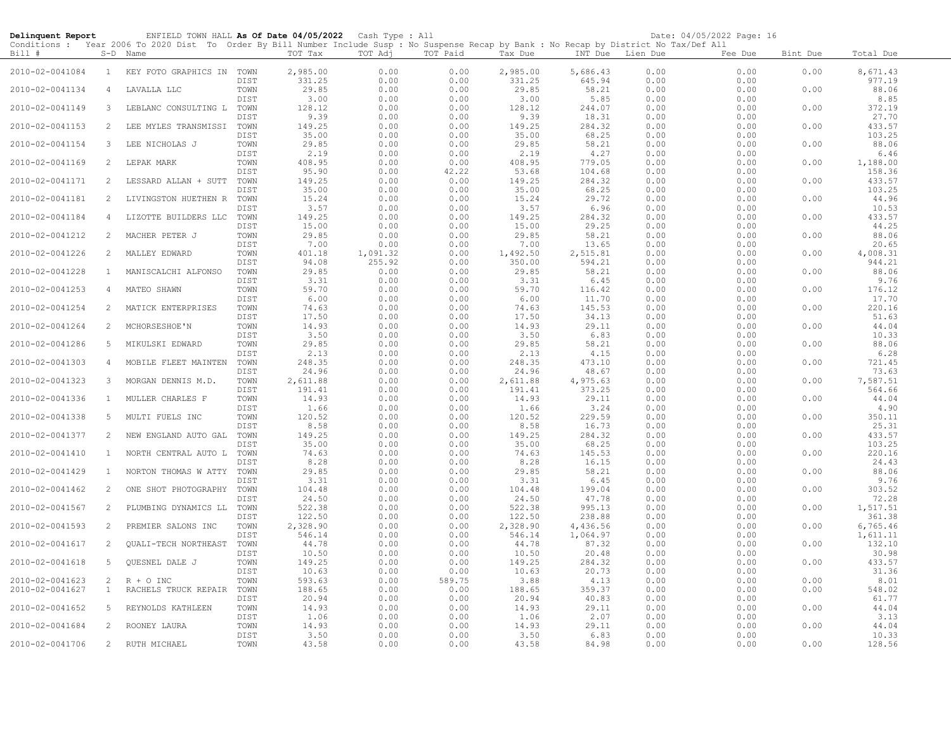| Delinquent Report |                       | ENFIELD TOWN HALL As Of Date 04/05/2022 Cash Type : All                                                                                                |              |                    |                  |                |                    |                    |                  | Date: 04/05/2022 Page: 16 |          |                    |
|-------------------|-----------------------|--------------------------------------------------------------------------------------------------------------------------------------------------------|--------------|--------------------|------------------|----------------|--------------------|--------------------|------------------|---------------------------|----------|--------------------|
| Bill #            |                       | Conditions : Year 2006 To 2020 Dist To Order By Bill Number Include Susp : No Suspense Recap by Bank : No Recap by District No Tax/Def All<br>S-D Name |              | TOT Tax            | TOT Adj          | TOT Paid       | Tax Due            |                    | INT Due Lien Due | Fee Due                   | Bint Due | Total Due          |
| 2010-02-0041084   | $\mathbf{1}$          | KEY FOTO GRAPHICS IN TOWN                                                                                                                              | DIST         | 2,985.00<br>331.25 | 0.00<br>0.00     | 0.00<br>0.00   | 2,985.00<br>331.25 | 5,686.43<br>645.94 | 0.00<br>0.00     | 0.00<br>0.00              | 0.00     | 8,671.43<br>977.19 |
| 2010-02-0041134   | 4                     | LAVALLA LLC                                                                                                                                            | TOWN<br>DIST | 29.85<br>3.00      | 0.00<br>0.00     | 0.00<br>0.00   | 29.85<br>3.00      | 58.21<br>5.85      | 0.00<br>0.00     | 0.00<br>0.00              | 0.00     | 88.06<br>8.85      |
| 2010-02-0041149   | 3                     | LEBLANC CONSULTING L                                                                                                                                   | TOWN         | 128.12             | 0.00             | 0.00           | 128.12             | 244.07             | 0.00             | 0.00                      | 0.00     | 372.19             |
| 2010-02-0041153   | 2                     | LEE MYLES TRANSMISSI                                                                                                                                   | DIST<br>TOWN | 9.39<br>149.25     | 0.00<br>0.00     | 0.00<br>0.00   | 9.39<br>149.25     | 18.31<br>284.32    | 0.00<br>0.00     | 0.00<br>0.00              | 0.00     | 27.70<br>433.57    |
| 2010-02-0041154   | 3                     | LEE NICHOLAS J                                                                                                                                         | DIST<br>TOWN | 35.00<br>29.85     | 0.00<br>0.00     | 0.00<br>0.00   | 35.00<br>29.85     | 68.25<br>58.21     | 0.00<br>0.00     | 0.00<br>0.00              | 0.00     | 103.25<br>88.06    |
| 2010-02-0041169   | $\mathbf{2}^{\prime}$ | LEPAK MARK                                                                                                                                             | DIST<br>TOWN | 2.19<br>408.95     | 0.00<br>0.00     | 0.00<br>0.00   | 2.19<br>408.95     | 4.27<br>779.05     | 0.00<br>0.00     | 0.00<br>0.00              | 0.00     | 6.46<br>1,188.00   |
| 2010-02-0041171   | $\overline{2}$        | LESSARD ALLAN + SUTT                                                                                                                                   | DIST<br>TOWN | 95.90<br>149.25    | 0.00<br>0.00     | 42.22<br>0.00  | 53.68<br>149.25    | 104.68<br>284.32   | 0.00<br>0.00     | 0.00<br>0.00              | 0.00     | 158.36<br>433.57   |
| 2010-02-0041181   | $\overline{2}$        | LIVINGSTON HUETHEN R                                                                                                                                   | DIST<br>TOWN | 35.00<br>15.24     | 0.00<br>0.00     | 0.00<br>0.00   | 35.00<br>15.24     | 68.25<br>29.72     | 0.00<br>0.00     | 0.00<br>0.00              | 0.00     | 103.25<br>44.96    |
| 2010-02-0041184   | 4                     | LIZOTTE BUILDERS LLC                                                                                                                                   | DIST<br>TOWN | 3.57<br>149.25     | 0.00<br>0.00     | 0.00<br>0.00   | 3.57<br>149.25     | 6.96<br>284.32     | 0.00<br>0.00     | 0.00<br>0.00              | 0.00     | 10.53<br>433.57    |
| 2010-02-0041212   | 2                     | MACHER PETER J                                                                                                                                         | DIST<br>TOWN | 15.00<br>29.85     | 0.00<br>0.00     | 0.00<br>0.00   | 15.00<br>29.85     | 29.25<br>58.21     | 0.00<br>0.00     | 0.00<br>0.00              | 0.00     | 44.25<br>88.06     |
| 2010-02-0041226   | $\overline{2}$        | MALLEY EDWARD                                                                                                                                          | DIST<br>TOWN | 7.00<br>401.18     | 0.00<br>1,091.32 | 0.00<br>0.00   | 7.00<br>1,492.50   | 13.65<br>2,515.81  | 0.00<br>0.00     | 0.00<br>0.00              | 0.00     | 20.65<br>4,008.31  |
| 2010-02-0041228   | $\mathbf{1}$          | MANISCALCHI ALFONSO                                                                                                                                    | DIST<br>TOWN | 94.08<br>29.85     | 255.92<br>0.00   | 0.00<br>0.00   | 350.00<br>29.85    | 594.21<br>58.21    | 0.00<br>0.00     | 0.00<br>0.00              | 0.00     | 944.21<br>88.06    |
| 2010-02-0041253   | $\overline{4}$        | MATEO SHAWN                                                                                                                                            | DIST<br>TOWN | 3.31<br>59.70      | 0.00<br>0.00     | 0.00<br>0.00   | 3.31<br>59.70      | 6.45<br>116.42     | 0.00<br>0.00     | 0.00<br>0.00              | 0.00     | 9.76<br>176.12     |
| 2010-02-0041254   | 2                     | MATICK ENTERPRISES                                                                                                                                     | DIST<br>TOWN | 6.00<br>74.63      | 0.00<br>0.00     | 0.00           | 6.00               | 11.70<br>145.53    | 0.00             | 0.00                      | 0.00     | 17.70<br>220.16    |
|                   |                       |                                                                                                                                                        | DIST         | 17.50              | 0.00             | 0.00<br>0.00   | 74.63<br>17.50     | 34.13              | 0.00<br>0.00     | 0.00<br>0.00              |          | 51.63              |
| 2010-02-0041264   | $\mathbf{2}^{\prime}$ | MCHORSESHOE'N                                                                                                                                          | TOWN<br>DIST | 14.93<br>3.50      | 0.00<br>0.00     | 0.00<br>0.00   | 14.93<br>3.50      | 29.11<br>6.83      | 0.00<br>0.00     | 0.00<br>0.00              | 0.00     | 44.04<br>10.33     |
| 2010-02-0041286   | 5                     | MIKULSKI EDWARD                                                                                                                                        | TOWN<br>DIST | 29.85<br>2.13      | 0.00<br>0.00     | 0.00<br>0.00   | 29.85<br>2.13      | 58.21<br>4.15      | 0.00<br>0.00     | 0.00<br>0.00              | 0.00     | 88.06<br>6.28      |
| 2010-02-0041303   | $\overline{4}$        | MOBILE FLEET MAINTEN                                                                                                                                   | TOWN<br>DIST | 248.35<br>24.96    | 0.00<br>0.00     | 0.00<br>0.00   | 248.35<br>24.96    | 473.10<br>48.67    | 0.00<br>0.00     | 0.00<br>0.00              | 0.00     | 721.45<br>73.63    |
| 2010-02-0041323   | 3                     | MORGAN DENNIS M.D.                                                                                                                                     | TOWN<br>DIST | 2,611.88<br>191.41 | 0.00<br>0.00     | 0.00<br>0.00   | 2,611.88<br>191.41 | 4,975.63<br>373.25 | 0.00<br>0.00     | 0.00<br>0.00              | 0.00     | 7,587.51<br>564.66 |
| 2010-02-0041336   | $\mathbf{1}$          | MULLER CHARLES F                                                                                                                                       | TOWN<br>DIST | 14.93<br>1.66      | 0.00<br>0.00     | 0.00<br>0.00   | 14.93<br>1.66      | 29.11<br>3.24      | 0.00<br>0.00     | 0.00<br>0.00              | 0.00     | 44.04<br>4.90      |
| 2010-02-0041338   | 5                     | MULTI FUELS INC                                                                                                                                        | TOWN<br>DIST | 120.52<br>8.58     | 0.00<br>0.00     | 0.00<br>0.00   | 120.52<br>8.58     | 229.59<br>16.73    | 0.00<br>0.00     | 0.00<br>0.00              | 0.00     | 350.11<br>25.31    |
| 2010-02-0041377   | 2                     | NEW ENGLAND AUTO GAL                                                                                                                                   | TOWN<br>DIST | 149.25<br>35.00    | 0.00<br>0.00     | 0.00<br>0.00   | 149.25<br>35.00    | 284.32<br>68.25    | 0.00<br>0.00     | 0.00<br>0.00              | 0.00     | 433.57<br>103.25   |
| 2010-02-0041410   | $\mathbf{1}$          | NORTH CENTRAL AUTO L                                                                                                                                   | TOWN<br>DIST | 74.63<br>8.28      | 0.00<br>0.00     | 0.00<br>0.00   | 74.63<br>8.28      | 145.53<br>16.15    | 0.00<br>0.00     | 0.00<br>0.00              | 0.00     | 220.16<br>24.43    |
| 2010-02-0041429   | $\mathbf{1}$          | NORTON THOMAS W ATTY                                                                                                                                   | TOWN<br>DIST | 29.85<br>3.31      | 0.00<br>0.00     | 0.00<br>0.00   | 29.85<br>3.31      | 58.21<br>6.45      | 0.00<br>0.00     | 0.00<br>0.00              | 0.00     | 88.06<br>9.76      |
| 2010-02-0041462   | $\overline{2}$        | ONE SHOT PHOTOGRAPHY                                                                                                                                   | TOWN<br>DIST | 104.48<br>24.50    | 0.00<br>0.00     | 0.00<br>0.00   | 104.48<br>24.50    | 199.04<br>47.78    | 0.00<br>0.00     | 0.00<br>0.00              | 0.00     | 303.52<br>72.28    |
| 2010-02-0041567   | 2                     | PLUMBING DYNAMICS LL                                                                                                                                   | TOWN<br>DIST | 522.38<br>122.50   | 0.00<br>0.00     | 0.00<br>0.00   | 522.38<br>122.50   | 995.13<br>238.88   | 0.00<br>0.00     | 0.00<br>0.00              | 0.00     | 1,517.51<br>361.38 |
| 2010-02-0041593   | 2                     | PREMIER SALONS INC                                                                                                                                     | TOWN         | 2,328.90           | 0.00             | 0.00           | 2,328.90           | 4,436.56           | 0.00             | 0.00                      | 0.00     | 6,765.46           |
| 2010-02-0041617   | 2                     | QUALI-TECH NORTHEAST                                                                                                                                   | DIST<br>TOWN | 546.14<br>44.78    | 0.00<br>0.00     | 0.00<br>0.00   | 546.14<br>44.78    | 1,064.97<br>87.32  | 0.00<br>0.00     | 0.00<br>0.00              | 0.00     | 1,611.11<br>132.10 |
| 2010-02-0041618   | 5                     | <b>OUESNEL DALE J</b>                                                                                                                                  | DIST<br>TOWN | 10.50<br>149.25    | 0.00<br>0.00     | 0.00<br>0.00   | 10.50<br>149.25    | 20.48<br>284.32    | 0.00<br>0.00     | 0.00<br>0.00              | 0.00     | 30.98<br>433.57    |
| 2010-02-0041623   | $\overline{c}$        | $R + O$ INC                                                                                                                                            | DIST<br>TOWN | 10.63<br>593.63    | 0.00<br>0.00     | 0.00<br>589.75 | 10.63<br>3.88      | 20.73<br>4.13      | 0.00<br>0.00     | 0.00<br>0.00              | 0.00     | 31.36<br>8.01      |
| 2010-02-0041627   | $\mathbf{1}$          | RACHELS TRUCK REPAIR                                                                                                                                   | TOWN<br>DIST | 188.65<br>20.94    | 0.00<br>0.00     | 0.00<br>0.00   | 188.65<br>20.94    | 359.37<br>40.83    | 0.00<br>0.00     | 0.00<br>0.00              | 0.00     | 548.02<br>61.77    |
| 2010-02-0041652   | 5                     | REYNOLDS KATHLEEN                                                                                                                                      | TOWN<br>DIST | 14.93<br>1.06      | 0.00<br>0.00     | 0.00<br>0.00   | 14.93<br>1.06      | 29.11<br>2.07      | 0.00<br>0.00     | 0.00<br>0.00              | 0.00     | 44.04<br>3.13      |
| 2010-02-0041684   | 2                     | ROONEY LAURA                                                                                                                                           | TOWN<br>DIST | 14.93<br>3.50      | 0.00<br>0.00     | 0.00<br>0.00   | 14.93<br>3.50      | 29.11<br>6.83      | 0.00<br>0.00     | 0.00<br>0.00              | 0.00     | 44.04<br>10.33     |
| 2010-02-0041706   |                       | 2 RUTH MICHAEL                                                                                                                                         | TOWN         | 43.58              | 0.00             | 0.00           | 43.58              | 84.98              | 0.00             | 0.00                      | 0.00     | 128.56             |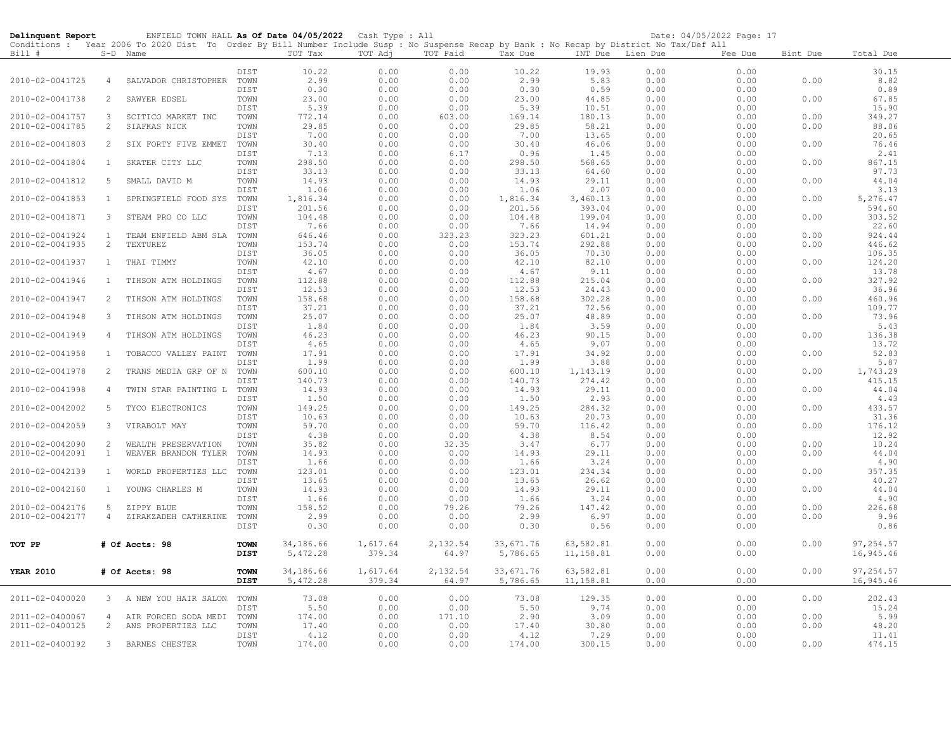| Delinquent Report |                | ENFIELD TOWN HALL As Of Date 04/05/2022 Cash Type : All                                                                                                |              |                 |              |              |                 |                  |              | Date: 04/05/2022 Page: 17 |              |                  |
|-------------------|----------------|--------------------------------------------------------------------------------------------------------------------------------------------------------|--------------|-----------------|--------------|--------------|-----------------|------------------|--------------|---------------------------|--------------|------------------|
| Bill #            |                | Conditions : Year 2006 To 2020 Dist To Order By Bill Number Include Susp : No Suspense Recap by Bank : No Recap by District No Tax/Def All<br>S-D Name |              | TOT Tax         | TOT Adj      | TOT Paid     | Tax Due         | INT Due Lien Due |              | Fee Due                   | Bint Due     | Total Due        |
|                   |                |                                                                                                                                                        | DIST         | 10.22           | 0.00         | 0.00         | 10.22           | 19.93            | 0.00         | 0.00                      |              | 30.15            |
| 2010-02-0041725   | $\overline{4}$ | SALVADOR CHRISTOPHER                                                                                                                                   | TOWN         | 2.99            | 0.00         | 0.00         | 2.99            | 5.83             | 0.00         | 0.00                      | 0.00         | 8.82             |
|                   |                |                                                                                                                                                        | DIST         | 0.30            | 0.00         | 0.00         | 0.30            | 0.59             | 0.00         | 0.00                      |              | 0.89             |
| 2010-02-0041738   | 2              | SAWYER EDSEL                                                                                                                                           | TOWN         | 23.00           | 0.00         | 0.00         | 23.00           | 44.85            | 0.00         | 0.00                      | 0.00         | 67.85            |
|                   |                |                                                                                                                                                        | DIST         | 5.39            | 0.00         | 0.00         | 5.39            | 10.51            | 0.00         | 0.00                      |              | 15.90            |
| 2010-02-0041757   | 3              | SCITICO MARKET INC                                                                                                                                     | TOWN         | 772.14          | 0.00         | 603.00       | 169.14          | 180.13           | 0.00         | 0.00                      | 0.00         | 349.27           |
| 2010-02-0041785   | 2              | SIAFKAS NICK                                                                                                                                           | TOWN         | 29.85           | 0.00         | 0.00         | 29.85           | 58.21            | 0.00         | 0.00                      | 0.00         | 88.06            |
|                   |                |                                                                                                                                                        | DIST         | 7.00            | 0.00         | 0.00         | 7.00            | 13.65            | 0.00         | 0.00                      |              | 20.65            |
| 2010-02-0041803   | 2              | SIX FORTY FIVE EMMET                                                                                                                                   | TOWN         | 30.40           | 0.00         | 0.00         | 30.40           | 46.06            | 0.00         | 0.00                      | 0.00         | 76.46            |
|                   |                |                                                                                                                                                        | DIST         | 7.13            | 0.00         | 6.17         | 0.96            | 1.45             | 0.00         | 0.00                      |              | 2.41             |
| 2010-02-0041804   | $\mathbf{1}$   | SKATER CITY LLC                                                                                                                                        | TOWN<br>DIST | 298.50<br>33.13 | 0.00         | 0.00         | 298.50<br>33.13 | 568.65           | 0.00         | 0.00                      | 0.00         | 867.15<br>97.73  |
| 2010-02-0041812   | 5              | SMALL DAVID M                                                                                                                                          | TOWN         | 14.93           | 0.00<br>0.00 | 0.00<br>0.00 | 14.93           | 64.60<br>29.11   | 0.00<br>0.00 | 0.00<br>0.00              | 0.00         | 44.04            |
|                   |                |                                                                                                                                                        | DIST         | 1.06            | 0.00         | 0.00         | 1.06            | 2.07             | 0.00         | 0.00                      |              | 3.13             |
| 2010-02-0041853   | <sup>1</sup>   | SPRINGFIELD FOOD SYS                                                                                                                                   | TOWN         | 1,816.34        | 0.00         | 0.00         | 1,816.34        | 3,460.13         | 0.00         | 0.00                      | 0.00         | 5,276.47         |
|                   |                |                                                                                                                                                        | DIST         | 201.56          | 0.00         | 0.00         | 201.56          | 393.04           | 0.00         | 0.00                      |              | 594.60           |
| 2010-02-0041871   | 3              | STEAM PRO CO LLC                                                                                                                                       | TOWN         | 104.48          | 0.00         | 0.00         | 104.48          | 199.04           | 0.00         | 0.00                      | 0.00         | 303.52           |
|                   |                |                                                                                                                                                        | DIST         | 7.66            | 0.00         | 0.00         | 7.66            | 14.94            | 0.00         | 0.00                      |              | 22.60            |
| 2010-02-0041924   | $\mathbf{1}$   | TEAM ENFIELD ABM SLA                                                                                                                                   | TOWN         | 646.46          | 0.00         | 323.23       | 323.23          | 601.21           | 0.00         | 0.00                      | 0.00         | 924.44           |
| 2010-02-0041935   | $\overline{c}$ | TEXTUREZ                                                                                                                                               | TOWN         | 153.74          | 0.00         | 0.00         | 153.74          | 292.88           | 0.00         | 0.00                      | 0.00         | 446.62           |
|                   |                |                                                                                                                                                        | DIST         | 36.05           | 0.00         | 0.00         | 36.05           | 70.30            | 0.00         | 0.00                      | 0.00         | 106.35           |
| 2010-02-0041937   | $\mathbf{1}$   | THAI TIMMY                                                                                                                                             | TOWN<br>DIST | 42.10<br>4.67   | 0.00<br>0.00 | 0.00<br>0.00 | 42.10<br>4.67   | 82.10<br>9.11    | 0.00<br>0.00 | 0.00<br>0.00              |              | 124.20<br>13.78  |
| 2010-02-0041946   | $\mathbf{1}$   | TIHSON ATM HOLDINGS                                                                                                                                    | TOWN         | 112.88          | 0.00         | 0.00         | 112.88          | 215.04           | 0.00         | 0.00                      | 0.00         | 327.92           |
|                   |                |                                                                                                                                                        | DIST         | 12.53           | 0.00         | 0.00         | 12.53           | 24.43            | 0.00         | 0.00                      |              | 36.96            |
| 2010-02-0041947   | 2              | TIHSON ATM HOLDINGS                                                                                                                                    | TOWN         | 158.68          | 0.00         | 0.00         | 158.68          | 302.28           | 0.00         | 0.00                      | 0.00         | 460.96           |
|                   |                |                                                                                                                                                        | DIST         | 37.21           | 0.00         | 0.00         | 37.21           | 72.56            | 0.00         | 0.00                      |              | 109.77           |
| 2010-02-0041948   | 3              | TIHSON ATM HOLDINGS                                                                                                                                    | TOWN         | 25.07           | 0.00         | 0.00         | 25.07           | 48.89            | 0.00         | 0.00                      | 0.00         | 73.96            |
|                   |                |                                                                                                                                                        | DIST         | 1.84            | 0.00         | 0.00         | 1.84            | 3.59             | 0.00         | 0.00                      |              | 5.43             |
| 2010-02-0041949   | $\overline{4}$ | TIHSON ATM HOLDINGS                                                                                                                                    | TOWN         | 46.23           | 0.00         | 0.00         | 46.23           | 90.15            | 0.00         | 0.00                      | 0.00         | 136.38           |
|                   |                |                                                                                                                                                        | DIST         | 4.65            | 0.00         | 0.00         | 4.65            | 9.07             | 0.00         | 0.00                      |              | 13.72            |
| 2010-02-0041958   | $\mathbf{1}$   | TOBACCO VALLEY PAINT                                                                                                                                   | TOWN         | 17.91           | 0.00         | 0.00         | 17.91           | 34.92            | 0.00         | 0.00                      | 0.00         | 52.83            |
| 2010-02-0041978   | $\overline{2}$ | TRANS MEDIA GRP OF N                                                                                                                                   | DIST<br>TOWN | 1.99<br>600.10  | 0.00<br>0.00 | 0.00<br>0.00 | 1.99<br>600.10  | 3.88<br>1,143.19 | 0.00<br>0.00 | 0.00<br>0.00              | 0.00         | 5.87<br>1,743.29 |
|                   |                |                                                                                                                                                        | DIST         | 140.73          | 0.00         | 0.00         | 140.73          | 274.42           | 0.00         | 0.00                      |              | 415.15           |
| 2010-02-0041998   | 4              | TWIN STAR PAINTING L                                                                                                                                   | TOWN         | 14.93           | 0.00         | 0.00         | 14.93           | 29.11            | 0.00         | 0.00                      | 0.00         | 44.04            |
|                   |                |                                                                                                                                                        | DIST         | 1.50            | 0.00         | 0.00         | 1.50            | 2.93             | 0.00         | 0.00                      |              | 4.43             |
| 2010-02-0042002   | 5              | TYCO ELECTRONICS                                                                                                                                       | TOWN         | 149.25          | 0.00         | 0.00         | 149.25          | 284.32           | 0.00         | 0.00                      | 0.00         | 433.57           |
|                   |                |                                                                                                                                                        | DIST         | 10.63           | 0.00         | 0.00         | 10.63           | 20.73            | 0.00         | 0.00                      |              | 31.36            |
| 2010-02-0042059   | 3              | VIRABOLT MAY                                                                                                                                           | TOWN         | 59.70           | 0.00         | 0.00         | 59.70           | 116.42           | 0.00         | 0.00                      | 0.00         | 176.12           |
|                   |                |                                                                                                                                                        | DIST         | 4.38            | 0.00         | 0.00         | 4.38            | 8.54             | 0.00         | 0.00                      |              | 12.92            |
| 2010-02-0042090   | 2              | WEALTH PRESERVATION                                                                                                                                    | TOWN         | 35.82           | 0.00         | 32.35        | 3.47            | 6.77             | 0.00         | 0.00                      | 0.00<br>0.00 | 10.24            |
| 2010-02-0042091   | $\mathbf{1}$   | WEAVER BRANDON TYLER                                                                                                                                   | TOWN<br>DIST | 14.93<br>1.66   | 0.00<br>0.00 | 0.00<br>0.00 | 14.93<br>1.66   | 29.11<br>3.24    | 0.00<br>0.00 | 0.00<br>0.00              |              | 44.04<br>4.90    |
| 2010-02-0042139   | $\mathbf{1}$   | WORLD PROPERTIES LLC                                                                                                                                   | TOWN         | 123.01          | 0.00         | 0.00         | 123.01          | 234.34           | 0.00         | 0.00                      | 0.00         | 357.35           |
|                   |                |                                                                                                                                                        | DIST         | 13.65           | 0.00         | 0.00         | 13.65           | 26.62            | 0.00         | 0.00                      |              | 40.27            |
| 2010-02-0042160   | $\mathbf{1}$   | YOUNG CHARLES M                                                                                                                                        | TOWN         | 14.93           | 0.00         | 0.00         | 14.93           | 29.11            | 0.00         | 0.00                      | 0.00         | 44.04            |
|                   |                |                                                                                                                                                        | DIST         | 1.66            | 0.00         | 0.00         | 1.66            | 3.24             | 0.00         | 0.00                      |              | 4.90             |
| 2010-02-0042176   | 5              | ZIPPY BLUE                                                                                                                                             | TOWN         | 158.52          | 0.00         | 79.26        | 79.26           | 147.42           | 0.00         | 0.00                      | 0.00         | 226.68           |
| 2010-02-0042177   | $\overline{4}$ | ZIRAKZADEH CATHERINE                                                                                                                                   | TOWN         | 2.99            | 0.00         | 0.00         | 2.99            | 6.97             | 0.00         | 0.00                      | 0.00         | 9.96             |
|                   |                |                                                                                                                                                        | DIST         | 0.30            | 0.00         | 0.00         | 0.30            | 0.56             | 0.00         | 0.00                      |              | 0.86             |
| TOT PP            |                | # Of Accts: 98                                                                                                                                         | <b>TOWN</b>  | 34,186.66       | 1,617.64     | 2,132.54     | 33,671.76       | 63,582.81        | 0.00         | 0.00                      | 0.00         | 97,254.57        |
|                   |                |                                                                                                                                                        | DIST         | 5,472.28        | 379.34       | 64.97        | 5,786.65        | 11,158.81        | 0.00         | 0.00                      |              | 16,945.46        |
|                   |                |                                                                                                                                                        |              |                 |              |              |                 |                  |              |                           |              |                  |
| <b>YEAR 2010</b>  |                | # Of Accts: 98                                                                                                                                         | <b>TOWN</b>  | 34,186.66       | 1,617.64     | 2,132.54     | 33,671.76       | 63,582.81        | 0.00         | 0.00                      | 0.00         | 97,254.57        |
|                   |                |                                                                                                                                                        | <b>DIST</b>  | 5,472.28        | 379.34       | 64.97        | 5,786.65        | 11,158.81        | 0.00         | 0.00                      |              | 16,945.46        |
| 2011-02-0400020   |                | 3 A NEW YOU HAIR SALON                                                                                                                                 | TOWN         | 73.08           | 0.00         | 0.00         | 73.08           | 129.35           | 0.00         | 0.00                      | 0.00         | 202.43           |
|                   |                |                                                                                                                                                        | DIST         | 5.50            | 0.00         | 0.00         | 5.50            | 9.74             | 0.00         | 0.00                      |              | 15.24            |
| 2011-02-0400067   | $\overline{4}$ | AIR FORCED SODA MEDI                                                                                                                                   | TOWN         | 174.00          | 0.00         | 171.10       | 2.90            | 3.09             | 0.00         | 0.00                      | 0.00         | 5.99             |
| 2011-02-0400125   | 2              | ANS PROPERTIES LLC                                                                                                                                     | TOWN         | 17.40           | 0.00         | 0.00         | 17.40           | 30.80            | 0.00         | 0.00                      | 0.00         | 48.20            |
| 2011-02-0400192   | $\mathbf{3}$   | BARNES CHESTER                                                                                                                                         | DIST<br>TOWN | 4.12<br>174.00  | 0.00<br>0.00 | 0.00<br>0.00 | 4.12<br>174.00  | 7.29<br>300.15   | 0.00<br>0.00 | 0.00<br>0.00              | 0.00         | 11.41<br>474.15  |
|                   |                |                                                                                                                                                        |              |                 |              |              |                 |                  |              |                           |              |                  |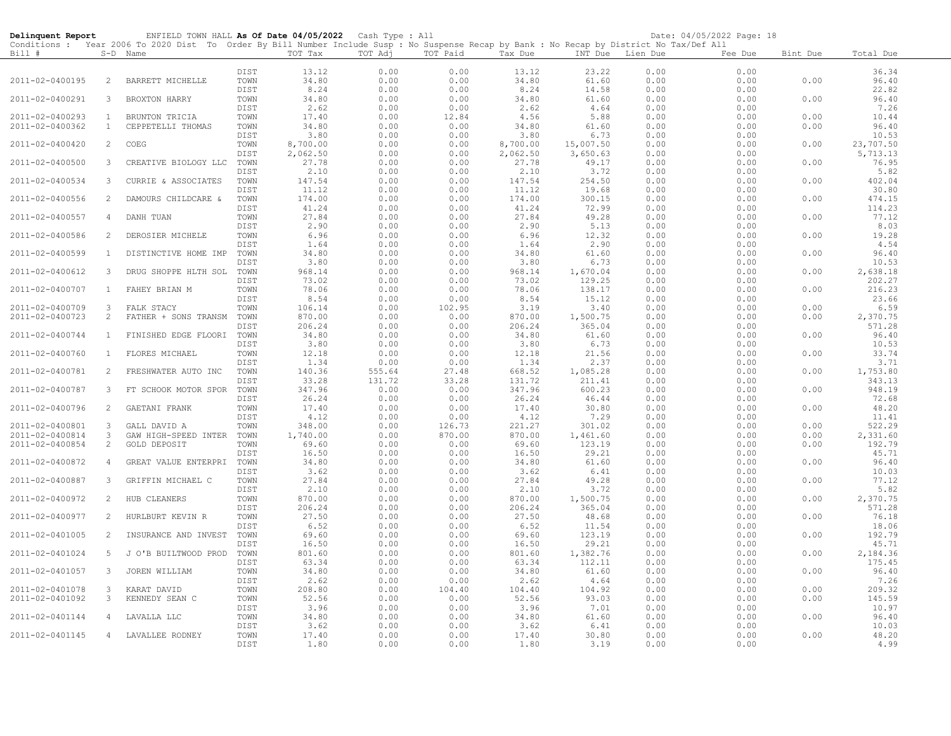| Delinquent Report |                | ENFIELD TOWN HALL As Of Date 04/05/2022                                                                                                    |      |          | Cash Type : All |          |          |                  |      | Date: 04/05/2022 Page: 18 |          |           |
|-------------------|----------------|--------------------------------------------------------------------------------------------------------------------------------------------|------|----------|-----------------|----------|----------|------------------|------|---------------------------|----------|-----------|
|                   |                | Conditions : Year 2006 To 2020 Dist To Order By Bill Number Include Susp : No Suspense Recap by Bank : No Recap by District No Tax/Def All |      |          |                 |          |          |                  |      |                           |          |           |
| Bill #            |                | S-D Name                                                                                                                                   |      | TOT Tax  | TOT Adj         | TOT Paid | Tax Due  | INT Due Lien Due |      | Fee Due                   | Bint Due | Total Due |
|                   |                |                                                                                                                                            |      |          |                 |          |          |                  |      |                           |          |           |
|                   |                |                                                                                                                                            | DIST | 13.12    | 0.00            | 0.00     | 13.12    | 23.22            | 0.00 | 0.00                      |          | 36.34     |
| 2011-02-0400195   | 2              | BARRETT MICHELLE                                                                                                                           | TOWN | 34.80    | 0.00            | 0.00     | 34.80    | 61.60            | 0.00 | 0.00                      | 0.00     | 96.40     |
|                   |                |                                                                                                                                            | DIST | 8.24     | 0.00            | 0.00     | 8.24     | 14.58            | 0.00 | 0.00                      |          | 22.82     |
| 2011-02-0400291   | 3              | BROXTON HARRY                                                                                                                              | TOWN | 34.80    | 0.00            | 0.00     | 34.80    | 61.60            | 0.00 | 0.00                      | 0.00     | 96.40     |
|                   |                |                                                                                                                                            | DIST | 2.62     | 0.00            | 0.00     | 2.62     | 4.64             | 0.00 | 0.00                      |          | 7.26      |
| 2011-02-0400293   | 1              | BRUNTON TRICIA                                                                                                                             | TOWN | 17.40    | 0.00            | 12.84    | 4.56     | 5.88             | 0.00 | 0.00                      | 0.00     | 10.44     |
| 2011-02-0400362   | $\mathbf{1}$   | CEPPETELLI THOMAS                                                                                                                          | TOWN | 34.80    | 0.00            | 0.00     | 34.80    | 61.60            | 0.00 | 0.00                      | 0.00     | 96.40     |
|                   |                |                                                                                                                                            | DIST | 3.80     | 0.00            | 0.00     | 3.80     | 6.73             | 0.00 | 0.00                      |          | 10.53     |
| 2011-02-0400420   | 2              | COEG                                                                                                                                       | TOWN | 8,700.00 | 0.00            | 0.00     | 8,700.00 | 15,007.50        | 0.00 | 0.00                      | 0.00     | 23,707.50 |
|                   |                |                                                                                                                                            | DIST | 2,062.50 | 0.00            | 0.00     | 2,062.50 | 3,650.63         | 0.00 | 0.00                      |          | 5,713.13  |
| 2011-02-0400500   | 3              | CREATIVE BIOLOGY LLC TOWN                                                                                                                  |      | 27.78    | 0.00            | 0.00     | 27.78    | 49.17            | 0.00 | 0.00                      | 0.00     | 76.95     |
|                   |                |                                                                                                                                            | DIST | 2.10     | 0.00            | 0.00     | 2.10     | 3.72             | 0.00 | 0.00                      |          | 5.82      |
| 2011-02-0400534   | 3              | CURRIE & ASSOCIATES                                                                                                                        | TOWN | 147.54   | 0.00            | 0.00     | 147.54   | 254.50           | 0.00 | 0.00                      | 0.00     | 402.04    |
|                   |                |                                                                                                                                            | DIST | 11.12    | 0.00            | 0.00     | 11.12    | 19.68            | 0.00 | 0.00                      |          | 30.80     |
| 2011-02-0400556   | 2              | DAMOURS CHILDCARE &                                                                                                                        | TOWN | 174.00   | 0.00            | 0.00     | 174.00   | 300.15           | 0.00 | 0.00                      | 0.00     | 474.15    |
|                   |                |                                                                                                                                            | DIST | 41.24    | 0.00            | 0.00     | 41.24    | 72.99            | 0.00 | 0.00                      |          | 114.23    |
| 2011-02-0400557   | 4              | DANH TUAN                                                                                                                                  | TOWN | 27.84    | 0.00            | 0.00     | 27.84    | 49.28            | 0.00 | 0.00                      | 0.00     | 77.12     |
|                   |                |                                                                                                                                            | DIST | 2.90     | 0.00            | 0.00     | 2.90     | 5.13             | 0.00 | 0.00                      |          | 8.03      |
| 2011-02-0400586   | 2              | DEROSIER MICHELE                                                                                                                           | TOWN | 6.96     | 0.00            | 0.00     | 6.96     | 12.32            | 0.00 | 0.00                      | 0.00     | 19.28     |
|                   |                |                                                                                                                                            | DIST | 1.64     | 0.00            | 0.00     | 1.64     | 2.90             | 0.00 | 0.00                      |          | 4.54      |
| 2011-02-0400599   | $\mathbf{1}$   | DISTINCTIVE HOME IMP                                                                                                                       | TOWN | 34.80    | 0.00            | 0.00     | 34.80    | 61.60            | 0.00 | 0.00                      | 0.00     | 96.40     |
|                   |                |                                                                                                                                            | DIST | 3.80     | 0.00            | 0.00     | 3.80     | 6.73             | 0.00 | 0.00                      |          | 10.53     |
| 2011-02-0400612   | 3              | DRUG SHOPPE HLTH SOL TOWN                                                                                                                  |      | 968.14   | 0.00            | 0.00     | 968.14   | 1,670.04         | 0.00 | 0.00                      | 0.00     | 2,638.18  |
|                   |                |                                                                                                                                            | DIST | 73.02    | 0.00            | 0.00     | 73.02    | 129.25           | 0.00 | 0.00                      |          | 202.27    |
| 2011-02-0400707   | 1              | FAHEY BRIAN M                                                                                                                              | TOWN | 78.06    | 0.00            | 0.00     | 78.06    | 138.17           | 0.00 | 0.00                      | 0.00     | 216.23    |
|                   |                |                                                                                                                                            | DIST | 8.54     | 0.00            | 0.00     | 8.54     | 15.12            | 0.00 | 0.00                      |          | 23.66     |
| 2011-02-0400709   | 3              | FALK STACY                                                                                                                                 | TOWN | 106.14   | 0.00            | 102.95   | 3.19     | 3.40             | 0.00 | 0.00                      | 0.00     | 6.59      |
| 2011-02-0400723   | 2              | FATHER + SONS TRANSM TOWN                                                                                                                  |      | 870.00   | 0.00            | 0.00     | 870.00   | 1,500.75         | 0.00 | 0.00                      | 0.00     | 2,370.75  |
|                   |                |                                                                                                                                            | DIST | 206.24   | 0.00            | 0.00     | 206.24   | 365.04           | 0.00 | 0.00                      |          | 571.28    |
| 2011-02-0400744   | $\mathbf{1}$   | FINISHED EDGE FLOORI                                                                                                                       | TOWN | 34.80    | 0.00            | 0.00     | 34.80    | 61.60            | 0.00 | 0.00                      | 0.00     | 96.40     |
|                   |                |                                                                                                                                            | DIST | 3.80     | 0.00            | 0.00     | 3.80     | 6.73             | 0.00 | 0.00                      |          | 10.53     |
| 2011-02-0400760   | $\overline{1}$ | FLORES MICHAEL                                                                                                                             | TOWN | 12.18    | 0.00            | 0.00     | 12.18    | 21.56            | 0.00 | 0.00                      | 0.00     | 33.74     |
|                   |                |                                                                                                                                            | DIST | 1.34     | 0.00            | 0.00     | 1.34     | 2.37             | 0.00 | 0.00                      |          | 3.71      |
| 2011-02-0400781   | 2              | FRESHWATER AUTO INC                                                                                                                        | TOWN | 140.36   | 555.64          | 27.48    | 668.52   | 1,085.28         | 0.00 | 0.00                      | 0.00     | 1,753.80  |
|                   |                |                                                                                                                                            | DIST | 33.28    | 131.72          | 33.28    | 131.72   | 211.41           | 0.00 | 0.00                      |          | 343.13    |
| 2011-02-0400787   | 3              | FT SCHOOK MOTOR SPOR TOWN                                                                                                                  |      | 347.96   | 0.00            | 0.00     | 347.96   | 600.23           | 0.00 | 0.00                      | 0.00     | 948.19    |
|                   |                |                                                                                                                                            | DIST | 26.24    | 0.00            | 0.00     | 26.24    | 46.44            | 0.00 | 0.00                      |          | 72.68     |
| 2011-02-0400796   | 2              | GAETANI FRANK                                                                                                                              | TOWN | 17.40    | 0.00            | 0.00     | 17.40    | 30.80            | 0.00 | 0.00                      | 0.00     | 48.20     |
|                   |                |                                                                                                                                            | DIST | 4.12     | 0.00            | 0.00     | 4.12     | 7.29             | 0.00 | 0.00                      |          | 11.41     |
| 2011-02-0400801   | 3              | GALL DAVID A                                                                                                                               | TOWN | 348.00   | 0.00            | 126.73   | 221.27   | 301.02           | 0.00 | 0.00                      | 0.00     | 522.29    |
| 2011-02-0400814   | 3              | GAW HIGH-SPEED INTER TOWN                                                                                                                  |      | 1,740.00 | 0.00            | 870.00   | 870.00   | 1,461.60         | 0.00 | 0.00                      | 0.00     | 2,331.60  |
| 2011-02-0400854   | 2              | GOLD DEPOSIT                                                                                                                               | TOWN | 69.60    | 0.00            | 0.00     | 69.60    | 123.19           | 0.00 | 0.00                      | 0.00     | 192.79    |
|                   |                |                                                                                                                                            | DIST | 16.50    | 0.00            | 0.00     | 16.50    | 29.21            | 0.00 | 0.00                      |          | 45.71     |
| 2011-02-0400872   | 4              | GREAT VALUE ENTERPRI TOWN                                                                                                                  |      | 34.80    | 0.00            | 0.00     | 34.80    | 61.60            | 0.00 | 0.00                      | 0.00     | 96.40     |
|                   |                |                                                                                                                                            | DIST | 3.62     | 0.00            | 0.00     | 3.62     | 6.41             | 0.00 | 0.00                      |          | 10.03     |
| 2011-02-0400887   | 3              | GRIFFIN MICHAEL C                                                                                                                          | TOWN | 27.84    | 0.00            | 0.00     | 27.84    | 49.28            | 0.00 | 0.00                      | 0.00     | 77.12     |
|                   |                |                                                                                                                                            | DIST | 2.10     | 0.00            | 0.00     | 2.10     | 3.72             | 0.00 | 0.00                      |          | 5.82      |
| 2011-02-0400972   | 2              | HUB CLEANERS                                                                                                                               | TOWN | 870.00   | 0.00            | 0.00     | 870.00   | 1,500.75         | 0.00 | 0.00                      | 0.00     | 2,370.75  |
|                   |                |                                                                                                                                            | DIST | 206.24   | 0.00            | 0.00     | 206.24   | 365.04           | 0.00 | 0.00                      |          | 571.28    |
| 2011-02-0400977   | 2              | HURLBURT KEVIN R                                                                                                                           | TOWN | 27.50    | 0.00            | 0.00     | 27.50    | 48.68            | 0.00 | 0.00                      | 0.00     | 76.18     |
|                   |                |                                                                                                                                            | DIST | 6.52     | 0.00            | 0.00     | 6.52     | 11.54            | 0.00 | 0.00                      |          | 18.06     |
| 2011-02-0401005   | 2              | INSURANCE AND INVEST                                                                                                                       | TOWN | 69.60    | 0.00            | 0.00     | 69.60    | 123.19           | 0.00 | 0.00                      | 0.00     | 192.79    |
|                   |                |                                                                                                                                            | DIST | 16.50    | 0.00            | 0.00     | 16.50    | 29.21            | 0.00 | 0.00                      |          | 45.71     |
| 2011-02-0401024   | 5              | J O'B BUILTWOOD PROD                                                                                                                       | TOWN | 801.60   | 0.00            | 0.00     | 801.60   | 1,382.76         | 0.00 | 0.00                      | 0.00     | 2,184.36  |
|                   |                |                                                                                                                                            | DIST | 63.34    | 0.00            | 0.00     | 63.34    | 112.11           | 0.00 | 0.00                      |          | 175.45    |
| 2011-02-0401057   | 3              | JOREN WILLIAM                                                                                                                              | TOWN | 34.80    | 0.00            | 0.00     | 34.80    | 61.60            | 0.00 | 0.00                      | 0.00     | 96.40     |
|                   |                |                                                                                                                                            | DIST | 2.62     | 0.00            | 0.00     | 2.62     | 4.64             | 0.00 | 0.00                      |          | 7.26      |
| 2011-02-0401078   | 3              | KARAT DAVID                                                                                                                                | TOWN | 208.80   | 0.00            | 104.40   | 104.40   | 104.92           | 0.00 | 0.00                      | 0.00     | 209.32    |
| 2011-02-0401092   | 3              | KENNEDY SEAN C                                                                                                                             | TOWN | 52.56    | 0.00            | 0.00     | 52.56    | 93.03            | 0.00 | 0.00                      | 0.00     | 145.59    |
|                   |                |                                                                                                                                            | DIST | 3.96     | 0.00            | 0.00     | 3.96     | 7.01             | 0.00 | 0.00                      |          | 10.97     |
| 2011-02-0401144   | -4             | LAVALLA LLC                                                                                                                                | TOWN | 34.80    | 0.00            | 0.00     | 34.80    | 61.60            | 0.00 | 0.00                      | 0.00     | 96.40     |
|                   |                |                                                                                                                                            | DIST | 3.62     | 0.00            | 0.00     | 3.62     | 6.41             | 0.00 | 0.00                      |          | 10.03     |
| 2011-02-0401145   | $\overline{4}$ | LAVALLEE RODNEY                                                                                                                            | TOWN | 17.40    | 0.00            | 0.00     | 17.40    | 30.80            | 0.00 | 0.00                      | 0.00     | 48.20     |
|                   |                |                                                                                                                                            | DIST | 1.80     | 0.00            | 0.00     | 1.80     | 3.19             | 0.00 | 0.00                      |          | 4.99      |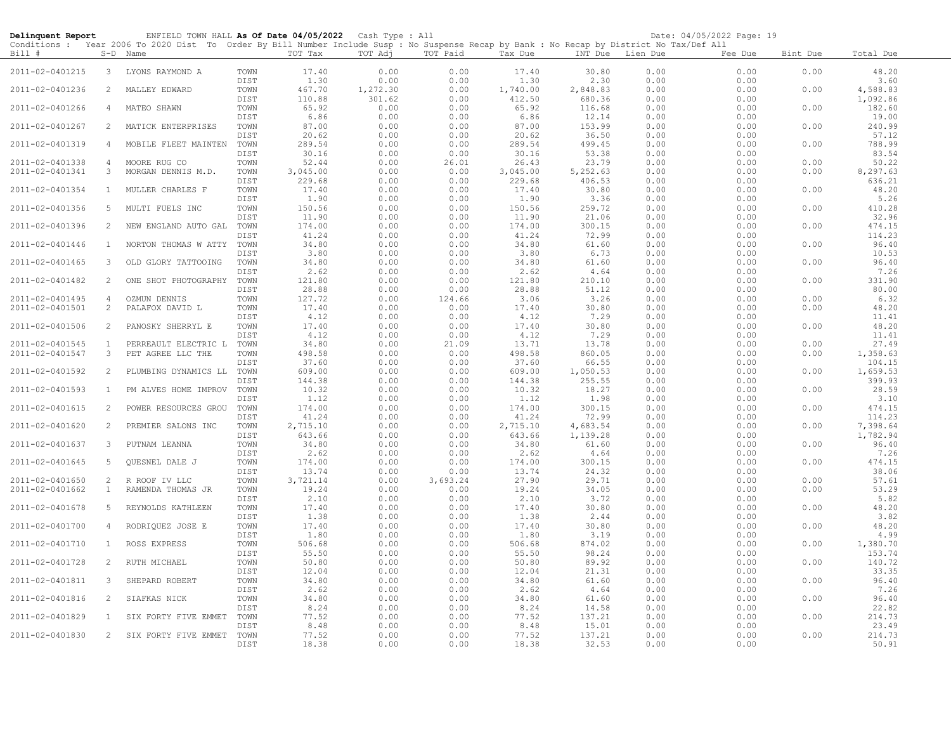| Delinquent Report                  |                     | ENFIELD TOWN HALL As Of Date 04/05/2022 Cash Type : All<br>Conditions : Year 2006 To 2020 Dist To Order By Bill Number Include Susp : No Suspense Recap by Bank : No Recap by District No Tax/Def All |                      |                    |                    |                  |                        |                      |                  | Date: 04/05/2022 Page: 19 |              |                      |
|------------------------------------|---------------------|-------------------------------------------------------------------------------------------------------------------------------------------------------------------------------------------------------|----------------------|--------------------|--------------------|------------------|------------------------|----------------------|------------------|---------------------------|--------------|----------------------|
| Bill #                             |                     | S-D Name                                                                                                                                                                                              |                      | TOT Tax            | TOT Adj            | TOT Paid         | Tax Due                |                      | INT Due Lien Due | Fee Due                   | Bint Due     | Total Due            |
| 2011-02-0401215                    |                     | 3 LYONS RAYMOND A                                                                                                                                                                                     | TOWN<br>DIST         | 17.40<br>1.30      | 0.00<br>0.00       | 0.00<br>0.00     | 17.40<br>1.30          | 30.80<br>2.30        | 0.00<br>0.00     | 0.00<br>0.00              | 0.00         | 48.20<br>3.60        |
| 2011-02-0401236                    | 2                   | MALLEY EDWARD                                                                                                                                                                                         | TOWN<br>DIST         | 467.70<br>110.88   | 1,272.30<br>301.62 | 0.00<br>0.00     | 1,740.00<br>412.50     | 2,848.83<br>680.36   | 0.00<br>0.00     | 0.00<br>0.00              | 0.00         | 4,588.83<br>1,092.86 |
| 2011-02-0401266                    | 4                   | MATEO SHAWN                                                                                                                                                                                           | TOWN                 | 65.92<br>6.86      | 0.00<br>0.00       | 0.00<br>0.00     | 65.92                  | 116.68<br>12.14      | 0.00<br>0.00     | 0.00<br>0.00              | 0.00         | 182.60<br>19.00      |
| 2011-02-0401267                    | $\overline{2}$      | MATICK ENTERPRISES                                                                                                                                                                                    | DIST<br>TOWN<br>DIST | 87.00<br>20.62     | 0.00<br>0.00       | 0.00<br>0.00     | 6.86<br>87.00<br>20.62 | 153.99<br>36.50      | 0.00<br>0.00     | 0.00<br>0.00              | 0.00         | 240.99<br>57.12      |
| 2011-02-0401319                    | $\overline{4}$      | MOBILE FLEET MAINTEN                                                                                                                                                                                  | TOWN<br>DIST         | 289.54<br>30.16    | 0.00<br>0.00       | 0.00<br>0.00     | 289.54<br>30.16        | 499.45<br>53.38      | 0.00<br>0.00     | 0.00<br>0.00              | 0.00         | 788.99<br>83.54      |
| 2011-02-0401338<br>2011-02-0401341 | $\overline{4}$<br>3 | MOORE RUG CO<br>MORGAN DENNIS M.D.                                                                                                                                                                    | TOWN<br>TOWN         | 52.44<br>3,045.00  | 0.00<br>0.00       | 26.01<br>0.00    | 26.43<br>3,045.00      | 23.79<br>5,252.63    | 0.00<br>0.00     | 0.00<br>0.00              | 0.00<br>0.00 | 50.22<br>8,297.63    |
| 2011-02-0401354                    | $\mathbf{1}$        | MULLER CHARLES F                                                                                                                                                                                      | DIST<br>TOWN         | 229.68<br>17.40    | 0.00               | 0.00<br>0.00     | 229.68<br>17.40        | 406.53<br>30.80      | 0.00<br>0.00     | 0.00<br>0.00              | 0.00         | 636.21<br>48.20      |
|                                    |                     |                                                                                                                                                                                                       | DIST                 | 1.90               | 0.00<br>0.00       | 0.00             | 1.90                   | 3.36                 | 0.00             | 0.00                      |              | 5.26                 |
| 2011-02-0401356                    | 5                   | MULTI FUELS INC                                                                                                                                                                                       | TOWN<br>DIST         | 150.56<br>11.90    | 0.00<br>0.00       | 0.00<br>0.00     | 150.56<br>11.90        | 259.72<br>21.06      | 0.00<br>0.00     | 0.00<br>0.00              | 0.00         | 410.28<br>32.96      |
| 2011-02-0401396                    | 2                   | NEW ENGLAND AUTO GAL                                                                                                                                                                                  | TOWN<br>DIST         | 174.00<br>41.24    | 0.00<br>0.00       | 0.00<br>0.00     | 174.00<br>41.24        | 300.15<br>72.99      | 0.00<br>0.00     | 0.00<br>0.00              | 0.00         | 474.15<br>114.23     |
| 2011-02-0401446                    | $\mathbf{1}$        | NORTON THOMAS W ATTY                                                                                                                                                                                  | TOWN<br>DIST         | 34.80<br>3.80      | 0.00<br>0.00       | 0.00<br>0.00     | 34.80<br>3.80          | 61.60<br>6.73        | 0.00<br>0.00     | 0.00<br>0.00              | 0.00         | 96.40<br>10.53       |
| 2011-02-0401465                    | 3                   | OLD GLORY TATTOOING                                                                                                                                                                                   | TOWN<br>DIST         | 34.80<br>2.62      | 0.00<br>0.00       | 0.00<br>0.00     | 34.80<br>2.62          | 61.60<br>4.64        | 0.00<br>0.00     | 0.00<br>0.00              | 0.00         | 96.40<br>7.26        |
| 2011-02-0401482                    | 2                   | ONE SHOT PHOTOGRAPHY                                                                                                                                                                                  | TOWN<br>DIST         | 121.80<br>28.88    | 0.00<br>0.00       | 0.00<br>0.00     | 121.80<br>28.88        | 210.10<br>51.12      | 0.00<br>0.00     | 0.00<br>0.00              | 0.00         | 331.90<br>80.00      |
| 2011-02-0401495<br>2011-02-0401501 | 4<br>2              | OZMUN DENNIS<br>PALAFOX DAVID L                                                                                                                                                                       | TOWN<br>TOWN         | 127.72<br>17.40    | 0.00<br>0.00       | 124.66<br>0.00   | 3.06<br>17.40          | 3.26<br>30.80        | 0.00<br>0.00     | 0.00<br>0.00              | 0.00<br>0.00 | 6.32<br>48.20        |
| 2011-02-0401506                    | 2                   | PANOSKY SHERRYL E                                                                                                                                                                                     | DIST<br>TOWN         | 4.12<br>17.40      | 0.00<br>0.00       | 0.00<br>0.00     | 4.12<br>17.40          | 7.29<br>30.80        | 0.00<br>0.00     | 0.00<br>0.00              | 0.00         | 11.41<br>48.20       |
| 2011-02-0401545                    | $\mathbf{1}$        | PERREAULT ELECTRIC L                                                                                                                                                                                  | DIST<br>TOWN         | 4.12<br>34.80      | 0.00<br>0.00       | 0.00<br>21.09    | 4.12<br>13.71          | 7.29<br>13.78        | 0.00<br>0.00     | 0.00<br>0.00              | 0.00         | 11.41<br>27.49       |
| 2011-02-0401547                    | 3                   | PET AGREE LLC THE                                                                                                                                                                                     | TOWN<br>DIST         | 498.58<br>37.60    | 0.00<br>0.00       | 0.00<br>0.00     | 498.58<br>37.60        | 860.05<br>66.55      | 0.00<br>0.00     | 0.00<br>0.00              | 0.00         | 1,358.63<br>104.15   |
| 2011-02-0401592                    | 2                   | PLUMBING DYNAMICS LL                                                                                                                                                                                  | TOWN<br>DIST         | 609.00<br>144.38   | 0.00<br>0.00       | 0.00<br>0.00     | 609.00<br>144.38       | 1,050.53<br>255.55   | 0.00<br>0.00     | 0.00<br>0.00              | 0.00         | 1,659.53<br>399.93   |
| 2011-02-0401593                    | 1                   | PM ALVES HOME IMPROV                                                                                                                                                                                  | TOWN<br>DIST         | 10.32<br>1.12      | 0.00<br>0.00       | 0.00<br>0.00     | 10.32<br>1.12          | 18.27<br>1.98        | 0.00<br>0.00     | 0.00<br>0.00              | 0.00         | 28.59<br>3.10        |
| 2011-02-0401615                    | 2                   | POWER RESOURCES GROU                                                                                                                                                                                  | TOWN<br>DIST         | 174.00<br>41.24    | 0.00<br>0.00       | 0.00<br>0.00     | 174.00<br>41.24        | 300.15<br>72.99      | 0.00<br>0.00     | 0.00<br>0.00              | 0.00         | 474.15<br>114.23     |
| 2011-02-0401620                    | 2                   | PREMIER SALONS INC                                                                                                                                                                                    | TOWN<br>DIST         | 2,715.10<br>643.66 | 0.00<br>0.00       | 0.00<br>0.00     | 2,715.10<br>643.66     | 4,683.54<br>1,139.28 | 0.00<br>0.00     | 0.00<br>0.00              | 0.00         | 7,398.64<br>1,782.94 |
| 2011-02-0401637                    | 3                   | PUTNAM LEANNA                                                                                                                                                                                         | TOWN                 | 34.80              | 0.00               | 0.00             | 34.80                  | 61.60                | 0.00             | 0.00                      | 0.00         | 96.40                |
| 2011-02-0401645                    | 5                   | <b>OUESNEL DALE J</b>                                                                                                                                                                                 | DIST<br>TOWN         | 2.62<br>174.00     | 0.00<br>0.00       | 0.00<br>0.00     | 2.62<br>174.00         | 4.64<br>300.15       | 0.00<br>0.00     | 0.00<br>0.00              | 0.00         | 7.26<br>474.15       |
| 2011-02-0401650                    | 2                   | R ROOF IV LLC                                                                                                                                                                                         | DIST<br>TOWN         | 13.74<br>3,721.14  | 0.00<br>0.00       | 0.00<br>3,693.24 | 13.74<br>27.90         | 24.32<br>29.71       | 0.00<br>0.00     | 0.00<br>0.00              | 0.00         | 38.06<br>57.61       |
| 2011-02-0401662                    | $\mathbf{1}$        | RAMENDA THOMAS JR                                                                                                                                                                                     | TOWN<br>DIST         | 19.24<br>2.10      | 0.00<br>0.00       | 0.00<br>0.00     | 19.24<br>2.10          | 34.05<br>3.72        | 0.00<br>0.00     | 0.00<br>0.00              | 0.00         | 53.29<br>5.82        |
| 2011-02-0401678                    | 5                   | REYNOLDS KATHLEEN                                                                                                                                                                                     | TOWN<br>DIST         | 17.40<br>1.38      | 0.00<br>0.00       | 0.00<br>0.00     | 17.40<br>1.38          | 30.80<br>2.44        | 0.00<br>0.00     | 0.00<br>0.00              | 0.00         | 48.20<br>3.82        |
| 2011-02-0401700                    | 4                   | RODRIQUEZ JOSE E                                                                                                                                                                                      | TOWN<br>DIST         | 17.40<br>1.80      | 0.00<br>0.00       | 0.00<br>0.00     | 17.40<br>1.80          | 30.80<br>3.19        | 0.00<br>0.00     | 0.00<br>0.00              | 0.00         | 48.20<br>4.99        |
| 2011-02-0401710                    | $\mathbf{1}$        | ROSS EXPRESS                                                                                                                                                                                          | TOWN<br>DIST         | 506.68<br>55.50    | 0.00<br>0.00       | 0.00<br>0.00     | 506.68<br>55.50        | 874.02<br>98.24      | 0.00<br>0.00     | 0.00<br>0.00              | 0.00         | 1,380.70<br>153.74   |
| 2011-02-0401728                    | 2                   | RUTH MICHAEL                                                                                                                                                                                          | TOWN<br>DIST         | 50.80<br>12.04     | 0.00<br>0.00       | 0.00<br>0.00     | 50.80<br>12.04         | 89.92<br>21.31       | 0.00<br>0.00     | 0.00<br>0.00              | 0.00         | 140.72<br>33.35      |
| 2011-02-0401811                    | 3                   | SHEPARD ROBERT                                                                                                                                                                                        | TOWN<br>DIST         | 34.80<br>2.62      | 0.00<br>0.00       | 0.00<br>0.00     | 34.80<br>2.62          | 61.60<br>4.64        | 0.00<br>0.00     | 0.00<br>0.00              | 0.00         | 96.40<br>7.26        |
| 2011-02-0401816                    | 2                   | SIAFKAS NICK                                                                                                                                                                                          | TOWN<br>DIST         | 34.80<br>8.24      | 0.00<br>0.00       | 0.00<br>0.00     | 34.80<br>8.24          | 61.60<br>14.58       | 0.00<br>0.00     | 0.00<br>0.00              | 0.00         | 96.40<br>22.82       |
| 2011-02-0401829                    | $\mathbf{1}$        | SIX FORTY FIVE EMMET                                                                                                                                                                                  | TOWN<br>DIST         | 77.52<br>8.48      | 0.00<br>0.00       | 0.00<br>0.00     | 77.52<br>8.48          | 137.21<br>15.01      | 0.00<br>0.00     | 0.00<br>0.00              | 0.00         | 214.73<br>23.49      |
| 2011-02-0401830                    | 2                   | SIX FORTY FIVE EMMET                                                                                                                                                                                  | TOWN<br>DIST         | 77.52<br>18.38     | 0.00<br>0.00       | 0.00<br>0.00     | 77.52<br>18.38         | 137.21<br>32.53      | 0.00<br>0.00     | 0.00<br>0.00              | 0.00         | 214.73<br>50.91      |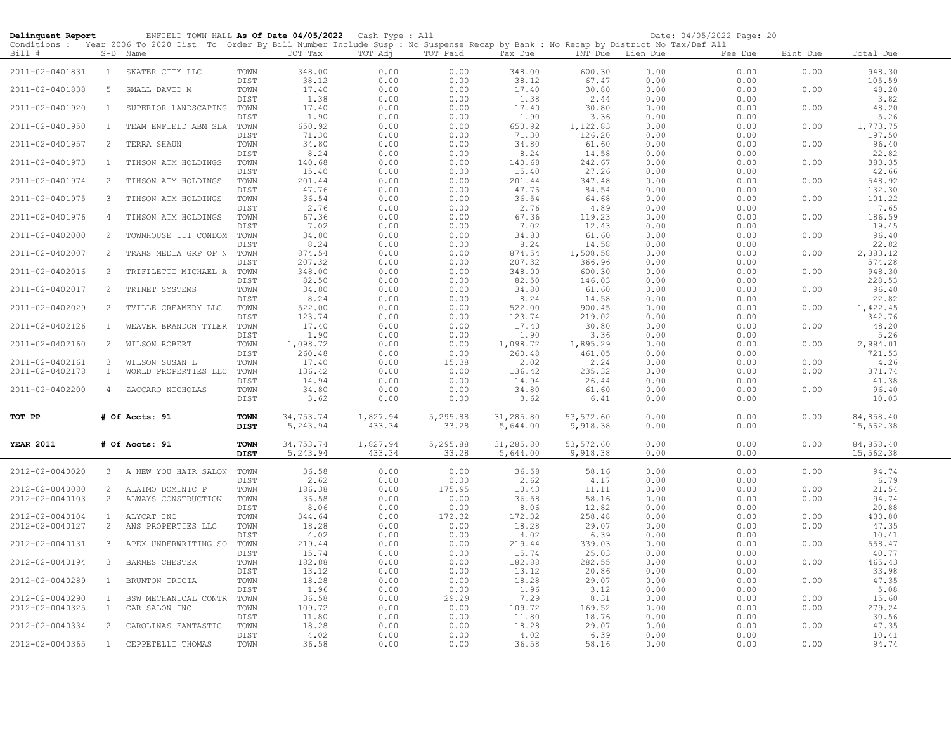| Delinquent Report                  |                                | ENFIELD TOWN HALL As Of Date 04/05/2022 Cash Type : All<br>Conditions : Year 2006 To 2020 Dist To Order By Bill Number Include Susp : No Suspense Recap by Bank : No Recap by District No Tax/Def All |                            |                       |                    |                   |                       |                       |              | Date: 04/05/2022 Page: 20 |              |                        |
|------------------------------------|--------------------------------|-------------------------------------------------------------------------------------------------------------------------------------------------------------------------------------------------------|----------------------------|-----------------------|--------------------|-------------------|-----------------------|-----------------------|--------------|---------------------------|--------------|------------------------|
| Bill #                             |                                | S-D Name                                                                                                                                                                                              |                            | TOT Tax               | TOT Adj            | TOT Paid          | Tax Due               | INT Due Lien Due      |              | Fee Due                   | Bint Due     | Total Due              |
| 2011-02-0401831                    |                                | 1 SKATER CITY LLC                                                                                                                                                                                     | TOWN                       | 348.00                | 0.00               | 0.00              | 348.00                | 600.30                | 0.00         | 0.00                      | 0.00         | 948.30                 |
| 2011-02-0401838                    | -5                             | SMALL DAVID M                                                                                                                                                                                         | DIST<br>TOWN               | 38.12<br>17.40        | 0.00<br>0.00       | 0.00<br>0.00      | 38.12<br>17.40        | 67.47<br>30.80        | 0.00<br>0.00 | 0.00<br>0.00              | 0.00         | 105.59<br>48.20        |
| 2011-02-0401920                    | $\mathbf{1}$                   | SUPERIOR LANDSCAPING                                                                                                                                                                                  | DIST<br>TOWN               | 1.38<br>17.40         | 0.00<br>0.00       | 0.00<br>0.00      | 1.38<br>17.40         | 2.44<br>30.80         | 0.00<br>0.00 | 0.00<br>0.00              | 0.00         | 3.82<br>48.20          |
| 2011-02-0401950                    | $\mathbf{1}$                   | TEAM ENFIELD ABM SLA                                                                                                                                                                                  | DIST<br>TOWN               | 1.90<br>650.92        | 0.00<br>0.00       | 0.00<br>0.00      | 1.90<br>650.92        | 3.36<br>1,122.83      | 0.00<br>0.00 | 0.00<br>0.00              | 0.00         | 5.26<br>1,773.75       |
| 2011-02-0401957                    | 2                              | TERRA SHAUN                                                                                                                                                                                           | DIST<br>TOWN               | 71.30<br>34.80        | 0.00<br>0.00       | 0.00<br>0.00      | 71.30<br>34.80        | 126.20<br>61.60       | 0.00<br>0.00 | 0.00<br>0.00              | 0.00         | 197.50<br>96.40        |
| 2011-02-0401973                    | $\mathbf{1}$                   | TIHSON ATM HOLDINGS                                                                                                                                                                                   | DIST<br>TOWN               | 8.24<br>140.68        | 0.00<br>0.00       | 0.00<br>0.00      | 8.24<br>140.68        | 14.58<br>242.67       | 0.00<br>0.00 | 0.00<br>0.00              | 0.00         | 22.82<br>383.35        |
|                                    |                                |                                                                                                                                                                                                       | DIST                       | 15.40                 | 0.00               | 0.00              | 15.40                 | 27.26                 | 0.00         | 0.00                      |              | 42.66                  |
| 2011-02-0401974                    | 2                              | TIHSON ATM HOLDINGS                                                                                                                                                                                   | TOWN<br>DIST               | 201.44<br>47.76       | 0.00<br>0.00       | 0.00<br>0.00      | 201.44<br>47.76       | 347.48<br>84.54       | 0.00<br>0.00 | 0.00<br>0.00              | 0.00         | 548.92<br>132.30       |
| 2011-02-0401975                    | $\mathbf{3}$                   | TIHSON ATM HOLDINGS                                                                                                                                                                                   | TOWN<br>DIST               | 36.54<br>2.76         | 0.00<br>0.00       | 0.00<br>0.00      | 36.54<br>2.76         | 64.68<br>4.89         | 0.00<br>0.00 | 0.00<br>0.00              | 0.00         | 101.22<br>7.65         |
| 2011-02-0401976                    | 4                              | TIHSON ATM HOLDINGS                                                                                                                                                                                   | TOWN<br>DIST               | 67.36<br>7.02         | 0.00<br>0.00       | 0.00<br>0.00      | 67.36<br>7.02         | 119.23<br>12.43       | 0.00<br>0.00 | 0.00<br>0.00              | 0.00         | 186.59<br>19.45        |
| 2011-02-0402000                    | 2                              | TOWNHOUSE III CONDOM                                                                                                                                                                                  | TOWN                       | 34.80                 | 0.00               | 0.00              | 34.80                 | 61.60                 | 0.00         | 0.00                      | 0.00         | 96.40                  |
| 2011-02-0402007                    | 2                              | TRANS MEDIA GRP OF N                                                                                                                                                                                  | DIST<br>TOWN               | 8.24<br>874.54        | 0.00<br>0.00       | 0.00<br>0.00      | 8.24<br>874.54        | 14.58<br>1,508.58     | 0.00<br>0.00 | 0.00<br>0.00              | 0.00         | 22.82<br>2,383.12      |
| 2011-02-0402016                    | 2                              | TRIFILETTI MICHAEL A                                                                                                                                                                                  | DIST<br>TOWN               | 207.32<br>348.00      | 0.00<br>0.00       | 0.00<br>0.00      | 207.32<br>348.00      | 366.96<br>600.30      | 0.00<br>0.00 | 0.00<br>0.00              | 0.00         | 574.28<br>948.30       |
| 2011-02-0402017                    | 2                              | TRINET SYSTEMS                                                                                                                                                                                        | DIST<br>TOWN               | 82.50<br>34.80        | 0.00<br>0.00       | 0.00<br>0.00      | 82.50<br>34.80        | 146.03<br>61.60       | 0.00<br>0.00 | 0.00<br>0.00              | 0.00         | 228.53<br>96.40        |
| 2011-02-0402029                    | 2                              | TVILLE CREAMERY LLC                                                                                                                                                                                   | DIST<br>TOWN               | 8.24<br>522.00        | 0.00<br>0.00       | 0.00<br>0.00      | 8.24<br>522.00        | 14.58<br>900.45       | 0.00<br>0.00 | 0.00<br>0.00              | 0.00         | 22.82<br>1,422.45      |
| 2011-02-0402126                    | 1                              | WEAVER BRANDON TYLER                                                                                                                                                                                  | DIST<br>TOWN               | 123.74<br>17.40       | 0.00<br>0.00       | 0.00<br>0.00      | 123.74<br>17.40       | 219.02<br>30.80       | 0.00<br>0.00 | 0.00<br>0.00              | 0.00         | 342.76<br>48.20        |
|                                    |                                |                                                                                                                                                                                                       | DIST                       | 1.90                  | 0.00               | 0.00              | 1.90                  | 3.36                  | 0.00         | 0.00                      |              | 5.26                   |
| 2011-02-0402160                    | 2                              | WILSON ROBERT                                                                                                                                                                                         | TOWN<br>DIST               | 1,098.72<br>260.48    | 0.00<br>0.00       | 0.00<br>0.00      | 1,098.72<br>260.48    | 1,895.29<br>461.05    | 0.00<br>0.00 | 0.00<br>0.00              | 0.00         | 2,994.01<br>721.53     |
| 2011-02-0402161<br>2011-02-0402178 | $\mathbf{3}$<br>$\mathbf{1}$   | WILSON SUSAN L<br>WORLD PROPERTIES LLC                                                                                                                                                                | TOWN<br>TOWN               | 17.40<br>136.42       | 0.00<br>0.00       | 15.38<br>0.00     | 2.02<br>136.42        | 2.24<br>235.32        | 0.00<br>0.00 | 0.00<br>0.00              | 0.00<br>0.00 | 4.26<br>371.74         |
| 2011-02-0402200                    | 4                              | ZACCARO NICHOLAS                                                                                                                                                                                      | <b>DIST</b><br>TOWN        | 14.94<br>34.80        | 0.00<br>0.00       | 0.00<br>0.00      | 14.94<br>34.80        | 26.44<br>61.60        | 0.00<br>0.00 | 0.00<br>0.00              | 0.00         | 41.38<br>96.40         |
|                                    |                                |                                                                                                                                                                                                       | DIST                       | 3.62                  | 0.00               | 0.00              | 3.62                  | 6.41                  | 0.00         | 0.00                      |              | 10.03                  |
| TOT PP                             |                                | # Of Accts: 91                                                                                                                                                                                        | <b>TOWN</b><br><b>DIST</b> | 34,753.74<br>5,243.94 | 1,827.94<br>433.34 | 5,295.88<br>33.28 | 31,285.80<br>5,644.00 | 53,572.60<br>9,918.38 | 0.00<br>0.00 | 0.00<br>0.00              | 0.00         | 84,858.40<br>15,562.38 |
| <b>YEAR 2011</b>                   |                                | # Of Accts: 91                                                                                                                                                                                        | <b>TOWN</b>                | 34,753.74             | 1,827.94           | 5,295.88          | 31,285.80             | 53,572.60             | 0.00         | 0.00                      | 0.00         | 84,858.40              |
|                                    |                                |                                                                                                                                                                                                       | <b>DIST</b>                | 5,243.94              | 433.34             | 33.28             | 5,644.00              | 9,918.38              | 0.00         | 0.00                      |              | 15,562.38              |
| 2012-02-0040020                    |                                | 3 A NEW YOU HAIR SALON                                                                                                                                                                                | TOWN<br><b>DIST</b>        | 36.58<br>2.62         | 0.00<br>0.00       | 0.00<br>0.00      | 36.58<br>2.62         | 58.16<br>4.17         | 0.00<br>0.00 | 0.00<br>0.00              | 0.00         | 94.74<br>6.79          |
| 2012-02-0040080<br>2012-02-0040103 | 2<br>2                         | ALAIMO DOMINIC P<br>ALWAYS CONSTRUCTION                                                                                                                                                               | TOWN<br>TOWN               | 186.38<br>36.58       | 0.00<br>0.00       | 175.95<br>0.00    | 10.43<br>36.58        | 11.11<br>58.16        | 0.00<br>0.00 | 0.00<br>0.00              | 0.00<br>0.00 | 21.54<br>94.74         |
|                                    |                                |                                                                                                                                                                                                       | DIST                       | 8.06                  | 0.00               | 0.00              | 8.06                  | 12.82                 | 0.00         | 0.00                      |              | 20.88                  |
| 2012-02-0040104<br>2012-02-0040127 | $\mathbf{1}$<br>$\overline{c}$ | ALYCAT INC<br>ANS PROPERTIES LLC                                                                                                                                                                      | TOWN<br>TOWN               | 344.64<br>18.28       | 0.00<br>0.00       | 172.32<br>0.00    | 172.32<br>18.28       | 258.48<br>29.07       | 0.00<br>0.00 | 0.00<br>0.00              | 0.00<br>0.00 | 430.80<br>47.35        |
| 2012-02-0040131                    | 3                              | APEX UNDERWRITING SO                                                                                                                                                                                  | DIST<br>TOWN               | 4.02<br>219.44        | 0.00<br>0.00       | 0.00<br>0.00      | 4.02<br>219.44        | 6.39<br>339.03        | 0.00<br>0.00 | 0.00<br>0.00              | 0.00         | 10.41<br>558.47        |
| 2012-02-0040194                    | 3                              | BARNES CHESTER                                                                                                                                                                                        | DIST<br>TOWN               | 15.74<br>182.88       | 0.00<br>0.00       | 0.00<br>0.00      | 15.74<br>182.88       | 25.03<br>282.55       | 0.00<br>0.00 | 0.00<br>0.00              | 0.00         | 40.77<br>465.43        |
| 2012-02-0040289                    | $\mathbf{1}$                   | BRUNTON TRICIA                                                                                                                                                                                        | DIST<br>TOWN               | 13.12<br>18.28        | 0.00<br>0.00       | 0.00<br>0.00      | 13.12<br>18.28        | 20.86<br>29.07        | 0.00<br>0.00 | 0.00<br>0.00              | 0.00         | 33.98<br>47.35         |
| 2012-02-0040290                    | <sup>1</sup>                   | BSW MECHANICAL CONTR                                                                                                                                                                                  | DIST<br>TOWN               | 1.96<br>36.58         | 0.00<br>0.00       | 0.00<br>29.29     | 1.96<br>7.29          | 3.12<br>8.31          | 0.00<br>0.00 | 0.00<br>0.00              | 0.00         | 5.08<br>15.60          |
| 2012-02-0040325                    | $\mathbf{1}$                   | CAR SALON INC                                                                                                                                                                                         | TOWN<br>DIST               | 109.72                | 0.00               | 0.00              | 109.72                | 169.52                | 0.00         | 0.00                      | 0.00         | 279.24                 |
| 2012-02-0040334                    | 2                              | CAROLINAS FANTASTIC                                                                                                                                                                                   | TOWN                       | 11.80<br>18.28        | 0.00<br>0.00       | 0.00<br>0.00      | 11.80<br>18.28        | 18.76<br>29.07        | 0.00<br>0.00 | 0.00<br>0.00              | 0.00         | 30.56<br>47.35         |
| 2012-02-0040365                    | 1                              | CEPPETELLI THOMAS                                                                                                                                                                                     | DIST<br>TOWN               | 4.02<br>36.58         | 0.00<br>0.00       | 0.00<br>0.00      | 4.02<br>36.58         | 6.39<br>58.16         | 0.00<br>0.00 | 0.00<br>0.00              | 0.00         | 10.41<br>94.74         |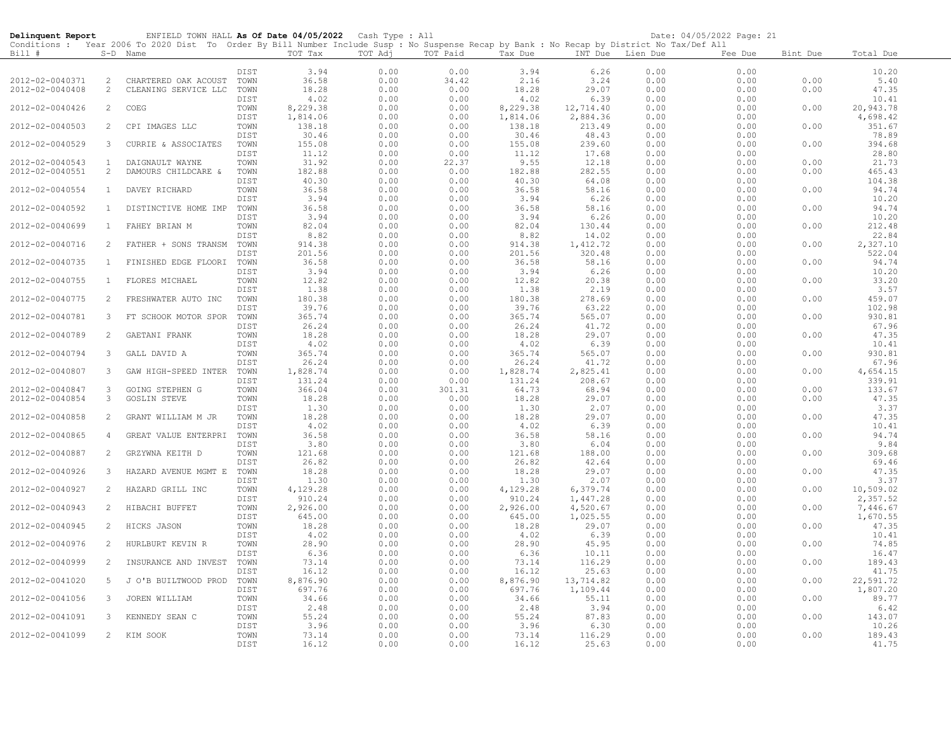| Delinquent Report                  |                   | ENFIELD TOWN HALL As Of Date 04/05/2022 Cash Type : All                                                                                    |              |                    |              |               |                 |                   |              | Date: 04/05/2022 Page: 21 |              |                   |
|------------------------------------|-------------------|--------------------------------------------------------------------------------------------------------------------------------------------|--------------|--------------------|--------------|---------------|-----------------|-------------------|--------------|---------------------------|--------------|-------------------|
|                                    |                   | Conditions : Year 2006 To 2020 Dist To Order By Bill Number Include Susp : No Suspense Recap by Bank : No Recap by District No Tax/Def All |              |                    |              |               |                 |                   |              |                           |              |                   |
| Bill #                             |                   | S-D Name                                                                                                                                   |              | TOT Tax            | TOT Adj      | TOT Paid      | Tax Due         | INT Due           | Lien Due     | Fee Due                   | Bint Due     | Total Due         |
|                                    |                   |                                                                                                                                            | DIST         | 3.94               | 0.00         | 0.00          | 3.94            | 6.26              | 0.00         | 0.00                      |              | 10.20             |
| 2012-02-0040371                    | 2                 | CHARTERED OAK ACOUST                                                                                                                       | TOWN         | 36.58              | 0.00         | 34.42         | 2.16            | 3.24              | 0.00         | 0.00                      | 0.00         | 5.40              |
| 2012-02-0040408                    | $\overline{2}$    | CLEANING SERVICE LLC                                                                                                                       | TOWN         | 18.28              | 0.00         | 0.00          | 18.28           | 29.07             | 0.00         | 0.00                      | 0.00         | 47.35             |
|                                    |                   |                                                                                                                                            | DIST         | 4.02               | 0.00         | 0.00          | 4.02            | 6.39              | 0.00         | 0.00                      |              | 10.41             |
| 2012-02-0040426                    | $\overline{2}$    | COEG                                                                                                                                       | TOWN         | 8,229.38           | 0.00         | 0.00          | 8,229.38        | 12,714.40         | 0.00         | 0.00                      | 0.00         | 20,943.78         |
|                                    |                   |                                                                                                                                            | DIST         | 1,814.06           | 0.00         | 0.00          | 1,814.06        | 2,884.36          | 0.00         | 0.00                      |              | 4,698.42          |
| 2012-02-0040503                    | 2                 | CPI IMAGES LLC                                                                                                                             | TOWN         | 138.18             | 0.00         | 0.00          | 138.18          | 213.49            | 0.00         | 0.00                      | 0.00         | 351.67            |
|                                    |                   |                                                                                                                                            | DIST         | 30.46              | 0.00         | 0.00          | 30.46           | 48.43             | 0.00         | 0.00                      |              | 78.89             |
| 2012-02-0040529                    | 3                 | CURRIE & ASSOCIATES                                                                                                                        | TOWN         | 155.08             | 0.00         | 0.00          | 155.08          | 239.60            | 0.00         | 0.00                      | 0.00         | 394.68            |
|                                    |                   |                                                                                                                                            | DIST         | 11.12              | 0.00         | 0.00          | 11.12           | 17.68             | 0.00         | 0.00                      |              | 28.80             |
| 2012-02-0040543<br>2012-02-0040551 | $\mathbf{1}$<br>2 | DAIGNAULT WAYNE<br>DAMOURS CHILDCARE &                                                                                                     | TOWN<br>TOWN | 31.92<br>182.88    | 0.00<br>0.00 | 22.37<br>0.00 | 9.55<br>182.88  | 12.18<br>282.55   | 0.00<br>0.00 | 0.00<br>0.00              | 0.00<br>0.00 | 21.73<br>465.43   |
|                                    |                   |                                                                                                                                            | DIST         | 40.30              | 0.00         | 0.00          | 40.30           | 64.08             | 0.00         | 0.00                      |              | 104.38            |
| 2012-02-0040554                    | $\mathbf{1}$      | DAVEY RICHARD                                                                                                                              | TOWN         | 36.58              | 0.00         | 0.00          | 36.58           | 58.16             | 0.00         | 0.00                      | 0.00         | 94.74             |
|                                    |                   |                                                                                                                                            | DIST         | 3.94               | 0.00         | 0.00          | 3.94            | 6.26              | 0.00         | 0.00                      |              | 10.20             |
| 2012-02-0040592                    | 1                 | DISTINCTIVE HOME IMP TOWN                                                                                                                  |              | 36.58              | 0.00         | 0.00          | 36.58           | 58.16             | 0.00         | 0.00                      | 0.00         | 94.74             |
|                                    |                   |                                                                                                                                            | DIST         | 3.94               | 0.00         | 0.00          | 3.94            | 6.26              | 0.00         | 0.00                      |              | 10.20             |
| 2012-02-0040699                    | $\mathbf{1}$      | FAHEY BRIAN M                                                                                                                              | TOWN         | 82.04              | 0.00         | 0.00          | 82.04           | 130.44            | 0.00         | 0.00                      | 0.00         | 212.48            |
|                                    |                   |                                                                                                                                            | DIST         | 8.82               | 0.00         | 0.00          | 8.82            | 14.02             | 0.00         | 0.00                      |              | 22.84             |
| 2012-02-0040716                    | 2                 | FATHER + SONS TRANSM                                                                                                                       | TOWN         | 914.38             | 0.00         | 0.00          | 914.38          | 1,412.72          | 0.00         | 0.00                      | 0.00         | 2,327.10          |
|                                    |                   |                                                                                                                                            | DIST         | 201.56             | 0.00         | 0.00          | 201.56          | 320.48            | 0.00         | 0.00                      |              | 522.04            |
| 2012-02-0040735                    | $\mathbf{1}$      | FINISHED EDGE FLOORI                                                                                                                       | TOWN         | 36.58              | 0.00         | 0.00          | 36.58           | 58.16             | 0.00         | 0.00                      | 0.00         | 94.74             |
|                                    |                   |                                                                                                                                            | DIST         | 3.94               | 0.00         | 0.00          | 3.94            | 6.26              | 0.00         | 0.00                      |              | 10.20             |
| 2012-02-0040755                    | $\mathbf{1}$      | FLORES MICHAEL                                                                                                                             | TOWN<br>DIST | 12.82<br>1.38      | 0.00<br>0.00 | 0.00<br>0.00  | 12.82           | 20.38<br>2.19     | 0.00<br>0.00 | 0.00<br>0.00              | 0.00         | 33.20<br>3.57     |
| 2012-02-0040775                    | 2                 | FRESHWATER AUTO INC                                                                                                                        | TOWN         | 180.38             | 0.00         | 0.00          | 1.38<br>180.38  | 278.69            | 0.00         | 0.00                      | 0.00         | 459.07            |
|                                    |                   |                                                                                                                                            | DIST         | 39.76              | 0.00         | 0.00          | 39.76           | 63.22             | 0.00         | 0.00                      |              | 102.98            |
| 2012-02-0040781                    | 3                 | FT SCHOOK MOTOR SPOR                                                                                                                       | TOWN         | 365.74             | 0.00         | 0.00          | 365.74          | 565.07            | 0.00         | 0.00                      | 0.00         | 930.81            |
|                                    |                   |                                                                                                                                            | DIST         | 26.24              | 0.00         | 0.00          | 26.24           | 41.72             | 0.00         | 0.00                      |              | 67.96             |
| 2012-02-0040789                    | 2                 | GAETANI FRANK                                                                                                                              | TOWN         | 18.28              | 0.00         | 0.00          | 18.28           | 29.07             | 0.00         | 0.00                      | 0.00         | 47.35             |
|                                    |                   |                                                                                                                                            | DIST         | 4.02               | 0.00         | 0.00          | 4.02            | 6.39              | 0.00         | 0.00                      |              | 10.41             |
| 2012-02-0040794                    | 3                 | GALL DAVID A                                                                                                                               | TOWN         | 365.74             | 0.00         | 0.00          | 365.74          | 565.07            | 0.00         | 0.00                      | 0.00         | 930.81            |
|                                    |                   |                                                                                                                                            | DIST         | 26.24              | 0.00         | 0.00          | 26.24           | 41.72             | 0.00         | 0.00                      |              | 67.96             |
| 2012-02-0040807                    | 3                 | GAW HIGH-SPEED INTER                                                                                                                       | TOWN         | 1,828.74           | 0.00         | 0.00          | 1,828.74        | 2,825.41          | 0.00         | 0.00                      | 0.00         | 4,654.15          |
|                                    |                   |                                                                                                                                            | DIST         | 131.24             | 0.00         | 0.00          | 131.24          | 208.67            | 0.00         | 0.00                      |              | 339.91            |
| 2012-02-0040847                    | 3                 | GOING STEPHEN G                                                                                                                            | TOWN         | 366.04             | 0.00         | 301.31        | 64.73           | 68.94             | 0.00         | 0.00                      | 0.00         | 133.67            |
| 2012-02-0040854                    | 3                 | <b>GOSLIN STEVE</b>                                                                                                                        | TOWN<br>DIST | 18.28<br>1.30      | 0.00<br>0.00 | 0.00<br>0.00  | 18.28<br>1.30   | 29.07<br>2.07     | 0.00<br>0.00 | 0.00<br>0.00              | 0.00         | 47.35<br>3.37     |
| 2012-02-0040858                    | $\overline{2}$    | GRANT WILLIAM M JR                                                                                                                         | TOWN         | 18.28              | 0.00         | 0.00          | 18.28           | 29.07             | 0.00         | 0.00                      | 0.00         | 47.35             |
|                                    |                   |                                                                                                                                            | DIST         | 4.02               | 0.00         | 0.00          | 4.02            | 6.39              | 0.00         | 0.00                      |              | 10.41             |
| 2012-02-0040865                    | 4                 | GREAT VALUE ENTERPRI                                                                                                                       | TOWN         | 36.58              | 0.00         | 0.00          | 36.58           | 58.16             | 0.00         | 0.00                      | 0.00         | 94.74             |
|                                    |                   |                                                                                                                                            | DIST         | 3.80               | 0.00         | 0.00          | 3.80            | 6.04              | 0.00         | 0.00                      |              | 9.84              |
| 2012-02-0040887                    | 2                 | GRZYWNA KEITH D                                                                                                                            | TOWN         | 121.68             | 0.00         | 0.00          | 121.68          | 188.00            | 0.00         | 0.00                      | 0.00         | 309.68            |
|                                    |                   |                                                                                                                                            | <b>DIST</b>  | 26.82              | 0.00         | 0.00          | 26.82           | 42.64             | 0.00         | 0.00                      |              | 69.46             |
| 2012-02-0040926                    | 3                 | HAZARD AVENUE MGMT E                                                                                                                       | TOWN         | 18.28              | 0.00         | 0.00          | 18.28           | 29.07             | 0.00         | 0.00                      | 0.00         | 47.35             |
|                                    |                   |                                                                                                                                            | DIST         | 1.30               | 0.00         | 0.00          | 1.30            | 2.07              | 0.00         | 0.00                      |              | 3.37              |
| 2012-02-0040927                    | 2                 | HAZARD GRILL INC                                                                                                                           | TOWN         | 4,129.28           | 0.00         | 0.00          | 4,129.28        | 6,379.74          | 0.00         | 0.00                      | 0.00         | 10,509.02         |
|                                    |                   |                                                                                                                                            | DIST         | 910.24             | 0.00         | 0.00          | 910.24          | 1,447.28          | 0.00         | 0.00                      |              | 2,357.52          |
| 2012-02-0040943                    | 2                 | HIBACHI BUFFET                                                                                                                             | TOWN         | 2,926.00<br>645.00 | 0.00         | 0.00          | 2,926.00        | 4,520.67          | 0.00         | 0.00                      | 0.00         | 7,446.67          |
| 2012-02-0040945                    | 2                 | HICKS JASON                                                                                                                                | DIST<br>TOWN | 18.28              | 0.00<br>0.00 | 0.00<br>0.00  | 645.00<br>18.28 | 1,025.55<br>29.07 | 0.00<br>0.00 | 0.00<br>0.00              | 0.00         | 1,670.55<br>47.35 |
|                                    |                   |                                                                                                                                            | DIST         | 4.02               | 0.00         | 0.00          | 4.02            | 6.39              | 0.00         | 0.00                      |              | 10.41             |
| 2012-02-0040976                    | 2                 | HURLBURT KEVIN R                                                                                                                           | TOWN         | 28.90              | 0.00         | 0.00          | 28.90           | 45.95             | 0.00         | 0.00                      | 0.00         | 74.85             |
|                                    |                   |                                                                                                                                            | DIST         | 6.36               | 0.00         | 0.00          | 6.36            | 10.11             | 0.00         | 0.00                      |              | 16.47             |
| 2012-02-0040999                    | 2                 | INSURANCE AND INVEST                                                                                                                       | TOWN         | 73.14              | 0.00         | 0.00          | 73.14           | 116.29            | 0.00         | 0.00                      | 0.00         | 189.43            |
|                                    |                   |                                                                                                                                            | <b>DIST</b>  | 16.12              | 0.00         | 0.00          | 16.12           | 25.63             | 0.00         | 0.00                      |              | 41.75             |
| 2012-02-0041020                    | 5                 | J O'B BUILTWOOD PROD                                                                                                                       | TOWN         | 8,876.90           | 0.00         | 0.00          | 8,876.90        | 13,714.82         | 0.00         | 0.00                      | 0.00         | 22,591.72         |
|                                    |                   |                                                                                                                                            | DIST         | 697.76             | 0.00         | 0.00          | 697.76          | 1,109.44          | 0.00         | 0.00                      |              | 1,807.20          |
| 2012-02-0041056                    | 3                 | JOREN WILLIAM                                                                                                                              | TOWN         | 34.66              | 0.00         | 0.00          | 34.66           | 55.11             | 0.00         | 0.00                      | 0.00         | 89.77             |
|                                    |                   |                                                                                                                                            | DIST         | 2.48               | 0.00         | 0.00          | 2.48            | 3.94              | 0.00         | 0.00                      |              | 6.42              |
| 2012-02-0041091                    | 3                 | KENNEDY SEAN C                                                                                                                             | TOWN         | 55.24              | 0.00         | 0.00          | 55.24           | 87.83             | 0.00         | 0.00                      | 0.00         | 143.07            |
| 2012-02-0041099                    | 2                 | KIM SOOK                                                                                                                                   | DIST<br>TOWN | 3.96<br>73.14      | 0.00<br>0.00 | 0.00<br>0.00  | 3.96<br>73.14   | 6.30<br>116.29    | 0.00<br>0.00 | 0.00<br>0.00              | 0.00         | 10.26<br>189.43   |
|                                    |                   |                                                                                                                                            | DIST         | 16.12              | 0.00         | 0.00          | 16.12           | 25.63             | 0.00         | 0.00                      |              | 41.75             |
|                                    |                   |                                                                                                                                            |              |                    |              |               |                 |                   |              |                           |              |                   |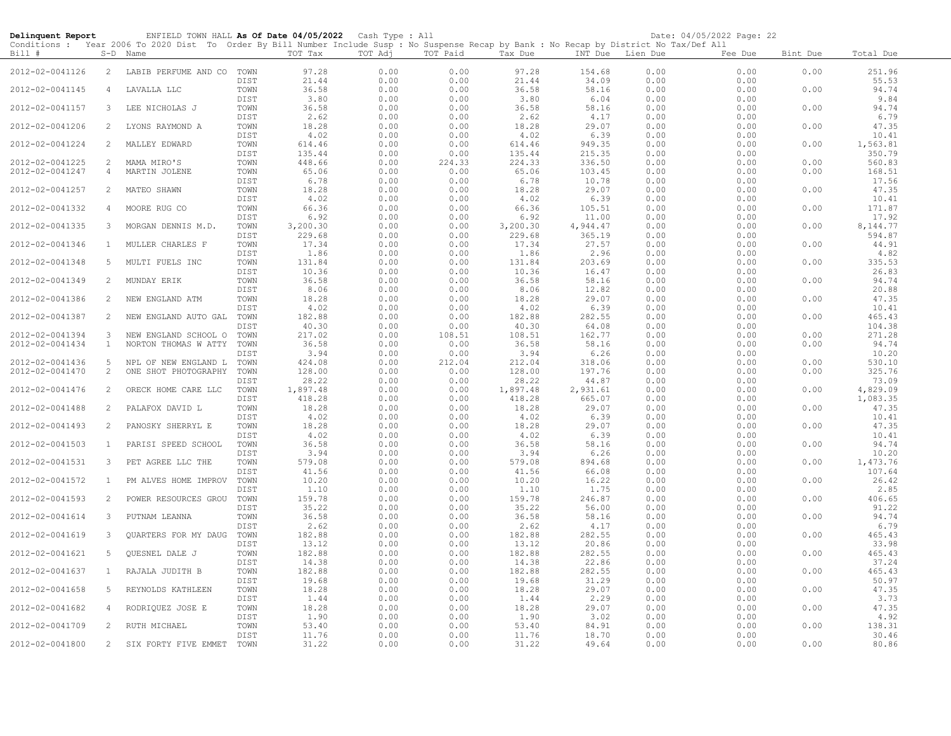| Delinquent Report |                | ENFIELD TOWN HALL As Of Date 04/05/2022 Cash Type : All                                                                                    |              |                |              |              |                 |                 |                  | Date: 04/05/2022 Page: 22 |          |                |
|-------------------|----------------|--------------------------------------------------------------------------------------------------------------------------------------------|--------------|----------------|--------------|--------------|-----------------|-----------------|------------------|---------------------------|----------|----------------|
|                   |                | Conditions : Year 2006 To 2020 Dist To Order By Bill Number Include Susp : No Suspense Recap by Bank : No Recap by District No Tax/Def All |              |                |              |              |                 |                 |                  |                           |          |                |
| Bill #            |                | S-D Name                                                                                                                                   |              | TOT Tax        | TOT Adj      | TOT Paid     | Tax Due         |                 | INT Due Lien Due | Fee Due                   | Bint Due | Total Due      |
| 2012-02-0041126   | 2              | LABIB PERFUME AND CO                                                                                                                       | TOWN         | 97.28          | 0.00         | 0.00         | 97.28           | 154.68          | 0.00             | 0.00                      | 0.00     | 251.96         |
|                   |                |                                                                                                                                            | DIST         | 21.44          | 0.00         | 0.00         | 21.44           | 34.09           | 0.00             | 0.00                      |          | 55.53          |
| 2012-02-0041145   | $\overline{4}$ | LAVALLA LLC                                                                                                                                | TOWN         | 36.58          | 0.00         | 0.00         | 36.58           | 58.16           | 0.00             | 0.00                      | 0.00     | 94.74          |
|                   |                |                                                                                                                                            | DIST         | 3.80           | 0.00         | 0.00         | 3.80            | 6.04            | 0.00             | 0.00                      |          | 9.84           |
| 2012-02-0041157   | 3              | LEE NICHOLAS J                                                                                                                             | TOWN         | 36.58          | 0.00         | 0.00         | 36.58           | 58.16           | 0.00             | 0.00                      | 0.00     | 94.74          |
| 2012-02-0041206   | $\overline{2}$ |                                                                                                                                            | DIST         | 2.62           | 0.00         | 0.00<br>0.00 | 2.62            | 4.17<br>29.07   | 0.00             | 0.00<br>0.00              | 0.00     | 6.79<br>47.35  |
|                   |                | LYONS RAYMOND A                                                                                                                            | TOWN<br>DIST | 18.28          | 0.00<br>0.00 | 0.00         | 18.28<br>4.02   | 6.39            | 0.00<br>0.00     | 0.00                      |          | 10.41          |
| 2012-02-0041224   | 2              | MALLEY EDWARD                                                                                                                              | TOWN         | 4.02<br>614.46 | 0.00         | 0.00         | 614.46          | 949.35          | 0.00             | 0.00                      | 0.00     | 1,563.81       |
|                   |                |                                                                                                                                            | DIST         | 135.44         | 0.00         | 0.00         | 135.44          | 215.35          | 0.00             | 0.00                      |          | 350.79         |
| 2012-02-0041225   | 2              | MAMA MIRO'S                                                                                                                                | TOWN         | 448.66         | 0.00         | 224.33       | 224.33          | 336.50          | 0.00             | 0.00                      | 0.00     | 560.83         |
| 2012-02-0041247   | $\overline{4}$ | MARTIN JOLENE                                                                                                                              | TOWN         | 65.06          | 0.00         | 0.00         | 65.06           | 103.45          | 0.00             | 0.00                      | 0.00     | 168.51         |
|                   |                |                                                                                                                                            | DIST         | 6.78           | 0.00         | 0.00         | 6.78            | 10.78           | 0.00             | 0.00                      |          | 17.56          |
| 2012-02-0041257   | 2              | MATEO SHAWN                                                                                                                                | TOWN         | 18.28          | 0.00         | 0.00         | 18.28           | 29.07           | 0.00             | 0.00                      | 0.00     | 47.35          |
|                   |                |                                                                                                                                            | DIST         | 4.02           | 0.00         | 0.00         | 4.02            | 6.39            | 0.00             | 0.00                      |          | 10.41          |
| 2012-02-0041332   | 4              | MOORE RUG CO                                                                                                                               | TOWN         | 66.36          | 0.00         | 0.00         | 66.36           | 105.51          | 0.00             | 0.00                      | 0.00     | 171.87         |
|                   |                |                                                                                                                                            | DIST         | 6.92           | 0.00         | 0.00         | 6.92            | 11.00           | 0.00             | 0.00                      |          | 17.92          |
| 2012-02-0041335   | 3              | MORGAN DENNIS M.D.                                                                                                                         | TOWN         | 3,200.30       | 0.00         | 0.00         | 3,200.30        | 4,944.47        | 0.00             | 0.00                      | 0.00     | 8,144.77       |
|                   |                |                                                                                                                                            | DIST         | 229.68         | 0.00         | 0.00         | 229.68          | 365.19          | 0.00             | 0.00                      |          | 594.87         |
| 2012-02-0041346   | $\mathbf{1}$   | MULLER CHARLES F                                                                                                                           | TOWN         | 17.34          | 0.00         | 0.00         | 17.34           | 27.57           | 0.00             | 0.00                      | 0.00     | 44.91          |
|                   |                |                                                                                                                                            | DIST         | 1.86           | 0.00         | 0.00         | 1.86            | 2.96            | 0.00             | 0.00                      |          | 4.82           |
| 2012-02-0041348   | 5              | MULTI FUELS INC                                                                                                                            | TOWN         | 131.84         | 0.00         | 0.00         | 131.84          | 203.69          | 0.00             | 0.00                      | 0.00     | 335.53         |
|                   | 2              |                                                                                                                                            | DIST<br>TOWN | 10.36<br>36.58 | 0.00         | 0.00         | 10.36<br>36.58  | 16.47<br>58.16  | 0.00             | 0.00                      |          | 26.83<br>94.74 |
| 2012-02-0041349   |                | MUNDAY ERIK                                                                                                                                | DIST         | 8.06           | 0.00<br>0.00 | 0.00<br>0.00 | 8.06            | 12.82           | 0.00<br>0.00     | 0.00<br>0.00              | 0.00     | 20.88          |
| 2012-02-0041386   | 2              | NEW ENGLAND ATM                                                                                                                            | TOWN         | 18.28          | 0.00         | 0.00         | 18.28           | 29.07           | 0.00             | 0.00                      | 0.00     | 47.35          |
|                   |                |                                                                                                                                            | DIST         | 4.02           | 0.00         | 0.00         | 4.02            | 6.39            | 0.00             | 0.00                      |          | 10.41          |
| 2012-02-0041387   | 2              | NEW ENGLAND AUTO GAL                                                                                                                       | TOWN         | 182.88         | 0.00         | 0.00         | 182.88          | 282.55          | 0.00             | 0.00                      | 0.00     | 465.43         |
|                   |                |                                                                                                                                            | DIST         | 40.30          | 0.00         | 0.00         | 40.30           | 64.08           | 0.00             | 0.00                      |          | 104.38         |
| 2012-02-0041394   | 3              | NEW ENGLAND SCHOOL O                                                                                                                       | TOWN         | 217.02         | 0.00         | 108.51       | 108.51          | 162.77          | 0.00             | 0.00                      | 0.00     | 271.28         |
| 2012-02-0041434   | $\mathbf{1}$   | NORTON THOMAS W ATTY                                                                                                                       | TOWN         | 36.58          | 0.00         | 0.00         | 36.58           | 58.16           | 0.00             | 0.00                      | 0.00     | 94.74          |
|                   |                |                                                                                                                                            | DIST         | 3.94           | 0.00         | 0.00         | 3.94            | 6.26            | 0.00             | 0.00                      |          | 10.20          |
| 2012-02-0041436   | 5              | NPL OF NEW ENGLAND L                                                                                                                       | TOWN         | 424.08         | 0.00         | 212.04       | 212.04          | 318.06          | 0.00             | 0.00                      | 0.00     | 530.10         |
| 2012-02-0041470   | $\overline{2}$ | ONE SHOT PHOTOGRAPHY                                                                                                                       | TOWN         | 128.00         | 0.00         | 0.00         | 128.00          | 197.76          | 0.00             | 0.00                      | 0.00     | 325.76         |
|                   |                |                                                                                                                                            | DIST         | 28.22          | 0.00         | 0.00         | 28.22           | 44.87           | 0.00             | 0.00                      |          | 73.09          |
| 2012-02-0041476   | 2              | ORECK HOME CARE LLC                                                                                                                        | TOWN         | 1,897.48       | 0.00         | 0.00         | 1,897.48        | 2,931.61        | 0.00             | 0.00                      | 0.00     | 4,829.09       |
| 2012-02-0041488   |                | PALAFOX DAVID L                                                                                                                            | DIST         | 418.28         | 0.00         | 0.00         | 418.28<br>18.28 | 665.07          | 0.00             | 0.00                      |          | 1,083.35       |
|                   | 2              |                                                                                                                                            | TOWN<br>DIST | 18.28<br>4.02  | 0.00<br>0.00 | 0.00<br>0.00 | 4.02            | 29.07<br>6.39   | 0.00<br>0.00     | 0.00<br>0.00              | 0.00     | 47.35<br>10.41 |
| 2012-02-0041493   | 2              | PANOSKY SHERRYL E                                                                                                                          | TOWN         | 18.28          | 0.00         | 0.00         | 18.28           | 29.07           | 0.00             | 0.00                      | 0.00     | 47.35          |
|                   |                |                                                                                                                                            | DIST         | 4.02           | 0.00         | 0.00         | 4.02            | 6.39            | 0.00             | 0.00                      |          | 10.41          |
| 2012-02-0041503   | 1              | PARISI SPEED SCHOOL                                                                                                                        | TOWN         | 36.58          | 0.00         | 0.00         | 36.58           | 58.16           | 0.00             | 0.00                      | 0.00     | 94.74          |
|                   |                |                                                                                                                                            | DIST         | 3.94           | 0.00         | 0.00         | 3.94            | 6.26            | 0.00             | 0.00                      |          | 10.20          |
| 2012-02-0041531   | 3              | PET AGREE LLC THE                                                                                                                          | TOWN         | 579.08         | 0.00         | 0.00         | 579.08          | 894.68          | 0.00             | 0.00                      | 0.00     | 1,473.76       |
|                   |                |                                                                                                                                            | DIST         | 41.56          | 0.00         | 0.00         | 41.56           | 66.08           | 0.00             | 0.00                      |          | 107.64         |
| 2012-02-0041572   | $\,$ 1 $\,$    | PM ALVES HOME IMPROV                                                                                                                       | TOWN         | 10.20          | 0.00         | 0.00         | 10.20           | 16.22           | 0.00             | 0.00                      | 0.00     | 26.42          |
|                   |                |                                                                                                                                            | DIST         | 1.10           | 0.00         | 0.00         | 1.10            | 1.75            | 0.00             | 0.00                      |          | 2.85           |
| 2012-02-0041593   | 2              | POWER RESOURCES GROU                                                                                                                       | TOWN         | 159.78         | 0.00         | 0.00         | 159.78          | 246.87          | 0.00             | 0.00                      | 0.00     | 406.65         |
|                   |                |                                                                                                                                            | DIST         | 35.22          | 0.00         | 0.00         | 35.22           | 56.00           | 0.00             | 0.00                      |          | 91.22          |
| 2012-02-0041614   | 3              | PUTNAM LEANNA                                                                                                                              | TOWN         | 36.58          | 0.00         | 0.00         | 36.58           | 58.16           | 0.00             | 0.00                      | 0.00     | 94.74          |
| 2012-02-0041619   | 3              | QUARTERS FOR MY DAUG                                                                                                                       | DIST<br>TOWN | 2.62<br>182.88 | 0.00<br>0.00 | 0.00<br>0.00 | 2.62            | 4.17            | 0.00             | 0.00<br>0.00              | 0.00     | 6.79<br>465.43 |
|                   |                |                                                                                                                                            | DIST         | 13.12          | 0.00         | 0.00         | 182.88<br>13.12 | 282.55<br>20.86 | 0.00<br>0.00     | 0.00                      |          | 33.98          |
| 2012-02-0041621   | 5              | QUESNEL DALE J                                                                                                                             | TOWN         | 182.88         | 0.00         | 0.00         | 182.88          | 282.55          | 0.00             | 0.00                      | 0.00     | 465.43         |
|                   |                |                                                                                                                                            | DIST         | 14.38          | 0.00         | 0.00         | 14.38           | 22.86           | 0.00             | 0.00                      |          | 37.24          |
| 2012-02-0041637   | $\mathbf{1}$   | RAJALA JUDITH B                                                                                                                            | TOWN         | 182.88         | 0.00         | 0.00         | 182.88          | 282.55          | 0.00             | 0.00                      | 0.00     | 465.43         |
|                   |                |                                                                                                                                            | DIST         | 19.68          | 0.00         | 0.00         | 19.68           | 31.29           | 0.00             | 0.00                      |          | 50.97          |
| 2012-02-0041658   | 5              | REYNOLDS KATHLEEN                                                                                                                          | TOWN         | 18.28          | 0.00         | 0.00         | 18.28           | 29.07           | 0.00             | 0.00                      | 0.00     | 47.35          |
|                   |                |                                                                                                                                            | DIST         | 1.44           | 0.00         | 0.00         | 1.44            | 2.29            | 0.00             | 0.00                      |          | 3.73           |
| 2012-02-0041682   | $\overline{4}$ | RODRIQUEZ JOSE E                                                                                                                           | TOWN         | 18.28          | 0.00         | 0.00         | 18.28           | 29.07           | 0.00             | 0.00                      | 0.00     | 47.35          |
|                   |                |                                                                                                                                            | DIST         | 1.90           | 0.00         | 0.00         | 1.90            | 3.02            | 0.00             | 0.00                      |          | 4.92           |
| 2012-02-0041709   | 2              | RUTH MICHAEL                                                                                                                               | TOWN         | 53.40          | 0.00         | 0.00         | 53.40           | 84.91           | 0.00             | 0.00                      | 0.00     | 138.31         |
|                   |                |                                                                                                                                            | DIST         | 11.76          | 0.00         | 0.00         | 11.76           | 18.70           | 0.00             | 0.00                      |          | 30.46          |
| 2012-02-0041800   | $\overline{2}$ | SIX FORTY FIVE EMMET                                                                                                                       | TOWN         | 31.22          | 0.00         | 0.00         | 31.22           | 49.64           | 0.00             | 0.00                      | 0.00     | 80.86          |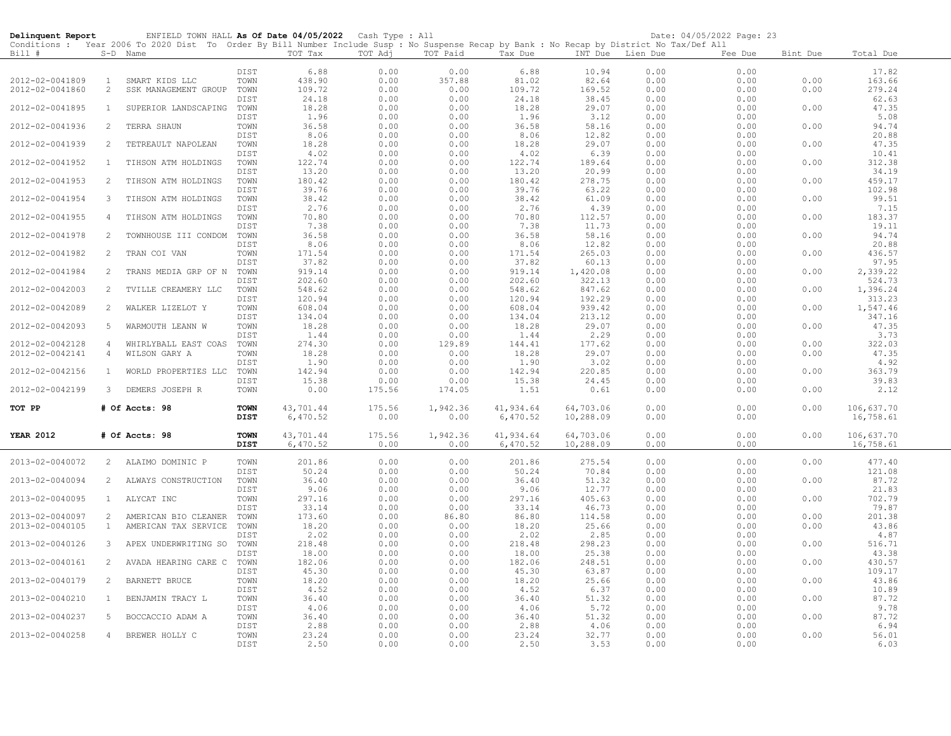| Delinquent Report |                | ENFIELD TOWN HALL As Of Date 04/05/2022 Cash Type : All                                                                                                |                            |                       |                |                  |                       |                        |                  | Date: 04/05/2022 Page: 23 |          |                         |
|-------------------|----------------|--------------------------------------------------------------------------------------------------------------------------------------------------------|----------------------------|-----------------------|----------------|------------------|-----------------------|------------------------|------------------|---------------------------|----------|-------------------------|
| Bill #            |                | Conditions : Year 2006 To 2020 Dist To Order By Bill Number Include Susp : No Suspense Recap by Bank : No Recap by District No Tax/Def All<br>S-D Name |                            | TOT Tax               | TOT Adj        | TOT Paid         | Tax Due               |                        | INT Due Lien Due | Fee Due                   | Bint Due | Total Due               |
|                   |                |                                                                                                                                                        |                            |                       |                |                  |                       |                        |                  |                           |          |                         |
| 2012-02-0041809   | $\overline{1}$ | SMART KIDS LLC                                                                                                                                         | DIST<br>TOWN               | 6.88<br>438.90        | 0.00<br>0.00   | 0.00<br>357.88   | 6.88<br>81.02         | 10.94<br>82.64         | 0.00<br>0.00     | 0.00<br>0.00              | 0.00     | 17.82<br>163.66         |
| 2012-02-0041860   | $\overline{2}$ | SSK MANAGEMENT GROUP                                                                                                                                   | TOWN                       | 109.72                | 0.00           | 0.00             | 109.72                | 169.52                 | 0.00             | 0.00                      | 0.00     | 279.24                  |
|                   |                |                                                                                                                                                        | DIST                       | 24.18                 | 0.00           | 0.00             | 24.18                 | 38.45                  | 0.00             | 0.00                      |          | 62.63                   |
| 2012-02-0041895   | $\mathbf{1}$   | SUPERIOR LANDSCAPING                                                                                                                                   | TOWN                       | 18.28                 | 0.00           | 0.00             | 18.28                 | 29.07                  | 0.00             | 0.00                      | 0.00     | 47.35                   |
|                   |                |                                                                                                                                                        | DIST                       | 1.96                  | 0.00           | 0.00             | 1.96                  | 3.12                   | 0.00             | 0.00                      |          | 5.08                    |
| 2012-02-0041936   | 2              | TERRA SHAUN                                                                                                                                            | TOWN                       | 36.58                 | 0.00           | 0.00             | 36.58                 | 58.16                  | 0.00             | 0.00                      | 0.00     | 94.74                   |
|                   |                |                                                                                                                                                        | DIST                       | 8.06                  | 0.00           | 0.00             | 8.06                  | 12.82                  | 0.00             | 0.00                      |          | 20.88                   |
| 2012-02-0041939   | 2              | TETREAULT NAPOLEAN                                                                                                                                     | TOWN                       | 18.28                 | 0.00           | 0.00             | 18.28                 | 29.07                  | 0.00             | 0.00                      | 0.00     | 47.35                   |
|                   |                |                                                                                                                                                        | DIST                       | 4.02                  | 0.00           | 0.00             | 4.02                  | 6.39                   | 0.00             | 0.00                      |          | 10.41                   |
| 2012-02-0041952   | $\mathbf{1}$   | TIHSON ATM HOLDINGS                                                                                                                                    | TOWN                       | 122.74                | 0.00           | 0.00             | 122.74                | 189.64                 | 0.00             | 0.00                      | 0.00     | 312.38                  |
| 2012-02-0041953   | 2              | TIHSON ATM HOLDINGS                                                                                                                                    | DIST<br>TOWN               | 13.20<br>180.42       | 0.00<br>0.00   | 0.00<br>0.00     | 13.20<br>180.42       | 20.99<br>278.75        | 0.00<br>0.00     | 0.00<br>0.00              | 0.00     | 34.19<br>459.17         |
|                   |                |                                                                                                                                                        | DIST                       | 39.76                 | 0.00           | 0.00             | 39.76                 | 63.22                  | 0.00             | 0.00                      |          | 102.98                  |
| 2012-02-0041954   | 3              | TIHSON ATM HOLDINGS                                                                                                                                    | TOWN                       | 38.42                 | 0.00           | 0.00             | 38.42                 | 61.09                  | 0.00             | 0.00                      | 0.00     | 99.51                   |
|                   |                |                                                                                                                                                        | DIST                       | 2.76                  | 0.00           | 0.00             | 2.76                  | 4.39                   | 0.00             | 0.00                      |          | 7.15                    |
| 2012-02-0041955   | $\overline{4}$ | TIHSON ATM HOLDINGS                                                                                                                                    | TOWN                       | 70.80                 | 0.00           | 0.00             | 70.80                 | 112.57                 | 0.00             | 0.00                      | 0.00     | 183.37                  |
|                   |                |                                                                                                                                                        | DIST                       | 7.38                  | 0.00           | 0.00             | 7.38                  | 11.73                  | 0.00             | 0.00                      |          | 19.11                   |
| 2012-02-0041978   | 2              | TOWNHOUSE III CONDOM                                                                                                                                   | TOWN                       | 36.58                 | 0.00           | 0.00             | 36.58                 | 58.16                  | 0.00             | 0.00                      | 0.00     | 94.74                   |
|                   |                |                                                                                                                                                        | DIST                       | 8.06                  | 0.00           | 0.00             | 8.06                  | 12.82                  | 0.00             | 0.00                      |          | 20.88                   |
| 2012-02-0041982   | 2              | TRAN COI VAN                                                                                                                                           | TOWN<br>DIST               | 171.54<br>37.82       | 0.00<br>0.00   | 0.00<br>0.00     | 171.54<br>37.82       | 265.03<br>60.13        | 0.00<br>0.00     | 0.00<br>0.00              | 0.00     | 436.57<br>97.95         |
| 2012-02-0041984   | 2              | TRANS MEDIA GRP OF N                                                                                                                                   | TOWN                       | 919.14                | 0.00           | 0.00             | 919.14                | 1,420.08               | 0.00             | 0.00                      | 0.00     | 2,339.22                |
|                   |                |                                                                                                                                                        | DIST                       | 202.60                | 0.00           | 0.00             | 202.60                | 322.13                 | 0.00             | 0.00                      |          | 524.73                  |
| 2012-02-0042003   | 2              | TVILLE CREAMERY LLC                                                                                                                                    | TOWN                       | 548.62                | 0.00           | 0.00             | 548.62                | 847.62                 | 0.00             | 0.00                      | 0.00     | 1,396.24                |
|                   |                |                                                                                                                                                        | DIST                       | 120.94                | $0.00$         | 0.00             | 120.94                | 192.29                 | 0.00             | 0.00                      |          | 313.23                  |
| 2012-02-0042089   | 2              | WALKER LIZELOT Y                                                                                                                                       | TOWN                       | 608.04                | 0.00           | 0.00             | 608.04                | 939.42                 | 0.00             | 0.00                      | 0.00     | 1,547.46                |
|                   |                |                                                                                                                                                        | DIST                       | 134.04                | 0.00           | 0.00             | 134.04                | 213.12                 | 0.00             | 0.00                      |          | 347.16                  |
| 2012-02-0042093   | 5              | WARMOUTH LEANN W                                                                                                                                       | TOWN                       | 18.28                 | 0.00           | 0.00             | 18.28                 | 29.07                  | 0.00             | 0.00                      | 0.00     | 47.35                   |
|                   |                |                                                                                                                                                        | DIST                       | 1.44                  | 0.00           | 0.00             | 1.44                  | 2.29                   | 0.00             | 0.00                      |          | 3.73                    |
| 2012-02-0042128   | $\overline{4}$ | WHIRLYBALL EAST COAS                                                                                                                                   | TOWN                       | 274.30                | 0.00           | 129.89           | 144.41                | 177.62                 | 0.00             | 0.00                      | 0.00     | 322.03                  |
| 2012-02-0042141   | $\overline{4}$ | WILSON GARY A                                                                                                                                          | TOWN<br>DIST               | 18.28<br>1.90         | 0.00<br>0.00   | 0.00             | 18.28<br>1.90         | 29.07<br>3.02          | 0.00<br>0.00     | 0.00<br>0.00              | 0.00     | 47.35<br>4.92           |
| 2012-02-0042156   | $\mathbf{1}$   | WORLD PROPERTIES LLC                                                                                                                                   | TOWN                       | 142.94                | 0.00           | 0.00<br>0.00     | 142.94                | 220.85                 | 0.00             | 0.00                      | 0.00     | 363.79                  |
|                   |                |                                                                                                                                                        | DIST                       | 15.38                 | 0.00           | 0.00             | 15.38                 | 24.45                  | 0.00             | 0.00                      |          | 39.83                   |
| 2012-02-0042199   | $\mathbf{3}$   | DEMERS JOSEPH R                                                                                                                                        | TOWN                       | 0.00                  | 175.56         | 174.05           | 1.51                  | 0.61                   | 0.00             | 0.00                      | 0.00     | 2.12                    |
|                   |                |                                                                                                                                                        |                            |                       |                |                  |                       |                        |                  |                           |          |                         |
| TOT PP            |                | # Of Accts: 98                                                                                                                                         | <b>TOWN</b>                | 43,701.44             | 175.56         | 1,942.36         | 41,934.64             | 64,703.06              | 0.00             | 0.00                      | 0.00     | 106,637.70              |
|                   |                |                                                                                                                                                        | DIST                       | 6,470.52              | 0.00           | 0.00             | 6,470.52              | 10,288.09              | 0.00             | 0.00                      |          | 16,758.61               |
|                   |                |                                                                                                                                                        |                            |                       |                |                  |                       |                        |                  |                           | 0.00     |                         |
| <b>YEAR 2012</b>  |                | # Of Accts: 98                                                                                                                                         | <b>TOWN</b><br><b>DIST</b> | 43,701.44<br>6,470.52 | 175.56<br>0.00 | 1,942.36<br>0.00 | 41,934.64<br>6,470.52 | 64,703.06<br>10,288.09 | 0.00<br>0.00     | 0.00<br>0.00              |          | 106,637.70<br>16,758.61 |
|                   |                |                                                                                                                                                        |                            |                       |                |                  |                       |                        |                  |                           |          |                         |
| 2013-02-0040072   |                | 2 ALAIMO DOMINIC P                                                                                                                                     | TOWN                       | 201.86                | 0.00           | 0.00             | 201.86                | 275.54                 | 0.00             | 0.00                      | 0.00     | 477.40                  |
|                   |                |                                                                                                                                                        | DIST                       | 50.24                 | 0.00           | 0.00             | 50.24                 | 70.84                  | 0.00             | 0.00                      |          | 121.08                  |
| 2013-02-0040094   |                | 2 ALWAYS CONSTRUCTION                                                                                                                                  | TOWN                       | 36.40                 | 0.00           | 0.00             | 36.40                 | 51.32                  | 0.00             | 0.00                      | 0.00     | 87.72                   |
|                   |                |                                                                                                                                                        | DIST                       | 9.06                  | 0.00           | 0.00             | 9.06                  | 12.77                  | 0.00             | 0.00                      |          | 21.83                   |
| 2013-02-0040095   | $\mathbf{1}$   | ALYCAT INC                                                                                                                                             | TOWN                       | 297.16                | 0.00           | 0.00             | 297.16                | 405.63                 | 0.00             | 0.00                      | 0.00     | 702.79                  |
| 2013-02-0040097   | 2              | AMERICAN BIO CLEANER                                                                                                                                   | DIST<br>TOWN               | 33.14<br>173.60       | 0.00<br>0.00   | 0.00<br>86.80    | 33.14<br>86.80        | 46.73<br>114.58        | 0.00<br>0.00     | 0.00<br>0.00              | 0.00     | 79.87<br>201.38         |
| 2013-02-0040105   | $\mathbf{1}$   | AMERICAN TAX SERVICE                                                                                                                                   | TOWN                       | 18.20                 | 0.00           | 0.00             | 18.20                 | 25.66                  | 0.00             | 0.00                      | 0.00     | 43.86                   |
|                   |                |                                                                                                                                                        | DIST                       | 2.02                  | $0.00$         | 0.00             | 2.02                  | 2.85                   | 0.00             | 0.00                      |          | 4.87                    |
| 2013-02-0040126   | 3              | APEX UNDERWRITING SO                                                                                                                                   | TOWN                       | 218.48                | 0.00           | 0.00             | 218.48                | 298.23                 | 0.00             | 0.00                      | 0.00     | 516.71                  |
|                   |                |                                                                                                                                                        | DIST                       | 18.00                 | 0.00           | 0.00             | 18.00                 | 25.38                  | 0.00             | 0.00                      |          | 43.38                   |
| 2013-02-0040161   | $\overline{2}$ | AVADA HEARING CARE C                                                                                                                                   | TOWN                       | 182.06                | 0.00           | 0.00             | 182.06                | 248.51                 | 0.00             | 0.00                      | 0.00     | 430.57                  |
|                   |                |                                                                                                                                                        | DIST                       | 45.30                 | 0.00           | 0.00             | 45.30                 | 63.87                  | 0.00             | 0.00                      |          | 109.17                  |
| 2013-02-0040179   | 2              | BARNETT BRUCE                                                                                                                                          | TOWN                       | 18.20                 | 0.00           | 0.00             | 18.20                 | 25.66                  | 0.00             | 0.00                      | 0.00     | 43.86                   |
|                   |                |                                                                                                                                                        | DIST                       | 4.52                  | 0.00           | 0.00             | 4.52                  | 6.37                   | 0.00             | 0.00                      |          | 10.89                   |
| 2013-02-0040210   | $\mathbf{1}$   | BENJAMIN TRACY L                                                                                                                                       | TOWN<br>DIST               | 36.40<br>4.06         | 0.00<br>0.00   | 0.00<br>0.00     | 36.40<br>4.06         | 51.32<br>5.72          | 0.00<br>0.00     | 0.00<br>0.00              | 0.00     | 87.72<br>9.78           |
| 2013-02-0040237   | 5              | BOCCACCIO ADAM A                                                                                                                                       | TOWN                       | 36.40                 | 0.00           | 0.00             | 36.40                 | 51.32                  | 0.00             | 0.00                      | 0.00     | 87.72                   |
|                   |                |                                                                                                                                                        | DIST                       | 2.88                  | 0.00           | 0.00             | 2.88                  | 4.06                   | 0.00             | 0.00                      |          | 6.94                    |
| 2013-02-0040258   | $\overline{4}$ | BREWER HOLLY C                                                                                                                                         | TOWN                       | 23.24                 | 0.00           | 0.00             | 23.24                 | 32.77                  | 0.00             | 0.00                      | 0.00     | 56.01                   |
|                   |                |                                                                                                                                                        | DIST                       | 2.50                  | 0.00           | 0.00             | 2.50                  | 3.53                   | 0.00             | 0.00                      |          | 6.03                    |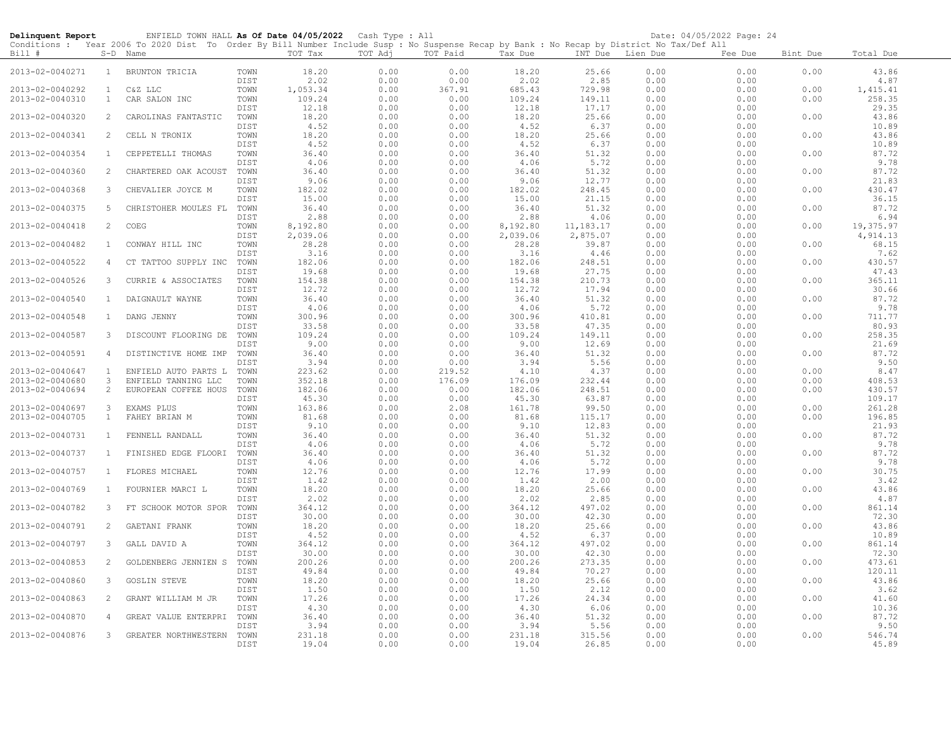| Delinquent Report |                | ENFIELD TOWN HALL As Of Date 04/05/2022 Cash Type : All<br>Conditions : Year 2006 To 2020 Dist To Order By Bill Number Include Susp : No Suspense Recap by Bank : No Recap by District No Tax/Def All |              |                |                                 |              |                |                |              | Date: 04/05/2022 Page: 24 |          |                |
|-------------------|----------------|-------------------------------------------------------------------------------------------------------------------------------------------------------------------------------------------------------|--------------|----------------|---------------------------------|--------------|----------------|----------------|--------------|---------------------------|----------|----------------|
| Bill #            |                | S-D Name                                                                                                                                                                                              |              | TOT Tax        | TOT Adj                         | TOT Paid     | Tax Due        | INT Due        | Lien Due     | Fee Due                   | Bint Due | Total Due      |
| 2013-02-0040271   | $\mathbf{1}$   | BRUNTON TRICIA                                                                                                                                                                                        | TOWN<br>DIST | 18.20<br>2.02  | 0.00<br>0.00                    | 0.00<br>0.00 | 18.20<br>2.02  | 25.66<br>2.85  | 0.00<br>0.00 | 0.00<br>0.00              | 0.00     | 43.86<br>4.87  |
| 2013-02-0040292   | $\mathbf{1}$   | C&Z LLC                                                                                                                                                                                               | TOWN         | 1,053.34       | 0.00                            | 367.91       | 685.43         | 729.98         | 0.00         | 0.00                      | 0.00     | 1,415.41       |
| 2013-02-0040310   | $\mathbf{1}$   | CAR SALON INC                                                                                                                                                                                         | TOWN         | 109.24         | 0.00                            | 0.00         | 109.24         | 149.11         | 0.00         | 0.00                      | 0.00     | 258.35         |
|                   |                |                                                                                                                                                                                                       | DIST         | 12.18          | 0.00                            | 0.00         | 12.18          | 17.17          | 0.00         | 0.00                      |          | 29.35          |
| 2013-02-0040320   | 2              | CAROLINAS FANTASTIC                                                                                                                                                                                   | TOWN         | 18.20          | 0.00                            | 0.00         | 18.20          | 25.66          | 0.00         | 0.00                      | 0.00     | 43.86          |
|                   |                |                                                                                                                                                                                                       | DIST         | 4.52           | 0.00                            | 0.00         | 4.52           | 6.37           | 0.00         | 0.00                      |          | 10.89          |
| 2013-02-0040341   | 2              | CELL N TRONIX                                                                                                                                                                                         | TOWN         | 18.20          | 0.00                            | 0.00         | 18.20          | 25.66          | 0.00         | 0.00                      | 0.00     | 43.86          |
|                   |                |                                                                                                                                                                                                       | DIST         | 4.52           | 0.00                            | 0.00         | 4.52           | 6.37           | 0.00         | 0.00                      |          | 10.89          |
| 2013-02-0040354   | $\mathbf{1}$   | CEPPETELLI THOMAS                                                                                                                                                                                     | TOWN         | 36.40          | 0.00                            | 0.00         | 36.40          | 51.32          | 0.00         | 0.00                      | 0.00     | 87.72          |
| 2013-02-0040360   | 2              | CHARTERED OAK ACOUST                                                                                                                                                                                  | DIST<br>TOWN | 4.06<br>36.40  | 0.00<br>0.00                    | 0.00<br>0.00 | 4.06<br>36.40  | 5.72<br>51.32  | 0.00<br>0.00 | 0.00<br>0.00              | 0.00     | 9.78<br>87.72  |
|                   |                |                                                                                                                                                                                                       | DIST         | 9.06           | 0.00                            | 0.00         | 9.06           | 12.77          | 0.00         | 0.00                      |          | 21.83          |
| 2013-02-0040368   | 3              | CHEVALIER JOYCE M                                                                                                                                                                                     | TOWN         | 182.02         | 0.00                            | 0.00         | 182.02         | 248.45         | 0.00         | 0.00                      | 0.00     | 430.47         |
|                   |                |                                                                                                                                                                                                       | DIST         | 15.00          | 0.00                            | 0.00         | 15.00          | 21.15          | 0.00         | 0.00                      |          | 36.15          |
| 2013-02-0040375   | 5              | CHRISTOHER MOULES FL                                                                                                                                                                                  | TOWN         | 36.40          | 0.00                            | 0.00         | 36.40          | 51.32          | 0.00         | 0.00                      | 0.00     | 87.72          |
|                   |                |                                                                                                                                                                                                       | DIST         | 2.88           | 0.00                            | 0.00         | 2.88           | 4.06           | 0.00         | 0.00                      |          | 6.94           |
| 2013-02-0040418   | 2              | COEG                                                                                                                                                                                                  | TOWN         | 8,192.80       | 0.00                            | 0.00         | 8,192.80       | 11,183.17      | 0.00         | 0.00                      | 0.00     | 19,375.97      |
|                   |                |                                                                                                                                                                                                       | DIST         | 2,039.06       | 0.00                            | 0.00         | 2,039.06       | 2,875.07       | 0.00         | 0.00                      |          | 4,914.13       |
| 2013-02-0040482   | $\mathbf{1}$   | CONWAY HILL INC                                                                                                                                                                                       | TOWN         | 28.28          | 0.00                            | 0.00         | 28.28          | 39.87          | 0.00         | 0.00                      | 0.00     | 68.15          |
| 2013-02-0040522   | 4              | CT TATTOO SUPPLY INC                                                                                                                                                                                  | DIST<br>TOWN | 3.16<br>182.06 | 0.00<br>0.00                    | 0.00<br>0.00 | 3.16<br>182.06 | 4.46<br>248.51 | 0.00<br>0.00 | 0.00<br>0.00              | 0.00     | 7.62<br>430.57 |
|                   |                |                                                                                                                                                                                                       | DIST         | 19.68          | 0.00                            | 0.00         | 19.68          | 27.75          | 0.00         | 0.00                      |          | 47.43          |
| 2013-02-0040526   | 3              | CURRIE & ASSOCIATES                                                                                                                                                                                   | TOWN         | 154.38         | 0.00                            | 0.00         | 154.38         | 210.73         | 0.00         | 0.00                      | 0.00     | 365.11         |
|                   |                |                                                                                                                                                                                                       | DIST         | 12.72          | 0.00                            | 0.00         | 12.72          | 17.94          | 0.00         | 0.00                      |          | 30.66          |
| 2013-02-0040540   | 1              | DAIGNAULT WAYNE                                                                                                                                                                                       | TOWN         | 36.40          | 0.00                            | 0.00         | 36.40          | 51.32          | 0.00         | 0.00                      | 0.00     | 87.72          |
|                   |                |                                                                                                                                                                                                       | DIST         | 4.06           | 0.00                            | 0.00         | 4.06           | 5.72           | 0.00         | 0.00                      |          | 9.78           |
| 2013-02-0040548   | $\mathbf{1}$   | DANG JENNY                                                                                                                                                                                            | TOWN         | 300.96         | 0.00                            | 0.00         | 300.96         | 410.81         | 0.00         | 0.00                      | 0.00     | 711.77         |
|                   |                |                                                                                                                                                                                                       | DIST         | 33.58          | 0.00                            | 0.00         | 33.58          | 47.35          | 0.00         | 0.00                      |          | 80.93          |
| 2013-02-0040587   | 3              | DISCOUNT FLOORING DE                                                                                                                                                                                  | TOWN         | 109.24         | 0.00                            | 0.00         | 109.24         | 149.11         | 0.00         | 0.00                      | 0.00     | 258.35         |
| 2013-02-0040591   | 4              |                                                                                                                                                                                                       | DIST<br>TOWN | 9.00<br>36.40  | 0.00<br>0.00                    | 0.00<br>0.00 | 9.00<br>36.40  | 12.69<br>51.32 | 0.00<br>0.00 | 0.00<br>0.00              | 0.00     | 21.69<br>87.72 |
|                   |                | DISTINCTIVE HOME IMP                                                                                                                                                                                  | DIST         | 3.94           | 0.00                            | 0.00         | 3.94           | 5.56           | 0.00         | 0.00                      |          | 9.50           |
| 2013-02-0040647   | $\mathbf{1}$   | ENFIELD AUTO PARTS L                                                                                                                                                                                  | TOWN         | 223.62         | 0.00                            | 219.52       | 4.10           | 4.37           | 0.00         | 0.00                      | 0.00     | 8.47           |
| 2013-02-0040680   | 3              | ENFIELD TANNING LLC                                                                                                                                                                                   | TOWN         | 352.18         | 0.00                            | 176.09       | 176.09         | 232.44         | 0.00         | 0.00                      | 0.00     | 408.53         |
| 2013-02-0040694   | 2              | EUROPEAN COFFEE HOUS                                                                                                                                                                                  | TOWN         | 182.06         | 0.00                            | 0.00         | 182.06         | 248.51         | 0.00         | 0.00                      | 0.00     | 430.57         |
|                   |                |                                                                                                                                                                                                       | DIST         | 45.30          | 0.00                            | 0.00         | 45.30          | 63.87          | 0.00         | 0.00                      |          | 109.17         |
| 2013-02-0040697   | 3              | EXAMS PLUS                                                                                                                                                                                            | TOWN         | 163.86         | 0.00                            | 2.08         | 161.78         | 99.50          | 0.00         | 0.00                      | 0.00     | 261.28         |
| 2013-02-0040705   | $\mathbf{1}$   | FAHEY BRIAN M                                                                                                                                                                                         | TOWN         | 81.68          | 0.00                            | 0.00         | 81.68          | 115.17         | 0.00         | 0.00                      | 0.00     | 196.85         |
|                   |                |                                                                                                                                                                                                       | DIST         | 9.10           | 0.00                            | 0.00<br>0.00 | 9.10           | 12.83          | 0.00<br>0.00 | 0.00                      |          | 21.93<br>87.72 |
| 2013-02-0040731   | 1              | FENNELL RANDALL                                                                                                                                                                                       | TOWN<br>DIST | 36.40<br>4.06  | 0.00<br>0.00                    | 0.00         | 36.40<br>4.06  | 51.32<br>5.72  | 0.00         | 0.00<br>0.00              | 0.00     | 9.78           |
| 2013-02-0040737   | $\mathbf{1}$   | FINISHED EDGE FLOORI                                                                                                                                                                                  | TOWN         | 36.40          | 0.00                            | 0.00         | 36.40          | 51.32          | 0.00         | 0.00                      | 0.00     | 87.72          |
|                   |                |                                                                                                                                                                                                       | DIST         | 4.06           | 0.00                            | 0.00         | 4.06           | 5.72           | 0.00         | 0.00                      |          | 9.78           |
| 2013-02-0040757   | $\mathbf{1}$   | FLORES MICHAEL                                                                                                                                                                                        | TOWN         | 12.76          | 0.00                            | 0.00         | 12.76          | 17.99          | 0.00         | 0.00                      | 0.00     | 30.75          |
|                   |                |                                                                                                                                                                                                       | DIST         | 1.42           | ${\bf 0}$ . ${\bf 0}$ ${\bf 0}$ | 0.00         | 1.42           | 2.00           | 0.00         | 0.00                      |          | 3.42           |
| 2013-02-0040769   | $\mathbf{1}$   | FOURNIER MARCI L                                                                                                                                                                                      | TOWN         | 18.20          | 0.00                            | 0.00         | 18.20          | 25.66          | 0.00         | 0.00                      | 0.00     | 43.86          |
|                   |                |                                                                                                                                                                                                       | DIST         | 2.02           | 0.00                            | 0.00         | 2.02           | 2.85           | 0.00         | 0.00                      |          | 4.87           |
| 2013-02-0040782   | 3              | FT SCHOOK MOTOR SPOR                                                                                                                                                                                  | TOWN         | 364.12         | 0.00                            | 0.00         | 364.12         | 497.02         | 0.00         | 0.00                      | 0.00     | 861.14         |
| 2013-02-0040791   | 2              | GAETANI FRANK                                                                                                                                                                                         | DIST<br>TOWN | 30.00<br>18.20 | 0.00<br>0.00                    | 0.00<br>0.00 | 30.00<br>18.20 | 42.30<br>25.66 | 0.00<br>0.00 | 0.00<br>0.00              | 0.00     | 72.30<br>43.86 |
|                   |                |                                                                                                                                                                                                       | DIST         | 4.52           | 0.00                            | 0.00         | 4.52           | 6.37           | 0.00         | 0.00                      |          | 10.89          |
| 2013-02-0040797   | 3              | GALL DAVID A                                                                                                                                                                                          | TOWN         | 364.12         | 0.00                            | 0.00         | 364.12         | 497.02         | 0.00         | 0.00                      | 0.00     | 861.14         |
|                   |                |                                                                                                                                                                                                       | DIST         | 30.00          | 0.00                            | 0.00         | 30.00          | 42.30          | 0.00         | 0.00                      |          | 72.30          |
| 2013-02-0040853   | 2              | GOLDENBERG JENNIEN S                                                                                                                                                                                  | TOWN         | 200.26         | 0.00                            | 0.00         | 200.26         | 273.35         | 0.00         | 0.00                      | 0.00     | 473.61         |
|                   |                |                                                                                                                                                                                                       | DIST         | 49.84          | 0.00                            | 0.00         | 49.84          | 70.27          | 0.00         | 0.00                      |          | 120.11         |
| 2013-02-0040860   | 3              | <b>GOSLIN STEVE</b>                                                                                                                                                                                   | TOWN         | 18.20          | 0.00                            | 0.00         | 18.20          | 25.66          | 0.00         | 0.00                      | 0.00     | 43.86          |
|                   |                |                                                                                                                                                                                                       | DIST         | 1.50           | 0.00                            | 0.00         | 1.50           | 2.12           | 0.00         | 0.00                      |          | 3.62           |
| 2013-02-0040863   | 2              | GRANT WILLIAM M JR                                                                                                                                                                                    | TOWN<br>DIST | 17.26<br>4.30  | 0.00<br>0.00                    | 0.00<br>0.00 | 17.26          | 24.34          | 0.00<br>0.00 | 0.00                      | 0.00     | 41.60<br>10.36 |
| 2013-02-0040870   | $\overline{4}$ | GREAT VALUE ENTERPRI                                                                                                                                                                                  | TOWN         | 36.40          | 0.00                            | 0.00         | 4.30<br>36.40  | 6.06<br>51.32  | 0.00         | 0.00<br>0.00              | 0.00     | 87.72          |
|                   |                |                                                                                                                                                                                                       | DIST         | 3.94           | 0.00                            | 0.00         | 3.94           | 5.56           | 0.00         | 0.00                      |          | 9.50           |
| 2013-02-0040876   | 3              | GREATER NORTHWESTERN                                                                                                                                                                                  | TOWN         | 231.18         | 0.00                            | 0.00         | 231.18         | 315.56         | 0.00         | 0.00                      | 0.00     | 546.74         |
|                   |                |                                                                                                                                                                                                       | DIST         | 19.04          | 0.00                            | 0.00         | 19.04          | 26.85          | 0.00         | 0.00                      |          | 45.89          |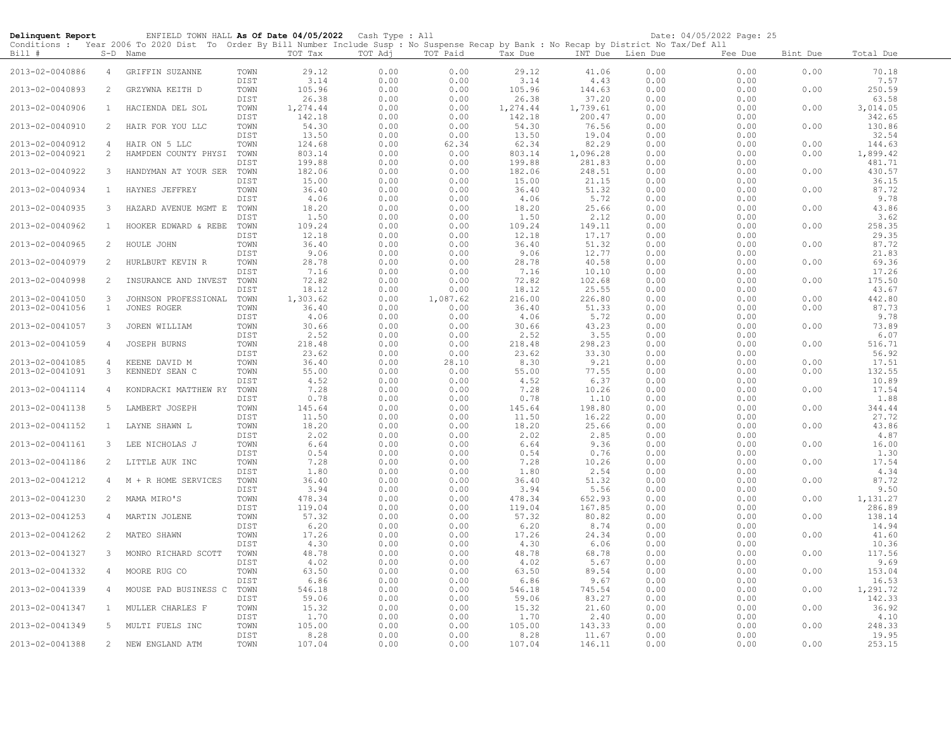| Delinquent Report |                | ENFIELD TOWN HALL As Of Date 04/05/2022<br>Conditions : Year 2006 To 2020 Dist To Order By Bill Number Include Susp : No Suspense Recap by Bank : No Recap by District No Tax/Def All |              |                    | Cash Type : All |              |                    |                    |              | Date: 04/05/2022 Page: 25 |          |                    |
|-------------------|----------------|---------------------------------------------------------------------------------------------------------------------------------------------------------------------------------------|--------------|--------------------|-----------------|--------------|--------------------|--------------------|--------------|---------------------------|----------|--------------------|
| Bill #            |                | S-D Name                                                                                                                                                                              |              | TOT Tax            | TOT Adj         | TOT Paid     | Tax Due            | INT Due Lien Due   |              | Fee Due                   | Bint Due | Total Due          |
| 2013-02-0040886   | $\overline{4}$ | GRIFFIN SUZANNE                                                                                                                                                                       | TOWN<br>DIST | 29.12<br>3.14      | 0.00<br>0.00    | 0.00<br>0.00 | 29.12<br>3.14      | 41.06<br>4.43      | 0.00<br>0.00 | 0.00<br>0.00              | 0.00     | 70.18<br>7.57      |
| 2013-02-0040893   | 2              | GRZYWNA KEITH D                                                                                                                                                                       | TOWN<br>DIST | 105.96<br>26.38    | 0.00<br>0.00    | 0.00<br>0.00 | 105.96<br>26.38    | 144.63<br>37.20    | 0.00<br>0.00 | 0.00<br>0.00              | 0.00     | 250.59<br>63.58    |
| 2013-02-0040906   | $\mathbf{1}$   | HACIENDA DEL SOL                                                                                                                                                                      | TOWN<br>DIST | 1,274.44<br>142.18 | 0.00<br>0.00    | 0.00<br>0.00 | 1,274.44<br>142.18 | 1,739.61<br>200.47 | 0.00<br>0.00 | 0.00<br>0.00              | 0.00     | 3,014.05<br>342.65 |
| 2013-02-0040910   | $\overline{2}$ | HAIR FOR YOU LLC                                                                                                                                                                      | TOWN<br>DIST | 54.30<br>13.50     | 0.00<br>0.00    | 0.00<br>0.00 | 54.30<br>13.50     | 76.56<br>19.04     | 0.00<br>0.00 | 0.00<br>0.00              | 0.00     | 130.86<br>32.54    |
| 2013-02-0040912   | $\overline{4}$ | HAIR ON 5 LLC                                                                                                                                                                         | TOWN         | 124.68             | 0.00            | 62.34        | 62.34              | 82.29              | 0.00         | 0.00                      | 0.00     | 144.63             |
| 2013-02-0040921   | 2              | HAMPDEN COUNTY PHYSI                                                                                                                                                                  | TOWN         | 803.14             | 0.00            | 0.00         | 803.14             | 1,096.28           | 0.00         | 0.00                      | 0.00     | 1,899.42           |
|                   |                |                                                                                                                                                                                       | DIST         | 199.88             | 0.00            | 0.00         | 199.88             | 281.83             | 0.00         | 0.00                      |          | 481.71             |
| 2013-02-0040922   | 3              | HANDYMAN AT YOUR SER                                                                                                                                                                  | TOWN<br>DIST | 182.06<br>15.00    | 0.00<br>0.00    | 0.00<br>0.00 | 182.06<br>15.00    | 248.51<br>21.15    | 0.00<br>0.00 | 0.00<br>0.00              | 0.00     | 430.57<br>36.15    |
| 2013-02-0040934   | 1              | HAYNES JEFFREY                                                                                                                                                                        | TOWN         | 36.40              | 0.00            | 0.00         | 36.40              | 51.32              | 0.00         | 0.00                      | 0.00     | 87.72              |
|                   |                |                                                                                                                                                                                       | DIST         | 4.06               | 0.00            | 0.00         | 4.06               | 5.72               | 0.00         | 0.00                      |          | 9.78               |
| 2013-02-0040935   | 3              | HAZARD AVENUE MGMT E                                                                                                                                                                  | TOWN<br>DIST | 18.20<br>1.50      | 0.00<br>0.00    | 0.00<br>0.00 | 18.20<br>1.50      | 25.66<br>2.12      | 0.00<br>0.00 | 0.00<br>0.00              | 0.00     | 43.86<br>3.62      |
| 2013-02-0040962   | $\mathbf{1}$   | HOOKER EDWARD & REBE                                                                                                                                                                  | TOWN         | 109.24             | 0.00            | 0.00         | 109.24             | 149.11             | 0.00         | 0.00                      | 0.00     | 258.35             |
|                   |                |                                                                                                                                                                                       | DIST         | 12.18              | 0.00            | 0.00         | 12.18              | 17.17              | 0.00         | 0.00                      |          | 29.35              |
| 2013-02-0040965   | $\overline{2}$ | HOULE JOHN                                                                                                                                                                            | TOWN         | 36.40              | 0.00            | 0.00         | 36.40              | 51.32              | 0.00         | 0.00                      | 0.00     | 87.72              |
|                   |                |                                                                                                                                                                                       |              |                    |                 |              |                    |                    |              |                           |          | 21.83              |
| 2013-02-0040979   | 2              |                                                                                                                                                                                       | DIST         | 9.06               | 0.00            | 0.00         | 9.06               | 12.77<br>40.58     | 0.00         | 0.00<br>0.00              |          | 69.36              |
|                   |                | HURLBURT KEVIN R                                                                                                                                                                      | TOWN         | 28.78              | 0.00            | 0.00         | 28.78              |                    | 0.00         |                           | 0.00     |                    |
|                   |                |                                                                                                                                                                                       | DIST         | 7.16               | 0.00            | 0.00         | 7.16               | 10.10              | 0.00         | 0.00                      |          | 17.26              |
| 2013-02-0040998   | 2              | INSURANCE AND INVEST                                                                                                                                                                  | TOWN         | 72.82              | 0.00            | 0.00         | 72.82              | 102.68             | 0.00         | 0.00                      | 0.00     | 175.50             |
|                   |                |                                                                                                                                                                                       | DIST         | 18.12              | 0.00            | 0.00         | 18.12              | 25.55              | 0.00         | 0.00                      |          | 43.67              |
| 2013-02-0041050   | $\mathbf{3}$   | JOHNSON PROFESSIONAL                                                                                                                                                                  | TOWN         | 1,303.62           | 0.00            | 1,087.62     | 216.00             | 226.80             | 0.00         | 0.00                      | 0.00     | 442.80             |
| 2013-02-0041056   | 1              | JONES ROGER                                                                                                                                                                           | TOWN         | 36.40              | 0.00            | 0.00         | 36.40              | 51.33              | 0.00         | 0.00                      | 0.00     | 87.73              |
|                   |                |                                                                                                                                                                                       | DIST         | 4.06               | 0.00            | 0.00         | 4.06               | 5.72               | 0.00         | 0.00                      |          | 9.78               |
| 2013-02-0041057   | 3              | JOREN WILLIAM                                                                                                                                                                         | TOWN         | 30.66              | 0.00            | 0.00         | 30.66              | 43.23              | 0.00         | 0.00                      | 0.00     | 73.89              |
|                   |                |                                                                                                                                                                                       | DIST         | 2.52               | 0.00            | 0.00         | 2.52               | 3.55               | 0.00         | 0.00                      |          | 6.07               |
| 2013-02-0041059   | 4              | <b>JOSEPH BURNS</b>                                                                                                                                                                   | TOWN         | 218.48             | 0.00            | 0.00         | 218.48             | 298.23             | 0.00         | 0.00                      | 0.00     | 516.71             |
|                   |                |                                                                                                                                                                                       | DIST         | 23.62              | 0.00            | 0.00         | 23.62              | 33.30              | 0.00         | 0.00                      |          | 56.92              |
| 2013-02-0041085   | $\overline{4}$ | KEENE DAVID M                                                                                                                                                                         | TOWN         | 36.40              | 0.00            | 28.10        | 8.30               | 9.21               | 0.00         | 0.00                      | 0.00     | 17.51              |
| 2013-02-0041091   | $\mathcal{S}$  | KENNEDY SEAN C                                                                                                                                                                        | TOWN         | 55.00              | 0.00            | 0.00         | 55.00              | 77.55              | 0.00         | 0.00                      | 0.00     | 132.55             |
|                   |                |                                                                                                                                                                                       | DIST         | 4.52               | 0.00            | 0.00         | 4.52               | 6.37               | 0.00         | 0.00                      |          | 10.89              |
| 2013-02-0041114   | 4              | KONDRACKI MATTHEW RY                                                                                                                                                                  | TOWN         | 7.28               | 0.00            | 0.00         | 7.28               | 10.26              | 0.00         | 0.00                      | 0.00     | 17.54              |
|                   |                |                                                                                                                                                                                       | DIST         | 0.78               | 0.00            | 0.00         | 0.78               | 1.10               | 0.00         | 0.00                      |          | 1.88               |
| 2013-02-0041138   | 5              | LAMBERT JOSEPH                                                                                                                                                                        | TOWN         | 145.64             | 0.00            | 0.00         | 145.64             | 198.80             | 0.00         | 0.00                      | 0.00     | 344.44             |
|                   |                |                                                                                                                                                                                       | DIST         | 11.50              | 0.00            | 0.00         | 11.50              | 16.22              | 0.00         | 0.00                      |          | 27.72              |
| 2013-02-0041152   | $\mathbf{1}$   | LAYNE SHAWN L                                                                                                                                                                         | TOWN         | 18.20              | 0.00            | 0.00         | 18.20              | 25.66              | 0.00         | 0.00                      | 0.00     | 43.86              |
|                   |                |                                                                                                                                                                                       | DIST         | 2.02               | 0.00            | 0.00         | 2.02               | 2.85               | 0.00         | 0.00                      |          | 4.87               |
| 2013-02-0041161   | 3              | LEE NICHOLAS J                                                                                                                                                                        | TOWN         | 6.64               | 0.00            | 0.00         | 6.64               | 9.36               | 0.00         | 0.00                      | 0.00     | 16.00              |
|                   |                |                                                                                                                                                                                       | DIST         | 0.54               | 0.00            | 0.00         | 0.54               | 0.76               | 0.00         | 0.00                      |          | 1.30               |
| 2013-02-0041186   | $\overline{2}$ | LITTLE AUK INC                                                                                                                                                                        | TOWN         | 7.28               | 0.00            | 0.00         | 7.28               | 10.26              | 0.00         | 0.00                      | 0.00     | 17.54              |
|                   |                |                                                                                                                                                                                       | DIST         | 1.80               | 0.00            | 0.00         | 1.80               | 2.54               | 0.00         | 0.00                      |          | 4.34               |
| 2013-02-0041212   |                | 4 M + R HOME SERVICES                                                                                                                                                                 | TOWN         | 36.40              | 0.00            | 0.00         | 36.40              | 51.32              | 0.00         | 0.00                      | 0.00     | 87.72              |
|                   |                |                                                                                                                                                                                       | DIST         | 3.94               | 0.00            | 0.00         | 3.94               | 5.56               | 0.00         | 0.00                      |          | 9.50               |
| 2013-02-0041230   | $\overline{2}$ | MAMA MIRO'S                                                                                                                                                                           | TOWN         | 478.34             | 0.00            | 0.00         | 478.34             | 652.93             | 0.00         | 0.00                      | 0.00     | 1,131.27           |
|                   |                |                                                                                                                                                                                       | DIST         | 119.04             | 0.00            | 0.00         | 119.04             | 167.85             | 0.00         | 0.00                      |          | 286.89             |
| 2013-02-0041253   | 4              | MARTIN JOLENE                                                                                                                                                                         | TOWN         | 57.32              | 0.00            | 0.00         | 57.32              | 80.82              | 0.00         | 0.00                      | 0.00     | 138.14             |
|                   |                |                                                                                                                                                                                       | DIST         | 6.20               | 0.00            | 0.00         | 6.20               | 8.74               | 0.00         | 0.00                      |          | 14.94              |
| 2013-02-0041262   | $\overline{2}$ | MATEO SHAWN                                                                                                                                                                           | TOWN         | 17.26              | 0.00            | 0.00         | 17.26              | 24.34              | 0.00         | 0.00                      | 0.00     | 41.60              |
|                   |                |                                                                                                                                                                                       | DIST         | 4.30               | 0.00            | 0.00         | 4.30               | 6.06               | 0.00         | 0.00                      |          | 10.36              |
| 2013-02-0041327   | 3              | MONRO RICHARD SCOTT                                                                                                                                                                   | TOWN         | 48.78              | 0.00            | 0.00         | 48.78              | 68.78              | 0.00         | 0.00                      | 0.00     | 117.56             |
|                   |                |                                                                                                                                                                                       | DIST         | 4.02               | 0.00            | 0.00         | 4.02               | 5.67               | 0.00         | 0.00                      |          | 9.69               |
| 2013-02-0041332   | $\overline{4}$ | MOORE RUG CO                                                                                                                                                                          | TOWN         | 63.50              | 0.00            | 0.00         | 63.50              | 89.54              | 0.00         | 0.00                      | 0.00     | 153.04             |
|                   |                |                                                                                                                                                                                       | DIST         | 6.86               | 0.00            | 0.00         | 6.86               | 9.67               | 0.00         | 0.00                      |          | 16.53              |
| 2013-02-0041339   | $\overline{4}$ | MOUSE PAD BUSINESS C                                                                                                                                                                  | TOWN         | 546.18             | 0.00            | 0.00         | 546.18             | 745.54             | 0.00         | 0.00                      | 0.00     | 1,291.72           |
|                   |                |                                                                                                                                                                                       | DIST         | 59.06              | 0.00            | 0.00         | 59.06              | 83.27              | 0.00         | 0.00                      |          | 142.33             |
| 2013-02-0041347   | $\mathbf{1}$   | MULLER CHARLES F                                                                                                                                                                      | TOWN         | 15.32              | 0.00            | 0.00         | 15.32              | 21.60              | 0.00         | 0.00                      | 0.00     | 36.92              |
|                   |                |                                                                                                                                                                                       | DIST         | 1.70               | 0.00            | 0.00         | 1.70               | 2.40               | 0.00         | 0.00                      |          | 4.10               |
| 2013-02-0041349   | 5              | MULTI FUELS INC                                                                                                                                                                       | TOWN         | 105.00             | 0.00            | 0.00         | 105.00             | 143.33             | 0.00         | 0.00                      | 0.00     | 248.33             |
|                   |                |                                                                                                                                                                                       | DIST         | 8.28               | 0.00            | 0.00         | 8.28               | 11.67              | 0.00         | 0.00                      |          | 19.95              |
| 2013-02-0041388   | $2^{\circ}$    | NEW ENGLAND ATM                                                                                                                                                                       | TOWN         | 107.04             | 0.00            | 0.00         | 107.04             | 146.11             | 0.00         | 0.00                      | 0.00     | 253.15             |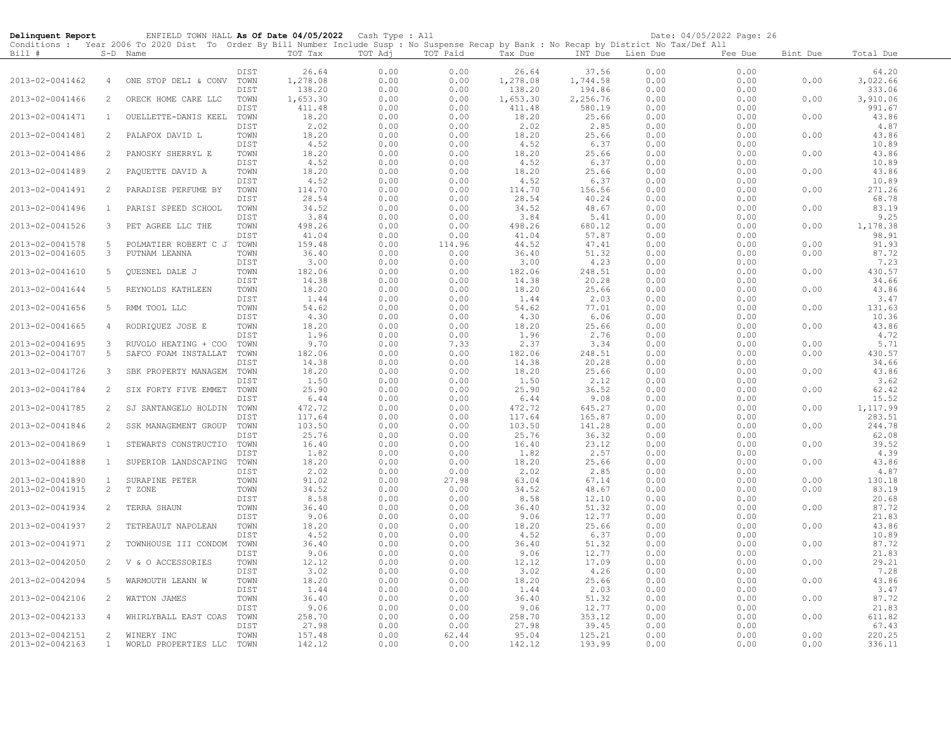| Delinquent Report |                | ENFIELD TOWN HALL As Of Date 04/05/2022 Cash Type : All                                                                                    |              |                   |              |               |                   |                  |              | Date: 04/05/2022 Page: 26 |              |                 |
|-------------------|----------------|--------------------------------------------------------------------------------------------------------------------------------------------|--------------|-------------------|--------------|---------------|-------------------|------------------|--------------|---------------------------|--------------|-----------------|
|                   |                | Conditions : Year 2006 To 2020 Dist To Order By Bill Number Include Susp : No Suspense Recap by Bank : No Recap by District No Tax/Def All |              |                   |              |               |                   |                  |              |                           |              |                 |
| Bill #            |                | S-D Name                                                                                                                                   |              | TOT Tax           | TOT Adj      | TOT Paid      | Tax Due           | INT Due Lien Due |              | Fee Due                   | Bint Due     | Total Due       |
|                   |                |                                                                                                                                            | DIST         |                   | 0.00         | 0.00          |                   | 37.56            | 0.00         | 0.00                      |              | 64.20           |
| 2013-02-0041462   | 4              | ONE STOP DELI & CONV                                                                                                                       | TOWN         | 26.64<br>1,278.08 | 0.00         | 0.00          | 26.64<br>1,278.08 | 1,744.58         | 0.00         | 0.00                      | 0.00         | 3,022.66        |
|                   |                |                                                                                                                                            | DIST         | 138.20            | 0.00         | 0.00          | 138.20            | 194.86           | 0.00         | 0.00                      |              | 333.06          |
| 2013-02-0041466   | 2              | ORECK HOME CARE LLC                                                                                                                        | TOWN         | 1,653.30          | 0.00         | 0.00          | 1,653.30          | 2,256.76         | 0.00         | 0.00                      | 0.00         | 3,910.06        |
|                   |                |                                                                                                                                            | DIST         | 411.48            | 0.00         | 0.00          | 411.48            | 580.19           | 0.00         | 0.00                      |              | 991.67          |
| 2013-02-0041471   | $\mathbf{1}$   | OUELLETTE-DANIS KEEL                                                                                                                       | TOWN         | 18.20             | 0.00         | 0.00          | 18.20             | 25.66            | 0.00         | 0.00                      | 0.00         | 43.86           |
|                   |                |                                                                                                                                            | DIST         | 2.02              | 0.00         | 0.00          | 2.02              | 2.85             | 0.00         | 0.00                      |              | 4.87            |
| 2013-02-0041481   | 2              | PALAFOX DAVID L                                                                                                                            | TOWN         | 18.20             | 0.00         | 0.00          | 18.20             | 25.66            | 0.00         | 0.00                      | 0.00         | 43.86           |
|                   |                |                                                                                                                                            | DIST         | 4.52              | 0.00         | 0.00          | 4.52              | 6.37             | 0.00         | 0.00                      |              | 10.89           |
| 2013-02-0041486   | 2              | PANOSKY SHERRYL E                                                                                                                          | TOWN         | 18.20             | 0.00         | 0.00          | 18.20             | 25.66            | 0.00         | 0.00                      | 0.00         | 43.86           |
|                   |                |                                                                                                                                            | DIST         | 4.52              | 0.00         | 0.00          | 4.52              | 6.37             | 0.00         | 0.00                      |              | 10.89           |
| 2013-02-0041489   | 2              | PAQUETTE DAVID A                                                                                                                           | TOWN         | 18.20             | 0.00         | 0.00          | 18.20             | 25.66            | 0.00         | 0.00                      | 0.00         | 43.86           |
|                   |                |                                                                                                                                            | DIST         | 4.52              | 0.00         | 0.00          | 4.52              | 6.37             | 0.00         | 0.00                      |              | 10.89           |
| 2013-02-0041491   | 2              | PARADISE PERFUME BY                                                                                                                        | TOWN         | 114.70            | 0.00         | 0.00          | 114.70            | 156.56           | 0.00         | 0.00                      | 0.00         | 271.26          |
|                   |                |                                                                                                                                            | DIST         | 28.54             | 0.00         | 0.00          | 28.54             | 40.24            | 0.00         | 0.00                      |              | 68.78           |
| 2013-02-0041496   | $\mathbf{1}$   | PARISI SPEED SCHOOL                                                                                                                        | TOWN         | 34.52             | 0.00         | 0.00          | 34.52             | 48.67            | 0.00         | 0.00                      | 0.00         | 83.19           |
|                   |                |                                                                                                                                            | DIST         | 3.84              | 0.00         | 0.00          | 3.84              | 5.41             | 0.00         | 0.00                      |              | 9.25            |
| 2013-02-0041526   | 3              | PET AGREE LLC THE                                                                                                                          | TOWN         | 498.26            | 0.00         | 0.00          | 498.26            | 680.12           | 0.00         | 0.00                      | 0.00         | 1,178.38        |
|                   |                |                                                                                                                                            | DIST         | 41.04             | 0.00         | 0.00          | 41.04             | 57.87            | 0.00         | 0.00                      |              | 98.91           |
| 2013-02-0041578   | 5              | POLMATIER ROBERT C J                                                                                                                       | TOWN         | 159.48            | 0.00         | 114.96        | 44.52             | 47.41            | 0.00         | 0.00                      | 0.00         | 91.93           |
| 2013-02-0041605   | 3              | PUTNAM LEANNA                                                                                                                              | TOWN         | 36.40             | 0.00         | 0.00          | 36.40             | 51.32            | 0.00         | 0.00                      | 0.00         | 87.72           |
|                   |                |                                                                                                                                            | DIST         | 3.00              | 0.00         | 0.00          | 3.00              | 4.23             | 0.00         | 0.00                      |              | 7.23            |
| 2013-02-0041610   | 5              | QUESNEL DALE J                                                                                                                             | TOWN         | 182.06            | 0.00         | 0.00          | 182.06            | 248.51           | 0.00         | 0.00                      | 0.00         | 430.57          |
|                   |                |                                                                                                                                            | DIST         | 14.38             | 0.00         | 0.00          | 14.38             | 20.28            | 0.00         | 0.00                      |              | 34.66           |
| 2013-02-0041644   | 5              | REYNOLDS KATHLEEN                                                                                                                          | TOWN         | 18.20             | 0.00         | 0.00          | 18.20             | 25.66            | 0.00         | 0.00                      | 0.00         | 43.86           |
|                   |                |                                                                                                                                            | DIST         | 1.44              | 0.00         | 0.00          | 1.44              | 2.03             | 0.00         | 0.00                      |              | 3.47            |
| 2013-02-0041656   | 5              | RMM TOOL LLC                                                                                                                               | TOWN         | 54.62             | 0.00         | 0.00          | 54.62             | 77.01            | 0.00         | 0.00                      | 0.00         | 131.63          |
|                   |                |                                                                                                                                            | DIST         | 4.30              | 0.00         | 0.00          | 4.30              | 6.06             | 0.00         | 0.00                      |              | 10.36           |
| 2013-02-0041665   | 4              | RODRIQUEZ JOSE E                                                                                                                           | TOWN         | 18.20             | 0.00         | 0.00          | 18.20             | 25.66            | 0.00         | 0.00                      | 0.00         | 43.86           |
|                   |                |                                                                                                                                            | DIST         | 1.96              | 0.00         | 0.00          | 1.96              | 2.76             | 0.00         | 0.00                      |              | 4.72            |
| 2013-02-0041695   | 3              | RUVOLO HEATING + COO                                                                                                                       | TOWN         | 9.70              | 0.00         | 7.33          | 2.37              | 3.34             | 0.00         | 0.00                      | 0.00         | 5.71            |
| 2013-02-0041707   | 5              | SAFCO FOAM INSTALLAT                                                                                                                       | TOWN<br>DIST | 182.06<br>14.38   | 0.00<br>0.00 | 0.00<br>0.00  | 182.06<br>14.38   | 248.51<br>20.28  | 0.00<br>0.00 | 0.00                      | 0.00         | 430.57<br>34.66 |
| 2013-02-0041726   | 3              | SBK PROPERTY MANAGEM                                                                                                                       | TOWN         | 18.20             | 0.00         | 0.00          | 18.20             | 25.66            | 0.00         | 0.00<br>0.00              | 0.00         | 43.86           |
|                   |                |                                                                                                                                            | DIST         | 1.50              | 0.00         | 0.00          | 1.50              | 2.12             | 0.00         | 0.00                      |              | 3.62            |
| 2013-02-0041784   | 2              | SIX FORTY FIVE EMMET                                                                                                                       | TOWN         | 25.90             | 0.00         | 0.00          | 25.90             | 36.52            | 0.00         | 0.00                      | 0.00         | 62.42           |
|                   |                |                                                                                                                                            | DIST         | 6.44              | 0.00         | 0.00          | 6.44              | 9.08             | 0.00         | 0.00                      |              | 15.52           |
| 2013-02-0041785   | 2              | SJ SANTANGELO HOLDIN                                                                                                                       | TOWN         | 472.72            | 0.00         | 0.00          | 472.72            | 645.27           | 0.00         | 0.00                      | 0.00         | 1,117.99        |
|                   |                |                                                                                                                                            | DIST         | 117.64            | 0.00         | 0.00          | 117.64            | 165.87           | 0.00         | 0.00                      |              | 283.51          |
| 2013-02-0041846   | 2              | SSK MANAGEMENT GROUP                                                                                                                       | TOWN         | 103.50            | 0.00         | 0.00          | 103.50            | 141.28           | 0.00         | 0.00                      | 0.00         | 244.78          |
|                   |                |                                                                                                                                            | DIST         | 25.76             | 0.00         | 0.00          | 25.76             | 36.32            | 0.00         | 0.00                      |              | 62.08           |
| 2013-02-0041869   | $\mathbf{1}$   | STEWARTS CONSTRUCTIO                                                                                                                       | TOWN         | 16.40             | 0.00         | 0.00          | 16.40             | 23.12            | 0.00         | 0.00                      | 0.00         | 39.52           |
|                   |                |                                                                                                                                            | DIST         | 1.82              | 0.00         | 0.00          | 1.82              | 2.57             | 0.00         | 0.00                      |              | 4.39            |
| 2013-02-0041888   | $\mathbf{1}$   | SUPERIOR LANDSCAPING                                                                                                                       | TOWN         | 18.20             | 0.00         | 0.00          | 18.20             | 25.66            | 0.00         | 0.00                      | 0.00         | 43.86           |
|                   |                |                                                                                                                                            | DIST         | 2.02              | 0.00         | 0.00          | 2.02              | 2.85             | 0.00         | 0.00                      |              | 4.87            |
| 2013-02-0041890   | $\mathbf{1}$   | SURAPINE PETER                                                                                                                             | TOWN         | 91.02             | 0.00         | 27.98         | 63.04             | 67.14            | 0.00         | 0.00                      | 0.00         | 130.18          |
| 2013-02-0041915   | $\mathbf{2}$   | T ZONE                                                                                                                                     | TOWN         | 34.52             | 0.00         | 0.00          | 34.52             | 48.67            | 0.00         | 0.00                      | 0.00         | 83.19           |
|                   |                |                                                                                                                                            | DIST         | 8.58              | 0.00         | 0.00          | 8.58              | 12.10            | 0.00         | 0.00                      |              | 20.68           |
| 2013-02-0041934   | 2              | TERRA SHAUN                                                                                                                                | TOWN         | 36.40             | 0.00         | 0.00          | 36.40             | 51.32            | 0.00         | 0.00                      | 0.00         | 87.72           |
|                   |                |                                                                                                                                            | DIST         | 9.06              | 0.00         | 0.00          | 9.06              | 12.77            | 0.00         | 0.00                      |              | 21.83           |
| 2013-02-0041937   | 2              | TETREAULT NAPOLEAN                                                                                                                         | TOWN         | 18.20             | 0.00         | 0.00          | 18.20             | 25.66            | 0.00         | 0.00                      | 0.00         | 43.86           |
|                   |                |                                                                                                                                            | DIST         | 4.52              | 0.00         | 0.00          | 4.52              | 6.37             | 0.00         | 0.00                      |              | 10.89           |
| 2013-02-0041971   | 2              | TOWNHOUSE III CONDOM                                                                                                                       | TOWN         | 36.40             | 0.00         | 0.00          | 36.40             | 51.32            | 0.00         | 0.00                      | 0.00         | 87.72           |
|                   |                |                                                                                                                                            | DIST         | 9.06              | 0.00         | 0.00          | 9.06              | 12.77            | 0.00         | 0.00                      |              | 21.83           |
| 2013-02-0042050   | 2              | V & O ACCESSORIES                                                                                                                          | TOWN         | 12.12             | 0.00         | 0.00          | 12.12             | 17.09            | 0.00         | 0.00                      | 0.00         | 29.21           |
|                   |                |                                                                                                                                            | DIST         | 3.02              | 0.00         | 0.00          | 3.02              | 4.26             | 0.00         | 0.00                      |              | 7.28            |
| 2013-02-0042094   | 5              | WARMOUTH LEANN W                                                                                                                           | TOWN         | 18.20             | 0.00         | 0.00          | 18.20             | 25.66            | 0.00         | 0.00                      | 0.00         | 43.86           |
|                   |                |                                                                                                                                            | DIST         | 1.44              | 0.00         | 0.00          | 1.44              | 2.03             | 0.00         | 0.00                      |              | 3.47            |
| 2013-02-0042106   | 2              | WATTON JAMES                                                                                                                               | TOWN         | 36.40             | 0.00         | 0.00          | 36.40             | 51.32            | 0.00         | 0.00                      | 0.00         | 87.72           |
|                   |                |                                                                                                                                            | DIST         | 9.06              | 0.00         | 0.00          | 9.06              | 12.77            | 0.00         | 0.00                      |              | 21.83           |
| 2013-02-0042133   | $\overline{4}$ | WHIRLYBALL EAST COAS                                                                                                                       | TOWN         | 258.70            | 0.00         | 0.00          | 258.70            | 353.12           | 0.00         | 0.00                      | 0.00         | 611.82          |
| 2013-02-0042151   | $\overline{2}$ |                                                                                                                                            | DIST         | 27.98             | 0.00         | 0.00          | 27.98             | 39.45<br>125.21  | 0.00         | 0.00                      |              | 67.43<br>220.25 |
| 2013-02-0042163   | $\mathbf{1}$   | WINERY INC                                                                                                                                 | TOWN<br>TOWN | 157.48<br>142.12  | 0.00<br>0.00 | 62.44<br>0.00 | 95.04             | 193.99           | 0.00<br>0.00 | 0.00<br>0.00              | 0.00<br>0.00 | 336.11          |
|                   |                | WORLD PROPERTIES LLC                                                                                                                       |              |                   |              |               | 142.12            |                  |              |                           |              |                 |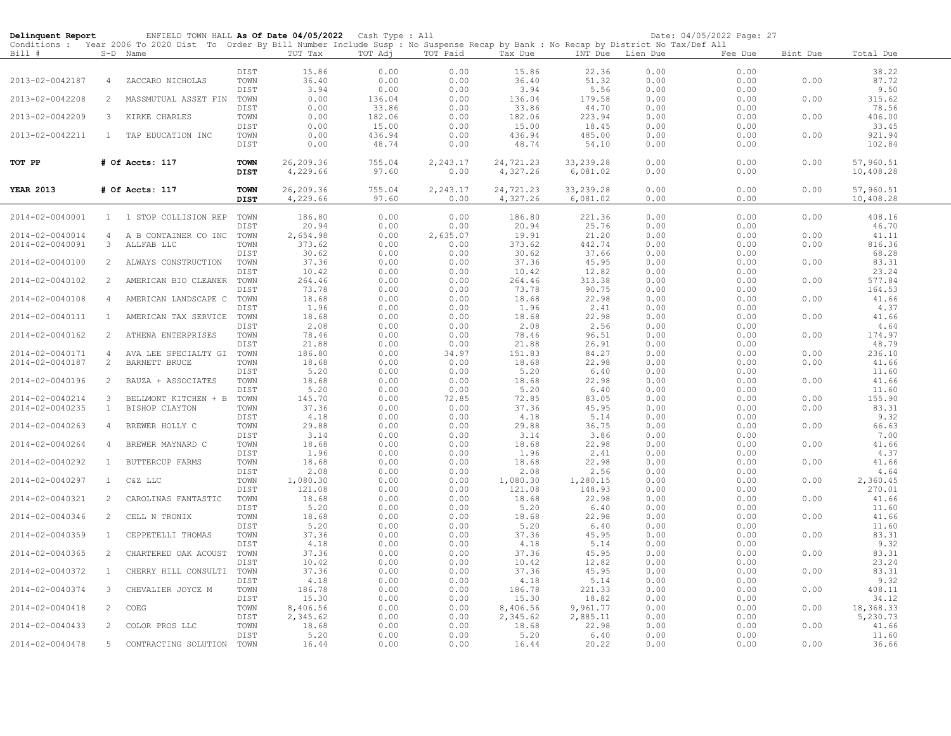| Delinquent Report |                | ENFIELD TOWN HALL As Of Date 04/05/2022 Cash Type : All                                                                                    |                     |                       |                 |                  |                       |                       |                  | Date: 04/05/2022 Page: 27 |          |                        |  |
|-------------------|----------------|--------------------------------------------------------------------------------------------------------------------------------------------|---------------------|-----------------------|-----------------|------------------|-----------------------|-----------------------|------------------|---------------------------|----------|------------------------|--|
|                   |                | Conditions : Year 2006 To 2020 Dist To Order By Bill Number Include Susp : No Suspense Recap by Bank : No Recap by District No Tax/Def All |                     |                       |                 |                  |                       |                       |                  |                           |          |                        |  |
| Bill #            |                | S-D Name                                                                                                                                   |                     | TOT Tax               | TOT Adj         | TOT Paid         | Tax Due               |                       | INT Due Lien Due | Fee Due                   | Bint Due | Total Due              |  |
|                   |                |                                                                                                                                            | DIST                | 15.86                 | 0.00            | 0.00             | 15.86                 | 22.36                 | 0.00             | 0.00                      |          | 38.22                  |  |
| 2013-02-0042187   | 4              | ZACCARO NICHOLAS                                                                                                                           | TOWN                | 36.40                 | 0.00            | 0.00             | 36.40                 | 51.32                 | 0.00             | 0.00                      | 0.00     | 87.72                  |  |
|                   |                |                                                                                                                                            | DIST                | 3.94                  | 0.00            | 0.00             | 3.94                  | 5.56                  | 0.00             | 0.00                      |          | 9.50                   |  |
| 2013-02-0042208   | 2              | MASSMUTUAL ASSET FIN                                                                                                                       | TOWN                | 0.00                  | 136.04          | 0.00             | 136.04                | 179.58                | 0.00             | 0.00                      | 0.00     | 315.62                 |  |
|                   |                |                                                                                                                                            | DIST                | 0.00                  | 33.86           | 0.00             | 33.86                 | 44.70                 | 0.00             | 0.00                      |          | 78.56                  |  |
| 2013-02-0042209   | 3              | KIRKE CHARLES                                                                                                                              | TOWN                | 0.00                  | 182.06          | 0.00             | 182.06                | 223.94                | 0.00             | 0.00                      | 0.00     | 406.00                 |  |
|                   |                |                                                                                                                                            | DIST                | 0.00                  | 15.00           | 0.00             | 15.00                 | 18.45                 | 0.00             | 0.00                      |          | 33.45                  |  |
| 2013-02-0042211   | $\mathbf{1}$   | TAP EDUCATION INC                                                                                                                          | TOWN                | 0.00                  | 436.94          | 0.00             | 436.94                | 485.00                | 0.00             | 0.00                      | 0.00     | 921.94                 |  |
|                   |                |                                                                                                                                            | DIST                | 0.00                  | 48.74           | 0.00             | 48.74                 | 54.10                 | 0.00             | 0.00                      |          | 102.84                 |  |
|                   |                |                                                                                                                                            |                     |                       |                 |                  |                       |                       |                  |                           |          |                        |  |
| TOT PP            |                | # Of Accts: 117                                                                                                                            | <b>TOWN</b><br>DIST | 26,209.36<br>4,229.66 | 755.04<br>97.60 | 2,243.17<br>0.00 | 24,721.23<br>4,327.26 | 33,239.28<br>6,081.02 | 0.00<br>0.00     | 0.00<br>0.00              | 0.00     | 57,960.51<br>10,408.28 |  |
|                   |                |                                                                                                                                            |                     |                       |                 |                  |                       |                       |                  |                           |          |                        |  |
| <b>YEAR 2013</b>  |                | # Of Accts: 117                                                                                                                            | <b>TOWN</b>         | 26,209.36             | 755.04          | 2,243.17         | 24,721.23             | 33, 239.28            | 0.00             | 0.00                      | 0.00     | 57,960.51              |  |
|                   |                |                                                                                                                                            | <b>DIST</b>         | 4,229.66              | 97.60           | 0.00             | 4,327.26              | 6,081.02              | 0.00             | 0.00                      |          | 10,408.28              |  |
|                   |                |                                                                                                                                            |                     |                       |                 |                  |                       |                       |                  |                           |          |                        |  |
| 2014-02-0040001   |                | 1 1 STOP COLLISION REP                                                                                                                     | TOWN                | 186.80                | 0.00            | 0.00             | 186.80                | 221.36                | 0.00             | 0.00                      | 0.00     | 408.16                 |  |
|                   |                |                                                                                                                                            | DIST                | 20.94                 | 0.00            | 0.00             | 20.94                 | 25.76                 | 0.00             | 0.00                      |          | 46.70                  |  |
| 2014-02-0040014   | 4              | A B CONTAINER CO INC                                                                                                                       | TOWN                | 2,654.98              | 0.00            | 2,635.07         | 19.91                 | 21.20                 | 0.00             | 0.00                      | 0.00     | 41.11                  |  |
| 2014-02-0040091   | $\mathbf{3}$   | ALLFAB LLC                                                                                                                                 | TOWN                | 373.62                | 0.00            | 0.00             | 373.62                | 442.74                | 0.00             | 0.00                      | 0.00     | 816.36                 |  |
|                   |                |                                                                                                                                            | DIST                | 30.62                 | 0.00            | 0.00             | 30.62                 | 37.66                 | 0.00             | 0.00                      |          | 68.28                  |  |
| 2014-02-0040100   | 2              | ALWAYS CONSTRUCTION                                                                                                                        | TOWN                | 37.36                 | 0.00            | 0.00             | 37.36                 | 45.95                 | 0.00             | 0.00                      | 0.00     | 83.31                  |  |
|                   | 2              |                                                                                                                                            | DIST<br>TOWN        | 10.42<br>264.46       | 0.00<br>0.00    | 0.00<br>0.00     | 10.42<br>264.46       | 12.82<br>313.38       | 0.00<br>0.00     | 0.00                      |          | 23.24<br>577.84        |  |
| 2014-02-0040102   |                | AMERICAN BIO CLEANER                                                                                                                       | DIST                | 73.78                 | 0.00            | 0.00             | 73.78                 | 90.75                 | 0.00             | 0.00<br>0.00              | 0.00     | 164.53                 |  |
| 2014-02-0040108   | $\overline{4}$ | AMERICAN LANDSCAPE C                                                                                                                       | TOWN                | 18.68                 | 0.00            | 0.00             | 18.68                 | 22.98                 | 0.00             | 0.00                      | 0.00     | 41.66                  |  |
|                   |                |                                                                                                                                            | DIST                | 1.96                  | 0.00            | 0.00             | 1.96                  | 2.41                  | 0.00             | 0.00                      |          | 4.37                   |  |
| 2014-02-0040111   | $\mathbf{1}$   | AMERICAN TAX SERVICE                                                                                                                       | TOWN                | 18.68                 | 0.00            | 0.00             | 18.68                 | 22.98                 | 0.00             | 0.00                      | 0.00     | 41.66                  |  |
|                   |                |                                                                                                                                            | DIST                | 2.08                  | 0.00            | 0.00             | 2.08                  | 2.56                  | 0.00             | 0.00                      |          | 4.64                   |  |
| 2014-02-0040162   | 2              | ATHENA ENTERPRISES                                                                                                                         | TOWN                | 78.46                 | 0.00            | 0.00             | 78.46                 | 96.51                 | 0.00             | 0.00                      | 0.00     | 174.97                 |  |
|                   |                |                                                                                                                                            | DIST                | 21.88                 | 0.00            | 0.00             | 21.88                 | 26.91                 | 0.00             | 0.00                      |          | 48.79                  |  |
| 2014-02-0040171   | 4              | AVA LEE SPECIALTY GI                                                                                                                       | TOWN                | 186.80                | 0.00            | 34.97            | 151.83                | 84.27                 | 0.00             | 0.00                      | 0.00     | 236.10                 |  |
| 2014-02-0040187   | $\overline{2}$ | BARNETT BRUCE                                                                                                                              | TOWN                | 18.68                 | 0.00            | 0.00             | 18.68                 | 22.98                 | 0.00             | 0.00                      | 0.00     | 41.66                  |  |
|                   |                |                                                                                                                                            | DIST                | 5.20                  | 0.00            | 0.00             | 5.20                  | 6.40                  | 0.00             | 0.00                      |          | 11.60                  |  |
| 2014-02-0040196   | 2              | BAUZA + ASSOCIATES                                                                                                                         | TOWN                | 18.68                 | 0.00            | 0.00             | 18.68                 | 22.98                 | 0.00             | 0.00                      | 0.00     | 41.66                  |  |
| 2014-02-0040214   | 3              | BELLMONT KITCHEN + B                                                                                                                       | DIST<br>TOWN        | 5.20<br>145.70        | 0.00<br>0.00    | 0.00<br>72.85    | 5.20<br>72.85         | 6.40<br>83.05         | 0.00<br>0.00     | 0.00<br>0.00              | 0.00     | 11.60<br>155.90        |  |
| 2014-02-0040235   | $\mathbf{1}$   | BISHOP CLAYTON                                                                                                                             | TOWN                | 37.36                 | 0.00            | 0.00             | 37.36                 | 45.95                 | 0.00             | 0.00                      | 0.00     | 83.31                  |  |
|                   |                |                                                                                                                                            | DIST                | 4.18                  | 0.00            | 0.00             | 4.18                  | 5.14                  | 0.00             | 0.00                      |          | 9.32                   |  |
| 2014-02-0040263   | 4              | BREWER HOLLY C                                                                                                                             | TOWN                | 29.88                 | 0.00            | 0.00             | 29.88                 | 36.75                 | 0.00             | 0.00                      | 0.00     | 66.63                  |  |
|                   |                |                                                                                                                                            | DIST                | 3.14                  | 0.00            | 0.00             | 3.14                  | 3.86                  | 0.00             | 0.00                      |          | 7.00                   |  |
| 2014-02-0040264   | 4              | BREWER MAYNARD C                                                                                                                           | TOWN                | 18.68                 | 0.00            | 0.00             | 18.68                 | 22.98                 | 0.00             | 0.00                      | 0.00     | 41.66                  |  |
|                   |                |                                                                                                                                            | DIST                | 1.96                  | 0.00            | 0.00             | 1.96                  | 2.41                  | 0.00             | 0.00                      |          | 4.37                   |  |
| 2014-02-0040292   | $\mathbf{1}$   | <b>BUTTERCUP FARMS</b>                                                                                                                     | TOWN                | 18.68                 | 0.00            | 0.00             | 18.68                 | 22.98                 | 0.00             | 0.00                      | 0.00     | 41.66                  |  |
|                   |                |                                                                                                                                            | DIST                | 2.08                  | 0.00            | 0.00             | 2.08                  | 2.56                  | 0.00             | 0.00                      |          | 4.64                   |  |
| 2014-02-0040297   | $\mathbf{1}$   | C&Z LLC                                                                                                                                    | TOWN                | 1,080.30<br>121.08    | 0.00            | 0.00<br>0.00     | 1,080.30<br>121.08    | 1,280.15              | 0.00<br>0.00     | 0.00                      | 0.00     | 2,360.45               |  |
| 2014-02-0040321   | 2              | CAROLINAS FANTASTIC                                                                                                                        | DIST<br>TOWN        | 18.68                 | 0.00<br>0.00    | 0.00             | 18.68                 | 148.93<br>22.98       | 0.00             | 0.00<br>0.00              | 0.00     | 270.01<br>41.66        |  |
|                   |                |                                                                                                                                            | DIST                | 5.20                  | 0.00            | 0.00             | 5.20                  | 6.40                  | 0.00             | 0.00                      |          | 11.60                  |  |
| 2014-02-0040346   | 2              | CELL N TRONIX                                                                                                                              | TOWN                | 18.68                 | 0.00            | 0.00             | 18.68                 | 22.98                 | 0.00             | 0.00                      | 0.00     | 41.66                  |  |
|                   |                |                                                                                                                                            | DIST                | 5.20                  | 0.00            | 0.00             | 5.20                  | 6.40                  | 0.00             | 0.00                      |          | 11.60                  |  |
| 2014-02-0040359   | $\mathbf{1}$   | CEPPETELLI THOMAS                                                                                                                          | TOWN                | 37.36                 | 0.00            | 0.00             | 37.36                 | 45.95                 | 0.00             | 0.00                      | 0.00     | 83.31                  |  |
|                   |                |                                                                                                                                            | DIST                | 4.18                  | 0.00            | 0.00             | 4.18                  | 5.14                  | 0.00             | 0.00                      |          | 9.32                   |  |
| 2014-02-0040365   | 2              | CHARTERED OAK ACOUST                                                                                                                       | TOWN                | 37.36                 | 0.00            | 0.00             | 37.36                 | 45.95                 | 0.00             | 0.00                      | 0.00     | 83.31                  |  |
|                   |                |                                                                                                                                            | DIST                | 10.42                 | 0.00            | 0.00             | 10.42                 | 12.82                 | 0.00             | 0.00                      |          | 23.24                  |  |
| 2014-02-0040372   | $\mathbf{1}$   | CHERRY HILL CONSULTI                                                                                                                       | TOWN                | 37.36                 | 0.00            | 0.00             | 37.36                 | 45.95                 | 0.00             | 0.00                      | 0.00     | 83.31                  |  |
|                   |                |                                                                                                                                            | DIST                | 4.18                  | 0.00            | 0.00             | 4.18                  | 5.14                  | 0.00             | 0.00                      |          | 9.32                   |  |
| 2014-02-0040374   | 3              | CHEVALIER JOYCE M                                                                                                                          | TOWN                | 186.78                | 0.00            | 0.00             | 186.78                | 221.33                | 0.00             | 0.00                      | 0.00     | 408.11                 |  |
|                   |                |                                                                                                                                            | DIST                | 15.30                 | 0.00            | 0.00             | 15.30                 | 18.82                 | 0.00             | 0.00                      |          | 34.12                  |  |
| 2014-02-0040418   | 2              | COEG                                                                                                                                       | TOWN<br>DIST        | 8,406.56<br>2,345.62  | 0.00<br>0.00    | 0.00<br>0.00     | 8,406.56<br>2,345.62  | 9,961.77<br>2,885.11  | 0.00<br>0.00     | 0.00<br>0.00              | 0.00     | 18,368.33<br>5,230.73  |  |
| 2014-02-0040433   | 2              | COLOR PROS LLC                                                                                                                             | TOWN                | 18.68                 | 0.00            | 0.00             | 18.68                 | 22.98                 | 0.00             | 0.00                      | 0.00     | 41.66                  |  |
|                   |                |                                                                                                                                            | DIST                | 5.20                  | 0.00            | 0.00             | 5.20                  | 6.40                  | 0.00             | 0.00                      |          | 11.60                  |  |
| 2014-02-0040478   | 5              | CONTRACTING SOLUTION                                                                                                                       | TOWN                | 16.44                 | 0.00            | 0.00             | 16.44                 | 20.22                 | 0.00             | 0.00                      | 0.00     | 36.66                  |  |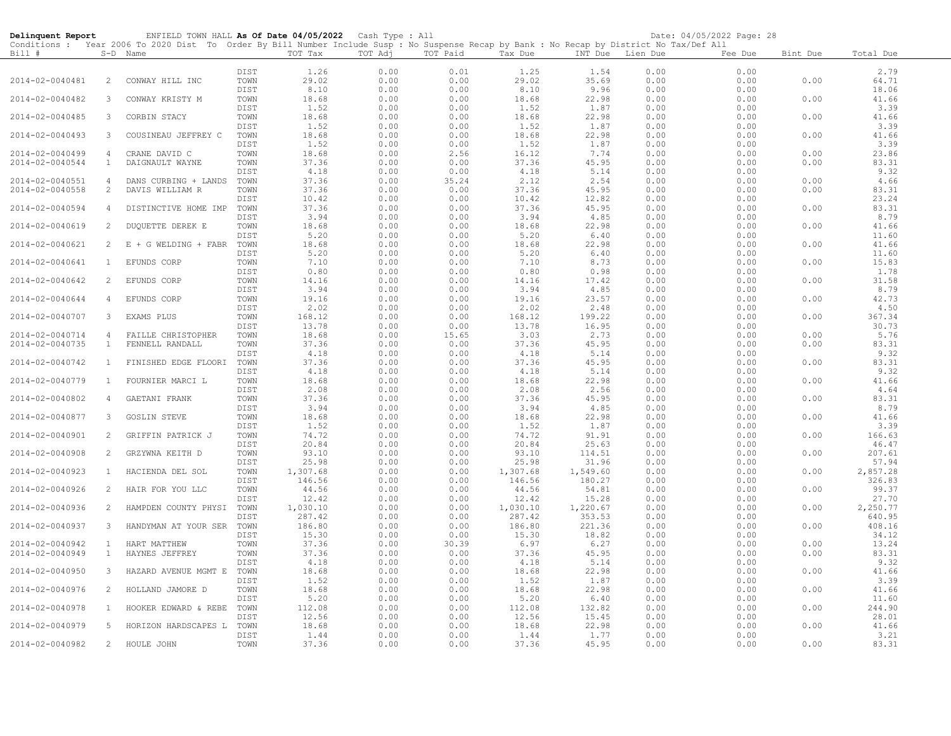| Delinquent Report                  |                                | ENFIELD TOWN HALL As Of Date 04/05/2022 Cash Type : All                                                                                    |              |                |              |               |                |                 |                  | Date: 04/05/2022 Page: 28 |              |                 |
|------------------------------------|--------------------------------|--------------------------------------------------------------------------------------------------------------------------------------------|--------------|----------------|--------------|---------------|----------------|-----------------|------------------|---------------------------|--------------|-----------------|
|                                    |                                | Conditions : Year 2006 To 2020 Dist To Order By Bill Number Include Susp : No Suspense Recap by Bank : No Recap by District No Tax/Def All |              |                |              |               |                |                 |                  |                           |              |                 |
| Bill #                             |                                | S-D Name                                                                                                                                   |              | TOT Tax        | TOT Adj      | TOT Paid      | Tax Due        |                 | INT Due Lien Due | Fee Due                   | Bint Due     | Total Due       |
|                                    |                                |                                                                                                                                            | DIST         | 1.26           | 0.00         | 0.01          | 1.25           | 1.54            | 0.00             | 0.00                      |              | 2.79            |
| 2014-02-0040481                    | 2                              | CONWAY HILL INC                                                                                                                            | TOWN         | 29.02          | 0.00         | 0.00          | 29.02          | 35.69           | 0.00             | 0.00                      | 0.00         | 64.71           |
|                                    |                                |                                                                                                                                            | DIST         | 8.10           | 0.00         | 0.00          | 8.10           | 9.96            | 0.00             | 0.00                      |              | 18.06           |
| 2014-02-0040482                    | 3                              | CONWAY KRISTY M                                                                                                                            | TOWN         | 18.68          | 0.00         | 0.00          | 18.68          | 22.98           | 0.00             | 0.00                      | 0.00         | 41.66           |
|                                    |                                |                                                                                                                                            | DIST         | 1.52           | 0.00         | 0.00          | 1.52           | 1.87            | 0.00             | 0.00                      |              | 3.39            |
| 2014-02-0040485                    | 3                              | CORBIN STACY                                                                                                                               | TOWN         | 18.68          | 0.00         | 0.00          | 18.68          | 22.98           | 0.00             | 0.00                      | 0.00         | 41.66           |
|                                    |                                |                                                                                                                                            | DIST         | 1.52           | 0.00         | 0.00          | 1.52           | 1.87            | 0.00             | 0.00                      |              | 3.39            |
| 2014-02-0040493                    | 3                              | COUSINEAU JEFFREY C                                                                                                                        | TOWN         | 18.68          | 0.00         | 0.00          | 18.68          | 22.98           | 0.00             | 0.00                      | 0.00         | 41.66           |
|                                    |                                |                                                                                                                                            | DIST         | 1.52           | 0.00         | 0.00          | 1.52           | 1.87            | 0.00             | 0.00                      |              | 3.39<br>23.86   |
| 2014-02-0040499<br>2014-02-0040544 | $\overline{4}$<br>$\mathbf{1}$ | CRANE DAVID C<br>DAIGNAULT WAYNE                                                                                                           | TOWN<br>TOWN | 18.68<br>37.36 | 0.00<br>0.00 | 2.56<br>0.00  | 16.12<br>37.36 | 7.74<br>45.95   | 0.00<br>0.00     | 0.00<br>0.00              | 0.00<br>0.00 | 83.31           |
|                                    |                                |                                                                                                                                            | DIST         | 4.18           | 0.00         | 0.00          | 4.18           | 5.14            | 0.00             | 0.00                      |              | 9.32            |
| 2014-02-0040551                    | 4                              | DANS CURBING + LANDS                                                                                                                       | TOWN         | 37.36          | 0.00         | 35.24         | 2.12           | 2.54            | 0.00             | 0.00                      | 0.00         | 4.66            |
| 2014-02-0040558                    | $\overline{c}$                 | DAVIS WILLIAM R                                                                                                                            | TOWN         | 37.36          | 0.00         | 0.00          | 37.36          | 45.95           | 0.00             | 0.00                      | 0.00         | 83.31           |
|                                    |                                |                                                                                                                                            | DIST         | 10.42          | 0.00         | 0.00          | 10.42          | 12.82           | 0.00             | 0.00                      |              | 23.24           |
| 2014-02-0040594                    | $\overline{4}$                 | DISTINCTIVE HOME IMP TOWN                                                                                                                  |              | 37.36          | 0.00         | 0.00          | 37.36          | 45.95           | 0.00             | 0.00                      | 0.00         | 83.31           |
|                                    |                                |                                                                                                                                            | DIST         | 3.94           | 0.00         | 0.00          | 3.94           | 4.85            | 0.00             | 0.00                      |              | 8.79            |
| 2014-02-0040619                    | 2                              | DUQUETTE DEREK E                                                                                                                           | TOWN         | 18.68          | 0.00         | 0.00          | 18.68          | 22.98           | 0.00             | 0.00                      | 0.00         | 41.66           |
|                                    |                                |                                                                                                                                            | DIST         | 5.20           | 0.00         | 0.00          | 5.20           | 6.40            | 0.00             | 0.00                      |              | 11.60           |
| 2014-02-0040621                    | 2                              | Е<br>+ G WELDING + FABR                                                                                                                    | TOWN         | 18.68<br>5.20  | 0.00         | 0.00<br>0.00  | 18.68          | 22.98           | 0.00             | 0.00<br>0.00              | 0.00         | 41.66<br>11.60  |
| 2014-02-0040641                    | 1                              | EFUNDS CORP                                                                                                                                | DIST<br>TOWN | 7.10           | 0.00<br>0.00 | 0.00          | 5.20<br>7.10   | 6.40<br>8.73    | 0.00<br>0.00     | 0.00                      | 0.00         | 15.83           |
|                                    |                                |                                                                                                                                            | DIST         | 0.80           | 0.00         | 0.00          | 0.80           | 0.98            | 0.00             | 0.00                      |              | 1.78            |
| 2014-02-0040642                    | $\mathbf{2}$                   | EFUNDS CORP                                                                                                                                | TOWN         | 14.16          | 0.00         | 0.00          | 14.16          | 17.42           | 0.00             | 0.00                      | 0.00         | 31.58           |
|                                    |                                |                                                                                                                                            | DIST         | 3.94           | 0.00         | 0.00          | 3.94           | 4.85            | 0.00             | 0.00                      |              | 8.79            |
| 2014-02-0040644                    | $\overline{4}$                 | EFUNDS CORP                                                                                                                                | TOWN         | 19.16          | 0.00         | 0.00          | 19.16          | 23.57           | 0.00             | 0.00                      | 0.00         | 42.73           |
|                                    |                                |                                                                                                                                            | DIST         | 2.02           | 0.00         | 0.00          | 2.02           | 2.48            | 0.00             | 0.00                      |              | 4.50            |
| 2014-02-0040707                    | 3                              | EXAMS PLUS                                                                                                                                 | TOWN         | 168.12         | 0.00         | 0.00          | 168.12         | 199.22          | 0.00             | 0.00                      | 0.00         | 367.34          |
|                                    |                                |                                                                                                                                            | DIST         | 13.78          | 0.00         | 0.00          | 13.78          | 16.95           | 0.00             | 0.00                      |              | 30.73           |
| 2014-02-0040714                    | $\overline{4}$                 | FAILLE CHRISTOPHER                                                                                                                         | TOWN         | 18.68          | 0.00         | 15.65         | 3.03           | 2.73            | 0.00             | 0.00                      | 0.00         | 5.76            |
| 2014-02-0040735                    | $\mathbf{1}$                   | FENNELL RANDALL                                                                                                                            | TOWN         | 37.36          | 0.00         | 0.00          | 37.36          | 45.95           | 0.00             | 0.00<br>0.00              | 0.00         | 83.31           |
| 2014-02-0040742                    | $\mathbf{1}$                   | FINISHED EDGE FLOORI                                                                                                                       | DIST<br>TOWN | 4.18<br>37.36  | 0.00<br>0.00 | 0.00<br>0.00  | 4.18<br>37.36  | 5.14<br>45.95   | 0.00<br>0.00     | 0.00                      | 0.00         | 9.32<br>83.31   |
|                                    |                                |                                                                                                                                            | DIST         | 4.18           | 0.00         | 0.00          | 4.18           | 5.14            | 0.00             | 0.00                      |              | 9.32            |
| 2014-02-0040779                    | $\mathbf{1}$                   | FOURNIER MARCI L                                                                                                                           | TOWN         | 18.68          | 0.00         | 0.00          | 18.68          | 22.98           | 0.00             | 0.00                      | 0.00         | 41.66           |
|                                    |                                |                                                                                                                                            | DIST         | 2.08           | 0.00         | 0.00          | 2.08           | 2.56            | 0.00             | 0.00                      |              | 4.64            |
| 2014-02-0040802                    | $\overline{4}$                 | GAETANI FRANK                                                                                                                              | TOWN         | 37.36          | 0.00         | 0.00          | 37.36          | 45.95           | 0.00             | 0.00                      | 0.00         | 83.31           |
|                                    |                                |                                                                                                                                            | DIST         | 3.94           | 0.00         | 0.00          | 3.94           | 4.85            | 0.00             | 0.00                      |              | 8.79            |
| 2014-02-0040877                    | 3                              | GOSLIN STEVE                                                                                                                               | TOWN         | 18.68          | 0.00         | 0.00          | 18.68          | 22.98           | 0.00             | 0.00                      | 0.00         | 41.66           |
|                                    |                                |                                                                                                                                            | DIST         | 1.52           | 0.00         | 0.00          | 1.52           | 1.87            | 0.00             | 0.00                      |              | 3.39            |
| 2014-02-0040901                    | 2                              | GRIFFIN PATRICK J                                                                                                                          | TOWN         | 74.72          | 0.00         | 0.00          | 74.72          | 91.91           | 0.00             | 0.00                      | 0.00         | 166.63          |
| 2014-02-0040908                    | 2                              | GRZYWNA KEITH D                                                                                                                            | DIST<br>TOWN | 20.84<br>93.10 | 0.00<br>0.00 | 0.00<br>0.00  | 20.84<br>93.10 | 25.63<br>114.51 | 0.00<br>0.00     | 0.00<br>0.00              | 0.00         | 46.47<br>207.61 |
|                                    |                                |                                                                                                                                            | DIST         | 25.98          | 0.00         | 0.00          | 25.98          | 31.96           | 0.00             | 0.00                      |              | 57.94           |
| 2014-02-0040923                    | $\mathbf{1}$                   | HACIENDA DEL SOL                                                                                                                           | TOWN         | 1,307.68       | 0.00         | 0.00          | 1,307.68       | 1,549.60        | 0.00             | 0.00                      | 0.00         | 2,857.28        |
|                                    |                                |                                                                                                                                            | DIST         | 146.56         | 0.00         | 0.00          | 146.56         | 180.27          | 0.00             | 0.00                      |              | 326.83          |
| 2014-02-0040926                    | $\overline{2}$                 | HAIR FOR YOU LLC                                                                                                                           | TOWN         | 44.56          | 0.00         | 0.00          | 44.56          | 54.81           | 0.00             | 0.00                      | 0.00         | 99.37           |
|                                    |                                |                                                                                                                                            | DIST         | 12.42          | 0.00         | 0.00          | 12.42          | 15.28           | 0.00             | 0.00                      |              | 27.70           |
| 2014-02-0040936                    | 2                              | HAMPDEN COUNTY PHYSI                                                                                                                       | TOWN         | 1,030.10       | 0.00         | 0.00          | 1,030.10       | 1,220.67        | 0.00             | 0.00                      | 0.00         | 2,250.77        |
|                                    |                                |                                                                                                                                            | DIST         | 287.42         | 0.00         | 0.00          | 287.42         | 353.53          | 0.00             | 0.00                      |              | 640.95          |
| 2014-02-0040937                    | 3                              | HANDYMAN AT YOUR SER                                                                                                                       | TOWN         | 186.80         | 0.00         | 0.00          | 186.80         | 221.36          | 0.00             | 0.00                      | 0.00         | 408.16          |
| 2014-02-0040942                    | $\mathbf{1}$                   |                                                                                                                                            | DIST         | 15.30<br>37.36 | 0.00         | 0.00          | 15.30<br>6.97  | 18.82           | 0.00             | 0.00                      | 0.00         | 34.12<br>13.24  |
| 2014-02-0040949                    | $\mathbf{1}$                   | HART MATTHEW<br>HAYNES JEFFREY                                                                                                             | TOWN<br>TOWN | 37.36          | 0.00<br>0.00 | 30.39<br>0.00 | 37.36          | 6.27<br>45.95   | 0.00<br>0.00     | 0.00<br>0.00              | 0.00         | 83.31           |
|                                    |                                |                                                                                                                                            | DIST         | 4.18           | 0.00         | 0.00          | 4.18           | 5.14            | 0.00             | 0.00                      |              | 9.32            |
| 2014-02-0040950                    | $\mathbf{3}$                   | HAZARD AVENUE MGMT E                                                                                                                       | TOWN         | 18.68          | 0.00         | 0.00          | 18.68          | 22.98           | 0.00             | 0.00                      | 0.00         | 41.66           |
|                                    |                                |                                                                                                                                            | DIST         | 1.52           | 0.00         | 0.00          | 1.52           | 1.87            | 0.00             | 0.00                      |              | 3.39            |
| 2014-02-0040976                    | 2                              | HOLLAND JAMORE D                                                                                                                           | TOWN         | 18.68          | 0.00         | 0.00          | 18.68          | 22.98           | 0.00             | 0.00                      | 0.00         | 41.66           |
|                                    |                                |                                                                                                                                            | DIST         | 5.20           | 0.00         | 0.00          | 5.20           | 6.40            | 0.00             | 0.00                      |              | 11.60           |
| 2014-02-0040978                    | $\mathbf{1}$                   | HOOKER EDWARD & REBE                                                                                                                       | TOWN         | 112.08         | 0.00         | 0.00          | 112.08         | 132.82          | 0.00             | 0.00                      | 0.00         | 244.90          |
|                                    |                                |                                                                                                                                            | DIST         | 12.56          | 0.00         | 0.00          | 12.56          | 15.45           | 0.00             | 0.00                      |              | 28.01           |
| 2014-02-0040979                    | 5                              | HORIZON HARDSCAPES L                                                                                                                       | TOWN         | 18.68          | 0.00         | 0.00          | 18.68          | 22.98           | 0.00             | 0.00                      | 0.00         | 41.66           |
| 2014-02-0040982                    | $\mathbf{2}$                   | HOULE JOHN                                                                                                                                 | DIST<br>TOWN | 1.44<br>37.36  | 0.00<br>0.00 | 0.00<br>0.00  | 1.44<br>37.36  | 1.77<br>45.95   | 0.00<br>0.00     | 0.00<br>0.00              | 0.00         | 3.21<br>83.31   |
|                                    |                                |                                                                                                                                            |              |                |              |               |                |                 |                  |                           |              |                 |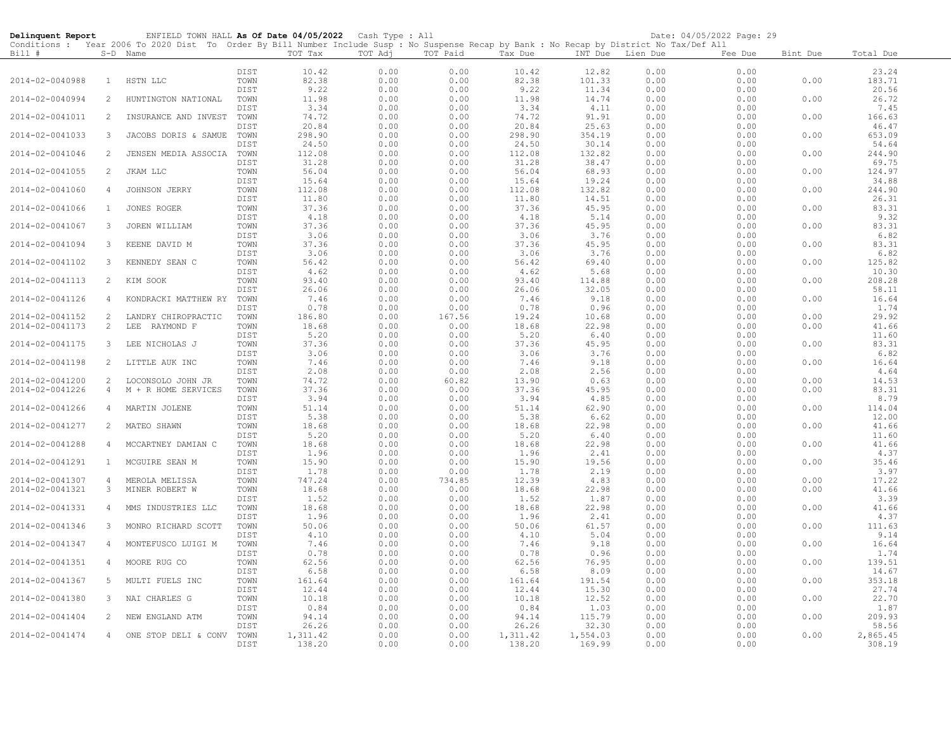| Delinquent Report |                | ENFIELD TOWN HALL As Of Date 04/05/2022 Cash Type : All                                                                                    |              |                    |              |              |                   |                   |              | Date: 04/05/2022 Page: 29 |          |                   |
|-------------------|----------------|--------------------------------------------------------------------------------------------------------------------------------------------|--------------|--------------------|--------------|--------------|-------------------|-------------------|--------------|---------------------------|----------|-------------------|
|                   |                | Conditions : Year 2006 To 2020 Dist To Order By Bill Number Include Susp : No Suspense Recap by Bank : No Recap by District No Tax/Def All |              |                    |              |              |                   |                   |              |                           |          |                   |
| Bill #            |                | S-D Name                                                                                                                                   |              | TOT Tax            | TOT Adj      | TOT Paid     | Tax Due           | INT Due Lien Due  |              | Fee Due                   | Bint Due | Total Due         |
|                   |                |                                                                                                                                            | DIST         | 10.42              | 0.00         | 0.00         | 10.42             | 12.82             | 0.00         | 0.00                      |          | 23.24             |
| 2014-02-0040988   | 1              | HSTN LLC                                                                                                                                   | TOWN         | 82.38              | 0.00         | 0.00         | 82.38             | 101.33            | 0.00         | 0.00                      | 0.00     | 183.71            |
|                   |                |                                                                                                                                            | DIST         | 9.22               | 0.00         | 0.00         | 9.22              | 11.34             | 0.00         | 0.00                      |          | 20.56             |
| 2014-02-0040994   | $\overline{2}$ | HUNTINGTON NATIONAL                                                                                                                        | TOWN         | 11.98              | 0.00         | 0.00         | 11.98             | 14.74             | 0.00         | 0.00                      | 0.00     | 26.72             |
|                   |                |                                                                                                                                            | DIST         | 3.34               | 0.00         | 0.00         | 3.34              | 4.11              | 0.00         | 0.00                      |          | 7.45              |
| 2014-02-0041011   | $\overline{2}$ | INSURANCE AND INVEST                                                                                                                       | TOWN         | 74.72              | 0.00         | 0.00         | 74.72             | 91.91             | 0.00         | 0.00                      | 0.00     | 166.63            |
|                   |                |                                                                                                                                            | DIST         | 20.84              | 0.00         | 0.00         | 20.84             | 25.63             | 0.00         | 0.00                      |          | 46.47             |
| 2014-02-0041033   | 3              | JACOBS DORIS & SAMUE                                                                                                                       | TOWN         | 298.90             | 0.00         | 0.00         | 298.90            | 354.19            | 0.00         | 0.00                      | 0.00     | 653.09            |
|                   |                |                                                                                                                                            | DIST         | 24.50              | 0.00         | 0.00         | 24.50             | 30.14             | 0.00         | 0.00                      |          | 54.64             |
| 2014-02-0041046   | 2              | JENSEN MEDIA ASSOCIA                                                                                                                       | TOWN         | 112.08             | 0.00         | 0.00         | 112.08            | 132.82            | 0.00         | 0.00                      | 0.00     | 244.90            |
| 2014-02-0041055   | 2              | JKAM LLC                                                                                                                                   | DIST<br>TOWN | 31.28<br>56.04     | 0.00<br>0.00 | 0.00<br>0.00 | 31.28<br>56.04    | 38.47<br>68.93    | 0.00<br>0.00 | 0.00<br>0.00              | 0.00     | 69.75<br>124.97   |
|                   |                |                                                                                                                                            | DIST         | 15.64              | 0.00         | 0.00         | 15.64             | 19.24             | 0.00         | 0.00                      |          | 34.88             |
| 2014-02-0041060   | $\overline{4}$ | JOHNSON JERRY                                                                                                                              | TOWN         | 112.08             | 0.00         | 0.00         | 112.08            | 132.82            | 0.00         | 0.00                      | 0.00     | 244.90            |
|                   |                |                                                                                                                                            | DIST         | 11.80              | 0.00         | 0.00         | 11.80             | 14.51             | 0.00         | 0.00                      |          | 26.31             |
| 2014-02-0041066   | $\mathbf{1}$   | JONES ROGER                                                                                                                                | TOWN         | 37.36              | 0.00         | 0.00         | 37.36             | 45.95             | 0.00         | 0.00                      | 0.00     | 83.31             |
|                   |                |                                                                                                                                            | DIST         | 4.18               | 0.00         | 0.00         | 4.18              | 5.14              | 0.00         | 0.00                      |          | 9.32              |
| 2014-02-0041067   | 3              | JOREN WILLIAM                                                                                                                              | TOWN         | 37.36              | 0.00         | 0.00         | 37.36             | 45.95             | 0.00         | 0.00                      | 0.00     | 83.31             |
|                   |                |                                                                                                                                            | DIST         | 3.06               | 0.00         | 0.00         | 3.06              | 3.76              | 0.00         | 0.00                      |          | 6.82              |
| 2014-02-0041094   | 3              | KEENE DAVID M                                                                                                                              | TOWN         | 37.36              | 0.00         | 0.00         | 37.36             | 45.95             | 0.00         | 0.00                      | 0.00     | 83.31             |
| 2014-02-0041102   | 3              | KENNEDY SEAN C                                                                                                                             | DIST<br>TOWN | 3.06<br>56.42      | 0.00<br>0.00 | 0.00<br>0.00 | 3.06<br>56.42     | 3.76<br>69.40     | 0.00<br>0.00 | 0.00<br>0.00              | 0.00     | 6.82<br>125.82    |
|                   |                |                                                                                                                                            | DIST         | 4.62               | 0.00         | 0.00         | 4.62              | 5.68              | 0.00         | 0.00                      |          | 10.30             |
| 2014-02-0041113   | $\overline{2}$ | KIM SOOK                                                                                                                                   | TOWN         | 93.40              | 0.00         | 0.00         | 93.40             | 114.88            | 0.00         | 0.00                      | 0.00     | 208.28            |
|                   |                |                                                                                                                                            | DIST         | 26.06              | 0.00         | 0.00         | 26.06             | 32.05             | 0.00         | 0.00                      |          | 58.11             |
| 2014-02-0041126   | $\overline{4}$ | KONDRACKI MATTHEW RY                                                                                                                       | TOWN         | 7.46               | 0.00         | 0.00         | 7.46              | 9.18              | 0.00         | 0.00                      | 0.00     | 16.64             |
|                   |                |                                                                                                                                            | DIST         | 0.78               | 0.00         | 0.00         | 0.78              | 0.96              | 0.00         | 0.00                      |          | 1.74              |
| 2014-02-0041152   | 2              | LANDRY CHIROPRACTIC                                                                                                                        | TOWN         | 186.80             | 0.00         | 167.56       | 19.24             | 10.68             | 0.00         | 0.00                      | 0.00     | 29.92             |
| 2014-02-0041173   | 2              | LEE<br>RAYMOND F                                                                                                                           | TOWN         | 18.68              | 0.00         | 0.00         | 18.68             | 22.98             | 0.00         | 0.00                      | 0.00     | 41.66             |
|                   |                |                                                                                                                                            | DIST         | 5.20               | 0.00         | 0.00         | 5.20              | 6.40              | 0.00         | 0.00                      |          | 11.60             |
| 2014-02-0041175   | 3              | LEE NICHOLAS J                                                                                                                             | TOWN         | 37.36              | 0.00         | 0.00         | 37.36             | 45.95             | 0.00         | 0.00                      | 0.00     | 83.31             |
| 2014-02-0041198   | 2              | LITTLE AUK INC                                                                                                                             | DIST<br>TOWN | 3.06<br>7.46       | 0.00<br>0.00 | 0.00<br>0.00 | 3.06<br>7.46      | 3.76<br>9.18      | 0.00<br>0.00 | 0.00<br>0.00              | 0.00     | 6.82<br>16.64     |
|                   |                |                                                                                                                                            | DIST         | 2.08               | 0.00         | 0.00         | 2.08              | 2.56              | 0.00         | 0.00                      |          | 4.64              |
| 2014-02-0041200   | $\overline{2}$ | LOCONSOLO JOHN JR                                                                                                                          | TOWN         | 74.72              | 0.00         | 60.82        | 13.90             | 0.63              | 0.00         | 0.00                      | 0.00     | 14.53             |
| 2014-02-0041226   | $\overline{4}$ | M + R HOME SERVICES                                                                                                                        | TOWN         | 37.36              | 0.00         | 0.00         | 37.36             | 45.95             | 0.00         | 0.00                      | 0.00     | 83.31             |
|                   |                |                                                                                                                                            | DIST         | 3.94               | 0.00         | 0.00         | 3.94              | 4.85              | 0.00         | 0.00                      |          | 8.79              |
| 2014-02-0041266   | $\overline{4}$ | MARTIN JOLENE                                                                                                                              | TOWN         | 51.14              | 0.00         | 0.00         | 51.14             | 62.90             | 0.00         | 0.00                      | 0.00     | 114.04            |
|                   |                |                                                                                                                                            | DIST         | 5.38               | 0.00         | 0.00         | 5.38              | 6.62              | 0.00         | 0.00                      |          | 12.00             |
| 2014-02-0041277   | 2              | MATEO SHAWN                                                                                                                                | TOWN         | 18.68              | 0.00         | 0.00         | 18.68             | 22.98             | 0.00         | 0.00                      | 0.00     | 41.66             |
|                   |                |                                                                                                                                            | DIST         | 5.20               | 0.00         | 0.00         | 5.20              | 6.40              | 0.00         | 0.00                      |          | 11.60             |
| 2014-02-0041288   | 4              | MCCARTNEY DAMIAN C                                                                                                                         | TOWN<br>DIST | 18.68<br>1.96      | 0.00<br>0.00 | 0.00<br>0.00 | 18.68<br>1.96     | 22.98<br>2.41     | 0.00<br>0.00 | 0.00<br>0.00              | 0.00     | 41.66<br>4.37     |
| 2014-02-0041291   | $\mathbf{1}$   | MCGUIRE SEAN M                                                                                                                             | TOWN         | 15.90              | 0.00         | 0.00         | 15.90             | 19.56             | 0.00         | 0.00                      | 0.00     | 35.46             |
|                   |                |                                                                                                                                            | DIST         | 1.78               | 0.00         | 0.00         | 1.78              | 2.19              | 0.00         | 0.00                      |          | 3.97              |
| 2014-02-0041307   | $\overline{4}$ | MEROLA MELISSA                                                                                                                             | TOWN         | 747.24             | 0.00         | 734.85       | 12.39             | 4.83              | 0.00         | 0.00                      | 0.00     | 17.22             |
| 2014-02-0041321   | 3              | MINER ROBERT W                                                                                                                             | TOWN         | 18.68              | 0.00         | 0.00         | 18.68             | 22.98             | 0.00         | 0.00                      | 0.00     | 41.66             |
|                   |                |                                                                                                                                            | DIST         | 1.52               | 0.00         | 0.00         | 1.52              | 1.87              | 0.00         | 0.00                      |          | 3.39              |
| 2014-02-0041331   | $\overline{4}$ | MMS INDUSTRIES LLC                                                                                                                         | TOWN         | 18.68              | 0.00         | 0.00         | 18.68             | 22.98             | 0.00         | 0.00                      | 0.00     | 41.66             |
|                   |                |                                                                                                                                            | DIST         | 1.96               | 0.00         | 0.00         | 1.96              | 2.41              | 0.00         | 0.00                      |          | 4.37              |
| 2014-02-0041346   | 3              | MONRO RICHARD SCOTT                                                                                                                        | TOWN         | 50.06              | 0.00         | 0.00         | 50.06             | 61.57             | 0.00         | 0.00                      | 0.00     | 111.63            |
|                   | 4              |                                                                                                                                            | DIST         | 4.10               | 0.00<br>0.00 | 0.00<br>0.00 | 4.10              | 5.04<br>9.18      | 0.00<br>0.00 | 0.00<br>0.00              | 0.00     | 9.14<br>16.64     |
| 2014-02-0041347   |                | MONTEFUSCO LUIGI M                                                                                                                         | TOWN<br>DIST | 7.46<br>0.78       | 0.00         | 0.00         | 7.46<br>0.78      | 0.96              | 0.00         | 0.00                      |          | 1.74              |
| 2014-02-0041351   | 4              | MOORE RUG CO                                                                                                                               | TOWN         | 62.56              | 0.00         | 0.00         | 62.56             | 76.95             | 0.00         | 0.00                      | 0.00     | 139.51            |
|                   |                |                                                                                                                                            | DIST         | 6.58               | 0.00         | 0.00         | 6.58              | 8.09              | 0.00         | 0.00                      |          | 14.67             |
| 2014-02-0041367   | 5              | MULTI FUELS INC                                                                                                                            | TOWN         | 161.64             | 0.00         | 0.00         | 161.64            | 191.54            | 0.00         | 0.00                      | 0.00     | 353.18            |
|                   |                |                                                                                                                                            | DIST         | 12.44              | 0.00         | 0.00         | 12.44             | 15.30             | 0.00         | 0.00                      |          | 27.74             |
| 2014-02-0041380   | 3              | NAI CHARLES G                                                                                                                              | TOWN         | 10.18              | 0.00         | 0.00         | 10.18             | 12.52             | 0.00         | 0.00                      | 0.00     | 22.70             |
|                   |                |                                                                                                                                            | DIST         | 0.84               | 0.00         | 0.00         | 0.84              | 1.03              | 0.00         | 0.00                      |          | 1.87              |
| 2014-02-0041404   | 2              | NEW ENGLAND ATM                                                                                                                            | TOWN         | 94.14              | 0.00         | 0.00         | 94.14             | 115.79            | 0.00         | 0.00                      | 0.00     | 209.93            |
|                   | 4              |                                                                                                                                            | DIST         | 26.26              | 0.00         | 0.00         | 26.26<br>1,311.42 | 32.30<br>1,554.03 | 0.00         | 0.00                      |          | 58.56<br>2,865.45 |
| 2014-02-0041474   |                | ONE STOP DELI & CONV                                                                                                                       | TOWN<br>DIST | 1,311.42<br>138.20 | 0.00<br>0.00 | 0.00<br>0.00 | 138.20            | 169.99            | 0.00<br>0.00 | 0.00<br>0.00              | 0.00     | 308.19            |
|                   |                |                                                                                                                                            |              |                    |              |              |                   |                   |              |                           |          |                   |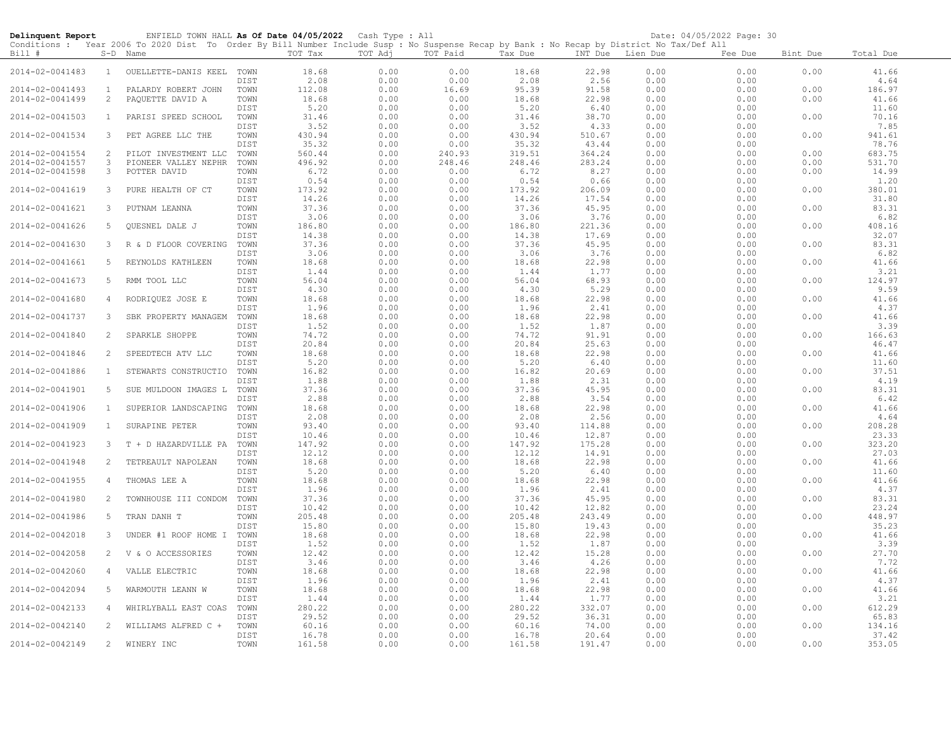| Delinquent Report |                | ENFIELD TOWN HALL As Of Date 04/05/2022 Cash Type : All                                                                                                |              |                 |              |                |                 |                  |              | Date: 04/05/2022 Page: 30 |          |                 |
|-------------------|----------------|--------------------------------------------------------------------------------------------------------------------------------------------------------|--------------|-----------------|--------------|----------------|-----------------|------------------|--------------|---------------------------|----------|-----------------|
| Bill #            |                | Conditions : Year 2006 To 2020 Dist To Order By Bill Number Include Susp : No Suspense Recap by Bank : No Recap by District No Tax/Def All<br>S-D Name |              | TOT Tax         | TOT Adj      | TOT Paid       | Tax Due         | INT Due Lien Due |              | Fee Due                   | Bint Due | Total Due       |
| 2014-02-0041483   | $\mathbf{1}$   | OUELLETTE-DANIS KEEL                                                                                                                                   | TOWN<br>DIST | 18.68<br>2.08   | 0.00<br>0.00 | 0.00<br>0.00   | 18.68<br>2.08   | 22.98<br>2.56    | 0.00<br>0.00 | 0.00<br>0.00              | 0.00     | 41.66<br>4.64   |
| 2014-02-0041493   | $\mathbf{1}$   | PALARDY ROBERT JOHN                                                                                                                                    | TOWN         | 112.08          | 0.00         | 16.69          | 95.39           | 91.58            | 0.00         | 0.00                      | 0.00     | 186.97          |
| 2014-02-0041499   | $\overline{c}$ | PAQUETTE DAVID A                                                                                                                                       | TOWN         | 18.68           | 0.00         | 0.00           | 18.68           | 22.98            | 0.00         | 0.00                      | 0.00     | 41.66           |
|                   |                |                                                                                                                                                        | DIST         | 5.20            | 0.00         | 0.00           | 5.20            | 6.40             | 0.00         | 0.00                      |          | 11.60           |
| 2014-02-0041503   | $\mathbf{1}$   | PARISI SPEED SCHOOL                                                                                                                                    | TOWN         | 31.46           | 0.00         | 0.00           | 31.46           | 38.70            | 0.00         | 0.00                      | 0.00     | 70.16           |
|                   |                |                                                                                                                                                        | DIST         | 3.52            | 0.00         | 0.00           | 3.52            | 4.33             | 0.00         | 0.00                      |          | 7.85            |
| 2014-02-0041534   | $\mathcal{S}$  | PET AGREE LLC THE                                                                                                                                      | TOWN         | 430.94          | 0.00         | 0.00           | 430.94          | 510.67           | 0.00         | 0.00                      | 0.00     | 941.61          |
| 2014-02-0041554   | 2              | PILOT INVESTMENT LLC                                                                                                                                   | DIST<br>TOWN | 35.32<br>560.44 | 0.00<br>0.00 | 0.00<br>240.93 | 35.32<br>319.51 | 43.44<br>364.24  | 0.00<br>0.00 | 0.00<br>0.00              | 0.00     | 78.76<br>683.75 |
| 2014-02-0041557   | 3              | PIONEER VALLEY NEPHR                                                                                                                                   | TOWN         | 496.92          | 0.00         | 248.46         | 248.46          | 283.24           | 0.00         | 0.00                      | 0.00     | 531.70          |
| 2014-02-0041598   | 3              | POTTER DAVID                                                                                                                                           | TOWN         | 6.72            | 0.00         | 0.00           | 6.72            | 8.27             | 0.00         | 0.00                      | 0.00     | 14.99           |
|                   |                |                                                                                                                                                        | DIST         | 0.54            | 0.00         | 0.00           | 0.54            | 0.66             | 0.00         | 0.00                      |          | 1.20            |
| 2014-02-0041619   | 3              | PURE HEALTH OF CT                                                                                                                                      | TOWN         | 173.92          | 0.00         | 0.00           | 173.92          | 206.09           | 0.00         | 0.00                      | 0.00     | 380.01          |
|                   |                |                                                                                                                                                        | DIST         | 14.26           | 0.00         | 0.00           | 14.26           | 17.54            | 0.00         | 0.00                      |          | 31.80           |
| 2014-02-0041621   | 3              | PUTNAM LEANNA                                                                                                                                          | TOWN         | 37.36           | 0.00         | 0.00           | 37.36           | 45.95            | 0.00         | 0.00                      | 0.00     | 83.31           |
|                   |                |                                                                                                                                                        | DIST         | 3.06            | 0.00         | 0.00           | 3.06            | 3.76             | 0.00         | 0.00                      |          | 6.82            |
| 2014-02-0041626   | 5              | QUESNEL DALE J                                                                                                                                         | TOWN<br>DIST | 186.80<br>14.38 | 0.00<br>0.00 | 0.00<br>0.00   | 186.80<br>14.38 | 221.36<br>17.69  | 0.00<br>0.00 | 0.00<br>0.00              | 0.00     | 408.16<br>32.07 |
| 2014-02-0041630   | 3              | R & D FLOOR COVERING                                                                                                                                   | TOWN         | 37.36           | 0.00         | 0.00           | 37.36           | 45.95            | 0.00         | 0.00                      | 0.00     | 83.31           |
|                   |                |                                                                                                                                                        | DIST         | 3.06            | 0.00         | 0.00           | 3.06            | 3.76             | 0.00         | 0.00                      |          | 6.82            |
| 2014-02-0041661   | 5              | REYNOLDS KATHLEEN                                                                                                                                      | TOWN         | 18.68           | 0.00         | 0.00           | 18.68           | 22.98            | 0.00         | 0.00                      | 0.00     | 41.66           |
|                   |                |                                                                                                                                                        | DIST         | 1.44            | 0.00         | 0.00           | 1.44            | 1.77             | 0.00         | 0.00                      |          | 3.21            |
| 2014-02-0041673   | 5              | RMM TOOL LLC                                                                                                                                           | TOWN         | 56.04           | 0.00         | 0.00           | 56.04           | 68.93            | 0.00         | 0.00                      | 0.00     | 124.97          |
|                   |                |                                                                                                                                                        | DIST         | 4.30            | 0.00         | 0.00           | 4.30            | 5.29             | 0.00         | 0.00                      |          | 9.59            |
| 2014-02-0041680   | 4              | RODRIQUEZ JOSE E                                                                                                                                       | TOWN         | 18.68           | 0.00         | 0.00           | 18.68           | 22.98            | 0.00         | 0.00                      | 0.00     | 41.66           |
| 2014-02-0041737   | 3              | SBK PROPERTY MANAGEM                                                                                                                                   | DIST<br>TOWN | 1.96            | 0.00         | 0.00           | 1.96            | 2.41             | 0.00         | 0.00                      | 0.00     | 4.37<br>41.66   |
|                   |                |                                                                                                                                                        | DIST         | 18.68<br>1.52   | 0.00<br>0.00 | 0.00<br>0.00   | 18.68<br>1.52   | 22.98<br>1.87    | 0.00<br>0.00 | 0.00<br>0.00              |          | 3.39            |
| 2014-02-0041840   | 2              | SPARKLE SHOPPE                                                                                                                                         | TOWN         | 74.72           | 0.00         | 0.00           | 74.72           | 91.91            | 0.00         | 0.00                      | 0.00     | 166.63          |
|                   |                |                                                                                                                                                        | DIST         | 20.84           | 0.00         | 0.00           | 20.84           | 25.63            | 0.00         | 0.00                      |          | 46.47           |
| 2014-02-0041846   | 2              | SPEEDTECH ATV LLC                                                                                                                                      | TOWN         | 18.68           | 0.00         | 0.00           | 18.68           | 22.98            | 0.00         | 0.00                      | 0.00     | 41.66           |
|                   |                |                                                                                                                                                        | DIST         | 5.20            | 0.00         | 0.00           | 5.20            | 6.40             | 0.00         | 0.00                      |          | 11.60           |
| 2014-02-0041886   | <sup>1</sup>   | STEWARTS CONSTRUCTIO                                                                                                                                   | TOWN         | 16.82           | 0.00         | 0.00           | 16.82           | 20.69            | 0.00         | 0.00                      | 0.00     | 37.51           |
|                   |                |                                                                                                                                                        | DIST         | 1.88            | 0.00         | 0.00           | 1.88            | 2.31             | 0.00         | 0.00                      |          | 4.19            |
| 2014-02-0041901   | 5              | SUE MULDOON IMAGES L                                                                                                                                   | TOWN<br>DIST | 37.36<br>2.88   | 0.00<br>0.00 | 0.00<br>0.00   | 37.36<br>2.88   | 45.95<br>3.54    | 0.00<br>0.00 | 0.00<br>0.00              | 0.00     | 83.31<br>6.42   |
| 2014-02-0041906   | $\mathbf{1}$   | SUPERIOR LANDSCAPING                                                                                                                                   | TOWN         | 18.68           | 0.00         | 0.00           | 18.68           | 22.98            | 0.00         | 0.00                      | 0.00     | 41.66           |
|                   |                |                                                                                                                                                        | DIST         | 2.08            | 0.00         | 0.00           | 2.08            | 2.56             | 0.00         | 0.00                      |          | 4.64            |
| 2014-02-0041909   | $\mathbf{1}$   | SURAPINE PETER                                                                                                                                         | TOWN         | 93.40           | 0.00         | 0.00           | 93.40           | 114.88           | 0.00         | 0.00                      | 0.00     | 208.28          |
|                   |                |                                                                                                                                                        | DIST         | 10.46           | 0.00         | 0.00           | 10.46           | 12.87            | 0.00         | 0.00                      |          | 23.33           |
| 2014-02-0041923   | 3              | T + D HAZARDVILLE PA                                                                                                                                   | TOWN         | 147.92          | 0.00         | 0.00           | 147.92          | 175.28           | 0.00         | 0.00                      | 0.00     | 323.20          |
|                   | $\overline{2}$ |                                                                                                                                                        | DIST         | 12.12           | 0.00         | 0.00           | 12.12           | 14.91            | 0.00         | 0.00                      |          | 27.03           |
| 2014-02-0041948   |                | TETREAULT NAPOLEAN                                                                                                                                     | TOWN<br>DIST | 18.68<br>5.20   | 0.00<br>0.00 | 0.00<br>0.00   | 18.68<br>5.20   | 22.98<br>6.40    | 0.00<br>0.00 | 0.00<br>0.00              | 0.00     | 41.66<br>11.60  |
| 2014-02-0041955   | $\overline{4}$ | THOMAS LEE A                                                                                                                                           | TOWN         | 18.68           | 0.00         | 0.00           | 18.68           | 22.98            | 0.00         | 0.00                      | 0.00     | 41.66           |
|                   |                |                                                                                                                                                        | DIST         | 1.96            | 0.00         | 0.00           | 1.96            | 2.41             | 0.00         | 0.00                      |          | 4.37            |
| 2014-02-0041980   | 2              | TOWNHOUSE III CONDOM                                                                                                                                   | TOWN         | 37.36           | 0.00         | 0.00           | 37.36           | 45.95            | 0.00         | 0.00                      | 0.00     | 83.31           |
|                   |                |                                                                                                                                                        | DIST         | 10.42           | 0.00         | 0.00           | 10.42           | 12.82            | 0.00         | 0.00                      |          | 23.24           |
| 2014-02-0041986   | 5              | TRAN DANH T                                                                                                                                            | TOWN         | 205.48          | 0.00         | 0.00           | 205.48          | 243.49           | 0.00         | 0.00                      | 0.00     | 448.97          |
|                   |                |                                                                                                                                                        | DIST         | 15.80           | 0.00         | 0.00           | 15.80           | 19.43            | 0.00         | 0.00                      |          | 35.23           |
| 2014-02-0042018   | 3              | UNDER #1 ROOF HOME I                                                                                                                                   | TOWN<br>DIST | 18.68<br>1.52   | 0.00<br>0.00 | 0.00<br>0.00   | 18.68<br>1.52   | 22.98<br>1.87    | 0.00<br>0.00 | 0.00<br>0.00              | 0.00     | 41.66<br>3.39   |
| 2014-02-0042058   | $\overline{2}$ | V & O ACCESSORIES                                                                                                                                      | TOWN         | 12.42           | 0.00         | 0.00           | 12.42           | 15.28            | 0.00         | 0.00                      | 0.00     | 27.70           |
|                   |                |                                                                                                                                                        | DIST         | 3.46            | 0.00         | 0.00           | 3.46            | 4.26             | 0.00         | 0.00                      |          | 7.72            |
| 2014-02-0042060   | $\overline{4}$ | VALLE ELECTRIC                                                                                                                                         | TOWN         | 18.68           | 0.00         | 0.00           | 18.68           | 22.98            | 0.00         | 0.00                      | 0.00     | 41.66           |
|                   |                |                                                                                                                                                        | DIST         | 1.96            | 0.00         | 0.00           | 1.96            | 2.41             | 0.00         | 0.00                      |          | 4.37            |
| 2014-02-0042094   | 5              | WARMOUTH LEANN W                                                                                                                                       | TOWN         | 18.68           | 0.00         | 0.00           | 18.68           | 22.98            | 0.00         | 0.00                      | 0.00     | 41.66           |
|                   |                |                                                                                                                                                        | DIST         | 1.44            | 0.00         | 0.00           | 1.44            | 1.77             | 0.00         | 0.00                      |          | 3.21            |
| 2014-02-0042133   | $\overline{4}$ | WHIRLYBALL EAST COAS                                                                                                                                   | TOWN         | 280.22          | 0.00         | 0.00           | 280.22          | 332.07           | 0.00         | 0.00                      | 0.00     | 612.29          |
| 2014-02-0042140   | $\overline{2}$ | WILLIAMS ALFRED C +                                                                                                                                    | DIST<br>TOWN | 29.52<br>60.16  | 0.00<br>0.00 | 0.00<br>0.00   | 29.52<br>60.16  | 36.31<br>74.00   | 0.00<br>0.00 | 0.00<br>0.00              | 0.00     | 65.83<br>134.16 |
|                   |                |                                                                                                                                                        | DIST         | 16.78           | 0.00         | 0.00           | 16.78           | 20.64            | 0.00         | 0.00                      |          | 37.42           |
| 2014-02-0042149   | $\overline{2}$ | WINERY INC                                                                                                                                             | TOWN         | 161.58          | 0.00         | 0.00           | 161.58          | 191.47           | 0.00         | 0.00                      | 0.00     | 353.05          |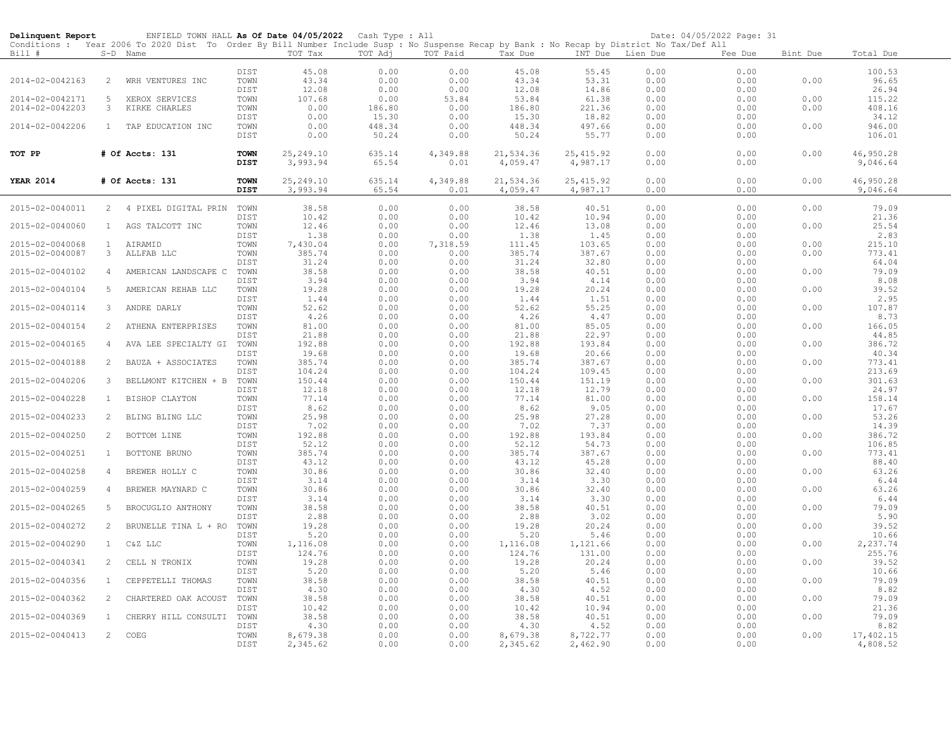| Delinquent Report |                | ENFIELD TOWN HALL As Of Date 04/05/2022 Cash Type : All                                                                                    |              |                  |              |              |                  |                  |                  | Date: 04/05/2022 Page: 31 |          |                       |
|-------------------|----------------|--------------------------------------------------------------------------------------------------------------------------------------------|--------------|------------------|--------------|--------------|------------------|------------------|------------------|---------------------------|----------|-----------------------|
|                   |                | Conditions : Year 2006 To 2020 Dist To Order By Bill Number Include Susp : No Suspense Recap by Bank : No Recap by District No Tax/Def All |              |                  |              |              |                  |                  |                  |                           |          |                       |
| Bill #            |                | S-D Name                                                                                                                                   |              | TOT Tax          | TOT Adj      | TOT Paid     | Tax Due          |                  | INT Due Lien Due | Fee Due                   | Bint Due | Total Due             |
|                   |                |                                                                                                                                            |              |                  |              |              |                  |                  |                  |                           |          |                       |
| 2014-02-0042163   | $\overline{2}$ |                                                                                                                                            | DIST<br>TOWN | 45.08<br>43.34   | 0.00<br>0.00 | 0.00<br>0.00 | 45.08<br>43.34   | 55.45<br>53.31   | 0.00<br>0.00     | 0.00<br>0.00              | 0.00     | 100.53<br>96.65       |
|                   |                | WRH VENTURES INC                                                                                                                           | DIST         | 12.08            | 0.00         | 0.00         | 12.08            | 14.86            | 0.00             | 0.00                      |          | 26.94                 |
| 2014-02-0042171   | 5              |                                                                                                                                            | TOWN         | 107.68           | 0.00         | 53.84        | 53.84            | 61.38            | 0.00             | 0.00                      | 0.00     | 115.22                |
| 2014-02-0042203   | 3              | XEROX SERVICES<br>KIRKE CHARLES                                                                                                            | TOWN         | 0.00             | 186.80       | 0.00         | 186.80           | 221.36           | 0.00             | 0.00                      | 0.00     | 408.16                |
|                   |                |                                                                                                                                            | DIST         | 0.00             | 15.30        | 0.00         | 15.30            | 18.82            | 0.00             | 0.00                      |          | 34.12                 |
| 2014-02-0042206   | 1              | TAP EDUCATION INC                                                                                                                          | TOWN         | 0.00             | 448.34       | 0.00         | 448.34           | 497.66           | 0.00             | 0.00                      | 0.00     | 946.00                |
|                   |                |                                                                                                                                            | DIST         | 0.00             | 50.24        | 0.00         | 50.24            | 55.77            | 0.00             | 0.00                      |          | 106.01                |
|                   |                |                                                                                                                                            |              |                  |              |              |                  |                  |                  |                           |          |                       |
| TOT PP            |                | # Of Accts: 131                                                                                                                            | <b>TOWN</b>  | 25, 249.10       | 635.14       | 4,349.88     | 21,534.36        | 25, 415.92       | 0.00             | 0.00                      | 0.00     | 46,950.28             |
|                   |                |                                                                                                                                            | DIST         | 3,993.94         | 65.54        | 0.01         | 4,059.47         | 4,987.17         | 0.00             | 0.00                      |          | 9,046.64              |
|                   |                |                                                                                                                                            |              |                  |              |              |                  |                  |                  |                           |          |                       |
| <b>YEAR 2014</b>  |                | # Of Accts: 131                                                                                                                            | <b>TOWN</b>  | 25, 249.10       | 635.14       | 4,349.88     | 21,534.36        | 25, 415.92       | 0.00             | 0.00                      | 0.00     | 46,950.28             |
|                   |                |                                                                                                                                            | <b>DIST</b>  | 3,993.94         | 65.54        | 0.01         | 4,059.47         | 4,987.17         | 0.00             | 0.00                      |          | 9,046.64              |
|                   |                |                                                                                                                                            |              |                  |              |              |                  |                  |                  |                           |          |                       |
| 2015-02-0040011   |                | 2 4 PIXEL DIGITAL PRIN TOWN                                                                                                                |              | 38.58            | 0.00         | 0.00         | 38.58            | 40.51            | 0.00             | 0.00                      | 0.00     | 79.09                 |
|                   |                |                                                                                                                                            | DIST         | 10.42            | 0.00         | 0.00         | 10.42            | 10.94            | 0.00             | 0.00                      |          | 21.36                 |
| 2015-02-0040060   | 1              | AGS TALCOTT INC                                                                                                                            | TOWN         | 12.46            | 0.00         | 0.00         | 12.46            | 13.08            | 0.00             | 0.00                      | 0.00     | 25.54                 |
|                   |                |                                                                                                                                            | DIST         | 1.38             | 0.00         | 0.00         | 1.38             | 1.45             | 0.00             | 0.00                      |          | 2.83                  |
| 2015-02-0040068   | $\mathbf{1}$   | AIRAMID                                                                                                                                    | TOWN         | 7,430.04         | 0.00         | 7,318.59     | 111.45           | 103.65           | 0.00             | 0.00                      | 0.00     | 215.10                |
| 2015-02-0040087   | 3 <sup>7</sup> | ALLFAB LLC                                                                                                                                 | TOWN         | 385.74           | 0.00         | 0.00         | 385.74           | 387.67           | 0.00             | 0.00                      | 0.00     | 773.41                |
|                   |                |                                                                                                                                            | DIST         | 31.24            | 0.00         | 0.00         | 31.24            | 32.80            | 0.00             | 0.00                      |          | 64.04                 |
| 2015-02-0040102   | $\overline{4}$ | AMERICAN LANDSCAPE C                                                                                                                       | TOWN<br>DIST | 38.58            | 0.00<br>0.00 | 0.00<br>0.00 | 38.58            | 40.51            | 0.00<br>0.00     | 0.00<br>0.00              | 0.00     | 79.09                 |
| 2015-02-0040104   | $5 -$          | AMERICAN REHAB LLC                                                                                                                         | TOWN         | 3.94<br>19.28    | 0.00         | 0.00         | 3.94<br>19.28    | 4.14<br>20.24    | 0.00             | 0.00                      | 0.00     | 8.08<br>39.52         |
|                   |                |                                                                                                                                            | DIST         | 1.44             | 0.00         | 0.00         | 1.44             | 1.51             | 0.00             | 0.00                      |          | 2.95                  |
| 2015-02-0040114   | $3 -$          | ANDRE DARLY                                                                                                                                | TOWN         | 52.62            | 0.00         | 0.00         | 52.62            | 55.25            | 0.00             | 0.00                      | 0.00     | 107.87                |
|                   |                |                                                                                                                                            | DIST         | 4.26             | 0.00         | 0.00         | 4.26             | 4.47             | 0.00             | 0.00                      |          | 8.73                  |
| 2015-02-0040154   | $\overline{2}$ | ATHENA ENTERPRISES                                                                                                                         | TOWN         | 81.00            | 0.00         | 0.00         | 81.00            | 85.05            | 0.00             | 0.00                      | 0.00     | 166.05                |
|                   |                |                                                                                                                                            | DIST         | 21.88            | 0.00         | 0.00         | 21.88            | 22.97            | 0.00             | 0.00                      |          | 44.85                 |
| 2015-02-0040165   | $\overline{4}$ | AVA LEE SPECIALTY GI                                                                                                                       | TOWN         | 192.88           | 0.00         | 0.00         | 192.88           | 193.84           | 0.00             | 0.00                      | 0.00     | 386.72                |
|                   |                |                                                                                                                                            | DIST         | 19.68            | 0.00         | 0.00         | 19.68            | 20.66            | 0.00             | 0.00                      |          | 40.34                 |
| 2015-02-0040188   | 2              | BAUZA + ASSOCIATES                                                                                                                         | TOWN         | 385.74           | 0.00         | 0.00         | 385.74           | 387.67           | 0.00             | 0.00                      | 0.00     | 773.41                |
|                   |                |                                                                                                                                            | DIST         | 104.24           | 0.00         | 0.00         | 104.24           | 109.45           | 0.00             | 0.00                      |          | 213.69                |
| 2015-02-0040206   | $3 -$          | BELLMONT KITCHEN + B                                                                                                                       | TOWN         | 150.44           | 0.00         | 0.00         | 150.44           | 151.19           | 0.00             | 0.00                      | 0.00     | 301.63                |
|                   |                |                                                                                                                                            | DIST         | 12.18            | 0.00         | 0.00         | 12.18            | 12.79            | 0.00             | 0.00                      |          | 24.97                 |
| 2015-02-0040228   | $\mathbf{1}$   | BISHOP CLAYTON                                                                                                                             | TOWN         | 77.14            | 0.00         | 0.00         | 77.14            | 81.00            | 0.00             | 0.00                      | 0.00     | 158.14                |
|                   |                |                                                                                                                                            | DIST         | 8.62             | 0.00         | 0.00         | 8.62             | 9.05             | 0.00             | 0.00                      |          | 17.67                 |
| 2015-02-0040233   | $\mathbf{2}$   | BLING BLING LLC                                                                                                                            | TOWN         | 25.98            | 0.00         | 0.00         | 25.98            | 27.28            | 0.00             | 0.00                      | 0.00     | 53.26                 |
|                   |                |                                                                                                                                            | DIST         | 7.02             | 0.00         | 0.00         | 7.02             | 7.37             | 0.00             | 0.00                      |          | 14.39                 |
| 2015-02-0040250   | $\mathbf{2}$   | BOTTOM LINE                                                                                                                                | TOWN         | 192.88           | 0.00         | 0.00         | 192.88           | 193.84           | 0.00             | 0.00                      | 0.00     | 386.72                |
|                   |                |                                                                                                                                            | DIST         | 52.12            | 0.00         | 0.00         | 52.12            | 54.73            | 0.00             | 0.00                      |          | 106.85                |
| 2015-02-0040251   | $\mathbf{1}$   | BOTTONE BRUNO                                                                                                                              | TOWN<br>DIST | 385.74<br>43.12  | 0.00<br>0.00 | 0.00<br>0.00 | 385.74<br>43.12  | 387.67<br>45.28  | 0.00<br>0.00     | 0.00<br>0.00              | 0.00     | 773.41<br>88.40       |
|                   | $\overline{4}$ |                                                                                                                                            |              | 30.86            | 0.00         | 0.00         | 30.86            | 32.40            | 0.00             | 0.00                      | 0.00     | 63.26                 |
| 2015-02-0040258   |                | BREWER HOLLY C                                                                                                                             | TOWN<br>DIST | 3.14             | 0.00         | 0.00         | 3.14             | 3.30             | 0.00             | 0.00                      |          | 6.44                  |
| 2015-02-0040259   | $\overline{4}$ | BREWER MAYNARD C                                                                                                                           | TOWN         | 30.86            | 0.00         | 0.00         | 30.86            | 32.40            | 0.00             | 0.00                      | 0.00     | 63.26                 |
|                   |                |                                                                                                                                            | DIST         | 3.14             | 0.00         | 0.00         | 3.14             | 3.30             | 0.00             | 0.00                      |          | 6.44                  |
| 2015-02-0040265   | 5              | BROCUGLIO ANTHONY                                                                                                                          | TOWN         | 38.58            | 0.00         | 0.00         | 38.58            | 40.51            | 0.00             | 0.00                      | 0.00     | 79.09                 |
|                   |                |                                                                                                                                            | DIST         | 2.88             | 0.00         | 0.00         | 2.88             | 3.02             | 0.00             | 0.00                      |          | 5.90                  |
| 2015-02-0040272   | $2^{\circ}$    | BRUNELLE TINA L + RO                                                                                                                       | TOWN         | 19.28            | 0.00         | 0.00         | 19.28            | 20.24            | 0.00             | 0.00                      | 0.00     | 39.52                 |
|                   |                |                                                                                                                                            | DIST         | 5.20             | 0.00         | 0.00         | 5.20             | 5.46             | 0.00             | 0.00                      |          | 10.66                 |
| 2015-02-0040290   | $\mathbf{1}$   | C&Z LLC                                                                                                                                    | TOWN         | 1,116.08         | 0.00         | 0.00         | 1,116.08         | 1,121.66         | 0.00             | 0.00                      | 0.00     | 2,237.74              |
|                   |                |                                                                                                                                            | DIST         | 124.76           | 0.00         | 0.00         | 124.76           | 131.00           | 0.00             | 0.00                      |          | 255.76                |
| 2015-02-0040341   | 2              | CELL N TRONIX                                                                                                                              | TOWN         | 19.28            | 0.00         | 0.00         | 19.28            | 20.24            | 0.00             | 0.00                      | 0.00     | 39.52                 |
|                   |                |                                                                                                                                            | <b>DIST</b>  | 5.20             | 0.00         | 0.00         | 5.20             | 5.46             | 0.00             | 0.00                      |          | 10.66                 |
| 2015-02-0040356   | $\mathbf{1}$   | CEPPETELLI THOMAS                                                                                                                          | TOWN         | 38.58            | 0.00         | 0.00         | 38.58            | 40.51            | 0.00             | 0.00                      | 0.00     | 79.09                 |
|                   |                |                                                                                                                                            | DIST         | 4.30             | 0.00         | 0.00         | 4.30             | 4.52             | 0.00             | 0.00                      |          | 8.82                  |
| 2015-02-0040362   | $\overline{2}$ | CHARTERED OAK ACOUST                                                                                                                       | TOWN         | 38.58            | 0.00         | 0.00         | 38.58            | 40.51            | 0.00             | 0.00                      | 0.00     | 79.09                 |
|                   |                |                                                                                                                                            | DIST         | 10.42            | 0.00         | 0.00         | 10.42            | 10.94            | 0.00             | 0.00                      |          | 21.36                 |
| 2015-02-0040369   | $\mathbf{1}$   | CHERRY HILL CONSULTI                                                                                                                       | TOWN         | 38.58            | 0.00         | 0.00         | 38.58            | 40.51            | 0.00             | 0.00                      | 0.00     | 79.09                 |
| 2015-02-0040413   | $\overline{2}$ | COEG                                                                                                                                       | DIST<br>TOWN | 4.30<br>8,679.38 | 0.00<br>0.00 | 0.00<br>0.00 | 4.30<br>8,679.38 | 4.52<br>8,722.77 | 0.00<br>0.00     | 0.00<br>0.00              | 0.00     | 8.82                  |
|                   |                |                                                                                                                                            | DIST         | 2,345.62         | 0.00         | 0.00         | 2,345.62         | 2,462.90         | 0.00             | 0.00                      |          | 17,402.15<br>4,808.52 |
|                   |                |                                                                                                                                            |              |                  |              |              |                  |                  |                  |                           |          |                       |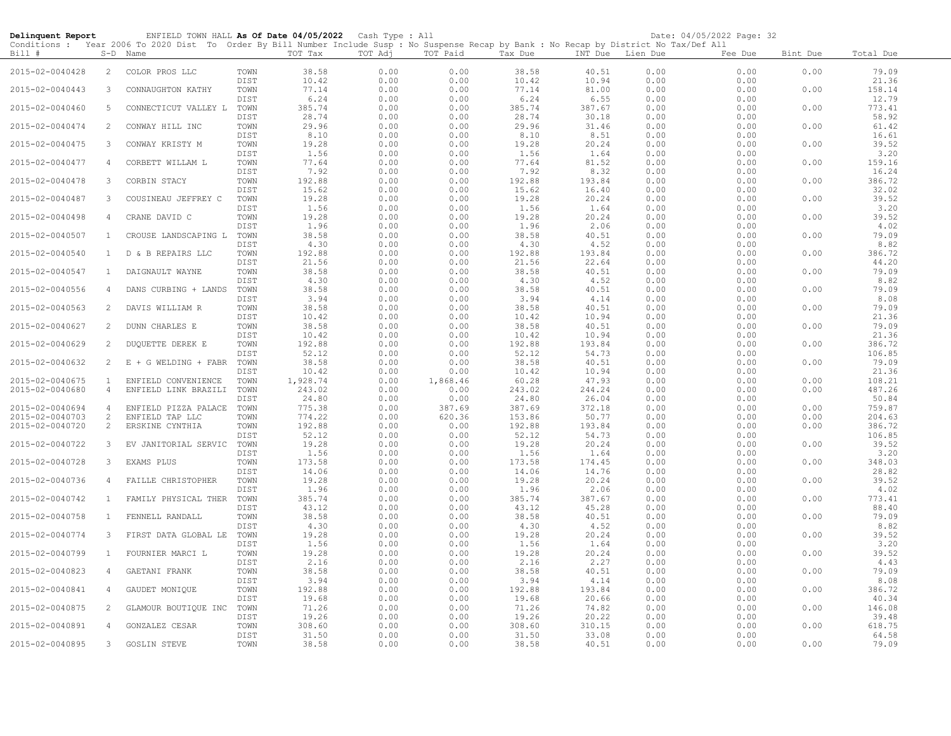| Delinquent Report |                | ENFIELD TOWN HALL As Of Date 04/05/2022 Cash Type : All                                                                                             |              |                   |              |                  |                 |                  |              | Date: 04/05/2022 Page: 32 |          |                     |
|-------------------|----------------|-----------------------------------------------------------------------------------------------------------------------------------------------------|--------------|-------------------|--------------|------------------|-----------------|------------------|--------------|---------------------------|----------|---------------------|
| Bill #            |                | Conditions: Year 2006 To 2020 Dist To Order By Bill Number Include Susp: No Suspense Recap by Bank: No Recap by District No Tax/Def All<br>S-D Name |              | TOT Tax           | TOT Adj      | TOT Paid         | Tax Due         | INT Due Lien Due |              | Fee Due                   | Bint Due | Total Due           |
| 2015-02-0040428   | $\overline{2}$ | COLOR PROS LLC                                                                                                                                      | TOWN         | 38.58             | 0.00         | 0.00             | 38.58           | 40.51            | 0.00         | 0.00                      | 0.00     | 79.09               |
| 2015-02-0040443   | 3              | CONNAUGHTON KATHY                                                                                                                                   | DIST<br>TOWN | 10.42<br>77.14    | 0.00<br>0.00 | 0.00<br>0.00     | 10.42<br>77.14  | 10.94<br>81.00   | 0.00<br>0.00 | 0.00<br>0.00              | 0.00     | 21.36<br>158.14     |
| 2015-02-0040460   | 5              | CONNECTICUT VALLEY L                                                                                                                                | DIST<br>TOWN | 6.24<br>385.74    | 0.00<br>0.00 | 0.00<br>0.00     | 6.24<br>385.74  | 6.55<br>387.67   | 0.00<br>0.00 | 0.00<br>0.00              | 0.00     | 12.79<br>773.41     |
| 2015-02-0040474   | 2              | CONWAY HILL INC                                                                                                                                     | DIST<br>TOWN | 28.74<br>29.96    | 0.00<br>0.00 | 0.00<br>0.00     | 28.74<br>29.96  | 30.18<br>31.46   | 0.00<br>0.00 | 0.00<br>0.00              | 0.00     | 58.92<br>61.42      |
| 2015-02-0040475   | 3              | CONWAY KRISTY M                                                                                                                                     | DIST<br>TOWN | 8.10<br>19.28     | 0.00<br>0.00 | 0.00<br>0.00     | 8.10<br>19.28   | 8.51<br>20.24    | 0.00<br>0.00 | 0.00<br>0.00              | 0.00     | 16.61<br>39.52      |
| 2015-02-0040477   | $\overline{4}$ | CORBETT WILLAM L                                                                                                                                    | DIST<br>TOWN | 1.56<br>77.64     | 0.00<br>0.00 | 0.00<br>0.00     | 1.56<br>77.64   | 1.64<br>81.52    | 0.00<br>0.00 | 0.00<br>0.00              | 0.00     | 3.20<br>159.16      |
| 2015-02-0040478   | 3              | CORBIN STACY                                                                                                                                        | DIST<br>TOWN | 7.92<br>192.88    | 0.00<br>0.00 | 0.00<br>0.00     | 7.92<br>192.88  | 8.32<br>193.84   | 0.00<br>0.00 | 0.00<br>0.00              | 0.00     | 16.24<br>386.72     |
| 2015-02-0040487   | 3              | COUSINEAU JEFFREY C                                                                                                                                 | DIST<br>TOWN | 15.62<br>19.28    | 0.00<br>0.00 | 0.00<br>0.00     | 15.62<br>19.28  | 16.40<br>20.24   | 0.00<br>0.00 | 0.00<br>0.00              | 0.00     | 32.02<br>39.52      |
| 2015-02-0040498   | 4              | CRANE DAVID C                                                                                                                                       | DIST<br>TOWN | 1.56<br>19.28     | 0.00<br>0.00 | 0.00<br>0.00     | 1.56<br>19.28   | 1.64<br>20.24    | 0.00<br>0.00 | 0.00<br>0.00              | 0.00     | 3.20<br>39.52       |
| 2015-02-0040507   | $\mathbf{1}$   | CROUSE LANDSCAPING L                                                                                                                                | DIST<br>TOWN | 1.96<br>38.58     | 0.00<br>0.00 | 0.00<br>0.00     | 1.96<br>38.58   | 2.06<br>40.51    | 0.00<br>0.00 | 0.00<br>0.00              | 0.00     | $4\,.\,02$<br>79.09 |
| 2015-02-0040540   | $\mathbf{1}$   | D & B REPAIRS LLC                                                                                                                                   | DIST<br>TOWN | 4.30<br>192.88    | 0.00<br>0.00 | 0.00<br>0.00     | 4.30<br>192.88  | 4.52<br>193.84   | 0.00<br>0.00 | 0.00<br>0.00              | 0.00     | 8.82<br>386.72      |
| 2015-02-0040547   | $\mathbf{1}$   | DAIGNAULT WAYNE                                                                                                                                     | DIST<br>TOWN | 21.56<br>38.58    | 0.00<br>0.00 | 0.00<br>0.00     | 21.56<br>38.58  | 22.64<br>40.51   | 0.00<br>0.00 | 0.00<br>0.00              | 0.00     | 44.20<br>79.09      |
| 2015-02-0040556   | $\overline{4}$ | DANS CURBING + LANDS                                                                                                                                | DIST<br>TOWN | 4.30<br>38.58     | 0.00<br>0.00 | 0.00<br>0.00     | 4.30<br>38.58   | 4.52<br>40.51    | 0.00<br>0.00 | 0.00<br>0.00              | 0.00     | 8.82<br>79.09       |
| 2015-02-0040563   | 2              | DAVIS WILLIAM R                                                                                                                                     | DIST<br>TOWN | 3.94<br>38.58     | 0.00<br>0.00 | 0.00<br>0.00     | 3.94<br>38.58   | 4.14<br>40.51    | 0.00<br>0.00 | 0.00<br>0.00              | 0.00     | 8.08<br>79.09       |
| 2015-02-0040627   | $\overline{2}$ | DUNN CHARLES E                                                                                                                                      | DIST<br>TOWN | 10.42<br>38.58    | 0.00<br>0.00 | 0.00<br>0.00     | 10.42<br>38.58  | 10.94<br>40.51   | 0.00<br>0.00 | 0.00<br>0.00              | 0.00     | 21.36<br>79.09      |
| 2015-02-0040629   | 2              | DUQUETTE DEREK E                                                                                                                                    | DIST<br>TOWN | 10.42<br>192.88   | 0.00<br>0.00 | 0.00<br>0.00     | 10.42<br>192.88 | 10.94<br>193.84  | 0.00<br>0.00 | 0.00<br>0.00              | 0.00     | 21.36<br>386.72     |
| 2015-02-0040632   | $\overline{2}$ | $E + G WELDING + FABR$                                                                                                                              | DIST<br>TOWN | 52.12<br>38.58    | 0.00<br>0.00 | 0.00<br>0.00     | 52.12<br>38.58  | 54.73<br>40.51   | 0.00<br>0.00 | 0.00<br>0.00              | 0.00     | 106.85<br>79.09     |
| 2015-02-0040675   | $\mathbf{1}$   | ENFIELD CONVENIENCE                                                                                                                                 | DIST<br>TOWN | 10.42<br>1,928.74 | 0.00<br>0.00 | 0.00<br>1,868.46 | 10.42<br>60.28  | 10.94<br>47.93   | 0.00<br>0.00 | 0.00<br>0.00              | 0.00     | 21.36<br>108.21     |
| 2015-02-0040680   | $\overline{4}$ | ENFIELD LINK BRAZILI                                                                                                                                | TOWN         | 243.02            | 0.00         | 0.00             | 243.02          | 244.24           | 0.00         | 0.00                      | 0.00     | 487.26              |
|                   |                |                                                                                                                                                     | DIST         | 24.80             | 0.00         | 0.00             | 24.80           | 26.04            | 0.00         | 0.00                      |          | 50.84               |
| 2015-02-0040694   | $\overline{4}$ | ENFIELD PIZZA PALACE                                                                                                                                | TOWN         | 775.38            | 0.00         | 387.69           | 387.69          | 372.18           | 0.00         | 0.00                      | 0.00     | 759.87              |
| 2015-02-0040703   | $\overline{c}$ | ENFIELD TAP LLC                                                                                                                                     | TOWN         | 774.22            | 0.00         | 620.36           | 153.86          | 50.77            | 0.00         | 0.00                      | 0.00     | 204.63              |
| 2015-02-0040720   | $\overline{2}$ | ERSKINE CYNTHIA                                                                                                                                     | TOWN         | 192.88            | 0.00         | 0.00             | 192.88          | 193.84           | 0.00         | 0.00                      | 0.00     | 386.72              |
|                   |                |                                                                                                                                                     | DIST         | 52.12             | 0.00         | 0.00             | 52.12           | 54.73            | 0.00         | 0.00                      |          | 106.85              |
| 2015-02-0040722   | 3              | EV JANITORIAL SERVIC                                                                                                                                | TOWN<br>DIST | 19.28<br>1.56     | 0.00<br>0.00 | 0.00<br>0.00     | 19.28<br>1.56   | 20.24<br>1.64    | 0.00<br>0.00 | 0.00<br>0.00              | 0.00     | 39.52<br>3.20       |
| 2015-02-0040728   | 3              | EXAMS PLUS                                                                                                                                          | TOWN         | 173.58            | 0.00         | 0.00             | 173.58          | 174.45           | 0.00         | 0.00                      | 0.00     | 348.03              |
|                   |                |                                                                                                                                                     | DIST         | 14.06             | 0.00         | 0.00             | 14.06           | 14.76            | 0.00         | 0.00                      |          | 28.82               |
| 2015-02-0040736   | $\overline{4}$ | FAILLE CHRISTOPHER                                                                                                                                  | TOWN<br>DIST | 19.28<br>1.96     | 0.00<br>0.00 | 0.00<br>0.00     | 19.28<br>1.96   | 20.24<br>2.06    | 0.00<br>0.00 | 0.00<br>0.00              | 0.00     | 39.52<br>4.02       |
| 2015-02-0040742   | $\mathbf{1}$   | FAMILY PHYSICAL THER                                                                                                                                | TOWN<br>DIST | 385.74<br>43.12   | 0.00<br>0.00 | 0.00<br>0.00     | 385.74<br>43.12 | 387.67<br>45.28  | 0.00<br>0.00 | 0.00<br>0.00              | 0.00     | 773.41<br>88.40     |
| 2015-02-0040758   | $\mathbf{1}$   | FENNELL RANDALL                                                                                                                                     | TOWN<br>DIST | 38.58<br>4.30     | 0.00<br>0.00 | 0.00<br>0.00     | 38.58<br>4.30   | 40.51<br>4.52    | 0.00<br>0.00 | 0.00<br>0.00              | 0.00     | 79.09<br>8.82       |
| 2015-02-0040774   | $\mathbf{3}$   | FIRST DATA GLOBAL LE                                                                                                                                | TOWN<br>DIST | 19.28<br>1.56     | 0.00<br>0.00 | 0.00<br>0.00     | 19.28<br>1.56   | 20.24<br>1.64    | 0.00<br>0.00 | 0.00<br>0.00              | 0.00     | 39.52<br>3.20       |
| 2015-02-0040799   | $\mathbf{1}$   | FOURNIER MARCI L                                                                                                                                    | TOWN         | 19.28<br>2.16     | 0.00<br>0.00 | 0.00<br>0.00     | 19.28<br>2.16   | 20.24<br>2.27    | 0.00<br>0.00 | 0.00<br>0.00              | 0.00     | 39.52<br>4.43       |
| 2015-02-0040823   | $\overline{4}$ | GAETANI FRANK                                                                                                                                       | DIST<br>TOWN | 38.58             | 0.00         | 0.00             | 38.58           | 40.51            | 0.00         | 0.00<br>0.00              | 0.00     | 79.09<br>8.08       |
| 2015-02-0040841   | 4              | GAUDET MONIQUE                                                                                                                                      | DIST<br>TOWN | 3.94<br>192.88    | 0.00<br>0.00 | 0.00<br>0.00     | 3.94<br>192.88  | 4.14<br>193.84   | 0.00<br>0.00 | 0.00                      | 0.00     | 386.72              |
| 2015-02-0040875   | 2              | GLAMOUR BOUTIQUE INC                                                                                                                                | DIST<br>TOWN | 19.68<br>71.26    | 0.00<br>0.00 | 0.00<br>0.00     | 19.68<br>71.26  | 20.66<br>74.82   | 0.00<br>0.00 | 0.00<br>0.00              | 0.00     | 40.34<br>146.08     |
| 2015-02-0040891   | 4              | GONZALEZ CESAR                                                                                                                                      | DIST<br>TOWN | 19.26<br>308.60   | 0.00<br>0.00 | 0.00<br>0.00     | 19.26<br>308.60 | 20.22<br>310.15  | 0.00<br>0.00 | 0.00<br>0.00              | 0.00     | 39.48<br>618.75     |
| 2015-02-0040895   | $3 -$          | <b>GOSLIN STEVE</b>                                                                                                                                 | DIST<br>TOWN | 31.50<br>38.58    | 0.00<br>0.00 | 0.00<br>0.00     | 31.50<br>38.58  | 33.08<br>40.51   | 0.00<br>0.00 | 0.00<br>0.00              | 0.00     | 64.58<br>79.09      |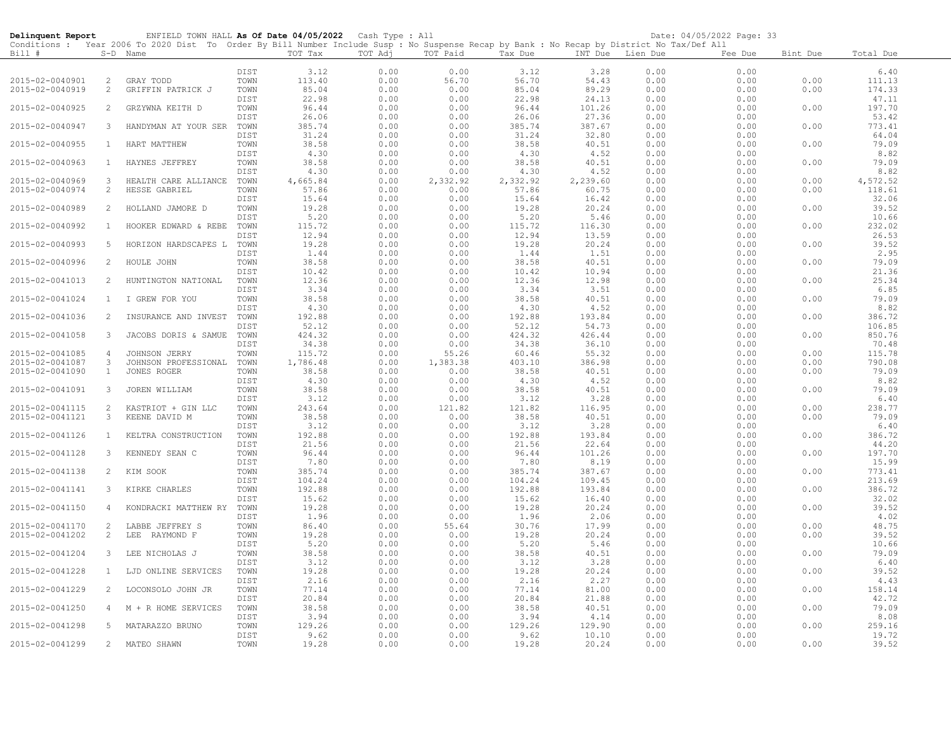| Delinquent Report                  |                         | ENFIELD TOWN HALL As Of Date 04/05/2022 Cash Type : All                                                                                    |              |                   |              |                  |                 |                 |                  | Date: 04/05/2022 Page: 33 |              |                 |
|------------------------------------|-------------------------|--------------------------------------------------------------------------------------------------------------------------------------------|--------------|-------------------|--------------|------------------|-----------------|-----------------|------------------|---------------------------|--------------|-----------------|
|                                    |                         | Conditions : Year 2006 To 2020 Dist To Order By Bill Number Include Susp : No Suspense Recap by Bank : No Recap by District No Tax/Def All |              |                   |              |                  |                 |                 |                  |                           |              |                 |
| Bill #                             |                         | S-D Name                                                                                                                                   |              | TOT Tax           | TOT Adj      | TOT Paid         | Tax Due         |                 | INT Due Lien Due | Fee Due                   | Bint Due     | Total Due       |
|                                    |                         |                                                                                                                                            | DIST         | 3.12              | 0.00         | 0.00             | 3.12            | 3.28            | 0.00             | 0.00                      |              | 6.40            |
| 2015-02-0040901                    | $\overline{2}$          | GRAY TODD                                                                                                                                  | TOWN         | 113.40            | 0.00         | 56.70            | 56.70           | 54.43           | 0.00             | 0.00                      | 0.00         | 111.13          |
| 2015-02-0040919                    | $\overline{c}$          | GRIFFIN PATRICK J                                                                                                                          | TOWN         | 85.04             | 0.00         | 0.00             | 85.04           | 89.29           | 0.00             | 0.00                      | 0.00         | 174.33          |
|                                    |                         |                                                                                                                                            | DIST         | 22.98             | 0.00         | 0.00             | 22.98           | 24.13           | 0.00             | 0.00                      |              | 47.11           |
| 2015-02-0040925                    | 2                       | GRZYWNA KEITH D                                                                                                                            | TOWN         | 96.44             | 0.00         | 0.00             | 96.44           | 101.26          | 0.00             | 0.00                      | 0.00         | 197.70          |
|                                    |                         |                                                                                                                                            | DIST         | 26.06             | 0.00         | 0.00             | 26.06           | 27.36           | 0.00             | 0.00                      |              | 53.42           |
| 2015-02-0040947                    | 3                       | HANDYMAN AT YOUR SER                                                                                                                       | TOWN         | 385.74            | 0.00         | 0.00             | 385.74          | 387.67          | 0.00             | 0.00                      | 0.00         | 773.41          |
|                                    |                         |                                                                                                                                            | DIST         | 31.24             | 0.00         | 0.00             | 31.24           | 32.80           | 0.00             | 0.00                      |              | 64.04           |
| 2015-02-0040955                    | $\mathbf{1}$            | HART MATTHEW                                                                                                                               | TOWN         | 38.58             | 0.00         | 0.00             | 38.58           | 40.51           | 0.00             | 0.00                      | 0.00         | 79.09           |
|                                    |                         |                                                                                                                                            | DIST         | 4.30              | 0.00         | 0.00             | 4.30            | 4.52            | 0.00             | 0.00                      |              | 8.82            |
| 2015-02-0040963                    | 1                       | HAYNES JEFFREY                                                                                                                             | TOWN<br>DIST | 38.58<br>4.30     | 0.00<br>0.00 | 0.00<br>0.00     | 38.58<br>4.30   | 40.51<br>4.52   | 0.00<br>0.00     | 0.00<br>0.00              | 0.00         | 79.09<br>8.82   |
| 2015-02-0040969                    | 3                       | HEALTH CARE ALLIANCE                                                                                                                       | TOWN         | 4,665.84          | 0.00         | 2,332.92         | 2,332.92        | 2,239.60        | 0.00             | 0.00                      | 0.00         | 4,572.52        |
| 2015-02-0040974                    | $\overline{2}$          | HESSE GABRIEL                                                                                                                              | TOWN         | 57.86             | 0.00         | 0.00             | 57.86           | 60.75           | 0.00             | 0.00                      | 0.00         | 118.61          |
|                                    |                         |                                                                                                                                            | DIST         | 15.64             | 0.00         | 0.00             | 15.64           | 16.42           | 0.00             | 0.00                      |              | 32.06           |
| 2015-02-0040989                    | 2                       | HOLLAND JAMORE D                                                                                                                           | TOWN         | 19.28             | 0.00         | 0.00             | 19.28           | 20.24           | 0.00             | 0.00                      | 0.00         | 39.52           |
|                                    |                         |                                                                                                                                            | DIST         | 5.20              | 0.00         | 0.00             | 5.20            | 5.46            | 0.00             | 0.00                      |              | 10.66           |
| 2015-02-0040992                    | $\mathbf{1}$            | HOOKER EDWARD & REBE                                                                                                                       | TOWN         | 115.72            | 0.00         | 0.00             | 115.72          | 116.30          | 0.00             | 0.00                      | 0.00         | 232.02          |
|                                    |                         |                                                                                                                                            | DIST         | 12.94             | 0.00         | 0.00             | 12.94           | 13.59           | 0.00             | 0.00                      |              | 26.53           |
| 2015-02-0040993                    | 5                       | HORIZON HARDSCAPES L                                                                                                                       | TOWN         | 19.28             | 0.00         | 0.00             | 19.28           | 20.24           | 0.00             | 0.00                      | 0.00         | 39.52           |
|                                    | $\mathbf{2}^{\prime}$   |                                                                                                                                            | DIST         | 1.44<br>38.58     | 0.00<br>0.00 | 0.00<br>0.00     | 1.44<br>38.58   | 1.51<br>40.51   | 0.00<br>0.00     | 0.00                      |              | 2.95<br>79.09   |
| 2015-02-0040996                    |                         | HOULE JOHN                                                                                                                                 | TOWN<br>DIST | 10.42             | 0.00         | 0.00             | 10.42           | 10.94           | 0.00             | 0.00<br>0.00              | 0.00         | 21.36           |
| 2015-02-0041013                    | $\overline{2}$          | HUNTINGTON NATIONAL                                                                                                                        | TOWN         | 12.36             | 0.00         | 0.00             | 12.36           | 12.98           | 0.00             | 0.00                      | 0.00         | 25.34           |
|                                    |                         |                                                                                                                                            | DIST         | 3.34              | 0.00         | 0.00             | 3.34            | 3.51            | 0.00             | 0.00                      |              | 6.85            |
| 2015-02-0041024                    |                         | 1 I GREW FOR YOU                                                                                                                           | TOWN         | 38.58             | 0.00         | 0.00             | 38.58           | 40.51           | 0.00             | 0.00                      | 0.00         | 79.09           |
|                                    |                         |                                                                                                                                            | DIST         | 4.30              | 0.00         | 0.00             | 4.30            | 4.52            | 0.00             | 0.00                      |              | 8.82            |
| 2015-02-0041036                    | 2                       | INSURANCE AND INVEST                                                                                                                       | TOWN         | 192.88            | 0.00         | 0.00             | 192.88          | 193.84          | 0.00             | 0.00                      | 0.00         | 386.72          |
|                                    |                         |                                                                                                                                            | DIST         | 52.12             | 0.00         | 0.00             | 52.12           | 54.73           | 0.00             | 0.00                      |              | 106.85          |
| 2015-02-0041058                    | $\mathbf{3}$            | JACOBS DORIS & SAMUE                                                                                                                       | TOWN         | 424.32            | 0.00         | 0.00             | 424.32          | 426.44          | 0.00             | 0.00                      | 0.00         | 850.76          |
|                                    |                         |                                                                                                                                            | DIST         | 34.38             | 0.00         | 0.00             | 34.38           | 36.10           | 0.00             | 0.00                      |              | 70.48           |
| 2015-02-0041085                    | $\overline{4}$          | JOHNSON JERRY                                                                                                                              | TOWN         | 115.72            | 0.00         | 55.26            | 60.46           | 55.32           | 0.00             | 0.00                      | 0.00         | 115.78          |
| 2015-02-0041087<br>2015-02-0041090 | $\mathbf{3}$<br>$\perp$ | JOHNSON PROFESSIONAL<br>JONES ROGER                                                                                                        | TOWN<br>TOWN | 1,786.48<br>38.58 | 0.00<br>0.00 | 1,383.38<br>0.00 | 403.10<br>38.58 | 386.98<br>40.51 | 0.00<br>0.00     | 0.00<br>0.00              | 0.00<br>0.00 | 790.08<br>79.09 |
|                                    |                         |                                                                                                                                            | DIST         | 4.30              | 0.00         | 0.00             | 4.30            | 4.52            | 0.00             | 0.00                      |              | 8.82            |
| 2015-02-0041091                    | 3                       | JOREN WILLIAM                                                                                                                              | TOWN         | 38.58             | 0.00         | 0.00             | 38.58           | 40.51           | 0.00             | 0.00                      | 0.00         | 79.09           |
|                                    |                         |                                                                                                                                            | DIST         | 3.12              | 0.00         | 0.00             | 3.12            | 3.28            | 0.00             | 0.00                      |              | 6.40            |
| 2015-02-0041115                    | 2                       | KASTRIOT + GIN LLC                                                                                                                         | TOWN         | 243.64            | 0.00         | 121.82           | 121.82          | 116.95          | 0.00             | 0.00                      | 0.00         | 238.77          |
| 2015-02-0041121                    | 3                       | KEENE DAVID M                                                                                                                              | TOWN         | 38.58             | 0.00         | 0.00             | 38.58           | 40.51           | 0.00             | 0.00                      | 0.00         | 79.09           |
|                                    |                         |                                                                                                                                            | DIST         | 3.12              | 0.00         | 0.00             | 3.12            | 3.28            | 0.00             | 0.00                      |              | 6.40            |
| 2015-02-0041126                    | <sup>1</sup>            | KELTRA CONSTRUCTION                                                                                                                        | TOWN         | 192.88            | 0.00         | 0.00             | 192.88          | 193.84          | 0.00             | 0.00                      | 0.00         | 386.72          |
|                                    |                         |                                                                                                                                            | DIST         | 21.56             | 0.00         | 0.00             | 21.56           | 22.64           | 0.00             | 0.00                      |              | 44.20           |
| 2015-02-0041128                    | 3                       | KENNEDY SEAN C                                                                                                                             | TOWN<br>DIST | 96.44<br>7.80     | 0.00<br>0.00 | 0.00<br>0.00     | 96.44<br>7.80   | 101.26<br>8.19  | 0.00<br>0.00     | 0.00<br>0.00              | 0.00         | 197.70          |
| 2015-02-0041138                    | $\overline{2}$          | KIM SOOK                                                                                                                                   | TOWN         | 385.74            | 0.00         | 0.00             | 385.74          | 387.67          | 0.00             | 0.00                      | 0.00         | 15.99<br>773.41 |
|                                    |                         |                                                                                                                                            | DIST         | 104.24            | 0.00         | 0.00             | 104.24          | 109.45          | 0.00             | 0.00                      |              | 213.69          |
| 2015-02-0041141                    | 3                       | KIRKE CHARLES                                                                                                                              | TOWN         | 192.88            | 0.00         | 0.00             | 192.88          | 193.84          | 0.00             | 0.00                      | 0.00         | 386.72          |
|                                    |                         |                                                                                                                                            | DIST         | 15.62             | 0.00         | 0.00             | 15.62           | 16.40           | 0.00             | 0.00                      |              | 32.02           |
| 2015-02-0041150                    | $\overline{4}$          | KONDRACKI MATTHEW RY                                                                                                                       | TOWN         | 19.28             | 0.00         | 0.00             | 19.28           | 20.24           | 0.00             | 0.00                      | 0.00         | 39.52           |
|                                    |                         |                                                                                                                                            | DIST         | 1.96              | 0.00         | 0.00             | 1.96            | 2.06            | 0.00             | 0.00                      |              | 4.02            |
| 2015-02-0041170                    | 2                       | LABBE JEFFREY S                                                                                                                            | TOWN         | 86.40             | 0.00         | 55.64            | 30.76           | 17.99           | 0.00             | 0.00                      | 0.00         | 48.75           |
| 2015-02-0041202                    | $\overline{c}$          | LEE RAYMOND F                                                                                                                              | TOWN         | 19.28             | 0.00         | 0.00             | 19.28           | 20.24           | 0.00             | 0.00                      | 0.00         | 39.52           |
|                                    |                         |                                                                                                                                            | DIST         | 5.20              | 0.00         | 0.00             | 5.20            | 5.46            | 0.00             | 0.00                      |              | 10.66           |
| 2015-02-0041204                    | 3                       | LEE NICHOLAS J                                                                                                                             | TOWN         | 38.58             | 0.00         | 0.00             | 38.58           | 40.51           | 0.00             | 0.00                      | 0.00         | 79.09           |
| 2015-02-0041228                    | $\mathbf{1}$            | LJD ONLINE SERVICES                                                                                                                        | DIST<br>TOWN | 3.12<br>19.28     | 0.00<br>0.00 | 0.00<br>0.00     | 3.12<br>19.28   | 3.28<br>20.24   | 0.00<br>0.00     | 0.00<br>0.00              | 0.00         | 6.40<br>39.52   |
|                                    |                         |                                                                                                                                            | DIST         | 2.16              | 0.00         | 0.00             | 2.16            | 2.27            | 0.00             | 0.00                      |              | 4.43            |
| 2015-02-0041229                    | 2                       | LOCONSOLO JOHN JR                                                                                                                          | TOWN         | 77.14             | 0.00         | 0.00             | 77.14           | 81.00           | 0.00             | 0.00                      | 0.00         | 158.14          |
|                                    |                         |                                                                                                                                            | DIST         | 20.84             | 0.00         | 0.00             | 20.84           | 21.88           | 0.00             | 0.00                      |              | 42.72           |
| 2015-02-0041250                    | 4                       | M + R HOME SERVICES                                                                                                                        | TOWN         | 38.58             | 0.00         | 0.00             | 38.58           | 40.51           | 0.00             | 0.00                      | 0.00         | 79.09           |
|                                    |                         |                                                                                                                                            | DIST         | 3.94              | 0.00         | 0.00             | 3.94            | 4.14            | 0.00             | 0.00                      |              | 8.08            |
| 2015-02-0041298                    | 5                       | MATARAZZO BRUNO                                                                                                                            | TOWN         | 129.26            | 0.00         | 0.00             | 129.26          | 129.90          | 0.00             | 0.00                      | 0.00         | 259.16          |
|                                    |                         |                                                                                                                                            | DIST         | 9.62              | 0.00         | 0.00             | 9.62            | 10.10           | 0.00             | 0.00                      |              | 19.72           |
| 2015-02-0041299                    |                         | 2 MATEO SHAWN                                                                                                                              | TOWN         | 19.28             | 0.00         | 0.00             | 19.28           | 20.24           | 0.00             | 0.00                      | 0.00         | 39.52           |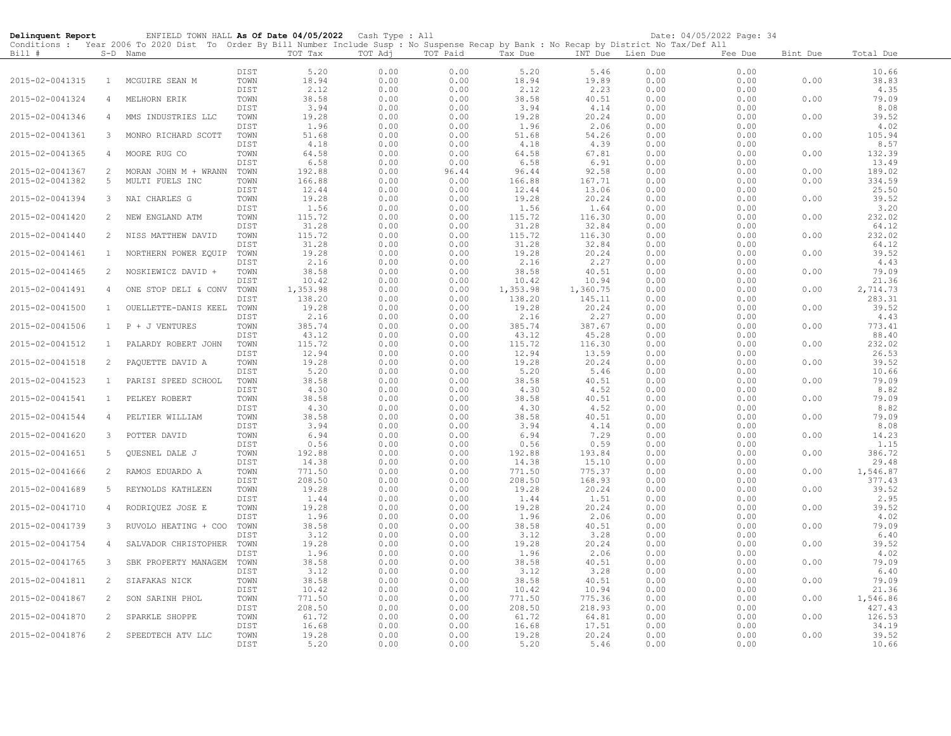| Delinquent Report |                | ENFIELD TOWN HALL As Of Date 04/05/2022 Cash Type : All                                                                                    |              |                 |              |              |                 |                 |              | Date: 04/05/2022 Page: 34 |          |                 |
|-------------------|----------------|--------------------------------------------------------------------------------------------------------------------------------------------|--------------|-----------------|--------------|--------------|-----------------|-----------------|--------------|---------------------------|----------|-----------------|
|                   |                | Conditions : Year 2006 To 2020 Dist To Order By Bill Number Include Susp : No Suspense Recap by Bank : No Recap by District No Tax/Def All |              | TOT Tax         | TOT Adj      | TOT Paid     |                 |                 |              |                           |          |                 |
| Bill #            |                | S-D Name                                                                                                                                   |              |                 |              |              | Tax Due         | INT Due         | Lien Due     | Fee Due                   | Bint Due | Total Due       |
|                   |                |                                                                                                                                            | DIST         | 5.20            | 0.00         | 0.00         | 5.20            | 5.46            | 0.00         | 0.00                      |          | 10.66           |
| 2015-02-0041315   | $\mathbf{1}$   | MCGUIRE SEAN M                                                                                                                             | TOWN         | 18.94           | 0.00         | 0.00         | 18.94           | 19.89           | 0.00         | 0.00                      | 0.00     | 38.83           |
|                   |                |                                                                                                                                            | DIST         | 2.12            | 0.00         | 0.00         | 2.12            | 2.23            | 0.00         | 0.00                      |          | 4.35            |
| 2015-02-0041324   | 4              | MELHORN ERIK                                                                                                                               | TOWN         | 38.58           | 0.00         | 0.00         | 38.58           | 40.51           | 0.00         | 0.00                      | 0.00     | 79.09           |
| 2015-02-0041346   | 4              | MMS INDUSTRIES LLC                                                                                                                         | DIST<br>TOWN | 3.94<br>19.28   | 0.00<br>0.00 | 0.00<br>0.00 | 3.94<br>19.28   | 4.14<br>20.24   | 0.00<br>0.00 | 0.00<br>0.00              | 0.00     | 8.08<br>39.52   |
|                   |                |                                                                                                                                            | DIST         | 1.96            | 0.00         | 0.00         | 1.96            | 2.06            | 0.00         | 0.00                      |          | 4.02            |
| 2015-02-0041361   | 3              | MONRO RICHARD SCOTT                                                                                                                        | TOWN         | 51.68           | 0.00         | 0.00         | 51.68           | 54.26           | 0.00         | 0.00                      | 0.00     | 105.94          |
|                   |                |                                                                                                                                            | DIST         | 4.18            | 0.00         | 0.00         | 4.18            | 4.39            | 0.00         | 0.00                      |          | 8.57            |
| 2015-02-0041365   | $\overline{4}$ | MOORE RUG CO                                                                                                                               | TOWN         | 64.58           | 0.00         | 0.00         | 64.58           | 67.81           | 0.00         | 0.00                      | 0.00     | 132.39          |
|                   |                |                                                                                                                                            | DIST         | 6.58            | 0.00         | 0.00         | 6.58            | 6.91            | 0.00         | 0.00                      |          | 13.49           |
| 2015-02-0041367   | 2              | MORAN JOHN M + WRANN                                                                                                                       | TOWN         | 192.88          | 0.00         | 96.44        | 96.44           | 92.58           | 0.00         | 0.00                      | 0.00     | 189.02          |
| 2015-02-0041382   | 5              | MULTI FUELS INC                                                                                                                            | TOWN<br>DIST | 166.88<br>12.44 | 0.00<br>0.00 | 0.00<br>0.00 | 166.88<br>12.44 | 167.71<br>13.06 | 0.00<br>0.00 | 0.00<br>0.00              | 0.00     | 334.59<br>25.50 |
| 2015-02-0041394   | 3              | NAI CHARLES G                                                                                                                              | TOWN         | 19.28           | 0.00         | 0.00         | 19.28           | 20.24           | 0.00         | 0.00                      | 0.00     | 39.52           |
|                   |                |                                                                                                                                            | DIST         | 1.56            | 0.00         | 0.00         | 1.56            | 1.64            | 0.00         | 0.00                      |          | 3.20            |
| 2015-02-0041420   | 2              | NEW ENGLAND ATM                                                                                                                            | TOWN         | 115.72          | 0.00         | 0.00         | 115.72          | 116.30          | 0.00         | 0.00                      | 0.00     | 232.02          |
|                   |                |                                                                                                                                            | DIST         | 31.28           | 0.00         | 0.00         | 31.28           | 32.84           | 0.00         | 0.00                      |          | 64.12           |
| 2015-02-0041440   | 2              | NISS MATTHEW DAVID                                                                                                                         | TOWN         | 115.72          | 0.00         | 0.00         | 115.72          | 116.30          | 0.00         | 0.00                      | 0.00     | 232.02          |
| 2015-02-0041461   | $\mathbf{1}$   | NORTHERN POWER EQUIP                                                                                                                       | DIST<br>TOWN | 31.28<br>19.28  | 0.00<br>0.00 | 0.00<br>0.00 | 31.28<br>19.28  | 32.84<br>20.24  | 0.00<br>0.00 | 0.00<br>0.00              | 0.00     | 64.12<br>39.52  |
|                   |                |                                                                                                                                            | DIST         | 2.16            | 0.00         | 0.00         | 2.16            | 2.27            | 0.00         | 0.00                      |          | 4.43            |
| 2015-02-0041465   | 2              | NOSKIEWICZ DAVID +                                                                                                                         | TOWN         | 38.58           | 0.00         | 0.00         | 38.58           | 40.51           | 0.00         | 0.00                      | 0.00     | 79.09           |
|                   |                |                                                                                                                                            | DIST         | 10.42           | 0.00         | 0.00         | 10.42           | 10.94           | 0.00         | 0.00                      |          | 21.36           |
| 2015-02-0041491   | 4              | ONE STOP DELI & CONV                                                                                                                       | TOWN         | 1,353.98        | 0.00         | 0.00         | 1,353.98        | 1,360.75        | 0.00         | 0.00                      | 0.00     | 2,714.73        |
|                   |                |                                                                                                                                            | DIST         | 138.20          | 0.00         | 0.00         | 138.20          | 145.11          | 0.00         | 0.00                      |          | 283.31          |
| 2015-02-0041500   | 1              | OUELLETTE-DANIS KEEL                                                                                                                       | TOWN         | 19.28           | 0.00         | 0.00         | 19.28           | 20.24           | 0.00         | 0.00                      | 0.00     | 39.52           |
| 2015-02-0041506   | $\mathbf{1}$   | P + J VENTURES                                                                                                                             | DIST<br>TOWN | 2.16<br>385.74  | 0.00<br>0.00 | 0.00<br>0.00 | 2.16<br>385.74  | 2.27<br>387.67  | 0.00<br>0.00 | 0.00<br>0.00              | 0.00     | 4.43<br>773.41  |
|                   |                |                                                                                                                                            | DIST         | 43.12           | 0.00         | 0.00         | 43.12           | 45.28           | 0.00         | 0.00                      |          | 88.40           |
| 2015-02-0041512   | <sup>1</sup>   | PALARDY ROBERT JOHN                                                                                                                        | TOWN         | 115.72          | 0.00         | 0.00         | 115.72          | 116.30          | 0.00         | 0.00                      | 0.00     | 232.02          |
|                   |                |                                                                                                                                            | DIST         | 12.94           | 0.00         | 0.00         | 12.94           | 13.59           | 0.00         | 0.00                      |          | 26.53           |
| 2015-02-0041518   | 2              | PAQUETTE DAVID A                                                                                                                           | TOWN         | 19.28           | 0.00         | 0.00         | 19.28           | 20.24           | 0.00         | 0.00                      | 0.00     | 39.52           |
|                   |                |                                                                                                                                            | DIST         | 5.20            | 0.00         | 0.00         | 5.20            | 5.46            | 0.00         | 0.00                      |          | 10.66           |
| 2015-02-0041523   | $\mathbf{1}$   | PARISI SPEED SCHOOL                                                                                                                        | TOWN<br>DIST | 38.58<br>4.30   | 0.00<br>0.00 | 0.00<br>0.00 | 38.58<br>4.30   | 40.51<br>4.52   | 0.00<br>0.00 | 0.00<br>0.00              | 0.00     | 79.09<br>8.82   |
| 2015-02-0041541   | $\mathbf{1}$   | PELKEY ROBERT                                                                                                                              | TOWN         | 38.58           | 0.00         | 0.00         | 38.58           | 40.51           | 0.00         | 0.00                      | 0.00     | 79.09           |
|                   |                |                                                                                                                                            | DIST         | 4.30            | 0.00         | 0.00         | 4.30            | 4.52            | 0.00         | 0.00                      |          | 8.82            |
| 2015-02-0041544   | 4              | PELTIER WILLIAM                                                                                                                            | TOWN         | 38.58           | 0.00         | 0.00         | 38.58           | 40.51           | 0.00         | 0.00                      | 0.00     | 79.09           |
|                   |                |                                                                                                                                            | DIST         | 3.94            | 0.00         | 0.00         | 3.94            | 4.14            | 0.00         | 0.00                      |          | 8.08            |
| 2015-02-0041620   | 3              | POTTER DAVID                                                                                                                               | TOWN         | 6.94            | 0.00         | 0.00         | 6.94            | 7.29            | 0.00         | 0.00                      | 0.00     | 14.23           |
| 2015-02-0041651   | 5              | <b>OUESNEL DALE J</b>                                                                                                                      | DIST<br>TOWN | 0.56<br>192.88  | 0.00<br>0.00 | 0.00<br>0.00 | 0.56<br>192.88  | 0.59<br>193.84  | 0.00<br>0.00 | 0.00<br>0.00              | 0.00     | 1.15<br>386.72  |
|                   |                |                                                                                                                                            | DIST         | 14.38           | 0.00         | 0.00         | 14.38           | 15.10           | 0.00         | 0.00                      |          | 29.48           |
| 2015-02-0041666   | 2              | RAMOS EDUARDO A                                                                                                                            | TOWN         | 771.50          | 0.00         | 0.00         | 771.50          | 775.37          | 0.00         | 0.00                      | 0.00     | 1,546.87        |
|                   |                |                                                                                                                                            | DIST         | 208.50          | 0.00         | 0.00         | 208.50          | 168.93          | 0.00         | 0.00                      |          | 377.43          |
| 2015-02-0041689   | 5              | REYNOLDS KATHLEEN                                                                                                                          | TOWN         | 19.28           | 0.00         | 0.00         | 19.28           | 20.24           | 0.00         | 0.00                      | 0.00     | 39.52           |
|                   |                |                                                                                                                                            | DIST         | 1.44            | 0.00         | 0.00         | 1.44            | 1.51            | 0.00         | 0.00                      |          | 2.95            |
| 2015-02-0041710   | 4              | RODRIQUEZ JOSE E                                                                                                                           | TOWN<br>DIST | 19.28<br>1.96   | 0.00<br>0.00 | 0.00<br>0.00 | 19.28<br>1.96   | 20.24<br>2.06   | 0.00<br>0.00 | 0.00<br>0.00              | 0.00     | 39.52<br>4.02   |
| 2015-02-0041739   | 3              | RUVOLO HEATING + COO                                                                                                                       | TOWN         | 38.58           | 0.00         | 0.00         | 38.58           | 40.51           | 0.00         | 0.00                      | 0.00     | 79.09           |
|                   |                |                                                                                                                                            | DIST         | 3.12            | 0.00         | 0.00         | 3.12            | 3.28            | 0.00         | 0.00                      |          | 6.40            |
| 2015-02-0041754   | 4              | SALVADOR CHRISTOPHER                                                                                                                       | TOWN         | 19.28           | 0.00         | 0.00         | 19.28           | 20.24           | 0.00         | 0.00                      | 0.00     | 39.52           |
|                   |                |                                                                                                                                            | DIST         | 1.96            | 0.00         | 0.00         | 1.96            | 2.06            | 0.00         | 0.00                      |          | 4.02            |
| 2015-02-0041765   | 3              | SBK PROPERTY MANAGEM                                                                                                                       | TOWN         | 38.58           | 0.00         | 0.00         | 38.58           | 40.51           | 0.00         | 0.00                      | 0.00     | 79.09           |
| 2015-02-0041811   | 2              | SIAFAKAS NICK                                                                                                                              | DIST<br>TOWN | 3.12<br>38.58   | 0.00<br>0.00 | 0.00<br>0.00 | 3.12<br>38.58   | 3.28<br>40.51   | 0.00<br>0.00 | 0.00<br>0.00              | 0.00     | 6.40<br>79.09   |
|                   |                |                                                                                                                                            | DIST         | 10.42           | 0.00         | 0.00         | 10.42           | 10.94           | 0.00         | 0.00                      |          | 21.36           |
| 2015-02-0041867   | 2              | SON SARINH PHOL                                                                                                                            | TOWN         | 771.50          | 0.00         | 0.00         | 771.50          | 775.36          | 0.00         | 0.00                      | 0.00     | 1,546.86        |
|                   |                |                                                                                                                                            | DIST         | 208.50          | 0.00         | 0.00         | 208.50          | 218.93          | 0.00         | 0.00                      |          | 427.43          |
| 2015-02-0041870   | 2              | SPARKLE SHOPPE                                                                                                                             | TOWN         | 61.72           | 0.00         | 0.00         | 61.72           | 64.81           | 0.00         | 0.00                      | 0.00     | 126.53          |
|                   |                |                                                                                                                                            | DIST         | 16.68           | 0.00         | 0.00         | 16.68           | 17.51           | 0.00         | 0.00                      |          | 34.19           |
| 2015-02-0041876   | 2              | SPEEDTECH ATV LLC                                                                                                                          | TOWN<br>DIST | 19.28<br>5.20   | 0.00<br>0.00 | 0.00<br>0.00 | 19.28<br>5.20   | 20.24<br>5.46   | 0.00<br>0.00 | 0.00<br>0.00              | 0.00     | 39.52<br>10.66  |
|                   |                |                                                                                                                                            |              |                 |              |              |                 |                 |              |                           |          |                 |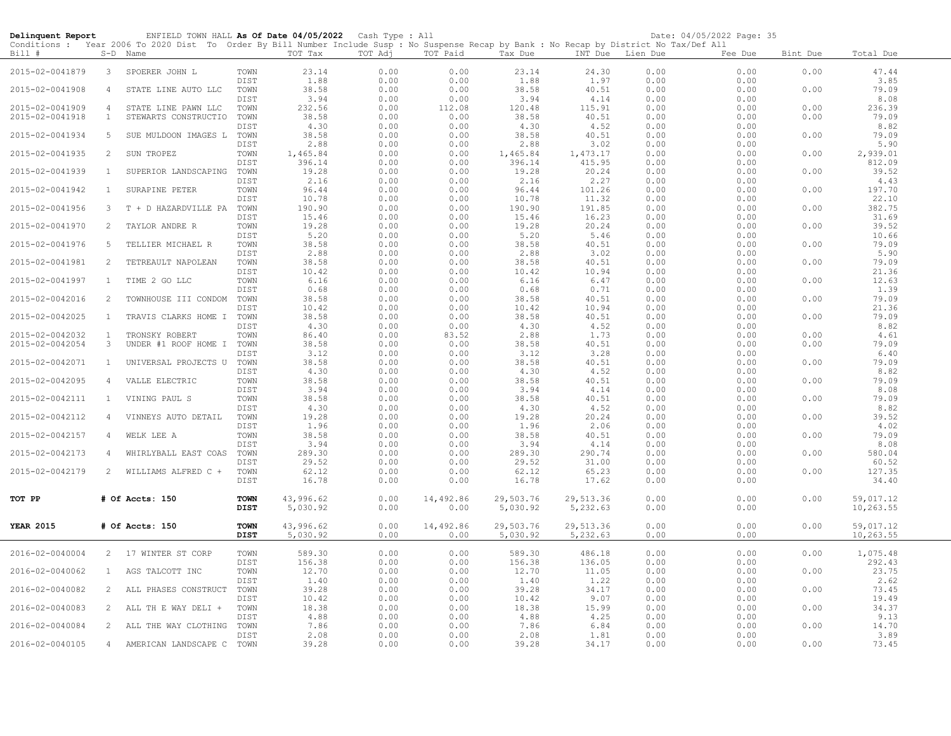| Delinquent Report |                | ENFIELD TOWN HALL As Of Date 04/05/2022 Cash Type : All<br>Conditions : Year 2006 To 2020 Dist To Order By Bill Number Include Susp : No Suspense Recap by Bank : No Recap by District No Tax/Def All |              |                |              |              |                       |                  |              | Date: 04/05/2022 Page: 35 |          |                 |  |
|-------------------|----------------|-------------------------------------------------------------------------------------------------------------------------------------------------------------------------------------------------------|--------------|----------------|--------------|--------------|-----------------------|------------------|--------------|---------------------------|----------|-----------------|--|
| Bill #            |                | S-D Name                                                                                                                                                                                              |              | TOT Tax        | TOT Adj      | TOT Paid     | Tax Due               | INT Due Lien Due |              | Fee Due                   | Bint Due | Total Due       |  |
| 2015-02-0041879   | $3 -$          | SPOERER JOHN L                                                                                                                                                                                        | TOWN         | 23.14          | 0.00         | 0.00         | 23.14                 | 24.30            | 0.00         | 0.00                      | 0.00     | 47.44           |  |
| 2015-02-0041908   | 4              | STATE LINE AUTO LLC                                                                                                                                                                                   | DIST<br>TOWN | 1.88<br>38.58  | 0.00<br>0.00 | 0.00<br>0.00 | 1.88<br>38.58         | 1.97<br>40.51    | 0.00<br>0.00 | 0.00<br>0.00              | 0.00     | 3.85<br>79.09   |  |
|                   |                |                                                                                                                                                                                                       | DIST         | 3.94           | 0.00         | 0.00         | 3.94                  | 4.14             | 0.00         | 0.00                      |          | 8.08            |  |
| 2015-02-0041909   | $\overline{4}$ | STATE LINE PAWN LLC                                                                                                                                                                                   | TOWN         | 232.56         | 0.00         | 112.08       | 120.48                | 115.91           | 0.00         | 0.00                      | 0.00     | 236.39          |  |
| 2015-02-0041918   | $\mathbf{1}$   | STEWARTS CONSTRUCTIO                                                                                                                                                                                  | TOWN<br>DIST | 38.58<br>4.30  | 0.00<br>0.00 | 0.00<br>0.00 | 38.58<br>4.30         | 40.51<br>4.52    | 0.00<br>0.00 | 0.00<br>0.00              | 0.00     | 79.09<br>8.82   |  |
| 2015-02-0041934   | 5              | SUE MULDOON IMAGES L                                                                                                                                                                                  | TOWN         | 38.58          | 0.00         | 0.00         | 38.58                 | 40.51            | 0.00         | 0.00                      | 0.00     | 79.09           |  |
|                   |                |                                                                                                                                                                                                       | DIST         | 2.88           | 0.00         | 0.00         | 2.88                  | 3.02             | 0.00         | 0.00                      |          | 5.90            |  |
| 2015-02-0041935   | 2              | SUN TROPEZ                                                                                                                                                                                            | TOWN         | 1,465.84       | 0.00         | 0.00         | 1,465.84              | 1,473.17         | 0.00         | 0.00                      | 0.00     | 2,939.01        |  |
|                   |                |                                                                                                                                                                                                       | DIST         | 396.14         | 0.00         | 0.00         | 396.14                | 415.95           | 0.00         | 0.00                      |          | 812.09          |  |
| 2015-02-0041939   | 1              | SUPERIOR LANDSCAPING                                                                                                                                                                                  | TOWN         | 19.28          | 0.00         | 0.00         | 19.28                 | 20.24            | 0.00         | 0.00                      | 0.00     | 39.52           |  |
|                   |                |                                                                                                                                                                                                       | DIST         | 2.16           | 0.00         | 0.00         | 2.16                  | 2.27             | 0.00         | 0.00                      |          | 4.43            |  |
| 2015-02-0041942   | $\mathbf{1}$   | SURAPINE PETER                                                                                                                                                                                        | TOWN<br>DIST | 96.44<br>10.78 | 0.00<br>0.00 | 0.00<br>0.00 | 96.44<br>10.78        | 101.26<br>11.32  | 0.00<br>0.00 | 0.00<br>0.00              | 0.00     | 197.70<br>22.10 |  |
| 2015-02-0041956   | 3              | T + D HAZARDVILLE PA                                                                                                                                                                                  | TOWN         | 190.90         | 0.00         | 0.00         | 190.90                | 191.85           | 0.00         | 0.00                      | 0.00     | 382.75          |  |
|                   |                |                                                                                                                                                                                                       | DIST         | 15.46          | 0.00         | 0.00         | 15.46                 | 16.23            | 0.00         | 0.00                      |          | 31.69           |  |
| 2015-02-0041970   | 2              | TAYLOR ANDRE R                                                                                                                                                                                        | TOWN         | 19.28          | 0.00         | 0.00         | 19.28                 | 20.24            | 0.00         | 0.00                      | 0.00     | 39.52           |  |
|                   |                |                                                                                                                                                                                                       | DIST         | 5.20           | 0.00         | 0.00         | 5.20                  | 5.46             | 0.00         | 0.00                      |          | 10.66           |  |
| 2015-02-0041976   | 5              | TELLIER MICHAEL R                                                                                                                                                                                     | TOWN         | 38.58          | 0.00         | 0.00         | 38.58                 | 40.51            | 0.00         | 0.00                      | 0.00     | 79.09           |  |
|                   |                |                                                                                                                                                                                                       | DIST         | 2.88           | 0.00         | 0.00         | 2.88                  | 3.02             | 0.00         | 0.00                      |          | 5.90            |  |
| 2015-02-0041981   | 2              | TETREAULT NAPOLEAN                                                                                                                                                                                    | TOWN         | 38.58          | 0.00         | 0.00         | 38.58                 | 40.51            | 0.00         | 0.00                      | 0.00     | 79.09           |  |
|                   |                |                                                                                                                                                                                                       | DIST         | 10.42          | 0.00         | 0.00         | 10.42                 | 10.94            | 0.00         | 0.00                      |          | 21.36           |  |
| 2015-02-0041997   | $\mathbf{1}$   | TIME 2 GO LLC                                                                                                                                                                                         | TOWN         | 6.16           | 0.00         | 0.00         | 6.16                  | 6.47             | 0.00         | 0.00                      | 0.00     | 12.63           |  |
|                   |                |                                                                                                                                                                                                       | DIST         | 0.68           | 0.00         | 0.00         | 0.68                  | 0.71             | 0.00         | 0.00                      |          | 1.39            |  |
| 2015-02-0042016   | 2              | TOWNHOUSE III CONDOM                                                                                                                                                                                  | TOWN         | 38.58          | 0.00         | 0.00         | 38.58                 | 40.51            | 0.00         | 0.00                      | 0.00     | 79.09           |  |
|                   |                |                                                                                                                                                                                                       | DIST         | 10.42          | 0.00         | 0.00         | 10.42                 | 10.94            | 0.00         | 0.00                      |          | 21.36           |  |
| 2015-02-0042025   | $\mathbf{1}$   | TRAVIS CLARKS HOME I                                                                                                                                                                                  | TOWN         | 38.58          | 0.00         | 0.00         | 38.58                 | 40.51            | 0.00         | 0.00                      | 0.00     | 79.09           |  |
|                   |                |                                                                                                                                                                                                       | DIST         | 4.30           | 0.00         | 0.00         | 4.30                  | 4.52             | 0.00         | 0.00                      |          | 8.82            |  |
| 2015-02-0042032   | 1              | TRONSKY ROBERT                                                                                                                                                                                        | TOWN         | 86.40          | 0.00         | 83.52        | 2.88                  | 1.73             | 0.00         | 0.00                      | 0.00     | 4.61            |  |
| 2015-02-0042054   | 3              | UNDER #1 ROOF HOME I                                                                                                                                                                                  | TOWN         | 38.58          | 0.00         | 0.00         | 38.58                 | 40.51            | 0.00         | 0.00                      | 0.00     | 79.09           |  |
| 2015-02-0042071   | $\mathbf{1}$   | UNIVERSAL PROJECTS U                                                                                                                                                                                  | DIST<br>TOWN | 3.12<br>38.58  | 0.00<br>0.00 | 0.00<br>0.00 | 3.12<br>38.58         | 3.28<br>40.51    | 0.00<br>0.00 | 0.00<br>0.00              | 0.00     | 6.40<br>79.09   |  |
|                   |                |                                                                                                                                                                                                       | DIST         | 4.30           | 0.00         | 0.00         | 4.30                  | 4.52             | 0.00         | 0.00                      |          | 8.82            |  |
| 2015-02-0042095   | $\overline{4}$ | VALLE ELECTRIC                                                                                                                                                                                        | TOWN         | 38.58          | 0.00         | 0.00         | 38.58                 | 40.51            | 0.00         | 0.00                      | 0.00     | 79.09           |  |
|                   |                |                                                                                                                                                                                                       | DIST         | 3.94           | 0.00         | 0.00         | 3.94                  | 4.14             | 0.00         | 0.00                      |          | 8.08            |  |
| 2015-02-0042111   | 1              | VINING PAUL S                                                                                                                                                                                         | TOWN         | 38.58          | 0.00         | 0.00         | 38.58                 | 40.51            | 0.00         | 0.00                      | 0.00     | 79.09           |  |
|                   |                |                                                                                                                                                                                                       | DIST         | 4.30           | 0.00         | 0.00         | 4.30                  | 4.52             | 0.00         | 0.00                      |          | 8.82            |  |
| 2015-02-0042112   | 4              | VINNEYS AUTO DETAIL                                                                                                                                                                                   | TOWN         | 19.28          | 0.00         | 0.00         | 19.28                 | 20.24            | 0.00         | 0.00                      | 0.00     | 39.52           |  |
|                   |                |                                                                                                                                                                                                       | DIST         | 1.96           | 0.00         | 0.00         | 1.96                  | 2.06             | 0.00         | 0.00                      |          | 4.02            |  |
| 2015-02-0042157   | 4              | WELK LEE A                                                                                                                                                                                            | TOWN         | 38.58          | 0.00         | 0.00         | 38.58                 | 40.51            | 0.00         | 0.00                      | 0.00     | 79.09           |  |
|                   |                |                                                                                                                                                                                                       | DIST         | 3.94           | 0.00         | 0.00         | 3.94                  | 4.14             | 0.00         | 0.00                      |          | 8.08            |  |
| 2015-02-0042173   | 4              | WHIRLYBALL EAST COAS                                                                                                                                                                                  | TOWN         | 289.30         | 0.00         | 0.00         | 289.30                | 290.74           | 0.00         | 0.00                      | 0.00     | 580.04          |  |
|                   |                |                                                                                                                                                                                                       | DIST         | 29.52          | 0.00         | 0.00         | 29.52                 | 31.00            | 0.00         | 0.00                      |          | 60.52           |  |
| 2015-02-0042179   | 2              | WILLIAMS ALFRED C +                                                                                                                                                                                   | TOWN         | 62.12          | 0.00         | 0.00         | 62.12                 | 65.23            | 0.00         | 0.00                      | 0.00     | 127.35          |  |
|                   |                |                                                                                                                                                                                                       | DIST         | 16.78          | 0.00         | 0.00         | 16.78                 | 17.62            | 0.00         | 0.00                      |          | 34.40           |  |
| TOT PP            |                |                                                                                                                                                                                                       | <b>TOWN</b>  | 43,996.62      | 0.00         | 14,492.86    |                       | 29,513.36        | 0.00         | 0.00                      | 0.00     | 59,017.12       |  |
|                   |                | # Of Accts: 150                                                                                                                                                                                       | <b>DIST</b>  | 5,030.92       | 0.00         | 0.00         | 29,503.76<br>5,030.92 | 5,232.63         | 0.00         | 0.00                      |          | 10,263.55       |  |
|                   |                |                                                                                                                                                                                                       |              |                |              |              |                       |                  |              |                           |          |                 |  |
| <b>YEAR 2015</b>  |                | # Of Accts: 150                                                                                                                                                                                       | <b>TOWN</b>  | 43,996.62      | 0.00         | 14,492.86    | 29,503.76             | 29,513.36        | 0.00         | 0.00                      | 0.00     | 59,017.12       |  |
|                   |                |                                                                                                                                                                                                       | <b>DIST</b>  | 5,030.92       | 0.00         | 0.00         | 5,030.92              | 5,232.63         | 0.00         | 0.00                      |          | 10,263.55       |  |
|                   |                |                                                                                                                                                                                                       |              |                |              |              |                       |                  |              |                           |          |                 |  |
| 2016-02-0040004   |                | 2 17 WINTER ST CORP                                                                                                                                                                                   | TOWN         | 589.30         | 0.00         | 0.00         | 589.30                | 486.18           | 0.00         | 0.00                      | 0.00     | 1,075.48        |  |
|                   |                |                                                                                                                                                                                                       | DIST         | 156.38         | 0.00         | 0.00         | 156.38                | 136.05           | 0.00         | 0.00                      |          | 292.43          |  |
| 2016-02-0040062   | 1              | AGS TALCOTT INC                                                                                                                                                                                       | TOWN         | 12.70          | 0.00         | 0.00         | 12.70                 | 11.05            | 0.00         | 0.00                      | 0.00     | 23.75           |  |
|                   |                |                                                                                                                                                                                                       | DIST         | 1.40           | 0.00         | 0.00         | 1.40                  | 1.22             | 0.00         | 0.00                      |          | 2.62            |  |
| 2016-02-0040082   | 2              | ALL PHASES CONSTRUCT                                                                                                                                                                                  | TOWN         | 39.28          | 0.00         | 0.00         | 39.28                 | 34.17            | 0.00         | 0.00                      | 0.00     | 73.45           |  |
|                   |                |                                                                                                                                                                                                       | DIST         | 10.42          | 0.00         | 0.00         | 10.42                 | 9.07             | 0.00         | 0.00                      |          | 19.49           |  |
| 2016-02-0040083   | 2              | ALL TH E WAY DELI +                                                                                                                                                                                   | TOWN         | 18.38          | 0.00         | 0.00         | 18.38                 | 15.99            | 0.00         | 0.00                      | 0.00     | 34.37           |  |
|                   |                |                                                                                                                                                                                                       | DIST         | 4.88           | 0.00         | 0.00         | 4.88                  | 4.25             | 0.00         | 0.00                      |          | 9.13            |  |
| 2016-02-0040084   | 2              | ALL THE WAY CLOTHING                                                                                                                                                                                  | TOWN<br>DIST | 7.86<br>2.08   | 0.00<br>0.00 | 0.00<br>0.00 | 7.86<br>2.08          | 6.84<br>1.81     | 0.00<br>0.00 | 0.00<br>0.00              | 0.00     | 14.70<br>3.89   |  |
| 2016-02-0040105   | $\overline{4}$ | AMERICAN LANDSCAPE C                                                                                                                                                                                  | TOWN         | 39.28          | 0.00         | 0.00         | 39.28                 | 34.17            | 0.00         | 0.00                      | 0.00     | 73.45           |  |
|                   |                |                                                                                                                                                                                                       |              |                |              |              |                       |                  |              |                           |          |                 |  |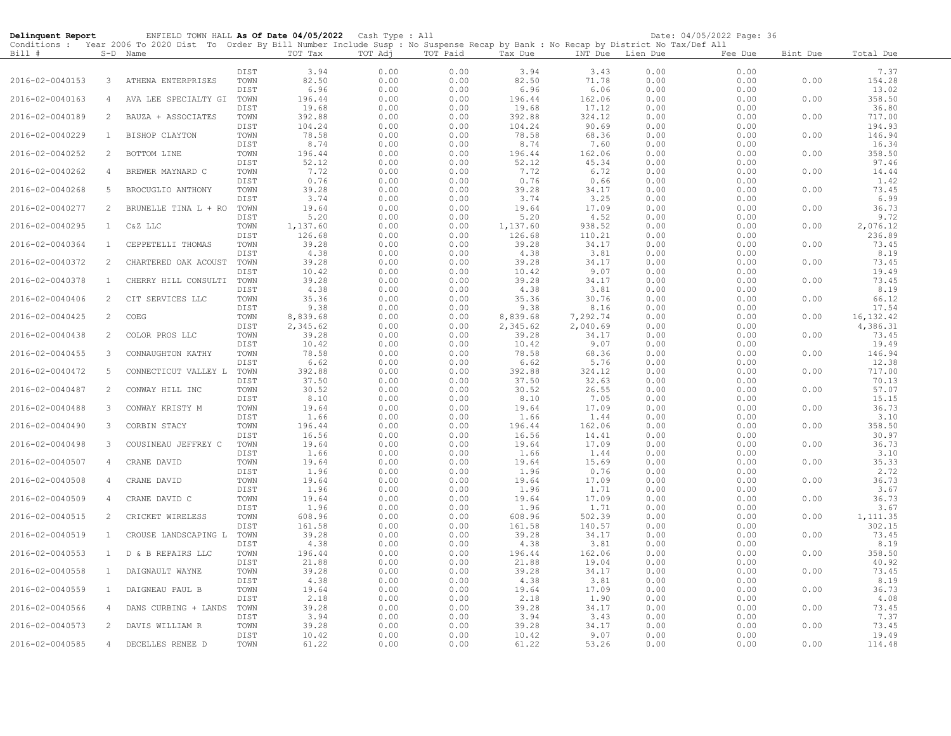| Delinquent Report |                 | ENFIELD TOWN HALL As Of Date 04/05/2022 Cash Type : All<br>Conditions : Year 2006 To 2020 Dist To Order By Bill Number Include Susp : No Suspense Recap by Bank : No Recap by District No Tax/Def All |              |                   |              |              |                   |                   |              | Date: 04/05/2022 Page: 36 |          |                   |
|-------------------|-----------------|-------------------------------------------------------------------------------------------------------------------------------------------------------------------------------------------------------|--------------|-------------------|--------------|--------------|-------------------|-------------------|--------------|---------------------------|----------|-------------------|
| Bill #            |                 | S-D Name                                                                                                                                                                                              |              | TOT Tax           | TOT Adj      | TOT Paid     | Tax Due           | INT Due Lien Due  |              | Fee Due                   | Bint Due | Total Due         |
|                   |                 |                                                                                                                                                                                                       | DIST         | 3.94              | 0.00         | 0.00         | 3.94              | 3.43              | 0.00         | 0.00                      |          | 7.37              |
| 2016-02-0040153   | 3               | ATHENA ENTERPRISES                                                                                                                                                                                    | TOWN         | 82.50             | 0.00         | 0.00         | 82.50             | 71.78             | 0.00         | 0.00                      | 0.00     | 154.28            |
|                   |                 |                                                                                                                                                                                                       | DIST         | 6.96              | 0.00         | 0.00         | 6.96              | 6.06              | 0.00         | 0.00                      |          | 13.02             |
| 2016-02-0040163   | $\overline{4}$  | AVA LEE SPECIALTY GI                                                                                                                                                                                  | TOWN         | 196.44            | 0.00         | 0.00         | 196.44            | 162.06            | 0.00         | 0.00                      | 0.00     | 358.50            |
| 2016-02-0040189   | 2               | BAUZA + ASSOCIATES                                                                                                                                                                                    | DIST<br>TOWN | 19.68<br>392.88   | 0.00<br>0.00 | 0.00         | 19.68             | 17.12<br>324.12   | 0.00         | 0.00                      |          | 36.80<br>717.00   |
|                   |                 |                                                                                                                                                                                                       | DIST         | 104.24            | 0.00         | 0.00<br>0.00 | 392.88<br>104.24  | 90.69             | 0.00<br>0.00 | 0.00<br>0.00              | 0.00     | 194.93            |
| 2016-02-0040229   | $\mathbf{1}$    | BISHOP CLAYTON                                                                                                                                                                                        | TOWN         | 78.58             | 0.00         | 0.00         | 78.58             | 68.36             | 0.00         | 0.00                      | 0.00     | 146.94            |
|                   |                 |                                                                                                                                                                                                       | DIST         | 8.74              | 0.00         | 0.00         | 8.74              | 7.60              | 0.00         | 0.00                      |          | 16.34             |
| 2016-02-0040252   | 2               | BOTTOM LINE                                                                                                                                                                                           | TOWN         | 196.44            | 0.00         | 0.00         | 196.44            | 162.06            | 0.00         | 0.00                      | 0.00     | 358.50            |
| 2016-02-0040262   | $\overline{4}$  | BREWER MAYNARD C                                                                                                                                                                                      | DIST<br>TOWN | 52.12<br>7.72     | 0.00         | 0.00<br>0.00 | 52.12<br>7.72     | 45.34<br>6.72     | 0.00         | 0.00<br>0.00              | 0.00     | 97.46<br>14.44    |
|                   |                 |                                                                                                                                                                                                       | DIST         | 0.76              | 0.00<br>0.00 | 0.00         | 0.76              | 0.66              | 0.00<br>0.00 | 0.00                      |          | 1.42              |
| 2016-02-0040268   | 5               | BROCUGLIO ANTHONY                                                                                                                                                                                     | TOWN         | 39.28             | 0.00         | 0.00         | 39.28             | 34.17             | 0.00         | 0.00                      | 0.00     | 73.45             |
|                   |                 |                                                                                                                                                                                                       | DIST         | 3.74              | 0.00         | 0.00         | 3.74              | 3.25              | 0.00         | 0.00                      |          | 6.99              |
| 2016-02-0040277   | 2               | BRUNELLE TINA L + RO                                                                                                                                                                                  | TOWN         | 19.64             | 0.00         | 0.00         | 19.64             | 17.09             | 0.00         | 0.00                      | 0.00     | 36.73             |
| 2016-02-0040295   |                 |                                                                                                                                                                                                       | DIST<br>TOWN | 5.20<br>1,137.60  | 0.00         | 0.00<br>0.00 | 5.20<br>1,137.60  | 4.52              | 0.00<br>0.00 | 0.00<br>0.00              | 0.00     | 9.72<br>2,076.12  |
|                   | $\mathbf{1}$    | C&Z LLC                                                                                                                                                                                               | DIST         | 126.68            | 0.00<br>0.00 | 0.00         | 126.68            | 938.52<br>110.21  | 0.00         | 0.00                      |          | 236.89            |
| 2016-02-0040364   | $\mathbf{1}$    | CEPPETELLI THOMAS                                                                                                                                                                                     | TOWN         | 39.28             | 0.00         | 0.00         | 39.28             | 34.17             | 0.00         | 0.00                      | 0.00     | 73.45             |
|                   |                 |                                                                                                                                                                                                       | DIST         | 4.38              | 0.00         | 0.00         | 4.38              | 3.81              | 0.00         | 0.00                      |          | 8.19              |
| 2016-02-0040372   | 2               | CHARTERED OAK ACOUST                                                                                                                                                                                  | TOWN         | 39.28             | 0.00         | 0.00         | 39.28             | 34.17             | 0.00         | 0.00                      | 0.00     | 73.45             |
| 2016-02-0040378   | $\mathbf{1}$    | CHERRY HILL CONSULTI                                                                                                                                                                                  | DIST<br>TOWN | 10.42<br>39.28    | 0.00<br>0.00 | 0.00<br>0.00 | 10.42<br>39.28    | 9.07<br>34.17     | 0.00<br>0.00 | 0.00<br>0.00              | 0.00     | 19.49<br>73.45    |
|                   |                 |                                                                                                                                                                                                       | DIST         | 4.38              | 0.00         | 0.00         | 4.38              | 3.81              | 0.00         | 0.00                      |          | 8.19              |
| 2016-02-0040406   | 2               | CIT SERVICES LLC                                                                                                                                                                                      | TOWN         | 35.36             | 0.00         | 0.00         | 35.36             | 30.76             | 0.00         | 0.00                      | 0.00     | 66.12             |
|                   |                 |                                                                                                                                                                                                       | DIST         | 9.38              | 0.00         | 0.00         | 9.38              | 8.16              | 0.00         | 0.00                      |          | 17.54             |
| 2016-02-0040425   | 2               | COEG                                                                                                                                                                                                  | TOWN         | 8,839.68          | 0.00         | 0.00         | 8,839.68          | 7,292.74          | 0.00         | 0.00                      | 0.00     | 16, 132.42        |
| 2016-02-0040438   | 2               | COLOR PROS LLC                                                                                                                                                                                        | DIST<br>TOWN | 2,345.62<br>39.28 | 0.00<br>0.00 | 0.00<br>0.00 | 2,345.62<br>39.28 | 2,040.69<br>34.17 | 0.00<br>0.00 | 0.00<br>0.00              | 0.00     | 4,386.31<br>73.45 |
|                   |                 |                                                                                                                                                                                                       | DIST         | 10.42             | 0.00         | 0.00         | 10.42             | 9.07              | 0.00         | 0.00                      |          | 19.49             |
| 2016-02-0040455   | 3               | CONNAUGHTON KATHY                                                                                                                                                                                     | TOWN         | 78.58             | 0.00         | 0.00         | 78.58             | 68.36             | 0.00         | 0.00                      | 0.00     | 146.94            |
|                   |                 |                                                                                                                                                                                                       | DIST         | 6.62              | 0.00         | 0.00         | 6.62              | 5.76              | 0.00         | 0.00                      |          | 12.38<br>717.00   |
| 2016-02-0040472   | $5\phantom{.0}$ | CONNECTICUT VALLEY L                                                                                                                                                                                  | TOWN<br>DIST | 392.88<br>37.50   | 0.00<br>0.00 | 0.00<br>0.00 | 392.88<br>37.50   | 324.12<br>32.63   | 0.00<br>0.00 | 0.00<br>0.00              | 0.00     | 70.13             |
| 2016-02-0040487   | 2               | CONWAY HILL INC                                                                                                                                                                                       | TOWN         | 30.52             | 0.00         | 0.00         | 30.52             | 26.55             | 0.00         | 0.00                      | 0.00     | 57.07             |
|                   |                 |                                                                                                                                                                                                       | DIST         | 8.10              | 0.00         | 0.00         | 8.10              | 7.05              | 0.00         | 0.00                      |          | 15.15             |
| 2016-02-0040488   | $\mathbf{3}$    | CONWAY KRISTY M                                                                                                                                                                                       | TOWN         | 19.64             | 0.00         | 0.00         | 19.64             | 17.09             | 0.00         | 0.00                      | 0.00     | 36.73             |
| 2016-02-0040490   | 3               | CORBIN STACY                                                                                                                                                                                          | DIST<br>TOWN | 1.66<br>196.44    | 0.00<br>0.00 | 0.00<br>0.00 | 1.66<br>196.44    | 1.44<br>162.06    | 0.00<br>0.00 | 0.00<br>0.00              | 0.00     | 3.10<br>358.50    |
|                   |                 |                                                                                                                                                                                                       | DIST         | 16.56             | 0.00         | 0.00         | 16.56             | 14.41             | 0.00         | 0.00                      |          | 30.97             |
| 2016-02-0040498   | 3               | COUSINEAU JEFFREY C                                                                                                                                                                                   | TOWN         | 19.64             | 0.00         | 0.00         | 19.64             | 17.09             | 0.00         | 0.00                      | 0.00     | 36.73             |
|                   |                 |                                                                                                                                                                                                       | DIST         | 1.66              | 0.00         | 0.00         | 1.66              | 1.44              | 0.00         | 0.00                      |          | 3.10              |
| 2016-02-0040507   | 4               | CRANE DAVID                                                                                                                                                                                           | TOWN<br>DIST | 19.64<br>1.96     | 0.00<br>0.00 | 0.00<br>0.00 | 19.64<br>1.96     | 15.69<br>0.76     | 0.00<br>0.00 | 0.00<br>0.00              | 0.00     | 35.33<br>2.72     |
| 2016-02-0040508   | $\overline{4}$  | CRANE DAVID                                                                                                                                                                                           | TOWN         | 19.64             | 0.00         | 0.00         | 19.64             | 17.09             | 0.00         | 0.00                      | 0.00     | 36.73             |
|                   |                 |                                                                                                                                                                                                       | DIST         | 1.96              | 0.00         | 0.00         | 1.96              | 1.71              | 0.00         | 0.00                      |          | 3.67              |
| 2016-02-0040509   | $\overline{4}$  | CRANE DAVID C                                                                                                                                                                                         | TOWN         | 19.64             | 0.00         | 0.00         | 19.64             | 17.09             | 0.00         | 0.00                      | 0.00     | 36.73             |
| 2016-02-0040515   | 2               | CRICKET WIRELESS                                                                                                                                                                                      | DIST<br>TOWN | 1.96              | 0.00<br>0.00 | 0.00<br>0.00 | 1.96              | 1.71<br>502.39    | 0.00<br>0.00 | 0.00<br>0.00              | 0.00     | 3.67<br>1,111.35  |
|                   |                 |                                                                                                                                                                                                       | DIST         | 608.96<br>161.58  | 0.00         | 0.00         | 608.96<br>161.58  | 140.57            | 0.00         | 0.00                      |          | 302.15            |
| 2016-02-0040519   | 1               | CROUSE LANDSCAPING L                                                                                                                                                                                  | TOWN         | 39.28             | 0.00         | 0.00         | 39.28             | 34.17             | 0.00         | 0.00                      | 0.00     | 73.45             |
|                   |                 |                                                                                                                                                                                                       | DIST         | 4.38              | 0.00         | 0.00         | 4.38              | 3.81              | 0.00         | 0.00                      |          | 8.19              |
| 2016-02-0040553   | $\mathbf{1}$    | D & B REPAIRS LLC                                                                                                                                                                                     | TOWN         | 196.44            | 0.00         | 0.00         | 196.44            | 162.06            | 0.00         | 0.00                      | 0.00     | 358.50            |
| 2016-02-0040558   | $\mathbf{1}$    | DAIGNAULT WAYNE                                                                                                                                                                                       | DIST<br>TOWN | 21.88<br>39.28    | 0.00<br>0.00 | 0.00<br>0.00 | 21.88<br>39.28    | 19.04<br>34.17    | 0.00<br>0.00 | 0.00<br>0.00              | 0.00     | 40.92<br>73.45    |
|                   |                 |                                                                                                                                                                                                       | DIST         | 4.38              | 0.00         | 0.00         | 4.38              | 3.81              | 0.00         | 0.00                      |          | 8.19              |
| 2016-02-0040559   | $\mathbf{1}$    | DAIGNEAU PAUL B                                                                                                                                                                                       | TOWN         | 19.64             | 0.00         | 0.00         | 19.64             | 17.09             | 0.00         | 0.00                      | 0.00     | 36.73             |
|                   |                 |                                                                                                                                                                                                       | DIST         | 2.18              | 0.00         | 0.00         | 2.18              | 1.90              | 0.00         | 0.00                      |          | 4.08              |
| 2016-02-0040566   | 4               | DANS CURBING + LANDS                                                                                                                                                                                  | TOWN<br>DIST | 39.28<br>3.94     | 0.00<br>0.00 | 0.00<br>0.00 | 39.28<br>3.94     | 34.17<br>3.43     | 0.00<br>0.00 | 0.00<br>0.00              | 0.00     | 73.45<br>7.37     |
| 2016-02-0040573   | 2               | DAVIS WILLIAM R                                                                                                                                                                                       | TOWN         | 39.28             | 0.00         | 0.00         | 39.28             | 34.17             | 0.00         | 0.00                      | 0.00     | 73.45             |
|                   |                 |                                                                                                                                                                                                       | DIST         | 10.42             | 0.00         | 0.00         | 10.42             | 9.07              | 0.00         | 0.00                      |          | 19.49             |
| 2016-02-0040585   | $\overline{4}$  | DECELLES RENEE D                                                                                                                                                                                      | TOWN         | 61.22             | 0.00         | 0.00         | 61.22             | 53.26             | 0.00         | 0.00                      | 0.00     | 114.48            |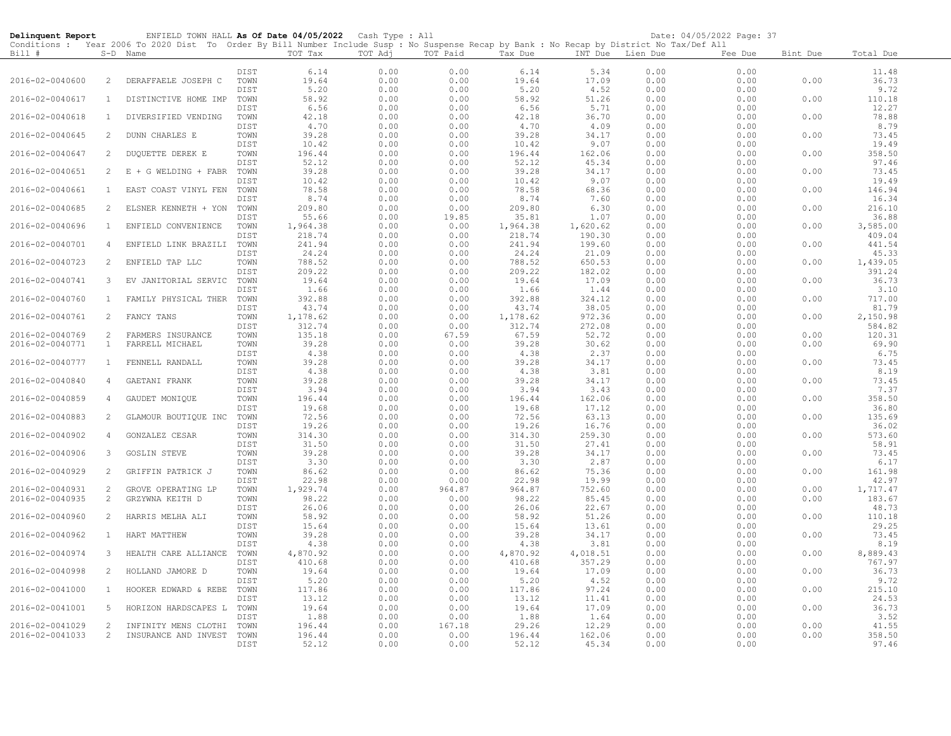| Delinquent Report |                   | ENFIELD TOWN HALL As Of Date 04/05/2022 Cash Type : All                                                                                    |              |                    |              |                |                   |                    |              | Date: 04/05/2022 Page: 37 |              |                   |
|-------------------|-------------------|--------------------------------------------------------------------------------------------------------------------------------------------|--------------|--------------------|--------------|----------------|-------------------|--------------------|--------------|---------------------------|--------------|-------------------|
|                   |                   | Conditions : Year 2006 To 2020 Dist To Order By Bill Number Include Susp : No Suspense Recap by Bank : No Recap by District No Tax/Def All |              | TOT Tax            | TOT Adj      | TOT Paid       |                   |                    |              |                           |              |                   |
| Bill #            |                   | S-D Name                                                                                                                                   |              |                    |              |                | Tax Due           | INT Due            | Lien Due     | Fee Due                   | Bint Due     | Total Due         |
|                   |                   |                                                                                                                                            | DIST         | 6.14               | 0.00         | 0.00           | 6.14              | 5.34               | 0.00         | 0.00                      |              | 11.48             |
| 2016-02-0040600   | 2                 | DERAFFAELE JOSEPH C                                                                                                                        | TOWN         | 19.64              | 0.00         | 0.00           | 19.64             | 17.09              | 0.00         | 0.00                      | 0.00         | 36.73             |
|                   |                   |                                                                                                                                            | DIST         | 5.20               | 0.00         | 0.00           | 5.20              | 4.52               | 0.00         | 0.00                      |              | 9.72              |
| 2016-02-0040617   | 1                 | DISTINCTIVE HOME IMP                                                                                                                       | TOWN<br>DIST | 58.92<br>6.56      | 0.00<br>0.00 | 0.00<br>0.00   | 58.92<br>6.56     | 51.26<br>5.71      | 0.00<br>0.00 | 0.00<br>0.00              | 0.00         | 110.18<br>12.27   |
| 2016-02-0040618   | $\mathbf{1}$      | DIVERSIFIED VENDING                                                                                                                        | TOWN         | 42.18              | 0.00         | 0.00           | 42.18             | 36.70              | 0.00         | 0.00                      | 0.00         | 78.88             |
|                   |                   |                                                                                                                                            | DIST         | 4.70               | 0.00         | 0.00           | 4.70              | 4.09               | 0.00         | 0.00                      |              | 8.79              |
| 2016-02-0040645   | 2                 | DUNN CHARLES E                                                                                                                             | TOWN         | 39.28              | 0.00         | 0.00           | 39.28             | 34.17              | 0.00         | 0.00                      | 0.00         | 73.45             |
|                   |                   |                                                                                                                                            | DIST         | 10.42              | 0.00         | 0.00           | 10.42             | 9.07               | 0.00         | 0.00                      |              | 19.49             |
| 2016-02-0040647   | 2                 | DUQUETTE DEREK E                                                                                                                           | TOWN         | 196.44             | 0.00         | 0.00           | 196.44            | 162.06             | 0.00         | 0.00                      | 0.00         | 358.50            |
| 2016-02-0040651   | 2                 | E<br>+ G WELDING + FABR                                                                                                                    | DIST<br>TOWN | 52.12<br>39.28     | 0.00<br>0.00 | 0.00<br>0.00   | 52.12<br>39.28    | 45.34<br>34.17     | 0.00<br>0.00 | 0.00<br>0.00              | 0.00         | 97.46<br>73.45    |
|                   |                   |                                                                                                                                            | DIST         | 10.42              | 0.00         | 0.00           | 10.42             | 9.07               | 0.00         | 0.00                      |              | 19.49             |
| 2016-02-0040661   | $\mathbf{1}$      | EAST COAST VINYL FEN                                                                                                                       | TOWN         | 78.58              | 0.00         | 0.00           | 78.58             | 68.36              | 0.00         | 0.00                      | 0.00         | 146.94            |
|                   |                   |                                                                                                                                            | DIST         | 8.74               | 0.00         | 0.00           | 8.74              | 7.60               | 0.00         | 0.00                      |              | 16.34             |
| 2016-02-0040685   | 2                 | ELSNER KENNETH + YON                                                                                                                       | TOWN         | 209.80             | 0.00         | 0.00           | 209.80            | 6.30               | 0.00         | 0.00                      | 0.00         | 216.10            |
| 2016-02-0040696   | $\mathbf{1}$      | ENFIELD CONVENIENCE                                                                                                                        | DIST<br>TOWN | 55.66              | 0.00         | 19.85          | 35.81<br>1,964.38 | 1.07               | 0.00<br>0.00 | 0.00<br>0.00              | 0.00         | 36.88<br>3,585.00 |
|                   |                   |                                                                                                                                            | DIST         | 1,964.38<br>218.74 | 0.00<br>0.00 | 0.00<br>0.00   | 218.74            | 1,620.62<br>190.30 | 0.00         | 0.00                      |              | 409.04            |
| 2016-02-0040701   | 4                 | ENFIELD LINK BRAZILI                                                                                                                       | TOWN         | 241.94             | 0.00         | 0.00           | 241.94            | 199.60             | 0.00         | 0.00                      | 0.00         | 441.54            |
|                   |                   |                                                                                                                                            | DIST         | 24.24              | 0.00         | 0.00           | 24.24             | 21.09              | 0.00         | 0.00                      |              | 45.33             |
| 2016-02-0040723   | 2                 | ENFIELD TAP LLC                                                                                                                            | TOWN         | 788.52             | 0.00         | 0.00           | 788.52            | 650.53             | 0.00         | 0.00                      | 0.00         | 1,439.05          |
|                   |                   |                                                                                                                                            | DIST         | 209.22<br>19.64    | 0.00         | 0.00           | 209.22            | 182.02<br>17.09    | 0.00         | 0.00                      |              | 391.24            |
| 2016-02-0040741   | 3                 | EV JANITORIAL SERVIC                                                                                                                       | TOWN<br>DIST | 1.66               | 0.00<br>0.00 | 0.00<br>0.00   | 19.64<br>1.66     | 1.44               | 0.00<br>0.00 | 0.00<br>0.00              | 0.00         | 36.73<br>3.10     |
| 2016-02-0040760   | $\mathbf{1}$      | FAMILY PHYSICAL THER                                                                                                                       | TOWN         | 392.88             | 0.00         | 0.00           | 392.88            | 324.12             | 0.00         | 0.00                      | 0.00         | 717.00            |
|                   |                   |                                                                                                                                            | DIST         | 43.74              | 0.00         | 0.00           | 43.74             | 38.05              | 0.00         | 0.00                      |              | 81.79             |
| 2016-02-0040761   | 2                 | FANCY TANS                                                                                                                                 | TOWN         | 1,178.62           | 0.00         | 0.00           | 1,178.62          | 972.36             | 0.00         | 0.00                      | 0.00         | 2,150.98          |
|                   |                   |                                                                                                                                            | DIST         | 312.74             | 0.00         | 0.00           | 312.74            | 272.08             | 0.00         | 0.00                      |              | 584.82            |
| 2016-02-0040769   | 2<br>$\mathbf{1}$ | FARMERS INSURANCE<br>FARRELL MICHAEL                                                                                                       | TOWN         | 135.18<br>39.28    | 0.00         | 67.59          | 67.59<br>39.28    | 52.72<br>30.62     | 0.00<br>0.00 | 0.00                      | 0.00<br>0.00 | 120.31<br>69.90   |
| 2016-02-0040771   |                   |                                                                                                                                            | TOWN<br>DIST | 4.38               | 0.00<br>0.00 | 0.00<br>0.00   | 4.38              | 2.37               | 0.00         | 0.00<br>0.00              |              | 6.75              |
| 2016-02-0040777   | $\mathbf{1}$      | FENNELL RANDALL                                                                                                                            | TOWN         | 39.28              | 0.00         | 0.00           | 39.28             | 34.17              | 0.00         | 0.00                      | 0.00         | 73.45             |
|                   |                   |                                                                                                                                            | DIST         | 4.38               | 0.00         | 0.00           | 4.38              | 3.81               | 0.00         | 0.00                      |              | 8.19              |
| 2016-02-0040840   | $\overline{4}$    | GAETANI FRANK                                                                                                                              | TOWN         | 39.28              | 0.00         | 0.00           | 39.28             | 34.17              | 0.00         | 0.00                      | 0.00         | 73.45             |
|                   |                   |                                                                                                                                            | DIST         | 3.94               | 0.00         | 0.00           | 3.94              | 3.43               | 0.00         | 0.00                      |              | 7.37              |
| 2016-02-0040859   | 4                 | GAUDET MONIQUE                                                                                                                             | TOWN<br>DIST | 196.44<br>19.68    | 0.00<br>0.00 | 0.00<br>0.00   | 196.44<br>19.68   | 162.06<br>17.12    | 0.00<br>0.00 | 0.00<br>0.00              | 0.00         | 358.50<br>36.80   |
| 2016-02-0040883   | 2                 | GLAMOUR BOUTIQUE INC                                                                                                                       | TOWN         | 72.56              | 0.00         | 0.00           | 72.56             | 63.13              | 0.00         | 0.00                      | 0.00         | 135.69            |
|                   |                   |                                                                                                                                            | DIST         | 19.26              | 0.00         | 0.00           | 19.26             | 16.76              | 0.00         | 0.00                      |              | 36.02             |
| 2016-02-0040902   | 4                 | GONZALEZ CESAR                                                                                                                             | TOWN         | 314.30             | 0.00         | 0.00           | 314.30            | 259.30             | 0.00         | 0.00                      | 0.00         | 573.60            |
|                   |                   |                                                                                                                                            | DIST         | 31.50              | 0.00         | 0.00           | 31.50             | 27.41              | 0.00         | 0.00                      |              | 58.91             |
| 2016-02-0040906   | 3                 | <b>GOSLIN STEVE</b>                                                                                                                        | TOWN<br>DIST | 39.28<br>3.30      | 0.00<br>0.00 | 0.00<br>0.00   | 39.28<br>3.30     | 34.17<br>2.87      | 0.00<br>0.00 | 0.00<br>0.00              | 0.00         | 73.45<br>6.17     |
| 2016-02-0040929   | 2                 | GRIFFIN PATRICK J                                                                                                                          | TOWN         | 86.62              | 0.00         | 0.00           | 86.62             | 75.36              | 0.00         | 0.00                      | 0.00         | 161.98            |
|                   |                   |                                                                                                                                            | DIST         | 22.98              | 0.00         | 0.00           | 22.98             | 19.99              | 0.00         | 0.00                      |              | 42.97             |
| 2016-02-0040931   | 2                 | GROVE OPERATING LP                                                                                                                         | TOWN         | 1,929.74           | 0.00         | 964.87         | 964.87            | 752.60             | 0.00         | 0.00                      | 0.00         | 1,717.47          |
| 2016-02-0040935   | 2                 | GRZYWNA KEITH D                                                                                                                            | TOWN         | 98.22              | 0.00         | 0.00           | 98.22             | 85.45              | 0.00         | 0.00                      | 0.00         | 183.67            |
| 2016-02-0040960   | 2                 | HARRIS MELHA ALI                                                                                                                           | DIST<br>TOWN | 26.06<br>58.92     | 0.00<br>0.00 | 0.00<br>0.00   | 26.06<br>58.92    | 22.67<br>51.26     | 0.00<br>0.00 | 0.00<br>0.00              | 0.00         | 48.73<br>110.18   |
|                   |                   |                                                                                                                                            | DIST         | 15.64              | 0.00         | 0.00           | 15.64             | 13.61              | 0.00         | 0.00                      |              | 29.25             |
| 2016-02-0040962   | $\mathbf{1}$      | HART MATTHEW                                                                                                                               | TOWN         | 39.28              | 0.00         | 0.00           | 39.28             | 34.17              | 0.00         | 0.00                      | 0.00         | 73.45             |
|                   |                   |                                                                                                                                            | DIST         | 4.38               | 0.00         | 0.00           | 4.38              | 3.81               | 0.00         | 0.00                      |              | 8.19              |
| 2016-02-0040974   | 3                 | HEALTH CARE ALLIANCE                                                                                                                       | TOWN         | 4,870.92           | 0.00         | 0.00           | 4,870.92          | 4,018.51           | 0.00         | 0.00                      | 0.00         | 8,889.43          |
| 2016-02-0040998   | 2                 | HOLLAND JAMORE D                                                                                                                           | DIST<br>TOWN | 410.68<br>19.64    | 0.00<br>0.00 | 0.00<br>0.00   | 410.68<br>19.64   | 357.29<br>17.09    | 0.00<br>0.00 | 0.00<br>0.00              | 0.00         | 767.97<br>36.73   |
|                   |                   |                                                                                                                                            | DIST         | 5.20               | 0.00         | 0.00           | 5.20              | 4.52               | 0.00         | 0.00                      |              | 9.72              |
| 2016-02-0041000   | 1                 | HOOKER EDWARD & REBE                                                                                                                       | TOWN         | 117.86             | 0.00         | 0.00           | 117.86            | 97.24              | 0.00         | 0.00                      | 0.00         | 215.10            |
|                   |                   |                                                                                                                                            | DIST         | 13.12              | 0.00         | 0.00           | 13.12             | 11.41              | 0.00         | 0.00                      |              | 24.53             |
| 2016-02-0041001   | -5                | HORIZON HARDSCAPES L                                                                                                                       | TOWN         | 19.64              | 0.00         | 0.00           | 19.64             | 17.09              | 0.00         | 0.00                      | 0.00         | 36.73             |
| 2016-02-0041029   | 2                 | INFINITY MENS CLOTHI                                                                                                                       | DIST<br>TOWN | 1.88<br>196.44     | 0.00<br>0.00 | 0.00<br>167.18 | 1.88<br>29.26     | 1.64<br>12.29      | 0.00<br>0.00 | 0.00<br>0.00              | 0.00         | 3.52<br>41.55     |
| 2016-02-0041033   | 2                 | INSURANCE AND INVEST                                                                                                                       | TOWN         | 196.44             | 0.00         | 0.00           | 196.44            | 162.06             | 0.00         | 0.00                      | 0.00         | 358.50            |
|                   |                   |                                                                                                                                            | DIST         | 52.12              | 0.00         | 0.00           | 52.12             | 45.34              | 0.00         | 0.00                      |              | 97.46             |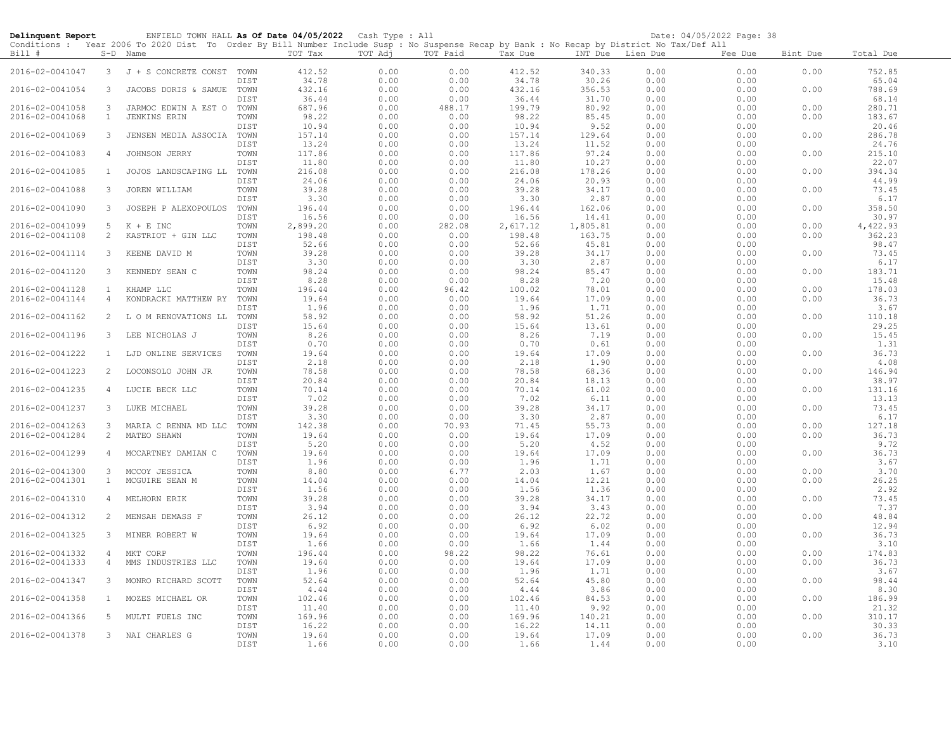| Delinquent Report |                | ENFIELD TOWN HALL As Of Date 04/05/2022 Cash Type : All                                                                                             |              |                 |              |              |                 |                  |              | Date: 04/05/2022 Page: 38 |          |                 |
|-------------------|----------------|-----------------------------------------------------------------------------------------------------------------------------------------------------|--------------|-----------------|--------------|--------------|-----------------|------------------|--------------|---------------------------|----------|-----------------|
| Bill #            |                | Conditions: Year 2006 To 2020 Dist To Order By Bill Number Include Susp: No Suspense Recap by Bank: No Recap by District No Tax/Def All<br>S-D Name |              | TOT Tax         | TOT Adj      | TOT Paid     | Tax Due         | INT Due Lien Due |              | Fee Due                   | Bint Due | Total Due       |
| 2016-02-0041047   |                | 3 J + S CONCRETE CONST                                                                                                                              | TOWN<br>DIST | 412.52          | 0.00<br>0.00 | 0.00<br>0.00 | 412.52<br>34.78 | 340.33<br>30.26  | 0.00<br>0.00 | 0.00<br>0.00              | 0.00     | 752.85<br>65.04 |
| 2016-02-0041054   | 3              | JACOBS DORIS & SAMUE                                                                                                                                | TOWN         | 34.78<br>432.16 | 0.00         | 0.00         | 432.16          | 356.53           | 0.00         | 0.00                      | 0.00     | 788.69          |
|                   |                |                                                                                                                                                     | DIST         | 36.44           | 0.00         | 0.00         | 36.44           | 31.70            | 0.00         | 0.00                      |          | 68.14           |
| 2016-02-0041058   | $\mathbf{3}$   | JARMOC EDWIN A EST O                                                                                                                                | TOWN         | 687.96          | 0.00         | 488.17       | 199.79          | 80.92            | 0.00         | 0.00                      | 0.00     | 280.71          |
| 2016-02-0041068   | $\mathbf{1}$   | <b>JENKINS ERIN</b>                                                                                                                                 | TOWN         | 98.22           | 0.00         | 0.00         | 98.22           | 85.45            | 0.00         | 0.00                      | 0.00     | 183.67          |
|                   |                |                                                                                                                                                     | DIST         | 10.94           | 0.00         | 0.00         | 10.94           | 9.52             | 0.00         | 0.00                      |          | 20.46           |
| 2016-02-0041069   | $\mathbf{3}$   | JENSEN MEDIA ASSOCIA                                                                                                                                | TOWN         | 157.14          | 0.00         | 0.00         | 157.14          | 129.64           | 0.00         | 0.00                      | 0.00     | 286.78          |
|                   |                |                                                                                                                                                     | DIST         | 13.24           | 0.00         | 0.00         | 13.24           | 11.52            | 0.00         | 0.00                      |          | 24.76           |
| 2016-02-0041083   | $\overline{4}$ | JOHNSON JERRY                                                                                                                                       | TOWN<br>DIST | 117.86<br>11.80 | 0.00<br>0.00 | 0.00<br>0.00 | 117.86<br>11.80 | 97.24<br>10.27   | 0.00<br>0.00 | 0.00<br>0.00              | 0.00     | 215.10<br>22.07 |
| 2016-02-0041085   | $\mathbf{1}$   | JOJOS LANDSCAPING LL                                                                                                                                | TOWN         | 216.08          | 0.00         | 0.00         | 216.08          | 178.26           | 0.00         | 0.00                      | 0.00     | 394.34          |
|                   |                |                                                                                                                                                     | DIST         | 24.06           | 0.00         | 0.00         | 24.06           | 20.93            | 0.00         | 0.00                      |          | 44.99           |
| 2016-02-0041088   | 3              | JOREN WILLIAM                                                                                                                                       | TOWN         | 39.28           | 0.00         | 0.00         | 39.28           | 34.17            | 0.00         | 0.00                      | 0.00     | 73.45           |
|                   |                |                                                                                                                                                     | DIST         | 3.30            | 0.00         | 0.00         | 3.30            | 2.87             | 0.00         | 0.00                      |          | 6.17            |
| 2016-02-0041090   | 3              | JOSEPH P ALEXOPOULOS                                                                                                                                | TOWN         | 196.44          | 0.00         | 0.00         | 196.44          | 162.06           | 0.00         | 0.00                      | 0.00     | 358.50          |
|                   |                |                                                                                                                                                     | DIST         | 16.56           | 0.00         | 0.00         | 16.56           | 14.41            | 0.00         | 0.00                      |          | 30.97           |
| 2016-02-0041099   | 5              | $K + E$ INC                                                                                                                                         | TOWN         | 2,899.20        | 0.00         | 282.08       | 2,617.12        | 1,805.81         | 0.00         | 0.00                      | 0.00     | 4,422.93        |
| 2016-02-0041108   | 2              | KASTRIOT + GIN LLC                                                                                                                                  | TOWN         | 198.48          | 0.00         | 0.00         | 198.48          | 163.75           | 0.00         | 0.00                      | 0.00     | 362.23          |
|                   |                |                                                                                                                                                     | DIST         | 52.66           | 0.00         | 0.00         | 52.66           | 45.81            | 0.00         | 0.00                      |          | 98.47           |
| 2016-02-0041114   | 3              | KEENE DAVID M                                                                                                                                       | TOWN         | 39.28           | 0.00         | 0.00         | 39.28           | 34.17            | 0.00         | 0.00                      | 0.00     | 73.45           |
|                   |                |                                                                                                                                                     | DIST         | 3.30            | 0.00         | 0.00         | 3.30            | 2.87             | 0.00         | 0.00                      |          | 6.17            |
| 2016-02-0041120   | 3              | KENNEDY SEAN C                                                                                                                                      | TOWN         | 98.24           | 0.00         | 0.00         | 98.24           | 85.47            | 0.00         | 0.00                      | 0.00     | 183.71          |
|                   |                |                                                                                                                                                     | DIST         | 8.28            | 0.00         | 0.00         | 8.28            | 7.20             | 0.00         | 0.00                      |          | 15.48           |
| 2016-02-0041128   | $\mathbf{1}$   | KHAMP LLC                                                                                                                                           | TOWN         | 196.44          | 0.00         | 96.42        | 100.02          | 78.01            | 0.00         | 0.00                      | 0.00     | 178.03          |
| 2016-02-0041144   | $\overline{4}$ | KONDRACKI MATTHEW RY                                                                                                                                | TOWN         | 19.64           | 0.00         | 0.00         | 19.64           | 17.09            | 0.00         | 0.00                      | 0.00     | 36.73           |
|                   |                |                                                                                                                                                     | DIST         | 1.96            | 0.00         | 0.00         | 1.96            | 1.71             | 0.00         | 0.00                      |          | 3.67            |
| 2016-02-0041162   | 2              | L O M RENOVATIONS LL                                                                                                                                | TOWN         | 58.92           | 0.00         | 0.00         | 58.92           | 51.26            | 0.00         | 0.00                      | 0.00     | 110.18          |
|                   |                |                                                                                                                                                     | DIST         | 15.64           | 0.00         | 0.00         | 15.64           | 13.61            | 0.00         | 0.00                      |          | 29.25           |
| 2016-02-0041196   | 3              | LEE NICHOLAS J                                                                                                                                      | TOWN         | 8.26            | 0.00         | 0.00         | 8.26            | 7.19             | 0.00         | 0.00                      | 0.00     | 15.45           |
|                   |                |                                                                                                                                                     | DIST         | 0.70            | 0.00         | 0.00         | 0.70            | 0.61             | 0.00         | 0.00                      |          | 1.31            |
| 2016-02-0041222   | $\mathbf{1}$   | LJD ONLINE SERVICES                                                                                                                                 | TOWN         | 19.64           | 0.00         | 0.00         | 19.64           | 17.09            | 0.00         | 0.00                      | 0.00     | 36.73           |
|                   |                |                                                                                                                                                     | DIST         | 2.18            | 0.00         | 0.00         | 2.18            | 1.90             | 0.00         | 0.00                      |          | 4.08            |
| 2016-02-0041223   | 2              | LOCONSOLO JOHN JR                                                                                                                                   | TOWN<br>DIST | 78.58           | 0.00         | 0.00         | 78.58<br>20.84  | 68.36            | 0.00<br>0.00 | 0.00                      | 0.00     | 146.94<br>38.97 |
| 2016-02-0041235   | 4              | LUCIE BECK LLC                                                                                                                                      | TOWN         | 20.84<br>70.14  | 0.00<br>0.00 | 0.00<br>0.00 | 70.14           | 18.13<br>61.02   | 0.00         | 0.00<br>0.00              | 0.00     | 131.16          |
|                   |                |                                                                                                                                                     | DIST         | 7.02            | 0.00         | 0.00         | 7.02            | 6.11             | 0.00         | 0.00                      |          | 13.13           |
| 2016-02-0041237   | 3              | LUKE MICHAEL                                                                                                                                        | TOWN         | 39.28           | 0.00         | 0.00         | 39.28           | 34.17            | 0.00         | 0.00                      | 0.00     | 73.45           |
|                   |                |                                                                                                                                                     | DIST         | 3.30            | 0.00         | 0.00         | 3.30            | 2.87             | 0.00         | 0.00                      |          | 6.17            |
| 2016-02-0041263   | 3              | MARIA C RENNA MD LLC                                                                                                                                | TOWN         | 142.38          | 0.00         | 70.93        | 71.45           | 55.73            | 0.00         | 0.00                      | 0.00     | 127.18          |
| 2016-02-0041284   | $\overline{c}$ | MATEO SHAWN                                                                                                                                         | TOWN         | 19.64           | 0.00         | 0.00         | 19.64           | 17.09            | 0.00         | 0.00                      | 0.00     | 36.73           |
|                   |                |                                                                                                                                                     | DIST         | 5.20            | 0.00         | 0.00         | 5.20            | 4.52             | 0.00         | 0.00                      |          | 9.72            |
| 2016-02-0041299   | $\overline{4}$ | MCCARTNEY DAMIAN C                                                                                                                                  | TOWN         | 19.64           | 0.00         | 0.00         | 19.64           | 17.09            | 0.00         | 0.00                      | 0.00     | 36.73           |
|                   |                |                                                                                                                                                     | DIST         | 1.96            | 0.00         | 0.00         | 1.96            | 1.71             | 0.00         | 0.00                      |          | 3.67            |
| 2016-02-0041300   | 3              | MCCOY JESSICA                                                                                                                                       | TOWN         | 8.80            | 0.00         | 6.77         | 2.03            | 1.67             | 0.00         | 0.00                      | 0.00     | 3.70            |
| 2016-02-0041301   | $\mathbf{1}$   | MCGUIRE SEAN M                                                                                                                                      | TOWN         | 14.04           | 0.00         | 0.00         | 14.04           | 12.21            | 0.00         | 0.00                      | 0.00     | 26.25           |
|                   |                |                                                                                                                                                     | DIST         | 1.56            | 0.00         | 0.00         | 1.56            | 1.36             | 0.00         | 0.00                      |          | 2.92            |
| 2016-02-0041310   | $\overline{4}$ | MELHORN ERIK                                                                                                                                        | TOWN         | 39.28           | 0.00         | 0.00         | 39.28           | 34.17            | 0.00         | 0.00                      | 0.00     | 73.45           |
|                   |                |                                                                                                                                                     | DIST         | 3.94            | 0.00         | 0.00         | 3.94            | 3.43             | 0.00         | 0.00                      |          | 7.37            |
| 2016-02-0041312   | 2              | MENSAH DEMASS F                                                                                                                                     | TOWN         | 26.12           | 0.00         | 0.00         | 26.12           | 22.72            | 0.00         | 0.00                      | 0.00     | 48.84           |
|                   |                |                                                                                                                                                     | DIST         | 6.92            | 0.00         | 0.00         | 6.92            | 6.02             | 0.00         | 0.00                      |          | 12.94           |
| 2016-02-0041325   | 3              | MINER ROBERT W                                                                                                                                      | TOWN         | 19.64           | 0.00         | 0.00         | 19.64           | 17.09            | 0.00         | 0.00                      | 0.00     | 36.73           |
|                   |                |                                                                                                                                                     | DIST         | 1.66            | 0.00         | 0.00         | 1.66            | 1.44             | 0.00         | 0.00                      |          | 3.10            |
| 2016-02-0041332   | 4              | MKT CORP                                                                                                                                            | TOWN         | 196.44          | 0.00         | 98.22        | 98.22           | 76.61            | 0.00         | 0.00                      | 0.00     | 174.83          |
| 2016-02-0041333   | 4              | MMS INDUSTRIES LLC                                                                                                                                  | TOWN<br>DIST | 19.64<br>1.96   | 0.00<br>0.00 | 0.00<br>0.00 | 19.64<br>1.96   | 17.09<br>1.71    | 0.00<br>0.00 | 0.00<br>0.00              | 0.00     | 36.73<br>3.67   |
|                   | 3              |                                                                                                                                                     |              |                 |              |              |                 |                  |              | 0.00                      | 0.00     |                 |
| 2016-02-0041347   |                | MONRO RICHARD SCOTT                                                                                                                                 | TOWN<br>DIST | 52.64<br>4.44   | 0.00<br>0.00 | 0.00<br>0.00 | 52.64<br>4.44   | 45.80<br>3.86    | 0.00<br>0.00 | 0.00                      |          | 98.44<br>8.30   |
| 2016-02-0041358   | $\mathbf{1}$   | MOZES MICHAEL OR                                                                                                                                    | TOWN         | 102.46          | 0.00         | 0.00         | 102.46          | 84.53            | 0.00         | 0.00                      | 0.00     | 186.99          |
|                   |                |                                                                                                                                                     | DIST         | 11.40           | 0.00         | 0.00         | 11.40           | 9.92             | 0.00         | 0.00                      |          | 21.32           |
| 2016-02-0041366   | 5              | MULTI FUELS INC                                                                                                                                     | TOWN         | 169.96          | 0.00         | 0.00         | 169.96          | 140.21           | 0.00         | 0.00                      | 0.00     | 310.17          |
|                   |                |                                                                                                                                                     | DIST         | 16.22           | 0.00         | 0.00         | 16.22           | 14.11            | 0.00         | 0.00                      |          | 30.33           |
| 2016-02-0041378   |                | 3 NAI CHARLES G                                                                                                                                     | TOWN         | 19.64           | 0.00         | 0.00         | 19.64           | 17.09            | 0.00         | 0.00                      | 0.00     | 36.73           |
|                   |                |                                                                                                                                                     | DIST         | 1.66            | 0.00         | 0.00         | 1.66            | 1.44             | 0.00         | 0.00                      |          | 3.10            |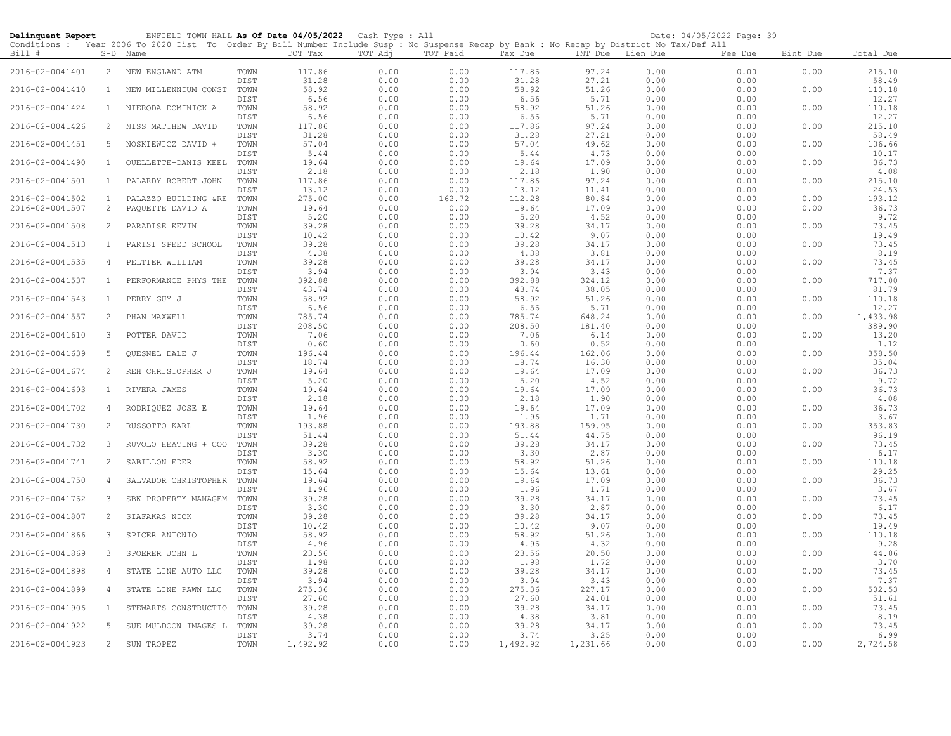| Delinquent Report |                | ENFIELD TOWN HALL As Of Date 04/05/2022 Cash Type : All                                                                                                |                      |                 |              |              |                 |                  |              | Date: 04/05/2022 Page: 39 |          |                 |
|-------------------|----------------|--------------------------------------------------------------------------------------------------------------------------------------------------------|----------------------|-----------------|--------------|--------------|-----------------|------------------|--------------|---------------------------|----------|-----------------|
| Bill #            |                | Conditions : Year 2006 To 2020 Dist To Order By Bill Number Include Susp : No Suspense Recap by Bank : No Recap by District No Tax/Def All<br>S-D Name |                      | TOT Tax         | TOT Adj      | TOT Paid     | Tax Due         | INT Due Lien Due |              | Fee Due                   | Bint Due | Total Due       |
| 2016-02-0041401   | $\overline{2}$ | NEW ENGLAND ATM                                                                                                                                        | TOWN<br>DIST         | 117.86<br>31.28 | 0.00<br>0.00 | 0.00<br>0.00 | 117.86<br>31.28 | 97.24<br>27.21   | 0.00<br>0.00 | 0.00<br>0.00              | 0.00     | 215.10<br>58.49 |
| 2016-02-0041410   | $\mathbf{1}$   | NEW MILLENNIUM CONST                                                                                                                                   | TOWN<br>DIST         | 58.92<br>6.56   | 0.00<br>0.00 | 0.00<br>0.00 | 58.92<br>6.56   | 51.26<br>5.71    | 0.00<br>0.00 | 0.00<br>0.00              | 0.00     | 110.18<br>12.27 |
| 2016-02-0041424   | $\mathbf{1}$   | NIERODA DOMINICK A                                                                                                                                     | TOWN<br>DIST         | 58.92<br>6.56   | 0.00<br>0.00 | 0.00<br>0.00 | 58.92<br>6.56   | 51.26<br>5.71    | 0.00<br>0.00 | 0.00<br>0.00              | 0.00     | 110.18<br>12.27 |
| 2016-02-0041426   | 2              | NISS MATTHEW DAVID                                                                                                                                     | TOWN<br>DIST         | 117.86<br>31.28 | 0.00<br>0.00 | 0.00<br>0.00 | 117.86<br>31.28 | 97.24<br>27.21   | 0.00<br>0.00 | 0.00<br>0.00              | 0.00     | 215.10<br>58.49 |
| 2016-02-0041451   | 5              | NOSKIEWICZ DAVID +                                                                                                                                     | TOWN                 | 57.04<br>5.44   | 0.00<br>0.00 | 0.00<br>0.00 | 57.04<br>5.44   | 49.62<br>4.73    | 0.00<br>0.00 | 0.00<br>0.00              | 0.00     | 106.66<br>10.17 |
| 2016-02-0041490   | $\mathbf{1}$   | OUELLETTE-DANIS KEEL                                                                                                                                   | DIST<br>TOWN<br>DIST | 19.64           | 0.00         | 0.00         | 19.64           | 17.09            | 0.00         | 0.00                      | 0.00     | 36.73           |
| 2016-02-0041501   | $\mathbf{1}$   | PALARDY ROBERT JOHN                                                                                                                                    | TOWN                 | 2.18<br>117.86  | 0.00<br>0.00 | 0.00<br>0.00 | 2.18<br>117.86  | 1.90<br>97.24    | 0.00<br>0.00 | 0.00<br>0.00              | 0.00     | 4.08<br>215.10  |
|                   | $\mathbf{1}$   |                                                                                                                                                        | DIST                 | 13.12           | 0.00         | 0.00         | 13.12           | 11.41            | 0.00         | 0.00                      |          | 24.53           |
| 2016-02-0041502   |                | PALAZZO BUILDING &RE                                                                                                                                   | TOWN                 | 275.00          | 0.00         | 162.72       | 112.28          | 80.84            | 0.00         | 0.00                      | 0.00     | 193.12          |
| 2016-02-0041507   | $\overline{2}$ | PAQUETTE DAVID A                                                                                                                                       | TOWN                 | 19.64           | 0.00         | 0.00         | 19.64           | 17.09            | 0.00         | 0.00                      | 0.00     | 36.73           |
|                   |                |                                                                                                                                                        | DIST                 | 5.20            | 0.00         | 0.00         | 5.20            | 4.52             | 0.00         | 0.00                      |          | 9.72            |
| 2016-02-0041508   | 2              | PARADISE KEVIN                                                                                                                                         | TOWN                 | 39.28           | 0.00         | 0.00         | 39.28           | 34.17            | 0.00         | 0.00                      | 0.00     | 73.45           |
|                   |                |                                                                                                                                                        | DIST                 | 10.42           | 0.00         | 0.00         | 10.42           | 9.07             | 0.00         | 0.00                      |          | 19.49           |
| 2016-02-0041513   | $\mathbf{1}$   | PARISI SPEED SCHOOL                                                                                                                                    | TOWN                 | 39.28           | 0.00         | 0.00         | 39.28           | 34.17            | 0.00         | 0.00                      | 0.00     | 73.45           |
|                   |                |                                                                                                                                                        | DIST                 | 4.38            | 0.00         | 0.00         | 4.38            | 3.81             | 0.00         | 0.00                      |          | 8.19            |
| 2016-02-0041535   | 4              | PELTIER WILLIAM                                                                                                                                        | TOWN                 | 39.28           | 0.00         | 0.00         | 39.28           | 34.17            | 0.00         | 0.00                      | 0.00     | 73.45           |
|                   |                |                                                                                                                                                        | DIST                 | 3.94            | 0.00         | 0.00         | 3.94            | 3.43             | 0.00         | 0.00                      |          | 7.37            |
| 2016-02-0041537   | 1              | PERFORMANCE PHYS THE                                                                                                                                   | TOWN                 | 392.88          | 0.00         | 0.00         | 392.88          | 324.12           | 0.00         | 0.00                      | 0.00     | 717.00          |
|                   |                |                                                                                                                                                        | DIST                 | 43.74           | 0.00         | 0.00         | 43.74           | 38.05            | 0.00         | 0.00                      |          | 81.79           |
| 2016-02-0041543   | 1              | PERRY GUY J                                                                                                                                            | TOWN                 | 58.92           | 0.00         | 0.00         | 58.92           | 51.26            | 0.00         | 0.00                      | 0.00     | 110.18          |
|                   |                |                                                                                                                                                        | DIST                 | 6.56            | 0.00         | 0.00         | 6.56            | 5.71             | 0.00         | 0.00                      |          | 12.27           |
|                   |                |                                                                                                                                                        |                      |                 |              |              |                 |                  |              |                           |          |                 |
| 2016-02-0041557   | 2              | PHAN MAXWELL                                                                                                                                           | TOWN                 | 785.74          | 0.00         | 0.00         | 785.74          | 648.24           | 0.00         | 0.00                      | 0.00     | 1,433.98        |
|                   |                |                                                                                                                                                        | DIST                 | 208.50          | 0.00         | 0.00         | 208.50          | 181.40           | 0.00         | 0.00                      |          | 389.90          |
| 2016-02-0041610   | 3              | POTTER DAVID                                                                                                                                           | TOWN                 | 7.06            | 0.00         | 0.00         | 7.06            | 6.14             | 0.00         | 0.00                      | 0.00     | 13.20           |
|                   |                |                                                                                                                                                        | DIST                 | 0.60            | 0.00         | 0.00         | 0.60            | 0.52             | 0.00         | 0.00                      |          | 1.12            |
| 2016-02-0041639   | 5              | <b>OUESNEL DALE J</b>                                                                                                                                  | TOWN                 | 196.44          | 0.00         | 0.00         | 196.44          | 162.06           | 0.00         | 0.00                      | 0.00     | 358.50          |
|                   |                |                                                                                                                                                        | DIST                 | 18.74           | 0.00         | 0.00         | 18.74           | 16.30            | 0.00         | 0.00                      |          | 35.04           |
| 2016-02-0041674   | $\overline{2}$ | REH CHRISTOPHER J                                                                                                                                      | TOWN                 | 19.64           | 0.00         | 0.00         | 19.64           | 17.09            | 0.00         | 0.00                      | 0.00     | 36.73           |
|                   |                |                                                                                                                                                        | DIST                 | 5.20            | 0.00         | 0.00         | 5.20            | 4.52             | 0.00         | 0.00                      |          | 9.72            |
| 2016-02-0041693   | $\mathbf{1}$   | RIVERA JAMES                                                                                                                                           | TOWN                 | 19.64           | 0.00         | 0.00         | 19.64           | 17.09            | 0.00         | 0.00                      | 0.00     | 36.73           |
|                   |                |                                                                                                                                                        | DIST                 | 2.18            | 0.00         | 0.00         | 2.18            | 1.90             | 0.00         | 0.00                      |          | 4.08            |
|                   |                |                                                                                                                                                        |                      |                 |              |              |                 |                  |              |                           |          |                 |
| 2016-02-0041702   | $\overline{4}$ | RODRIQUEZ JOSE E                                                                                                                                       | TOWN                 | 19.64           | 0.00         | 0.00         | 19.64           | 17.09            | 0.00         | 0.00                      | 0.00     | 36.73           |
|                   |                |                                                                                                                                                        | DIST                 | 1.96            | 0.00         | 0.00         | 1.96            | 1.71             | 0.00         | 0.00                      |          | 3.67            |
| 2016-02-0041730   | 2              | RUSSOTTO KARL                                                                                                                                          | TOWN                 | 193.88          | 0.00         | 0.00         | 193.88          | 159.95           | 0.00         | 0.00                      | 0.00     | 353.83          |
|                   |                |                                                                                                                                                        | DIST                 | 51.44           | 0.00         | 0.00         | 51.44           | 44.75            | 0.00         | 0.00                      |          | 96.19           |
| 2016-02-0041732   | $\mathbf{3}$   | RUVOLO HEATING + COO                                                                                                                                   | TOWN                 | 39.28           | 0.00         | 0.00         | 39.28           | 34.17            | 0.00         | 0.00                      | 0.00     | 73.45           |
|                   |                |                                                                                                                                                        | DIST                 | 3.30            | 0.00         | 0.00         | 3.30            | 2.87             | 0.00         | 0.00                      |          | 6.17            |
| 2016-02-0041741   | 2              | SABILLON EDER                                                                                                                                          | TOWN                 | 58.92           | 0.00         | 0.00         | 58.92           | 51.26            | 0.00         | 0.00                      | 0.00     | 110.18          |
|                   |                |                                                                                                                                                        | DIST                 | 15.64           | 0.00         | 0.00         | 15.64           | 13.61            | 0.00         | 0.00                      |          | 29.25           |
| 2016-02-0041750   | 4              | SALVADOR CHRISTOPHER                                                                                                                                   | TOWN                 | 19.64           | 0.00         | 0.00         | 19.64           | 17.09            | 0.00         | 0.00                      | 0.00     | 36.73           |
|                   |                |                                                                                                                                                        | DIST                 | 1.96            | 0.00         | 0.00         | 1.96            | 1.71             | 0.00         | 0.00                      |          | 3.67            |
| 2016-02-0041762   | 3              | SBK PROPERTY MANAGEM                                                                                                                                   | TOWN                 | 39.28           | 0.00         | 0.00         | 39.28           | 34.17            | 0.00         | 0.00                      | 0.00     | 73.45           |
|                   |                |                                                                                                                                                        | DIST                 | 3.30            | 0.00         | 0.00         | 3.30            | 2.87             | 0.00         | 0.00                      |          | 6.17            |
| 2016-02-0041807   | 2              | SIAFAKAS NICK                                                                                                                                          | TOWN                 | 39.28           | 0.00         | 0.00         | 39.28           | 34.17            | 0.00         | 0.00                      | 0.00     | 73.45           |
|                   |                |                                                                                                                                                        |                      |                 |              |              |                 |                  |              |                           |          | 19.49           |
|                   |                |                                                                                                                                                        | DIST                 | 10.42           | 0.00         | 0.00         | 10.42           | 9.07             | 0.00         | 0.00                      |          |                 |
| 2016-02-0041866   | 3              | SPICER ANTONIO                                                                                                                                         | TOWN                 | 58.92           | 0.00         | 0.00         | 58.92           | 51.26            | 0.00         | 0.00                      | 0.00     | 110.18          |
|                   |                |                                                                                                                                                        | DIST                 | 4.96            | 0.00         | 0.00         | 4.96            | 4.32             | 0.00         | 0.00                      |          | 9.28            |
| 2016-02-0041869   | 3              | SPOERER JOHN L                                                                                                                                         | TOWN                 | 23.56           | 0.00         | 0.00         | 23.56           | 20.50            | 0.00         | 0.00                      | 0.00     | 44.06           |
|                   |                |                                                                                                                                                        | DIST                 | 1.98            | 0.00         | 0.00         | 1.98            | 1.72             | 0.00         | 0.00                      |          | 3.70            |
| 2016-02-0041898   | $\overline{4}$ | STATE LINE AUTO LLC                                                                                                                                    | TOWN                 | 39.28           | 0.00         | 0.00         | 39.28           | 34.17            | 0.00         | 0.00                      | 0.00     | 73.45           |
|                   |                |                                                                                                                                                        | DIST                 | 3.94            | 0.00         | 0.00         | 3.94            | 3.43             | 0.00         | 0.00                      |          | 7.37            |
| 2016-02-0041899   | $\overline{4}$ | STATE LINE PAWN LLC                                                                                                                                    | TOWN                 | 275.36          | 0.00         | 0.00         | 275.36          | 227.17           | 0.00         | 0.00                      | 0.00     | 502.53          |
|                   |                |                                                                                                                                                        | DIST                 | 27.60           | 0.00         | 0.00         | 27.60           | 24.01            | 0.00         | 0.00                      |          | 51.61           |
| 2016-02-0041906   | <sup>1</sup>   | STEWARTS CONSTRUCTIO                                                                                                                                   | TOWN                 | 39.28           | 0.00         | 0.00         | 39.28           | 34.17            | 0.00         | 0.00                      | 0.00     | 73.45           |
|                   |                |                                                                                                                                                        | DIST                 | 4.38            | 0.00         | 0.00         | 4.38            | 3.81             | 0.00         | 0.00                      |          | 8.19            |
| 2016-02-0041922   | 5              |                                                                                                                                                        | TOWN                 | 39.28           | 0.00         | 0.00         | 39.28           | 34.17            | 0.00         | 0.00                      | 0.00     | 73.45           |
|                   |                | SUE MULDOON IMAGES L                                                                                                                                   |                      |                 |              |              |                 |                  |              |                           |          |                 |
|                   |                |                                                                                                                                                        | DIST                 | 3.74            | 0.00         | 0.00         | 3.74            | 3.25             | 0.00         | 0.00                      |          | 6.99            |
| 2016-02-0041923   | 2              | SUN TROPEZ                                                                                                                                             | TOWN                 | 1,492.92        | 0.00         | 0.00         | 1,492.92        | 1,231.66         | 0.00         | 0.00                      | 0.00     | 2,724.58        |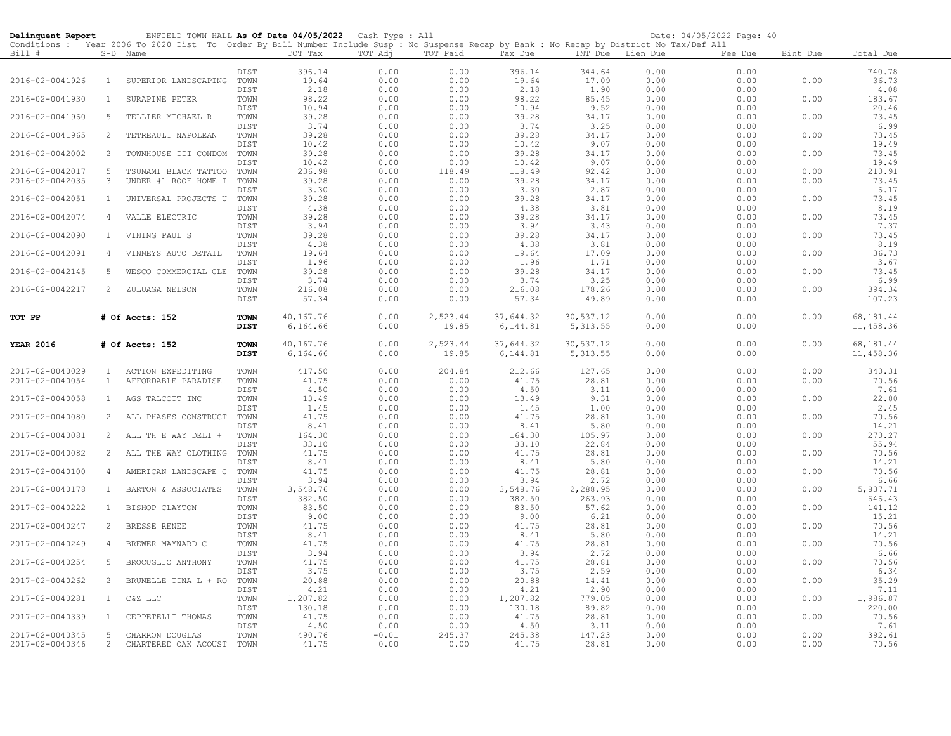| Delinquent Report |                | ENFIELD TOWN HALL As Of Date 04/05/2022 Cash Type : All                                                                                                |                            |                    |              |              |                    |                  |              | Date: 04/05/2022 Page: 40 |          |                    |
|-------------------|----------------|--------------------------------------------------------------------------------------------------------------------------------------------------------|----------------------------|--------------------|--------------|--------------|--------------------|------------------|--------------|---------------------------|----------|--------------------|
| Bill #            |                | Conditions : Year 2006 To 2020 Dist To Order By Bill Number Include Susp : No Suspense Recap by Bank : No Recap by District No Tax/Def All<br>S-D Name |                            | TOT Tax            | TOT Adj      | TOT Paid     | Tax Due            | INT Due Lien Due |              | Fee Due                   | Bint Due | Total Due          |
|                   |                |                                                                                                                                                        |                            |                    |              |              |                    |                  |              |                           |          |                    |
| 2016-02-0041926   | $\mathbf{1}$   | SUPERIOR LANDSCAPING                                                                                                                                   | DIST<br>TOWN               | 396.14<br>19.64    | 0.00<br>0.00 | 0.00<br>0.00 | 396.14<br>19.64    | 344.64<br>17.09  | 0.00<br>0.00 | 0.00<br>0.00              | 0.00     | 740.78<br>36.73    |
|                   |                |                                                                                                                                                        | DIST                       | 2.18               | 0.00         | 0.00         | 2.18               | 1.90             | 0.00         | 0.00                      |          | 4.08               |
| 2016-02-0041930   | $\mathbf{1}$   | SURAPINE PETER                                                                                                                                         | TOWN                       | 98.22              | 0.00         | 0.00         | 98.22              | 85.45            | 0.00         | 0.00                      | 0.00     | 183.67             |
|                   |                |                                                                                                                                                        | DIST                       | 10.94              | 0.00         | 0.00         | 10.94              | 9.52             | 0.00         | 0.00                      |          | 20.46              |
| 2016-02-0041960   | 5              | TELLIER MICHAEL R                                                                                                                                      | TOWN                       | 39.28              | 0.00         | 0.00         | 39.28              | 34.17            | 0.00         | 0.00                      | 0.00     | 73.45              |
|                   | 2              |                                                                                                                                                        | DIST                       | 3.74               | 0.00         | 0.00         | 3.74               | 3.25             | 0.00         | 0.00                      |          | 6.99               |
| 2016-02-0041965   |                | TETREAULT NAPOLEAN                                                                                                                                     | TOWN<br>DIST               | 39.28<br>10.42     | 0.00<br>0.00 | 0.00<br>0.00 | 39.28<br>10.42     | 34.17<br>9.07    | 0.00<br>0.00 | 0.00<br>0.00              | 0.00     | 73.45<br>19.49     |
| 2016-02-0042002   | 2              | TOWNHOUSE III CONDOM                                                                                                                                   | TOWN                       | 39.28              | 0.00         | 0.00         | 39.28              | 34.17            | 0.00         | 0.00                      | 0.00     | 73.45              |
|                   |                |                                                                                                                                                        | DIST                       | 10.42              | 0.00         | 0.00         | 10.42              | 9.07             | 0.00         | 0.00                      |          | 19.49              |
| 2016-02-0042017   | 5              | TSUNAMI BLACK TATTOO                                                                                                                                   | TOWN                       | 236.98             | 0.00         | 118.49       | 118.49             | 92.42            | 0.00         | 0.00                      | 0.00     | 210.91             |
| 2016-02-0042035   | 3              | UNDER #1 ROOF HOME I                                                                                                                                   | TOWN                       | 39.28              | 0.00         | 0.00         | 39.28              | 34.17            | 0.00         | 0.00                      | 0.00     | 73.45              |
| 2016-02-0042051   | $\mathbf{1}$   | UNIVERSAL PROJECTS U                                                                                                                                   | DIST<br>TOWN               | 3.30               | 0.00<br>0.00 | 0.00<br>0.00 | 3.30<br>39.28      | 2.87<br>34.17    | 0.00<br>0.00 | 0.00<br>0.00              | 0.00     | 6.17<br>73.45      |
|                   |                |                                                                                                                                                        | DIST                       | 39.28<br>4.38      | 0.00         | 0.00         | 4.38               | 3.81             | 0.00         | 0.00                      |          | 8.19               |
| 2016-02-0042074   | 4              | VALLE ELECTRIC                                                                                                                                         | TOWN                       | 39.28              | 0.00         | 0.00         | 39.28              | 34.17            | 0.00         | 0.00                      | 0.00     | 73.45              |
|                   |                |                                                                                                                                                        | DIST                       | 3.94               | 0.00         | 0.00         | 3.94               | 3.43             | 0.00         | 0.00                      |          | 7.37               |
| 2016-02-0042090   | $\mathbf{1}$   | VINING PAUL S                                                                                                                                          | TOWN                       | 39.28              | 0.00         | 0.00         | 39.28              | 34.17            | 0.00         | 0.00                      | 0.00     | 73.45              |
|                   |                |                                                                                                                                                        | DIST                       | 4.38               | 0.00         | 0.00         | 4.38               | 3.81             | 0.00         | 0.00                      |          | 8.19               |
| 2016-02-0042091   | $\overline{4}$ | VINNEYS AUTO DETAIL                                                                                                                                    | TOWN<br>DIST               | 19.64              | 0.00         | 0.00         | 19.64<br>1.96      | 17.09<br>1.71    | 0.00         | 0.00<br>0.00              | 0.00     | 36.73<br>3.67      |
| 2016-02-0042145   | 5              | WESCO COMMERCIAL CLE                                                                                                                                   | TOWN                       | 1.96<br>39.28      | 0.00<br>0.00 | 0.00<br>0.00 | 39.28              | 34.17            | 0.00<br>0.00 | 0.00                      | 0.00     | 73.45              |
|                   |                |                                                                                                                                                        | DIST                       | 3.74               | 0.00         | 0.00         | 3.74               | 3.25             | 0.00         | 0.00                      |          | 6.99               |
| 2016-02-0042217   | 2              | ZULUAGA NELSON                                                                                                                                         | TOWN                       | 216.08             | 0.00         | 0.00         | 216.08             | 178.26           | 0.00         | 0.00                      | 0.00     | 394.34             |
|                   |                |                                                                                                                                                        | DIST                       | 57.34              | 0.00         | 0.00         | 57.34              | 49.89            | 0.00         | 0.00                      |          | 107.23             |
|                   |                |                                                                                                                                                        |                            |                    |              |              |                    |                  |              |                           |          |                    |
| TOT PP            |                | # Of Accts: 152                                                                                                                                        | <b>TOWN</b><br><b>DIST</b> | 40,167.76          | 0.00         | 2,523.44     | 37,644.32          | 30,537.12        | 0.00         | 0.00                      | 0.00     | 68,181.44          |
|                   |                |                                                                                                                                                        |                            | 6,164.66           | 0.00         | 19.85        | 6,144.81           | 5, 313.55        | 0.00         | 0.00                      |          | 11,458.36          |
| <b>YEAR 2016</b>  |                | # Of Accts: 152                                                                                                                                        | <b>TOWN</b>                | 40,167.76          | 0.00         | 2,523.44     | 37,644.32          | 30,537.12        | 0.00         | 0.00                      | 0.00     | 68,181.44          |
|                   |                |                                                                                                                                                        | <b>DIST</b>                | 6,164.66           | 0.00         | 19.85        | 6,144.81           | 5, 313.55        | 0.00         | 0.00                      |          | 11,458.36          |
| 2017-02-0040029   | $\sim$         | ACTION EXPEDITING                                                                                                                                      | TOWN                       | 417.50             | 0.00         | 204.84       | 212.66             | 127.65           | 0.00         | 0.00                      | 0.00     | 340.31             |
| 2017-02-0040054   | $\mathbf{1}$   | AFFORDABLE PARADISE                                                                                                                                    | TOWN                       | 41.75              | 0.00         | 0.00         | 41.75              | 28.81            | 0.00         | 0.00                      | 0.00     | 70.56              |
|                   |                |                                                                                                                                                        | DIST                       | 4.50               | 0.00         | 0.00         | 4.50               | 3.11             | 0.00         | 0.00                      |          | 7.61               |
| 2017-02-0040058   | $\mathbf{1}$   | AGS TALCOTT INC                                                                                                                                        | TOWN                       | 13.49              | 0.00         | 0.00         | 13.49              | 9.31             | 0.00         | 0.00                      | 0.00     | 22.80              |
|                   |                |                                                                                                                                                        | DIST                       | 1.45               | 0.00         | 0.00         | 1.45               | 1.00             | 0.00         | 0.00                      |          | 2.45               |
| 2017-02-0040080   | $\overline{2}$ | ALL PHASES CONSTRUCT                                                                                                                                   | TOWN<br>DIST               | 41.75<br>8.41      | 0.00<br>0.00 | 0.00<br>0.00 | 41.75<br>8.41      | 28.81<br>5.80    | 0.00<br>0.00 | 0.00<br>0.00              | 0.00     | 70.56<br>14.21     |
| 2017-02-0040081   | 2              | ALL TH E WAY DELI +                                                                                                                                    | TOWN                       | 164.30             | 0.00         | 0.00         | 164.30             | 105.97           | 0.00         | 0.00                      | 0.00     | 270.27             |
|                   |                |                                                                                                                                                        | DIST                       | 33.10              | 0.00         | 0.00         | 33.10              | 22.84            | 0.00         | 0.00                      |          | 55.94              |
| 2017-02-0040082   | $\overline{2}$ | ALL THE WAY CLOTHING                                                                                                                                   | TOWN                       | 41.75              | 0.00         | 0.00         | 41.75              | 28.81            | 0.00         | 0.00                      | 0.00     | 70.56              |
|                   |                |                                                                                                                                                        | DIST                       | 8.41               | 0.00         | 0.00         | 8.41               | 5.80             | 0.00         | 0.00                      |          | 14.21              |
| 2017-02-0040100   | $\overline{4}$ | AMERICAN LANDSCAPE C                                                                                                                                   | TOWN<br>DIST               | 41.75<br>3.94      | 0.00<br>0.00 | 0.00<br>0.00 | 41.75<br>3.94      | 28.81<br>2.72    | 0.00<br>0.00 | 0.00<br>0.00              | 0.00     | 70.56<br>6.66      |
| 2017-02-0040178   | $\mathbf{1}$   | BARTON & ASSOCIATES                                                                                                                                    | TOWN                       | 3,548.76           | 0.00         | 0.00         | 3,548.76           | 2,288.95         | 0.00         | 0.00                      | 0.00     | 5,837.71           |
|                   |                |                                                                                                                                                        | DIST                       | 382.50             | 0.00         | 0.00         | 382.50             | 263.93           | 0.00         | 0.00                      |          | 646.43             |
| 2017-02-0040222   | $\mathbf{1}$   | BISHOP CLAYTON                                                                                                                                         | TOWN                       | 83.50              | 0.00         | 0.00         | 83.50              | 57.62            | 0.00         | 0.00                      | 0.00     | 141.12             |
|                   |                |                                                                                                                                                        | DIST                       | 9.00               | 0.00         | 0.00         | 9.00               | 6.21             | 0.00         | 0.00                      |          | 15.21              |
| 2017-02-0040247   | 2              | BRESSE RENEE                                                                                                                                           | TOWN                       | 41.75              | 0.00         | 0.00         | 41.75              | 28.81            | 0.00         | 0.00                      | 0.00     | 70.56              |
| 2017-02-0040249   | $\overline{4}$ | BREWER MAYNARD C                                                                                                                                       | DIST<br>TOWN               | 8.41<br>41.75      | 0.00<br>0.00 | 0.00<br>0.00 | 8.41<br>41.75      | 5.80<br>28.81    | 0.00<br>0.00 | 0.00<br>0.00              | 0.00     | 14.21<br>70.56     |
|                   |                |                                                                                                                                                        | DIST                       | 3.94               | 0.00         | 0.00         | 3.94               | 2.72             | 0.00         | 0.00                      |          | 6.66               |
| 2017-02-0040254   | 5              | BROCUGLIO ANTHONY                                                                                                                                      | TOWN                       | 41.75              | 0.00         | 0.00         | 41.75              | 28.81            | 0.00         | 0.00                      | 0.00     | 70.56              |
|                   |                |                                                                                                                                                        | DIST                       | 3.75               | 0.00         | 0.00         | 3.75               | 2.59             | 0.00         | 0.00                      |          | 6.34               |
| 2017-02-0040262   | $\overline{2}$ | BRUNELLE TINA L + RO                                                                                                                                   | TOWN                       | 20.88              | 0.00         | 0.00         | 20.88              | 14.41            | 0.00         | 0.00                      | 0.00     | 35.29              |
|                   |                |                                                                                                                                                        | DIST                       | 4.21               | 0.00         | 0.00         | 4.21               | 2.90             | 0.00         | 0.00                      |          | 7.11               |
| 2017-02-0040281   | $\mathbf{1}$   | C&Z LLC                                                                                                                                                | TOWN<br>DIST               | 1,207.82<br>130.18 | 0.00<br>0.00 | 0.00<br>0.00 | 1,207.82<br>130.18 | 779.05<br>89.82  | 0.00<br>0.00 | 0.00<br>0.00              | 0.00     | 1,986.87<br>220.00 |
| 2017-02-0040339   | $\mathbf{1}$   | CEPPETELLI THOMAS                                                                                                                                      | TOWN                       | 41.75              | 0.00         | 0.00         | 41.75              | 28.81            | 0.00         | 0.00                      | 0.00     | 70.56              |
|                   |                |                                                                                                                                                        | DIST                       | 4.50               | 0.00         | 0.00         | 4.50               | 3.11             | 0.00         | 0.00                      |          | 7.61               |
| 2017-02-0040345   | 5              | CHARRON DOUGLAS                                                                                                                                        | TOWN                       | 490.76             | $-0.01$      | 245.37       | 245.38             | 147.23           | 0.00         | 0.00                      | 0.00     | 392.61             |
| 2017-02-0040346   | 2              | CHARTERED OAK ACOUST                                                                                                                                   | TOWN                       | 41.75              | 0.00         | 0.00         | 41.75              | 28.81            | 0.00         | 0.00                      | 0.00     | 70.56              |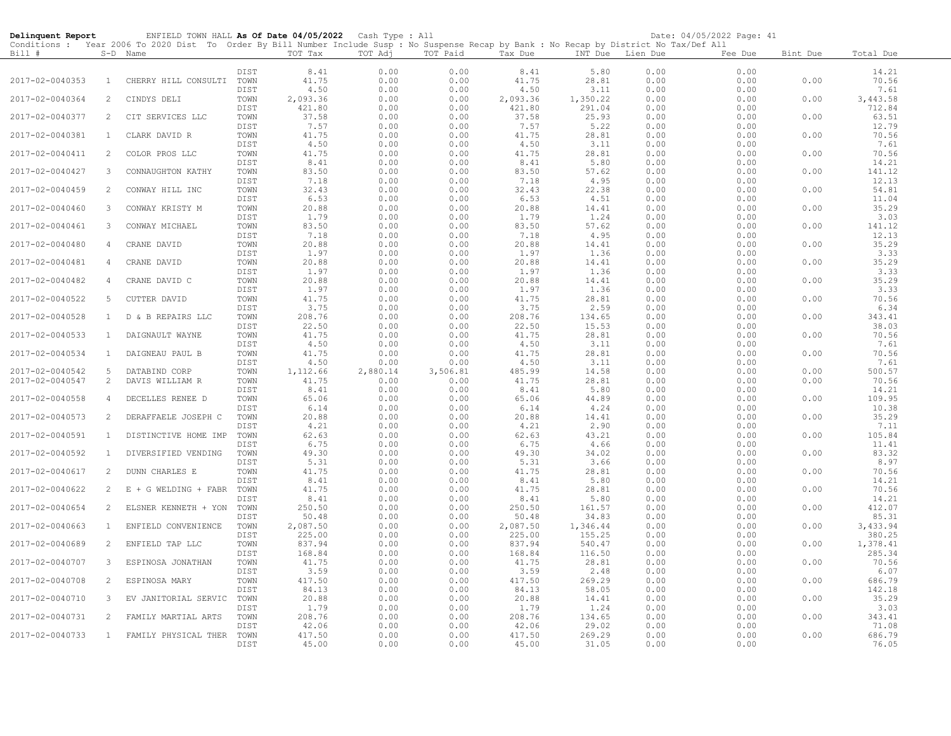| Delinquent Report |                | ENFIELD TOWN HALL As Of Date 04/05/2022 Cash Type : All                                                                                    |              |                |              |              |                |                |              | Date: 04/05/2022 Page: 41 |          |                 |
|-------------------|----------------|--------------------------------------------------------------------------------------------------------------------------------------------|--------------|----------------|--------------|--------------|----------------|----------------|--------------|---------------------------|----------|-----------------|
|                   |                | Conditions : Year 2006 To 2020 Dist To Order By Bill Number Include Susp : No Suspense Recap by Bank : No Recap by District No Tax/Def All |              |                |              |              |                |                |              |                           |          |                 |
| Bill #            |                | S-D Name                                                                                                                                   |              | TOT Tax        | TOT Adj      | TOT Paid     | Tax Due        | INT Due        | Lien Due     | Fee Due                   | Bint Due | Total Due       |
|                   |                |                                                                                                                                            | DIST         | 8.41           | 0.00         | 0.00         | 8.41           | 5.80           | 0.00         | 0.00                      |          | 14.21           |
| 2017-02-0040353   | $\mathbf{1}$   | CHERRY HILL CONSULTI                                                                                                                       | TOWN         | 41.75          | 0.00         | 0.00         | 41.75          | 28.81          | 0.00         | 0.00                      | 0.00     | 70.56           |
|                   |                |                                                                                                                                            | DIST         | 4.50           | 0.00         | 0.00         | 4.50           | 3.11           | 0.00         | 0.00                      |          | 7.61            |
| 2017-02-0040364   | 2              | CINDYS DELI                                                                                                                                | TOWN         | 2,093.36       | 0.00         | 0.00         | 2,093.36       | 1,350.22       | 0.00         | 0.00                      | 0.00     | 3,443.58        |
|                   |                |                                                                                                                                            | DIST         | 421.80         | 0.00         | 0.00         | 421.80         | 291.04         | 0.00         | 0.00                      |          | 712.84          |
| 2017-02-0040377   | 2              | CIT SERVICES LLC                                                                                                                           | TOWN         | 37.58          | 0.00         | 0.00         | 37.58          | 25.93          | 0.00         | 0.00                      | 0.00     | 63.51           |
|                   |                |                                                                                                                                            | DIST         | 7.57           | 0.00         | 0.00         | 7.57           | 5.22           | 0.00         | 0.00                      |          | 12.79           |
| 2017-02-0040381   | $\mathbf{1}$   | CLARK DAVID R                                                                                                                              | TOWN         | 41.75          | 0.00         | 0.00         | 41.75          | 28.81          | 0.00         | 0.00                      | 0.00     | 70.56           |
| 2017-02-0040411   | $\overline{2}$ |                                                                                                                                            | DIST         | 4.50<br>41.75  | 0.00<br>0.00 | 0.00<br>0.00 | 4.50<br>41.75  | 3.11<br>28.81  | 0.00<br>0.00 | 0.00<br>0.00              | 0.00     | 7.61<br>70.56   |
|                   |                | COLOR PROS LLC                                                                                                                             | TOWN<br>DIST | 8.41           | 0.00         | 0.00         | 8.41           | 5.80           | 0.00         | 0.00                      |          | 14.21           |
| 2017-02-0040427   | 3              | CONNAUGHTON KATHY                                                                                                                          | TOWN         | 83.50          | 0.00         | 0.00         | 83.50          | 57.62          | 0.00         | 0.00                      | 0.00     | 141.12          |
|                   |                |                                                                                                                                            | DIST         | 7.18           | 0.00         | 0.00         | 7.18           | 4.95           | 0.00         | 0.00                      |          | 12.13           |
| 2017-02-0040459   | $\overline{2}$ | CONWAY HILL INC                                                                                                                            | TOWN         | 32.43          | 0.00         | 0.00         | 32.43          | 22.38          | 0.00         | 0.00                      | 0.00     | 54.81           |
|                   |                |                                                                                                                                            | DIST         | 6.53           | 0.00         | 0.00         | 6.53           | 4.51           | 0.00         | 0.00                      |          | 11.04           |
| 2017-02-0040460   | 3              | CONWAY KRISTY M                                                                                                                            | TOWN         | 20.88          | 0.00         | 0.00         | 20.88          | 14.41          | 0.00         | 0.00                      | 0.00     | 35.29           |
|                   |                |                                                                                                                                            | DIST         | 1.79           | 0.00         | 0.00         | 1.79           | 1.24           | 0.00         | 0.00                      |          | 3.03            |
| 2017-02-0040461   | 3              | CONWAY MICHAEL                                                                                                                             | TOWN         | 83.50          | 0.00         | 0.00         | 83.50          | 57.62          | 0.00         | 0.00                      | 0.00     | 141.12          |
| 2017-02-0040480   | $\overline{4}$ | CRANE DAVID                                                                                                                                | DIST<br>TOWN | 7.18<br>20.88  | 0.00<br>0.00 | 0.00<br>0.00 | 7.18<br>20.88  | 4.95<br>14.41  | 0.00<br>0.00 | 0.00<br>0.00              | 0.00     | 12.13<br>35.29  |
|                   |                |                                                                                                                                            | DIST         | 1.97           | 0.00         | 0.00         | 1.97           | 1.36           | 0.00         | 0.00                      |          | 3.33            |
| 2017-02-0040481   | 4              | CRANE DAVID                                                                                                                                | TOWN         | 20.88          | 0.00         | 0.00         | 20.88          | 14.41          | 0.00         | 0.00                      | 0.00     | 35.29           |
|                   |                |                                                                                                                                            | DIST         | 1.97           | 0.00         | 0.00         | 1.97           | 1.36           | 0.00         | 0.00                      |          | 3.33            |
| 2017-02-0040482   | 4              | CRANE DAVID C                                                                                                                              | TOWN         | 20.88          | 0.00         | 0.00         | 20.88          | 14.41          | 0.00         | 0.00                      | 0.00     | 35.29           |
|                   |                |                                                                                                                                            | DIST         | 1.97           | 0.00         | 0.00         | 1.97           | 1.36           | 0.00         | 0.00                      |          | 3.33            |
| 2017-02-0040522   | 5              | CUTTER DAVID                                                                                                                               | TOWN         | 41.75          | 0.00         | 0.00         | 41.75          | 28.81          | 0.00         | 0.00                      | 0.00     | 70.56           |
|                   |                |                                                                                                                                            | DIST         | 3.75           | 0.00         | 0.00         | 3.75           | 2.59           | 0.00         | 0.00                      |          | 6.34            |
| 2017-02-0040528   | $\mathbf{1}$   | D & B REPAIRS LLC                                                                                                                          | TOWN         | 208.76         | 0.00         | 0.00         | 208.76         | 134.65         | 0.00         | 0.00                      | 0.00     | 343.41          |
| 2017-02-0040533   | 1              | DAIGNAULT WAYNE                                                                                                                            | DIST<br>TOWN | 22.50<br>41.75 | 0.00<br>0.00 | 0.00<br>0.00 | 22.50<br>41.75 | 15.53<br>28.81 | 0.00<br>0.00 | 0.00<br>0.00              | 0.00     | 38.03<br>70.56  |
|                   |                |                                                                                                                                            | DIST         | 4.50           | 0.00         | 0.00         | 4.50           | 3.11           | 0.00         | 0.00                      |          | 7.61            |
| 2017-02-0040534   | 1              | DAIGNEAU PAUL B                                                                                                                            | TOWN         | 41.75          | 0.00         | 0.00         | 41.75          | 28.81          | 0.00         | 0.00                      | 0.00     | 70.56           |
|                   |                |                                                                                                                                            | DIST         | 4.50           | 0.00         | 0.00         | 4.50           | 3.11           | 0.00         | 0.00                      |          | 7.61            |
| 2017-02-0040542   | 5              | DATABIND CORP                                                                                                                              | TOWN         | 1,112.66       | 2,880.14     | 3,506.81     | 485.99         | 14.58          | 0.00         | 0.00                      | 0.00     | 500.57          |
| 2017-02-0040547   | $\overline{c}$ | DAVIS WILLIAM R                                                                                                                            | TOWN         | 41.75          | 0.00         | 0.00         | 41.75          | 28.81          | 0.00         | 0.00                      | 0.00     | 70.56           |
|                   |                |                                                                                                                                            | DIST         | 8.41           | 0.00         | 0.00         | 8.41           | 5.80           | 0.00         | 0.00                      |          | 14.21           |
| 2017-02-0040558   | 4              | DECELLES RENEE D                                                                                                                           | TOWN         | 65.06          | 0.00         | 0.00         | 65.06          | 44.89          | 0.00         | 0.00                      | 0.00     | 109.95          |
|                   |                |                                                                                                                                            | DIST         | 6.14           | 0.00         | 0.00         | 6.14           | 4.24           | 0.00         | 0.00                      |          | 10.38<br>35.29  |
| 2017-02-0040573   | 2              | DERAFFAELE JOSEPH C                                                                                                                        | TOWN<br>DIST | 20.88<br>4.21  | 0.00<br>0.00 | 0.00<br>0.00 | 20.88<br>4.21  | 14.41<br>2.90  | 0.00<br>0.00 | 0.00<br>0.00              | 0.00     | 7.11            |
| 2017-02-0040591   | 1              | DISTINCTIVE HOME IMP                                                                                                                       | TOWN         | 62.63          | 0.00         | 0.00         | 62.63          | 43.21          | 0.00         | 0.00                      | 0.00     | 105.84          |
|                   |                |                                                                                                                                            | DIST         | 6.75           | 0.00         | 0.00         | 6.75           | 4.66           | 0.00         | 0.00                      |          | 11.41           |
| 2017-02-0040592   | $\mathbf{1}$   | DIVERSIFIED VENDING                                                                                                                        | TOWN         | 49.30          | 0.00         | 0.00         | 49.30          | 34.02          | 0.00         | 0.00                      | 0.00     | 83.32           |
|                   |                |                                                                                                                                            | DIST         | 5.31           | 0.00         | 0.00         | 5.31           | 3.66           | 0.00         | 0.00                      |          | 8.97            |
| 2017-02-0040617   | 2              | DUNN CHARLES E                                                                                                                             | TOWN         | 41.75          | 0.00         | 0.00         | 41.75          | 28.81          | 0.00         | 0.00                      | 0.00     | 70.56           |
|                   |                |                                                                                                                                            | DIST         | 8.41           | 0.00         | 0.00         | 8.41           | 5.80           | 0.00         | 0.00                      |          | 14.21           |
| 2017-02-0040622   | 2              | E + G WELDING + FABR TOWN                                                                                                                  |              | 41.75          | 0.00         | 0.00         | 41.75          | 28.81          | 0.00         | 0.00                      | 0.00     | 70.56           |
| 2017-02-0040654   | 2              | ELSNER KENNETH + YON                                                                                                                       | DIST<br>TOWN | 8.41<br>250.50 | 0.00<br>0.00 | 0.00<br>0.00 | 8.41<br>250.50 | 5.80<br>161.57 | 0.00<br>0.00 | 0.00<br>0.00              | 0.00     | 14.21<br>412.07 |
|                   |                |                                                                                                                                            | DIST         | 50.48          | 0.00         | 0.00         | 50.48          | 34.83          | 0.00         | 0.00                      |          | 85.31           |
| 2017-02-0040663   | $\mathbf{1}$   | ENFIELD CONVENIENCE                                                                                                                        | TOWN         | 2,087.50       | 0.00         | 0.00         | 2,087.50       | 1,346.44       | 0.00         | 0.00                      | 0.00     | 3,433.94        |
|                   |                |                                                                                                                                            | DIST         | 225.00         | 0.00         | 0.00         | 225.00         | 155.25         | 0.00         | 0.00                      |          | 380.25          |
| 2017-02-0040689   | 2              | ENFIELD TAP LLC                                                                                                                            | TOWN         | 837.94         | 0.00         | 0.00         | 837.94         | 540.47         | 0.00         | 0.00                      | 0.00     | 1,378.41        |
|                   |                |                                                                                                                                            | DIST         | 168.84         | 0.00         | 0.00         | 168.84         | 116.50         | 0.00         | 0.00                      |          | 285.34          |
| 2017-02-0040707   | 3              | ESPINOSA JONATHAN                                                                                                                          | TOWN         | 41.75          | 0.00         | 0.00         | 41.75          | 28.81          | 0.00         | 0.00                      | 0.00     | 70.56           |
|                   |                |                                                                                                                                            | DIST         | 3.59           | 0.00         | 0.00         | 3.59           | 2.48           | 0.00         | 0.00                      |          | 6.07            |
| 2017-02-0040708   | 2              | ESPINOSA MARY                                                                                                                              | TOWN         | 417.50         | 0.00         | 0.00         | 417.50         | 269.29         | 0.00         | 0.00                      | 0.00     | 686.79          |
| 2017-02-0040710   | 3              | EV JANITORIAL SERVIC                                                                                                                       | DIST<br>TOWN | 84.13<br>20.88 | 0.00<br>0.00 | 0.00<br>0.00 | 84.13<br>20.88 | 58.05<br>14.41 | 0.00<br>0.00 | 0.00<br>0.00              | 0.00     | 142.18<br>35.29 |
|                   |                |                                                                                                                                            | DIST         | 1.79           | 0.00         | 0.00         | 1.79           | 1.24           | 0.00         | 0.00                      |          | 3.03            |
| 2017-02-0040731   | 2              | FAMILY MARTIAL ARTS                                                                                                                        | TOWN         | 208.76         | 0.00         | 0.00         | 208.76         | 134.65         | 0.00         | 0.00                      | 0.00     | 343.41          |
|                   |                |                                                                                                                                            | DIST         | 42.06          | 0.00         | 0.00         | 42.06          | 29.02          | 0.00         | 0.00                      |          | 71.08           |
| 2017-02-0040733   | $\mathbf{1}$   | FAMILY PHYSICAL THER                                                                                                                       | TOWN         | 417.50         | 0.00         | 0.00         | 417.50         | 269.29         | 0.00         | 0.00                      | 0.00     | 686.79          |
|                   |                |                                                                                                                                            | DIST         | 45.00          | 0.00         | 0.00         | 45.00          | 31.05          | 0.00         | 0.00                      |          | 76.05           |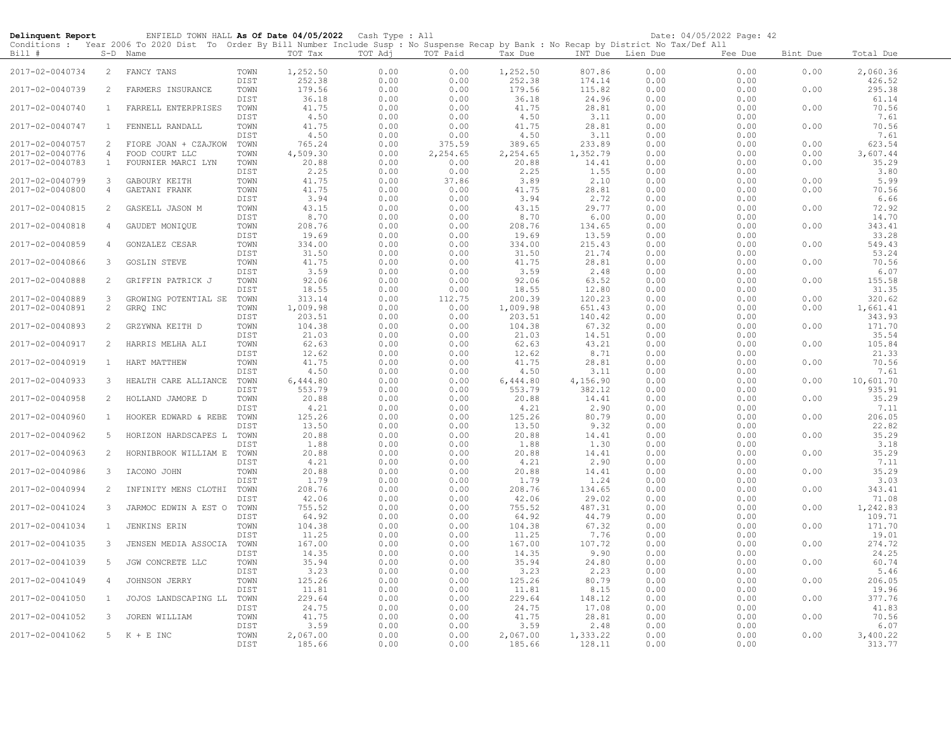| Delinquent Report |                       | ENFIELD TOWN HALL As Of Date 04/05/2022 Cash Type : All                                                                                                |              |                    |              |                |                    |                    |                  | Date: 04/05/2022 Page: 42 |          |                    |
|-------------------|-----------------------|--------------------------------------------------------------------------------------------------------------------------------------------------------|--------------|--------------------|--------------|----------------|--------------------|--------------------|------------------|---------------------------|----------|--------------------|
| Bill #            |                       | Conditions : Year 2006 To 2020 Dist To Order By Bill Number Include Susp : No Suspense Recap by Bank : No Recap by District No Tax/Def All<br>S-D Name |              | TOT Tax            | TOT Adj      | TOT Paid       | Tax Due            |                    | INT Due Lien Due | Fee Due                   | Bint Due | Total Due          |
| 2017-02-0040734   | $\overline{2}$        | FANCY TANS                                                                                                                                             | TOWN<br>DIST | 1,252.50<br>252.38 | 0.00<br>0.00 | 0.00<br>0.00   | 1,252.50<br>252.38 | 807.86<br>174.14   | 0.00<br>0.00     | 0.00<br>0.00              | 0.00     | 2,060.36<br>426.52 |
| 2017-02-0040739   | 2                     | FARMERS INSURANCE                                                                                                                                      | TOWN<br>DIST | 179.56<br>36.18    | 0.00<br>0.00 | 0.00<br>0.00   | 179.56<br>36.18    | 115.82<br>24.96    | 0.00<br>0.00     | 0.00<br>0.00              | 0.00     | 295.38<br>61.14    |
| 2017-02-0040740   | 1                     | FARRELL ENTERPRISES                                                                                                                                    | TOWN<br>DIST | 41.75<br>4.50      | 0.00<br>0.00 | 0.00           | 41.75              | 28.81              | 0.00<br>0.00     | 0.00<br>0.00              | 0.00     | 70.56<br>7.61      |
| 2017-02-0040747   | $\mathbf{1}$          | FENNELL RANDALL                                                                                                                                        | TOWN         | 41.75              | 0.00         | 0.00<br>0.00   | 4.50<br>41.75      | 3.11<br>28.81      | 0.00             | 0.00                      | 0.00     | 70.56              |
| 2017-02-0040757   | 2                     | FIORE JOAN + CZAJKOW                                                                                                                                   | DIST<br>TOWN | 4.50<br>765.24     | 0.00<br>0.00 | 0.00<br>375.59 | 4.50<br>389.65     | 3.11<br>233.89     | 0.00<br>0.00     | 0.00<br>0.00              | 0.00     | 7.61<br>623.54     |
| 2017-02-0040776   | $\overline{4}$        | FOOD COURT LLC                                                                                                                                         | TOWN         | 4,509.30           | 0.00         | 2,254.65       | 2,254.65           | 1,352.79           | 0.00             | 0.00                      | 0.00     | 3,607.44           |
| 2017-02-0040783   | $\mathbf{1}$          | FOURNIER MARCI LYN                                                                                                                                     | TOWN         | 20.88              | 0.00         | 0.00           | 20.88              | 14.41              | 0.00             | 0.00                      | 0.00     | 35.29              |
|                   |                       |                                                                                                                                                        | DIST         | 2.25               | 0.00         | 0.00           | 2.25               | 1.55               | 0.00             | 0.00                      |          | 3.80               |
| 2017-02-0040799   | 3                     | GABOURY KEITH                                                                                                                                          | TOWN         | 41.75              | 0.00         | 37.86          | 3.89               | 2.10               | 0.00             | 0.00                      | 0.00     | 5.99               |
| 2017-02-0040800   | $\overline{4}$        | GAETANI FRANK                                                                                                                                          | TOWN         | 41.75              | 0.00         | 0.00           | 41.75              | 28.81              | 0.00             | 0.00                      | 0.00     | 70.56              |
|                   |                       |                                                                                                                                                        | DIST         | 3.94               | 0.00         | 0.00           | 3.94               | 2.72               | 0.00             | 0.00                      |          | 6.66               |
| 2017-02-0040815   | 2                     | GASKELL JASON M                                                                                                                                        | TOWN         | 43.15              | 0.00         | 0.00           | 43.15              | 29.77              | 0.00             | 0.00                      | 0.00     | 72.92              |
|                   |                       |                                                                                                                                                        | DIST         | 8.70               | 0.00         | 0.00           | 8.70               | 6.00               | 0.00             | 0.00                      |          | 14.70              |
| 2017-02-0040818   | 4                     | GAUDET MONIQUE                                                                                                                                         | TOWN         | 208.76             | 0.00         | 0.00           | 208.76             | 134.65             | 0.00             | 0.00                      | 0.00     | 343.41<br>33.28    |
| 2017-02-0040859   | $\overline{4}$        | GONZALEZ CESAR                                                                                                                                         | DIST<br>TOWN | 19.69<br>334.00    | 0.00<br>0.00 | 0.00<br>0.00   | 19.69<br>334.00    | 13.59<br>215.43    | 0.00<br>0.00     | 0.00<br>0.00              | 0.00     | 549.43             |
|                   |                       |                                                                                                                                                        | DIST         | 31.50              | 0.00         | 0.00           | 31.50              | 21.74              | 0.00             | 0.00                      |          | 53.24              |
| 2017-02-0040866   | 3                     | <b>GOSLIN STEVE</b>                                                                                                                                    | TOWN         | 41.75              | 0.00         | 0.00           | 41.75              | 28.81              | 0.00             | 0.00                      | 0.00     | 70.56              |
|                   |                       |                                                                                                                                                        | DIST         | 3.59               | 0.00         | 0.00           | 3.59               | 2.48               | 0.00             | 0.00                      |          | 6.07               |
| 2017-02-0040888   | $\mathbf{2}^{\prime}$ | GRIFFIN PATRICK J                                                                                                                                      | TOWN         | 92.06              | 0.00         | 0.00           | 92.06              | 63.52              | 0.00             | 0.00                      | 0.00     | 155.58             |
|                   |                       |                                                                                                                                                        | DIST         | 18.55              | 0.00         | 0.00           | 18.55              | 12.80              | 0.00             | 0.00                      |          | 31.35              |
| 2017-02-0040889   | 3                     | GROWING POTENTIAL SE                                                                                                                                   | TOWN         | 313.14             | 0.00         | 112.75         | 200.39             | 120.23             | 0.00             | 0.00                      | 0.00     | 320.62             |
| 2017-02-0040891   | 2                     | GRRQ INC                                                                                                                                               | TOWN         | 1,009.98           | 0.00         | 0.00           | 1,009.98           | 651.43             | 0.00             | 0.00                      | 0.00     | 1,661.41           |
|                   |                       |                                                                                                                                                        | DIST         | 203.51             | 0.00         | 0.00           | 203.51             | 140.42             | 0.00             | 0.00                      |          | 343.93             |
| 2017-02-0040893   | 2                     | GRZYWNA KEITH D                                                                                                                                        | TOWN         | 104.38             | 0.00         | 0.00           | 104.38             | 67.32              | 0.00             | 0.00                      | 0.00     | 171.70             |
|                   |                       |                                                                                                                                                        | DIST         | 21.03              | 0.00         | 0.00           | 21.03              | 14.51              | 0.00             | 0.00                      |          | 35.54              |
| 2017-02-0040917   | 2                     | HARRIS MELHA ALI                                                                                                                                       | TOWN<br>DIST | 62.63<br>12.62     | 0.00<br>0.00 | 0.00<br>0.00   | 62.63<br>12.62     | 43.21<br>8.71      | 0.00<br>0.00     | 0.00<br>0.00              | 0.00     | 105.84<br>21.33    |
| 2017-02-0040919   | $\mathbf{1}$          | HART MATTHEW                                                                                                                                           | TOWN         | 41.75              | 0.00         | 0.00           | 41.75              | 28.81              | 0.00             | 0.00                      | 0.00     | 70.56              |
|                   |                       |                                                                                                                                                        | DIST         | 4.50               | 0.00         | 0.00           | 4.50               | 3.11               | 0.00             | 0.00                      |          | 7.61               |
| 2017-02-0040933   | 3                     | HEALTH CARE ALLIANCE                                                                                                                                   | TOWN         | 6,444.80           | 0.00         | 0.00           | 6,444.80           | 4,156.90           | 0.00             | 0.00                      | 0.00     | 10,601.70          |
|                   |                       |                                                                                                                                                        | DIST         | 553.79             | 0.00         | 0.00           | 553.79             | 382.12             | 0.00             | 0.00                      |          | 935.91             |
| 2017-02-0040958   | 2                     | HOLLAND JAMORE D                                                                                                                                       | TOWN         | 20.88              | 0.00         | 0.00           | 20.88              | 14.41              | 0.00             | 0.00                      | 0.00     | 35.29              |
|                   |                       |                                                                                                                                                        | DIST         | 4.21               | 0.00         | 0.00           | 4.21               | 2.90               | 0.00             | 0.00                      |          | 7.11               |
| 2017-02-0040960   | $\mathbf{1}$          | HOOKER EDWARD & REBE                                                                                                                                   | TOWN         | 125.26             | 0.00         | 0.00           | 125.26             | 80.79              | 0.00             | 0.00                      | 0.00     | 206.05             |
|                   |                       |                                                                                                                                                        | DIST         | 13.50              | 0.00         | 0.00           | 13.50              | 9.32               | 0.00             | 0.00                      |          | 22.82              |
| 2017-02-0040962   | -5                    | HORIZON HARDSCAPES L                                                                                                                                   | TOWN         | 20.88<br>1.88      | 0.00         | 0.00           | 20.88              | 14.41              | 0.00             | 0.00<br>0.00              | 0.00     | 35.29<br>3.18      |
| 2017-02-0040963   | 2                     | HORNIBROOK WILLIAM E                                                                                                                                   | DIST<br>TOWN | 20.88              | 0.00<br>0.00 | 0.00<br>0.00   | 1.88<br>20.88      | 1.30<br>14.41      | 0.00<br>0.00     | 0.00                      | 0.00     | 35.29              |
|                   |                       |                                                                                                                                                        | DIST         | 4.21               | 0.00         | 0.00           | 4.21               | 2.90               | 0.00             | 0.00                      |          | 7.11               |
| 2017-02-0040986   | 3                     | IACONO JOHN                                                                                                                                            | TOWN         | 20.88              | 0.00         | 0.00           | 20.88              | 14.41              | 0.00             | 0.00                      | 0.00     | 35.29              |
|                   |                       |                                                                                                                                                        | DIST         | 1.79               | 0.00         | 0.00           | 1.79               | 1.24               | 0.00             | 0.00                      |          | 3.03               |
| 2017-02-0040994   | 2                     | INFINITY MENS CLOTHI                                                                                                                                   | TOWN         | 208.76             | 0.00         | 0.00           | 208.76             | 134.65             | 0.00             | 0.00                      | 0.00     | 343.41             |
|                   |                       |                                                                                                                                                        | DIST         | 42.06              | 0.00         | 0.00           | 42.06              | 29.02              | 0.00             | 0.00                      |          | 71.08              |
| 2017-02-0041024   | 3                     | JARMOC EDWIN A EST O                                                                                                                                   | TOWN         | 755.52             | 0.00         | 0.00           | 755.52             | 487.31             | 0.00             | 0.00                      | 0.00     | 1,242.83           |
|                   |                       |                                                                                                                                                        | DIST         | 64.92              | 0.00         | 0.00           | 64.92              | 44.79              | 0.00             | 0.00                      |          | 109.71             |
| 2017-02-0041034   | $\mathbf{1}$          | JENKINS ERIN                                                                                                                                           | TOWN         | 104.38             | 0.00         | 0.00           | 104.38             | 67.32              | 0.00             | 0.00                      | 0.00     | 171.70             |
| 2017-02-0041035   | 3                     | JENSEN MEDIA ASSOCIA                                                                                                                                   | DIST<br>TOWN | 11.25<br>167.00    | 0.00<br>0.00 | 0.00<br>0.00   | 11.25<br>167.00    | 7.76<br>107.72     | 0.00<br>0.00     | 0.00<br>0.00              | 0.00     | 19.01<br>274.72    |
|                   |                       |                                                                                                                                                        | DIST         | 14.35              | 0.00         | 0.00           | 14.35              | 9.90               | 0.00             | 0.00                      |          | 24.25              |
| 2017-02-0041039   | 5                     | JGW CONCRETE LLC                                                                                                                                       | TOWN         | 35.94              | 0.00         | 0.00           | 35.94              | 24.80              | 0.00             | 0.00                      | 0.00     | 60.74              |
|                   |                       |                                                                                                                                                        | DIST         | 3.23               | 0.00         | 0.00           | 3.23               | 2.23               | 0.00             | 0.00                      |          | 5.46               |
| 2017-02-0041049   | 4                     | JOHNSON JERRY                                                                                                                                          | TOWN         | 125.26             | 0.00         | 0.00           | 125.26             | 80.79              | 0.00             | 0.00                      | 0.00     | 206.05             |
|                   |                       |                                                                                                                                                        | DIST         | 11.81              | 0.00         | 0.00           | 11.81              | 8.15               | 0.00             | 0.00                      |          | 19.96              |
| 2017-02-0041050   | $\mathbf{1}$          | JOJOS LANDSCAPING LL                                                                                                                                   | TOWN         | 229.64             | 0.00         | 0.00           | 229.64             | 148.12             | 0.00             | 0.00                      | 0.00     | 377.76             |
|                   |                       |                                                                                                                                                        | DIST         | 24.75              | 0.00         | 0.00           | 24.75              | 17.08              | 0.00             | 0.00                      |          | 41.83              |
| 2017-02-0041052   | 3                     | JOREN WILLIAM                                                                                                                                          | TOWN         | 41.75              | 0.00         | 0.00           | 41.75              | 28.81              | 0.00             | 0.00                      | 0.00     | 70.56              |
|                   |                       |                                                                                                                                                        | DIST         | 3.59               | 0.00         | 0.00           | 3.59               | 2.48               | 0.00             | 0.00                      |          | 6.07               |
| 2017-02-0041062   | 5                     | $K + E$ INC                                                                                                                                            | TOWN<br>DIST | 2,067.00<br>185.66 | 0.00<br>0.00 | 0.00<br>0.00   | 2,067.00<br>185.66 | 1,333.22<br>128.11 | 0.00<br>0.00     | 0.00<br>0.00              | 0.00     | 3,400.22<br>313.77 |
|                   |                       |                                                                                                                                                        |              |                    |              |                |                    |                    |                  |                           |          |                    |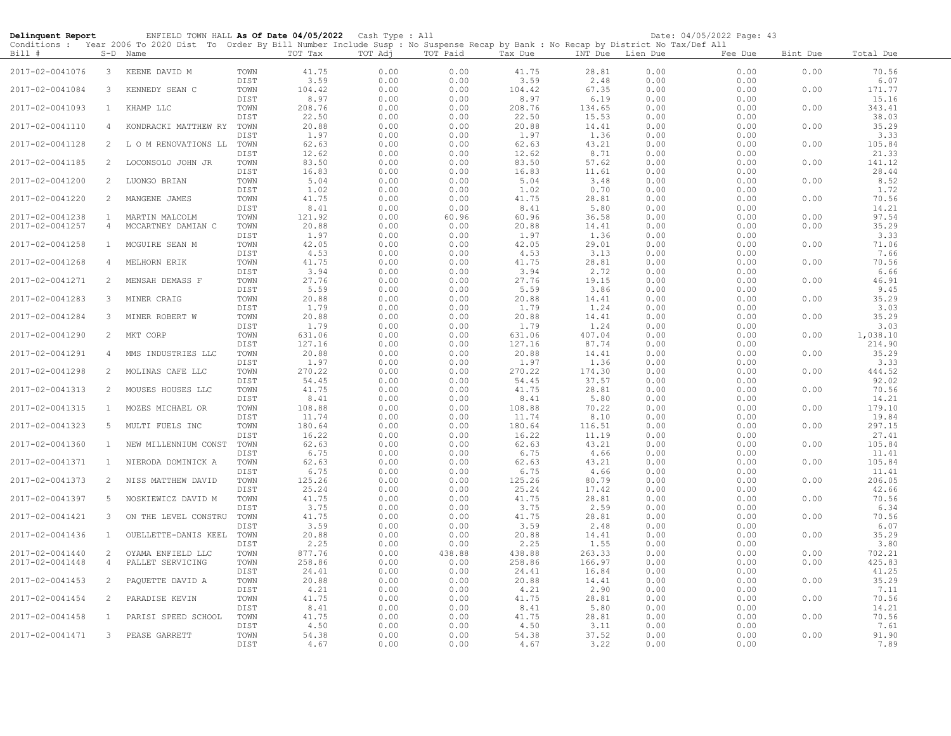| Delinquent Report                  |                                  | ENFIELD TOWN HALL As Of Date 04/05/2022 Cash Type : All<br>Conditions : Year 2006 To 2020 Dist To Order By Bill Number Include Susp : No Suspense Recap by Bank : No Recap by District No Tax/Def All |                      |                       |                      |                      |                       |                       |                      | Date: 04/05/2022 Page: 43 |              |                          |
|------------------------------------|----------------------------------|-------------------------------------------------------------------------------------------------------------------------------------------------------------------------------------------------------|----------------------|-----------------------|----------------------|----------------------|-----------------------|-----------------------|----------------------|---------------------------|--------------|--------------------------|
| Bill #                             |                                  | S-D Name                                                                                                                                                                                              |                      | TOT Tax               | TOT Adj              | TOT Paid             | Tax Due               | INT Due Lien Due      |                      | Fee Due                   | Bint Due     | Total Due                |
| 2017-02-0041076                    | $\mathbf{3}$                     | KEENE DAVID M                                                                                                                                                                                         | TOWN<br>DIST         | 41.75<br>3.59         | 0.00<br>0.00         | 0.00<br>0.00         | 41.75<br>3.59         | 28.81<br>2.48         | 0.00<br>0.00         | 0.00<br>0.00              | 0.00         | 70.56<br>6.07            |
| 2017-02-0041084                    | 3                                | KENNEDY SEAN C                                                                                                                                                                                        | TOWN<br>DIST         | 104.42<br>8.97        | 0.00<br>0.00         | 0.00<br>0.00         | 104.42<br>8.97        | 67.35<br>6.19         | 0.00<br>0.00         | 0.00<br>0.00              | 0.00         | 171.77<br>15.16          |
| 2017-02-0041093                    | $\mathbf{1}$                     | KHAMP LLC                                                                                                                                                                                             | TOWN<br>DIST         | 208.76<br>22.50       | 0.00<br>0.00         | 0.00<br>0.00         | 208.76<br>22.50       | 134.65<br>15.53       | 0.00<br>0.00         | 0.00<br>0.00              | 0.00         | 343.41<br>38.03          |
| 2017-02-0041110                    | 4                                | KONDRACKI MATTHEW RY                                                                                                                                                                                  | TOWN<br>DIST         | 20.88<br>1.97         | 0.00<br>0.00         | 0.00<br>0.00         | 20.88<br>1.97         | 14.41<br>1.36         | 0.00<br>0.00         | 0.00<br>0.00              | 0.00         | 35.29<br>3.33            |
| 2017-02-0041128                    | 2                                | L O M RENOVATIONS LL                                                                                                                                                                                  | TOWN<br>DIST         | 62.63<br>12.62        | 0.00<br>0.00         | 0.00<br>0.00         | 62.63<br>12.62        | 43.21<br>8.71         | 0.00<br>0.00         | 0.00<br>0.00              | 0.00         | 105.84<br>21.33          |
| 2017-02-0041185                    | 2                                | LOCONSOLO JOHN JR                                                                                                                                                                                     | TOWN<br>DIST         | 83.50<br>16.83        | 0.00<br>0.00         | 0.00<br>0.00         | 83.50<br>16.83        | 57.62<br>11.61        | 0.00<br>0.00         | 0.00<br>0.00              | 0.00         | 141.12<br>28.44          |
| 2017-02-0041200                    | 2                                | LUONGO BRIAN                                                                                                                                                                                          | TOWN<br>DIST         | 5.04<br>1.02          | 0.00<br>0.00         | 0.00<br>0.00         | 5.04<br>1.02          | 3.48<br>0.70          | 0.00<br>0.00         | 0.00<br>0.00              | 0.00         | 8.52<br>1.72             |
| 2017-02-0041220                    | 2                                | MANGENE JAMES                                                                                                                                                                                         | TOWN<br>DIST         | 41.75<br>8.41         | 0.00<br>0.00         | 0.00<br>0.00         | 41.75<br>8.41         | 28.81<br>5.80         | 0.00<br>0.00         | 0.00<br>0.00              | 0.00         | 70.56<br>14.21           |
| 2017-02-0041238<br>2017-02-0041257 | $\mathbf{1}$<br>4                | MARTIN MALCOLM<br>MCCARTNEY DAMIAN C                                                                                                                                                                  | TOWN<br>TOWN         | 121.92<br>20.88       | 0.00<br>0.00         | 60.96<br>0.00        | 60.96<br>20.88        | 36.58<br>14.41        | 0.00<br>0.00         | 0.00<br>0.00              | 0.00<br>0.00 | 97.54<br>35.29           |
| 2017-02-0041258                    | $\mathbf{1}$                     | MCGUIRE SEAN M                                                                                                                                                                                        | DIST<br>TOWN         | 1.97<br>42.05         | 0.00<br>0.00         | 0.00<br>0.00         | 1.97<br>42.05         | 1.36<br>29.01         | 0.00<br>0.00         | 0.00<br>0.00              | 0.00         | 3.33<br>71.06            |
| 2017-02-0041268                    | 4                                | MELHORN ERIK                                                                                                                                                                                          | DIST<br>TOWN         | 4.53<br>41.75         | 0.00<br>0.00         | 0.00<br>0.00         | 4.53<br>41.75         | 3.13<br>28.81         | 0.00<br>0.00         | 0.00<br>0.00              | 0.00         | 7.66<br>70.56            |
| 2017-02-0041271                    | 2                                | MENSAH DEMASS F                                                                                                                                                                                       | DIST<br>TOWN         | 3.94<br>27.76         | 0.00<br>0.00         | 0.00<br>0.00         | 3.94<br>27.76         | 2.72<br>19.15         | 0.00<br>0.00         | 0.00<br>0.00              | 0.00         | 6.66<br>46.91            |
| 2017-02-0041283                    | 3                                | MINER CRAIG                                                                                                                                                                                           | DIST<br>TOWN         | 5.59<br>20.88         | 0.00<br>0.00         | 0.00<br>0.00         | 5.59<br>20.88         | 3.86<br>14.41         | 0.00<br>0.00         | 0.00<br>0.00              | 0.00         | 9.45<br>35.29            |
| 2017-02-0041284                    | 3                                | MINER ROBERT W                                                                                                                                                                                        | DIST<br>TOWN         | 1.79<br>20.88         | 0.00<br>0.00         | 0.00<br>0.00         | 1.79<br>20.88         | 1.24<br>14.41         | 0.00<br>0.00         | 0.00<br>0.00              | 0.00         | 3.03<br>35.29            |
| 2017-02-0041290                    | 2                                | MKT CORP                                                                                                                                                                                              | DIST<br>TOWN         | 1.79<br>631.06        | 0.00<br>0.00         | 0.00<br>0.00         | 1.79<br>631.06        | 1.24<br>407.04        | 0.00<br>0.00         | 0.00<br>0.00              | 0.00         | 3.03<br>1,038.10         |
| 2017-02-0041291                    | 4                                | MMS INDUSTRIES LLC                                                                                                                                                                                    | DIST<br>TOWN         | 127.16<br>20.88       | 0.00<br>0.00         | 0.00<br>0.00         | 127.16<br>20.88       | 87.74<br>14.41        | 0.00<br>0.00         | 0.00<br>0.00              | 0.00         | 214.90<br>35.29          |
| 2017-02-0041298                    | $\overline{2}$                   | MOLINAS CAFE LLC                                                                                                                                                                                      | DIST<br>TOWN         | 1.97<br>270.22        | 0.00<br>0.00         | 0.00<br>0.00         | 1.97<br>270.22        | 1.36<br>174.30        | 0.00<br>0.00         | 0.00<br>0.00              | 0.00         | 3.33<br>444.52           |
| 2017-02-0041313                    | $\overline{2}$                   | MOUSES HOUSES LLC                                                                                                                                                                                     | DIST<br>TOWN         | 54.45<br>41.75        | 0.00<br>0.00         | 0.00<br>0.00         | 54.45<br>41.75        | 37.57<br>28.81        | 0.00<br>0.00         | 0.00<br>0.00              | 0.00         | 92.02<br>70.56           |
| 2017-02-0041315                    | $\mathbf{1}$                     | MOZES MICHAEL OR                                                                                                                                                                                      | DIST<br>TOWN         | 8.41<br>108.88        | 0.00<br>0.00         | 0.00<br>0.00         | 8.41<br>108.88        | 5.80<br>70.22         | 0.00<br>0.00         | 0.00<br>0.00              | 0.00         | 14.21<br>179.10          |
| 2017-02-0041323                    | 5                                | MULTI FUELS INC                                                                                                                                                                                       | DIST<br>TOWN         | 11.74<br>180.64       | 0.00<br>0.00         | 0.00<br>0.00         | 11.74<br>180.64       | 8.10<br>116.51        | 0.00<br>0.00         | 0.00<br>0.00              | 0.00         | 19.84<br>297.15          |
| 2017-02-0041360                    | $\mathbf{1}$                     | NEW MILLENNIUM CONST                                                                                                                                                                                  | DIST<br>TOWN<br>DIST | 16.22<br>62.63        | 0.00<br>0.00         | 0.00<br>0.00         | 16.22<br>62.63        | 11.19<br>43.21        | 0.00<br>0.00         | 0.00<br>0.00<br>0.00      | 0.00         | 27.41<br>105.84<br>11.41 |
| 2017-02-0041371                    | $\mathbf{1}$                     | NIERODA DOMINICK A                                                                                                                                                                                    | TOWN<br>DIST         | 6.75<br>62.63<br>6.75 | 0.00<br>0.00<br>0.00 | 0.00<br>0.00<br>0.00 | 6.75<br>62.63<br>6.75 | 4.66<br>43.21<br>4.66 | 0.00<br>0.00<br>0.00 | 0.00<br>0.00              | 0.00         | 105.84<br>11.41          |
| 2017-02-0041373                    | 2                                | NISS MATTHEW DAVID                                                                                                                                                                                    | TOWN<br>DIST         | 125.26<br>25.24       | 0.00<br>0.00         | 0.00<br>0.00         | 125.26<br>25.24       | 80.79<br>17.42        | 0.00<br>0.00         | 0.00<br>0.00              | 0.00         | 206.05<br>42.66          |
| 2017-02-0041397                    | 5                                | NOSKIEWICZ DAVID M                                                                                                                                                                                    | TOWN<br>DIST         | 41.75<br>3.75         | 0.00<br>0.00         | 0.00<br>0.00         | 41.75<br>3.75         | 28.81<br>2.59         | 0.00<br>0.00         | 0.00<br>0.00              | 0.00         | 70.56<br>6.34            |
| 2017-02-0041421                    | 3                                | ON THE LEVEL CONSTRU                                                                                                                                                                                  | TOWN<br>DIST         | 41.75<br>3.59         | 0.00<br>0.00         | 0.00<br>0.00         | 41.75<br>3.59         | 28.81<br>2.48         | 0.00<br>0.00         | 0.00<br>0.00              | 0.00         | 70.56<br>6.07            |
| 2017-02-0041436                    | $\mathbf{1}$                     | OUELLETTE-DANIS KEEL                                                                                                                                                                                  | TOWN<br>DIST         | 20.88<br>2.25         | 0.00<br>0.00         | 0.00<br>0.00         | 20.88<br>2.25         | 14.41<br>1.55         | 0.00<br>0.00         | 0.00<br>0.00              | 0.00         | 35.29<br>3.80            |
| 2017-02-0041440<br>2017-02-0041448 | $\overline{c}$<br>$\overline{4}$ | OYAMA ENFIELD LLC<br>PALLET SERVICING                                                                                                                                                                 | TOWN<br>TOWN         | 877.76<br>258.86      | 0.00<br>0.00         | 438.88<br>0.00       | 438.88<br>258.86      | 263.33<br>166.97      | 0.00<br>0.00         | 0.00<br>0.00              | 0.00<br>0.00 | 702.21<br>425.83         |
| 2017-02-0041453                    | 2                                | PAQUETTE DAVID A                                                                                                                                                                                      | DIST<br>TOWN         | 24.41<br>20.88        | 0.00<br>0.00         | 0.00<br>0.00         | 24.41<br>20.88        | 16.84<br>14.41        | 0.00<br>0.00         | 0.00<br>0.00              | 0.00         | 41.25<br>35.29           |
| 2017-02-0041454                    | $\overline{c}$                   | PARADISE KEVIN                                                                                                                                                                                        | DIST<br>TOWN         | 4.21<br>41.75         | 0.00<br>0.00         | 0.00<br>0.00         | 4.21<br>41.75         | 2.90<br>28.81         | 0.00<br>0.00         | 0.00<br>0.00              | 0.00         | 7.11<br>70.56            |
| 2017-02-0041458                    | $\mathbf{1}$                     | PARISI SPEED SCHOOL                                                                                                                                                                                   | DIST<br>TOWN         | 8.41<br>41.75         | 0.00<br>0.00         | 0.00<br>0.00         | 8.41<br>41.75         | 5.80<br>28.81         | 0.00<br>0.00         | 0.00<br>0.00              | 0.00         | 14.21<br>70.56           |
| 2017-02-0041471                    | $\mathbf{3}$                     | PEASE GARRETT                                                                                                                                                                                         | DIST<br>TOWN<br>DIST | 4.50<br>54.38<br>4.67 | 0.00<br>0.00<br>0.00 | 0.00<br>0.00<br>0.00 | 4.50<br>54.38<br>4.67 | 3.11<br>37.52<br>3.22 | 0.00<br>0.00<br>0.00 | 0.00<br>0.00<br>0.00      | 0.00         | 7.61<br>91.90<br>7.89    |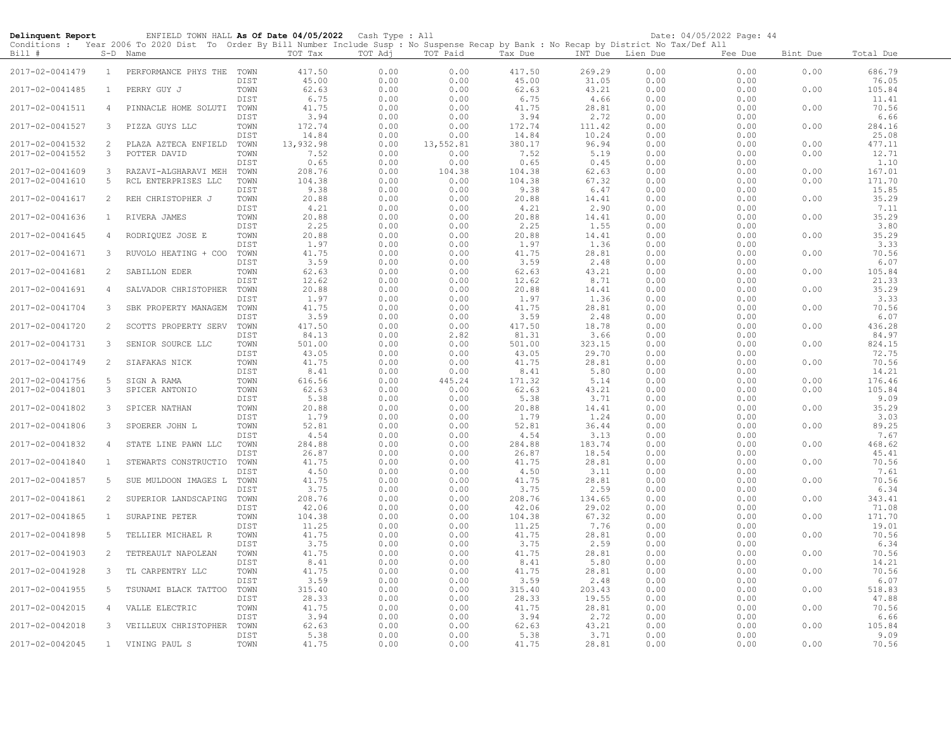| Delinquent Report |                | ENFIELD TOWN HALL As Of Date 04/05/2022 Cash Type : All                                                                                                |              |                 |              |              |                 |                  |              | Date: 04/05/2022 Page: 44 |          |                 |
|-------------------|----------------|--------------------------------------------------------------------------------------------------------------------------------------------------------|--------------|-----------------|--------------|--------------|-----------------|------------------|--------------|---------------------------|----------|-----------------|
| Bill #            |                | Conditions : Year 2006 To 2020 Dist To Order By Bill Number Include Susp : No Suspense Recap by Bank : No Recap by District No Tax/Def All<br>S-D Name |              | TOT Tax         | TOT Adj      | TOT Paid     | Tax Due         | INT Due Lien Due |              | Fee Due                   | Bint Due | Total Due       |
| 2017-02-0041479   | $\mathbf{1}$   | PERFORMANCE PHYS THE TOWN                                                                                                                              | DIST         | 417.50<br>45.00 | 0.00<br>0.00 | 0.00<br>0.00 | 417.50<br>45.00 | 269.29<br>31.05  | 0.00<br>0.00 | 0.00<br>0.00              | 0.00     | 686.79<br>76.05 |
| 2017-02-0041485   | $\mathbf{1}$   | PERRY GUY J                                                                                                                                            | TOWN<br>DIST | 62.63<br>6.75   | 0.00<br>0.00 | 0.00<br>0.00 | 62.63<br>6.75   | 43.21<br>4.66    | 0.00<br>0.00 | 0.00<br>0.00              | 0.00     | 105.84<br>11.41 |
| 2017-02-0041511   | 4              | PINNACLE HOME SOLUTI                                                                                                                                   | TOWN         | 41.75           | 0.00         | 0.00         | 41.75           | 28.81            | 0.00         | 0.00                      | 0.00     | 70.56           |
| 2017-02-0041527   | 3              | PIZZA GUYS LLC                                                                                                                                         | DIST<br>TOWN | 3.94<br>172.74  | 0.00<br>0.00 | 0.00<br>0.00 | 3.94<br>172.74  | 2.72<br>111.42   | 0.00<br>0.00 | 0.00<br>0.00              | 0.00     | 6.66<br>284.16  |
|                   |                |                                                                                                                                                        | DIST         | 14.84           | 0.00         | 0.00         | 14.84           | 10.24            | 0.00         | 0.00                      |          | 25.08           |
| 2017-02-0041532   | 2              | PLAZA AZTECA ENFIELD                                                                                                                                   | TOWN         | 13,932.98       | 0.00         | 13,552.81    | 380.17          | 96.94            | 0.00         | 0.00                      | 0.00     | 477.11          |
| 2017-02-0041552   | 3              | POTTER DAVID                                                                                                                                           | TOWN         | 7.52            | 0.00         | 0.00         | 7.52            | 5.19             | 0.00         | 0.00                      | 0.00     | 12.71           |
|                   |                |                                                                                                                                                        | DIST         | 0.65            | 0.00         | 0.00         | 0.65            | 0.45             | 0.00         | 0.00                      |          | 1.10            |
| 2017-02-0041609   | 3              | RAZAVI-ALGHARAVI MEH                                                                                                                                   | TOWN         | 208.76          | 0.00         | 104.38       | 104.38          | 62.63            | 0.00         | 0.00                      | 0.00     | 167.01          |
| 2017-02-0041610   | 5              | RCL ENTERPRISES LLC                                                                                                                                    | TOWN         | 104.38          | 0.00         | 0.00         | 104.38          | 67.32            | 0.00         | 0.00                      | 0.00     | 171.70          |
|                   |                |                                                                                                                                                        | DIST         | 9.38            | 0.00         | 0.00         | 9.38            | 6.47             | 0.00         | 0.00                      |          | 15.85           |
| 2017-02-0041617   | 2              | REH CHRISTOPHER J                                                                                                                                      | TOWN         | 20.88           | 0.00         | 0.00         | 20.88           | 14.41            | 0.00         | 0.00                      | 0.00     | 35.29           |
|                   |                |                                                                                                                                                        | DIST         | 4.21            | 0.00         | 0.00         | 4.21            | 2.90             | 0.00         | 0.00                      |          | 7.11            |
| 2017-02-0041636   | $\mathbf{1}$   | RIVERA JAMES                                                                                                                                           | TOWN         | 20.88           | 0.00         | 0.00         | 20.88           | 14.41            | 0.00         | 0.00                      | 0.00     | 35.29           |
|                   |                |                                                                                                                                                        | DIST         | 2.25            | 0.00         | 0.00         | 2.25            | 1.55             | 0.00         | 0.00                      |          | 3.80            |
|                   |                |                                                                                                                                                        |              |                 |              |              |                 |                  |              |                           |          | 35.29           |
| 2017-02-0041645   | 4              | RODRIQUEZ JOSE E                                                                                                                                       | TOWN         | 20.88           | 0.00         | 0.00         | 20.88           | 14.41            | 0.00         | 0.00                      | 0.00     |                 |
|                   |                |                                                                                                                                                        | DIST         | 1.97            | 0.00         | 0.00         | 1.97            | 1.36             | 0.00         | 0.00                      |          | 3.33            |
| 2017-02-0041671   | $\mathbf{3}$   | RUVOLO HEATING + COO                                                                                                                                   | TOWN         | 41.75           | 0.00         | 0.00         | 41.75           | 28.81            | 0.00         | 0.00                      | 0.00     | 70.56           |
|                   |                |                                                                                                                                                        | DIST         | 3.59            | 0.00         | 0.00         | 3.59            | 2.48             | 0.00         | 0.00                      |          | 6.07            |
| 2017-02-0041681   | $\mathbf{2}$   | SABILLON EDER                                                                                                                                          | TOWN         | 62.63           | 0.00         | 0.00         | 62.63           | 43.21            | 0.00         | 0.00                      | 0.00     | 105.84          |
|                   |                |                                                                                                                                                        | DIST         | 12.62           | 0.00         | 0.00         | 12.62           | 8.71             | 0.00         | 0.00                      |          | 21.33           |
| 2017-02-0041691   | $\overline{4}$ | SALVADOR CHRISTOPHER                                                                                                                                   | TOWN         | 20.88           | 0.00         | 0.00         | 20.88           | 14.41            | 0.00         | 0.00                      | 0.00     | 35.29           |
|                   |                |                                                                                                                                                        | DIST         | 1.97            | 0.00         | 0.00         | 1.97            | 1.36             | 0.00         | 0.00                      |          | 3.33            |
| 2017-02-0041704   | 3              | SBK PROPERTY MANAGEM                                                                                                                                   | TOWN         | 41.75           | 0.00         | 0.00         | 41.75           | 28.81            | 0.00         | 0.00                      | 0.00     | 70.56           |
|                   |                |                                                                                                                                                        | DIST         | 3.59            | 0.00         | 0.00         | 3.59            | 2.48             | 0.00         | 0.00                      |          | 6.07            |
| 2017-02-0041720   | 2              | SCOTTS PROPERTY SERV                                                                                                                                   | TOWN         | 417.50          | 0.00         | 0.00         | 417.50          | 18.78            | 0.00         | 0.00                      | 0.00     | 436.28          |
|                   |                |                                                                                                                                                        | DIST         | 84.13           | 0.00         | 2.82         | 81.31           | 3.66             | 0.00         | 0.00                      |          | 84.97           |
| 2017-02-0041731   | 3              | SENIOR SOURCE LLC                                                                                                                                      | TOWN         | 501.00          | 0.00         | 0.00         | 501.00          | 323.15           | 0.00         | 0.00                      | 0.00     | 824.15          |
|                   |                |                                                                                                                                                        | DIST         | 43.05           |              |              | 43.05           | 29.70            |              | 0.00                      |          | 72.75           |
|                   |                |                                                                                                                                                        |              |                 | 0.00         | 0.00         |                 |                  | 0.00         |                           |          |                 |
| 2017-02-0041749   | 2              | SIAFAKAS NICK                                                                                                                                          | TOWN         | 41.75           | 0.00         | 0.00         | 41.75           | 28.81            | 0.00         | 0.00                      | 0.00     | 70.56           |
|                   |                |                                                                                                                                                        | DIST         | 8.41            | 0.00         | 0.00         | 8.41            | 5.80             | 0.00         | 0.00                      |          | 14.21           |
| 2017-02-0041756   | 5              | SIGN A RAMA                                                                                                                                            | TOWN         | 616.56          | 0.00         | 445.24       | 171.32          | 5.14             | 0.00         | 0.00                      | 0.00     | 176.46          |
| 2017-02-0041801   | 3              | SPICER ANTONIO                                                                                                                                         | TOWN         | 62.63           | 0.00         | 0.00         | 62.63           | 43.21            | 0.00         | 0.00                      | 0.00     | 105.84          |
|                   |                |                                                                                                                                                        | DIST         | 5.38            | 0.00         | 0.00         | 5.38            | 3.71             | 0.00         | 0.00                      |          | 9.09            |
| 2017-02-0041802   | 3              | SPICER NATHAN                                                                                                                                          | TOWN         | 20.88           | 0.00         | 0.00         | 20.88           | 14.41            | 0.00         | 0.00                      | 0.00     | 35.29           |
|                   |                |                                                                                                                                                        | DIST         | 1.79            | 0.00         | 0.00         | 1.79            | 1.24             | 0.00         | 0.00                      |          | 3.03            |
| 2017-02-0041806   | 3              | SPOERER JOHN L                                                                                                                                         | TOWN         | 52.81           | 0.00         | 0.00         | 52.81           | 36.44            | 0.00         | 0.00                      | 0.00     | 89.25           |
|                   |                |                                                                                                                                                        | DIST         | 4.54            | 0.00         | 0.00         | 4.54            | 3.13             | 0.00         | 0.00                      |          | 7.67            |
| 2017-02-0041832   | 4              | STATE LINE PAWN LLC                                                                                                                                    | TOWN         | 284.88          | 0.00         | 0.00         | 284.88          | 183.74           | 0.00         | 0.00                      | 0.00     | 468.62          |
|                   |                |                                                                                                                                                        | DIST         | 26.87           | 0.00         | 0.00         | 26.87           | 18.54            | 0.00         | 0.00                      |          | 45.41           |
| 2017-02-0041840   | $\mathbf{1}$   | STEWARTS CONSTRUCTIO                                                                                                                                   | TOWN         | 41.75           | 0.00         | 0.00         | 41.75           | 28.81            | 0.00         | 0.00                      | 0.00     | 70.56           |
|                   |                |                                                                                                                                                        | DIST         | 4.50            | 0.00         | 0.00         | 4.50            | 3.11             | 0.00         | 0.00                      |          | 7.61            |
| 2017-02-0041857   | .5             | SUE MULDOON IMAGES L                                                                                                                                   | TOWN         | 41.75           | 0.00         | 0.00         | 41.75           | 28.81            | 0.00         | 0.00                      | 0.00     | 70.56           |
|                   |                |                                                                                                                                                        | DIST         | 3.75            | 0.00         | 0.00         | 3.75            | 2.59             | 0.00         | 0.00                      |          | 6.34            |
|                   |                |                                                                                                                                                        |              |                 |              |              |                 |                  |              |                           |          |                 |
| 2017-02-0041861   | 2              | SUPERIOR LANDSCAPING                                                                                                                                   | TOWN         | 208.76          | 0.00         | 0.00         | 208.76          | 134.65           | 0.00         | 0.00                      | 0.00     | 343.41          |
|                   |                |                                                                                                                                                        | DIST         | 42.06           | 0.00         | 0.00         | 42.06           | 29.02            | 0.00         | 0.00                      |          | 71.08           |
| 2017-02-0041865   | $\mathbf{1}$   | SURAPINE PETER                                                                                                                                         | TOWN         | 104.38          | 0.00         | 0.00         | 104.38          | 67.32            | 0.00         | 0.00                      | 0.00     | 171.70          |
|                   |                |                                                                                                                                                        | DIST         | 11.25           | 0.00         | 0.00         | 11.25           | 7.76             | 0.00         | 0.00                      |          | 19.01           |
| 2017-02-0041898   | 5              | TELLIER MICHAEL R                                                                                                                                      | TOWN         | 41.75           | 0.00         | 0.00         | 41.75           | 28.81            | 0.00         | 0.00                      | 0.00     | 70.56           |
|                   |                |                                                                                                                                                        | DIST         | 3.75            | 0.00         | 0.00         | 3.75            | 2.59             | 0.00         | 0.00                      |          | 6.34            |
| 2017-02-0041903   | $\overline{2}$ | TETREAULT NAPOLEAN                                                                                                                                     | TOWN         | 41.75           | 0.00         | 0.00         | 41.75           | 28.81            | 0.00         | 0.00                      | 0.00     | 70.56           |
|                   |                |                                                                                                                                                        | DIST         | 8.41            | 0.00         | 0.00         | 8.41            | 5.80             | 0.00         | 0.00                      |          | 14.21           |
| 2017-02-0041928   | 3              | TL CARPENTRY LLC                                                                                                                                       | TOWN         | 41.75           | 0.00         | 0.00         | 41.75           | 28.81            | 0.00         | 0.00                      | 0.00     | 70.56           |
|                   |                |                                                                                                                                                        | DIST         | 3.59            | 0.00         | 0.00         | 3.59            | 2.48             | 0.00         | 0.00                      |          | 6.07            |
| 2017-02-0041955   | 5              | TSUNAMI BLACK TATTOO                                                                                                                                   | TOWN         | 315.40          | 0.00         | 0.00         | 315.40          | 203.43           | 0.00         | 0.00                      | 0.00     | 518.83          |
|                   |                |                                                                                                                                                        | DIST         | 28.33           | 0.00         | 0.00         | 28.33           | 19.55            | 0.00         | 0.00                      |          | 47.88           |
|                   |                |                                                                                                                                                        |              | 41.75           |              |              |                 |                  |              |                           |          | 70.56           |
| 2017-02-0042015   | 4              | VALLE ELECTRIC                                                                                                                                         | TOWN         |                 | 0.00         | 0.00         | 41.75           | 28.81            | 0.00         | 0.00                      | 0.00     |                 |
|                   |                |                                                                                                                                                        | DIST         | 3.94            | 0.00         | 0.00         | 3.94            | 2.72             | 0.00         | 0.00                      |          | 6.66            |
| 2017-02-0042018   | 3              | VEILLEUX CHRISTOPHER                                                                                                                                   | TOWN         | 62.63           | 0.00         | 0.00         | 62.63           | 43.21            | 0.00         | 0.00                      | 0.00     | 105.84          |
|                   |                |                                                                                                                                                        | DIST         | 5.38            | 0.00         | 0.00         | 5.38            | 3.71             | 0.00         | 0.00                      |          | 9.09            |
| 2017-02-0042045   |                | 1 VINING PAUL S                                                                                                                                        | TOWN         | 41.75           | 0.00         | 0.00         | 41.75           | 28.81            | 0.00         | 0.00                      | 0.00     | 70.56           |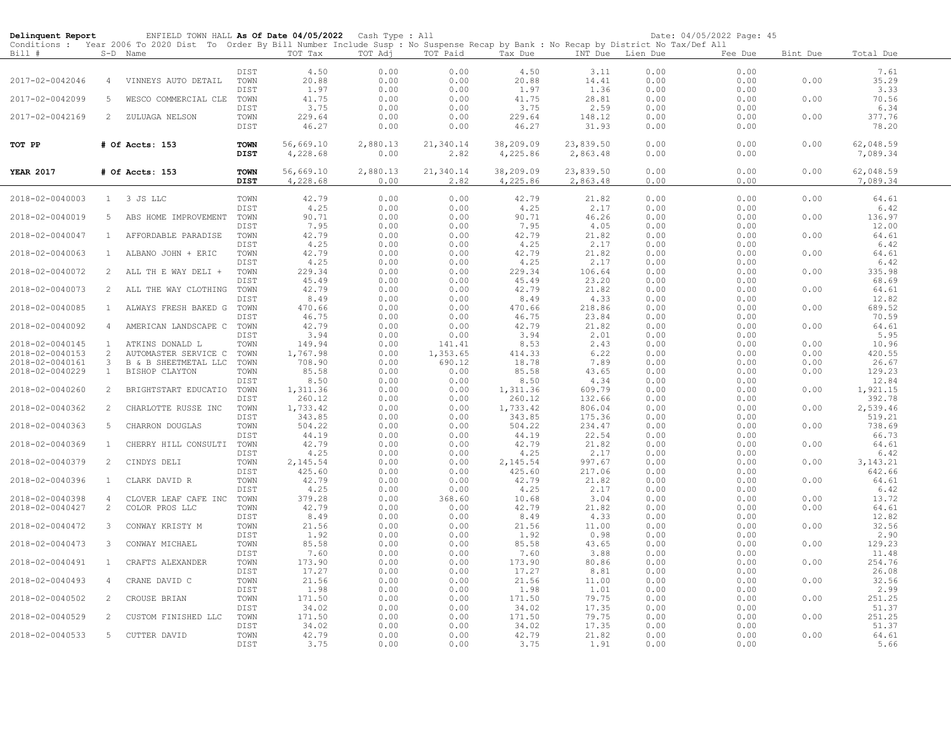| Delinquent Report                  |                                | ENFIELD TOWN HALL As Of Date 04/05/2022                                                                                                                |              |                    | Cash Type : All |                    |                |               |                  | Date: 04/05/2022 Page: 45 |              |                 |  |
|------------------------------------|--------------------------------|--------------------------------------------------------------------------------------------------------------------------------------------------------|--------------|--------------------|-----------------|--------------------|----------------|---------------|------------------|---------------------------|--------------|-----------------|--|
| Bill #                             |                                | Conditions : Year 2006 To 2020 Dist To Order By Bill Number Include Susp : No Suspense Recap by Bank : No Recap by District No Tax/Def All<br>S-D Name |              | TOT Tax            | TOT Adj         | TOT Paid           | Tax Due        |               | INT Due Lien Due | Fee Due                   | Bint Due     | Total Due       |  |
|                                    |                                |                                                                                                                                                        |              |                    |                 |                    |                |               |                  |                           |              |                 |  |
|                                    |                                |                                                                                                                                                        | DIST         | 4.50               | 0.00            | 0.00               | 4.50           | 3.11          | 0.00             | 0.00                      |              | 7.61            |  |
| 2017-02-0042046                    | $\overline{4}$                 | VINNEYS AUTO DETAIL                                                                                                                                    | TOWN         | 20.88              | 0.00            | 0.00               | 20.88          | 14.41         | 0.00             | 0.00                      | 0.00         | 35.29           |  |
|                                    |                                |                                                                                                                                                        | DIST         | 1.97               | 0.00            | 0.00               | 1.97           | 1.36          | 0.00             | 0.00                      |              | 3.33            |  |
| 2017-02-0042099                    | 5                              | WESCO COMMERCIAL CLE TOWN                                                                                                                              |              | 41.75              | 0.00            | 0.00               | 41.75          | 28.81         | 0.00             | 0.00                      | 0.00         | 70.56           |  |
|                                    |                                |                                                                                                                                                        | DIST         | 3.75               | 0.00            | 0.00               | 3.75           | 2.59          | 0.00             | 0.00                      |              | 6.34            |  |
| 2017-02-0042169                    | 2                              | ZULUAGA NELSON                                                                                                                                         | TOWN         | 229.64             | 0.00            | 0.00               | 229.64         | 148.12        | 0.00             | 0.00                      | 0.00         | 377.76          |  |
|                                    |                                |                                                                                                                                                        | DIST         | 46.27              | 0.00            | 0.00               | 46.27          | 31.93         | 0.00             | 0.00                      |              | 78.20           |  |
|                                    |                                |                                                                                                                                                        |              |                    |                 |                    |                |               |                  |                           |              |                 |  |
| TOT PP                             |                                | # Of Accts: 153                                                                                                                                        | TOWN         | 56,669.10          | 2,880.13        | 21,340.14          | 38,209.09      | 23,839.50     | 0.00             | 0.00                      | 0.00         | 62,048.59       |  |
|                                    |                                |                                                                                                                                                        | DIST         | 4,228.68           | 0.00            | 2.82               | 4,225.86       | 2,863.48      | 0.00             | 0.00                      |              | 7,089.34        |  |
| <b>YEAR 2017</b>                   |                                | # Of Accts: 153                                                                                                                                        | TOWN         | 56,669.10          | 2,880.13        | 21,340.14          | 38,209.09      | 23,839.50     | 0.00             | 0.00                      | 0.00         | 62,048.59       |  |
|                                    |                                |                                                                                                                                                        | DIST         | 4,228.68           | 0.00            | 2.82               | 4,225.86       | 2,863.48      | 0.00             | 0.00                      |              | 7,089.34        |  |
|                                    |                                |                                                                                                                                                        |              |                    |                 |                    |                |               |                  |                           |              |                 |  |
| 2018-02-0040003                    |                                | 1 3 JS LLC                                                                                                                                             | TOWN         | 42.79              | 0.00            | 0.00               | 42.79          | 21.82         | 0.00             | 0.00                      | 0.00         | 64.61           |  |
|                                    |                                |                                                                                                                                                        | DIST         | 4.25               | 0.00            | 0.00               | 4.25           | 2.17          | 0.00             | 0.00                      |              | 6.42            |  |
| 2018-02-0040019                    | 5                              | ABS HOME IMPROVEMENT                                                                                                                                   | TOWN         | 90.71              | 0.00            | 0.00               | 90.71          | 46.26         | 0.00             | 0.00                      | 0.00         | 136.97          |  |
|                                    |                                |                                                                                                                                                        | DIST         | 7.95               | 0.00            | 0.00               | 7.95           | 4.05          | 0.00             | 0.00                      |              | 12.00           |  |
| 2018-02-0040047                    | $\mathbf{1}$                   | AFFORDABLE PARADISE                                                                                                                                    | TOWN         | 42.79              | 0.00            | 0.00               | 42.79          | 21.82         | 0.00             | 0.00                      | 0.00         | 64.61           |  |
|                                    |                                |                                                                                                                                                        | DIST         | 4.25               | 0.00            | 0.00               | 4.25           | 2.17          | 0.00             | 0.00                      |              | 6.42            |  |
| 2018-02-0040063                    | $\mathbf{1}$                   | ALBANO JOHN + ERIC                                                                                                                                     | TOWN         | 42.79              | 0.00            | 0.00               | 42.79          | 21.82         | 0.00             | 0.00                      | 0.00         | 64.61           |  |
|                                    |                                |                                                                                                                                                        | DIST         | 4.25               | 0.00            | 0.00               | 4.25           | 2.17          | 0.00             | 0.00                      |              | 6.42            |  |
| 2018-02-0040072                    | $\overline{2}$                 | ALL TH E WAY DELI +                                                                                                                                    | TOWN         | 229.34             | 0.00            | 0.00               | 229.34         | 106.64        | 0.00             | 0.00                      | 0.00         | 335.98          |  |
|                                    |                                |                                                                                                                                                        | DIST         | 45.49              | 0.00            | 0.00               | 45.49          | 23.20         | 0.00             | 0.00                      |              | 68.69           |  |
| 2018-02-0040073                    | $\overline{2}$                 | ALL THE WAY CLOTHING                                                                                                                                   | TOWN         | 42.79              | 0.00            | 0.00               | 42.79          | 21.82         | 0.00             | 0.00                      | 0.00         | 64.61           |  |
|                                    |                                |                                                                                                                                                        | DIST         | 8.49               | 0.00            | 0.00               | 8.49           | 4.33          | 0.00             | 0.00                      |              | 12.82           |  |
| 2018-02-0040085                    | $\mathbf{1}$                   | ALWAYS FRESH BAKED G                                                                                                                                   | TOWN         | 470.66             | 0.00            | 0.00               | 470.66         | 218.86        | 0.00             | 0.00                      | 0.00         | 689.52          |  |
|                                    |                                |                                                                                                                                                        | DIST         | 46.75              | 0.00            | 0.00               | 46.75          | 23.84         | 0.00             | 0.00                      |              | 70.59           |  |
| 2018-02-0040092                    | $\overline{4}$                 | AMERICAN LANDSCAPE C                                                                                                                                   | TOWN         | 42.79              | 0.00            | 0.00               | 42.79          | 21.82         | 0.00             | 0.00                      | 0.00         | 64.61           |  |
|                                    |                                |                                                                                                                                                        | DIST         | 3.94               | 0.00            | 0.00               | 3.94           | 2.01          | 0.00             | 0.00                      |              | 5.95            |  |
| 2018-02-0040145<br>2018-02-0040153 | $\mathbf{1}$<br>$\overline{c}$ | ATKINS DONALD L                                                                                                                                        | TOWN<br>TOWN | 149.94             | 0.00<br>0.00    | 141.41<br>1,353.65 | 8.53<br>414.33 | 2.43<br>6.22  | 0.00<br>0.00     | 0.00<br>0.00              | 0.00<br>0.00 | 10.96<br>420.55 |  |
| 2018-02-0040161                    | 3                              | AUTOMASTER SERVICE C<br>B & B SHEETMETAL LLC                                                                                                           | TOWN         | 1,767.98<br>708.90 | 0.00            | 690.12             | 18.78          | 7.89          | 0.00             | 0.00                      | 0.00         | 26.67           |  |
| 2018-02-0040229                    | $\mathbf{1}$                   | BISHOP CLAYTON                                                                                                                                         | TOWN         | 85.58              | 0.00            | 0.00               | 85.58          | 43.65         | 0.00             | 0.00                      | 0.00         | 129.23          |  |
|                                    |                                |                                                                                                                                                        | DIST         | 8.50               | 0.00            | 0.00               | 8.50           | 4.34          | 0.00             | 0.00                      |              | 12.84           |  |
| 2018-02-0040260                    | $\mathbf{2}$                   | BRIGHTSTART EDUCATIO TOWN                                                                                                                              |              | 1,311.36           | 0.00            | 0.00               | 1,311.36       | 609.79        | 0.00             | 0.00                      | 0.00         | 1,921.15        |  |
|                                    |                                |                                                                                                                                                        | DIST         | 260.12             | 0.00            | 0.00               | 260.12         | 132.66        | 0.00             | 0.00                      |              | 392.78          |  |
| 2018-02-0040362                    | $\overline{2}$                 | CHARLOTTE RUSSE INC                                                                                                                                    | TOWN         | 1,733.42           | 0.00            | 0.00               | 1,733.42       | 806.04        | 0.00             | 0.00                      | 0.00         | 2,539.46        |  |
|                                    |                                |                                                                                                                                                        | DIST         | 343.85             | 0.00            | 0.00               | 343.85         | 175.36        | 0.00             | 0.00                      |              | 519.21          |  |
| 2018-02-0040363                    | 5                              | CHARRON DOUGLAS                                                                                                                                        | TOWN         | 504.22             | 0.00            | 0.00               | 504.22         | 234.47        | 0.00             | 0.00                      | 0.00         | 738.69          |  |
|                                    |                                |                                                                                                                                                        | DIST         | 44.19              | 0.00            | 0.00               | 44.19          | 22.54         | 0.00             | 0.00                      |              | 66.73           |  |
| 2018-02-0040369                    | $\mathbf{1}$                   | CHERRY HILL CONSULTI                                                                                                                                   | TOWN         | 42.79              | 0.00            | 0.00               | 42.79          | 21.82         | 0.00             | 0.00                      | 0.00         | 64.61           |  |
|                                    |                                |                                                                                                                                                        | DIST         | 4.25               | 0.00            | 0.00               | 4.25           | 2.17          | 0.00             | 0.00                      |              | 6.42            |  |
| 2018-02-0040379                    | $\overline{2}$                 | CINDYS DELI                                                                                                                                            | TOWN         | 2,145.54           | 0.00            | 0.00               | 2,145.54       | 997.67        | 0.00             | 0.00                      | 0.00         | 3, 143. 21      |  |
|                                    |                                |                                                                                                                                                        | DIST         | 425.60             | 0.00            | 0.00               | 425.60         | 217.06        | 0.00             | 0.00                      |              | 642.66          |  |
| 2018-02-0040396                    | $\mathbf{1}$                   | CLARK DAVID R                                                                                                                                          | TOWN         | 42.79              | 0.00            | 0.00               | 42.79          | 21.82         | 0.00             | 0.00                      | 0.00         | 64.61           |  |
|                                    |                                |                                                                                                                                                        | DIST         | 4.25               | 0.00            | 0.00               | 4.25           | 2.17          | 0.00             | 0.00                      |              | 6.42            |  |
| 2018-02-0040398                    | $\overline{4}$                 | CLOVER LEAF CAFE INC                                                                                                                                   | TOWN         | 379.28             | 0.00            | 368.60             | 10.68          | 3.04          | 0.00             | 0.00                      | 0.00         | 13.72           |  |
| 2018-02-0040427                    | $\overline{c}$                 | COLOR PROS LLC                                                                                                                                         | TOWN         | 42.79              | 0.00            | 0.00               | 42.79          | 21.82         | 0.00             | 0.00                      | 0.00         | 64.61           |  |
| 2018-02-0040472                    | 3                              | CONWAY KRISTY M                                                                                                                                        | DIST<br>TOWN | 8.49<br>21.56      | 0.00<br>0.00    | 0.00<br>0.00       | 8.49<br>21.56  | 4.33<br>11.00 | 0.00<br>0.00     | 0.00<br>0.00              | 0.00         | 12.82<br>32.56  |  |
|                                    |                                |                                                                                                                                                        | DIST         | 1.92               | 0.00            | 0.00               | 1.92           | 0.98          | 0.00             | 0.00                      |              | 2.90            |  |
| 2018-02-0040473                    | 3                              | CONWAY MICHAEL                                                                                                                                         | TOWN         | 85.58              | 0.00            | 0.00               | 85.58          | 43.65         | 0.00             | 0.00                      | 0.00         | 129.23          |  |
|                                    |                                |                                                                                                                                                        | DIST         | 7.60               | 0.00            | 0.00               | 7.60           | 3.88          | 0.00             | 0.00                      |              | 11.48           |  |
| 2018-02-0040491                    | $\mathbf{1}$                   | CRAFTS ALEXANDER                                                                                                                                       | TOWN         | 173.90             | 0.00            | 0.00               | 173.90         | 80.86         | 0.00             | 0.00                      | 0.00         | 254.76          |  |
|                                    |                                |                                                                                                                                                        | DIST         | 17.27              | 0.00            | 0.00               | 17.27          | 8.81          | 0.00             | 0.00                      |              | 26.08           |  |
| 2018-02-0040493                    | $\overline{4}$                 | CRANE DAVID C                                                                                                                                          | TOWN         | 21.56              | 0.00            | 0.00               | 21.56          | 11.00         | 0.00             | 0.00                      | 0.00         | 32.56           |  |
|                                    |                                |                                                                                                                                                        | DIST         | 1.98               | 0.00            | 0.00               | 1.98           | 1.01          | 0.00             | 0.00                      |              | 2.99            |  |
| 2018-02-0040502                    | 2                              | CROUSE BRIAN                                                                                                                                           | TOWN         | 171.50             | 0.00            | 0.00               | 171.50         | 79.75         | 0.00             | 0.00                      | 0.00         | 251.25          |  |
|                                    |                                |                                                                                                                                                        | DIST         | 34.02              | 0.00            | 0.00               | 34.02          | 17.35         | 0.00             | 0.00                      |              | 51.37           |  |
| 2018-02-0040529                    | 2                              | CUSTOM FINISHED LLC                                                                                                                                    | TOWN         | 171.50             | 0.00            | 0.00               | 171.50         | 79.75         | 0.00             | 0.00                      | 0.00         | 251.25          |  |
|                                    |                                |                                                                                                                                                        | DIST         | 34.02              | 0.00            | 0.00               | 34.02          | 17.35         | 0.00             | 0.00                      |              | 51.37           |  |
| 2018-02-0040533                    | 5                              | CUTTER DAVID                                                                                                                                           | TOWN         | 42.79              | 0.00            | 0.00               | 42.79          | 21.82         | 0.00             | 0.00                      | 0.00         | 64.61           |  |
|                                    |                                |                                                                                                                                                        | DIST         | 3.75               | 0.00            | 0.00               | 3.75           | 1.91          | 0.00             | 0.00                      |              | 5.66            |  |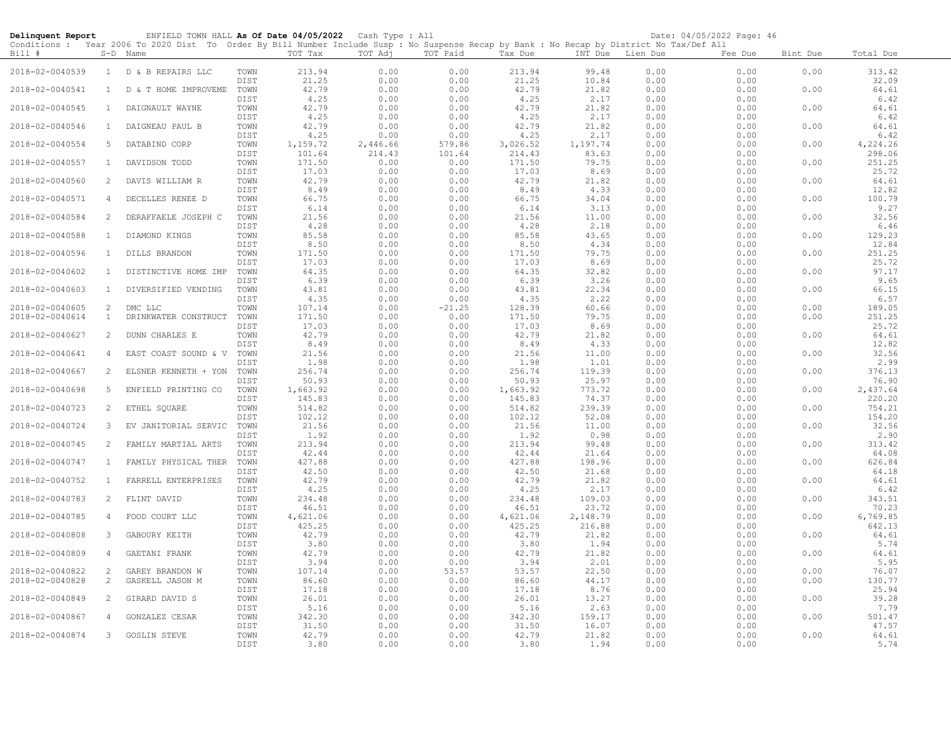| Delinquent Report                  |                     | ENFIELD TOWN HALL As Of Date 04/05/2022 Cash Type : All                                                                                                |                      |                        |                      |                      |                        |                        |                      | Date: 04/05/2022 Page: 46 |              |                        |
|------------------------------------|---------------------|--------------------------------------------------------------------------------------------------------------------------------------------------------|----------------------|------------------------|----------------------|----------------------|------------------------|------------------------|----------------------|---------------------------|--------------|------------------------|
| Bill #                             |                     | Conditions : Year 2006 To 2020 Dist To Order By Bill Number Include Susp : No Suspense Recap by Bank : No Recap by District No Tax/Def All<br>S-D Name |                      | TOT Tax                | TOT Adj              | TOT Paid             | Tax Due                |                        | INT Due Lien Due     | Fee Due                   | Bint Due     | Total Due              |
| 2018-02-0040539                    |                     | 1 D & B REPAIRS LLC                                                                                                                                    | TOWN<br>DIST         | 213.94<br>21.25        | 0.00<br>0.00         | 0.00<br>0.00         | 213.94<br>21.25        | 99.48<br>10.84         | 0.00<br>0.00         | 0.00<br>0.00              | 0.00         | 313.42<br>32.09        |
| 2018-02-0040541                    | $\overline{1}$      | D & T HOME IMPROVEME                                                                                                                                   | TOWN                 | 42.79                  | 0.00                 | 0.00                 | 42.79                  | 21.82                  | 0.00                 | 0.00                      | 0.00         | 64.61                  |
| 2018-02-0040545                    | $\mathbf{1}$        | DAIGNAULT WAYNE                                                                                                                                        | DIST<br>TOWN         | 4.25<br>42.79          | 0.00<br>0.00         | 0.00<br>0.00         | 4.25<br>42.79          | 2.17<br>21.82          | 0.00<br>0.00         | 0.00<br>0.00              | 0.00         | 6.42<br>64.61          |
| 2018-02-0040546                    | $\mathbf{1}$        | DAIGNEAU PAUL B                                                                                                                                        | DIST<br>TOWN         | 4.25<br>42.79          | 0.00<br>0.00         | 0.00<br>0.00         | 4.25<br>42.79          | 2.17<br>21.82          | 0.00<br>0.00         | 0.00<br>0.00              | 0.00         | 6.42<br>64.61          |
| 2018-02-0040554                    | 5                   | DATABIND CORP                                                                                                                                          | DIST<br>TOWN         | 4.25<br>1,159.72       | 0.00<br>2,446.66     | 0.00<br>579.86       | 4.25<br>3,026.52       | 2.17<br>1,197.74       | 0.00<br>0.00         | 0.00<br>0.00              | 0.00         | 6.42<br>4,224.26       |
| 2018-02-0040557                    | $\mathbf{1}$        | DAVIDSON TODD                                                                                                                                          | DIST<br>TOWN         | 101.64<br>171.50       | 214.43<br>0.00       | 101.64<br>0.00       | 214.43<br>171.50       | 83.63<br>79.75         | 0.00<br>0.00         | 0.00<br>0.00              | 0.00         | 298.06<br>251.25       |
| 2018-02-0040560                    | $\overline{2}$      | DAVIS WILLIAM R                                                                                                                                        | DIST<br>TOWN         | 17.03<br>42.79         | 0.00<br>0.00         | 0.00<br>0.00         | 17.03<br>42.79         | 8.69<br>21.82          | 0.00<br>0.00         | 0.00<br>0.00              | 0.00         | 25.72<br>64.61         |
| 2018-02-0040571                    | $\overline{4}$      | DECELLES RENEE D                                                                                                                                       | DIST<br>TOWN         | 8.49<br>66.75          | 0.00<br>0.00         | 0.00<br>0.00         | 8.49<br>66.75          | 4.33<br>34.04          | 0.00<br>0.00         | 0.00<br>0.00              | 0.00         | 12.82<br>100.79        |
| 2018-02-0040584                    | 2                   | DERAFFAELE JOSEPH C                                                                                                                                    | DIST<br>TOWN         | 6.14<br>21.56          | 0.00<br>0.00         | 0.00<br>0.00         | 6.14<br>21.56          | 3.13<br>11.00          | 0.00<br>0.00         | 0.00<br>0.00              | 0.00         | 9.27<br>32.56          |
| 2018-02-0040588                    | $\mathbf{1}$        | DIAMOND KINGS                                                                                                                                          | DIST<br>TOWN         | 4.28<br>85.58          | 0.00<br>0.00         | 0.00<br>0.00         | 4.28<br>85.58          | 2.18<br>43.65          | 0.00<br>0.00         | 0.00<br>0.00              | 0.00         | 6.46<br>129.23         |
| 2018-02-0040596                    | $\mathbf{1}$        | DILLS BRANDON                                                                                                                                          | DIST<br>TOWN         | 8.50<br>171.50         | 0.00<br>0.00         | 0.00<br>0.00         | 8.50<br>171.50         | 4.34<br>79.75          | 0.00<br>0.00         | 0.00<br>0.00              | 0.00         | 12.84<br>251.25        |
| 2018-02-0040602                    | $\mathbf{1}$        | DISTINCTIVE HOME IMP                                                                                                                                   | DIST<br>TOWN         | 17.03<br>64.35         | 0.00<br>0.00         | 0.00<br>0.00         | 17.03<br>64.35         | 8.69<br>32.82          | 0.00<br>0.00         | 0.00<br>0.00              | 0.00         | 25.72<br>97.17         |
| 2018-02-0040603                    | $\mathbf{1}$        | DIVERSIFIED VENDING                                                                                                                                    | DIST<br>TOWN         | 6.39<br>43.81          | 0.00<br>0.00         | 0.00<br>0.00         | 6.39<br>43.81          | 3.26<br>22.34          | 0.00<br>0.00         | 0.00<br>0.00              | 0.00         | 9.65<br>66.15          |
| 2018-02-0040605                    | $\overline{2}$      | DMC LLC                                                                                                                                                | DIST<br>TOWN         | 4.35<br>107.14         | 0.00<br>0.00         | 0.00<br>$-21.25$     | 4.35<br>128.39         | 2.22<br>60.66          | 0.00<br>0.00         | 0.00<br>0.00              | 0.00         | 6.57<br>189.05         |
| 2018-02-0040614                    | 1                   | DRINKWATER CONSTRUCT                                                                                                                                   | TOWN<br>DIST         | 171.50<br>17.03        | 0.00<br>0.00         | 0.00<br>0.00         | 171.50<br>17.03        | 79.75<br>8.69          | 0.00<br>0.00         | 0.00<br>0.00              | 0.00         | 251.25<br>25.72        |
| 2018-02-0040627                    | 2                   | DUNN CHARLES E                                                                                                                                         | TOWN<br>DIST         | 42.79<br>8.49          | 0.00<br>0.00         | 0.00<br>0.00         | 42.79<br>8.49          | 21.82<br>4.33          | 0.00<br>0.00         | 0.00<br>0.00              | 0.00         | 64.61<br>12.82         |
| 2018-02-0040641                    | 4                   | EAST COAST SOUND & V                                                                                                                                   | TOWN<br>DIST         | 21.56<br>1.98          | 0.00<br>0.00         | 0.00<br>0.00         | 21.56<br>1.98          | 11.00<br>1.01          | 0.00<br>0.00         | 0.00<br>0.00              | 0.00         | 32.56<br>2.99          |
| 2018-02-0040667                    | 2                   | ELSNER KENNETH + YON                                                                                                                                   | TOWN<br>DIST         | 256.74<br>50.93        | 0.00<br>0.00         | 0.00<br>0.00         | 256.74<br>50.93        | 119.39<br>25.97        | 0.00<br>0.00         | 0.00<br>0.00              | 0.00         | 376.13<br>76.90        |
| 2018-02-0040698                    | 5                   | ENFIELD PRINTING CO                                                                                                                                    | TOWN<br>DIST         | 1,663.92<br>145.83     | 0.00<br>0.00         | 0.00<br>0.00         | 1,663.92<br>145.83     | 773.72<br>74.37        | 0.00<br>0.00         | 0.00<br>0.00              | 0.00         | 2,437.64<br>220.20     |
| 2018-02-0040723                    | $\overline{c}$      | ETHEL SQUARE                                                                                                                                           | TOWN<br>DIST         | 514.82<br>102.12       | 0.00<br>0.00         | 0.00<br>0.00         | 514.82<br>102.12       | 239.39<br>52.08        | 0.00<br>0.00         | 0.00<br>0.00              | 0.00         | 754.21<br>154.20       |
| 2018-02-0040724                    | 3                   | EV JANITORIAL SERVIC                                                                                                                                   | TOWN<br>DIST         | 21.56<br>1.92          | 0.00<br>0.00         | 0.00<br>0.00         | 21.56<br>1.92          | 11.00<br>0.98          | 0.00<br>0.00         | 0.00<br>0.00              | 0.00         | 32.56<br>2.90          |
| 2018-02-0040745                    | 2                   | FAMILY MARTIAL ARTS                                                                                                                                    | TOWN<br>DIST         | 213.94<br>42.44        | 0.00<br>0.00         | 0.00<br>0.00         | 213.94<br>42.44        | 99.48<br>21.64         | 0.00<br>0.00         | 0.00<br>0.00              | 0.00         | 313.42<br>64.08        |
| 2018-02-0040747                    | $\mathbf{1}$        | FAMILY PHYSICAL THER                                                                                                                                   | TOWN<br>DIST         | 427.88<br>42.50        | 0.00<br>0.00         | 0.00<br>0.00         | 427.88<br>42.50        | 198.96<br>21.68        | 0.00<br>0.00         | 0.00<br>0.00              | 0.00         | 626.84<br>64.18        |
| 2018-02-0040752                    | $\overline{1}$      | FARRELL ENTERPRISES                                                                                                                                    | TOWN<br>DIST         | 42.79<br>4.25          | 0.00<br>0.00         | 0.00<br>0.00         | 42.79<br>4.25          | 21.82<br>2.17          | 0.00<br>0.00         | 0.00<br>0.00              | 0.00         | 64.61<br>6.42          |
| 2018-02-0040783                    | 2                   | FLINT DAVID                                                                                                                                            | TOWN<br>DIST         | 234.48<br>46.51        | 0.00<br>0.00         | 0.00<br>0.00         | 234.48<br>46.51        | 109.03<br>23.72        | 0.00<br>0.00         | 0.00<br>0.00              | 0.00         | 343.51<br>70.23        |
| 2018-02-0040785                    | 4                   | FOOD COURT LLC                                                                                                                                         | TOWN<br>DIST         | 4,621.06<br>425.25     | 0.00<br>0.00         | 0.00<br>0.00         | 4,621.06<br>425.25     | 2,148.79<br>216.88     | 0.00<br>0.00         | 0.00<br>0.00              | 0.00         | 6,769.85<br>642.13     |
| 2018-02-0040808                    | $\mathbf{3}$        | GABOURY KEITH                                                                                                                                          | TOWN<br>DIST         | 42.79<br>3.80          | 0.00<br>0.00         | 0.00<br>0.00         | 42.79<br>3.80          | 21.82<br>1.94          | 0.00<br>0.00         | 0.00<br>0.00              | 0.00         | 64.61<br>5.74          |
| 2018-02-0040809                    | $\overline{4}$      | GAETANI FRANK                                                                                                                                          | TOWN<br>DIST         | 42.79<br>3.94          | 0.00<br>0.00         | 0.00<br>0.00         | 42.79<br>3.94          | 21.82<br>2.01          | 0.00<br>0.00         | 0.00<br>0.00              | 0.00         | 64.61<br>5.95          |
| 2018-02-0040822<br>2018-02-0040828 | 2<br>$\overline{c}$ | GAREY BRANDON W<br>GASKELL JASON M                                                                                                                     | TOWN<br>TOWN         | 107.14<br>86.60        | 0.00<br>0.00         | 53.57<br>0.00        | 53.57<br>86.60         | 22.50<br>44.17         | 0.00<br>0.00         | 0.00<br>0.00              | 0.00<br>0.00 | 76.07<br>130.77        |
| 2018-02-0040849                    | 2                   | GIRARD DAVID S                                                                                                                                         | DIST<br>TOWN         | 17.18<br>26.01         | 0.00<br>0.00         | 0.00<br>0.00         | 17.18<br>26.01         | 8.76<br>13.27          | 0.00<br>0.00         | 0.00<br>0.00              | 0.00         | 25.94<br>39.28         |
| 2018-02-0040867                    | $\overline{4}$      | GONZALEZ CESAR                                                                                                                                         | DIST<br>TOWN         | 5.16<br>342.30         | 0.00<br>0.00         | 0.00<br>0.00         | 5.16<br>342.30         | 2.63<br>159.17         | 0.00<br>0.00         | 0.00<br>0.00              | 0.00         | 7.79<br>501.47         |
| 2018-02-0040874                    | $\mathbf{3}$        | <b>GOSLIN STEVE</b>                                                                                                                                    | DIST<br>TOWN<br>DIST | 31.50<br>42.79<br>3.80 | 0.00<br>0.00<br>0.00 | 0.00<br>0.00<br>0.00 | 31.50<br>42.79<br>3.80 | 16.07<br>21.82<br>1.94 | 0.00<br>0.00<br>0.00 | 0.00<br>0.00<br>0.00      | 0.00         | 47.57<br>64.61<br>5.74 |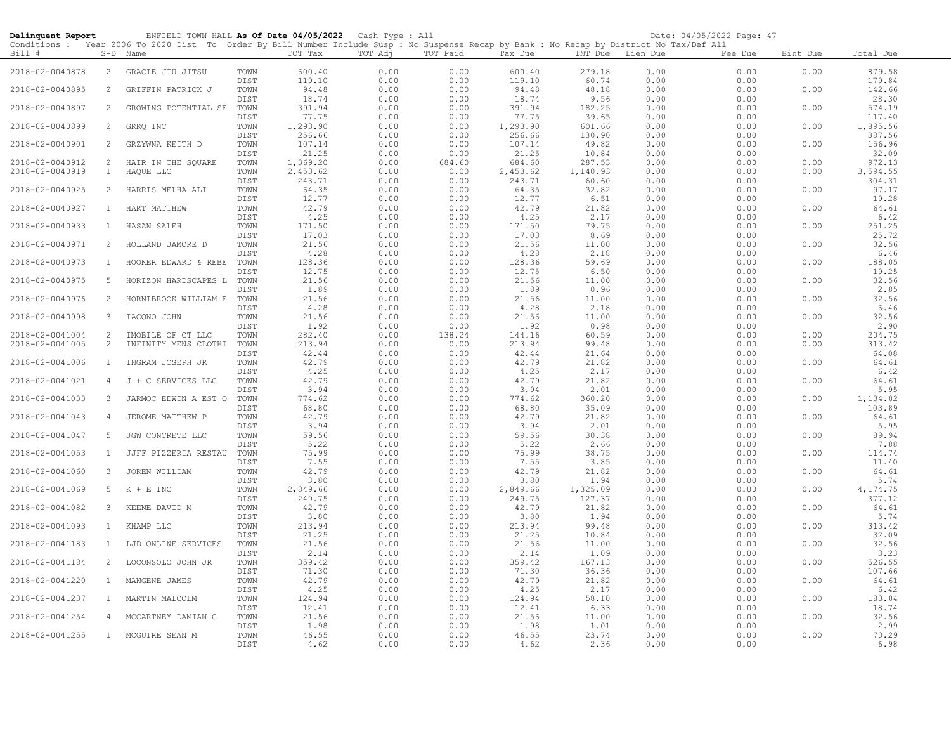| Delinquent Report                  |                       | ENFIELD TOWN HALL As Of Date 04/05/2022<br>Conditions : Year 2006 To 2020 Dist To Order By Bill Number Include Susp : No Suspense Recap by Bank : No Recap by District No Tax/Def All |                      |                       | Cash Type : All      |                      |                       |                       |                      | Date: 04/05/2022 Page: 47 |              |                        |
|------------------------------------|-----------------------|---------------------------------------------------------------------------------------------------------------------------------------------------------------------------------------|----------------------|-----------------------|----------------------|----------------------|-----------------------|-----------------------|----------------------|---------------------------|--------------|------------------------|
| Bill #                             |                       | S-D Name                                                                                                                                                                              |                      | TOT Tax               | TOT Adj              | TOT Paid             | Tax Due               | INT Due Lien Due      |                      | Fee Due                   | Bint Due     | Total Due              |
| 2018-02-0040878                    | 2                     | GRACIE JIU JITSU                                                                                                                                                                      | TOWN<br>DIST         | 600.40<br>119.10      | 0.00<br>0.00         | 0.00<br>0.00         | 600.40<br>119.10      | 279.18<br>60.74       | 0.00<br>0.00         | 0.00<br>0.00              | 0.00         | 879.58<br>179.84       |
| 2018-02-0040895                    | 2                     | GRIFFIN PATRICK J                                                                                                                                                                     | TOWN<br>DIST         | 94.48<br>18.74        | 0.00<br>0.00         | 0.00<br>0.00         | 94.48<br>18.74        | 48.18<br>9.56         | 0.00<br>0.00         | 0.00<br>0.00              | 0.00         | 142.66<br>28.30        |
| 2018-02-0040897                    | 2                     | GROWING POTENTIAL SE                                                                                                                                                                  | TOWN<br>DIST         | 391.94<br>77.75       | 0.00<br>0.00         | 0.00<br>0.00         | 391.94<br>77.75       | 182.25<br>39.65       | 0.00<br>0.00         | 0.00<br>0.00              | 0.00         | 574.19<br>117.40       |
| 2018-02-0040899                    | $\overline{c}$        | GRRQ INC                                                                                                                                                                              | TOWN<br>DIST         | 1,293.90<br>256.66    | 0.00<br>0.00         | 0.00<br>0.00         | 1,293.90<br>256.66    | 601.66<br>130.90      | 0.00<br>0.00         | 0.00<br>0.00              | 0.00         | 1,895.56<br>387.56     |
| 2018-02-0040901                    | 2                     | GRZYWNA KEITH D                                                                                                                                                                       | TOWN<br>DIST         | 107.14<br>21.25       | 0.00<br>0.00         | 0.00<br>0.00         | 107.14<br>21.25       | 49.82<br>10.84        | 0.00<br>0.00         | 0.00<br>0.00              | 0.00         | 156.96<br>32.09        |
| 2018-02-0040912<br>2018-02-0040919 | 2<br>$\mathbf{1}$     | HAIR IN THE SQUARE<br>HAQUE LLC                                                                                                                                                       | TOWN<br>TOWN         | 1,369.20<br>2,453.62  | 0.00<br>0.00         | 684.60<br>0.00       | 684.60<br>2,453.62    | 287.53<br>1,140.93    | 0.00<br>0.00         | 0.00<br>0.00              | 0.00<br>0.00 | 972.13<br>3,594.55     |
| 2018-02-0040925                    | $\overline{2}$        | HARRIS MELHA ALI                                                                                                                                                                      | DIST<br>TOWN         | 243.71<br>64.35       | 0.00<br>0.00         | 0.00<br>0.00         | 243.71<br>64.35       | 60.60<br>32.82        | 0.00<br>0.00         | 0.00<br>0.00              | 0.00         | 304.31<br>97.17        |
| 2018-02-0040927                    | $\mathbf{1}$          | HART MATTHEW                                                                                                                                                                          | DIST<br>TOWN         | 12.77<br>42.79        | 0.00<br>0.00         | 0.00<br>0.00         | 12.77<br>42.79        | 6.51<br>21.82         | 0.00<br>0.00         | 0.00<br>0.00              | 0.00         | 19.28<br>64.61         |
| 2018-02-0040933                    | <sup>1</sup>          | HASAN SALEH                                                                                                                                                                           | DIST<br>TOWN         | 4.25<br>171.50        | 0.00<br>0.00         | 0.00<br>0.00         | 4.25<br>171.50        | 2.17<br>79.75         | 0.00<br>0.00         | 0.00<br>0.00              | 0.00         | 6.42<br>251.25         |
| 2018-02-0040971                    | 2                     | HOLLAND JAMORE D                                                                                                                                                                      | DIST<br>TOWN         | 17.03<br>21.56        | 0.00<br>0.00         | 0.00<br>0.00         | 17.03<br>21.56        | 8.69<br>11.00         | 0.00<br>0.00         | 0.00<br>0.00              | 0.00         | 25.72<br>32.56         |
| 2018-02-0040973                    | $\mathbf{1}$          | HOOKER EDWARD & REBE                                                                                                                                                                  | DIST<br>TOWN         | 4.28<br>128.36        | 0.00<br>0.00         | 0.00<br>0.00         | 4.28<br>128.36        | 2.18<br>59.69         | 0.00<br>0.00         | 0.00<br>0.00              | 0.00         | 6.46<br>188.05         |
| 2018-02-0040975                    | 5                     | HORIZON HARDSCAPES L                                                                                                                                                                  | DIST<br>TOWN         | 12.75<br>21.56        | 0.00<br>0.00         | 0.00<br>0.00         | 12.75<br>21.56        | 6.50<br>11.00         | 0.00<br>0.00         | 0.00<br>0.00              | 0.00         | 19.25<br>32.56         |
| 2018-02-0040976                    | 2                     | HORNIBROOK WILLIAM E                                                                                                                                                                  | DIST<br>TOWN<br>DIST | 1.89<br>21.56         | 0.00<br>0.00         | 0.00<br>0.00         | 1.89<br>21.56         | 0.96<br>11.00         | 0.00<br>0.00         | 0.00<br>0.00              | 0.00         | 2.85<br>32.56          |
| 2018-02-0040998                    | $\mathbf{3}$          | IACONO JOHN                                                                                                                                                                           | TOWN<br>DIST         | 4.28<br>21.56<br>1.92 | 0.00<br>0.00<br>0.00 | 0.00<br>0.00<br>0.00 | 4.28<br>21.56<br>1.92 | 2.18<br>11.00<br>0.98 | 0.00<br>0.00<br>0.00 | 0.00<br>0.00<br>0.00      | 0.00         | 6.46<br>32.56<br>2.90  |
| 2018-02-0041004<br>2018-02-0041005 | 2<br>$\overline{2}$   | IMOBILE OF CT LLC<br>INFINITY MENS CLOTHI                                                                                                                                             | TOWN<br>TOWN         | 282.40<br>213.94      | 0.00<br>0.00         | 138.24<br>0.00       | 144.16<br>213.94      | 60.59<br>99.48        | 0.00<br>0.00         | 0.00<br>0.00              | 0.00<br>0.00 | 204.75<br>313.42       |
| 2018-02-0041006                    | $\mathbf{1}$          | INGRAM JOSEPH JR                                                                                                                                                                      | DIST<br>TOWN         | 42.44<br>42.79        | 0.00<br>0.00         | 0.00<br>0.00         | 42.44<br>42.79        | 21.64<br>21.82        | 0.00<br>0.00         | 0.00<br>0.00              | 0.00         | 64.08<br>64.61         |
| 2018-02-0041021                    | $\overline{4}$        | J + C SERVICES LLC                                                                                                                                                                    | DIST<br>TOWN         | 4.25<br>42.79         | 0.00<br>0.00         | 0.00<br>0.00         | 4.25<br>42.79         | 2.17<br>21.82         | 0.00<br>0.00         | 0.00<br>0.00              | 0.00         | 6.42<br>64.61          |
| 2018-02-0041033                    | 3                     | JARMOC EDWIN A EST O                                                                                                                                                                  | DIST<br>TOWN         | 3.94<br>774.62        | 0.00<br>0.00         | 0.00<br>0.00         | 3.94<br>774.62        | 2.01<br>360.20        | 0.00<br>0.00         | 0.00<br>0.00              | 0.00         | 5.95<br>1,134.82       |
| 2018-02-0041043                    | 4                     | JEROME MATTHEW P                                                                                                                                                                      | DIST<br>TOWN         | 68.80<br>42.79        | 0.00<br>0.00         | 0.00<br>0.00         | 68.80<br>42.79        | 35.09<br>21.82        | 0.00<br>0.00         | 0.00<br>0.00              | 0.00         | 103.89<br>64.61        |
| 2018-02-0041047                    | 5                     | JGW CONCRETE LLC                                                                                                                                                                      | DIST<br>TOWN         | 3.94<br>59.56         | 0.00<br>0.00         | 0.00<br>0.00         | 3.94<br>59.56         | 2.01<br>30.38         | 0.00<br>0.00         | 0.00<br>0.00              | 0.00         | 5.95<br>89.94          |
| 2018-02-0041053                    | $\mathbf{1}$          | JJFF PIZZERIA RESTAU                                                                                                                                                                  | DIST<br>TOWN         | 5.22<br>75.99         | 0.00<br>0.00         | 0.00<br>0.00         | 5.22<br>75.99         | 2.66<br>38.75         | 0.00<br>0.00         | 0.00<br>0.00              | 0.00         | 7.88<br>114.74         |
| 2018-02-0041060                    | 3                     | JOREN WILLIAM                                                                                                                                                                         | DIST<br>TOWN<br>DIST | 7.55<br>42.79<br>3.80 | 0.00<br>0.00<br>0.00 | 0.00<br>0.00<br>0.00 | 7.55<br>42.79<br>3.80 | 3.85<br>21.82<br>1.94 | 0.00<br>0.00<br>0.00 | 0.00<br>0.00<br>0.00      | 0.00         | 11.40<br>64.61<br>5.74 |
| 2018-02-0041069                    | 5                     | $K + E$ INC                                                                                                                                                                           | TOWN<br>DIST         | 2,849.66<br>249.75    | 0.00<br>0.00         | 0.00<br>0.00         | 2,849.66<br>249.75    | 1,325.09<br>127.37    | 0.00<br>0.00         | 0.00<br>0.00              | 0.00         | 4,174.75<br>377.12     |
| 2018-02-0041082                    | 3                     | KEENE DAVID M                                                                                                                                                                         | TOWN<br>DIST         | 42.79<br>3.80         | 0.00<br>0.00         | 0.00<br>0.00         | 42.79<br>3.80         | 21.82<br>1.94         | 0.00<br>0.00         | 0.00<br>0.00              | 0.00         | 64.61<br>5.74          |
| 2018-02-0041093                    | $\mathbf{1}$          | KHAMP LLC                                                                                                                                                                             | TOWN<br>DIST         | 213.94<br>21.25       | 0.00<br>0.00         | 0.00<br>0.00         | 213.94<br>21.25       | 99.48<br>10.84        | 0.00<br>0.00         | 0.00<br>0.00              | 0.00         | 313.42<br>32.09        |
| 2018-02-0041183                    | $\mathbf{1}$          | LJD ONLINE SERVICES                                                                                                                                                                   | TOWN<br>DIST         | 21.56<br>2.14         | 0.00<br>0.00         | 0.00<br>0.00         | 21.56<br>2.14         | 11.00<br>1.09         | 0.00<br>0.00         | 0.00<br>0.00              | 0.00         | 32.56<br>3.23          |
| 2018-02-0041184                    | $\mathbf{2}^{\prime}$ | LOCONSOLO JOHN JR                                                                                                                                                                     | TOWN<br>DIST         | 359.42<br>71.30       | 0.00<br>0.00         | 0.00<br>0.00         | 359.42<br>71.30       | 167.13<br>36.36       | 0.00<br>0.00         | 0.00<br>0.00              | 0.00         | 526.55<br>107.66       |
| 2018-02-0041220                    | $\mathbf{1}$          | MANGENE JAMES                                                                                                                                                                         | TOWN<br>DIST         | 42.79<br>4.25         | 0.00<br>0.00         | 0.00<br>0.00         | 42.79<br>4.25         | 21.82<br>2.17         | 0.00<br>0.00         | 0.00<br>0.00              | 0.00         | 64.61<br>6.42          |
| 2018-02-0041237                    | $\mathbf{1}$          | MARTIN MALCOLM                                                                                                                                                                        | TOWN<br>DIST         | 124.94<br>12.41       | 0.00<br>0.00         | 0.00<br>0.00         | 124.94<br>12.41       | 58.10<br>6.33         | 0.00<br>0.00         | 0.00<br>0.00              | 0.00         | 183.04<br>18.74        |
| 2018-02-0041254                    | $\overline{4}$        | MCCARTNEY DAMIAN C                                                                                                                                                                    | TOWN<br>DIST         | 21.56<br>1.98         | 0.00<br>0.00         | 0.00<br>0.00         | 21.56<br>1.98         | 11.00<br>1.01         | 0.00<br>0.00         | 0.00<br>0.00              | 0.00         | 32.56<br>2.99          |
| 2018-02-0041255                    | 1                     | MCGUIRE SEAN M                                                                                                                                                                        | TOWN<br>DIST         | 46.55<br>4.62         | 0.00<br>0.00         | 0.00<br>0.00         | 46.55<br>4.62         | 23.74<br>2.36         | 0.00<br>0.00         | 0.00<br>0.00              | 0.00         | 70.29<br>6.98          |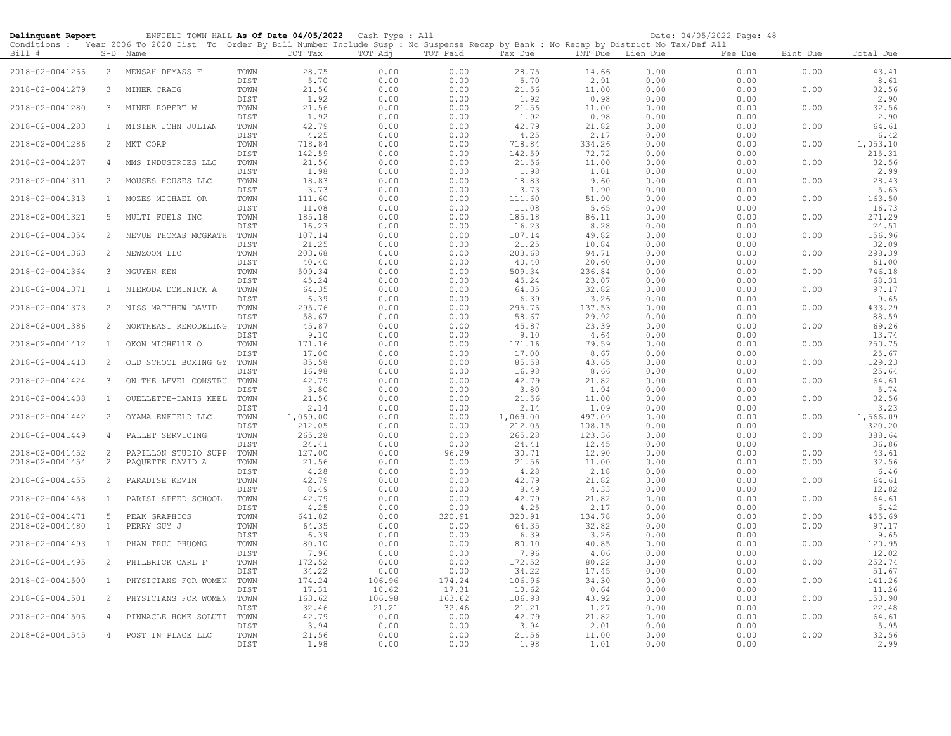| Delinquent Report                  |                   | ENFIELD TOWN HALL As Of Date 04/05/2022 Cash Type : All                                                                                                |                      |                       |                      |                      |                       |                       |                      | Date: 04/05/2022 Page: 48 |              |                       |
|------------------------------------|-------------------|--------------------------------------------------------------------------------------------------------------------------------------------------------|----------------------|-----------------------|----------------------|----------------------|-----------------------|-----------------------|----------------------|---------------------------|--------------|-----------------------|
| Bill #                             |                   | Conditions : Year 2006 To 2020 Dist To Order By Bill Number Include Susp : No Suspense Recap by Bank : No Recap by District No Tax/Def All<br>S-D Name |                      | TOT Tax               | TOT Adj              | TOT Paid             | Tax Due               | INT Due Lien Due      |                      | Fee Due                   | Bint Due     | Total Due             |
| 2018-02-0041266                    | 2                 | MENSAH DEMASS F                                                                                                                                        | TOWN<br>DIST         | 28.75<br>5.70         | 0.00<br>0.00         | 0.00<br>0.00         | 28.75<br>5.70         | 14.66<br>2.91         | 0.00<br>0.00         | 0.00<br>0.00              | 0.00         | 43.41<br>8.61         |
| 2018-02-0041279                    | 3                 | MINER CRAIG                                                                                                                                            | TOWN                 | 21.56                 | 0.00                 | 0.00                 | 21.56                 | 11.00                 | 0.00                 | 0.00                      | 0.00         | 32.56                 |
| 2018-02-0041280                    | 3                 | MINER ROBERT W                                                                                                                                         | DIST<br>TOWN         | 1.92<br>21.56         | 0.00<br>0.00         | 0.00<br>0.00         | 1.92<br>21.56         | 0.98<br>11.00         | 0.00<br>0.00         | 0.00<br>0.00              | 0.00         | 2.90<br>32.56         |
| 2018-02-0041283                    | $\mathbf{1}$      | MISIEK JOHN JULIAN                                                                                                                                     | DIST<br>TOWN         | 1.92<br>42.79         | 0.00<br>0.00         | 0.00<br>0.00         | 1.92<br>42.79         | 0.98<br>21.82         | 0.00<br>0.00         | 0.00<br>0.00              | 0.00         | 2.90<br>64.61         |
| 2018-02-0041286                    | 2                 | MKT CORP                                                                                                                                               | DIST<br>TOWN         | 4.25<br>718.84        | 0.00<br>0.00         | 0.00<br>0.00         | 4.25<br>718.84        | 2.17<br>334.26        | 0.00<br>0.00         | 0.00<br>0.00              | 0.00         | 6.42<br>1,053.10      |
| 2018-02-0041287                    | 4                 | MMS INDUSTRIES LLC                                                                                                                                     | DIST<br>TOWN         | 142.59<br>21.56       | 0.00<br>0.00         | 0.00<br>0.00         | 142.59<br>21.56       | 72.72<br>11.00        | 0.00<br>0.00         | 0.00<br>0.00              | 0.00         | 215.31<br>32.56       |
| 2018-02-0041311                    | 2                 | MOUSES HOUSES LLC                                                                                                                                      | DIST<br>TOWN         | 1.98<br>18.83         | 0.00<br>0.00         | 0.00<br>0.00         | 1.98<br>18.83         | 1.01<br>9.60          | 0.00<br>0.00         | 0.00<br>0.00              | 0.00         | 2.99<br>28.43         |
| 2018-02-0041313                    | $\mathbf{1}$      | MOZES MICHAEL OR                                                                                                                                       | DIST<br>TOWN         | 3.73<br>111.60        | 0.00<br>0.00         | 0.00<br>0.00         | 3.73<br>111.60        | 1.90<br>51.90         | 0.00<br>0.00         | 0.00<br>0.00              | 0.00         | 5.63<br>163.50        |
| 2018-02-0041321                    | 5                 | MULTI FUELS INC                                                                                                                                        | DIST<br>TOWN         | 11.08<br>185.18       | 0.00<br>0.00         | 0.00<br>0.00         | 11.08<br>185.18       | 5.65<br>86.11         | 0.00<br>0.00         | 0.00<br>0.00              | 0.00         | 16.73<br>271.29       |
| 2018-02-0041354                    | 2                 | NEVUE THOMAS MCGRATH                                                                                                                                   | DIST<br>TOWN         | 16.23<br>107.14       | 0.00<br>0.00         | 0.00<br>0.00         | 16.23<br>107.14       | 8.28<br>49.82         | 0.00<br>0.00         | 0.00<br>0.00              | 0.00         | 24.51<br>156.96       |
| 2018-02-0041363                    | 2                 | NEWZOOM LLC                                                                                                                                            | DIST<br>TOWN         | 21.25<br>203.68       | 0.00<br>0.00         | 0.00<br>0.00         | 21.25<br>203.68       | 10.84<br>94.71        | 0.00<br>0.00         | 0.00<br>0.00              | 0.00         | 32.09<br>298.39       |
| 2018-02-0041364                    | 3                 | NGUYEN KEN                                                                                                                                             | DIST<br>TOWN         | 40.40<br>509.34       | 0.00<br>0.00         | 0.00<br>0.00         | 40.40<br>509.34       | 20.60<br>236.84       | 0.00<br>0.00         | 0.00<br>0.00              | 0.00         | 61.00<br>746.18       |
| 2018-02-0041371                    | $\mathbf{1}$      | NIERODA DOMINICK A                                                                                                                                     | DIST<br>TOWN         | 45.24<br>64.35        | 0.00<br>0.00         | 0.00<br>0.00         | 45.24<br>64.35        | 23.07<br>32.82        | 0.00<br>0.00         | 0.00<br>0.00              | 0.00         | 68.31<br>97.17        |
| 2018-02-0041373                    | 2                 | NISS MATTHEW DAVID                                                                                                                                     | DIST<br>TOWN         | 6.39<br>295.76        | 0.00<br>0.00         | 0.00<br>0.00         | 6.39<br>295.76        | 3.26<br>137.53        | 0.00<br>0.00         | 0.00<br>0.00              | 0.00         | 9.65<br>433.29        |
| 2018-02-0041386                    | 2                 | NORTHEAST REMODELING                                                                                                                                   | DIST<br>TOWN         | 58.67<br>45.87        | 0.00<br>0.00         | 0.00<br>0.00         | 58.67<br>45.87        | 29.92<br>23.39        | 0.00<br>0.00         | 0.00<br>0.00              | 0.00         | 88.59<br>69.26        |
| 2018-02-0041412                    | $\mathbf{1}$      | OKON MICHELLE O                                                                                                                                        | DIST<br>TOWN         | 9.10<br>171.16        | 0.00<br>0.00         | 0.00<br>0.00         | 9.10<br>171.16        | 4.64<br>79.59         | 0.00<br>0.00         | 0.00<br>0.00              | 0.00         | 13.74<br>250.75       |
| 2018-02-0041413                    | 2                 | OLD SCHOOL BOXING GY                                                                                                                                   | DIST<br>TOWN         | 17.00<br>85.58        | 0.00<br>0.00         | 0.00<br>0.00         | 17.00<br>85.58        | 8.67<br>43.65         | 0.00<br>0.00         | 0.00<br>0.00              | 0.00         | 25.67<br>129.23       |
| 2018-02-0041424                    | 3                 | ON THE LEVEL CONSTRU                                                                                                                                   | DIST<br>TOWN         | 16.98<br>42.79        | 0.00<br>0.00         | 0.00<br>0.00         | 16.98<br>42.79        | 8.66<br>21.82         | 0.00<br>0.00         | 0.00<br>0.00              | 0.00         | 25.64<br>64.61        |
| 2018-02-0041438                    | $\mathbf{1}$      | OUELLETTE-DANIS KEEL                                                                                                                                   | DIST<br>TOWN         | 3.80<br>21.56         | 0.00<br>0.00         | 0.00<br>0.00         | 3.80<br>21.56         | 1.94<br>11.00         | 0.00<br>0.00         | 0.00<br>0.00              | 0.00         | 5.74<br>32.56         |
| 2018-02-0041442                    | 2                 | OYAMA ENFIELD LLC                                                                                                                                      | DIST<br>TOWN         | 2.14<br>1,069.00      | 0.00<br>0.00         | 0.00<br>0.00         | 2.14<br>1,069.00      | 1.09<br>497.09        | 0.00<br>0.00         | 0.00<br>0.00              | 0.00         | 3.23<br>1,566.09      |
| 2018-02-0041449                    | 4                 | PALLET SERVICING                                                                                                                                       | DIST<br>TOWN         | 212.05<br>265.28      | 0.00<br>0.00         | 0.00<br>0.00         | 212.05<br>265.28      | 108.15<br>123.36      | 0.00<br>0.00         | 0.00<br>0.00              | 0.00         | 320.20<br>388.64      |
| 2018-02-0041452                    | 2                 | PAPILLON STUDIO SUPP                                                                                                                                   | DIST<br>TOWN         | 24.41<br>127.00       | 0.00<br>0.00         | 0.00<br>96.29        | 24.41<br>30.71        | 12.45<br>12.90        | 0.00<br>0.00         | 0.00<br>0.00              | 0.00         | 36.86<br>43.61        |
| 2018-02-0041454                    | 2                 | PAQUETTE DAVID A                                                                                                                                       | TOWN<br>DIST         | 21.56<br>4.28         | 0.00<br>0.00         | 0.00<br>0.00         | 21.56<br>4.28         | 11.00<br>2.18         | 0.00<br>0.00         | 0.00<br>0.00              | 0.00         | 32.56<br>6.46         |
| 2018-02-0041455                    | 2                 | PARADISE KEVIN                                                                                                                                         | TOWN<br>DIST         | 42.79<br>8.49         | 0.00<br>0.00         | 0.00<br>0.00         | 42.79<br>8.49         | 21.82<br>4.33         | 0.00<br>0.00         | 0.00<br>0.00              | 0.00         | 64.61<br>12.82        |
| 2018-02-0041458                    | $\mathbf{1}$      | PARISI SPEED SCHOOL                                                                                                                                    | TOWN<br>DIST         | 42.79<br>4.25         | 0.00<br>0.00         | 0.00<br>0.00         | 42.79<br>4.25         | 21.82<br>2.17         | 0.00<br>0.00         | 0.00<br>0.00              | 0.00         | 64.61<br>6.42         |
| 2018-02-0041471<br>2018-02-0041480 | 5<br>$\mathbf{1}$ | PEAK GRAPHICS<br>PERRY GUY J                                                                                                                           | TOWN<br>TOWN         | 641.82<br>64.35       | 0.00<br>0.00         | 320.91<br>0.00       | 320.91<br>64.35       | 134.78<br>32.82       | 0.00<br>0.00         | 0.00<br>0.00              | 0.00<br>0.00 | 455.69<br>97.17       |
| 2018-02-0041493                    | $\mathbf{1}$      | PHAN TRUC PHUONG                                                                                                                                       | DIST<br>TOWN         | 6.39<br>80.10         | 0.00<br>0.00         | 0.00<br>0.00         | 6.39<br>80.10         | 3.26<br>40.85         | 0.00<br>0.00         | 0.00<br>0.00              | 0.00         | 9.65<br>120.95        |
| 2018-02-0041495                    | 2                 | PHILBRICK CARL F                                                                                                                                       | DIST<br>TOWN         | 7.96<br>172.52        | 0.00<br>0.00         | 0.00<br>0.00         | 7.96<br>172.52        | 4.06<br>80.22         | 0.00<br>0.00         | 0.00<br>0.00              | 0.00         | 12.02<br>252.74       |
| 2018-02-0041500                    | $\mathbf{1}$      | PHYSICIANS FOR WOMEN                                                                                                                                   | DIST<br>TOWN         | 34.22<br>174.24       | 0.00<br>106.96       | 0.00<br>174.24       | 34.22<br>106.96       | 17.45<br>34.30        | 0.00<br>0.00         | 0.00<br>0.00              | 0.00         | 51.67<br>141.26       |
| 2018-02-0041501                    | 2                 | PHYSICIANS FOR WOMEN                                                                                                                                   | DIST<br>TOWN         | 17.31<br>163.62       | 10.62<br>106.98      | 17.31<br>163.62      | 10.62<br>106.98       | 0.64<br>43.92         | 0.00<br>0.00         | 0.00<br>0.00              | 0.00         | 11.26<br>150.90       |
| 2018-02-0041506                    | $\overline{4}$    | PINNACLE HOME SOLUTI                                                                                                                                   | DIST<br>TOWN         | 32.46<br>42.79        | 21.21<br>0.00        | 32.46<br>0.00        | 21.21<br>42.79        | 1.27<br>21.82         | 0.00<br>0.00         | 0.00<br>0.00              | 0.00         | 22.48<br>64.61        |
| 2018-02-0041545                    | $\overline{4}$    | POST IN PLACE LLC                                                                                                                                      | DIST<br>TOWN<br>DIST | 3.94<br>21.56<br>1.98 | 0.00<br>0.00<br>0.00 | 0.00<br>0.00<br>0.00 | 3.94<br>21.56<br>1.98 | 2.01<br>11.00<br>1.01 | 0.00<br>0.00<br>0.00 | 0.00<br>0.00<br>0.00      | 0.00         | 5.95<br>32.56<br>2.99 |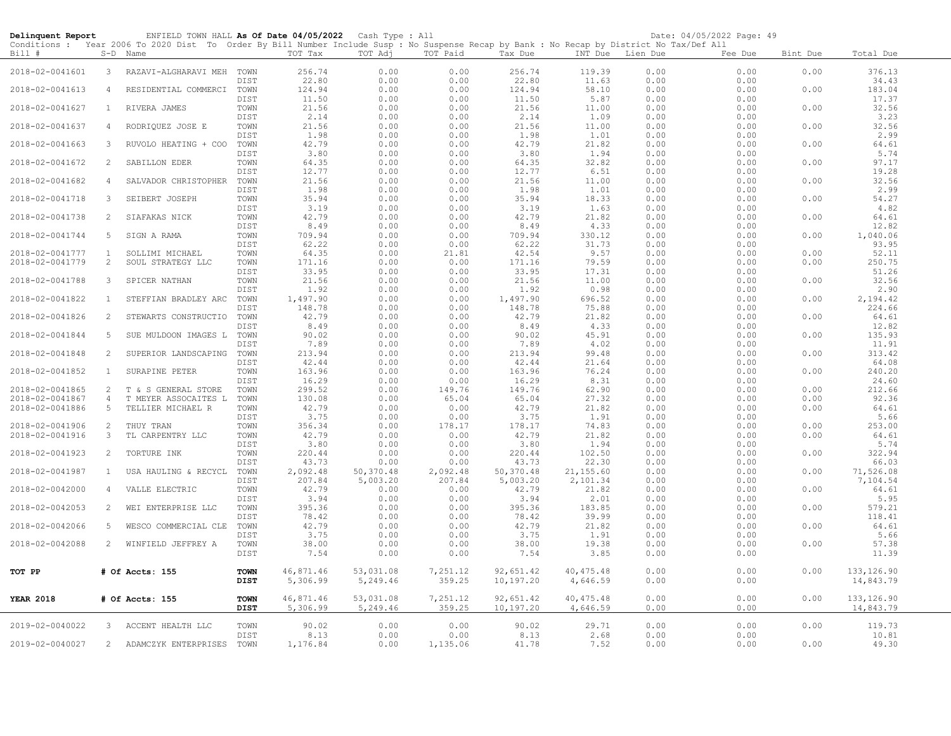| Delinquent Report |                | ENFIELD TOWN HALL As Of Date 04/05/2022 Cash Type : All                                                                                                |              |                   |                   |                    |                    |                     |              | Date: 04/05/2022 Page: 49 |          |                    |
|-------------------|----------------|--------------------------------------------------------------------------------------------------------------------------------------------------------|--------------|-------------------|-------------------|--------------------|--------------------|---------------------|--------------|---------------------------|----------|--------------------|
| Bill #            |                | Conditions : Year 2006 To 2020 Dist To Order By Bill Number Include Susp : No Suspense Recap by Bank : No Recap by District No Tax/Def All<br>S-D Name |              | TOT Tax           | TOT Adj           | TOT Paid           | Tax Due            | INT Due Lien Due    |              | Fee Due                   | Bint Due | Total Due          |
|                   |                |                                                                                                                                                        |              |                   |                   |                    |                    |                     |              |                           |          |                    |
| 2018-02-0041601   | 3              | RAZAVI-ALGHARAVI MEH TOWN                                                                                                                              |              | 256.74            | 0.00              | 0.00               | 256.74             | 119.39              | 0.00         | 0.00                      | 0.00     | 376.13             |
| 2018-02-0041613   | $\overline{4}$ | RESIDENTIAL COMMERCI                                                                                                                                   | DIST<br>TOWN | 22.80<br>124.94   | 0.00<br>0.00      | 0.00<br>0.00       | 22.80<br>124.94    | 11.63<br>58.10      | 0.00<br>0.00 | 0.00<br>0.00              | 0.00     | 34.43<br>183.04    |
|                   |                |                                                                                                                                                        | DIST         | 11.50             | 0.00              | 0.00               | 11.50              | 5.87                | 0.00         | 0.00                      |          | 17.37              |
| 2018-02-0041627   | $\mathbf{1}$   | RIVERA JAMES                                                                                                                                           | TOWN         | 21.56             | 0.00              | 0.00               | 21.56              | 11.00               | 0.00         | 0.00                      | 0.00     | 32.56              |
|                   |                |                                                                                                                                                        | DIST         | 2.14              | 0.00              | 0.00               | 2.14               | 1.09                | 0.00         | 0.00                      |          | 3.23               |
| 2018-02-0041637   | $\overline{4}$ | RODRIQUEZ JOSE E                                                                                                                                       | TOWN<br>DIST | 21.56<br>1.98     | 0.00<br>0.00      | 0.00<br>0.00       | 21.56<br>1.98      | 11.00<br>1.01       | 0.00<br>0.00 | 0.00<br>0.00              | 0.00     | 32.56<br>2.99      |
| 2018-02-0041663   | 3              | RUVOLO HEATING + COO                                                                                                                                   | TOWN         | 42.79             | 0.00              | 0.00               | 42.79              | 21.82               | 0.00         | 0.00                      | 0.00     | 64.61              |
|                   |                |                                                                                                                                                        | DIST         | 3.80              | 0.00              | 0.00               | 3.80               | 1.94                | 0.00         | 0.00                      |          | 5.74               |
| 2018-02-0041672   | 2              | SABILLON EDER                                                                                                                                          | TOWN         | 64.35             | 0.00              | 0.00               | 64.35              | 32.82               | 0.00         | 0.00                      | 0.00     | 97.17              |
|                   | $\overline{4}$ |                                                                                                                                                        | DIST<br>TOWN | 12.77<br>21.56    | 0.00<br>0.00      | 0.00               | 12.77              | 6.51<br>11.00       | 0.00         | 0.00                      |          | 19.28<br>32.56     |
| 2018-02-0041682   |                | SALVADOR CHRISTOPHER                                                                                                                                   | DIST         | 1.98              | 0.00              | 0.00<br>0.00       | 21.56<br>1.98      | 1.01                | 0.00<br>0.00 | 0.00<br>0.00              | 0.00     | 2.99               |
| 2018-02-0041718   | 3              | SEIBERT JOSEPH                                                                                                                                         | TOWN         | 35.94             | 0.00              | 0.00               | 35.94              | 18.33               | 0.00         | 0.00                      | 0.00     | 54.27              |
|                   |                |                                                                                                                                                        | DIST         | 3.19              | 0.00              | 0.00               | 3.19               | 1.63                | 0.00         | 0.00                      |          | 4.82               |
| 2018-02-0041738   | 2              | SIAFAKAS NICK                                                                                                                                          | TOWN         | 42.79             | 0.00              | 0.00               | 42.79              | 21.82               | 0.00         | 0.00                      | 0.00     | 64.61              |
| 2018-02-0041744   | 5              | SIGN A RAMA                                                                                                                                            | DIST<br>TOWN | 8.49<br>709.94    | 0.00<br>0.00      | 0.00<br>0.00       | 8.49<br>709.94     | 4.33<br>330.12      | 0.00<br>0.00 | 0.00<br>0.00              | 0.00     | 12.82<br>1,040.06  |
|                   |                |                                                                                                                                                        | DIST         | 62.22             | 0.00              | 0.00               | 62.22              | 31.73               | 0.00         | 0.00                      |          | 93.95              |
| 2018-02-0041777   | $\mathbf{1}$   | SOLLIMI MICHAEL                                                                                                                                        | TOWN         | 64.35             | 0.00              | 21.81              | 42.54              | 9.57                | 0.00         | 0.00                      | 0.00     | 52.11              |
| 2018-02-0041779   | $\overline{c}$ | SOUL STRATEGY LLC                                                                                                                                      | TOWN         | 171.16            | 0.00              | 0.00               | 171.16             | 79.59               | 0.00         | 0.00                      | 0.00     | 250.75             |
| 2018-02-0041788   | 3              | SPICER NATHAN                                                                                                                                          | DIST<br>TOWN | 33.95<br>21.56    | 0.00<br>0.00      | 0.00<br>0.00       | 33.95<br>21.56     | 17.31<br>11.00      | 0.00<br>0.00 | 0.00<br>0.00              | 0.00     | 51.26<br>32.56     |
|                   |                |                                                                                                                                                        | DIST         | 1.92              | 0.00              | 0.00               | 1.92               | 0.98                | 0.00         | 0.00                      |          | 2.90               |
| 2018-02-0041822   | <sup>1</sup>   | STEFFIAN BRADLEY ARC                                                                                                                                   | TOWN         | 1,497.90          | 0.00              | 0.00               | 1,497.90           | 696.52              | 0.00         | 0.00                      | 0.00     | 2,194.42           |
|                   |                |                                                                                                                                                        | DIST         | 148.78            | 0.00              | 0.00               | 148.78             | 75.88               | 0.00         | 0.00                      |          | 224.66             |
| 2018-02-0041826   | 2              | STEWARTS CONSTRUCTIO                                                                                                                                   | TOWN         | 42.79             | 0.00              | 0.00               | 42.79              | 21.82               | 0.00         | 0.00                      | 0.00     | 64.61              |
| 2018-02-0041844   | 5              | SUE MULDOON IMAGES L                                                                                                                                   | DIST<br>TOWN | 8.49<br>90.02     | 0.00<br>0.00      | 0.00<br>0.00       | 8.49<br>90.02      | 4.33<br>45.91       | 0.00<br>0.00 | 0.00<br>0.00              | 0.00     | 12.82<br>135.93    |
|                   |                |                                                                                                                                                        | DIST         | 7.89              | 0.00              | 0.00               | 7.89               | 4.02                | 0.00         | 0.00                      |          | 11.91              |
| 2018-02-0041848   | $\overline{2}$ | SUPERIOR LANDSCAPING                                                                                                                                   | TOWN         | 213.94            | 0.00              | 0.00               | 213.94             | 99.48               | 0.00         | 0.00                      | 0.00     | 313.42             |
|                   |                |                                                                                                                                                        | DIST         | 42.44             | 0.00              | 0.00               | 42.44              | 21.64               | 0.00         | 0.00                      |          | 64.08              |
| 2018-02-0041852   | $\mathbf{1}$   | SURAPINE PETER                                                                                                                                         | TOWN<br>DIST | 163.96<br>16.29   | 0.00<br>0.00      | 0.00<br>0.00       | 163.96<br>16.29    | 76.24<br>8.31       | 0.00<br>0.00 | 0.00<br>0.00              | 0.00     | 240.20<br>24.60    |
| 2018-02-0041865   | $\overline{2}$ | T & S GENERAL STORE                                                                                                                                    | TOWN         | 299.52            | 0.00              | 149.76             | 149.76             | 62.90               | 0.00         | 0.00                      | 0.00     | 212.66             |
| 2018-02-0041867   | $\overline{4}$ | T MEYER ASSOCAITES L                                                                                                                                   | TOWN         | 130.08            | 0.00              | 65.04              | 65.04              | 27.32               | 0.00         | 0.00                      | 0.00     | 92.36              |
| 2018-02-0041886   | 5              | TELLIER MICHAEL R                                                                                                                                      | TOWN         | 42.79             | 0.00              | 0.00               | 42.79              | 21.82               | 0.00         | 0.00                      | 0.00     | 64.61              |
| 2018-02-0041906   | 2              |                                                                                                                                                        | DIST<br>TOWN | 3.75<br>356.34    | 0.00<br>0.00      | 0.00<br>178.17     | 3.75<br>178.17     | 1.91<br>74.83       | 0.00<br>0.00 | 0.00<br>0.00              | 0.00     | 5.66<br>253.00     |
| 2018-02-0041916   | 3              | THUY TRAN<br>TL CARPENTRY LLC                                                                                                                          | TOWN         | 42.79             | 0.00              | 0.00               | 42.79              | 21.82               | 0.00         | 0.00                      | 0.00     | 64.61              |
|                   |                |                                                                                                                                                        | DIST         | 3.80              | 0.00              | 0.00               | 3.80               | 1.94                | 0.00         | 0.00                      |          | 5.74               |
| 2018-02-0041923   | 2              | TORTURE INK                                                                                                                                            | TOWN         | 220.44            | 0.00              | 0.00               | 220.44             | 102.50              | 0.00         | 0.00                      | 0.00     | 322.94             |
|                   | <sup>1</sup>   |                                                                                                                                                        | DIST         | 43.73<br>2,092.48 | 0.00<br>50,370.48 | 0.00               | 43.73<br>50,370.48 | 22.30<br>21, 155.60 | 0.00         | 0.00                      |          | 66.03<br>71,526.08 |
| 2018-02-0041987   |                | USA HAULING & RECYCL                                                                                                                                   | TOWN<br>DIST | 207.84            | 5,003.20          | 2,092.48<br>207.84 | 5,003.20           | 2,101.34            | 0.00<br>0.00 | 0.00<br>0.00              | 0.00     | 7,104.54           |
| 2018-02-0042000   | $\overline{4}$ | VALLE ELECTRIC                                                                                                                                         | TOWN         | 42.79             | 0.00              | 0.00               | 42.79              | 21.82               | 0.00         | 0.00                      | 0.00     | 64.61              |
|                   |                |                                                                                                                                                        | DIST         | 3.94              | 0.00              | 0.00               | 3.94               | 2.01                | 0.00         | 0.00                      |          | 5.95               |
| 2018-02-0042053   | $\overline{2}$ | WEI ENTERPRISE LLC                                                                                                                                     | TOWN         | 395.36            | 0.00              | 0.00               | 395.36             | 183.85              | 0.00         | 0.00                      | 0.00     | 579.21             |
| 2018-02-0042066   | 5              | WESCO COMMERCIAL CLE                                                                                                                                   | DIST<br>TOWN | 78.42<br>42.79    | 0.00<br>0.00      | 0.00<br>0.00       | 78.42<br>42.79     | 39.99<br>21.82      | 0.00<br>0.00 | 0.00<br>0.00              | 0.00     | 118.41<br>64.61    |
|                   |                |                                                                                                                                                        | DIST         | 3.75              | 0.00              | 0.00               | 3.75               | 1.91                | 0.00         | 0.00                      |          | 5.66               |
| 2018-02-0042088   | 2              | WINFIELD JEFFREY A                                                                                                                                     | TOWN         | 38.00             | 0.00              | 0.00               | 38.00              | 19.38               | 0.00         | 0.00                      | 0.00     | 57.38              |
|                   |                |                                                                                                                                                        | DIST         | 7.54              | 0.00              | 0.00               | 7.54               | 3.85                | 0.00         | 0.00                      |          | 11.39              |
| TOT PP            |                | # Of Accts: 155                                                                                                                                        | <b>TOWN</b>  | 46,871.46         | 53,031.08         | 7,251.12           | 92,651.42          | 40, 475.48          | 0.00         | 0.00                      | 0.00     | 133, 126.90        |
|                   |                |                                                                                                                                                        | DIST         | 5,306.99          | 5,249.46          | 359.25             | 10,197.20          | 4,646.59            | 0.00         | 0.00                      |          | 14,843.79          |
|                   |                |                                                                                                                                                        |              |                   |                   |                    |                    |                     |              |                           |          |                    |
| <b>YEAR 2018</b>  |                | # Of Accts: 155                                                                                                                                        | <b>TOWN</b>  | 46,871.46         | 53,031.08         | 7,251.12           | 92,651.42          | 40, 475.48          | 0.00         | 0.00                      | 0.00     | 133, 126.90        |
|                   |                |                                                                                                                                                        | DIST         | 5,306.99          | 5,249.46          | 359.25             | 10,197.20          | 4,646.59            | 0.00         | 0.00                      |          | 14,843.79          |
| 2019-02-0040022   | $\mathcal{E}$  | ACCENT HEALTH LLC                                                                                                                                      | TOWN         | 90.02             | 0.00              | 0.00               | 90.02              | 29.71               | 0.00         | 0.00                      | 0.00     | 119.73             |
|                   |                |                                                                                                                                                        | DIST         | 8.13              | 0.00              | 0.00               | 8.13               | 2.68                | 0.00         | 0.00                      |          | 10.81              |
| 2019-02-0040027   |                | 2 ADAMCZYK ENTERPRISES                                                                                                                                 | TOWN         | 1,176.84          | 0.00              | 1,135.06           | 41.78              | 7.52                | 0.00         | 0.00                      | 0.00     | 49.30              |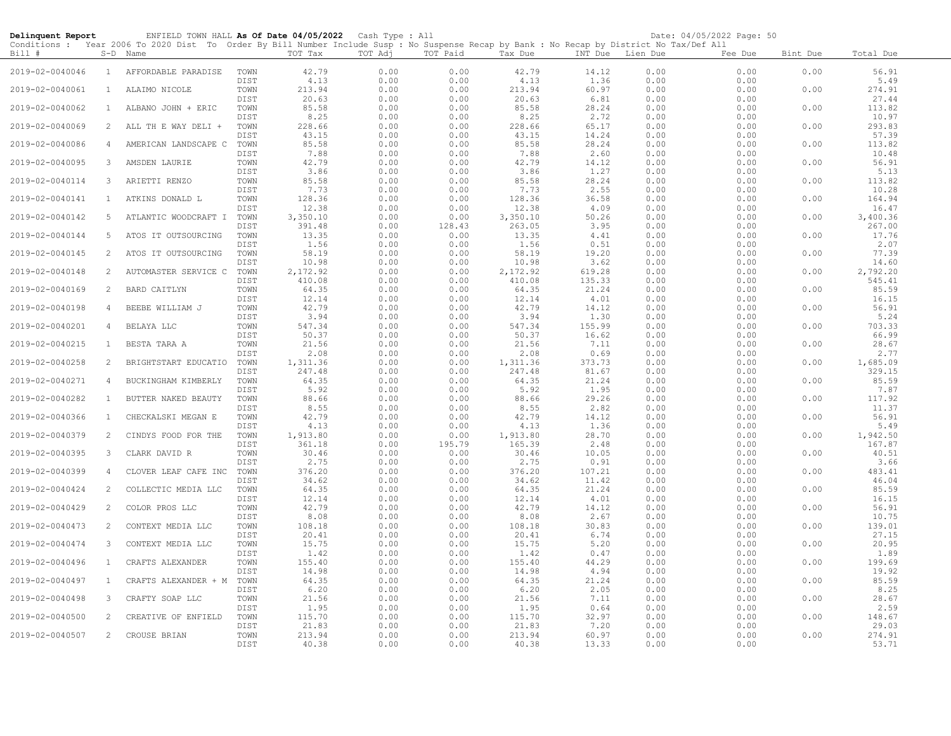| Delinquent Report |                | ENFIELD TOWN HALL As Of Date 04/05/2022 Cash Type : All                                                                                             |                      |                         |                      |                      |                         |                         |                      | Date: 04/05/2022 Page: 50 |          |                         |
|-------------------|----------------|-----------------------------------------------------------------------------------------------------------------------------------------------------|----------------------|-------------------------|----------------------|----------------------|-------------------------|-------------------------|----------------------|---------------------------|----------|-------------------------|
| Bill #            |                | Conditions: Year 2006 To 2020 Dist To Order By Bill Number Include Susp: No Suspense Recap by Bank: No Recap by District No Tax/Def All<br>S-D Name |                      | TOT Tax                 | TOT Adj              | TOT Paid             | Tax Due                 | INT Due Lien Due        |                      | Fee Due                   | Bint Due | Total Due               |
| 2019-02-0040046   | $\mathbf{1}$   | AFFORDABLE PARADISE                                                                                                                                 | TOWN<br>DIST         | 42.79<br>4.13           | 0.00<br>0.00         | 0.00<br>0.00         | 42.79<br>4.13           | 14.12<br>1.36           | 0.00<br>0.00         | 0.00<br>0.00              | 0.00     | 56.91<br>5.49           |
| 2019-02-0040061   | $\mathbf{1}$   | ALAIMO NICOLE                                                                                                                                       | TOWN<br>DIST         | 213.94<br>20.63         | 0.00<br>0.00         | 0.00<br>0.00         | 213.94<br>20.63         | 60.97<br>6.81           | 0.00<br>0.00         | 0.00<br>0.00              | 0.00     | 274.91<br>27.44         |
| 2019-02-0040062   | $\mathbf{1}$   | ALBANO JOHN + ERIC                                                                                                                                  | TOWN<br>DIST         | 85.58<br>8.25           | 0.00<br>0.00         | 0.00<br>0.00         | 85.58<br>8.25           | 28.24<br>2.72           | 0.00<br>0.00         | 0.00<br>0.00              | 0.00     | 113.82<br>10.97         |
| 2019-02-0040069   | $\overline{2}$ | ALL TH E WAY DELI +                                                                                                                                 | TOWN<br>DIST         | 228.66<br>43.15         | 0.00<br>0.00         | 0.00<br>0.00         | 228.66<br>43.15         | 65.17<br>14.24          | 0.00<br>0.00         | 0.00<br>0.00              | 0.00     | 293.83<br>57.39         |
| 2019-02-0040086   | $\overline{4}$ | AMERICAN LANDSCAPE C                                                                                                                                | TOWN                 | 85.58                   | 0.00                 | 0.00                 | 85.58                   | 28.24                   | 0.00                 | 0.00                      | 0.00     | 113.82                  |
| 2019-02-0040095   | 3              | AMSDEN LAURIE                                                                                                                                       | DIST<br>TOWN         | 7.88<br>42.79           | 0.00<br>0.00         | 0.00<br>0.00         | 7.88<br>42.79           | 2.60<br>14.12           | 0.00<br>0.00         | 0.00<br>0.00              | 0.00     | 10.48<br>56.91          |
| 2019-02-0040114   | 3              | ARIETTI RENZO                                                                                                                                       | DIST<br>TOWN         | 3.86<br>85.58           | 0.00<br>0.00         | 0.00<br>0.00         | 3.86<br>85.58           | 1.27<br>28.24           | 0.00<br>0.00         | 0.00<br>0.00              | 0.00     | 5.13<br>113.82          |
| 2019-02-0040141   | $\mathbf{1}$   | ATKINS DONALD L                                                                                                                                     | DIST<br>TOWN         | 7.73<br>128.36          | 0.00<br>0.00         | 0.00<br>0.00         | 7.73<br>128.36          | 2.55<br>36.58           | 0.00<br>0.00         | 0.00<br>0.00              | 0.00     | 10.28<br>164.94         |
| 2019-02-0040142   | 5              | ATLANTIC WOODCRAFT I                                                                                                                                | DIST<br>TOWN         | 12.38<br>3,350.10       | 0.00<br>0.00         | 0.00<br>0.00         | 12.38<br>3,350.10       | 4.09<br>50.26           | 0.00<br>0.00         | 0.00<br>0.00              | 0.00     | 16.47<br>3,400.36       |
| 2019-02-0040144   | 5              | ATOS IT OUTSOURCING                                                                                                                                 | DIST<br>TOWN         | 391.48<br>13.35         | 0.00<br>0.00         | 128.43<br>0.00       | 263.05<br>13.35         | 3.95<br>4.41            | 0.00<br>0.00         | 0.00<br>0.00              | 0.00     | 267.00<br>17.76         |
| 2019-02-0040145   | 2              | ATOS IT OUTSOURCING                                                                                                                                 | DIST<br>TOWN         | 1.56<br>58.19           | 0.00<br>0.00         | 0.00<br>0.00         | 1.56<br>58.19           | 0.51<br>19.20           | 0.00<br>0.00         | 0.00<br>0.00              | 0.00     | 2.07<br>77.39           |
| 2019-02-0040148   | 2              | AUTOMASTER SERVICE C                                                                                                                                | DIST<br>TOWN         | 10.98<br>2,172.92       | 0.00<br>0.00         | 0.00<br>0.00         | 10.98<br>2,172.92       | 3.62<br>619.28          | 0.00<br>0.00         | 0.00<br>0.00              | 0.00     | 14.60<br>2,792.20       |
| 2019-02-0040169   | 2              | BARD CAITLYN                                                                                                                                        | DIST<br>TOWN         | 410.08<br>64.35         | 0.00<br>0.00         | 0.00<br>0.00         | 410.08<br>64.35         | 135.33<br>21.24         | 0.00<br>0.00         | 0.00<br>0.00              | 0.00     | 545.41<br>85.59         |
| 2019-02-0040198   | $\overline{4}$ | BEEBE WILLIAM J                                                                                                                                     | DIST<br>TOWN         | 12.14<br>42.79          | 0.00<br>0.00         | 0.00<br>0.00         | 12.14<br>42.79          | 4.01<br>14.12           | 0.00<br>0.00         | 0.00<br>0.00              | 0.00     | 16.15<br>56.91          |
| 2019-02-0040201   | 4              | BELAYA LLC                                                                                                                                          | DIST<br>TOWN         | 3.94<br>547.34          | 0.00<br>0.00         | 0.00<br>0.00         | 3.94<br>547.34          | 1.30<br>155.99          | 0.00<br>0.00         | 0.00<br>0.00              | 0.00     | 5.24<br>703.33          |
| 2019-02-0040215   | 1              | BESTA TARA A                                                                                                                                        | DIST<br>TOWN         | 50.37<br>21.56          | 0.00<br>0.00         | 0.00<br>0.00         | 50.37<br>21.56          | 16.62<br>7.11           | 0.00<br>0.00         | 0.00<br>0.00              | 0.00     | 66.99<br>28.67          |
| 2019-02-0040258   | 2              | BRIGHTSTART EDUCATIO                                                                                                                                | DIST<br>TOWN         | 2.08<br>1,311.36        | 0.00<br>0.00         | 0.00<br>0.00         | 2.08<br>1,311.36        | 0.69<br>373.73          | 0.00<br>0.00         | 0.00<br>0.00              | 0.00     | 2.77<br>1,685.09        |
| 2019-02-0040271   | $\overline{4}$ | BUCKINGHAM KIMBERLY                                                                                                                                 | DIST<br>TOWN         | 247.48<br>64.35         | 0.00<br>0.00         | 0.00<br>0.00         | 247.48<br>64.35         | 81.67<br>21.24          | 0.00<br>0.00         | 0.00<br>0.00              | 0.00     | 329.15<br>85.59         |
| 2019-02-0040282   | $\mathbf{1}$   | BUTTER NAKED BEAUTY                                                                                                                                 | DIST<br>TOWN         | 5.92<br>88.66           | 0.00<br>0.00         | 0.00<br>0.00         | 5.92<br>88.66           | 1.95<br>29.26           | 0.00<br>0.00         | 0.00<br>0.00              | 0.00     | 7.87<br>117.92          |
| 2019-02-0040366   | $\mathbf{1}$   | CHECKALSKI MEGAN E                                                                                                                                  | DIST<br>TOWN         | 8.55<br>42.79           | 0.00<br>0.00         | 0.00<br>0.00         | 8.55<br>42.79           | 2.82<br>14.12           | 0.00<br>0.00         | 0.00<br>0.00              | 0.00     | 11.37<br>56.91          |
| 2019-02-0040379   | 2              | CINDYS FOOD FOR THE                                                                                                                                 | DIST<br>TOWN         | 4.13<br>1,913.80        | 0.00<br>0.00         | 0.00<br>0.00         | 4.13<br>1,913.80        | 1.36<br>28.70           | 0.00<br>0.00         | 0.00<br>0.00              | 0.00     | 5.49<br>1,942.50        |
| 2019-02-0040395   | 3              | CLARK DAVID R                                                                                                                                       | DIST<br>TOWN         | 361.18<br>30.46         | 0.00<br>0.00         | 195.79<br>0.00       | 165.39<br>30.46         | 2.48<br>10.05           | 0.00<br>0.00         | 0.00<br>0.00              | 0.00     | 167.87<br>40.51         |
| 2019-02-0040399   | $\overline{4}$ | CLOVER LEAF CAFE INC                                                                                                                                | DIST<br>TOWN<br>DIST | 2.75<br>376.20<br>34.62 | 0.00<br>0.00<br>0.00 | 0.00<br>0.00<br>0.00 | 2.75<br>376.20<br>34.62 | 0.91<br>107.21<br>11.42 | 0.00<br>0.00<br>0.00 | 0.00<br>0.00<br>0.00      | 0.00     | 3.66<br>483.41<br>46.04 |
| 2019-02-0040424   | 2              | COLLECTIC MEDIA LLC                                                                                                                                 | TOWN<br>DIST         | 64.35<br>12.14          | 0.00<br>0.00         | 0.00<br>0.00         | 64.35<br>12.14          | 21.24<br>4.01           | 0.00<br>0.00         | 0.00<br>0.00              | 0.00     | 85.59<br>16.15          |
| 2019-02-0040429   | 2              | COLOR PROS LLC                                                                                                                                      | TOWN<br>DIST         | 42.79<br>8.08           | 0.00<br>0.00         | 0.00<br>0.00         | 42.79<br>8.08           | 14.12<br>2.67           | 0.00<br>0.00         | 0.00<br>0.00              | 0.00     | 56.91<br>10.75          |
| 2019-02-0040473   | 2              | CONTEXT MEDIA LLC                                                                                                                                   | TOWN<br>DIST         | 108.18<br>20.41         | 0.00<br>0.00         | 0.00<br>0.00         | 108.18<br>20.41         | 30.83<br>6.74           | 0.00<br>0.00         | 0.00<br>0.00              | 0.00     | 139.01<br>27.15         |
| 2019-02-0040474   | 3              | CONTEXT MEDIA LLC                                                                                                                                   | TOWN                 | 15.75                   | 0.00<br>0.00         | 0.00                 | 15.75                   | 5.20                    | 0.00                 | 0.00<br>0.00              | 0.00     | 20.95<br>1.89           |
| 2019-02-0040496   | 1              | CRAFTS ALEXANDER                                                                                                                                    | DIST<br>TOWN<br>DIST | 1.42<br>155.40<br>14.98 | 0.00<br>0.00         | 0.00<br>0.00<br>0.00 | 1.42<br>155.40<br>14.98 | 0.47<br>44.29<br>4.94   | 0.00<br>0.00<br>0.00 | 0.00<br>0.00              | 0.00     | 199.69<br>19.92         |
| 2019-02-0040497   | 1              | CRAFTS ALEXANDER + M                                                                                                                                | TOWN<br>DIST         | 64.35<br>6.20           | 0.00<br>0.00         | 0.00<br>0.00         | 64.35<br>6.20           | 21.24<br>2.05           | 0.00<br>0.00         | 0.00<br>0.00              | 0.00     | 85.59<br>8.25           |
| 2019-02-0040498   | $\mathbf{3}$   | CRAFTY SOAP LLC                                                                                                                                     | TOWN<br>DIST         | 21.56<br>1.95           | 0.00                 | 0.00<br>0.00         | 21.56<br>1.95           | 7.11<br>0.64            | 0.00<br>0.00         | 0.00<br>0.00              | 0.00     | 28.67<br>2.59           |
| 2019-02-0040500   | 2              | CREATIVE OF ENFIELD                                                                                                                                 | TOWN<br>DIST         | 115.70<br>21.83         | 0.00<br>0.00<br>0.00 | 0.00<br>0.00         | 115.70<br>21.83         | 32.97<br>7.20           | 0.00<br>0.00         | 0.00<br>0.00              | 0.00     | 148.67<br>29.03         |
| 2019-02-0040507   | 2              | CROUSE BRIAN                                                                                                                                        | TOWN<br>DIST         | 213.94<br>40.38         | 0.00<br>0.00         | 0.00<br>0.00         | 213.94<br>40.38         | 60.97<br>13.33          | 0.00<br>0.00         | 0.00<br>0.00              | 0.00     | 274.91<br>53.71         |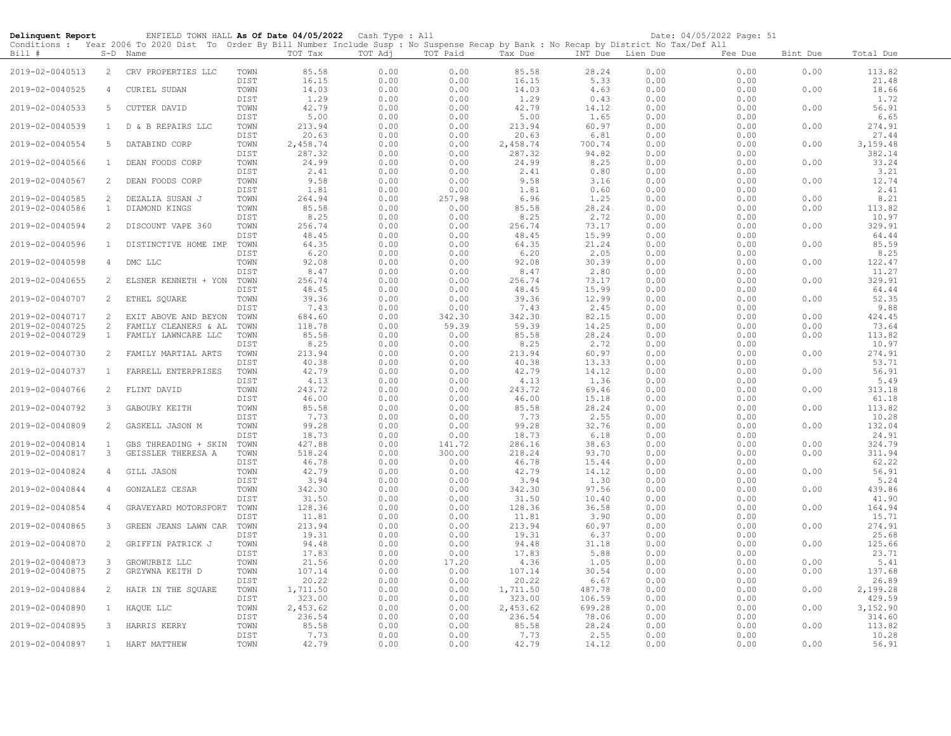| Delinquent Report |                       | ENFIELD TOWN HALL As Of Date 04/05/2022 Cash Type : All                                                                                                |              |                   |              |              |                   |                  |              | Date: 04/05/2022 Page: 51 |          |                   |
|-------------------|-----------------------|--------------------------------------------------------------------------------------------------------------------------------------------------------|--------------|-------------------|--------------|--------------|-------------------|------------------|--------------|---------------------------|----------|-------------------|
| Bill #            |                       | Conditions : Year 2006 To 2020 Dist To Order By Bill Number Include Susp : No Suspense Recap by Bank : No Recap by District No Tax/Def All<br>S-D Name |              | TOT Tax           | TOT Adj      | TOT Paid     | Tax Due           | INT Due Lien Due |              | Fee Due                   | Bint Due | Total Due         |
| 2019-02-0040513   | $\overline{2}$        | CRV PROPERTIES LLC                                                                                                                                     | TOWN         | 85.58             | 0.00         | 0.00         | 85.58             | 28.24            | 0.00         | 0.00                      | 0.00     | 113.82            |
| 2019-02-0040525   | 4                     | CURIEL SUDAN                                                                                                                                           | DIST<br>TOWN | 16.15<br>14.03    | 0.00<br>0.00 | 0.00<br>0.00 | 16.15<br>14.03    | 5.33<br>4.63     | 0.00<br>0.00 | 0.00<br>0.00              | 0.00     | 21.48<br>18.66    |
| 2019-02-0040533   | 5                     | CUTTER DAVID                                                                                                                                           | DIST<br>TOWN | 1.29<br>42.79     | 0.00<br>0.00 | 0.00<br>0.00 | 1.29<br>42.79     | 0.43<br>14.12    | 0.00<br>0.00 | 0.00<br>0.00              | 0.00     | 1.72<br>56.91     |
| 2019-02-0040539   | $\mathbf{1}$          | D & B REPAIRS LLC                                                                                                                                      | DIST<br>TOWN | 5.00<br>213.94    | 0.00<br>0.00 | 0.00<br>0.00 | 5.00<br>213.94    | 1.65<br>60.97    | 0.00<br>0.00 | 0.00<br>0.00              | 0.00     | 6.65<br>274.91    |
| 2019-02-0040554   | 5                     | DATABIND CORP                                                                                                                                          | DIST<br>TOWN | 20.63<br>2,458.74 | 0.00<br>0.00 | 0.00<br>0.00 | 20.63<br>2,458.74 | 6.81<br>700.74   | 0.00<br>0.00 | 0.00<br>0.00              | 0.00     | 27.44<br>3,159.48 |
| 2019-02-0040566   | $\mathbf{1}$          | DEAN FOODS CORP                                                                                                                                        | DIST<br>TOWN | 287.32<br>24.99   | 0.00<br>0.00 | 0.00<br>0.00 | 287.32<br>24.99   | 94.82<br>8.25    | 0.00<br>0.00 | 0.00<br>0.00              | 0.00     | 382.14<br>33.24   |
|                   |                       |                                                                                                                                                        | DIST         | 2.41              | 0.00         | 0.00         | 2.41              | 0.80             | 0.00         | 0.00                      |          | 3.21              |
| 2019-02-0040567   | $\overline{2}$        | DEAN FOODS CORP                                                                                                                                        | TOWN<br>DIST | 9.58<br>1.81      | 0.00<br>0.00 | 0.00<br>0.00 | 9.58<br>1.81      | 3.16<br>0.60     | 0.00<br>0.00 | 0.00<br>0.00              | 0.00     | 12.74<br>2.41     |
| 2019-02-0040585   | 2                     | DEZALIA SUSAN J                                                                                                                                        | TOWN         | 264.94            | 0.00         | 257.98       | 6.96              | 1.25             | 0.00         | 0.00                      | 0.00     | 8.21              |
| 2019-02-0040586   | $\mathbf{1}$          | DIAMOND KINGS                                                                                                                                          | TOWN         | 85.58             | 0.00         | 0.00         | 85.58             | 28.24            | 0.00         | 0.00                      | 0.00     | 113.82            |
|                   |                       |                                                                                                                                                        | DIST         | 8.25              | 0.00         | 0.00         | 8.25              | 2.72             | 0.00         | 0.00                      |          | 10.97             |
|                   |                       |                                                                                                                                                        |              |                   |              |              |                   | 73.17            |              |                           |          |                   |
| 2019-02-0040594   | 2                     | DISCOUNT VAPE 360                                                                                                                                      | TOWN         | 256.74            | 0.00         | 0.00         | 256.74            |                  | 0.00         | 0.00                      | 0.00     | 329.91            |
|                   |                       |                                                                                                                                                        | DIST         | 48.45             | 0.00         | 0.00         | 48.45             | 15.99            | 0.00         | 0.00                      |          | 64.44             |
| 2019-02-0040596   | $\overline{1}$        | DISTINCTIVE HOME IMP                                                                                                                                   | TOWN         | 64.35             | 0.00         | 0.00         | 64.35             | 21.24            | 0.00         | 0.00                      | 0.00     | 85.59             |
|                   |                       |                                                                                                                                                        | DIST         | 6.20              | 0.00         | 0.00         | 6.20              | 2.05             | 0.00         | 0.00                      |          | 8.25              |
| 2019-02-0040598   | 4                     | DMC LLC                                                                                                                                                | TOWN         | 92.08             | 0.00         | 0.00         | 92.08             | 30.39            | 0.00         | 0.00                      | 0.00     | 122.47            |
|                   |                       |                                                                                                                                                        |              |                   |              |              |                   |                  |              |                           |          |                   |
|                   |                       |                                                                                                                                                        | DIST         | 8.47              | 0.00         | 0.00         | 8.47              | 2.80             | 0.00         | 0.00                      |          | 11.27             |
| 2019-02-0040655   | $\mathbf{2}^{\prime}$ | ELSNER KENNETH + YON                                                                                                                                   | TOWN         | 256.74            | 0.00         | 0.00         | 256.74            | 73.17            | 0.00         | 0.00                      | 0.00     | 329.91            |
|                   |                       |                                                                                                                                                        | DIST         | 48.45             | 0.00         | 0.00         | 48.45             | 15.99            | 0.00         | 0.00                      |          | 64.44             |
| 2019-02-0040707   | 2                     | ETHEL SOUARE                                                                                                                                           | TOWN         | 39.36             | 0.00         | 0.00         | 39.36             | 12.99            | 0.00         | 0.00                      | 0.00     | 52.35             |
|                   |                       |                                                                                                                                                        | DIST         | 7.43              | 0.00         | 0.00         | 7.43              | 2.45             | 0.00         | 0.00                      |          | 9.88              |
|                   |                       |                                                                                                                                                        |              |                   |              |              |                   |                  |              |                           |          |                   |
| 2019-02-0040717   | 2                     | EXIT ABOVE AND BEYON                                                                                                                                   | TOWN         | 684.60            | 0.00         | 342.30       | 342.30            | 82.15            | 0.00         | 0.00                      | 0.00     | 424.45            |
| 2019-02-0040725   | 2                     | FAMILY CLEANERS & AL                                                                                                                                   | TOWN         | 118.78            | 0.00         | 59.39        | 59.39             | 14.25            | 0.00         | 0.00                      | 0.00     | 73.64             |
| 2019-02-0040729   | $\mathbf{1}$          | FAMILY LAWNCARE LLC                                                                                                                                    | TOWN         | 85.58             | 0.00         | 0.00         | 85.58             | 28.24            | 0.00         | 0.00                      | 0.00     | 113.82            |
|                   |                       |                                                                                                                                                        | DIST         | 8.25              | 0.00         | 0.00         | 8.25              | 2.72             | 0.00         | 0.00                      |          | 10.97             |
| 2019-02-0040730   | 2                     | FAMILY MARTIAL ARTS                                                                                                                                    | TOWN         | 213.94            | 0.00         | 0.00         | 213.94            | 60.97            | 0.00         | 0.00                      | 0.00     | 274.91            |
|                   |                       |                                                                                                                                                        | DIST         | 40.38             |              |              | 40.38             | 13.33            |              | 0.00                      |          | 53.71             |
|                   |                       |                                                                                                                                                        |              |                   | 0.00         | 0.00         |                   |                  | 0.00         |                           |          |                   |
| 2019-02-0040737   | $\mathbf{1}$          | FARRELL ENTERPRISES                                                                                                                                    | TOWN         | 42.79             | 0.00         | 0.00         | 42.79             | 14.12            | 0.00         | 0.00                      | 0.00     | 56.91             |
|                   |                       |                                                                                                                                                        | DIST         | 4.13              | 0.00         | 0.00         | 4.13              | 1.36             | 0.00         | 0.00                      |          | 5.49              |
| 2019-02-0040766   | 2                     | FLINT DAVID                                                                                                                                            | TOWN         | 243.72            | 0.00         | 0.00         | 243.72            | 69.46            | 0.00         | 0.00                      | 0.00     | 313.18            |
|                   |                       |                                                                                                                                                        | DIST         | 46.00             | 0.00         | 0.00         | 46.00             | 15.18            | 0.00         | 0.00                      |          | 61.18             |
| 2019-02-0040792   | 3                     | GABOURY KEITH                                                                                                                                          | TOWN         | 85.58             | 0.00         | 0.00         | 85.58             | 28.24            | 0.00         | 0.00                      | 0.00     | 113.82            |
|                   |                       |                                                                                                                                                        |              |                   |              |              |                   |                  |              |                           |          |                   |
|                   |                       |                                                                                                                                                        | DIST         | 7.73              | 0.00         | 0.00         | 7.73              | 2.55             | 0.00         | 0.00                      |          | 10.28             |
| 2019-02-0040809   | 2                     | GASKELL JASON M                                                                                                                                        | TOWN         | 99.28             | 0.00         | 0.00         | 99.28             | 32.76            | 0.00         | 0.00                      | 0.00     | 132.04            |
|                   |                       |                                                                                                                                                        | DIST         | 18.73             | 0.00         | 0.00         | 18.73             | 6.18             | 0.00         | 0.00                      |          | 24.91             |
| 2019-02-0040814   | 1                     | GBS THREADING + SKIN                                                                                                                                   | TOWN         | 427.88            | 0.00         | 141.72       | 286.16            | 38.63            | 0.00         | 0.00                      | 0.00     | 324.79            |
| 2019-02-0040817   | 3                     | GEISSLER THERESA A                                                                                                                                     | TOWN         | 518.24            | 0.00         | 300.00       | 218.24            | 93.70            | 0.00         | 0.00                      | 0.00     | 311.94            |
|                   |                       |                                                                                                                                                        | DIST         | 46.78             | 0.00         | 0.00         | 46.78             | 15.44            | 0.00         | 0.00                      |          | 62.22             |
|                   |                       |                                                                                                                                                        |              |                   |              |              |                   |                  |              |                           |          |                   |
| 2019-02-0040824   | $\overline{4}$        | GILL JASON                                                                                                                                             | TOWN         | 42.79             | 0.00         | 0.00         | 42.79             | 14.12            | 0.00         | 0.00                      | 0.00     | 56.91             |
|                   |                       |                                                                                                                                                        | DIST         | 3.94              | 0.00         | 0.00         | 3.94              | 1.30             | 0.00         | 0.00                      |          | 5.24              |
| 2019-02-0040844   | 4                     | GONZALEZ CESAR                                                                                                                                         | TOWN         | 342.30            | 0.00         | 0.00         | 342.30            | 97.56            | 0.00         | 0.00                      | 0.00     | 439.86            |
|                   |                       |                                                                                                                                                        | DIST         | 31.50             | 0.00         | 0.00         | 31.50             | 10.40            | 0.00         | 0.00                      |          | 41.90             |
| 2019-02-0040854   | 4                     | GRAVEYARD MOTORSPORT                                                                                                                                   | TOWN         | 128.36            | 0.00         | 0.00         | 128.36            | 36.58            | 0.00         | 0.00                      | 0.00     | 164.94            |
|                   |                       |                                                                                                                                                        | DIST         | 11.81             | 0.00         | 0.00         | 11.81             | 3.90             | 0.00         | 0.00                      |          | 15.71             |
|                   |                       |                                                                                                                                                        |              |                   |              |              |                   |                  |              |                           |          |                   |
| 2019-02-0040865   | 3                     | GREEN JEANS LAWN CAR                                                                                                                                   | TOWN         | 213.94            | 0.00         | 0.00         | 213.94            | 60.97            | 0.00         | 0.00                      | 0.00     | 274.91            |
|                   |                       |                                                                                                                                                        | DIST         | 19.31             | 0.00         | 0.00         | 19.31             | 6.37             | 0.00         | 0.00                      |          | 25.68             |
| 2019-02-0040870   | 2                     | GRIFFIN PATRICK J                                                                                                                                      | TOWN         | 94.48             | 0.00         | 0.00         | 94.48             | 31.18            | 0.00         | 0.00                      | 0.00     | 125.66            |
|                   |                       |                                                                                                                                                        | DIST         | 17.83             | 0.00         | 0.00         | 17.83             | 5.88             | 0.00         | 0.00                      |          | 23.71             |
| 2019-02-0040873   | 3                     | GROWURBIZ LLC                                                                                                                                          | TOWN         | 21.56             | 0.00         | 17.20        | 4.36              | 1.05             | 0.00         | 0.00                      | 0.00     | 5.41              |
| 2019-02-0040875   | $\overline{2}$        | GRZYWNA KEITH D                                                                                                                                        | TOWN         | 107.14            | 0.00         | 0.00         | 107.14            | 30.54            | 0.00         | 0.00                      | 0.00     | 137.68            |
|                   |                       |                                                                                                                                                        |              |                   |              |              |                   |                  |              |                           |          |                   |
|                   |                       |                                                                                                                                                        | DIST         | 20.22             | 0.00         | 0.00         | 20.22             | 6.67             | 0.00         | 0.00                      |          | 26.89             |
| 2019-02-0040884   | $\overline{2}$        | HAIR IN THE SQUARE                                                                                                                                     | TOWN         | 1,711.50          | 0.00         | 0.00         | 1,711.50          | 487.78           | 0.00         | 0.00                      | 0.00     | 2,199.28          |
|                   |                       |                                                                                                                                                        | DIST         | 323.00            | 0.00         | 0.00         | 323.00            | 106.59           | 0.00         | 0.00                      |          | 429.59            |
| 2019-02-0040890   | $\mathbf{1}$          | HAQUE LLC                                                                                                                                              | TOWN         | 2,453.62          | 0.00         | 0.00         | 2,453.62          | 699.28           | 0.00         | 0.00                      | 0.00     | 3,152.90          |
|                   |                       |                                                                                                                                                        | DIST         | 236.54            | 0.00         | 0.00         | 236.54            | 78.06            | 0.00         | 0.00                      |          | 314.60            |
|                   |                       |                                                                                                                                                        |              |                   |              |              |                   |                  |              |                           |          |                   |
| 2019-02-0040895   | 3                     | HARRIS KERRY                                                                                                                                           | TOWN         | 85.58             | 0.00         | 0.00         | 85.58             | 28.24            | 0.00         | 0.00                      | 0.00     | 113.82            |
|                   |                       |                                                                                                                                                        | DIST         | 7.73              | 0.00         | 0.00         | 7.73              | 2.55             | 0.00         | 0.00                      |          | 10.28             |
| 2019-02-0040897   | 1                     | HART MATTHEW                                                                                                                                           | TOWN         | 42.79             | 0.00         | 0.00         | 42.79             | 14.12            | 0.00         | 0.00                      | 0.00     | 56.91             |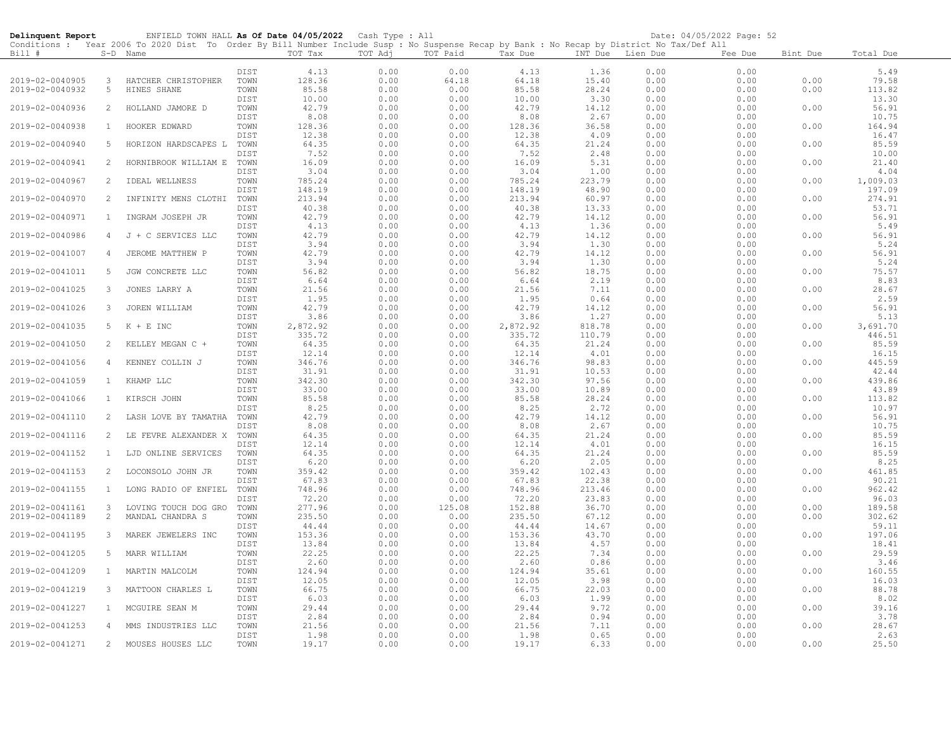| Delinquent Report |                | ENFIELD TOWN HALL As Of Date 04/05/2022 Cash Type : All                                                                                    |              |                 |              |              |                 |                 |              | Date: 04/05/2022 Page: 52 |          |                 |
|-------------------|----------------|--------------------------------------------------------------------------------------------------------------------------------------------|--------------|-----------------|--------------|--------------|-----------------|-----------------|--------------|---------------------------|----------|-----------------|
| Bill #            |                | Conditions : Year 2006 To 2020 Dist To Order By Bill Number Include Susp : No Suspense Recap by Bank : No Recap by District No Tax/Def All |              | TOT Tax         | TOT Adj      | TOT Paid     |                 |                 |              |                           |          |                 |
|                   |                | S-D Name                                                                                                                                   |              |                 |              |              | Tax Due         | INT Due         | Lien Due     | Fee Due                   | Bint Due | Total Due       |
|                   |                |                                                                                                                                            | DIST         | 4.13            | 0.00         | 0.00         | 4.13            | 1.36            | 0.00         | 0.00                      |          | 5.49            |
| 2019-02-0040905   | 3              | HATCHER CHRISTOPHER                                                                                                                        | TOWN         | 128.36          | 0.00         | 64.18        | 64.18           | 15.40           | 0.00         | 0.00                      | 0.00     | 79.58           |
| 2019-02-0040932   | 5              | HINES SHANE                                                                                                                                | TOWN         | 85.58           | 0.00         | 0.00         | 85.58           | 28.24           | 0.00         | 0.00                      | 0.00     | 113.82          |
|                   |                |                                                                                                                                            | DIST         | 10.00           | 0.00         | 0.00         | 10.00           | 3.30            | 0.00         | 0.00                      |          | 13.30           |
| 2019-02-0040936   | $\overline{2}$ | HOLLAND JAMORE D                                                                                                                           | TOWN         | 42.79           | 0.00         | 0.00         | 42.79           | 14.12           | 0.00         | 0.00                      | 0.00     | 56.91           |
|                   |                |                                                                                                                                            | DIST         | 8.08            | 0.00         | 0.00         | 8.08            | 2.67            | 0.00         | 0.00                      |          | 10.75           |
| 2019-02-0040938   | $\mathbf{1}$   | HOOKER EDWARD                                                                                                                              | TOWN<br>DIST | 128.36<br>12.38 | 0.00<br>0.00 | 0.00         | 128.36<br>12.38 | 36.58           | 0.00         | 0.00<br>0.00              | 0.00     | 164.94<br>16.47 |
| 2019-02-0040940   | 5              | HORIZON HARDSCAPES L                                                                                                                       | TOWN         | 64.35           | 0.00         | 0.00<br>0.00 | 64.35           | 4.09<br>21.24   | 0.00<br>0.00 | 0.00                      | 0.00     | 85.59           |
|                   |                |                                                                                                                                            | DIST         | 7.52            | 0.00         | 0.00         | 7.52            | 2.48            | 0.00         | 0.00                      |          | 10.00           |
| 2019-02-0040941   | 2              | HORNIBROOK WILLIAM E                                                                                                                       | TOWN         | 16.09           | 0.00         | 0.00         | 16.09           | 5.31            | 0.00         | 0.00                      | 0.00     | 21.40           |
|                   |                |                                                                                                                                            | DIST         | 3.04            | 0.00         | 0.00         | 3.04            | 1.00            | 0.00         | 0.00                      |          | 4.04            |
| 2019-02-0040967   | 2              | IDEAL WELLNESS                                                                                                                             | TOWN         | 785.24          | 0.00         | 0.00         | 785.24          | 223.79          | 0.00         | 0.00                      | 0.00     | 1,009.03        |
|                   |                |                                                                                                                                            | DIST         | 148.19          | 0.00         | 0.00         | 148.19          | 48.90           | 0.00         | 0.00                      |          | 197.09          |
| 2019-02-0040970   | 2              | INFINITY MENS CLOTHI                                                                                                                       | TOWN         | 213.94          | 0.00         | 0.00         | 213.94          | 60.97           | 0.00         | 0.00                      | 0.00     | 274.91          |
|                   |                |                                                                                                                                            | DIST         | 40.38           | 0.00         | 0.00         | 40.38           | 13.33           | 0.00         | 0.00                      |          | 53.71<br>56.91  |
| 2019-02-0040971   | 1              | INGRAM JOSEPH JR                                                                                                                           | TOWN<br>DIST | 42.79<br>4.13   | 0.00<br>0.00 | 0.00<br>0.00 | 42.79<br>4.13   | 14.12<br>1.36   | 0.00<br>0.00 | 0.00<br>0.00              | 0.00     | 5.49            |
| 2019-02-0040986   | 4              | J + C SERVICES LLC                                                                                                                         | TOWN         | 42.79           | 0.00         | 0.00         | 42.79           | 14.12           | 0.00         | 0.00                      | 0.00     | 56.91           |
|                   |                |                                                                                                                                            | DIST         | 3.94            | 0.00         | 0.00         | 3.94            | 1.30            | 0.00         | 0.00                      |          | 5.24            |
| 2019-02-0041007   | 4              | JEROME MATTHEW P                                                                                                                           | TOWN         | 42.79           | 0.00         | 0.00         | 42.79           | 14.12           | 0.00         | 0.00                      | 0.00     | 56.91           |
|                   |                |                                                                                                                                            | DIST         | 3.94            | 0.00         | 0.00         | 3.94            | 1.30            | 0.00         | 0.00                      |          | 5.24            |
| 2019-02-0041011   | 5              | JGW CONCRETE LLC                                                                                                                           | TOWN         | 56.82           | 0.00         | 0.00         | 56.82           | 18.75           | 0.00         | 0.00                      | 0.00     | 75.57           |
|                   |                |                                                                                                                                            | DIST         | 6.64            | 0.00         | 0.00         | 6.64            | 2.19            | 0.00         | 0.00                      |          | 8.83            |
| 2019-02-0041025   | 3              | JONES LARRY A                                                                                                                              | TOWN         | 21.56           | 0.00         | 0.00         | 21.56           | 7.11            | 0.00         | 0.00                      | 0.00     | 28.67           |
|                   |                |                                                                                                                                            | DIST         | 1.95            | 0.00         | 0.00         | 1.95            | 0.64            | 0.00         | 0.00                      |          | 2.59            |
| 2019-02-0041026   | 3              | JOREN WILLIAM                                                                                                                              | TOWN<br>DIST | 42.79<br>3.86   | 0.00<br>0.00 | 0.00<br>0.00 | 42.79<br>3.86   | 14.12<br>1.27   | 0.00<br>0.00 | 0.00<br>0.00              | 0.00     | 56.91<br>5.13   |
| 2019-02-0041035   | 5              | $K + E$ INC                                                                                                                                | TOWN         | 2,872.92        | 0.00         | 0.00         | 2,872.92        | 818.78          | 0.00         | 0.00                      | 0.00     | 3,691.70        |
|                   |                |                                                                                                                                            | DIST         | 335.72          | 0.00         | 0.00         | 335.72          | 110.79          | 0.00         | 0.00                      |          | 446.51          |
| 2019-02-0041050   | 2              | KELLEY MEGAN C +                                                                                                                           | TOWN         | 64.35           | 0.00         | 0.00         | 64.35           | 21.24           | 0.00         | 0.00                      | 0.00     | 85.59           |
|                   |                |                                                                                                                                            | DIST         | 12.14           | 0.00         | 0.00         | 12.14           | 4.01            | 0.00         | 0.00                      |          | 16.15           |
| 2019-02-0041056   | 4              | KENNEY COLLIN J                                                                                                                            | TOWN         | 346.76          | 0.00         | 0.00         | 346.76          | 98.83           | 0.00         | 0.00                      | 0.00     | 445.59          |
|                   |                |                                                                                                                                            | DIST         | 31.91           | 0.00         | 0.00         | 31.91           | 10.53           | 0.00         | 0.00                      |          | 42.44           |
| 2019-02-0041059   | $\mathbf{1}$   | KHAMP LLC                                                                                                                                  | TOWN         | 342.30          | 0.00         | 0.00         | 342.30          | 97.56           | 0.00         | 0.00                      | 0.00     | 439.86          |
| 2019-02-0041066   | $\mathbf{1}$   | KIRSCH JOHN                                                                                                                                | DIST<br>TOWN | 33.00<br>85.58  | 0.00<br>0.00 | 0.00<br>0.00 | 33.00<br>85.58  | 10.89<br>28.24  | 0.00<br>0.00 | 0.00<br>0.00              | 0.00     | 43.89<br>113.82 |
|                   |                |                                                                                                                                            | DIST         | 8.25            | 0.00         | 0.00         | 8.25            | 2.72            | 0.00         | 0.00                      |          | 10.97           |
| 2019-02-0041110   | 2              | LASH LOVE BY TAMATHA                                                                                                                       | TOWN         | 42.79           | 0.00         | 0.00         | 42.79           | 14.12           | 0.00         | 0.00                      | 0.00     | 56.91           |
|                   |                |                                                                                                                                            | DIST         | 8.08            | 0.00         | 0.00         | 8.08            | 2.67            | 0.00         | 0.00                      |          | 10.75           |
| 2019-02-0041116   | 2              | LE FEVRE ALEXANDER X                                                                                                                       | TOWN         | 64.35           | 0.00         | 0.00         | 64.35           | 21.24           | 0.00         | 0.00                      | 0.00     | 85.59           |
|                   |                |                                                                                                                                            | DIST         | 12.14           | 0.00         | 0.00         | 12.14           | 4.01            | 0.00         | 0.00                      |          | 16.15           |
| 2019-02-0041152   | $\mathbf{1}$   | LJD ONLINE SERVICES                                                                                                                        | TOWN         | 64.35           | 0.00         | 0.00         | 64.35           | 21.24           | 0.00         | 0.00                      | 0.00     | 85.59           |
|                   | 2              |                                                                                                                                            | DIST<br>TOWN | 6.20            | 0.00<br>0.00 | 0.00         | 6.20            | 2.05            | 0.00         | 0.00                      |          | 8.25<br>461.85  |
| 2019-02-0041153   |                | LOCONSOLO JOHN JR                                                                                                                          | DIST         | 359.42<br>67.83 | 0.00         | 0.00<br>0.00 | 359.42<br>67.83 | 102.43<br>22.38 | 0.00<br>0.00 | 0.00<br>0.00              | 0.00     | 90.21           |
| 2019-02-0041155   | $\mathbf{1}$   | LONG RADIO OF ENFIEL TOWN                                                                                                                  |              | 748.96          | 0.00         | 0.00         | 748.96          | 213.46          | 0.00         | 0.00                      | 0.00     | 962.42          |
|                   |                |                                                                                                                                            | DIST         | 72.20           | 0.00         | 0.00         | 72.20           | 23.83           | 0.00         | 0.00                      |          | 96.03           |
| 2019-02-0041161   | 3              | LOVING TOUCH DOG GRO                                                                                                                       | TOWN         | 277.96          | 0.00         | 125.08       | 152.88          | 36.70           | 0.00         | 0.00                      | 0.00     | 189.58          |
| 2019-02-0041189   | $\overline{c}$ | MANDAL CHANDRA S                                                                                                                           | TOWN         | 235.50          | 0.00         | 0.00         | 235.50          | 67.12           | 0.00         | 0.00                      | 0.00     | 302.62          |
|                   |                |                                                                                                                                            | DIST         | 44.44           | 0.00         | 0.00         | 44.44           | 14.67           | 0.00         | 0.00                      |          | 59.11           |
| 2019-02-0041195   | 3              | MAREK JEWELERS INC                                                                                                                         | TOWN         | 153.36          | 0.00         | 0.00         | 153.36          | 43.70           | 0.00         | 0.00                      | 0.00     | 197.06<br>18.41 |
|                   | 5              |                                                                                                                                            | DIST<br>TOWN | 13.84<br>22.25  | 0.00<br>0.00 | 0.00<br>0.00 | 13.84<br>22.25  | 4.57<br>7.34    | 0.00<br>0.00 | 0.00<br>0.00              |          | 29.59           |
| 2019-02-0041205   |                | MARR WILLIAM                                                                                                                               | DIST         | 2.60            | 0.00         | 0.00         | 2.60            | 0.86            | 0.00         | 0.00                      | 0.00     | 3.46            |
| 2019-02-0041209   | $\mathbf{1}$   | MARTIN MALCOLM                                                                                                                             | TOWN         | 124.94          | 0.00         | 0.00         | 124.94          | 35.61           | 0.00         | 0.00                      | 0.00     | 160.55          |
|                   |                |                                                                                                                                            | DIST         | 12.05           | 0.00         | 0.00         | 12.05           | 3.98            | 0.00         | 0.00                      |          | 16.03           |
| 2019-02-0041219   | 3              | MATTOON CHARLES L                                                                                                                          | TOWN         | 66.75           | 0.00         | 0.00         | 66.75           | 22.03           | 0.00         | 0.00                      | 0.00     | 88.78           |
|                   |                |                                                                                                                                            | DIST         | 6.03            | 0.00         | 0.00         | 6.03            | 1.99            | 0.00         | 0.00                      |          | 8.02            |
| 2019-02-0041227   | 1              | MCGUIRE SEAN M                                                                                                                             | TOWN         | 29.44           | 0.00         | 0.00         | 29.44           | 9.72            | 0.00         | 0.00                      | 0.00     | 39.16           |
|                   |                |                                                                                                                                            | DIST         | 2.84            | 0.00         | 0.00         | 2.84            | 0.94            | 0.00         | 0.00                      |          | 3.78            |
| 2019-02-0041253   | 4              | MMS INDUSTRIES LLC                                                                                                                         | TOWN<br>DIST | 21.56<br>1.98   | 0.00<br>0.00 | 0.00<br>0.00 | 21.56<br>1.98   | 7.11<br>0.65    | 0.00<br>0.00 | 0.00<br>0.00              | 0.00     | 28.67<br>2.63   |
| 2019-02-0041271   | $2^{\circ}$    | MOUSES HOUSES LLC                                                                                                                          | TOWN         | 19.17           | 0.00         | 0.00         | 19.17           | 6.33            | 0.00         | 0.00                      | 0.00     | 25.50           |
|                   |                |                                                                                                                                            |              |                 |              |              |                 |                 |              |                           |          |                 |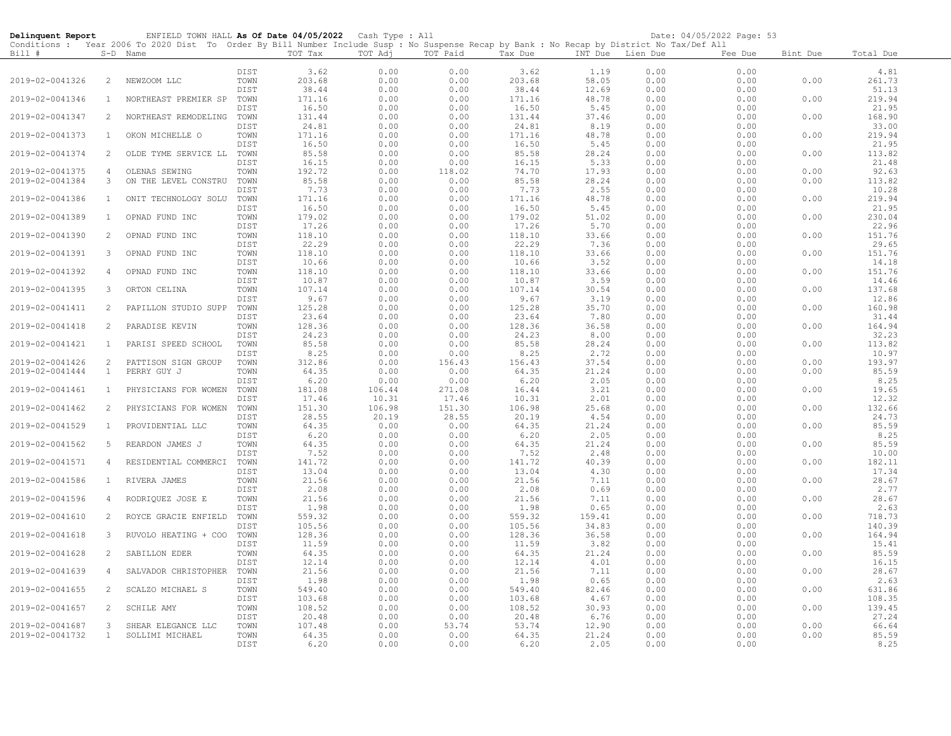| Delinquent Report |                       | ENFIELD TOWN HALL As Of Date 04/05/2022 Cash Type : All                                                                                                  |              |                 |              |              |                 |                  |              | Date: 04/05/2022 Page: 53 |          |                 |
|-------------------|-----------------------|----------------------------------------------------------------------------------------------------------------------------------------------------------|--------------|-----------------|--------------|--------------|-----------------|------------------|--------------|---------------------------|----------|-----------------|
| Bill #            |                       | Conditions : Year 2006 To 2020 Dist To Order By Bill Number Include Susp : No Suspense Recap by Bank : No Recap by District No Tax/Def All<br>$S-D$ Name |              | TOT Tax         | TOT Adj      | TOT Paid     | Tax Due         | INT Due Lien Due |              | Fee Due                   | Bint Due | Total Due       |
|                   |                       |                                                                                                                                                          |              |                 |              |              |                 |                  |              |                           |          |                 |
|                   |                       |                                                                                                                                                          | DIST         | 3.62            | 0.00         | 0.00         | 3.62            | 1.19             | 0.00         | 0.00                      |          | 4.81            |
| 2019-02-0041326   | $\overline{2}$        | NEWZOOM LLC                                                                                                                                              | TOWN         | 203.68          | 0.00         | 0.00         | 203.68          | 58.05            | 0.00         | 0.00                      | 0.00     | 261.73          |
|                   |                       |                                                                                                                                                          | DIST         | 38.44           | 0.00         | 0.00         | 38.44           | 12.69            | 0.00         | 0.00                      |          | 51.13           |
| 2019-02-0041346   | $\mathbf{1}$          | NORTHEAST PREMIER SP                                                                                                                                     | TOWN<br>DIST | 171.16<br>16.50 | 0.00<br>0.00 | 0.00<br>0.00 | 171.16<br>16.50 | 48.78<br>5.45    | 0.00<br>0.00 | 0.00<br>0.00              | 0.00     | 219.94<br>21.95 |
| 2019-02-0041347   | $\overline{2}$        | NORTHEAST REMODELING                                                                                                                                     | TOWN         | 131.44          | 0.00         | 0.00         | 131.44          | 37.46            | 0.00         | 0.00                      | 0.00     | 168.90          |
|                   |                       |                                                                                                                                                          | DIST         | 24.81           | 0.00         | 0.00         | 24.81           | 8.19             | 0.00         | 0.00                      |          | 33.00           |
| 2019-02-0041373   | $\mathbf{1}$          | OKON MICHELLE O                                                                                                                                          | TOWN         | 171.16          | 0.00         | 0.00         | 171.16          | 48.78            | 0.00         | 0.00                      | 0.00     | 219.94          |
|                   |                       |                                                                                                                                                          | DIST         | 16.50           | 0.00         | 0.00         | 16.50           | 5.45             | 0.00         | 0.00                      |          | 21.95           |
| 2019-02-0041374   | 2                     | OLDE TYME SERVICE LL                                                                                                                                     | TOWN         | 85.58           | 0.00         | 0.00         | 85.58           | 28.24            | 0.00         | 0.00                      | 0.00     | 113.82          |
|                   |                       |                                                                                                                                                          | DIST         | 16.15           | 0.00         | 0.00         | 16.15           | 5.33             | 0.00         | 0.00                      |          | 21.48           |
| 2019-02-0041375   | $\overline{4}$        | OLENAS SEWING                                                                                                                                            | TOWN         | 192.72          | 0.00         | 118.02       | 74.70           | 17.93            | 0.00         | 0.00                      | 0.00     | 92.63           |
| 2019-02-0041384   | 3                     | ON THE LEVEL CONSTRU                                                                                                                                     | TOWN         | 85.58           | 0.00         | 0.00         | 85.58           | 28.24            | 0.00         | 0.00                      | 0.00     | 113.82          |
|                   |                       |                                                                                                                                                          | DIST         | 7.73            | 0.00         | 0.00         | 7.73            | 2.55             | 0.00         | 0.00                      |          | 10.28           |
| 2019-02-0041386   | 1                     | ONIT TECHNOLOGY SOLU                                                                                                                                     | TOWN         | 171.16          | 0.00         | 0.00         | 171.16          | 48.78            | 0.00         | 0.00                      | 0.00     | 219.94          |
| 2019-02-0041389   | $\mathbf{1}$          | OPNAD FUND INC                                                                                                                                           | DIST<br>TOWN | 16.50           | 0.00<br>0.00 | 0.00<br>0.00 | 16.50<br>179.02 | 5.45<br>51.02    | 0.00<br>0.00 | 0.00<br>0.00              | 0.00     | 21.95<br>230.04 |
|                   |                       |                                                                                                                                                          | DIST         | 179.02<br>17.26 | 0.00         | 0.00         | 17.26           | 5.70             | 0.00         | 0.00                      |          | 22.96           |
| 2019-02-0041390   | 2                     | OPNAD FUND INC                                                                                                                                           | TOWN         | 118.10          | 0.00         | 0.00         | 118.10          | 33.66            | 0.00         | 0.00                      | 0.00     | 151.76          |
|                   |                       |                                                                                                                                                          | DIST         | 22.29           | 0.00         | 0.00         | 22.29           | 7.36             | 0.00         | 0.00                      |          | 29.65           |
| 2019-02-0041391   | $\mathbf{3}$          | OPNAD FUND INC                                                                                                                                           | TOWN         | 118.10          | 0.00         | 0.00         | 118.10          | 33.66            | 0.00         | 0.00                      | 0.00     | 151.76          |
|                   |                       |                                                                                                                                                          | DIST         | 10.66           | 0.00         | 0.00         | 10.66           | 3.52             | 0.00         | 0.00                      |          | 14.18           |
| 2019-02-0041392   | $\overline{4}$        | OPNAD FUND INC                                                                                                                                           | TOWN         | 118.10          | 0.00         | 0.00         | 118.10          | 33.66            | 0.00         | 0.00                      | 0.00     | 151.76          |
|                   |                       |                                                                                                                                                          | DIST         | 10.87           | 0.00         | 0.00         | 10.87           | 3.59             | 0.00         | 0.00                      |          | 14.46           |
| 2019-02-0041395   | 3                     | ORTON CELINA                                                                                                                                             | TOWN         | 107.14          | 0.00         | 0.00         | 107.14          | 30.54            | 0.00         | 0.00                      | 0.00     | 137.68          |
|                   |                       |                                                                                                                                                          | DIST         | 9.67            | 0.00         | 0.00         | 9.67            | 3.19             | 0.00         | 0.00                      |          | 12.86           |
| 2019-02-0041411   | 2                     | PAPILLON STUDIO SUPP                                                                                                                                     | TOWN         | 125.28          | 0.00         | 0.00         | 125.28          | 35.70            | 0.00         | 0.00                      | 0.00     | 160.98          |
|                   |                       |                                                                                                                                                          | DIST         | 23.64           | 0.00         | 0.00         | 23.64           | 7.80             | 0.00         | 0.00                      |          | 31.44           |
| 2019-02-0041418   | 2                     | PARADISE KEVIN                                                                                                                                           | TOWN<br>DIST | 128.36<br>24.23 | 0.00<br>0.00 | 0.00<br>0.00 | 128.36<br>24.23 | 36.58<br>8.00    | 0.00<br>0.00 | 0.00<br>0.00              | 0.00     | 164.94<br>32.23 |
| 2019-02-0041421   | $\mathbf{1}$          | PARISI SPEED SCHOOL                                                                                                                                      | TOWN         | 85.58           | 0.00         | 0.00         | 85.58           | 28.24            | 0.00         | 0.00                      | 0.00     | 113.82          |
|                   |                       |                                                                                                                                                          | DIST         | 8.25            | 0.00         | 0.00         | 8.25            | 2.72             | 0.00         | 0.00                      |          | 10.97           |
| 2019-02-0041426   | $\mathbf{2}^{\prime}$ | PATTISON SIGN GROUP                                                                                                                                      | TOWN         | 312.86          | 0.00         | 156.43       | 156.43          | 37.54            | 0.00         | 0.00                      | 0.00     | 193.97          |
| 2019-02-0041444   | $\mathbf{1}$          | PERRY GUY J                                                                                                                                              | TOWN         | 64.35           | 0.00         | 0.00         | 64.35           | 21.24            | 0.00         | 0.00                      | 0.00     | 85.59           |
|                   |                       |                                                                                                                                                          | DIST         | 6.20            | 0.00         | 0.00         | 6.20            | 2.05             | 0.00         | 0.00                      |          | 8.25            |
| 2019-02-0041461   | $\mathbf{1}$          | PHYSICIANS FOR WOMEN                                                                                                                                     | TOWN         | 181.08          | 106.44       | 271.08       | 16.44           | 3.21             | 0.00         | 0.00                      | 0.00     | 19.65           |
|                   |                       |                                                                                                                                                          | DIST         | 17.46           | 10.31        | 17.46        | 10.31           | 2.01             | 0.00         | 0.00                      |          | 12.32           |
| 2019-02-0041462   | 2                     | PHYSICIANS FOR WOMEN                                                                                                                                     | TOWN         | 151.30          | 106.98       | 151.30       | 106.98          | 25.68            | 0.00         | 0.00                      | 0.00     | 132.66          |
|                   |                       |                                                                                                                                                          | DIST         | 28.55           | 20.19        | 28.55        | 20.19           | 4.54             | 0.00         | 0.00                      |          | 24.73           |
| 2019-02-0041529   | <sup>1</sup>          | PROVIDENTIAL LLC                                                                                                                                         | TOWN<br>DIST | 64.35<br>6.20   | 0.00<br>0.00 | 0.00<br>0.00 | 64.35<br>6.20   | 21.24<br>2.05    | 0.00<br>0.00 | 0.00<br>0.00              | 0.00     | 85.59<br>8.25   |
| 2019-02-0041562   | 5                     | REARDON JAMES J                                                                                                                                          | TOWN         | 64.35           | 0.00         | 0.00         | 64.35           | 21.24            | 0.00         | 0.00                      | 0.00     | 85.59           |
|                   |                       |                                                                                                                                                          | DIST         | 7.52            | 0.00         | 0.00         | 7.52            | 2.48             | 0.00         | 0.00                      |          | 10.00           |
| 2019-02-0041571   | $\overline{4}$        | RESIDENTIAL COMMERCI                                                                                                                                     | TOWN         | 141.72          | 0.00         | 0.00         | 141.72          | 40.39            | 0.00         | 0.00                      | 0.00     | 182.11          |
|                   |                       |                                                                                                                                                          | DIST         | 13.04           | 0.00         | 0.00         | 13.04           | 4.30             | 0.00         | 0.00                      |          | 17.34           |
| 2019-02-0041586   |                       | 1 RIVERA JAMES                                                                                                                                           | TOWN         | 21.56           | 0.00         | 0.00         | 21.56           | 7.11             | 0.00         | 0.00                      | 0.00     | 28.67           |
|                   |                       |                                                                                                                                                          | DIST         | 2.08            | 0.00         | 0.00         | 2.08            | 0.69             | 0.00         | 0.00                      |          | 2.77            |
| 2019-02-0041596   | $\overline{4}$        | RODRIQUEZ JOSE E                                                                                                                                         | TOWN         | 21.56           | 0.00         | 0.00         | 21.56           | 7.11             | 0.00         | 0.00                      | 0.00     | 28.67           |
|                   |                       |                                                                                                                                                          | DIST         | 1.98            | 0.00         | 0.00         | 1.98            | 0.65             | 0.00         | 0.00                      |          | 2.63            |
| 2019-02-0041610   | 2                     | ROYCE GRACIE ENFIELD                                                                                                                                     | TOWN         | 559.32          | 0.00         | 0.00         | 559.32          | 159.41           | 0.00         | 0.00                      | 0.00     | 718.73          |
|                   |                       |                                                                                                                                                          | DIST         | 105.56          | 0.00         | 0.00         | 105.56          | 34.83            | 0.00         | 0.00                      |          | 140.39          |
| 2019-02-0041618   | $\mathbf{3}$          | RUVOLO HEATING + COO                                                                                                                                     | TOWN<br>DIST | 128.36<br>11.59 | 0.00<br>0.00 | 0.00<br>0.00 | 128.36<br>11.59 | 36.58<br>3.82    | 0.00<br>0.00 | 0.00<br>0.00              | 0.00     | 164.94<br>15.41 |
| 2019-02-0041628   | $\overline{c}$        | SABILLON EDER                                                                                                                                            | TOWN         | 64.35           | 0.00         | 0.00         | 64.35           | 21.24            | 0.00         | 0.00                      | 0.00     | 85.59           |
|                   |                       |                                                                                                                                                          | DIST         | 12.14           | 0.00         | 0.00         | 12.14           | 4.01             | 0.00         | 0.00                      |          | 16.15           |
| 2019-02-0041639   | $\overline{4}$        | SALVADOR CHRISTOPHER                                                                                                                                     | TOWN         | 21.56           | 0.00         | 0.00         | 21.56           | 7.11             | 0.00         | 0.00                      | 0.00     | 28.67           |
|                   |                       |                                                                                                                                                          | DIST         | 1.98            | 0.00         | 0.00         | 1.98            | 0.65             | 0.00         | 0.00                      |          | 2.63            |
| 2019-02-0041655   | 2                     | SCALZO MICHAEL S                                                                                                                                         | TOWN         | 549.40          | 0.00         | 0.00         | 549.40          | 82.46            | 0.00         | 0.00                      | 0.00     | 631.86          |
|                   |                       |                                                                                                                                                          | DIST         | 103.68          | 0.00         | 0.00         | 103.68          | 4.67             | 0.00         | 0.00                      |          | 108.35          |
| 2019-02-0041657   | 2                     | SCHILE AMY                                                                                                                                               | TOWN         | 108.52          | 0.00         | 0.00         | 108.52          | 30.93            | 0.00         | 0.00                      | 0.00     | 139.45          |
|                   |                       |                                                                                                                                                          | DIST         | 20.48           | 0.00         | 0.00         | 20.48           | 6.76             | 0.00         | 0.00                      |          | 27.24           |
| 2019-02-0041687   | 3                     | SHEAR ELEGANCE LLC                                                                                                                                       | TOWN         | 107.48          | 0.00         | 53.74        | 53.74           | 12.90            | 0.00         | 0.00                      | 0.00     | 66.64           |
| 2019-02-0041732   | 1                     | SOLLIMI MICHAEL                                                                                                                                          | TOWN         | 64.35           | 0.00         | 0.00         | 64.35           | 21.24            | 0.00         | 0.00                      | 0.00     | 85.59           |
|                   |                       |                                                                                                                                                          | DIST         | 6.20            | 0.00         | 0.00         | 6.20            | 2.05             | 0.00         | 0.00                      |          | 8.25            |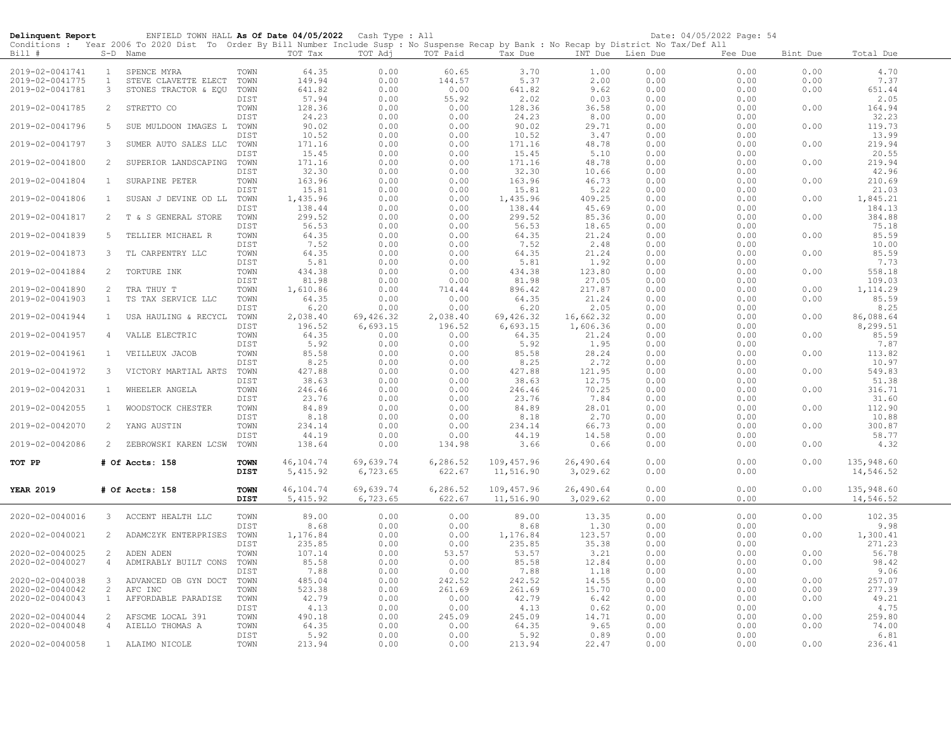| Date: 04/05/2022 Page: 54<br>ENFIELD TOWN HALL As Of Date 04/05/2022 Cash Type : All<br>Delinquent Report<br>Conditions : Year 2006 To 2020 Dist To Order By Bill Number Include Susp : No Suspense Recap by Bank : No Recap by District No Tax/Def All |                              |                                              |                     |                        |                       |                    |                         |                       |                  |              |              |                         |
|---------------------------------------------------------------------------------------------------------------------------------------------------------------------------------------------------------------------------------------------------------|------------------------------|----------------------------------------------|---------------------|------------------------|-----------------------|--------------------|-------------------------|-----------------------|------------------|--------------|--------------|-------------------------|
| Bill #                                                                                                                                                                                                                                                  |                              | S-D Name                                     |                     | TOT Tax                | TOT Adj               | TOT Paid           | Tax Due                 |                       | INT Due Lien Due | Fee Due      | Bint Due     | Total Due               |
| 2019-02-0041741                                                                                                                                                                                                                                         | $\mathbf{1}$                 | SPENCE MYRA                                  | TOWN                | 64.35                  | 0.00                  | 60.65              | 3.70                    | 1.00                  | 0.00             | 0.00         | 0.00         | 4.70                    |
| 2019-02-0041775<br>2019-02-0041781                                                                                                                                                                                                                      | $\mathbf{1}$<br>$\mathbf{3}$ | STEVE CLAVETTE ELECT<br>STONES TRACTOR & EQU | TOWN<br>TOWN        | 149.94<br>641.82       | 0.00<br>0.00          | 144.57<br>0.00     | 5.37<br>641.82          | 2.00<br>9.62          | 0.00<br>0.00     | 0.00<br>0.00 | 0.00<br>0.00 | 7.37<br>651.44          |
|                                                                                                                                                                                                                                                         |                              |                                              | DIST                | 57.94                  | 0.00                  | 55.92              | 2.02                    | 0.03                  | 0.00             | 0.00         |              | 2.05                    |
| 2019-02-0041785                                                                                                                                                                                                                                         | $\overline{2}$               | STRETTO CO                                   | TOWN                | 128.36                 | 0.00                  | 0.00               | 128.36                  | 36.58                 | 0.00             | 0.00         | 0.00         | 164.94                  |
|                                                                                                                                                                                                                                                         |                              |                                              | DIST                | 24.23                  | 0.00                  | 0.00               | 24.23                   | 8.00                  | 0.00             | 0.00         |              | 32.23                   |
| 2019-02-0041796                                                                                                                                                                                                                                         | 5                            | SUE MULDOON IMAGES L                         | TOWN<br>DIST        | 90.02<br>10.52         | 0.00<br>0.00          | 0.00<br>0.00       | 90.02<br>10.52          | 29.71<br>3.47         | 0.00<br>0.00     | 0.00<br>0.00 | 0.00         | 119.73<br>13.99         |
| 2019-02-0041797                                                                                                                                                                                                                                         | 3                            | SUMER AUTO SALES LLC                         | TOWN                | 171.16                 | 0.00                  | 0.00               | 171.16                  | 48.78                 | 0.00             | 0.00         | 0.00         | 219.94                  |
|                                                                                                                                                                                                                                                         |                              |                                              | DIST                | 15.45                  | 0.00                  | 0.00               | 15.45                   | 5.10                  | 0.00             | 0.00         |              | 20.55                   |
| 2019-02-0041800                                                                                                                                                                                                                                         | 2                            | SUPERIOR LANDSCAPING                         | TOWN                | 171.16                 | 0.00                  | 0.00               | 171.16                  | 48.78                 | 0.00             | 0.00         | 0.00         | 219.94                  |
|                                                                                                                                                                                                                                                         |                              |                                              | DIST                | 32.30                  | 0.00                  | 0.00               | 32.30                   | 10.66                 | 0.00             | 0.00         |              | 42.96                   |
| 2019-02-0041804                                                                                                                                                                                                                                         | $\mathbf{1}$                 | SURAPINE PETER                               | TOWN<br>DIST        | 163.96<br>15.81        | 0.00<br>0.00          | 0.00<br>0.00       | 163.96<br>15.81         | 46.73<br>5.22         | 0.00<br>0.00     | 0.00<br>0.00 | 0.00         | 210.69<br>21.03         |
| 2019-02-0041806                                                                                                                                                                                                                                         | $\mathbf{1}$                 | SUSAN J DEVINE OD LL                         | TOWN                | 1,435.96               | 0.00                  | 0.00               | 1,435.96                | 409.25                | 0.00             | 0.00         | 0.00         | 1,845.21                |
|                                                                                                                                                                                                                                                         |                              |                                              | DIST                | 138.44                 | 0.00                  | 0.00               | 138.44                  | 45.69                 | 0.00             | 0.00         |              | 184.13                  |
| 2019-02-0041817                                                                                                                                                                                                                                         | 2                            | T & S GENERAL STORE                          | TOWN                | 299.52                 | 0.00                  | 0.00               | 299.52                  | 85.36                 | 0.00             | 0.00         | 0.00         | 384.88                  |
| 2019-02-0041839                                                                                                                                                                                                                                         | -5                           | TELLIER MICHAEL R                            | DIST<br>TOWN        | 56.53<br>64.35         | 0.00<br>0.00          | 0.00<br>0.00       | 56.53<br>64.35          | 18.65<br>21.24        | 0.00<br>0.00     | 0.00<br>0.00 | 0.00         | 75.18<br>85.59          |
|                                                                                                                                                                                                                                                         |                              |                                              | DIST                | 7.52                   | 0.00                  | 0.00               | 7.52                    | 2.48                  | 0.00             | 0.00         |              | 10.00                   |
| 2019-02-0041873                                                                                                                                                                                                                                         | 3                            | TL CARPENTRY LLC                             | TOWN                | 64.35                  | 0.00                  | 0.00               | 64.35                   | 21.24                 | 0.00             | 0.00         | 0.00         | 85.59                   |
|                                                                                                                                                                                                                                                         |                              |                                              | DIST                | 5.81                   | 0.00                  | 0.00               | 5.81                    | 1.92                  | 0.00             | 0.00         |              | 7.73                    |
| 2019-02-0041884                                                                                                                                                                                                                                         | 2                            | TORTURE INK                                  | TOWN                | 434.38                 | 0.00                  | 0.00               | 434.38                  | 123.80                | 0.00             | 0.00         | 0.00         | 558.18                  |
| 2019-02-0041890                                                                                                                                                                                                                                         | 2                            | TRA THUY T                                   | DIST<br>TOWN        | 81.98<br>1,610.86      | 0.00<br>0.00          | 0.00<br>714.44     | 81.98<br>896.42         | 27.05<br>217.87       | 0.00<br>0.00     | 0.00<br>0.00 | 0.00         | 109.03<br>1,114.29      |
| 2019-02-0041903                                                                                                                                                                                                                                         | $\mathbf{1}$                 | TS TAX SERVICE LLC                           | TOWN                | 64.35                  | 0.00                  | 0.00               | 64.35                   | 21.24                 | 0.00             | 0.00         | 0.00         | 85.59                   |
|                                                                                                                                                                                                                                                         |                              |                                              | DIST                | 6.20                   | 0.00                  | 0.00               | 6.20                    | 2.05                  | 0.00             | 0.00         |              | 8.25                    |
| 2019-02-0041944                                                                                                                                                                                                                                         | 1                            | USA HAULING & RECYCL                         | TOWN                | 2,038.40               | 69,426.32             | 2,038.40           | 69,426.32               | 16,662.32             | 0.00             | 0.00         | 0.00         | 86,088.64               |
| 2019-02-0041957                                                                                                                                                                                                                                         | $\overline{4}$               | VALLE ELECTRIC                               | DIST<br>TOWN        | 196.52<br>64.35        | 6,693.15<br>0.00      | 196.52<br>0.00     | 6,693.15<br>64.35       | 1,606.36<br>21.24     | 0.00<br>0.00     | 0.00<br>0.00 | 0.00         | 8,299.51<br>85.59       |
|                                                                                                                                                                                                                                                         |                              |                                              | DIST                | 5.92                   | 0.00                  | 0.00               | 5.92                    | 1.95                  | 0.00             | 0.00         |              | 7.87                    |
| 2019-02-0041961                                                                                                                                                                                                                                         | 1                            | VEILLEUX JACOB                               | TOWN                | 85.58                  | 0.00                  | 0.00               | 85.58                   | 28.24                 | 0.00             | 0.00         | 0.00         | 113.82                  |
|                                                                                                                                                                                                                                                         |                              |                                              | DIST                | 8.25                   | 0.00                  | 0.00               | 8.25                    | 2.72                  | 0.00             | 0.00         |              | 10.97                   |
| 2019-02-0041972                                                                                                                                                                                                                                         | 3                            | VICTORY MARTIAL ARTS                         | TOWN                | 427.88                 | 0.00                  | 0.00               | 427.88                  | 121.95                | 0.00             | 0.00         | 0.00         | 549.83                  |
| 2019-02-0042031                                                                                                                                                                                                                                         | $\mathbf{1}$                 | WHEELER ANGELA                               | DIST<br>TOWN        | 38.63<br>246.46        | 0.00<br>0.00          | 0.00<br>0.00       | 38.63<br>246.46         | 12.75<br>70.25        | 0.00<br>0.00     | 0.00<br>0.00 | 0.00         | 51.38<br>316.71         |
|                                                                                                                                                                                                                                                         |                              |                                              | DIST                | 23.76                  | 0.00                  | 0.00               | 23.76                   | 7.84                  | 0.00             | 0.00         |              | 31.60                   |
| 2019-02-0042055                                                                                                                                                                                                                                         | 1                            | WOODSTOCK CHESTER                            | TOWN                | 84.89                  | 0.00                  | 0.00               | 84.89                   | 28.01                 | 0.00             | 0.00         | 0.00         | 112.90                  |
|                                                                                                                                                                                                                                                         |                              |                                              | DIST                | 8.18                   | 0.00                  | 0.00               | 8.18                    | 2.70                  | 0.00             | 0.00         |              | 10.88                   |
| 2019-02-0042070                                                                                                                                                                                                                                         | 2                            | YANG AUSTIN                                  | TOWN<br>DIST        | 234.14<br>44.19        | 0.00<br>0.00          | 0.00<br>0.00       | 234.14<br>44.19         | 66.73<br>14.58        | 0.00<br>0.00     | 0.00<br>0.00 | 0.00         | 300.87<br>58.77         |
| 2019-02-0042086                                                                                                                                                                                                                                         | $\overline{2}$               | ZEBROWSKI KAREN LCSW                         | TOWN                | 138.64                 | 0.00                  | 134.98             | 3.66                    | 0.66                  | 0.00             | 0.00         | 0.00         | 4.32                    |
|                                                                                                                                                                                                                                                         |                              |                                              |                     |                        |                       |                    |                         |                       |                  |              |              |                         |
| TOT PP                                                                                                                                                                                                                                                  |                              | # Of Accts: 158                              | <b>TOWN</b><br>DIST | 46,104.74<br>5, 415.92 | 69,639.74<br>6,723.65 | 6,286.52<br>622.67 | 109,457.96<br>11,516.90 | 26,490.64<br>3,029.62 | 0.00<br>0.00     | 0.00<br>0.00 | 0.00         | 135,948.60<br>14,546.52 |
| <b>YEAR 2019</b>                                                                                                                                                                                                                                        |                              | # Of Accts: 158                              | <b>TOWN</b>         | 46,104.74              | 69,639.74             | 6,286.52           | 109,457.96              | 26,490.64             | 0.00             | 0.00         | 0.00         | 135,948.60              |
|                                                                                                                                                                                                                                                         |                              |                                              | <b>DIST</b>         | 5,415.92               | 6,723.65              | 622.67             | 11,516.90               | 3,029.62              | 0.00             | 0.00         |              | 14,546.52               |
|                                                                                                                                                                                                                                                         |                              |                                              |                     |                        |                       |                    |                         |                       |                  |              |              |                         |
| 2020-02-0040016                                                                                                                                                                                                                                         |                              | 3 ACCENT HEALTH LLC                          | TOWN                | 89.00                  | 0.00                  | 0.00               | 89.00                   | 13.35                 | 0.00             | 0.00         | 0.00         | 102.35                  |
| 2020-02-0040021                                                                                                                                                                                                                                         | 2                            | ADAMCZYK ENTERPRISES                         | DIST<br>TOWN        | 8.68<br>1,176.84       | 0.00<br>0.00          | 0.00<br>0.00       | 8.68<br>1,176.84        | 1.30<br>123.57        | 0.00<br>0.00     | 0.00<br>0.00 | 0.00         | 9.98<br>1,300.41        |
|                                                                                                                                                                                                                                                         |                              |                                              | DIST                | 235.85                 | 0.00                  | 0.00               | 235.85                  | 35.38                 | 0.00             | 0.00         |              | 271.23                  |
| 2020-02-0040025                                                                                                                                                                                                                                         | 2                            | ADEN ADEN                                    | TOWN                | 107.14                 | 0.00                  | 53.57              | 53.57                   | 3.21                  | 0.00             | 0.00         | 0.00         | 56.78                   |
| 2020-02-0040027                                                                                                                                                                                                                                         | $\overline{4}$               | ADMIRABLY BUILT CONS                         | TOWN                | 85.58                  | 0.00                  | 0.00               | 85.58                   | 12.84                 | 0.00             | 0.00         | 0.00         | 98.42                   |
|                                                                                                                                                                                                                                                         | $\mathbf{3}$                 |                                              | DIST                | 7.88                   | 0.00                  | 0.00               | 7.88                    | 1.18                  | 0.00             | 0.00         | 0.00         | 9.06                    |
| 2020-02-0040038<br>2020-02-0040042                                                                                                                                                                                                                      | 2                            | ADVANCED OB GYN DOCT<br>AFC INC              | TOWN<br>TOWN        | 485.04<br>523.38       | 0.00<br>0.00          | 242.52<br>261.69   | 242.52<br>261.69        | 14.55<br>15.70        | 0.00<br>0.00     | 0.00<br>0.00 | 0.00         | 257.07<br>277.39        |
| 2020-02-0040043                                                                                                                                                                                                                                         | 1                            | AFFORDABLE PARADISE                          | TOWN                | 42.79                  | 0.00                  | 0.00               | 42.79                   | 6.42                  | 0.00             | 0.00         | 0.00         | 49.21                   |
|                                                                                                                                                                                                                                                         |                              |                                              | DIST                | 4.13                   | 0.00                  | 0.00               | 4.13                    | 0.62                  | 0.00             | 0.00         |              | 4.75                    |
| 2020-02-0040044                                                                                                                                                                                                                                         | 2                            | AFSCME LOCAL 391                             | TOWN                | 490.18                 | 0.00                  | 245.09             | 245.09                  | 14.71                 | 0.00             | 0.00         | 0.00         | 259.80                  |
| 2020-02-0040048                                                                                                                                                                                                                                         | $\overline{4}$               | AIELLO THOMAS A                              | TOWN<br>DIST        | 64.35<br>5.92          | 0.00<br>0.00          | 0.00<br>0.00       | 64.35<br>5.92           | 9.65<br>0.89          | 0.00<br>0.00     | 0.00<br>0.00 | 0.00         | 74.00<br>6.81           |
| 2020-02-0040058                                                                                                                                                                                                                                         |                              | 1 ALAIMO NICOLE                              | TOWN                | 213.94                 | 0.00                  | 0.00               | 213.94                  | 22.47                 | 0.00             | 0.00         | 0.00         | 236.41                  |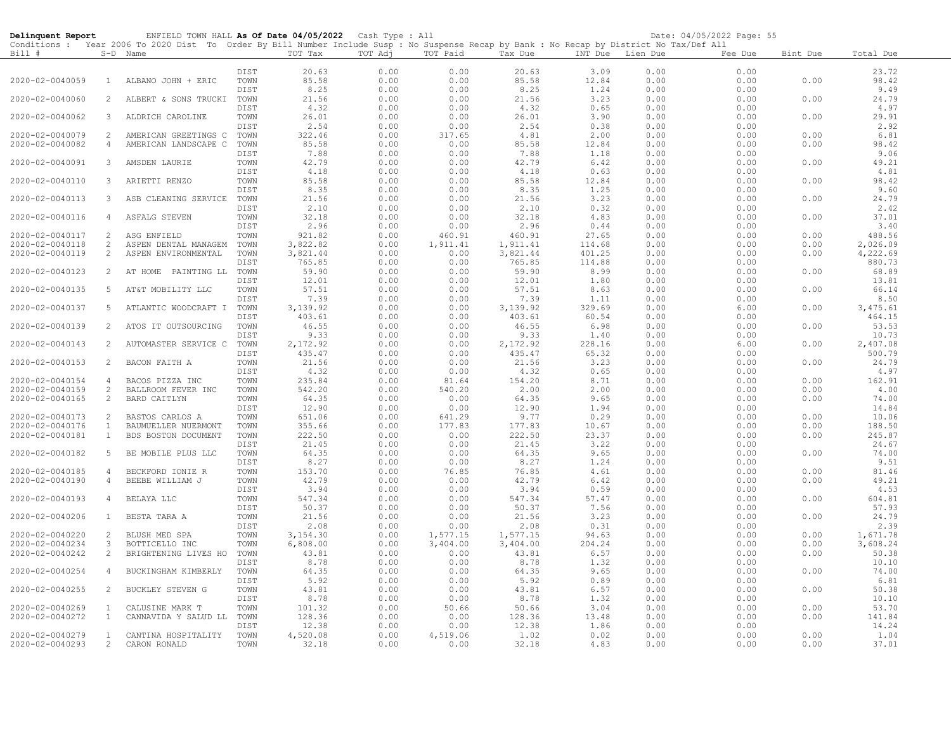| Delinquent Report |                     | ENFIELD TOWN HALL As Of Date 04/05/2022 Cash Type : All                                                                                    |              |                |              |               |                |               |                  | Date: 04/05/2022 Page: 55 |          |                |
|-------------------|---------------------|--------------------------------------------------------------------------------------------------------------------------------------------|--------------|----------------|--------------|---------------|----------------|---------------|------------------|---------------------------|----------|----------------|
|                   |                     | Conditions : Year 2006 To 2020 Dist To Order By Bill Number Include Susp : No Suspense Recap by Bank : No Recap by District No Tax/Def All |              |                |              |               |                |               |                  |                           |          |                |
| Bill #            |                     | S-D Name                                                                                                                                   |              | TOT Tax        | TOT Adj      | TOT Paid      | Tax Due        |               | INT Due Lien Due | Fee Due                   | Bint Due | Total Due      |
|                   |                     |                                                                                                                                            | DIST         | 20.63          | 0.00         | 0.00          | 20.63          | 3.09          | 0.00             | 0.00                      |          | 23.72          |
| 2020-02-0040059   | $\mathbf{1}$        | ALBANO JOHN + ERIC                                                                                                                         | TOWN         | 85.58          | 0.00         | 0.00          | 85.58          | 12.84         | 0.00             | 0.00                      | 0.00     | 98.42          |
|                   |                     |                                                                                                                                            | DIST         | 8.25           | 0.00         | 0.00          | 8.25           | 1.24          | 0.00             | 0.00                      |          | 9.49           |
| 2020-02-0040060   | $\overline{2}$      | ALBERT & SONS TRUCKI                                                                                                                       | TOWN         | 21.56          | 0.00         | 0.00          | 21.56          | 3.23          | 0.00             | 0.00                      | 0.00     | 24.79          |
|                   |                     |                                                                                                                                            | DIST         | 4.32           | 0.00         | 0.00          | 4.32           | 0.65          | 0.00             | 0.00                      |          | 4.97           |
| 2020-02-0040062   | 3                   | ALDRICH CAROLINE                                                                                                                           | TOWN         | 26.01          | 0.00         | 0.00          | 26.01          | 3.90          | 0.00             | 0.00                      | 0.00     | 29.91          |
|                   |                     |                                                                                                                                            | DIST         | 2.54           | 0.00         | 0.00          | 2.54           | 0.38          | 0.00             | 0.00                      |          | 2.92           |
| 2020-02-0040079   | 2                   | AMERICAN GREETINGS C                                                                                                                       | TOWN         | 322.46         | 0.00         | 317.65        | 4.81           | 2.00          | 0.00             | 0.00                      | 0.00     | 6.81           |
| 2020-02-0040082   | 4                   | AMERICAN LANDSCAPE C                                                                                                                       | TOWN         | 85.58          | 0.00         | 0.00          | 85.58          | 12.84         | 0.00             | 0.00                      | 0.00     | 98.42          |
|                   |                     |                                                                                                                                            | DIST         | 7.88           | 0.00         | 0.00          | 7.88           | 1.18          | 0.00             | 0.00                      |          | 9.06           |
| 2020-02-0040091   | 3                   | AMSDEN LAURIE                                                                                                                              | TOWN         | 42.79          | 0.00         | 0.00          | 42.79          | 6.42          | 0.00             | 0.00                      | 0.00     | 49.21          |
| 2020-02-0040110   | 3                   | ARIETTI RENZO                                                                                                                              | DIST<br>TOWN | 4.18<br>85.58  | 0.00<br>0.00 | 0.00<br>0.00  | 4.18<br>85.58  | 0.63<br>12.84 | 0.00<br>0.00     | 0.00<br>0.00              | 0.00     | 4.81<br>98.42  |
|                   |                     |                                                                                                                                            | DIST         | 8.35           | 0.00         | 0.00          | 8.35           | 1.25          | 0.00             | 0.00                      |          | 9.60           |
| 2020-02-0040113   | 3                   | ASB CLEANING SERVICE                                                                                                                       | TOWN         | 21.56          | 0.00         | 0.00          | 21.56          | 3.23          | 0.00             | 0.00                      | 0.00     | 24.79          |
|                   |                     |                                                                                                                                            | DIST         | 2.10           | 0.00         | 0.00          | 2.10           | 0.32          | 0.00             | 0.00                      |          | 2.42           |
| 2020-02-0040116   | 4                   | ASFALG STEVEN                                                                                                                              | TOWN         | 32.18          | 0.00         | 0.00          | 32.18          | 4.83          | 0.00             | 0.00                      | 0.00     | 37.01          |
|                   |                     |                                                                                                                                            | DIST         | 2.96           | 0.00         | 0.00          | 2.96           | 0.44          | 0.00             | 0.00                      |          | 3.40           |
| 2020-02-0040117   | 2                   | ASG ENFIELD                                                                                                                                | TOWN         | 921.82         | 0.00         | 460.91        | 460.91         | 27.65         | 0.00             | 0.00                      | 0.00     | 488.56         |
| 2020-02-0040118   | 2                   | ASPEN DENTAL MANAGEM                                                                                                                       | TOWN         | 3,822.82       | 0.00         | 1,911.41      | 1,911.41       | 114.68        | 0.00             | 0.00                      | 0.00     | 2,026.09       |
| 2020-02-0040119   | 2                   | ASPEN ENVIRONMENTAL                                                                                                                        | TOWN         | 3,821.44       | 0.00         | 0.00          | 3,821.44       | 401.25        | 0.00             | 0.00                      | 0.00     | 4,222.69       |
|                   |                     |                                                                                                                                            | DIST         | 765.85         | 0.00         | 0.00          | 765.85         | 114.88        | 0.00             | 0.00                      |          | 880.73         |
| 2020-02-0040123   | 2                   | AT HOME PAINTING LL                                                                                                                        | TOWN<br>DIST | 59.90<br>12.01 | 0.00<br>0.00 | 0.00<br>0.00  | 59.90<br>12.01 | 8.99<br>1.80  | 0.00<br>0.00     | 0.00<br>0.00              | 0.00     | 68.89<br>13.81 |
| 2020-02-0040135   | 5                   | AT&T MOBILITY LLC                                                                                                                          | TOWN         | 57.51          | 0.00         | 0.00          | 57.51          | 8.63          | 0.00             | 0.00                      | 0.00     | 66.14          |
|                   |                     |                                                                                                                                            | DIST         | 7.39           | 0.00         | 0.00          | 7.39           | 1.11          | 0.00             | 0.00                      |          | 8.50           |
| 2020-02-0040137   | 5                   | ATLANTIC WOODCRAFT I                                                                                                                       | TOWN         | 3,139.92       | 0.00         | 0.00          | 3,139.92       | 329.69        | 0.00             | 6.00                      | 0.00     | 3,475.61       |
|                   |                     |                                                                                                                                            | DIST         | 403.61         | 0.00         | 0.00          | 403.61         | 60.54         | 0.00             | 0.00                      |          | 464.15         |
| 2020-02-0040139   | 2                   | ATOS IT OUTSOURCING                                                                                                                        | TOWN         | 46.55          | 0.00         | 0.00          | 46.55          | 6.98          | 0.00             | 0.00                      | 0.00     | 53.53          |
|                   |                     |                                                                                                                                            | DIST         | 9.33           | 0.00         | 0.00          | 9.33           | 1.40          | 0.00             | 0.00                      |          | 10.73          |
| 2020-02-0040143   | 2                   | AUTOMASTER SERVICE C                                                                                                                       | TOWN         | 2,172.92       | 0.00         | 0.00          | 2,172.92       | 228.16        | 0.00             | 6.00                      | 0.00     | 2,407.08       |
|                   |                     |                                                                                                                                            | DIST         | 435.47         | 0.00         | 0.00          | 435.47         | 65.32         | 0.00             | 0.00                      |          | 500.79         |
| 2020-02-0040153   | 2                   | BACON FAITH A                                                                                                                              | TOWN         | 21.56          | 0.00         | 0.00          | 21.56          | 3.23          | 0.00             | 0.00                      | 0.00     | 24.79          |
| 2020-02-0040154   | $\overline{4}$      | BACOS PIZZA INC                                                                                                                            | DIST<br>TOWN | 4.32<br>235.84 | 0.00<br>0.00 | 0.00<br>81.64 | 4.32<br>154.20 | 0.65<br>8.71  | 0.00<br>0.00     | 0.00<br>0.00              | 0.00     | 4.97<br>162.91 |
| 2020-02-0040159   | 2                   | BALLROOM FEVER INC                                                                                                                         | TOWN         | 542.20         | 0.00         | 540.20        | 2.00           | 2.00          | 0.00             | 0.00                      | 0.00     | 4.00           |
| 2020-02-0040165   | 2                   | <b>BARD CAITLYN</b>                                                                                                                        | TOWN         | 64.35          | 0.00         | 0.00          | 64.35          | 9.65          | 0.00             | 0.00                      | 0.00     | 74.00          |
|                   |                     |                                                                                                                                            | DIST         | 12.90          | 0.00         | 0.00          | 12.90          | 1.94          | 0.00             | 0.00                      |          | 14.84          |
| 2020-02-0040173   | 2                   | BASTOS CARLOS A                                                                                                                            | TOWN         | 651.06         | 0.00         | 641.29        | 9.77           | 0.29          | 0.00             | 0.00                      | 0.00     | 10.06          |
| 2020-02-0040176   | $\mathbf{1}$        | BAUMUELLER NUERMONT                                                                                                                        | TOWN         | 355.66         | 0.00         | 177.83        | 177.83         | 10.67         | 0.00             | 0.00                      | 0.00     | 188.50         |
| 2020-02-0040181   | $\mathbf{1}$        | BDS BOSTON DOCUMENT                                                                                                                        | TOWN         | 222.50         | 0.00         | 0.00          | 222.50         | 23.37         | 0.00             | 0.00                      | 0.00     | 245.87         |
|                   |                     |                                                                                                                                            | DIST         | 21.45          | 0.00         | 0.00          | 21.45          | 3.22          | 0.00             | 0.00                      |          | 24.67          |
| 2020-02-0040182   | 5                   | BE MOBILE PLUS LLC                                                                                                                         | TOWN         | 64.35          | 0.00         | 0.00          | 64.35          | 9.65          | 0.00             | 0.00                      | 0.00     | 74.00          |
| 2020-02-0040185   |                     |                                                                                                                                            | DIST<br>TOWN | 8.27<br>153.70 | 0.00<br>0.00 | 0.00          | 8.27           | 1.24          | 0.00             | 0.00<br>0.00              | 0.00     | 9.51<br>81.46  |
| 2020-02-0040190   | 4<br>$\overline{4}$ | BECKFORD IONIE R<br>BEEBE WILLIAM J                                                                                                        | TOWN         | 42.79          | 0.00         | 76.85<br>0.00 | 76.85<br>42.79 | 4.61<br>6.42  | 0.00<br>0.00     | 0.00                      | 0.00     | 49.21          |
|                   |                     |                                                                                                                                            | DIST         | 3.94           | 0.00         | 0.00          | 3.94           | 0.59          | 0.00             | 0.00                      |          | 4.53           |
| 2020-02-0040193   | 4                   | BELAYA LLC                                                                                                                                 | TOWN         | 547.34         | 0.00         | 0.00          | 547.34         | 57.47         | 0.00             | 0.00                      | 0.00     | 604.81         |
|                   |                     |                                                                                                                                            | DIST         | 50.37          | 0.00         | 0.00          | 50.37          | 7.56          | 0.00             | 0.00                      |          | 57.93          |
| 2020-02-0040206   | $\mathbf{1}$        | BESTA TARA A                                                                                                                               | TOWN         | 21.56          | 0.00         | 0.00          | 21.56          | 3.23          | 0.00             | 0.00                      | 0.00     | 24.79          |
|                   |                     |                                                                                                                                            | DIST         | 2.08           | 0.00         | 0.00          | 2.08           | 0.31          | 0.00             | 0.00                      |          | 2.39           |
| 2020-02-0040220   | 2                   | BLUSH MED SPA                                                                                                                              | TOWN         | 3,154.30       | 0.00         | 1,577.15      | 1,577.15       | 94.63         | 0.00             | 0.00                      | 0.00     | 1,671.78       |
| 2020-02-0040234   | 3                   | BOTTICELLO INC                                                                                                                             | TOWN         | 6,808.00       | 0.00         | 3,404.00      | 3,404.00       | 204.24        | 0.00             | 0.00                      | 0.00     | 3,608.24       |
| 2020-02-0040242   | $\overline{2}$      | BRIGHTENING LIVES HO                                                                                                                       | TOWN         | 43.81          | 0.00         | 0.00          | 43.81          | 6.57          | 0.00             | 0.00                      | 0.00     | 50.38          |
| 2020-02-0040254   | $\overline{4}$      | BUCKINGHAM KIMBERLY                                                                                                                        | DIST<br>TOWN | 8.78<br>64.35  | 0.00<br>0.00 | 0.00<br>0.00  | 8.78<br>64.35  | 1.32<br>9.65  | 0.00<br>0.00     | 0.00<br>0.00              | 0.00     | 10.10<br>74.00 |
|                   |                     |                                                                                                                                            | DIST         | 5.92           | 0.00         | 0.00          | 5.92           | 0.89          | 0.00             | 0.00                      |          | 6.81           |
| 2020-02-0040255   | 2                   | <b>BUCKLEY STEVEN G</b>                                                                                                                    | TOWN         | 43.81          | 0.00         | 0.00          | 43.81          | 6.57          | 0.00             | 0.00                      | 0.00     | 50.38          |
|                   |                     |                                                                                                                                            | DIST         | 8.78           | 0.00         | 0.00          | 8.78           | 1.32          | 0.00             | 0.00                      |          | 10.10          |
| 2020-02-0040269   | $\mathbf{1}$        | CALUSINE MARK T                                                                                                                            | TOWN         | 101.32         | 0.00         | 50.66         | 50.66          | 3.04          | 0.00             | 0.00                      | 0.00     | 53.70          |
| 2020-02-0040272   | $\mathbf{1}$        | CANNAVIDA Y SALUD LL                                                                                                                       | TOWN         | 128.36         | 0.00         | 0.00          | 128.36         | 13.48         | 0.00             | 0.00                      | 0.00     | 141.84         |
|                   |                     |                                                                                                                                            | DIST         | 12.38          | 0.00         | 0.00          | 12.38          | 1.86          | 0.00             | 0.00                      |          | 14.24          |
| 2020-02-0040279   | $\mathbf{1}$        | CANTINA HOSPITALITY                                                                                                                        | TOWN         | 4,520.08       | 0.00         | 4,519.06      | 1.02           | 0.02          | 0.00             | 0.00                      | 0.00     | 1.04           |
| 2020-02-0040293   | 2                   | CARON RONALD                                                                                                                               | TOWN         | 32.18          | 0.00         | 0.00          | 32.18          | 4.83          | 0.00             | 0.00                      | 0.00     | 37.01          |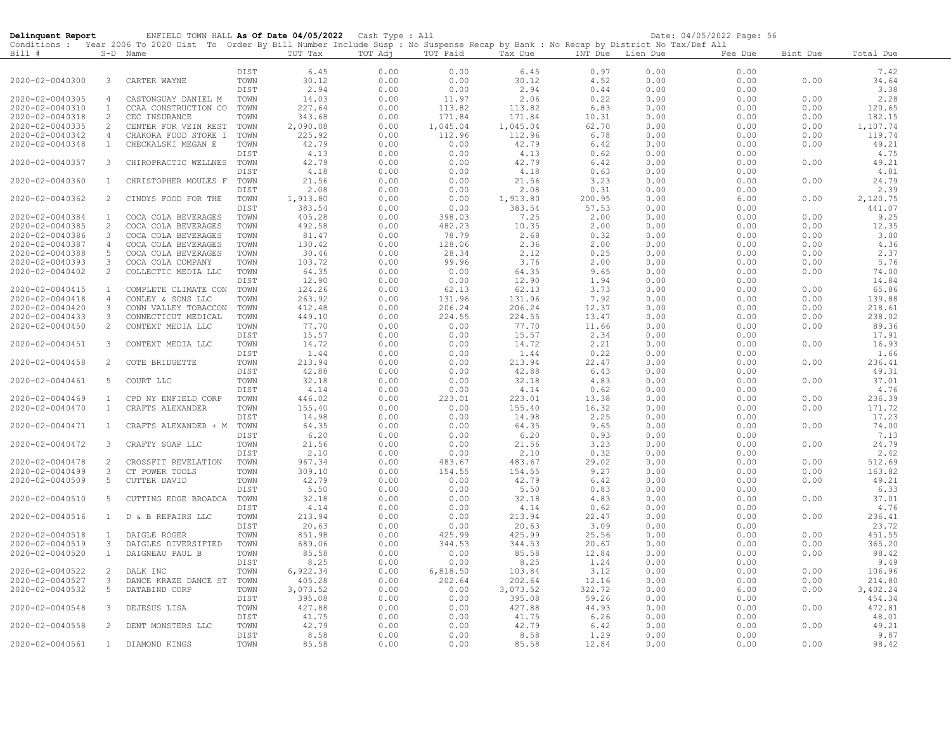| Delinquent Report |                | ENFIELD TOWN HALL As Of Date 04/05/2022 Cash Type : All                                                                                                |      |          |              |          |          |                  |      | Date: 04/05/2022 Page: 56 |          |                |
|-------------------|----------------|--------------------------------------------------------------------------------------------------------------------------------------------------------|------|----------|--------------|----------|----------|------------------|------|---------------------------|----------|----------------|
| Bill #            |                | Conditions : Year 2006 To 2020 Dist To Order By Bill Number Include Susp : No Suspense Recap by Bank : No Recap by District No Tax/Def All<br>S-D Name |      | TOT Tax  | TOT Adj      | TOT Paid | Tax Due  | INT Due Lien Due |      | Fee Due                   | Bint Due | Total Due      |
|                   |                |                                                                                                                                                        |      |          |              |          |          |                  |      |                           |          |                |
|                   |                |                                                                                                                                                        | DIST | 6.45     | 0.00         | 0.00     | 6.45     | 0.97             | 0.00 | 0.00                      |          | 7.42           |
| 2020-02-0040300   | 3              | CARTER WAYNE                                                                                                                                           | TOWN | 30.12    | 0.00         | 0.00     | 30.12    | 4.52             | 0.00 | 0.00                      | 0.00     | 34.64          |
|                   |                |                                                                                                                                                        | DIST | 2.94     | 0.00         | 0.00     | 2.94     | 0.44             | 0.00 | 0.00                      |          | 3.38           |
| 2020-02-0040305   | $\overline{4}$ | CASTONGUAY DANIEL M                                                                                                                                    | TOWN | 14.03    | 0.00         | 11.97    | 2.06     | 0.22             | 0.00 | 0.00                      | 0.00     | 2.28           |
| 2020-02-0040310   | <sup>1</sup>   | CCAA CONSTRUCTION CO                                                                                                                                   | TOWN | 227.64   | 0.00         | 113.82   | 113.82   | 6.83             | 0.00 | 0.00                      | 0.00     | 120.65         |
| 2020-02-0040318   | 2              | CEC INSURANCE                                                                                                                                          | TOWN | 343.68   | 0.00         | 171.84   | 171.84   | 10.31            | 0.00 | 0.00                      | 0.00     | 182.15         |
| 2020-02-0040335   | 2              | CENTER FOR VEIN REST                                                                                                                                   | TOWN | 2,090.08 | 0.00         | 1,045.04 | 1,045.04 | 62.70            | 0.00 | 0.00                      | 0.00     | 1,107.74       |
| 2020-02-0040342   | 4              | CHAKORA FOOD STORE I                                                                                                                                   | TOWN | 225.92   | 0.00         | 112.96   | 112.96   | 6.78             | 0.00 | 0.00                      | 0.00     | 119.74         |
| 2020-02-0040348   | $\mathbf{1}$   | CHECKALSKI MEGAN E                                                                                                                                     | TOWN | 42.79    | 0.00         | 0.00     | 42.79    | 6.42             | 0.00 | 0.00                      | 0.00     | 49.21          |
|                   |                |                                                                                                                                                        | DIST | 4.13     | 0.00         | 0.00     | 4.13     | 0.62             | 0.00 | 0.00                      |          | 4.75           |
| 2020-02-0040357   | 3              | CHIROPRACTIC WELLNES                                                                                                                                   | TOWN | 42.79    | 0.00         | 0.00     | 42.79    | 6.42             | 0.00 | 0.00                      | 0.00     | 49.21          |
|                   |                |                                                                                                                                                        | DIST | 4.18     | 0.00         | 0.00     | 4.18     | 0.63             | 0.00 | 0.00                      |          | 4.81           |
| 2020-02-0040360   | $\mathbf{1}$   | CHRISTOPHER MOULES F                                                                                                                                   | TOWN | 21.56    | 0.00         | 0.00     | 21.56    | 3.23             | 0.00 | 0.00                      | 0.00     | 24.79          |
|                   |                |                                                                                                                                                        | DIST | 2.08     | 0.00         | 0.00     | 2.08     | 0.31             | 0.00 | 0.00                      |          | 2.39           |
| 2020-02-0040362   | 2              | CINDYS FOOD FOR THE                                                                                                                                    | TOWN | 1,913.80 | 0.00         | 0.00     | 1,913.80 | 200.95           | 0.00 | 6.00                      | 0.00     | 2,120.75       |
|                   |                |                                                                                                                                                        | DIST | 383.54   | 0.00         | 0.00     | 383.54   | 57.53            | 0.00 | 0.00                      |          | 441.07         |
| 2020-02-0040384   | $\mathbf{1}$   | COCA COLA BEVERAGES                                                                                                                                    | TOWN | 405.28   | 0.00         | 398.03   | 7.25     | 2.00             | 0.00 | 0.00                      | 0.00     | 9.25           |
| 2020-02-0040385   | 2              | COCA COLA BEVERAGES                                                                                                                                    | TOWN | 492.58   | 0.00         | 482.23   | 10.35    | 2.00             | 0.00 | 0.00                      | 0.00     | 12.35          |
| 2020-02-0040386   | $\mathbf{3}$   | COCA COLA BEVERAGES                                                                                                                                    | TOWN | 81.47    | 0.00         | 78.79    | 2.68     | 0.32             | 0.00 | 0.00                      | 0.00     | 3.00           |
| 2020-02-0040387   | $\overline{4}$ | COCA COLA BEVERAGES                                                                                                                                    | TOWN | 130.42   | 0.00         | 128.06   | 2.36     | 2.00             | 0.00 | 0.00                      | 0.00     | 4.36           |
| 2020-02-0040388   | 5              | COCA COLA BEVERAGES                                                                                                                                    | TOWN | 30.46    | 0.00         | 28.34    | 2.12     | 0.25             | 0.00 | 0.00                      | 0.00     | 2.37           |
| 2020-02-0040393   | 3              | COCA COLA COMPANY                                                                                                                                      | TOWN | 103.72   | 0.00         | 99.96    | 3.76     | 2.00             | 0.00 | 0.00                      | 0.00     | 5.76           |
|                   |                |                                                                                                                                                        |      |          |              |          |          |                  |      |                           |          |                |
| 2020-02-0040402   | $\overline{c}$ | COLLECTIC MEDIA LLC                                                                                                                                    | TOWN | 64.35    | 0.00         | 0.00     | 64.35    | 9.65             | 0.00 | 0.00                      | 0.00     | 74.00<br>14.84 |
|                   |                |                                                                                                                                                        | DIST | 12.90    | 0.00         | 0.00     | 12.90    | 1.94             | 0.00 | 0.00                      |          |                |
| 2020-02-0040415   | $\mathbf{1}$   | COMPLETE CLIMATE CON                                                                                                                                   | TOWN | 124.26   | 0.00         | 62.13    | 62.13    | 3.73             | 0.00 | 0.00                      | 0.00     | 65.86          |
| 2020-02-0040418   | $\overline{4}$ | CONLEY & SONS LLC                                                                                                                                      | TOWN | 263.92   | 0.00         | 131.96   | 131.96   | 7.92             | 0.00 | 0.00                      | 0.00     | 139.88         |
| 2020-02-0040420   | 3              | CONN VALLEY TOBACCON                                                                                                                                   | TOWN | 412.48   | 0.00         | 206.24   | 206.24   | 12.37            | 0.00 | 0.00                      | 0.00     | 218.61         |
| 2020-02-0040433   | 3              | CONNECTICUT MEDICAL                                                                                                                                    | TOWN | 449.10   | 0.00         | 224.55   | 224.55   | 13.47            | 0.00 | 0.00                      | 0.00     | 238.02         |
| 2020-02-0040450   | 2              | CONTEXT MEDIA LLC                                                                                                                                      | TOWN | 77.70    | 0.00         | 0.00     | 77.70    | 11.66            | 0.00 | 0.00                      | 0.00     | 89.36          |
|                   |                |                                                                                                                                                        | DIST | 15.57    | 0.00         | 0.00     | 15.57    | 2.34             | 0.00 | 0.00                      |          | 17.91          |
| 2020-02-0040451   | 3              | CONTEXT MEDIA LLC                                                                                                                                      | TOWN | 14.72    | 0.00         | 0.00     | 14.72    | 2.21             | 0.00 | 0.00                      | 0.00     | 16.93          |
|                   |                |                                                                                                                                                        | DIST | 1.44     | 0.00         | 0.00     | 1.44     | 0.22             | 0.00 | 0.00                      |          | 1.66           |
| 2020-02-0040458   | $\overline{2}$ | COTE BRIDGETTE                                                                                                                                         | TOWN | 213.94   | 0.00         | 0.00     | 213.94   | 22.47            | 0.00 | 0.00                      | 0.00     | 236.41         |
|                   |                |                                                                                                                                                        | DIST | 42.88    | 0.00         | 0.00     | 42.88    | 6.43             | 0.00 | 0.00                      |          | 49.31          |
| 2020-02-0040461   | 5              | COURT LLC                                                                                                                                              | TOWN | 32.18    | 0.00         | 0.00     | 32.18    | 4.83             | 0.00 | 0.00                      | 0.00     | 37.01          |
|                   |                |                                                                                                                                                        | DIST | 4.14     | 0.00         | 0.00     | 4.14     | 0.62             | 0.00 | 0.00                      |          | 4.76           |
| 2020-02-0040469   | $\mathbf{1}$   | CPD NY ENFIELD CORP                                                                                                                                    | TOWN | 446.02   | 0.00         | 223.01   | 223.01   | 13.38            | 0.00 | 0.00                      | 0.00     | 236.39         |
| 2020-02-0040470   | $\mathbf{1}$   | CRAFTS ALEXANDER                                                                                                                                       | TOWN | 155.40   | 0.00         | 0.00     | 155.40   | 16.32            | 0.00 | 0.00                      | 0.00     | 171.72         |
|                   |                |                                                                                                                                                        | DIST | 14.98    | 0.00         | 0.00     | 14.98    | 2.25             | 0.00 | 0.00                      |          | 17.23          |
| 2020-02-0040471   | $\mathbf{1}$   | CRAFTS ALEXANDER + M                                                                                                                                   | TOWN | 64.35    | 0.00         | 0.00     | 64.35    | 9.65             | 0.00 | 0.00                      | 0.00     | 74.00          |
|                   |                |                                                                                                                                                        | DIST | 6.20     | 0.00         | 0.00     | 6.20     | 0.93             | 0.00 | 0.00                      |          | 7.13           |
| 2020-02-0040472   | 3              | CRAFTY SOAP LLC                                                                                                                                        | TOWN | 21.56    | 0.00         | 0.00     | 21.56    | 3.23             | 0.00 | 0.00                      | 0.00     | 24.79          |
|                   |                |                                                                                                                                                        | DIST | 2.10     | 0.00         | 0.00     | 2.10     | 0.32             | 0.00 | 0.00                      |          | 2.42           |
| 2020-02-0040478   | $\overline{c}$ | CROSSFIT REVELATION                                                                                                                                    | TOWN | 967.34   | 0.00         | 483.67   | 483.67   | 29.02            | 0.00 | 0.00                      | 0.00     | 512.69         |
| 2020-02-0040499   | 3              | CT POWER TOOLS                                                                                                                                         | TOWN | 309.10   | 0.00         | 154.55   | 154.55   | 9.27             | 0.00 | 0.00                      | 0.00     | 163.82         |
| 2020-02-0040509   | 5              | CUTTER DAVID                                                                                                                                           | TOWN | 42.79    | 0.00         | 0.00     | 42.79    | 6.42             | 0.00 | 0.00                      | 0.00     | 49.21          |
|                   |                |                                                                                                                                                        | DIST | 5.50     | 0.00         | 0.00     | 5.50     | 0.83             | 0.00 | 0.00                      |          | 6.33           |
| 2020-02-0040510   | 5              | CUTTING EDGE BROADCA                                                                                                                                   | TOWN | 32.18    | 0.00         | 0.00     | 32.18    | 4.83             | 0.00 | 0.00                      | 0.00     | 37.01          |
|                   |                |                                                                                                                                                        | DIST | 4.14     | 0.00         | 0.00     | 4.14     | 0.62             | 0.00 | 0.00                      |          | 4.76           |
| 2020-02-0040516   | $\mathbf{1}$   | D & B REPAIRS LLC                                                                                                                                      | TOWN | 213.94   | 0.00         | 0.00     | 213.94   | 22.47            | 0.00 | 0.00                      | 0.00     | 236.41         |
|                   |                |                                                                                                                                                        | DIST | 20.63    | 0.00         | 0.00     | 20.63    | 3.09             | 0.00 | 0.00                      |          | 23.72          |
| 2020-02-0040518   | <sup>1</sup>   | DAIGLE ROGER                                                                                                                                           | TOWN | 851.98   | 0.00         | 425.99   | 425.99   | 25.56            | 0.00 | 0.00                      | 0.00     | 451.55         |
| 2020-02-0040519   | $\mathcal{S}$  | DAIGLES DIVERSIFIED                                                                                                                                    | TOWN | 689.06   | 0.00         | 344.53   | 344.53   | 20.67            | 0.00 | 0.00                      | 0.00     | 365.20         |
| 2020-02-0040520   | $\mathbf{1}$   | DAIGNEAU PAUL B                                                                                                                                        | TOWN | 85.58    | 0.00         | 0.00     | 85.58    | 12.84            | 0.00 | 0.00                      | 0.00     | 98.42          |
|                   |                |                                                                                                                                                        | DIST | 8.25     | 0.00         | 0.00     | 8.25     | 1.24             | 0.00 | 0.00                      |          | 9.49           |
| 2020-02-0040522   | 2              | DALK INC                                                                                                                                               | TOWN | 6,922.34 | 0.00         | 6,818.50 | 103.84   | 3.12             | 0.00 | 0.00                      | 0.00     | 106.96         |
| 2020-02-0040527   | $\mathbf{3}$   | DANCE KRAZE DANCE ST                                                                                                                                   | TOWN | 405.28   | 0.00         | 202.64   | 202.64   | 12.16            | 0.00 | 0.00                      | 0.00     | 214.80         |
| 2020-02-0040532   | 5              | DATABIND CORP                                                                                                                                          | TOWN | 3,073.52 | 0.00         | 0.00     | 3,073.52 | 322.72           | 0.00 | 6.00                      | 0.00     | 3,402.24       |
|                   |                |                                                                                                                                                        | DIST | 395.08   | 0.00         | 0.00     | 395.08   | 59.26            | 0.00 | 0.00                      |          | 454.34         |
| 2020-02-0040548   | 3              | DEJESUS LISA                                                                                                                                           | TOWN | 427.88   |              | 0.00     | 427.88   | 44.93            | 0.00 | 0.00                      | 0.00     | 472.81         |
|                   |                |                                                                                                                                                        | DIST | 41.75    | 0.00<br>0.00 | 0.00     | 41.75    |                  | 0.00 | 0.00                      |          | 48.01          |
| 2020-02-0040558   | $\overline{2}$ |                                                                                                                                                        | TOWN | 42.79    | 0.00         | 0.00     | 42.79    | 6.26             | 0.00 | 0.00                      | 0.00     | 49.21          |
|                   |                | DENT MONSTERS LLC                                                                                                                                      | DIST | 8.58     | 0.00         | 0.00     | 8.58     | 6.42<br>1.29     | 0.00 | 0.00                      |          | 9.87           |
| 2020-02-0040561   | 1              | DIAMOND KINGS                                                                                                                                          | TOWN | 85.58    | 0.00         | 0.00     | 85.58    | 12.84            | 0.00 | 0.00                      | 0.00     | 98.42          |
|                   |                |                                                                                                                                                        |      |          |              |          |          |                  |      |                           |          |                |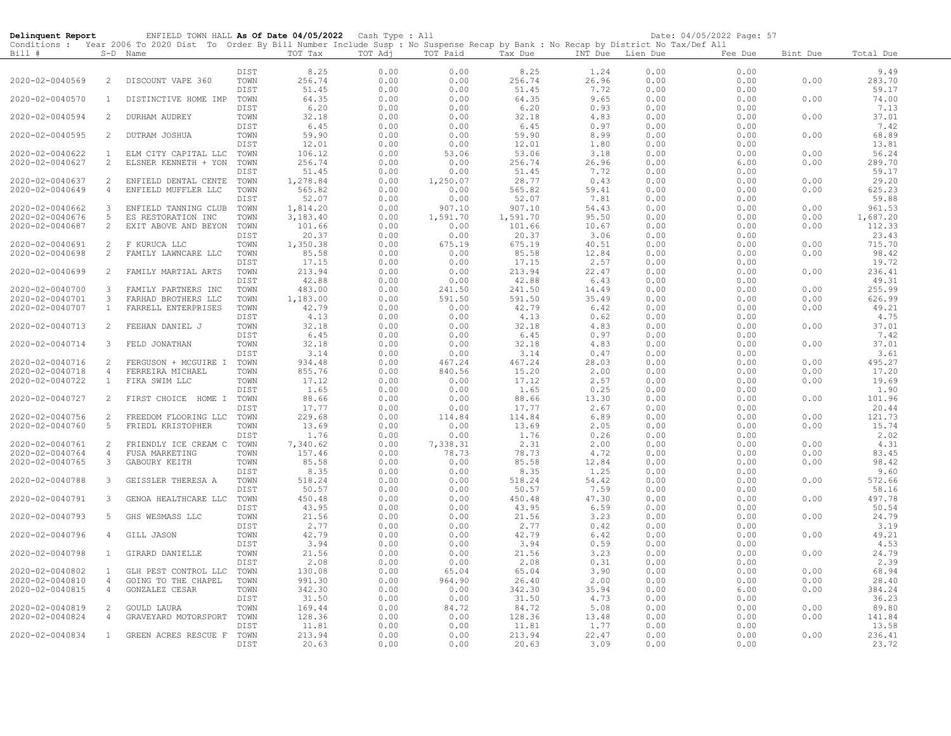| Delinquent Report                  |                | ENFIELD TOWN HALL As Of Date 04/05/2022 Cash Type : All                                                                                    |              |                   |              |                |                 |                  |              | Date: 04/05/2022 Page: 57 |              |                 |
|------------------------------------|----------------|--------------------------------------------------------------------------------------------------------------------------------------------|--------------|-------------------|--------------|----------------|-----------------|------------------|--------------|---------------------------|--------------|-----------------|
|                                    |                | Conditions : Year 2006 To 2020 Dist To Order By Bill Number Include Susp : No Suspense Recap by Bank : No Recap by District No Tax/Def All |              |                   |              |                |                 |                  |              |                           |              |                 |
| Bill #                             |                | S-D Name                                                                                                                                   |              | TOT Tax           | TOT Adj      | TOT Paid       | Tax Due         | INT Due Lien Due |              | Fee Due                   | Bint Due     | Total Due       |
|                                    |                |                                                                                                                                            | DIST         | 8.25              | 0.00         | 0.00           | 8.25            | 1.24             | 0.00         | 0.00                      |              | 9.49            |
| 2020-02-0040569                    | 2              | DISCOUNT VAPE 360                                                                                                                          | TOWN         | 256.74            | 0.00         | 0.00           | 256.74          | 26.96            | 0.00         | 0.00                      | 0.00         | 283.70          |
|                                    |                |                                                                                                                                            | DIST         | 51.45             | 0.00         | 0.00           | 51.45           | 7.72             | 0.00         | 0.00                      |              | 59.17           |
| 2020-02-0040570                    | $\mathbf{1}$   | DISTINCTIVE HOME IMP                                                                                                                       | TOWN         | 64.35             | 0.00         | 0.00           | 64.35           | 9.65             | 0.00         | 0.00                      | 0.00         | 74.00           |
|                                    |                |                                                                                                                                            | DIST         | 6.20              | 0.00         | 0.00           | 6.20            | 0.93             | 0.00         | 0.00                      |              | 7.13            |
| 2020-02-0040594                    | 2              | DURHAM AUDREY                                                                                                                              | TOWN         | 32.18             | 0.00         | 0.00           | 32.18           | 4.83             | 0.00         | 0.00                      | 0.00         | 37.01           |
|                                    |                |                                                                                                                                            | DIST         | 6.45              | 0.00         | 0.00           | 6.45            | 0.97             | 0.00         | 0.00                      |              | 7.42            |
| 2020-02-0040595                    | 2              | DUTRAM JOSHUA                                                                                                                              | TOWN         | 59.90             | 0.00         | 0.00           | 59.90           | 8.99             | 0.00         | 0.00                      | 0.00         | 68.89<br>13.81  |
| 2020-02-0040622                    | <sup>1</sup>   | ELM CITY CAPITAL LLC                                                                                                                       | DIST<br>TOWN | 12.01<br>106.12   | 0.00<br>0.00 | 0.00<br>53.06  | 12.01<br>53.06  | 1.80<br>3.18     | 0.00<br>0.00 | 0.00<br>0.00              | 0.00         | 56.24           |
| 2020-02-0040627                    | $\mathbf{2}$   | ELSNER KENNETH + YON                                                                                                                       | TOWN         | 256.74            | 0.00         | 0.00           | 256.74          | 26.96            | 0.00         | 6.00                      | 0.00         | 289.70          |
|                                    |                |                                                                                                                                            | DIST         | 51.45             | 0.00         | 0.00           | 51.45           | 7.72             | 0.00         | 0.00                      |              | 59.17           |
| 2020-02-0040637                    | 2              | ENFIELD DENTAL CENTE                                                                                                                       | TOWN         | 1,278.84          | 0.00         | 1,250.07       | 28.77           | 0.43             | 0.00         | 0.00                      | 0.00         | 29.20           |
| 2020-02-0040649                    | $\overline{4}$ | ENFIELD MUFFLER LLC                                                                                                                        | TOWN         | 565.82            | 0.00         | 0.00           | 565.82          | 59.41            | 0.00         | 0.00                      | 0.00         | 625.23          |
|                                    |                |                                                                                                                                            | DIST         | 52.07             | 0.00         | 0.00           | 52.07           | 7.81             | 0.00         | 0.00                      |              | 59.88           |
| 2020-02-0040662                    | 3              | ENFIELD TANNING CLUB                                                                                                                       | TOWN         | 1,814.20          | 0.00         | 907.10         | 907.10          | 54.43            | 0.00         | 0.00                      | 0.00         | 961.53          |
| 2020-02-0040676                    | 5              | ES RESTORATION INC                                                                                                                         | TOWN         | 3,183.40          | 0.00         | 1,591.70       | 1,591.70        | 95.50            | 0.00         | 0.00                      | 0.00         | 1,687.20        |
| 2020-02-0040687                    | 2              | EXIT ABOVE AND BEYON                                                                                                                       | TOWN         | 101.66            | 0.00         | 0.00           | 101.66          | 10.67            | 0.00         | 0.00                      | 0.00         | 112.33          |
| 2020-02-0040691                    | 2              | F KURUCA LLC                                                                                                                               | DIST<br>TOWN | 20.37<br>1,350.38 | 0.00<br>0.00 | 0.00<br>675.19 | 20.37<br>675.19 | 3.06<br>40.51    | 0.00<br>0.00 | 0.00<br>0.00              | 0.00         | 23.43<br>715.70 |
| 2020-02-0040698                    | 2              | FAMILY LAWNCARE LLC                                                                                                                        | TOWN         | 85.58             | 0.00         | 0.00           | 85.58           | 12.84            | 0.00         | 0.00                      | 0.00         | 98.42           |
|                                    |                |                                                                                                                                            | DIST         | 17.15             | 0.00         | 0.00           | 17.15           | 2.57             | 0.00         | 0.00                      |              | 19.72           |
| 2020-02-0040699                    | 2              | FAMILY MARTIAL ARTS                                                                                                                        | TOWN         | 213.94            | 0.00         | 0.00           | 213.94          | 22.47            | 0.00         | 0.00                      | 0.00         | 236.41          |
|                                    |                |                                                                                                                                            | DIST         | 42.88             | 0.00         | 0.00           | 42.88           | 6.43             | 0.00         | 0.00                      |              | 49.31           |
| 2020-02-0040700                    | 3              | FAMILY PARTNERS INC                                                                                                                        | TOWN         | 483.00            | 0.00         | 241.50         | 241.50          | 14.49            | 0.00         | 0.00                      | 0.00         | 255.99          |
| 2020-02-0040701                    | 3              | FARHAD BROTHERS LLC                                                                                                                        | TOWN         | 1,183.00          | 0.00         | 591.50         | 591.50          | 35.49            | 0.00         | 0.00                      | 0.00         | 626.99          |
| 2020-02-0040707                    | $\mathbf{1}$   | FARRELL ENTERPRISES                                                                                                                        | TOWN         | 42.79             | 0.00         | 0.00           | 42.79           | 6.42             | 0.00         | 0.00                      | 0.00         | 49.21           |
|                                    |                |                                                                                                                                            | DIST         | 4.13              | 0.00         | 0.00           | 4.13            | 0.62             | 0.00         | 0.00                      |              | 4.75            |
| 2020-02-0040713                    | 2              | FEEHAN DANIEL J                                                                                                                            | TOWN         | 32.18             | 0.00         | 0.00           | 32.18           | 4.83             | 0.00         | 0.00                      | 0.00         | 37.01           |
| 2020-02-0040714                    | 3              | FELD JONATHAN                                                                                                                              | DIST<br>TOWN | 6.45<br>32.18     | 0.00<br>0.00 | 0.00<br>0.00   | 6.45<br>32.18   | 0.97<br>4.83     | 0.00<br>0.00 | 0.00<br>0.00              | 0.00         | 7.42<br>37.01   |
|                                    |                |                                                                                                                                            | DIST         | 3.14              | 0.00         | 0.00           | 3.14            | 0.47             | 0.00         | 0.00                      |              | 3.61            |
| 2020-02-0040716                    | 2              | FERGUSON + MCGUIRE I                                                                                                                       | TOWN         | 934.48            | 0.00         | 467.24         | 467.24          | 28.03            | 0.00         | 0.00                      | 0.00         | 495.27          |
| 2020-02-0040718                    | $\overline{4}$ | FERREIRA MICHAEL                                                                                                                           | TOWN         | 855.76            | 0.00         | 840.56         | 15.20           | 2.00             | 0.00         | 0.00                      | 0.00         | 17.20           |
| 2020-02-0040722                    | $\mathbf{1}$   | FIKA SWIM LLC                                                                                                                              | TOWN         | 17.12             | 0.00         | 0.00           | 17.12           | 2.57             | 0.00         | 0.00                      | 0.00         | 19.69           |
|                                    |                |                                                                                                                                            | DIST         | 1.65              | 0.00         | 0.00           | 1.65            | 0.25             | 0.00         | 0.00                      |              | 1.90            |
| 2020-02-0040727                    | 2              | FIRST CHOICE HOME I TOWN                                                                                                                   |              | 88.66             | 0.00         | 0.00           | 88.66           | 13.30            | 0.00         | 0.00                      | 0.00         | 101.96          |
|                                    |                |                                                                                                                                            | DIST         | 17.77             | 0.00         | 0.00           | 17.77           | 2.67             | 0.00         | 0.00                      |              | 20.44           |
| 2020-02-0040756<br>2020-02-0040760 | 2<br>5         | FREEDOM FLOORING LLC<br>FRIEDL KRISTOPHER                                                                                                  | TOWN<br>TOWN | 229.68<br>13.69   | 0.00<br>0.00 | 114.84<br>0.00 | 114.84<br>13.69 | 6.89<br>2.05     | 0.00<br>0.00 | 0.00<br>0.00              | 0.00<br>0.00 | 121.73<br>15.74 |
|                                    |                |                                                                                                                                            | DIST         | 1.76              | 0.00         | 0.00           | 1.76            | 0.26             | 0.00         | 0.00                      |              | 2.02            |
| 2020-02-0040761                    | 2              | FRIENDLY ICE CREAM C                                                                                                                       | TOWN         | 7,340.62          | 0.00         | 7,338.31       | 2.31            | 2.00             | 0.00         | 0.00                      | 0.00         | 4.31            |
| 2020-02-0040764                    | 4              | FUSA MARKETING                                                                                                                             | TOWN         | 157.46            | 0.00         | 78.73          | 78.73           | 4.72             | 0.00         | 0.00                      | 0.00         | 83.45           |
| 2020-02-0040765                    | 3              | GABOURY KEITH                                                                                                                              | TOWN         | 85.58             | 0.00         | 0.00           | 85.58           | 12.84            | 0.00         | 0.00                      | 0.00         | 98.42           |
|                                    |                |                                                                                                                                            | DIST         | 8.35              | 0.00         | 0.00           | 8.35            | 1.25             | 0.00         | 0.00                      |              | 9.60            |
| 2020-02-0040788                    | 3              | GEISSLER THERESA A                                                                                                                         | TOWN         | 518.24            | 0.00         | 0.00           | 518.24          | 54.42            | 0.00         | 0.00                      | 0.00         | 572.66          |
|                                    |                |                                                                                                                                            | DIST         | 50.57             | 0.00         | 0.00           | 50.57           | 7.59             | 0.00         | 0.00                      |              | 58.16           |
| 2020-02-0040791                    | 3              | GENOA HEALTHCARE LLC                                                                                                                       | TOWN         | 450.48            | 0.00         | 0.00           | 450.48          | 47.30            | 0.00         | 0.00                      | 0.00         | 497.78          |
| 2020-02-0040793                    | 5              | GHS WESMASS LLC                                                                                                                            | DIST<br>TOWN | 43.95<br>21.56    | 0.00<br>0.00 | 0.00<br>0.00   | 43.95<br>21.56  | 6.59<br>3.23     | 0.00<br>0.00 | 0.00<br>0.00              | 0.00         | 50.54<br>24.79  |
|                                    |                |                                                                                                                                            | DIST         | 2.77              | 0.00         | 0.00           | 2.77            | 0.42             | 0.00         | 0.00                      |              | 3.19            |
| 2020-02-0040796                    | 4              | GILL JASON                                                                                                                                 | TOWN         | 42.79             | 0.00         | 0.00           | 42.79           | 6.42             | 0.00         | 0.00                      | 0.00         | 49.21           |
|                                    |                |                                                                                                                                            | DIST         | 3.94              | 0.00         | 0.00           | 3.94            | 0.59             | 0.00         | 0.00                      |              | 4.53            |
| 2020-02-0040798                    | $\mathbf{1}$   | GIRARD DANIELLE                                                                                                                            | TOWN         | 21.56             | 0.00         | 0.00           | 21.56           | 3.23             | 0.00         | 0.00                      | 0.00         | 24.79           |
|                                    |                |                                                                                                                                            | DIST         | 2.08              | 0.00         | 0.00           | 2.08            | 0.31             | 0.00         | 0.00                      |              | 2.39            |
| 2020-02-0040802                    | $\mathbf{1}$   | GLH PEST CONTROL LLC                                                                                                                       | TOWN         | 130.08            | 0.00         | 65.04          | 65.04           | 3.90             | 0.00         | 0.00                      | 0.00         | 68.94           |
| 2020-02-0040810                    | $\overline{4}$ | GOING TO THE CHAPEL                                                                                                                        | TOWN         | 991.30            | 0.00         | 964.90         | 26.40           | 2.00             | 0.00         | 0.00                      | 0.00         | 28.40           |
| 2020-02-0040815                    | 4              | GONZALEZ CESAR                                                                                                                             | TOWN         | 342.30            | 0.00         | 0.00           | 342.30          | 35.94            | 0.00         | 6.00                      | 0.00         | 384.24          |
|                                    | 2              |                                                                                                                                            | DIST         | 31.50             | 0.00         | 0.00           | 31.50           | 4.73             | 0.00         | 0.00                      |              | 36.23<br>89.80  |
| 2020-02-0040819<br>2020-02-0040824 | $\overline{4}$ | GOULD LAURA<br>GRAVEYARD MOTORSPORT                                                                                                        | TOWN<br>TOWN | 169.44<br>128.36  | 0.00<br>0.00 | 84.72<br>0.00  | 84.72<br>128.36 | 5.08<br>13.48    | 0.00<br>0.00 | 0.00<br>0.00              | 0.00<br>0.00 | 141.84          |
|                                    |                |                                                                                                                                            | DIST         | 11.81             | 0.00         | 0.00           | 11.81           | 1.77             | 0.00         | 0.00                      |              | 13.58           |
| 2020-02-0040834                    | $\mathbf{1}$   | GREEN ACRES RESCUE F                                                                                                                       | TOWN         | 213.94            | 0.00         | 0.00           | 213.94          | 22.47            | 0.00         | 0.00                      | 0.00         | 236.41          |
|                                    |                |                                                                                                                                            | DIST         | 20.63             | 0.00         | 0.00           | 20.63           | 3.09             | 0.00         | 0.00                      |              | 23.72           |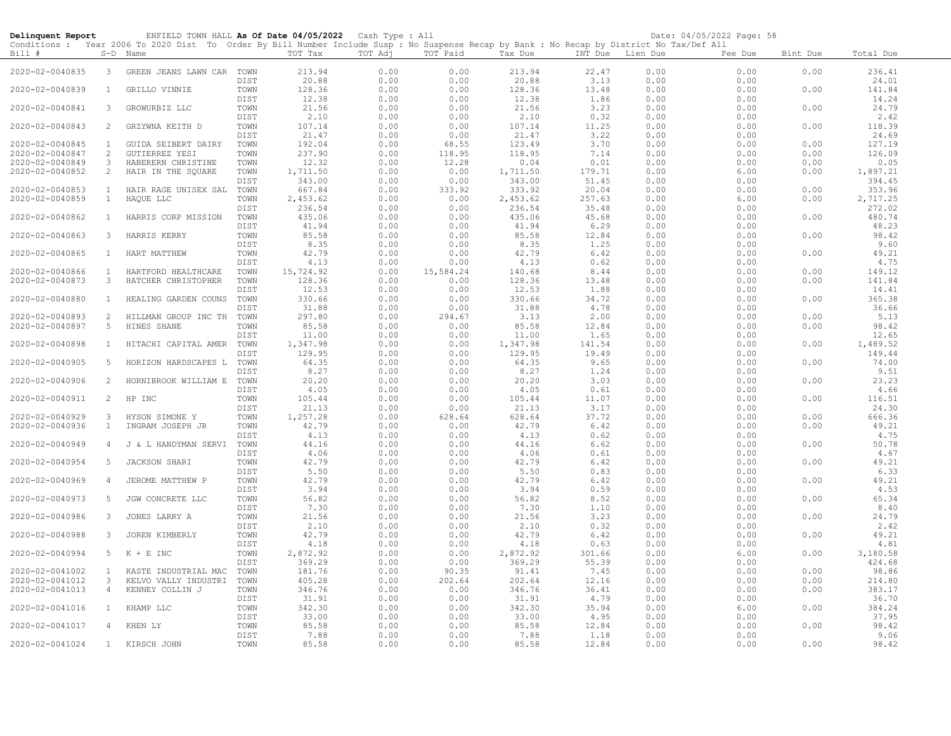| Delinquent Report                  |                | ENFIELD TOWN HALL As Of Date 04/05/2022 Cash Type : All                                                                                                |              |                    |              |                |                    |                  |              | Date: 04/05/2022 Page: 58 |              |                    |
|------------------------------------|----------------|--------------------------------------------------------------------------------------------------------------------------------------------------------|--------------|--------------------|--------------|----------------|--------------------|------------------|--------------|---------------------------|--------------|--------------------|
| Bill #                             |                | Conditions : Year 2006 To 2020 Dist To Order By Bill Number Include Susp : No Suspense Recap by Bank : No Recap by District No Tax/Def All<br>S-D Name |              | TOT Tax            | TOT Adj      | TOT Paid       | Tax Due            | INT Due Lien Due |              | Fee Due                   | Bint Due     | Total Due          |
| 2020-02-0040835                    | $\mathbf{3}$   | GREEN JEANS LAWN CAR                                                                                                                                   | TOWN<br>DIST | 213.94<br>20.88    | 0.00<br>0.00 | 0.00<br>0.00   | 213.94<br>20.88    | 22.47<br>3.13    | 0.00<br>0.00 | 0.00<br>0.00              | 0.00         | 236.41<br>24.01    |
| 2020-02-0040839                    | $\mathbf{1}$   | GRILLO VINNIE                                                                                                                                          | TOWN         | 128.36             | 0.00         | 0.00           | 128.36             | 13.48            | 0.00         | 0.00                      | 0.00         | 141.84             |
| 2020-02-0040841                    | 3              | GROWURBIZ LLC                                                                                                                                          | DIST<br>TOWN | 12.38<br>21.56     | 0.00<br>0.00 | 0.00<br>0.00   | 12.38<br>21.56     | 1.86<br>3.23     | 0.00<br>0.00 | 0.00<br>0.00              | 0.00         | 14.24<br>24.79     |
| 2020-02-0040843                    | 2              | GRZYWNA KEITH D                                                                                                                                        | DIST<br>TOWN | 2.10<br>107.14     | 0.00<br>0.00 | 0.00<br>0.00   | 2.10<br>107.14     | 0.32<br>11.25    | 0.00<br>0.00 | 0.00<br>0.00              | 0.00         | 2.42<br>118.39     |
|                                    |                |                                                                                                                                                        | DIST         | 21.47              | 0.00         | 0.00           | 21.47              | 3.22             | 0.00         | 0.00                      |              | 24.69              |
| 2020-02-0040845                    | $\mathbf{1}$   | GUIDA SEIBERT DAIRY                                                                                                                                    | TOWN         | 192.04             | 0.00         | 68.55          | 123.49             | 3.70             | 0.00         | 0.00                      | 0.00         | 127.19             |
| 2020-02-0040847                    | 2              | GUTIERREZ YESI                                                                                                                                         | TOWN         | 237.90             | 0.00         | 118.95         | 118.95             | 7.14             | 0.00         | 0.00                      | 0.00         | 126.09             |
| 2020-02-0040849                    | $\mathcal{S}$  | HABERERN CHRISTINE                                                                                                                                     | TOWN         | 12.32              | 0.00         | 12.28          | 0.04               | 0.01             | 0.00         | 0.00                      | 0.00         | 0.05               |
| 2020-02-0040852                    | $\overline{2}$ | HAIR IN THE SQUARE                                                                                                                                     | TOWN<br>DIST | 1,711.50<br>343.00 | 0.00<br>0.00 | 0.00<br>0.00   | 1,711.50<br>343.00 | 179.71<br>51.45  | 0.00<br>0.00 | 6.00<br>0.00              | 0.00         | 1,897.21<br>394.45 |
| 2020-02-0040853                    | $\mathbf{1}$   | HAIR RAGE UNISEX SAL                                                                                                                                   | TOWN         | 667.84             | 0.00         | 333.92         | 333.92             | 20.04            | 0.00         | 0.00                      | 0.00         | 353.96             |
| 2020-02-0040859                    | $\mathbf{1}$   | HAQUE LLC                                                                                                                                              | TOWN         | 2,453.62           | 0.00         | 0.00           | 2,453.62           | 257.63           | 0.00         | 6.00                      | 0.00         | 2,717.25           |
|                                    |                |                                                                                                                                                        | DIST         | 236.54             | 0.00         | 0.00           | 236.54             | 35.48            | 0.00         | 0.00                      |              | 272.02             |
| 2020-02-0040862                    | $\mathbf{1}$   | HARRIS CORP MISSION                                                                                                                                    | TOWN         | 435.06             | 0.00         | 0.00           | 435.06             | 45.68            | 0.00         | 0.00                      | 0.00         | 480.74             |
|                                    |                |                                                                                                                                                        | DIST         | 41.94              | 0.00         | 0.00           | 41.94              | 6.29             | 0.00         | 0.00                      |              | 48.23              |
| 2020-02-0040863                    | $\mathbf{3}$   | HARRIS KERRY                                                                                                                                           | TOWN         | 85.58              | 0.00         | 0.00           | 85.58              | 12.84            | 0.00         | 0.00                      | 0.00         | 98.42              |
|                                    |                |                                                                                                                                                        | DIST         | 8.35               | 0.00         | 0.00           | 8.35               | 1.25             | 0.00         | 0.00                      |              | 9.60               |
| 2020-02-0040865                    | $\mathbf{1}$   | HART MATTHEW                                                                                                                                           | TOWN         | 42.79              | 0.00         | 0.00           | 42.79              | 6.42             | 0.00         | 0.00                      | 0.00         | 49.21              |
|                                    |                |                                                                                                                                                        | DIST         | 4.13               | 0.00         | 0.00           | 4.13               | 0.62             | 0.00         | 0.00                      |              | 4.75               |
| 2020-02-0040866                    | $\mathbf{1}$   | HARTFORD HEALTHCARE                                                                                                                                    | TOWN         | 15,724.92          | 0.00         | 15,584.24      | 140.68             | 8.44             | 0.00         | 0.00                      | 0.00         | 149.12             |
| 2020-02-0040873                    | $\mathcal{S}$  | HATCHER CHRISTOPHER                                                                                                                                    | TOWN         | 128.36             | 0.00         | 0.00           | 128.36             | 13.48            | 0.00         | 0.00                      | 0.00         | 141.84             |
|                                    |                |                                                                                                                                                        | DIST         | 12.53              | 0.00         | 0.00           | 12.53              | 1.88             | 0.00         | 0.00                      |              | 14.41              |
| 2020-02-0040880                    | $\mathbf{1}$   | HEALING GARDEN COUNS                                                                                                                                   | TOWN         | 330.66             | 0.00         | 0.00           | 330.66             | 34.72            | 0.00         | 0.00                      | 0.00         | 365.38             |
|                                    | 2              |                                                                                                                                                        | DIST         | 31.88              | 0.00         | 0.00           | 31.88              | 4.78             | 0.00         | 0.00                      |              | 36.66              |
| 2020-02-0040893<br>2020-02-0040897 | -5             | HILLMAN GROUP INC TH<br>HINES SHANE                                                                                                                    | TOWN<br>TOWN | 297.80<br>85.58    | 0.00<br>0.00 | 294.67<br>0.00 | 3.13<br>85.58      | 2.00<br>12.84    | 0.00<br>0.00 | 0.00<br>0.00              | 0.00<br>0.00 | 5.13<br>98.42      |
|                                    |                |                                                                                                                                                        | DIST         | 11.00              | 0.00         | 0.00           | 11.00              | 1.65             | 0.00         | 0.00                      |              | 12.65              |
| 2020-02-0040898                    | $\mathbf{1}$   | HITACHI CAPITAL AMER                                                                                                                                   | TOWN         | 1,347.98           | 0.00         | 0.00           | 1,347.98           | 141.54           | 0.00         | 0.00                      | 0.00         | 1,489.52           |
|                                    |                |                                                                                                                                                        | DIST         | 129.95             | 0.00         | 0.00           | 129.95             | 19.49            | 0.00         | 0.00                      |              | 149.44             |
| 2020-02-0040905                    | 5              | HORIZON HARDSCAPES L                                                                                                                                   | TOWN         | 64.35              | 0.00         | 0.00           | 64.35              | 9.65             | 0.00         | 0.00                      | 0.00         | 74.00              |
|                                    |                |                                                                                                                                                        | DIST         | 8.27               | 0.00         | 0.00           | 8.27               | 1.24             | 0.00         | 0.00                      |              | 9.51               |
| 2020-02-0040906                    | 2              | HORNIBROOK WILLIAM E                                                                                                                                   | TOWN         | 20.20              | 0.00         | 0.00           | 20.20              | 3.03             | 0.00         | 0.00                      | 0.00         | 23.23              |
|                                    |                |                                                                                                                                                        | DIST         | 4.05               | 0.00         | 0.00           | 4.05               | 0.61             | 0.00         | 0.00                      |              | 4.66               |
| 2020-02-0040911                    | 2              | HP INC                                                                                                                                                 | TOWN         | 105.44             | 0.00         | 0.00           | 105.44             | 11.07            | 0.00         | 0.00                      | 0.00         | 116.51             |
|                                    |                |                                                                                                                                                        | DIST         | 21.13              | 0.00         | 0.00           | 21.13              | 3.17             | 0.00         | 0.00                      |              | 24.30              |
| 2020-02-0040929                    | $\mathbf{3}$   | HYSON SIMONE Y                                                                                                                                         | TOWN         | 1,257.28           | 0.00         | 628.64         | 628.64             | 37.72            | 0.00         | 0.00                      | 0.00         | 666.36             |
| 2020-02-0040936                    | $\mathbf{1}$   | INGRAM JOSEPH JR                                                                                                                                       | TOWN         | 42.79              | 0.00         | 0.00           | 42.79              | 6.42             | 0.00         | 0.00                      | 0.00         | 49.21              |
|                                    |                |                                                                                                                                                        | DIST         | 4.13               | 0.00         | 0.00           | 4.13               | 0.62             | 0.00         | 0.00                      |              | 4.75               |
| 2020-02-0040949                    | 4              | J & L HANDYMAN SERVI                                                                                                                                   | TOWN         | 44.16              | 0.00         | 0.00           | 44.16              | 6.62             | 0.00         | 0.00                      | 0.00         | 50.78              |
|                                    |                |                                                                                                                                                        | DIST         | 4.06               | 0.00         | 0.00           | 4.06               | 0.61             | 0.00         | 0.00                      |              | 4.67               |
| 2020-02-0040954                    | 5              | JACKSON SHARI                                                                                                                                          | TOWN         | 42.79              | 0.00         | 0.00           | 42.79              | 6.42             | 0.00         | 0.00                      | 0.00         | 49.21              |
|                                    |                |                                                                                                                                                        | DIST         | 5.50               | 0.00         | 0.00           | 5.50               | 0.83             | 0.00         | 0.00                      |              | 6.33               |
| 2020-02-0040969                    | 4              | JEROME MATTHEW P                                                                                                                                       | TOWN         | 42.79              | 0.00         | 0.00<br>0.00   | 42.79              | 6.42<br>0.59     | 0.00<br>0.00 | 0.00                      | 0.00         | 49.21<br>4.53      |
|                                    |                |                                                                                                                                                        | DIST         | 3.94               | 0.00         |                | 3.94               |                  | 0.00         | 0.00                      | 0.00         |                    |
| 2020-02-0040973                    | -5             | JGW CONCRETE LLC                                                                                                                                       | TOWN<br>DIST | 56.82<br>7.30      | 0.00         | 0.00<br>0.00   | 56.82<br>7.30      | 8.52<br>1.10     | 0.00         | 0.00<br>0.00              |              | 65.34<br>8.40      |
| 2020-02-0040986                    | $\mathbf{3}$   | JONES LARRY A                                                                                                                                          | TOWN         | 21.56              | 0.00<br>0.00 | 0.00           | 21.56              | 3.23             | 0.00         | 0.00                      | 0.00         | 24.79              |
|                                    |                |                                                                                                                                                        | DIST         | 2.10               | 0.00         | 0.00           | 2.10               | 0.32             | 0.00         | 0.00                      |              | 2.42               |
| 2020-02-0040988                    | $\mathbf{3}$   | JOREN KIMBERLY                                                                                                                                         | TOWN         | 42.79              | 0.00         | 0.00           | 42.79              | 6.42             | 0.00         | 0.00                      | 0.00         | 49.21              |
|                                    |                |                                                                                                                                                        | DIST         | 4.18               | 0.00         | 0.00           | 4.18               | 0.63             | 0.00         | 0.00                      |              | 4.81               |
| 2020-02-0040994                    | 5              | $K + E$ INC                                                                                                                                            | TOWN         | 2,872.92           | 0.00         | 0.00           | 2,872.92           | 301.66           | 0.00         | 6.00                      | 0.00         | 3,180.58           |
|                                    |                |                                                                                                                                                        | DIST         | 369.29             | 0.00         | 0.00           | 369.29             | 55.39            | 0.00         | 0.00                      |              | 424.68             |
| 2020-02-0041002                    | $\mathbf{1}$   | KASTE INDUSTRIAL MAC                                                                                                                                   | TOWN         | 181.76             | 0.00         | 90.35          | 91.41              | 7.45             | 0.00         | 0.00                      | 0.00         | 98.86              |
| 2020-02-0041012                    | $\mathbf{3}$   | KELVO VALLY INDUSTRI                                                                                                                                   | TOWN         | 405.28             | 0.00         | 202.64         | 202.64             | 12.16            | 0.00         | 0.00                      | 0.00         | 214.80             |
| 2020-02-0041013                    | 4              | KENNEY COLLIN J                                                                                                                                        | TOWN         | 346.76             | 0.00         | 0.00           | 346.76             | 36.41            | 0.00         | 0.00                      | 0.00         | 383.17             |
|                                    |                |                                                                                                                                                        | DIST         | 31.91              | 0.00         | 0.00           | 31.91              | 4.79             | 0.00         | 0.00                      |              | 36.70              |
| 2020-02-0041016                    | <sup>1</sup>   | KHAMP LLC                                                                                                                                              | TOWN         | 342.30             | 0.00         | 0.00           | 342.30             | 35.94            | 0.00         | 6.00                      | 0.00         | 384.24             |
|                                    |                |                                                                                                                                                        | DIST         | 33.00              | 0.00         | 0.00           | 33.00              | 4.95             | 0.00         | 0.00                      |              | 37.95              |
| 2020-02-0041017                    | 4              | KHEN LY                                                                                                                                                | TOWN         | 85.58              | 0.00         | 0.00           | 85.58              | 12.84            | 0.00         | 0.00                      | 0.00         | 98.42              |
|                                    |                |                                                                                                                                                        | DIST         | 7.88               | 0.00         | 0.00           | 7.88               | 1.18             | 0.00         | 0.00                      |              | 9.06               |
| 2020-02-0041024                    | 1              | KIRSCH JOHN                                                                                                                                            | TOWN         | 85.58              | 0.00         | 0.00           | 85.58              | 12.84            | 0.00         | 0.00                      | 0.00         | 98.42              |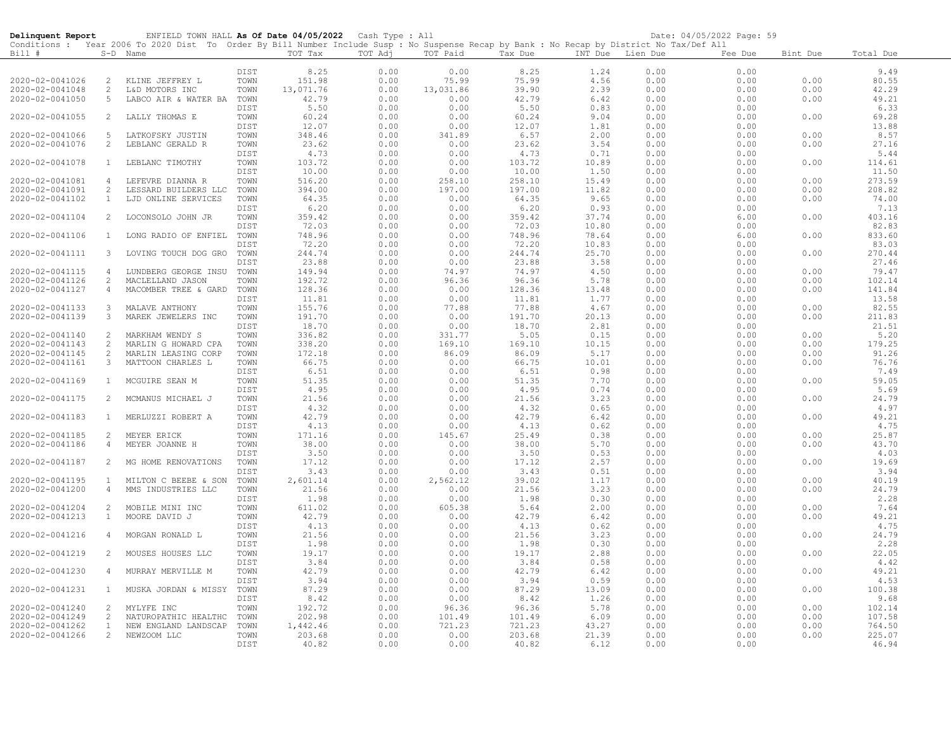| Conditions : Year 2006 To 2020 Dist To Order By Bill Number Include Susp : No Suspense Recap by Bank : No Recap by District No Tax/Def All<br>Bill #<br>TOT Tax<br>TOT Adj<br>TOT Paid<br>Total Due<br>S-D Name<br>Tax Due<br>INT Due Lien Due<br>Fee Due<br>Bint Due<br>8.25<br>DIST<br>0.00<br>0.00<br>8.25<br>1.24<br>0.00<br>0.00<br>9.49<br>80.55<br>2020-02-0041026<br>2<br>TOWN<br>151.98<br>0.00<br>75.99<br>75.99<br>4.56<br>0.00<br>0.00<br>0.00<br>KLINE JEFFREY L<br>2020-02-0041048<br>13,071.76<br>0.00<br>13,031.86<br>39.90<br>2.39<br>0.00<br>0.00<br>0.00<br>42.29<br>2<br>L&D MOTORS INC<br>TOWN<br>42.79<br>42.79<br>49.21<br>2020-02-0041050<br>5<br>0.00<br>0.00<br>6.42<br>0.00<br>0.00<br>0.00<br>LABCO AIR & WATER BA<br>TOWN<br>5.50<br>5.50<br>0.00<br>6.33<br>DIST<br>0.00<br>0.00<br>0.83<br>0.00<br>2020-02-0041055<br>LALLY THOMAS E<br>TOWN<br>60.24<br>0.00<br>0.00<br>60.24<br>9.04<br>0.00<br>0.00<br>0.00<br>69.28<br>2<br>0.00<br>13.88<br>12.07<br>0.00<br>0.00<br>12.07<br>1.81<br>0.00<br>DIST<br>$\sqrt{5}$<br>348.46<br>0.00<br>341.89<br>6.57<br>0.00<br>0.00<br>0.00<br>8.57<br>2020-02-0041066<br>LATKOFSKY JUSTIN<br>TOWN<br>2.00<br>23.62<br>27.16<br>2020-02-0041076<br>2<br>0.00<br>0.00<br>23.62<br>3.54<br>0.00<br>0.00<br>0.00<br>LEBLANC GERALD R<br>TOWN<br>4.73<br>0.00<br>0.00<br>4.73<br>0.71<br>0.00<br>0.00<br>5.44<br>DIST<br>2020-02-0041078<br>103.72<br>0.00<br>0.00<br>103.72<br>0.00<br>114.61<br>LEBLANC TIMOTHY<br>TOWN<br>10.89<br>0.00<br>0.00<br>1<br>10.00<br>11.50<br>10.00<br>0.00<br>0.00<br>1.50<br>0.00<br>0.00<br>DIST<br>2020-02-0041081<br>516.20<br>0.00<br>258.10<br>258.10<br>15.49<br>0.00<br>0.00<br>0.00<br>273.59<br>$\overline{4}$<br>LEFEVRE DIANNA R<br>TOWN<br>2<br>394.00<br>0.00<br>197.00<br>197.00<br>11.82<br>0.00<br>208.82<br>2020-02-0041091<br>LESSARD BUILDERS LLC<br>TOWN<br>0.00<br>0.00<br>74.00<br>2020-02-0041102<br>$\mathbf{1}$<br>64.35<br>0.00<br>0.00<br>64.35<br>9.65<br>0.00<br>0.00<br>LJD ONLINE SERVICES<br>TOWN<br>0.00<br>6.20<br>0.00<br>0.00<br>6.20<br>0.93<br>0.00<br>0.00<br>7.13<br>DIST<br>403.16<br>2020-02-0041104<br>359.42<br>0.00<br>0.00<br>359.42<br>37.74<br>0.00<br>6.00<br>0.00<br>$\overline{2}$<br>LOCONSOLO JOHN JR<br>TOWN<br>72.03<br>0.00<br>0.00<br>72.03<br>10.80<br>0.00<br>0.00<br>82.83<br>DIST<br>0.00<br>833.60<br>2020-02-0041106<br>LONG RADIO OF ENFIEL<br>TOWN<br>748.96<br>0.00<br>748.96<br>78.64<br>0.00<br>6.00<br>0.00<br>$\mathbf{1}$<br>72.20<br>0.00<br>72.20<br>0.00<br>83.03<br>DIST<br>0.00<br>10.83<br>0.00<br>0.00<br>0.00<br>270.44<br>2020-02-0041111<br>$\mathbf{3}$<br>LOVING TOUCH DOG GRO<br>TOWN<br>244.74<br>0.00<br>244.74<br>25.70<br>0.00<br>0.00<br>27.46<br>23.88<br>0.00<br>0.00<br>23.88<br>3.58<br>0.00<br>0.00<br>DIST<br>2020-02-0041115<br>149.94<br>0.00<br>74.97<br>74.97<br>4.50<br>0.00<br>0.00<br>0.00<br>79.47<br>$\overline{4}$<br>LUNDBERG GEORGE INSU<br>TOWN<br>2<br>192.72<br>0.00<br>96.36<br>0.00<br>102.14<br>2020-02-0041126<br>TOWN<br>96.36<br>5.78<br>0.00<br>0.00<br>MACLELLAND JASON<br>141.84<br>2020-02-0041127<br>128.36<br>0.00<br>0.00<br>128.36<br>0.00<br>0.00<br>0.00<br>$\overline{4}$<br>MACOMBER TREE & GARD<br>TOWN<br>13.48<br>0.00<br>11.81<br>1.77<br>0.00<br>13.58<br>DIST<br>11.81<br>0.00<br>0.00<br>82.55<br>2020-02-0041133<br>$\mathcal{S}$<br>TOWN<br>155.76<br>0.00<br>77.88<br>77.88<br>4.67<br>0.00<br>0.00<br>0.00<br>MALAVE ANTHONY<br>0.00<br>211.83<br>2020-02-0041139<br>MAREK JEWELERS INC<br>TOWN<br>191.70<br>0.00<br>0.00<br>191.70<br>20.13<br>0.00<br>0.00<br>3<br>18.70<br>0.00<br>18.70<br>0.00<br>21.51<br>DIST<br>0.00<br>2.81<br>0.00<br>2<br>336.82<br>0.00<br>331.77<br>5.05<br>0.00<br>0.00<br>0.00<br>5.20<br>2020-02-0041140<br>MARKHAM WENDY S<br>TOWN<br>0.15<br>0.00<br>169.10<br>0.00<br>179.25<br>2020-02-0041143<br>2<br>MARLIN G HOWARD CPA<br>TOWN<br>338.20<br>169.10<br>10.15<br>0.00<br>0.00<br>91.26<br>2020-02-0041145<br>2<br>TOWN<br>172.18<br>0.00<br>86.09<br>0.00<br>0.00<br>MARLIN LEASING CORP<br>86.09<br>5.17<br>0.00<br>66.75<br>66.75<br>76.76<br>2020-02-0041161<br>3<br>MATTOON CHARLES L<br>TOWN<br>0.00<br>0.00<br>10.01<br>0.00<br>0.00<br>0.00<br>6.51<br>0.00<br>0.00<br>6.51<br>0.98<br>0.00<br>0.00<br>7.49<br>DIST<br>51.35<br>59.05<br>0.00<br>0.00<br>51.35<br>7.70<br>0.00<br>0.00<br>2020-02-0041169<br>$\mathbf{1}$<br>MCGUIRE SEAN M<br>TOWN<br>0.00<br>4.95<br>0.00<br>0.00<br>5.69<br>DIST<br>0.00<br>4.95<br>0.74<br>0.00<br>24.79<br>2020-02-0041175<br>21.56<br>0.00<br>0.00<br>21.56<br>3.23<br>0.00<br>0.00<br>0.00<br>$\overline{2}$<br>MCMANUS MICHAEL J<br>TOWN<br>0.00<br>4.97<br>DIST<br>4.32<br>0.00<br>0.00<br>4.32<br>0.65<br>0.00<br>2020-02-0041183<br>MERLUZZI ROBERT A<br>TOWN<br>42.79<br>0.00<br>0.00<br>42.79<br>0.00<br>0.00<br>0.00<br>49.21<br>$\mathbf{1}$<br>6.42<br>4.13<br>0.00<br>4.13<br>4.75<br>DIST<br>0.00<br>0.62<br>0.00<br>0.00<br>2020-02-0041185<br>0.00<br>0.00<br>25.87<br>2<br>MEYER ERICK<br>TOWN<br>171.16<br>145.67<br>25.49<br>0.38<br>0.00<br>0.00<br>2020-02-0041186<br>38.00<br>0.00<br>0.00<br>38.00<br>0.00<br>0.00<br>0.00<br>43.70<br>$\overline{4}$<br>MEYER JOANNE H<br>TOWN<br>5.70<br>3.50<br>DIST<br>0.00<br>0.00<br>3.50<br>0.53<br>0.00<br>0.00<br>4.03<br>17.12<br>2020-02-0041187<br>$\overline{2}$<br>MG HOME RENOVATIONS<br>TOWN<br>0.00<br>0.00<br>17.12<br>2.57<br>0.00<br>0.00<br>0.00<br>19.69<br>0.00<br>3.43<br>0.51<br>0.00<br>0.00<br>3.94<br>DIST<br>3.43<br>0.00<br>2,601.14<br>0.00<br>40.19<br>2020-02-0041195<br>TOWN<br>0.00<br>2,562.12<br>39.02<br>1.17<br>0.00<br>0.00<br>$\mathbf{1}$<br>MILTON C BEEBE & SON<br>2020-02-0041200<br>21.56<br>0.00<br>0.00<br>21.56<br>3.23<br>0.00<br>0.00<br>0.00<br>24.79<br>$\overline{4}$<br>MMS INDUSTRIES LLC<br>TOWN<br>1.98<br>1.98<br>0.00<br>2.28<br>DIST<br>0.00<br>0.00<br>0.30<br>0.00<br>2020-02-0041204<br>2<br>TOWN<br>611.02<br>0.00<br>605.38<br>5.64<br>2.00<br>0.00<br>0.00<br>0.00<br>7.64<br>MOBILE MINI INC<br>42.79<br>0.00<br>0.00<br>0.00<br>49.21<br>2020-02-0041213<br>MOORE DAVID J<br>TOWN<br>42.79<br>6.42<br>0.00<br>0.00<br>1<br>DIST<br>4.13<br>0.00<br>0.00<br>4.13<br>0.62<br>0.00<br>0.00<br>4.75<br>2020-02-0041216<br>21.56<br>0.00<br>0.00<br>21.56<br>0.00<br>0.00<br>24.79<br>$\overline{4}$<br>MORGAN RONALD L<br>TOWN<br>3.23<br>0.00<br>0.00<br>1.98<br>0.00<br>1.98<br>0.30<br>0.00<br>0.00<br>2.28<br>DIST<br>19.17<br>0.00<br>2020-02-0041219<br>2<br>TOWN<br>0.00<br>19.17<br>2.88<br>0.00<br>0.00<br>0.00<br>22.05<br>MOUSES HOUSES LLC<br>3.84<br>0.00<br>0.00<br>3.84<br>0.58<br>0.00<br>0.00<br>4.42<br>DIST<br>42.79<br>42.79<br>49.21<br>2020-02-0041230<br>TOWN<br>0.00<br>0.00<br>6.42<br>0.00<br>0.00<br>0.00<br>$\overline{4}$<br>MURRAY MERVILLE M<br>3.94<br>0.00<br>0.00<br>3.94<br>0.59<br>0.00<br>0.00<br>4.53<br>DIST<br>87.29<br>0.00<br>0.00<br>100.38<br>2020-02-0041231<br>MUSKA JORDAN & MISSY<br>TOWN<br>0.00<br>87.29<br>13.09<br>0.00<br>0.00<br>$\mathbf{1}$<br>8.42<br>0.00<br>0.00<br>0.00<br>0.00<br>9.68<br>DIST<br>8.42<br>1.26<br>192.72<br>0.00<br>5.78<br>0.00<br>102.14<br>2020-02-0041240<br>$\overline{c}$<br>TOWN<br>96.36<br>96.36<br>0.00<br>0.00<br>MYLYFE INC<br>107.58<br>2020-02-0041249<br>2<br>NATUROPATHIC HEALTHC<br>TOWN<br>202.98<br>0.00<br>101.49<br>101.49<br>6.09<br>0.00<br>0.00<br>0.00<br>2020-02-0041262<br>$\mathbf{1}$<br>0.00<br>721.23<br>721.23<br>0.00<br>764.50<br>TOWN<br>1,442.46<br>43.27<br>0.00<br>0.00<br>NEW ENGLAND LANDSCAP<br>2 NEWZOOM LLC<br>203.68<br>0.00<br>203.68<br>21.39<br>0.00<br>0.00<br>225.07<br>2020-02-0041266<br>TOWN<br>0.00<br>0.00<br>DIST<br>0.00 | Delinquent Report | ENFIELD TOWN HALL As Of Date 04/05/2022 Cash Type : All |       |      |      |       |      | Date: 04/05/2022 Page: 59 |       |
|---------------------------------------------------------------------------------------------------------------------------------------------------------------------------------------------------------------------------------------------------------------------------------------------------------------------------------------------------------------------------------------------------------------------------------------------------------------------------------------------------------------------------------------------------------------------------------------------------------------------------------------------------------------------------------------------------------------------------------------------------------------------------------------------------------------------------------------------------------------------------------------------------------------------------------------------------------------------------------------------------------------------------------------------------------------------------------------------------------------------------------------------------------------------------------------------------------------------------------------------------------------------------------------------------------------------------------------------------------------------------------------------------------------------------------------------------------------------------------------------------------------------------------------------------------------------------------------------------------------------------------------------------------------------------------------------------------------------------------------------------------------------------------------------------------------------------------------------------------------------------------------------------------------------------------------------------------------------------------------------------------------------------------------------------------------------------------------------------------------------------------------------------------------------------------------------------------------------------------------------------------------------------------------------------------------------------------------------------------------------------------------------------------------------------------------------------------------------------------------------------------------------------------------------------------------------------------------------------------------------------------------------------------------------------------------------------------------------------------------------------------------------------------------------------------------------------------------------------------------------------------------------------------------------------------------------------------------------------------------------------------------------------------------------------------------------------------------------------------------------------------------------------------------------------------------------------------------------------------------------------------------------------------------------------------------------------------------------------------------------------------------------------------------------------------------------------------------------------------------------------------------------------------------------------------------------------------------------------------------------------------------------------------------------------------------------------------------------------------------------------------------------------------------------------------------------------------------------------------------------------------------------------------------------------------------------------------------------------------------------------------------------------------------------------------------------------------------------------------------------------------------------------------------------------------------------------------------------------------------------------------------------------------------------------------------------------------------------------------------------------------------------------------------------------------------------------------------------------------------------------------------------------------------------------------------------------------------------------------------------------------------------------------------------------------------------------------------------------------------------------------------------------------------------------------------------------------------------------------------------------------------------------------------------------------------------------------------------------------------------------------------------------------------------------------------------------------------------------------------------------------------------------------------------------------------------------------------------------------------------------------------------------------------------------------------------------------------------------------------------------------------------------------------------------------------------------------------------------------------------------------------------------------------------------------------------------------------------------------------------------------------------------------------------------------------------------------------------------------------------------------------------------------------------------------------------------------------------------------------------------------------------------------------------------------------------------------------------------------------------------------------------------------------------------------------------------------------------------------------------------------------------------------------------------------------------------------------------------------------------------------------------------------------------------------------------------------------------------------------------------------------------------------------------------------------------------------------------------------------------------------------------------------------------------------------------------------------------------------------------------------------------------------------------------------------------------------------------------------------------------------------------------------------------------------------------------------------------------------------------------------------------------------------------------------------------------------------------------------------------------------------------------------------------------------------------------------------------------------------------------------------------------------------------------------------------------------------------------------------------------------------------------------------------------------------------------------------------------------------------------------------------------------------------------------------------------------------------------------------------------------------------------------------------------------------------------------------------------------------------------------------------------------------------------------------------------------------------|-------------------|---------------------------------------------------------|-------|------|------|-------|------|---------------------------|-------|
|                                                                                                                                                                                                                                                                                                                                                                                                                                                                                                                                                                                                                                                                                                                                                                                                                                                                                                                                                                                                                                                                                                                                                                                                                                                                                                                                                                                                                                                                                                                                                                                                                                                                                                                                                                                                                                                                                                                                                                                                                                                                                                                                                                                                                                                                                                                                                                                                                                                                                                                                                                                                                                                                                                                                                                                                                                                                                                                                                                                                                                                                                                                                                                                                                                                                                                                                                                                                                                                                                                                                                                                                                                                                                                                                                                                                                                                                                                                                                                                                                                                                                                                                                                                                                                                                                                                                                                                                                                                                                                                                                                                                                                                                                                                                                                                                                                                                                                                                                                                                                                                                                                                                                                                                                                                                                                                                                                                                                                                                                                                                                                                                                                                                                                                                                                                                                                                                                                                                                                                                                                                                                                                                                                                                                                                                                                                                                                                                                                                                                                                                                                                                                                                                                                                                                                                                                                                                                                                                                                                                                                                                                                                                                                                                                                                                                                                                                                                                                                                                                                                                                                                                                                                                                                                     |                   |                                                         |       |      |      |       |      |                           |       |
|                                                                                                                                                                                                                                                                                                                                                                                                                                                                                                                                                                                                                                                                                                                                                                                                                                                                                                                                                                                                                                                                                                                                                                                                                                                                                                                                                                                                                                                                                                                                                                                                                                                                                                                                                                                                                                                                                                                                                                                                                                                                                                                                                                                                                                                                                                                                                                                                                                                                                                                                                                                                                                                                                                                                                                                                                                                                                                                                                                                                                                                                                                                                                                                                                                                                                                                                                                                                                                                                                                                                                                                                                                                                                                                                                                                                                                                                                                                                                                                                                                                                                                                                                                                                                                                                                                                                                                                                                                                                                                                                                                                                                                                                                                                                                                                                                                                                                                                                                                                                                                                                                                                                                                                                                                                                                                                                                                                                                                                                                                                                                                                                                                                                                                                                                                                                                                                                                                                                                                                                                                                                                                                                                                                                                                                                                                                                                                                                                                                                                                                                                                                                                                                                                                                                                                                                                                                                                                                                                                                                                                                                                                                                                                                                                                                                                                                                                                                                                                                                                                                                                                                                                                                                                                                     |                   |                                                         |       |      |      |       |      |                           |       |
|                                                                                                                                                                                                                                                                                                                                                                                                                                                                                                                                                                                                                                                                                                                                                                                                                                                                                                                                                                                                                                                                                                                                                                                                                                                                                                                                                                                                                                                                                                                                                                                                                                                                                                                                                                                                                                                                                                                                                                                                                                                                                                                                                                                                                                                                                                                                                                                                                                                                                                                                                                                                                                                                                                                                                                                                                                                                                                                                                                                                                                                                                                                                                                                                                                                                                                                                                                                                                                                                                                                                                                                                                                                                                                                                                                                                                                                                                                                                                                                                                                                                                                                                                                                                                                                                                                                                                                                                                                                                                                                                                                                                                                                                                                                                                                                                                                                                                                                                                                                                                                                                                                                                                                                                                                                                                                                                                                                                                                                                                                                                                                                                                                                                                                                                                                                                                                                                                                                                                                                                                                                                                                                                                                                                                                                                                                                                                                                                                                                                                                                                                                                                                                                                                                                                                                                                                                                                                                                                                                                                                                                                                                                                                                                                                                                                                                                                                                                                                                                                                                                                                                                                                                                                                                                     |                   |                                                         |       |      |      |       |      |                           |       |
|                                                                                                                                                                                                                                                                                                                                                                                                                                                                                                                                                                                                                                                                                                                                                                                                                                                                                                                                                                                                                                                                                                                                                                                                                                                                                                                                                                                                                                                                                                                                                                                                                                                                                                                                                                                                                                                                                                                                                                                                                                                                                                                                                                                                                                                                                                                                                                                                                                                                                                                                                                                                                                                                                                                                                                                                                                                                                                                                                                                                                                                                                                                                                                                                                                                                                                                                                                                                                                                                                                                                                                                                                                                                                                                                                                                                                                                                                                                                                                                                                                                                                                                                                                                                                                                                                                                                                                                                                                                                                                                                                                                                                                                                                                                                                                                                                                                                                                                                                                                                                                                                                                                                                                                                                                                                                                                                                                                                                                                                                                                                                                                                                                                                                                                                                                                                                                                                                                                                                                                                                                                                                                                                                                                                                                                                                                                                                                                                                                                                                                                                                                                                                                                                                                                                                                                                                                                                                                                                                                                                                                                                                                                                                                                                                                                                                                                                                                                                                                                                                                                                                                                                                                                                                                                     |                   |                                                         |       |      |      |       |      |                           |       |
|                                                                                                                                                                                                                                                                                                                                                                                                                                                                                                                                                                                                                                                                                                                                                                                                                                                                                                                                                                                                                                                                                                                                                                                                                                                                                                                                                                                                                                                                                                                                                                                                                                                                                                                                                                                                                                                                                                                                                                                                                                                                                                                                                                                                                                                                                                                                                                                                                                                                                                                                                                                                                                                                                                                                                                                                                                                                                                                                                                                                                                                                                                                                                                                                                                                                                                                                                                                                                                                                                                                                                                                                                                                                                                                                                                                                                                                                                                                                                                                                                                                                                                                                                                                                                                                                                                                                                                                                                                                                                                                                                                                                                                                                                                                                                                                                                                                                                                                                                                                                                                                                                                                                                                                                                                                                                                                                                                                                                                                                                                                                                                                                                                                                                                                                                                                                                                                                                                                                                                                                                                                                                                                                                                                                                                                                                                                                                                                                                                                                                                                                                                                                                                                                                                                                                                                                                                                                                                                                                                                                                                                                                                                                                                                                                                                                                                                                                                                                                                                                                                                                                                                                                                                                                                                     |                   |                                                         |       |      |      |       |      |                           |       |
|                                                                                                                                                                                                                                                                                                                                                                                                                                                                                                                                                                                                                                                                                                                                                                                                                                                                                                                                                                                                                                                                                                                                                                                                                                                                                                                                                                                                                                                                                                                                                                                                                                                                                                                                                                                                                                                                                                                                                                                                                                                                                                                                                                                                                                                                                                                                                                                                                                                                                                                                                                                                                                                                                                                                                                                                                                                                                                                                                                                                                                                                                                                                                                                                                                                                                                                                                                                                                                                                                                                                                                                                                                                                                                                                                                                                                                                                                                                                                                                                                                                                                                                                                                                                                                                                                                                                                                                                                                                                                                                                                                                                                                                                                                                                                                                                                                                                                                                                                                                                                                                                                                                                                                                                                                                                                                                                                                                                                                                                                                                                                                                                                                                                                                                                                                                                                                                                                                                                                                                                                                                                                                                                                                                                                                                                                                                                                                                                                                                                                                                                                                                                                                                                                                                                                                                                                                                                                                                                                                                                                                                                                                                                                                                                                                                                                                                                                                                                                                                                                                                                                                                                                                                                                                                     |                   |                                                         |       |      |      |       |      |                           |       |
|                                                                                                                                                                                                                                                                                                                                                                                                                                                                                                                                                                                                                                                                                                                                                                                                                                                                                                                                                                                                                                                                                                                                                                                                                                                                                                                                                                                                                                                                                                                                                                                                                                                                                                                                                                                                                                                                                                                                                                                                                                                                                                                                                                                                                                                                                                                                                                                                                                                                                                                                                                                                                                                                                                                                                                                                                                                                                                                                                                                                                                                                                                                                                                                                                                                                                                                                                                                                                                                                                                                                                                                                                                                                                                                                                                                                                                                                                                                                                                                                                                                                                                                                                                                                                                                                                                                                                                                                                                                                                                                                                                                                                                                                                                                                                                                                                                                                                                                                                                                                                                                                                                                                                                                                                                                                                                                                                                                                                                                                                                                                                                                                                                                                                                                                                                                                                                                                                                                                                                                                                                                                                                                                                                                                                                                                                                                                                                                                                                                                                                                                                                                                                                                                                                                                                                                                                                                                                                                                                                                                                                                                                                                                                                                                                                                                                                                                                                                                                                                                                                                                                                                                                                                                                                                     |                   |                                                         |       |      |      |       |      |                           |       |
|                                                                                                                                                                                                                                                                                                                                                                                                                                                                                                                                                                                                                                                                                                                                                                                                                                                                                                                                                                                                                                                                                                                                                                                                                                                                                                                                                                                                                                                                                                                                                                                                                                                                                                                                                                                                                                                                                                                                                                                                                                                                                                                                                                                                                                                                                                                                                                                                                                                                                                                                                                                                                                                                                                                                                                                                                                                                                                                                                                                                                                                                                                                                                                                                                                                                                                                                                                                                                                                                                                                                                                                                                                                                                                                                                                                                                                                                                                                                                                                                                                                                                                                                                                                                                                                                                                                                                                                                                                                                                                                                                                                                                                                                                                                                                                                                                                                                                                                                                                                                                                                                                                                                                                                                                                                                                                                                                                                                                                                                                                                                                                                                                                                                                                                                                                                                                                                                                                                                                                                                                                                                                                                                                                                                                                                                                                                                                                                                                                                                                                                                                                                                                                                                                                                                                                                                                                                                                                                                                                                                                                                                                                                                                                                                                                                                                                                                                                                                                                                                                                                                                                                                                                                                                                                     |                   |                                                         |       |      |      |       |      |                           |       |
|                                                                                                                                                                                                                                                                                                                                                                                                                                                                                                                                                                                                                                                                                                                                                                                                                                                                                                                                                                                                                                                                                                                                                                                                                                                                                                                                                                                                                                                                                                                                                                                                                                                                                                                                                                                                                                                                                                                                                                                                                                                                                                                                                                                                                                                                                                                                                                                                                                                                                                                                                                                                                                                                                                                                                                                                                                                                                                                                                                                                                                                                                                                                                                                                                                                                                                                                                                                                                                                                                                                                                                                                                                                                                                                                                                                                                                                                                                                                                                                                                                                                                                                                                                                                                                                                                                                                                                                                                                                                                                                                                                                                                                                                                                                                                                                                                                                                                                                                                                                                                                                                                                                                                                                                                                                                                                                                                                                                                                                                                                                                                                                                                                                                                                                                                                                                                                                                                                                                                                                                                                                                                                                                                                                                                                                                                                                                                                                                                                                                                                                                                                                                                                                                                                                                                                                                                                                                                                                                                                                                                                                                                                                                                                                                                                                                                                                                                                                                                                                                                                                                                                                                                                                                                                                     |                   |                                                         |       |      |      |       |      |                           |       |
|                                                                                                                                                                                                                                                                                                                                                                                                                                                                                                                                                                                                                                                                                                                                                                                                                                                                                                                                                                                                                                                                                                                                                                                                                                                                                                                                                                                                                                                                                                                                                                                                                                                                                                                                                                                                                                                                                                                                                                                                                                                                                                                                                                                                                                                                                                                                                                                                                                                                                                                                                                                                                                                                                                                                                                                                                                                                                                                                                                                                                                                                                                                                                                                                                                                                                                                                                                                                                                                                                                                                                                                                                                                                                                                                                                                                                                                                                                                                                                                                                                                                                                                                                                                                                                                                                                                                                                                                                                                                                                                                                                                                                                                                                                                                                                                                                                                                                                                                                                                                                                                                                                                                                                                                                                                                                                                                                                                                                                                                                                                                                                                                                                                                                                                                                                                                                                                                                                                                                                                                                                                                                                                                                                                                                                                                                                                                                                                                                                                                                                                                                                                                                                                                                                                                                                                                                                                                                                                                                                                                                                                                                                                                                                                                                                                                                                                                                                                                                                                                                                                                                                                                                                                                                                                     |                   |                                                         |       |      |      |       |      |                           |       |
|                                                                                                                                                                                                                                                                                                                                                                                                                                                                                                                                                                                                                                                                                                                                                                                                                                                                                                                                                                                                                                                                                                                                                                                                                                                                                                                                                                                                                                                                                                                                                                                                                                                                                                                                                                                                                                                                                                                                                                                                                                                                                                                                                                                                                                                                                                                                                                                                                                                                                                                                                                                                                                                                                                                                                                                                                                                                                                                                                                                                                                                                                                                                                                                                                                                                                                                                                                                                                                                                                                                                                                                                                                                                                                                                                                                                                                                                                                                                                                                                                                                                                                                                                                                                                                                                                                                                                                                                                                                                                                                                                                                                                                                                                                                                                                                                                                                                                                                                                                                                                                                                                                                                                                                                                                                                                                                                                                                                                                                                                                                                                                                                                                                                                                                                                                                                                                                                                                                                                                                                                                                                                                                                                                                                                                                                                                                                                                                                                                                                                                                                                                                                                                                                                                                                                                                                                                                                                                                                                                                                                                                                                                                                                                                                                                                                                                                                                                                                                                                                                                                                                                                                                                                                                                                     |                   |                                                         |       |      |      |       |      |                           |       |
|                                                                                                                                                                                                                                                                                                                                                                                                                                                                                                                                                                                                                                                                                                                                                                                                                                                                                                                                                                                                                                                                                                                                                                                                                                                                                                                                                                                                                                                                                                                                                                                                                                                                                                                                                                                                                                                                                                                                                                                                                                                                                                                                                                                                                                                                                                                                                                                                                                                                                                                                                                                                                                                                                                                                                                                                                                                                                                                                                                                                                                                                                                                                                                                                                                                                                                                                                                                                                                                                                                                                                                                                                                                                                                                                                                                                                                                                                                                                                                                                                                                                                                                                                                                                                                                                                                                                                                                                                                                                                                                                                                                                                                                                                                                                                                                                                                                                                                                                                                                                                                                                                                                                                                                                                                                                                                                                                                                                                                                                                                                                                                                                                                                                                                                                                                                                                                                                                                                                                                                                                                                                                                                                                                                                                                                                                                                                                                                                                                                                                                                                                                                                                                                                                                                                                                                                                                                                                                                                                                                                                                                                                                                                                                                                                                                                                                                                                                                                                                                                                                                                                                                                                                                                                                                     |                   |                                                         |       |      |      |       |      |                           |       |
|                                                                                                                                                                                                                                                                                                                                                                                                                                                                                                                                                                                                                                                                                                                                                                                                                                                                                                                                                                                                                                                                                                                                                                                                                                                                                                                                                                                                                                                                                                                                                                                                                                                                                                                                                                                                                                                                                                                                                                                                                                                                                                                                                                                                                                                                                                                                                                                                                                                                                                                                                                                                                                                                                                                                                                                                                                                                                                                                                                                                                                                                                                                                                                                                                                                                                                                                                                                                                                                                                                                                                                                                                                                                                                                                                                                                                                                                                                                                                                                                                                                                                                                                                                                                                                                                                                                                                                                                                                                                                                                                                                                                                                                                                                                                                                                                                                                                                                                                                                                                                                                                                                                                                                                                                                                                                                                                                                                                                                                                                                                                                                                                                                                                                                                                                                                                                                                                                                                                                                                                                                                                                                                                                                                                                                                                                                                                                                                                                                                                                                                                                                                                                                                                                                                                                                                                                                                                                                                                                                                                                                                                                                                                                                                                                                                                                                                                                                                                                                                                                                                                                                                                                                                                                                                     |                   |                                                         |       |      |      |       |      |                           |       |
|                                                                                                                                                                                                                                                                                                                                                                                                                                                                                                                                                                                                                                                                                                                                                                                                                                                                                                                                                                                                                                                                                                                                                                                                                                                                                                                                                                                                                                                                                                                                                                                                                                                                                                                                                                                                                                                                                                                                                                                                                                                                                                                                                                                                                                                                                                                                                                                                                                                                                                                                                                                                                                                                                                                                                                                                                                                                                                                                                                                                                                                                                                                                                                                                                                                                                                                                                                                                                                                                                                                                                                                                                                                                                                                                                                                                                                                                                                                                                                                                                                                                                                                                                                                                                                                                                                                                                                                                                                                                                                                                                                                                                                                                                                                                                                                                                                                                                                                                                                                                                                                                                                                                                                                                                                                                                                                                                                                                                                                                                                                                                                                                                                                                                                                                                                                                                                                                                                                                                                                                                                                                                                                                                                                                                                                                                                                                                                                                                                                                                                                                                                                                                                                                                                                                                                                                                                                                                                                                                                                                                                                                                                                                                                                                                                                                                                                                                                                                                                                                                                                                                                                                                                                                                                                     |                   |                                                         |       |      |      |       |      |                           |       |
|                                                                                                                                                                                                                                                                                                                                                                                                                                                                                                                                                                                                                                                                                                                                                                                                                                                                                                                                                                                                                                                                                                                                                                                                                                                                                                                                                                                                                                                                                                                                                                                                                                                                                                                                                                                                                                                                                                                                                                                                                                                                                                                                                                                                                                                                                                                                                                                                                                                                                                                                                                                                                                                                                                                                                                                                                                                                                                                                                                                                                                                                                                                                                                                                                                                                                                                                                                                                                                                                                                                                                                                                                                                                                                                                                                                                                                                                                                                                                                                                                                                                                                                                                                                                                                                                                                                                                                                                                                                                                                                                                                                                                                                                                                                                                                                                                                                                                                                                                                                                                                                                                                                                                                                                                                                                                                                                                                                                                                                                                                                                                                                                                                                                                                                                                                                                                                                                                                                                                                                                                                                                                                                                                                                                                                                                                                                                                                                                                                                                                                                                                                                                                                                                                                                                                                                                                                                                                                                                                                                                                                                                                                                                                                                                                                                                                                                                                                                                                                                                                                                                                                                                                                                                                                                     |                   |                                                         |       |      |      |       |      |                           |       |
|                                                                                                                                                                                                                                                                                                                                                                                                                                                                                                                                                                                                                                                                                                                                                                                                                                                                                                                                                                                                                                                                                                                                                                                                                                                                                                                                                                                                                                                                                                                                                                                                                                                                                                                                                                                                                                                                                                                                                                                                                                                                                                                                                                                                                                                                                                                                                                                                                                                                                                                                                                                                                                                                                                                                                                                                                                                                                                                                                                                                                                                                                                                                                                                                                                                                                                                                                                                                                                                                                                                                                                                                                                                                                                                                                                                                                                                                                                                                                                                                                                                                                                                                                                                                                                                                                                                                                                                                                                                                                                                                                                                                                                                                                                                                                                                                                                                                                                                                                                                                                                                                                                                                                                                                                                                                                                                                                                                                                                                                                                                                                                                                                                                                                                                                                                                                                                                                                                                                                                                                                                                                                                                                                                                                                                                                                                                                                                                                                                                                                                                                                                                                                                                                                                                                                                                                                                                                                                                                                                                                                                                                                                                                                                                                                                                                                                                                                                                                                                                                                                                                                                                                                                                                                                                     |                   |                                                         |       |      |      |       |      |                           |       |
|                                                                                                                                                                                                                                                                                                                                                                                                                                                                                                                                                                                                                                                                                                                                                                                                                                                                                                                                                                                                                                                                                                                                                                                                                                                                                                                                                                                                                                                                                                                                                                                                                                                                                                                                                                                                                                                                                                                                                                                                                                                                                                                                                                                                                                                                                                                                                                                                                                                                                                                                                                                                                                                                                                                                                                                                                                                                                                                                                                                                                                                                                                                                                                                                                                                                                                                                                                                                                                                                                                                                                                                                                                                                                                                                                                                                                                                                                                                                                                                                                                                                                                                                                                                                                                                                                                                                                                                                                                                                                                                                                                                                                                                                                                                                                                                                                                                                                                                                                                                                                                                                                                                                                                                                                                                                                                                                                                                                                                                                                                                                                                                                                                                                                                                                                                                                                                                                                                                                                                                                                                                                                                                                                                                                                                                                                                                                                                                                                                                                                                                                                                                                                                                                                                                                                                                                                                                                                                                                                                                                                                                                                                                                                                                                                                                                                                                                                                                                                                                                                                                                                                                                                                                                                                                     |                   |                                                         |       |      |      |       |      |                           |       |
|                                                                                                                                                                                                                                                                                                                                                                                                                                                                                                                                                                                                                                                                                                                                                                                                                                                                                                                                                                                                                                                                                                                                                                                                                                                                                                                                                                                                                                                                                                                                                                                                                                                                                                                                                                                                                                                                                                                                                                                                                                                                                                                                                                                                                                                                                                                                                                                                                                                                                                                                                                                                                                                                                                                                                                                                                                                                                                                                                                                                                                                                                                                                                                                                                                                                                                                                                                                                                                                                                                                                                                                                                                                                                                                                                                                                                                                                                                                                                                                                                                                                                                                                                                                                                                                                                                                                                                                                                                                                                                                                                                                                                                                                                                                                                                                                                                                                                                                                                                                                                                                                                                                                                                                                                                                                                                                                                                                                                                                                                                                                                                                                                                                                                                                                                                                                                                                                                                                                                                                                                                                                                                                                                                                                                                                                                                                                                                                                                                                                                                                                                                                                                                                                                                                                                                                                                                                                                                                                                                                                                                                                                                                                                                                                                                                                                                                                                                                                                                                                                                                                                                                                                                                                                                                     |                   |                                                         |       |      |      |       |      |                           |       |
|                                                                                                                                                                                                                                                                                                                                                                                                                                                                                                                                                                                                                                                                                                                                                                                                                                                                                                                                                                                                                                                                                                                                                                                                                                                                                                                                                                                                                                                                                                                                                                                                                                                                                                                                                                                                                                                                                                                                                                                                                                                                                                                                                                                                                                                                                                                                                                                                                                                                                                                                                                                                                                                                                                                                                                                                                                                                                                                                                                                                                                                                                                                                                                                                                                                                                                                                                                                                                                                                                                                                                                                                                                                                                                                                                                                                                                                                                                                                                                                                                                                                                                                                                                                                                                                                                                                                                                                                                                                                                                                                                                                                                                                                                                                                                                                                                                                                                                                                                                                                                                                                                                                                                                                                                                                                                                                                                                                                                                                                                                                                                                                                                                                                                                                                                                                                                                                                                                                                                                                                                                                                                                                                                                                                                                                                                                                                                                                                                                                                                                                                                                                                                                                                                                                                                                                                                                                                                                                                                                                                                                                                                                                                                                                                                                                                                                                                                                                                                                                                                                                                                                                                                                                                                                                     |                   |                                                         |       |      |      |       |      |                           |       |
|                                                                                                                                                                                                                                                                                                                                                                                                                                                                                                                                                                                                                                                                                                                                                                                                                                                                                                                                                                                                                                                                                                                                                                                                                                                                                                                                                                                                                                                                                                                                                                                                                                                                                                                                                                                                                                                                                                                                                                                                                                                                                                                                                                                                                                                                                                                                                                                                                                                                                                                                                                                                                                                                                                                                                                                                                                                                                                                                                                                                                                                                                                                                                                                                                                                                                                                                                                                                                                                                                                                                                                                                                                                                                                                                                                                                                                                                                                                                                                                                                                                                                                                                                                                                                                                                                                                                                                                                                                                                                                                                                                                                                                                                                                                                                                                                                                                                                                                                                                                                                                                                                                                                                                                                                                                                                                                                                                                                                                                                                                                                                                                                                                                                                                                                                                                                                                                                                                                                                                                                                                                                                                                                                                                                                                                                                                                                                                                                                                                                                                                                                                                                                                                                                                                                                                                                                                                                                                                                                                                                                                                                                                                                                                                                                                                                                                                                                                                                                                                                                                                                                                                                                                                                                                                     |                   |                                                         |       |      |      |       |      |                           |       |
|                                                                                                                                                                                                                                                                                                                                                                                                                                                                                                                                                                                                                                                                                                                                                                                                                                                                                                                                                                                                                                                                                                                                                                                                                                                                                                                                                                                                                                                                                                                                                                                                                                                                                                                                                                                                                                                                                                                                                                                                                                                                                                                                                                                                                                                                                                                                                                                                                                                                                                                                                                                                                                                                                                                                                                                                                                                                                                                                                                                                                                                                                                                                                                                                                                                                                                                                                                                                                                                                                                                                                                                                                                                                                                                                                                                                                                                                                                                                                                                                                                                                                                                                                                                                                                                                                                                                                                                                                                                                                                                                                                                                                                                                                                                                                                                                                                                                                                                                                                                                                                                                                                                                                                                                                                                                                                                                                                                                                                                                                                                                                                                                                                                                                                                                                                                                                                                                                                                                                                                                                                                                                                                                                                                                                                                                                                                                                                                                                                                                                                                                                                                                                                                                                                                                                                                                                                                                                                                                                                                                                                                                                                                                                                                                                                                                                                                                                                                                                                                                                                                                                                                                                                                                                                                     |                   |                                                         |       |      |      |       |      |                           |       |
|                                                                                                                                                                                                                                                                                                                                                                                                                                                                                                                                                                                                                                                                                                                                                                                                                                                                                                                                                                                                                                                                                                                                                                                                                                                                                                                                                                                                                                                                                                                                                                                                                                                                                                                                                                                                                                                                                                                                                                                                                                                                                                                                                                                                                                                                                                                                                                                                                                                                                                                                                                                                                                                                                                                                                                                                                                                                                                                                                                                                                                                                                                                                                                                                                                                                                                                                                                                                                                                                                                                                                                                                                                                                                                                                                                                                                                                                                                                                                                                                                                                                                                                                                                                                                                                                                                                                                                                                                                                                                                                                                                                                                                                                                                                                                                                                                                                                                                                                                                                                                                                                                                                                                                                                                                                                                                                                                                                                                                                                                                                                                                                                                                                                                                                                                                                                                                                                                                                                                                                                                                                                                                                                                                                                                                                                                                                                                                                                                                                                                                                                                                                                                                                                                                                                                                                                                                                                                                                                                                                                                                                                                                                                                                                                                                                                                                                                                                                                                                                                                                                                                                                                                                                                                                                     |                   |                                                         |       |      |      |       |      |                           |       |
|                                                                                                                                                                                                                                                                                                                                                                                                                                                                                                                                                                                                                                                                                                                                                                                                                                                                                                                                                                                                                                                                                                                                                                                                                                                                                                                                                                                                                                                                                                                                                                                                                                                                                                                                                                                                                                                                                                                                                                                                                                                                                                                                                                                                                                                                                                                                                                                                                                                                                                                                                                                                                                                                                                                                                                                                                                                                                                                                                                                                                                                                                                                                                                                                                                                                                                                                                                                                                                                                                                                                                                                                                                                                                                                                                                                                                                                                                                                                                                                                                                                                                                                                                                                                                                                                                                                                                                                                                                                                                                                                                                                                                                                                                                                                                                                                                                                                                                                                                                                                                                                                                                                                                                                                                                                                                                                                                                                                                                                                                                                                                                                                                                                                                                                                                                                                                                                                                                                                                                                                                                                                                                                                                                                                                                                                                                                                                                                                                                                                                                                                                                                                                                                                                                                                                                                                                                                                                                                                                                                                                                                                                                                                                                                                                                                                                                                                                                                                                                                                                                                                                                                                                                                                                                                     |                   |                                                         |       |      |      |       |      |                           |       |
|                                                                                                                                                                                                                                                                                                                                                                                                                                                                                                                                                                                                                                                                                                                                                                                                                                                                                                                                                                                                                                                                                                                                                                                                                                                                                                                                                                                                                                                                                                                                                                                                                                                                                                                                                                                                                                                                                                                                                                                                                                                                                                                                                                                                                                                                                                                                                                                                                                                                                                                                                                                                                                                                                                                                                                                                                                                                                                                                                                                                                                                                                                                                                                                                                                                                                                                                                                                                                                                                                                                                                                                                                                                                                                                                                                                                                                                                                                                                                                                                                                                                                                                                                                                                                                                                                                                                                                                                                                                                                                                                                                                                                                                                                                                                                                                                                                                                                                                                                                                                                                                                                                                                                                                                                                                                                                                                                                                                                                                                                                                                                                                                                                                                                                                                                                                                                                                                                                                                                                                                                                                                                                                                                                                                                                                                                                                                                                                                                                                                                                                                                                                                                                                                                                                                                                                                                                                                                                                                                                                                                                                                                                                                                                                                                                                                                                                                                                                                                                                                                                                                                                                                                                                                                                                     |                   |                                                         |       |      |      |       |      |                           |       |
|                                                                                                                                                                                                                                                                                                                                                                                                                                                                                                                                                                                                                                                                                                                                                                                                                                                                                                                                                                                                                                                                                                                                                                                                                                                                                                                                                                                                                                                                                                                                                                                                                                                                                                                                                                                                                                                                                                                                                                                                                                                                                                                                                                                                                                                                                                                                                                                                                                                                                                                                                                                                                                                                                                                                                                                                                                                                                                                                                                                                                                                                                                                                                                                                                                                                                                                                                                                                                                                                                                                                                                                                                                                                                                                                                                                                                                                                                                                                                                                                                                                                                                                                                                                                                                                                                                                                                                                                                                                                                                                                                                                                                                                                                                                                                                                                                                                                                                                                                                                                                                                                                                                                                                                                                                                                                                                                                                                                                                                                                                                                                                                                                                                                                                                                                                                                                                                                                                                                                                                                                                                                                                                                                                                                                                                                                                                                                                                                                                                                                                                                                                                                                                                                                                                                                                                                                                                                                                                                                                                                                                                                                                                                                                                                                                                                                                                                                                                                                                                                                                                                                                                                                                                                                                                     |                   |                                                         |       |      |      |       |      |                           |       |
|                                                                                                                                                                                                                                                                                                                                                                                                                                                                                                                                                                                                                                                                                                                                                                                                                                                                                                                                                                                                                                                                                                                                                                                                                                                                                                                                                                                                                                                                                                                                                                                                                                                                                                                                                                                                                                                                                                                                                                                                                                                                                                                                                                                                                                                                                                                                                                                                                                                                                                                                                                                                                                                                                                                                                                                                                                                                                                                                                                                                                                                                                                                                                                                                                                                                                                                                                                                                                                                                                                                                                                                                                                                                                                                                                                                                                                                                                                                                                                                                                                                                                                                                                                                                                                                                                                                                                                                                                                                                                                                                                                                                                                                                                                                                                                                                                                                                                                                                                                                                                                                                                                                                                                                                                                                                                                                                                                                                                                                                                                                                                                                                                                                                                                                                                                                                                                                                                                                                                                                                                                                                                                                                                                                                                                                                                                                                                                                                                                                                                                                                                                                                                                                                                                                                                                                                                                                                                                                                                                                                                                                                                                                                                                                                                                                                                                                                                                                                                                                                                                                                                                                                                                                                                                                     |                   |                                                         |       |      |      |       |      |                           |       |
|                                                                                                                                                                                                                                                                                                                                                                                                                                                                                                                                                                                                                                                                                                                                                                                                                                                                                                                                                                                                                                                                                                                                                                                                                                                                                                                                                                                                                                                                                                                                                                                                                                                                                                                                                                                                                                                                                                                                                                                                                                                                                                                                                                                                                                                                                                                                                                                                                                                                                                                                                                                                                                                                                                                                                                                                                                                                                                                                                                                                                                                                                                                                                                                                                                                                                                                                                                                                                                                                                                                                                                                                                                                                                                                                                                                                                                                                                                                                                                                                                                                                                                                                                                                                                                                                                                                                                                                                                                                                                                                                                                                                                                                                                                                                                                                                                                                                                                                                                                                                                                                                                                                                                                                                                                                                                                                                                                                                                                                                                                                                                                                                                                                                                                                                                                                                                                                                                                                                                                                                                                                                                                                                                                                                                                                                                                                                                                                                                                                                                                                                                                                                                                                                                                                                                                                                                                                                                                                                                                                                                                                                                                                                                                                                                                                                                                                                                                                                                                                                                                                                                                                                                                                                                                                     |                   |                                                         |       |      |      |       |      |                           |       |
|                                                                                                                                                                                                                                                                                                                                                                                                                                                                                                                                                                                                                                                                                                                                                                                                                                                                                                                                                                                                                                                                                                                                                                                                                                                                                                                                                                                                                                                                                                                                                                                                                                                                                                                                                                                                                                                                                                                                                                                                                                                                                                                                                                                                                                                                                                                                                                                                                                                                                                                                                                                                                                                                                                                                                                                                                                                                                                                                                                                                                                                                                                                                                                                                                                                                                                                                                                                                                                                                                                                                                                                                                                                                                                                                                                                                                                                                                                                                                                                                                                                                                                                                                                                                                                                                                                                                                                                                                                                                                                                                                                                                                                                                                                                                                                                                                                                                                                                                                                                                                                                                                                                                                                                                                                                                                                                                                                                                                                                                                                                                                                                                                                                                                                                                                                                                                                                                                                                                                                                                                                                                                                                                                                                                                                                                                                                                                                                                                                                                                                                                                                                                                                                                                                                                                                                                                                                                                                                                                                                                                                                                                                                                                                                                                                                                                                                                                                                                                                                                                                                                                                                                                                                                                                                     |                   |                                                         |       |      |      |       |      |                           |       |
|                                                                                                                                                                                                                                                                                                                                                                                                                                                                                                                                                                                                                                                                                                                                                                                                                                                                                                                                                                                                                                                                                                                                                                                                                                                                                                                                                                                                                                                                                                                                                                                                                                                                                                                                                                                                                                                                                                                                                                                                                                                                                                                                                                                                                                                                                                                                                                                                                                                                                                                                                                                                                                                                                                                                                                                                                                                                                                                                                                                                                                                                                                                                                                                                                                                                                                                                                                                                                                                                                                                                                                                                                                                                                                                                                                                                                                                                                                                                                                                                                                                                                                                                                                                                                                                                                                                                                                                                                                                                                                                                                                                                                                                                                                                                                                                                                                                                                                                                                                                                                                                                                                                                                                                                                                                                                                                                                                                                                                                                                                                                                                                                                                                                                                                                                                                                                                                                                                                                                                                                                                                                                                                                                                                                                                                                                                                                                                                                                                                                                                                                                                                                                                                                                                                                                                                                                                                                                                                                                                                                                                                                                                                                                                                                                                                                                                                                                                                                                                                                                                                                                                                                                                                                                                                     |                   |                                                         |       |      |      |       |      |                           |       |
|                                                                                                                                                                                                                                                                                                                                                                                                                                                                                                                                                                                                                                                                                                                                                                                                                                                                                                                                                                                                                                                                                                                                                                                                                                                                                                                                                                                                                                                                                                                                                                                                                                                                                                                                                                                                                                                                                                                                                                                                                                                                                                                                                                                                                                                                                                                                                                                                                                                                                                                                                                                                                                                                                                                                                                                                                                                                                                                                                                                                                                                                                                                                                                                                                                                                                                                                                                                                                                                                                                                                                                                                                                                                                                                                                                                                                                                                                                                                                                                                                                                                                                                                                                                                                                                                                                                                                                                                                                                                                                                                                                                                                                                                                                                                                                                                                                                                                                                                                                                                                                                                                                                                                                                                                                                                                                                                                                                                                                                                                                                                                                                                                                                                                                                                                                                                                                                                                                                                                                                                                                                                                                                                                                                                                                                                                                                                                                                                                                                                                                                                                                                                                                                                                                                                                                                                                                                                                                                                                                                                                                                                                                                                                                                                                                                                                                                                                                                                                                                                                                                                                                                                                                                                                                                     |                   |                                                         |       |      |      |       |      |                           |       |
|                                                                                                                                                                                                                                                                                                                                                                                                                                                                                                                                                                                                                                                                                                                                                                                                                                                                                                                                                                                                                                                                                                                                                                                                                                                                                                                                                                                                                                                                                                                                                                                                                                                                                                                                                                                                                                                                                                                                                                                                                                                                                                                                                                                                                                                                                                                                                                                                                                                                                                                                                                                                                                                                                                                                                                                                                                                                                                                                                                                                                                                                                                                                                                                                                                                                                                                                                                                                                                                                                                                                                                                                                                                                                                                                                                                                                                                                                                                                                                                                                                                                                                                                                                                                                                                                                                                                                                                                                                                                                                                                                                                                                                                                                                                                                                                                                                                                                                                                                                                                                                                                                                                                                                                                                                                                                                                                                                                                                                                                                                                                                                                                                                                                                                                                                                                                                                                                                                                                                                                                                                                                                                                                                                                                                                                                                                                                                                                                                                                                                                                                                                                                                                                                                                                                                                                                                                                                                                                                                                                                                                                                                                                                                                                                                                                                                                                                                                                                                                                                                                                                                                                                                                                                                                                     |                   |                                                         |       |      |      |       |      |                           |       |
|                                                                                                                                                                                                                                                                                                                                                                                                                                                                                                                                                                                                                                                                                                                                                                                                                                                                                                                                                                                                                                                                                                                                                                                                                                                                                                                                                                                                                                                                                                                                                                                                                                                                                                                                                                                                                                                                                                                                                                                                                                                                                                                                                                                                                                                                                                                                                                                                                                                                                                                                                                                                                                                                                                                                                                                                                                                                                                                                                                                                                                                                                                                                                                                                                                                                                                                                                                                                                                                                                                                                                                                                                                                                                                                                                                                                                                                                                                                                                                                                                                                                                                                                                                                                                                                                                                                                                                                                                                                                                                                                                                                                                                                                                                                                                                                                                                                                                                                                                                                                                                                                                                                                                                                                                                                                                                                                                                                                                                                                                                                                                                                                                                                                                                                                                                                                                                                                                                                                                                                                                                                                                                                                                                                                                                                                                                                                                                                                                                                                                                                                                                                                                                                                                                                                                                                                                                                                                                                                                                                                                                                                                                                                                                                                                                                                                                                                                                                                                                                                                                                                                                                                                                                                                                                     |                   |                                                         |       |      |      |       |      |                           |       |
|                                                                                                                                                                                                                                                                                                                                                                                                                                                                                                                                                                                                                                                                                                                                                                                                                                                                                                                                                                                                                                                                                                                                                                                                                                                                                                                                                                                                                                                                                                                                                                                                                                                                                                                                                                                                                                                                                                                                                                                                                                                                                                                                                                                                                                                                                                                                                                                                                                                                                                                                                                                                                                                                                                                                                                                                                                                                                                                                                                                                                                                                                                                                                                                                                                                                                                                                                                                                                                                                                                                                                                                                                                                                                                                                                                                                                                                                                                                                                                                                                                                                                                                                                                                                                                                                                                                                                                                                                                                                                                                                                                                                                                                                                                                                                                                                                                                                                                                                                                                                                                                                                                                                                                                                                                                                                                                                                                                                                                                                                                                                                                                                                                                                                                                                                                                                                                                                                                                                                                                                                                                                                                                                                                                                                                                                                                                                                                                                                                                                                                                                                                                                                                                                                                                                                                                                                                                                                                                                                                                                                                                                                                                                                                                                                                                                                                                                                                                                                                                                                                                                                                                                                                                                                                                     |                   |                                                         |       |      |      |       |      |                           |       |
|                                                                                                                                                                                                                                                                                                                                                                                                                                                                                                                                                                                                                                                                                                                                                                                                                                                                                                                                                                                                                                                                                                                                                                                                                                                                                                                                                                                                                                                                                                                                                                                                                                                                                                                                                                                                                                                                                                                                                                                                                                                                                                                                                                                                                                                                                                                                                                                                                                                                                                                                                                                                                                                                                                                                                                                                                                                                                                                                                                                                                                                                                                                                                                                                                                                                                                                                                                                                                                                                                                                                                                                                                                                                                                                                                                                                                                                                                                                                                                                                                                                                                                                                                                                                                                                                                                                                                                                                                                                                                                                                                                                                                                                                                                                                                                                                                                                                                                                                                                                                                                                                                                                                                                                                                                                                                                                                                                                                                                                                                                                                                                                                                                                                                                                                                                                                                                                                                                                                                                                                                                                                                                                                                                                                                                                                                                                                                                                                                                                                                                                                                                                                                                                                                                                                                                                                                                                                                                                                                                                                                                                                                                                                                                                                                                                                                                                                                                                                                                                                                                                                                                                                                                                                                                                     |                   |                                                         |       |      |      |       |      |                           |       |
|                                                                                                                                                                                                                                                                                                                                                                                                                                                                                                                                                                                                                                                                                                                                                                                                                                                                                                                                                                                                                                                                                                                                                                                                                                                                                                                                                                                                                                                                                                                                                                                                                                                                                                                                                                                                                                                                                                                                                                                                                                                                                                                                                                                                                                                                                                                                                                                                                                                                                                                                                                                                                                                                                                                                                                                                                                                                                                                                                                                                                                                                                                                                                                                                                                                                                                                                                                                                                                                                                                                                                                                                                                                                                                                                                                                                                                                                                                                                                                                                                                                                                                                                                                                                                                                                                                                                                                                                                                                                                                                                                                                                                                                                                                                                                                                                                                                                                                                                                                                                                                                                                                                                                                                                                                                                                                                                                                                                                                                                                                                                                                                                                                                                                                                                                                                                                                                                                                                                                                                                                                                                                                                                                                                                                                                                                                                                                                                                                                                                                                                                                                                                                                                                                                                                                                                                                                                                                                                                                                                                                                                                                                                                                                                                                                                                                                                                                                                                                                                                                                                                                                                                                                                                                                                     |                   |                                                         |       |      |      |       |      |                           |       |
|                                                                                                                                                                                                                                                                                                                                                                                                                                                                                                                                                                                                                                                                                                                                                                                                                                                                                                                                                                                                                                                                                                                                                                                                                                                                                                                                                                                                                                                                                                                                                                                                                                                                                                                                                                                                                                                                                                                                                                                                                                                                                                                                                                                                                                                                                                                                                                                                                                                                                                                                                                                                                                                                                                                                                                                                                                                                                                                                                                                                                                                                                                                                                                                                                                                                                                                                                                                                                                                                                                                                                                                                                                                                                                                                                                                                                                                                                                                                                                                                                                                                                                                                                                                                                                                                                                                                                                                                                                                                                                                                                                                                                                                                                                                                                                                                                                                                                                                                                                                                                                                                                                                                                                                                                                                                                                                                                                                                                                                                                                                                                                                                                                                                                                                                                                                                                                                                                                                                                                                                                                                                                                                                                                                                                                                                                                                                                                                                                                                                                                                                                                                                                                                                                                                                                                                                                                                                                                                                                                                                                                                                                                                                                                                                                                                                                                                                                                                                                                                                                                                                                                                                                                                                                                                     |                   |                                                         |       |      |      |       |      |                           |       |
|                                                                                                                                                                                                                                                                                                                                                                                                                                                                                                                                                                                                                                                                                                                                                                                                                                                                                                                                                                                                                                                                                                                                                                                                                                                                                                                                                                                                                                                                                                                                                                                                                                                                                                                                                                                                                                                                                                                                                                                                                                                                                                                                                                                                                                                                                                                                                                                                                                                                                                                                                                                                                                                                                                                                                                                                                                                                                                                                                                                                                                                                                                                                                                                                                                                                                                                                                                                                                                                                                                                                                                                                                                                                                                                                                                                                                                                                                                                                                                                                                                                                                                                                                                                                                                                                                                                                                                                                                                                                                                                                                                                                                                                                                                                                                                                                                                                                                                                                                                                                                                                                                                                                                                                                                                                                                                                                                                                                                                                                                                                                                                                                                                                                                                                                                                                                                                                                                                                                                                                                                                                                                                                                                                                                                                                                                                                                                                                                                                                                                                                                                                                                                                                                                                                                                                                                                                                                                                                                                                                                                                                                                                                                                                                                                                                                                                                                                                                                                                                                                                                                                                                                                                                                                                                     |                   |                                                         |       |      |      |       |      |                           |       |
|                                                                                                                                                                                                                                                                                                                                                                                                                                                                                                                                                                                                                                                                                                                                                                                                                                                                                                                                                                                                                                                                                                                                                                                                                                                                                                                                                                                                                                                                                                                                                                                                                                                                                                                                                                                                                                                                                                                                                                                                                                                                                                                                                                                                                                                                                                                                                                                                                                                                                                                                                                                                                                                                                                                                                                                                                                                                                                                                                                                                                                                                                                                                                                                                                                                                                                                                                                                                                                                                                                                                                                                                                                                                                                                                                                                                                                                                                                                                                                                                                                                                                                                                                                                                                                                                                                                                                                                                                                                                                                                                                                                                                                                                                                                                                                                                                                                                                                                                                                                                                                                                                                                                                                                                                                                                                                                                                                                                                                                                                                                                                                                                                                                                                                                                                                                                                                                                                                                                                                                                                                                                                                                                                                                                                                                                                                                                                                                                                                                                                                                                                                                                                                                                                                                                                                                                                                                                                                                                                                                                                                                                                                                                                                                                                                                                                                                                                                                                                                                                                                                                                                                                                                                                                                                     |                   |                                                         |       |      |      |       |      |                           |       |
|                                                                                                                                                                                                                                                                                                                                                                                                                                                                                                                                                                                                                                                                                                                                                                                                                                                                                                                                                                                                                                                                                                                                                                                                                                                                                                                                                                                                                                                                                                                                                                                                                                                                                                                                                                                                                                                                                                                                                                                                                                                                                                                                                                                                                                                                                                                                                                                                                                                                                                                                                                                                                                                                                                                                                                                                                                                                                                                                                                                                                                                                                                                                                                                                                                                                                                                                                                                                                                                                                                                                                                                                                                                                                                                                                                                                                                                                                                                                                                                                                                                                                                                                                                                                                                                                                                                                                                                                                                                                                                                                                                                                                                                                                                                                                                                                                                                                                                                                                                                                                                                                                                                                                                                                                                                                                                                                                                                                                                                                                                                                                                                                                                                                                                                                                                                                                                                                                                                                                                                                                                                                                                                                                                                                                                                                                                                                                                                                                                                                                                                                                                                                                                                                                                                                                                                                                                                                                                                                                                                                                                                                                                                                                                                                                                                                                                                                                                                                                                                                                                                                                                                                                                                                                                                     |                   |                                                         |       |      |      |       |      |                           |       |
|                                                                                                                                                                                                                                                                                                                                                                                                                                                                                                                                                                                                                                                                                                                                                                                                                                                                                                                                                                                                                                                                                                                                                                                                                                                                                                                                                                                                                                                                                                                                                                                                                                                                                                                                                                                                                                                                                                                                                                                                                                                                                                                                                                                                                                                                                                                                                                                                                                                                                                                                                                                                                                                                                                                                                                                                                                                                                                                                                                                                                                                                                                                                                                                                                                                                                                                                                                                                                                                                                                                                                                                                                                                                                                                                                                                                                                                                                                                                                                                                                                                                                                                                                                                                                                                                                                                                                                                                                                                                                                                                                                                                                                                                                                                                                                                                                                                                                                                                                                                                                                                                                                                                                                                                                                                                                                                                                                                                                                                                                                                                                                                                                                                                                                                                                                                                                                                                                                                                                                                                                                                                                                                                                                                                                                                                                                                                                                                                                                                                                                                                                                                                                                                                                                                                                                                                                                                                                                                                                                                                                                                                                                                                                                                                                                                                                                                                                                                                                                                                                                                                                                                                                                                                                                                     |                   |                                                         |       |      |      |       |      |                           |       |
|                                                                                                                                                                                                                                                                                                                                                                                                                                                                                                                                                                                                                                                                                                                                                                                                                                                                                                                                                                                                                                                                                                                                                                                                                                                                                                                                                                                                                                                                                                                                                                                                                                                                                                                                                                                                                                                                                                                                                                                                                                                                                                                                                                                                                                                                                                                                                                                                                                                                                                                                                                                                                                                                                                                                                                                                                                                                                                                                                                                                                                                                                                                                                                                                                                                                                                                                                                                                                                                                                                                                                                                                                                                                                                                                                                                                                                                                                                                                                                                                                                                                                                                                                                                                                                                                                                                                                                                                                                                                                                                                                                                                                                                                                                                                                                                                                                                                                                                                                                                                                                                                                                                                                                                                                                                                                                                                                                                                                                                                                                                                                                                                                                                                                                                                                                                                                                                                                                                                                                                                                                                                                                                                                                                                                                                                                                                                                                                                                                                                                                                                                                                                                                                                                                                                                                                                                                                                                                                                                                                                                                                                                                                                                                                                                                                                                                                                                                                                                                                                                                                                                                                                                                                                                                                     |                   |                                                         |       |      |      |       |      |                           |       |
|                                                                                                                                                                                                                                                                                                                                                                                                                                                                                                                                                                                                                                                                                                                                                                                                                                                                                                                                                                                                                                                                                                                                                                                                                                                                                                                                                                                                                                                                                                                                                                                                                                                                                                                                                                                                                                                                                                                                                                                                                                                                                                                                                                                                                                                                                                                                                                                                                                                                                                                                                                                                                                                                                                                                                                                                                                                                                                                                                                                                                                                                                                                                                                                                                                                                                                                                                                                                                                                                                                                                                                                                                                                                                                                                                                                                                                                                                                                                                                                                                                                                                                                                                                                                                                                                                                                                                                                                                                                                                                                                                                                                                                                                                                                                                                                                                                                                                                                                                                                                                                                                                                                                                                                                                                                                                                                                                                                                                                                                                                                                                                                                                                                                                                                                                                                                                                                                                                                                                                                                                                                                                                                                                                                                                                                                                                                                                                                                                                                                                                                                                                                                                                                                                                                                                                                                                                                                                                                                                                                                                                                                                                                                                                                                                                                                                                                                                                                                                                                                                                                                                                                                                                                                                                                     |                   |                                                         |       |      |      |       |      |                           |       |
|                                                                                                                                                                                                                                                                                                                                                                                                                                                                                                                                                                                                                                                                                                                                                                                                                                                                                                                                                                                                                                                                                                                                                                                                                                                                                                                                                                                                                                                                                                                                                                                                                                                                                                                                                                                                                                                                                                                                                                                                                                                                                                                                                                                                                                                                                                                                                                                                                                                                                                                                                                                                                                                                                                                                                                                                                                                                                                                                                                                                                                                                                                                                                                                                                                                                                                                                                                                                                                                                                                                                                                                                                                                                                                                                                                                                                                                                                                                                                                                                                                                                                                                                                                                                                                                                                                                                                                                                                                                                                                                                                                                                                                                                                                                                                                                                                                                                                                                                                                                                                                                                                                                                                                                                                                                                                                                                                                                                                                                                                                                                                                                                                                                                                                                                                                                                                                                                                                                                                                                                                                                                                                                                                                                                                                                                                                                                                                                                                                                                                                                                                                                                                                                                                                                                                                                                                                                                                                                                                                                                                                                                                                                                                                                                                                                                                                                                                                                                                                                                                                                                                                                                                                                                                                                     |                   |                                                         |       |      |      |       |      |                           |       |
|                                                                                                                                                                                                                                                                                                                                                                                                                                                                                                                                                                                                                                                                                                                                                                                                                                                                                                                                                                                                                                                                                                                                                                                                                                                                                                                                                                                                                                                                                                                                                                                                                                                                                                                                                                                                                                                                                                                                                                                                                                                                                                                                                                                                                                                                                                                                                                                                                                                                                                                                                                                                                                                                                                                                                                                                                                                                                                                                                                                                                                                                                                                                                                                                                                                                                                                                                                                                                                                                                                                                                                                                                                                                                                                                                                                                                                                                                                                                                                                                                                                                                                                                                                                                                                                                                                                                                                                                                                                                                                                                                                                                                                                                                                                                                                                                                                                                                                                                                                                                                                                                                                                                                                                                                                                                                                                                                                                                                                                                                                                                                                                                                                                                                                                                                                                                                                                                                                                                                                                                                                                                                                                                                                                                                                                                                                                                                                                                                                                                                                                                                                                                                                                                                                                                                                                                                                                                                                                                                                                                                                                                                                                                                                                                                                                                                                                                                                                                                                                                                                                                                                                                                                                                                                                     |                   |                                                         |       |      |      |       |      |                           |       |
|                                                                                                                                                                                                                                                                                                                                                                                                                                                                                                                                                                                                                                                                                                                                                                                                                                                                                                                                                                                                                                                                                                                                                                                                                                                                                                                                                                                                                                                                                                                                                                                                                                                                                                                                                                                                                                                                                                                                                                                                                                                                                                                                                                                                                                                                                                                                                                                                                                                                                                                                                                                                                                                                                                                                                                                                                                                                                                                                                                                                                                                                                                                                                                                                                                                                                                                                                                                                                                                                                                                                                                                                                                                                                                                                                                                                                                                                                                                                                                                                                                                                                                                                                                                                                                                                                                                                                                                                                                                                                                                                                                                                                                                                                                                                                                                                                                                                                                                                                                                                                                                                                                                                                                                                                                                                                                                                                                                                                                                                                                                                                                                                                                                                                                                                                                                                                                                                                                                                                                                                                                                                                                                                                                                                                                                                                                                                                                                                                                                                                                                                                                                                                                                                                                                                                                                                                                                                                                                                                                                                                                                                                                                                                                                                                                                                                                                                                                                                                                                                                                                                                                                                                                                                                                                     |                   |                                                         |       |      |      |       |      |                           |       |
|                                                                                                                                                                                                                                                                                                                                                                                                                                                                                                                                                                                                                                                                                                                                                                                                                                                                                                                                                                                                                                                                                                                                                                                                                                                                                                                                                                                                                                                                                                                                                                                                                                                                                                                                                                                                                                                                                                                                                                                                                                                                                                                                                                                                                                                                                                                                                                                                                                                                                                                                                                                                                                                                                                                                                                                                                                                                                                                                                                                                                                                                                                                                                                                                                                                                                                                                                                                                                                                                                                                                                                                                                                                                                                                                                                                                                                                                                                                                                                                                                                                                                                                                                                                                                                                                                                                                                                                                                                                                                                                                                                                                                                                                                                                                                                                                                                                                                                                                                                                                                                                                                                                                                                                                                                                                                                                                                                                                                                                                                                                                                                                                                                                                                                                                                                                                                                                                                                                                                                                                                                                                                                                                                                                                                                                                                                                                                                                                                                                                                                                                                                                                                                                                                                                                                                                                                                                                                                                                                                                                                                                                                                                                                                                                                                                                                                                                                                                                                                                                                                                                                                                                                                                                                                                     |                   |                                                         |       |      |      |       |      |                           |       |
|                                                                                                                                                                                                                                                                                                                                                                                                                                                                                                                                                                                                                                                                                                                                                                                                                                                                                                                                                                                                                                                                                                                                                                                                                                                                                                                                                                                                                                                                                                                                                                                                                                                                                                                                                                                                                                                                                                                                                                                                                                                                                                                                                                                                                                                                                                                                                                                                                                                                                                                                                                                                                                                                                                                                                                                                                                                                                                                                                                                                                                                                                                                                                                                                                                                                                                                                                                                                                                                                                                                                                                                                                                                                                                                                                                                                                                                                                                                                                                                                                                                                                                                                                                                                                                                                                                                                                                                                                                                                                                                                                                                                                                                                                                                                                                                                                                                                                                                                                                                                                                                                                                                                                                                                                                                                                                                                                                                                                                                                                                                                                                                                                                                                                                                                                                                                                                                                                                                                                                                                                                                                                                                                                                                                                                                                                                                                                                                                                                                                                                                                                                                                                                                                                                                                                                                                                                                                                                                                                                                                                                                                                                                                                                                                                                                                                                                                                                                                                                                                                                                                                                                                                                                                                                                     |                   |                                                         |       |      |      |       |      |                           |       |
|                                                                                                                                                                                                                                                                                                                                                                                                                                                                                                                                                                                                                                                                                                                                                                                                                                                                                                                                                                                                                                                                                                                                                                                                                                                                                                                                                                                                                                                                                                                                                                                                                                                                                                                                                                                                                                                                                                                                                                                                                                                                                                                                                                                                                                                                                                                                                                                                                                                                                                                                                                                                                                                                                                                                                                                                                                                                                                                                                                                                                                                                                                                                                                                                                                                                                                                                                                                                                                                                                                                                                                                                                                                                                                                                                                                                                                                                                                                                                                                                                                                                                                                                                                                                                                                                                                                                                                                                                                                                                                                                                                                                                                                                                                                                                                                                                                                                                                                                                                                                                                                                                                                                                                                                                                                                                                                                                                                                                                                                                                                                                                                                                                                                                                                                                                                                                                                                                                                                                                                                                                                                                                                                                                                                                                                                                                                                                                                                                                                                                                                                                                                                                                                                                                                                                                                                                                                                                                                                                                                                                                                                                                                                                                                                                                                                                                                                                                                                                                                                                                                                                                                                                                                                                                                     |                   |                                                         |       |      |      |       |      |                           |       |
|                                                                                                                                                                                                                                                                                                                                                                                                                                                                                                                                                                                                                                                                                                                                                                                                                                                                                                                                                                                                                                                                                                                                                                                                                                                                                                                                                                                                                                                                                                                                                                                                                                                                                                                                                                                                                                                                                                                                                                                                                                                                                                                                                                                                                                                                                                                                                                                                                                                                                                                                                                                                                                                                                                                                                                                                                                                                                                                                                                                                                                                                                                                                                                                                                                                                                                                                                                                                                                                                                                                                                                                                                                                                                                                                                                                                                                                                                                                                                                                                                                                                                                                                                                                                                                                                                                                                                                                                                                                                                                                                                                                                                                                                                                                                                                                                                                                                                                                                                                                                                                                                                                                                                                                                                                                                                                                                                                                                                                                                                                                                                                                                                                                                                                                                                                                                                                                                                                                                                                                                                                                                                                                                                                                                                                                                                                                                                                                                                                                                                                                                                                                                                                                                                                                                                                                                                                                                                                                                                                                                                                                                                                                                                                                                                                                                                                                                                                                                                                                                                                                                                                                                                                                                                                                     |                   |                                                         |       |      |      |       |      |                           |       |
|                                                                                                                                                                                                                                                                                                                                                                                                                                                                                                                                                                                                                                                                                                                                                                                                                                                                                                                                                                                                                                                                                                                                                                                                                                                                                                                                                                                                                                                                                                                                                                                                                                                                                                                                                                                                                                                                                                                                                                                                                                                                                                                                                                                                                                                                                                                                                                                                                                                                                                                                                                                                                                                                                                                                                                                                                                                                                                                                                                                                                                                                                                                                                                                                                                                                                                                                                                                                                                                                                                                                                                                                                                                                                                                                                                                                                                                                                                                                                                                                                                                                                                                                                                                                                                                                                                                                                                                                                                                                                                                                                                                                                                                                                                                                                                                                                                                                                                                                                                                                                                                                                                                                                                                                                                                                                                                                                                                                                                                                                                                                                                                                                                                                                                                                                                                                                                                                                                                                                                                                                                                                                                                                                                                                                                                                                                                                                                                                                                                                                                                                                                                                                                                                                                                                                                                                                                                                                                                                                                                                                                                                                                                                                                                                                                                                                                                                                                                                                                                                                                                                                                                                                                                                                                                     |                   |                                                         |       |      |      |       |      |                           |       |
|                                                                                                                                                                                                                                                                                                                                                                                                                                                                                                                                                                                                                                                                                                                                                                                                                                                                                                                                                                                                                                                                                                                                                                                                                                                                                                                                                                                                                                                                                                                                                                                                                                                                                                                                                                                                                                                                                                                                                                                                                                                                                                                                                                                                                                                                                                                                                                                                                                                                                                                                                                                                                                                                                                                                                                                                                                                                                                                                                                                                                                                                                                                                                                                                                                                                                                                                                                                                                                                                                                                                                                                                                                                                                                                                                                                                                                                                                                                                                                                                                                                                                                                                                                                                                                                                                                                                                                                                                                                                                                                                                                                                                                                                                                                                                                                                                                                                                                                                                                                                                                                                                                                                                                                                                                                                                                                                                                                                                                                                                                                                                                                                                                                                                                                                                                                                                                                                                                                                                                                                                                                                                                                                                                                                                                                                                                                                                                                                                                                                                                                                                                                                                                                                                                                                                                                                                                                                                                                                                                                                                                                                                                                                                                                                                                                                                                                                                                                                                                                                                                                                                                                                                                                                                                                     |                   |                                                         |       |      |      |       |      |                           |       |
|                                                                                                                                                                                                                                                                                                                                                                                                                                                                                                                                                                                                                                                                                                                                                                                                                                                                                                                                                                                                                                                                                                                                                                                                                                                                                                                                                                                                                                                                                                                                                                                                                                                                                                                                                                                                                                                                                                                                                                                                                                                                                                                                                                                                                                                                                                                                                                                                                                                                                                                                                                                                                                                                                                                                                                                                                                                                                                                                                                                                                                                                                                                                                                                                                                                                                                                                                                                                                                                                                                                                                                                                                                                                                                                                                                                                                                                                                                                                                                                                                                                                                                                                                                                                                                                                                                                                                                                                                                                                                                                                                                                                                                                                                                                                                                                                                                                                                                                                                                                                                                                                                                                                                                                                                                                                                                                                                                                                                                                                                                                                                                                                                                                                                                                                                                                                                                                                                                                                                                                                                                                                                                                                                                                                                                                                                                                                                                                                                                                                                                                                                                                                                                                                                                                                                                                                                                                                                                                                                                                                                                                                                                                                                                                                                                                                                                                                                                                                                                                                                                                                                                                                                                                                                                                     |                   |                                                         |       |      |      |       |      |                           |       |
|                                                                                                                                                                                                                                                                                                                                                                                                                                                                                                                                                                                                                                                                                                                                                                                                                                                                                                                                                                                                                                                                                                                                                                                                                                                                                                                                                                                                                                                                                                                                                                                                                                                                                                                                                                                                                                                                                                                                                                                                                                                                                                                                                                                                                                                                                                                                                                                                                                                                                                                                                                                                                                                                                                                                                                                                                                                                                                                                                                                                                                                                                                                                                                                                                                                                                                                                                                                                                                                                                                                                                                                                                                                                                                                                                                                                                                                                                                                                                                                                                                                                                                                                                                                                                                                                                                                                                                                                                                                                                                                                                                                                                                                                                                                                                                                                                                                                                                                                                                                                                                                                                                                                                                                                                                                                                                                                                                                                                                                                                                                                                                                                                                                                                                                                                                                                                                                                                                                                                                                                                                                                                                                                                                                                                                                                                                                                                                                                                                                                                                                                                                                                                                                                                                                                                                                                                                                                                                                                                                                                                                                                                                                                                                                                                                                                                                                                                                                                                                                                                                                                                                                                                                                                                                                     |                   |                                                         |       |      |      |       |      |                           |       |
|                                                                                                                                                                                                                                                                                                                                                                                                                                                                                                                                                                                                                                                                                                                                                                                                                                                                                                                                                                                                                                                                                                                                                                                                                                                                                                                                                                                                                                                                                                                                                                                                                                                                                                                                                                                                                                                                                                                                                                                                                                                                                                                                                                                                                                                                                                                                                                                                                                                                                                                                                                                                                                                                                                                                                                                                                                                                                                                                                                                                                                                                                                                                                                                                                                                                                                                                                                                                                                                                                                                                                                                                                                                                                                                                                                                                                                                                                                                                                                                                                                                                                                                                                                                                                                                                                                                                                                                                                                                                                                                                                                                                                                                                                                                                                                                                                                                                                                                                                                                                                                                                                                                                                                                                                                                                                                                                                                                                                                                                                                                                                                                                                                                                                                                                                                                                                                                                                                                                                                                                                                                                                                                                                                                                                                                                                                                                                                                                                                                                                                                                                                                                                                                                                                                                                                                                                                                                                                                                                                                                                                                                                                                                                                                                                                                                                                                                                                                                                                                                                                                                                                                                                                                                                                                     |                   |                                                         |       |      |      |       |      |                           |       |
|                                                                                                                                                                                                                                                                                                                                                                                                                                                                                                                                                                                                                                                                                                                                                                                                                                                                                                                                                                                                                                                                                                                                                                                                                                                                                                                                                                                                                                                                                                                                                                                                                                                                                                                                                                                                                                                                                                                                                                                                                                                                                                                                                                                                                                                                                                                                                                                                                                                                                                                                                                                                                                                                                                                                                                                                                                                                                                                                                                                                                                                                                                                                                                                                                                                                                                                                                                                                                                                                                                                                                                                                                                                                                                                                                                                                                                                                                                                                                                                                                                                                                                                                                                                                                                                                                                                                                                                                                                                                                                                                                                                                                                                                                                                                                                                                                                                                                                                                                                                                                                                                                                                                                                                                                                                                                                                                                                                                                                                                                                                                                                                                                                                                                                                                                                                                                                                                                                                                                                                                                                                                                                                                                                                                                                                                                                                                                                                                                                                                                                                                                                                                                                                                                                                                                                                                                                                                                                                                                                                                                                                                                                                                                                                                                                                                                                                                                                                                                                                                                                                                                                                                                                                                                                                     |                   |                                                         |       |      |      |       |      |                           |       |
|                                                                                                                                                                                                                                                                                                                                                                                                                                                                                                                                                                                                                                                                                                                                                                                                                                                                                                                                                                                                                                                                                                                                                                                                                                                                                                                                                                                                                                                                                                                                                                                                                                                                                                                                                                                                                                                                                                                                                                                                                                                                                                                                                                                                                                                                                                                                                                                                                                                                                                                                                                                                                                                                                                                                                                                                                                                                                                                                                                                                                                                                                                                                                                                                                                                                                                                                                                                                                                                                                                                                                                                                                                                                                                                                                                                                                                                                                                                                                                                                                                                                                                                                                                                                                                                                                                                                                                                                                                                                                                                                                                                                                                                                                                                                                                                                                                                                                                                                                                                                                                                                                                                                                                                                                                                                                                                                                                                                                                                                                                                                                                                                                                                                                                                                                                                                                                                                                                                                                                                                                                                                                                                                                                                                                                                                                                                                                                                                                                                                                                                                                                                                                                                                                                                                                                                                                                                                                                                                                                                                                                                                                                                                                                                                                                                                                                                                                                                                                                                                                                                                                                                                                                                                                                                     |                   |                                                         |       |      |      |       |      |                           |       |
|                                                                                                                                                                                                                                                                                                                                                                                                                                                                                                                                                                                                                                                                                                                                                                                                                                                                                                                                                                                                                                                                                                                                                                                                                                                                                                                                                                                                                                                                                                                                                                                                                                                                                                                                                                                                                                                                                                                                                                                                                                                                                                                                                                                                                                                                                                                                                                                                                                                                                                                                                                                                                                                                                                                                                                                                                                                                                                                                                                                                                                                                                                                                                                                                                                                                                                                                                                                                                                                                                                                                                                                                                                                                                                                                                                                                                                                                                                                                                                                                                                                                                                                                                                                                                                                                                                                                                                                                                                                                                                                                                                                                                                                                                                                                                                                                                                                                                                                                                                                                                                                                                                                                                                                                                                                                                                                                                                                                                                                                                                                                                                                                                                                                                                                                                                                                                                                                                                                                                                                                                                                                                                                                                                                                                                                                                                                                                                                                                                                                                                                                                                                                                                                                                                                                                                                                                                                                                                                                                                                                                                                                                                                                                                                                                                                                                                                                                                                                                                                                                                                                                                                                                                                                                                                     |                   |                                                         |       |      |      |       |      |                           |       |
|                                                                                                                                                                                                                                                                                                                                                                                                                                                                                                                                                                                                                                                                                                                                                                                                                                                                                                                                                                                                                                                                                                                                                                                                                                                                                                                                                                                                                                                                                                                                                                                                                                                                                                                                                                                                                                                                                                                                                                                                                                                                                                                                                                                                                                                                                                                                                                                                                                                                                                                                                                                                                                                                                                                                                                                                                                                                                                                                                                                                                                                                                                                                                                                                                                                                                                                                                                                                                                                                                                                                                                                                                                                                                                                                                                                                                                                                                                                                                                                                                                                                                                                                                                                                                                                                                                                                                                                                                                                                                                                                                                                                                                                                                                                                                                                                                                                                                                                                                                                                                                                                                                                                                                                                                                                                                                                                                                                                                                                                                                                                                                                                                                                                                                                                                                                                                                                                                                                                                                                                                                                                                                                                                                                                                                                                                                                                                                                                                                                                                                                                                                                                                                                                                                                                                                                                                                                                                                                                                                                                                                                                                                                                                                                                                                                                                                                                                                                                                                                                                                                                                                                                                                                                                                                     |                   |                                                         |       |      |      |       |      |                           |       |
|                                                                                                                                                                                                                                                                                                                                                                                                                                                                                                                                                                                                                                                                                                                                                                                                                                                                                                                                                                                                                                                                                                                                                                                                                                                                                                                                                                                                                                                                                                                                                                                                                                                                                                                                                                                                                                                                                                                                                                                                                                                                                                                                                                                                                                                                                                                                                                                                                                                                                                                                                                                                                                                                                                                                                                                                                                                                                                                                                                                                                                                                                                                                                                                                                                                                                                                                                                                                                                                                                                                                                                                                                                                                                                                                                                                                                                                                                                                                                                                                                                                                                                                                                                                                                                                                                                                                                                                                                                                                                                                                                                                                                                                                                                                                                                                                                                                                                                                                                                                                                                                                                                                                                                                                                                                                                                                                                                                                                                                                                                                                                                                                                                                                                                                                                                                                                                                                                                                                                                                                                                                                                                                                                                                                                                                                                                                                                                                                                                                                                                                                                                                                                                                                                                                                                                                                                                                                                                                                                                                                                                                                                                                                                                                                                                                                                                                                                                                                                                                                                                                                                                                                                                                                                                                     |                   |                                                         |       |      |      |       |      |                           |       |
|                                                                                                                                                                                                                                                                                                                                                                                                                                                                                                                                                                                                                                                                                                                                                                                                                                                                                                                                                                                                                                                                                                                                                                                                                                                                                                                                                                                                                                                                                                                                                                                                                                                                                                                                                                                                                                                                                                                                                                                                                                                                                                                                                                                                                                                                                                                                                                                                                                                                                                                                                                                                                                                                                                                                                                                                                                                                                                                                                                                                                                                                                                                                                                                                                                                                                                                                                                                                                                                                                                                                                                                                                                                                                                                                                                                                                                                                                                                                                                                                                                                                                                                                                                                                                                                                                                                                                                                                                                                                                                                                                                                                                                                                                                                                                                                                                                                                                                                                                                                                                                                                                                                                                                                                                                                                                                                                                                                                                                                                                                                                                                                                                                                                                                                                                                                                                                                                                                                                                                                                                                                                                                                                                                                                                                                                                                                                                                                                                                                                                                                                                                                                                                                                                                                                                                                                                                                                                                                                                                                                                                                                                                                                                                                                                                                                                                                                                                                                                                                                                                                                                                                                                                                                                                                     |                   |                                                         |       |      |      |       |      |                           |       |
|                                                                                                                                                                                                                                                                                                                                                                                                                                                                                                                                                                                                                                                                                                                                                                                                                                                                                                                                                                                                                                                                                                                                                                                                                                                                                                                                                                                                                                                                                                                                                                                                                                                                                                                                                                                                                                                                                                                                                                                                                                                                                                                                                                                                                                                                                                                                                                                                                                                                                                                                                                                                                                                                                                                                                                                                                                                                                                                                                                                                                                                                                                                                                                                                                                                                                                                                                                                                                                                                                                                                                                                                                                                                                                                                                                                                                                                                                                                                                                                                                                                                                                                                                                                                                                                                                                                                                                                                                                                                                                                                                                                                                                                                                                                                                                                                                                                                                                                                                                                                                                                                                                                                                                                                                                                                                                                                                                                                                                                                                                                                                                                                                                                                                                                                                                                                                                                                                                                                                                                                                                                                                                                                                                                                                                                                                                                                                                                                                                                                                                                                                                                                                                                                                                                                                                                                                                                                                                                                                                                                                                                                                                                                                                                                                                                                                                                                                                                                                                                                                                                                                                                                                                                                                                                     |                   |                                                         |       |      |      |       |      |                           |       |
|                                                                                                                                                                                                                                                                                                                                                                                                                                                                                                                                                                                                                                                                                                                                                                                                                                                                                                                                                                                                                                                                                                                                                                                                                                                                                                                                                                                                                                                                                                                                                                                                                                                                                                                                                                                                                                                                                                                                                                                                                                                                                                                                                                                                                                                                                                                                                                                                                                                                                                                                                                                                                                                                                                                                                                                                                                                                                                                                                                                                                                                                                                                                                                                                                                                                                                                                                                                                                                                                                                                                                                                                                                                                                                                                                                                                                                                                                                                                                                                                                                                                                                                                                                                                                                                                                                                                                                                                                                                                                                                                                                                                                                                                                                                                                                                                                                                                                                                                                                                                                                                                                                                                                                                                                                                                                                                                                                                                                                                                                                                                                                                                                                                                                                                                                                                                                                                                                                                                                                                                                                                                                                                                                                                                                                                                                                                                                                                                                                                                                                                                                                                                                                                                                                                                                                                                                                                                                                                                                                                                                                                                                                                                                                                                                                                                                                                                                                                                                                                                                                                                                                                                                                                                                                                     |                   |                                                         |       |      |      |       |      |                           |       |
|                                                                                                                                                                                                                                                                                                                                                                                                                                                                                                                                                                                                                                                                                                                                                                                                                                                                                                                                                                                                                                                                                                                                                                                                                                                                                                                                                                                                                                                                                                                                                                                                                                                                                                                                                                                                                                                                                                                                                                                                                                                                                                                                                                                                                                                                                                                                                                                                                                                                                                                                                                                                                                                                                                                                                                                                                                                                                                                                                                                                                                                                                                                                                                                                                                                                                                                                                                                                                                                                                                                                                                                                                                                                                                                                                                                                                                                                                                                                                                                                                                                                                                                                                                                                                                                                                                                                                                                                                                                                                                                                                                                                                                                                                                                                                                                                                                                                                                                                                                                                                                                                                                                                                                                                                                                                                                                                                                                                                                                                                                                                                                                                                                                                                                                                                                                                                                                                                                                                                                                                                                                                                                                                                                                                                                                                                                                                                                                                                                                                                                                                                                                                                                                                                                                                                                                                                                                                                                                                                                                                                                                                                                                                                                                                                                                                                                                                                                                                                                                                                                                                                                                                                                                                                                                     |                   |                                                         | 40.82 | 0.00 | 0.00 | 40.82 | 6.12 | 0.00                      | 46.94 |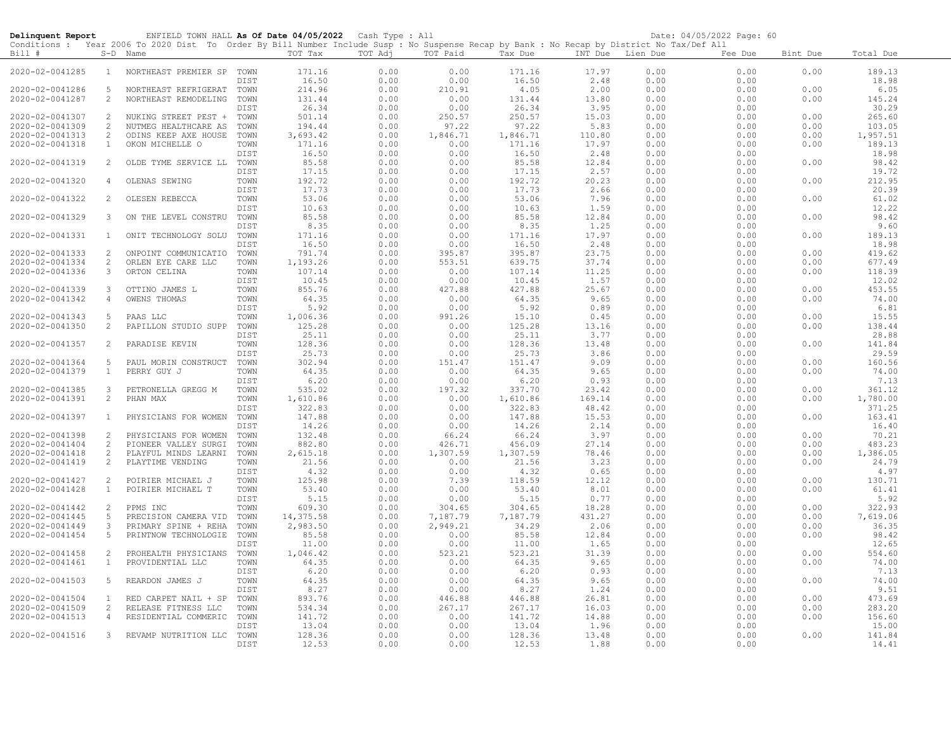| ENFIELD TOWN HALL As Of Date 04/05/2022 Cash Type : All<br>Delinquent Report<br>Conditions : Year 2006 To 2020 Dist To Order By Bill Number Include Susp : No Suspense Recap by Bank : No Recap by District No Tax/Def All |                   |                                              |              |                   |              |                |                 |                  |              | Date: 04/05/2022 Page: 60 |              |                 |
|----------------------------------------------------------------------------------------------------------------------------------------------------------------------------------------------------------------------------|-------------------|----------------------------------------------|--------------|-------------------|--------------|----------------|-----------------|------------------|--------------|---------------------------|--------------|-----------------|
| Bill #                                                                                                                                                                                                                     |                   | S-D Name                                     |              | TOT Tax           | TOT Adj      | TOT Paid       | Tax Due         | INT Due Lien Due |              | Fee Due                   | Bint Due     | Total Due       |
| 2020-02-0041285                                                                                                                                                                                                            | $\mathbf{1}$      | NORTHEAST PREMIER SP TOWN                    | DIST         | 171.16<br>16.50   | 0.00<br>0.00 | 0.00<br>0.00   | 171.16<br>16.50 | 17.97<br>2.48    | 0.00<br>0.00 | 0.00<br>0.00              | 0.00         | 189.13<br>18.98 |
| 2020-02-0041286                                                                                                                                                                                                            | 5                 | NORTHEAST REFRIGERAT                         | TOWN         | 214.96            | 0.00         | 210.91         | 4.05            | 2.00             | 0.00         | 0.00                      | 0.00         | 6.05            |
| 2020-02-0041287                                                                                                                                                                                                            | 2                 | NORTHEAST REMODELING                         | TOWN         | 131.44            | 0.00         | 0.00           | 131.44          | 13.80            | 0.00         | 0.00                      | 0.00         | 145.24          |
|                                                                                                                                                                                                                            |                   |                                              | DIST         | 26.34             | 0.00         | 0.00           | 26.34           | 3.95             | 0.00         | 0.00                      |              | 30.29           |
| 2020-02-0041307                                                                                                                                                                                                            | 2                 | NUKING STREET PEST +                         | TOWN         | 501.14            | 0.00         | 250.57         | 250.57          | 15.03            | 0.00         | 0.00                      | 0.00         | 265.60          |
| 2020-02-0041309                                                                                                                                                                                                            | 2                 | NUTMEG HEALTHCARE AS                         | TOWN         | 194.44            | 0.00         | 97.22          | 97.22           | 5.83             | 0.00         | 0.00                      | 0.00         | 103.05          |
| 2020-02-0041313                                                                                                                                                                                                            | 2                 | ODINS KEEP AXE HOUSE                         | TOWN         | 3,693.42          | 0.00         | 1,846.71       | 1,846.71        | 110.80           | 0.00         | 0.00                      | 0.00         | 1,957.51        |
| 2020-02-0041318                                                                                                                                                                                                            | $\mathbf{1}$      | OKON MICHELLE O                              | TOWN         | 171.16            | 0.00         | 0.00           | 171.16          | 17.97            | 0.00         | 0.00                      | 0.00         | 189.13          |
|                                                                                                                                                                                                                            |                   |                                              | DIST         | 16.50             | 0.00         | 0.00           | 16.50           | 2.48             | 0.00         | 0.00                      |              | 18.98           |
| 2020-02-0041319                                                                                                                                                                                                            | 2                 | OLDE TYME SERVICE LL                         | TOWN         | 85.58             | 0.00         | 0.00           | 85.58           | 12.84            | 0.00         | 0.00                      | 0.00         | 98.42           |
|                                                                                                                                                                                                                            |                   |                                              | DIST         | 17.15             | 0.00         | 0.00           | 17.15           | 2.57             | 0.00         | 0.00                      |              | 19.72           |
| 2020-02-0041320                                                                                                                                                                                                            | 4                 | OLENAS SEWING                                | TOWN<br>DIST | 192.72<br>17.73   | 0.00<br>0.00 | 0.00<br>0.00   | 192.72<br>17.73 | 20.23<br>2.66    | 0.00<br>0.00 | 0.00                      | 0.00         | 212.95<br>20.39 |
| 2020-02-0041322                                                                                                                                                                                                            | 2                 | OLESEN REBECCA                               | TOWN         | 53.06             | 0.00         | 0.00           | 53.06           | 7.96             | 0.00         | 0.00<br>0.00              | 0.00         | 61.02           |
|                                                                                                                                                                                                                            |                   |                                              | DIST         | 10.63             | 0.00         | 0.00           | 10.63           | 1.59             | 0.00         | 0.00                      |              | 12.22           |
| 2020-02-0041329                                                                                                                                                                                                            | $\mathbf{3}$      | ON THE LEVEL CONSTRU                         | TOWN         | 85.58             | 0.00         | 0.00           | 85.58           | 12.84            | 0.00         | 0.00                      | 0.00         | 98.42           |
|                                                                                                                                                                                                                            |                   |                                              | DIST         | 8.35              | 0.00         | 0.00           | 8.35            | 1.25             | 0.00         | 0.00                      |              | 9.60            |
| 2020-02-0041331                                                                                                                                                                                                            | $\mathbf{1}$      | ONIT TECHNOLOGY SOLU                         | TOWN         | 171.16            | 0.00         | 0.00           | 171.16          | 17.97            | 0.00         | 0.00                      | 0.00         | 189.13          |
|                                                                                                                                                                                                                            |                   |                                              | DIST         | 16.50             | 0.00         | 0.00           | 16.50           | 2.48             | 0.00         | 0.00                      |              | 18.98           |
| 2020-02-0041333                                                                                                                                                                                                            | 2                 | ONPOINT COMMUNICATIO                         | TOWN         | 791.74            | 0.00         | 395.87         | 395.87          | 23.75            | 0.00         | 0.00                      | 0.00         | 419.62          |
| 2020-02-0041334                                                                                                                                                                                                            | 2                 | ORLEN EYE CARE LLC                           | TOWN         | 1,193.26          | 0.00         | 553.51         | 639.75          | 37.74            | 0.00         | 0.00                      | 0.00         | 677.49          |
| 2020-02-0041336                                                                                                                                                                                                            | $\mathbf{3}$      | ORTON CELINA                                 | TOWN         | 107.14            | 0.00         | 0.00           | 107.14          | 11.25            | 0.00         | 0.00                      | 0.00         | 118.39          |
|                                                                                                                                                                                                                            |                   |                                              | DIST         | 10.45             | 0.00         | 0.00           | 10.45           | 1.57             | 0.00         | 0.00                      |              | 12.02           |
| 2020-02-0041339                                                                                                                                                                                                            | $\mathbf{3}$      | OTTINO JAMES L                               | TOWN         | 855.76            | 0.00         | 427.88         | 427.88          | 25.67            | 0.00         | 0.00                      | 0.00         | 453.55          |
| 2020-02-0041342                                                                                                                                                                                                            | 4                 | OWENS THOMAS                                 | TOWN         | 64.35             | 0.00         | 0.00           | 64.35           | 9.65             | 0.00<br>0.00 | 0.00                      | 0.00         | 74.00<br>6.81   |
| 2020-02-0041343                                                                                                                                                                                                            | 5                 | PAAS LLC                                     | DIST<br>TOWN | 5.92<br>1,006.36  | 0.00<br>0.00 | 0.00<br>991.26 | 5.92<br>15.10   | 0.89<br>0.45     | 0.00         | 0.00<br>0.00              | 0.00         | 15.55           |
| 2020-02-0041350                                                                                                                                                                                                            | 2                 | PAPILLON STUDIO SUPP                         | TOWN         | 125.28            | 0.00         | 0.00           | 125.28          | 13.16            | 0.00         | 0.00                      | 0.00         | 138.44          |
|                                                                                                                                                                                                                            |                   |                                              | DIST         | 25.11             | 0.00         | 0.00           | 25.11           | 3.77             | 0.00         | 0.00                      |              | 28.88           |
| 2020-02-0041357                                                                                                                                                                                                            | 2                 | PARADISE KEVIN                               | TOWN         | 128.36            | 0.00         | 0.00           | 128.36          | 13.48            | 0.00         | 0.00                      | 0.00         | 141.84          |
|                                                                                                                                                                                                                            |                   |                                              | DIST         | 25.73             | 0.00         | 0.00           | 25.73           | 3.86             | 0.00         | 0.00                      |              | 29.59           |
| 2020-02-0041364                                                                                                                                                                                                            | -5                | PAUL MORIN CONSTRUCT                         | TOWN         | 302.94            | 0.00         | 151.47         | 151.47          | 9.09             | 0.00         | 0.00                      | 0.00         | 160.56          |
| 2020-02-0041379                                                                                                                                                                                                            | $\mathbf{1}$      | PERRY GUY J                                  | TOWN         | 64.35             | 0.00         | 0.00           | 64.35           | 9.65             | 0.00         | 0.00                      | 0.00         | 74.00           |
|                                                                                                                                                                                                                            |                   |                                              | DIST         | 6.20              | 0.00         | 0.00           | 6.20            | 0.93             | 0.00         | 0.00                      |              | 7.13            |
| 2020-02-0041385                                                                                                                                                                                                            | $\mathbf{3}$      | PETRONELLA GREGG M                           | TOWN         | 535.02            | 0.00         | 197.32         | 337.70          | 23.42            | 0.00         | 0.00                      | 0.00         | 361.12          |
| 2020-02-0041391                                                                                                                                                                                                            | 2                 | PHAN MAX                                     | TOWN         | 1,610.86          | 0.00         | 0.00           | 1,610.86        | 169.14           | 0.00         | 0.00                      | 0.00         | 1,780.00        |
|                                                                                                                                                                                                                            |                   |                                              | DIST         | 322.83            | 0.00         | 0.00           | 322.83          | 48.42            | 0.00         | 0.00                      |              | 371.25          |
| 2020-02-0041397                                                                                                                                                                                                            | $\mathbf{1}$      | PHYSICIANS FOR WOMEN                         | TOWN         | 147.88            | 0.00         | 0.00           | 147.88          | 15.53            | 0.00         | 0.00                      | 0.00         | 163.41          |
| 2020-02-0041398                                                                                                                                                                                                            | 2                 |                                              | DIST<br>TOWN | 14.26<br>132.48   | 0.00<br>0.00 | 0.00<br>66.24  | 14.26<br>66.24  | 2.14<br>3.97     | 0.00<br>0.00 | 0.00<br>0.00              | 0.00         | 16.40<br>70.21  |
| 2020-02-0041404                                                                                                                                                                                                            | 2                 | PHYSICIANS FOR WOMEN<br>PIONEER VALLEY SURGI | TOWN         | 882.80            | 0.00         | 426.71         | 456.09          | 27.14            | 0.00         | 0.00                      | 0.00         | 483.23          |
| $2020 - 02 - 0041418$                                                                                                                                                                                                      | 2                 | PLAYFUL MINDS LEARNI                         | TOWN         | 2,615.18          | 0.00         | 1,307.59       | 1,307.59        | 78.46            | 0.00         | 0.00                      | 0.00         | 1,386.05        |
| 2020-02-0041419                                                                                                                                                                                                            | 2                 | PLAYTIME VENDING                             | TOWN         | 21.56             | 0.00         | 0.00           | 21.56           | 3.23             | 0.00         | 0.00                      | 0.00         | 24.79           |
|                                                                                                                                                                                                                            |                   |                                              | DIST         | 4.32              | 0.00         | 0.00           | 4.32            | 0.65             | 0.00         | 0.00                      |              | 4.97            |
| 2020-02-0041427                                                                                                                                                                                                            | 2                 | POIRIER MICHAEL J                            | TOWN         | 125.98            | 0.00         | 7.39           | 118.59          | 12.12            | 0.00         | 0.00                      | 0.00         | 130.71          |
| 2020-02-0041428                                                                                                                                                                                                            | $\mathbf{1}$      | POIRIER MICHAEL T                            | TOWN         | 53.40             | 0.00         | 0.00           | 53.40           | 8.01             | 0.00         | 0.00                      | 0.00         | 61.41           |
|                                                                                                                                                                                                                            |                   |                                              | DIST         | 5.15              | 0.00         | 0.00           | 5.15            | 0.77             | 0.00         | 0.00                      |              | 5.92            |
| 2020-02-0041442                                                                                                                                                                                                            | 2                 | PPMS INC                                     | TOWN         | 609.30            | 0.00         | 304.65         | 304.65          | 18.28            | 0.00         | 0.00                      | 0.00         | 322.93          |
| 2020-02-0041445                                                                                                                                                                                                            | 5                 | PRECISION CAMERA VID                         | TOWN         | 14,375.58         | 0.00         | 7,187.79       | 7,187.79        | 431.27           | 0.00         | 0.00                      | 0.00         | 7,619.06        |
| 2020-02-0041449                                                                                                                                                                                                            | $\mathbf{3}$      | PRIMARY SPINE + REHA                         | TOWN         | 2,983.50          | 0.00         | 2,949.21       | 34.29           | 2.06             | 0.00         | 0.00                      | 0.00         | 36.35           |
| 2020-02-0041454                                                                                                                                                                                                            | 5                 | PRINTNOW TECHNOLOGIE                         | TOWN         | 85.58             | 0.00         | 0.00           | 85.58           | 12.84            | 0.00         | 0.00                      | 0.00         | 98.42           |
|                                                                                                                                                                                                                            |                   |                                              | DIST         | 11.00             | 0.00         | 0.00           | 11.00           | 1.65             | 0.00         | 0.00                      |              | 12.65           |
| 2020-02-0041458<br>2020-02-0041461                                                                                                                                                                                         | 2<br>$\mathbf{1}$ | PROHEALTH PHYSICIANS<br>PROVIDENTIAL LLC     | TOWN<br>TOWN | 1,046.42<br>64.35 | 0.00<br>0.00 | 523.21<br>0.00 | 523.21<br>64.35 | 31.39<br>9.65    | 0.00<br>0.00 | 0.00<br>0.00              | 0.00<br>0.00 | 554.60<br>74.00 |
|                                                                                                                                                                                                                            |                   |                                              | DIST         | 6.20              | 0.00         | 0.00           | 6.20            | 0.93             | 0.00         | 0.00                      |              | 7.13            |
| 2020-02-0041503                                                                                                                                                                                                            | 5                 | REARDON JAMES J                              | TOWN         | 64.35             | 0.00         | 0.00           | 64.35           | 9.65             | 0.00         | 0.00                      | 0.00         | 74.00           |
|                                                                                                                                                                                                                            |                   |                                              | DIST         | 8.27              | 0.00         | 0.00           | 8.27            | 1.24             | 0.00         | 0.00                      |              | 9.51            |
| 2020-02-0041504                                                                                                                                                                                                            | $\mathbf{1}$      | RED CARPET NAIL + SP                         | TOWN         | 893.76            | 0.00         | 446.88         | 446.88          | 26.81            | 0.00         | 0.00                      | 0.00         | 473.69          |
| 2020-02-0041509                                                                                                                                                                                                            | 2                 | RELEASE FITNESS LLC                          | TOWN         | 534.34            | 0.00         | 267.17         | 267.17          | 16.03            | 0.00         | 0.00                      | 0.00         | 283.20          |
| 2020-02-0041513                                                                                                                                                                                                            | $\overline{4}$    | RESIDENTIAL COMMERIC                         | TOWN         | 141.72            | 0.00         | 0.00           | 141.72          | 14.88            | 0.00         | 0.00                      | 0.00         | 156.60          |
|                                                                                                                                                                                                                            |                   |                                              | DIST         | 13.04             | 0.00         | 0.00           | 13.04           | 1.96             | 0.00         | 0.00                      |              | 15.00           |
| 2020-02-0041516                                                                                                                                                                                                            | $\mathbf{3}$      | REVAMP NUTRITION LLC                         | TOWN         | 128.36            | 0.00         | 0.00           | 128.36          | 13.48            | 0.00         | 0.00                      | 0.00         | 141.84          |
|                                                                                                                                                                                                                            |                   |                                              | DIST         | 12.53             | 0.00         | 0.00           | 12.53           | 1.88             | 0.00         | 0.00                      |              | 14.41           |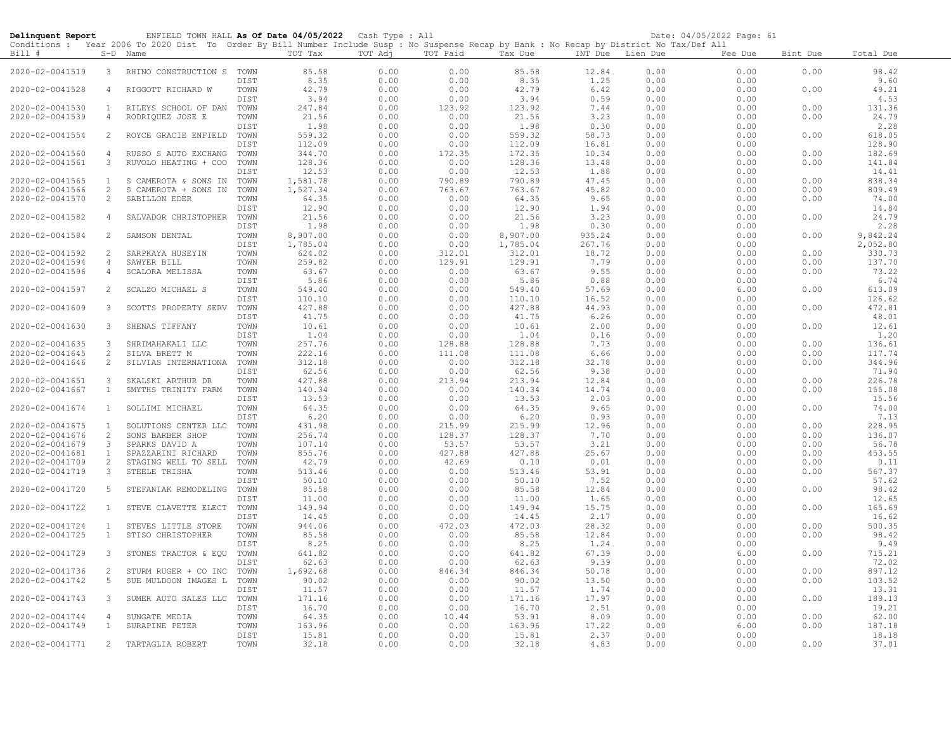| ENFIELD TOWN HALL As Of Date 04/05/2022 Cash Type : All<br>Delinquent Report |                   |                                                                                                                                            |              |                      |              | Date: 04/05/2022 Page: 61 |                  |                  |              |              |              |                  |
|------------------------------------------------------------------------------|-------------------|--------------------------------------------------------------------------------------------------------------------------------------------|--------------|----------------------|--------------|---------------------------|------------------|------------------|--------------|--------------|--------------|------------------|
|                                                                              |                   | Conditions : Year 2006 To 2020 Dist To Order By Bill Number Include Susp : No Suspense Recap by Bank : No Recap by District No Tax/Def All |              |                      |              |                           |                  |                  |              |              |              |                  |
| Bill #                                                                       |                   | S-D Name                                                                                                                                   |              | TOT Tax              | TOT Adj      | TOT Paid                  | Tax Due          | INT Due Lien Due |              | Fee Due      | Bint Due     | Total Due        |
| 2020-02-0041519                                                              | 3                 | RHINO CONSTRUCTION S TOWN                                                                                                                  |              | 85.58                | 0.00         | 0.00                      | 85.58            | 12.84            | 0.00         | 0.00         | 0.00         | 98.42            |
|                                                                              |                   |                                                                                                                                            | DIST         | 8.35                 | 0.00         | 0.00                      | 8.35             | 1.25             | 0.00         | 0.00         |              | 9.60             |
| 2020-02-0041528                                                              | $\overline{4}$    | RIGGOTT RICHARD W                                                                                                                          | TOWN         | 42.79                | 0.00         | 0.00                      | 42.79            | 6.42             | 0.00         | 0.00         | 0.00         | 49.21            |
|                                                                              |                   |                                                                                                                                            | DIST         | 3.94                 | 0.00         | 0.00                      | 3.94             | 0.59             | 0.00         | 0.00         |              | 4.53             |
| 2020-02-0041530                                                              | $\mathbf{1}$      | RILEYS SCHOOL OF DAN                                                                                                                       | TOWN         | 247.84               | 0.00         | 123.92                    | 123.92           | 7.44             | 0.00         | 0.00         | 0.00         | 131.36           |
| 2020-02-0041539                                                              | $\overline{4}$    | RODRIQUEZ JOSE E                                                                                                                           | TOWN         | 21.56                | 0.00         | 0.00                      | 21.56            | 3.23             | 0.00         | 0.00         | 0.00         | 24.79            |
|                                                                              |                   |                                                                                                                                            | DIST         | 1.98                 | 0.00         | 0.00                      | 1.98             | 0.30             | 0.00         | 0.00         |              | 2.28             |
| 2020-02-0041554                                                              | 2                 | ROYCE GRACIE ENFIELD                                                                                                                       | TOWN         | 559.32               | 0.00         | 0.00                      | 559.32           | 58.73            | 0.00         | 0.00         | 0.00         | 618.05           |
|                                                                              |                   |                                                                                                                                            | DIST         | 112.09               | 0.00         | 0.00                      | 112.09           | 16.81            | 0.00         | 0.00         |              | 128.90           |
| 2020-02-0041560                                                              | $\overline{4}$    | RUSSO S AUTO EXCHANG                                                                                                                       | TOWN         | 344.70               | 0.00         | 172.35                    | 172.35           | 10.34            | 0.00         | 0.00         | 0.00         | 182.69           |
| 2020-02-0041561                                                              | 3                 | RUVOLO HEATING + COO                                                                                                                       | TOWN         | 128.36               | 0.00         | 0.00                      | 128.36           | 13.48            | 0.00         | 0.00         | 0.00         | 141.84           |
|                                                                              | $\mathbf{1}$      |                                                                                                                                            | DIST         | 12.53                | 0.00<br>0.00 | 0.00<br>790.89            | 12.53<br>790.89  | 1.88             | 0.00         | 0.00         | 0.00         | 14.41            |
| 2020-02-0041565<br>2020-02-0041566                                           | $\mathbf{2}$      | S CAMEROTA & SONS IN<br>CAMEROTA + SONS IN<br>S                                                                                            | TOWN<br>TOWN | 1,581.78<br>1,527.34 | 0.00         | 763.67                    | 763.67           | 47.45<br>45.82   | 0.00<br>0.00 | 0.00<br>0.00 | 0.00         | 838.34<br>809.49 |
| 2020-02-0041570                                                              | 2                 | SABILLON EDER                                                                                                                              | TOWN         | 64.35                | 0.00         | 0.00                      | 64.35            | 9.65             | 0.00         | 0.00         | 0.00         | 74.00            |
|                                                                              |                   |                                                                                                                                            | DIST         | 12.90                | 0.00         | 0.00                      | 12.90            | 1.94             | 0.00         | 0.00         |              | 14.84            |
| 2020-02-0041582                                                              | $\overline{4}$    | SALVADOR CHRISTOPHER                                                                                                                       | TOWN         | 21.56                | 0.00         | 0.00                      | 21.56            | 3.23             | 0.00         | 0.00         | 0.00         | 24.79            |
|                                                                              |                   |                                                                                                                                            | DIST         | 1.98                 | 0.00         | 0.00                      | 1.98             | 0.30             | 0.00         | 0.00         |              | 2.28             |
| 2020-02-0041584                                                              | 2                 | SAMSON DENTAL                                                                                                                              | TOWN         | 8,907.00             | 0.00         | 0.00                      | 8,907.00         | 935.24           | 0.00         | 0.00         | 0.00         | 9,842.24         |
|                                                                              |                   |                                                                                                                                            | DIST         | 1,785.04             | 0.00         | 0.00                      | 1,785.04         | 267.76           | 0.00         | 0.00         |              | 2,052.80         |
| 2020-02-0041592                                                              | 2                 | SARPKAYA HUSEYIN                                                                                                                           | TOWN         | 624.02               | 0.00         | 312.01                    | 312.01           | 18.72            | 0.00         | 0.00         | 0.00         | 330.73           |
| 2020-02-0041594                                                              | $\overline{4}$    | SAWYER BILL                                                                                                                                | TOWN         | 259.82               | 0.00         | 129.91                    | 129.91           | 7.79             | 0.00         | 0.00         | 0.00         | 137.70           |
| 2020-02-0041596                                                              | $\overline{4}$    | SCALORA MELISSA                                                                                                                            | TOWN         | 63.67                | 0.00         | 0.00                      | 63.67            | 9.55             | 0.00         | 0.00         | 0.00         | 73.22            |
|                                                                              |                   |                                                                                                                                            | DIST         | 5.86                 | 0.00         | 0.00                      | 5.86             | 0.88             | 0.00         | 0.00         |              | 6.74             |
| 2020-02-0041597                                                              | 2                 | SCALZO MICHAEL S                                                                                                                           | TOWN         | 549.40               | 0.00         | 0.00                      | 549.40           | 57.69            | 0.00         | 6.00         | 0.00         | 613.09           |
|                                                                              | 3                 |                                                                                                                                            | DIST<br>TOWN | 110.10<br>427.88     | 0.00<br>0.00 | 0.00<br>0.00              | 110.10<br>427.88 | 16.52<br>44.93   | 0.00<br>0.00 | 0.00<br>0.00 | 0.00         | 126.62<br>472.81 |
| 2020-02-0041609                                                              |                   | SCOTTS PROPERTY SERV                                                                                                                       | DIST         | 41.75                | 0.00         | 0.00                      | 41.75            | 6.26             | 0.00         | 0.00         |              | 48.01            |
| 2020-02-0041630                                                              | $\mathbf{3}$      | SHENAS TIFFANY                                                                                                                             | TOWN         | 10.61                | 0.00         | 0.00                      | 10.61            | 2.00             | 0.00         | 0.00         | 0.00         | 12.61            |
|                                                                              |                   |                                                                                                                                            | DIST         | 1.04                 | 0.00         | 0.00                      | 1.04             | 0.16             | 0.00         | 0.00         |              | 1.20             |
| 2020-02-0041635                                                              | $\mathbf{3}$      | SHRIMAHAKALI LLC                                                                                                                           | TOWN         | 257.76               | 0.00         | 128.88                    | 128.88           | 7.73             | 0.00         | 0.00         | 0.00         | 136.61           |
| 2020-02-0041645                                                              | $\overline{c}$    | SILVA BRETT M                                                                                                                              | TOWN         | 222.16               | 0.00         | 111.08                    | 111.08           | 6.66             | 0.00         | 0.00         | 0.00         | 117.74           |
| 2020-02-0041646                                                              | 2                 | SILVIAS INTERNATIONA                                                                                                                       | TOWN         | 312.18               | 0.00         | 0.00                      | 312.18           | 32.78            | 0.00         | 0.00         | 0.00         | 344.96           |
|                                                                              |                   |                                                                                                                                            | DIST         | 62.56                | 0.00         | 0.00                      | 62.56            | 9.38             | 0.00         | 0.00         |              | 71.94            |
| 2020-02-0041651                                                              | 3                 | SKALSKI ARTHUR DR                                                                                                                          | TOWN         | 427.88               | 0.00         | 213.94                    | 213.94           | 12.84            | 0.00         | 0.00         | 0.00         | 226.78           |
| 2020-02-0041667                                                              | $\mathbf{1}$      | SMYTHS TRINITY FARM                                                                                                                        | TOWN         | 140.34               | 0.00         | 0.00                      | 140.34           | 14.74            | 0.00         | 0.00         | 0.00         | 155.08           |
|                                                                              |                   |                                                                                                                                            | DIST         | 13.53                | 0.00         | 0.00                      | 13.53            | 2.03             | 0.00         | 0.00         |              | 15.56            |
| 2020-02-0041674                                                              | $\mathbf{1}$      | SOLLIMI MICHAEL                                                                                                                            | TOWN         | 64.35                | 0.00         | 0.00                      | 64.35            | 9.65             | 0.00         | 0.00         | 0.00         | 74.00            |
|                                                                              |                   |                                                                                                                                            | DIST         | 6.20                 | 0.00         | 0.00                      | 6.20             | 0.93             | 0.00         | 0.00         |              | 7.13             |
| 2020-02-0041675<br>2020-02-0041676                                           | $\mathbf{1}$<br>2 | SOLUTIONS CENTER LLC<br>SONS BARBER SHOP                                                                                                   | TOWN<br>TOWN | 431.98<br>256.74     | 0.00<br>0.00 | 215.99<br>128.37          | 215.99<br>128.37 | 12.96<br>7.70    | 0.00<br>0.00 | 0.00<br>0.00 | 0.00<br>0.00 | 228.95<br>136.07 |
| 2020-02-0041679                                                              | $\mathbf{3}$      | SPARKS DAVID A                                                                                                                             | TOWN         | 107.14               | 0.00         | 53.57                     | 53.57            | 3.21             | 0.00         | 0.00         | 0.00         | 56.78            |
| 2020-02-0041681                                                              | $\mathbf{1}$      | SPAZZARINI RICHARD                                                                                                                         | TOWN         | 855.76               | 0.00         | 427.88                    | 427.88           | 25.67            | 0.00         | 0.00         | 0.00         | 453.55           |
| 2020-02-0041709                                                              | $\mathbf{2}$      | STAGING WELL TO SELL                                                                                                                       | TOWN         | 42.79                | 0.00         | 42.69                     | 0.10             | 0.01             | 0.00         | 0.00         | 0.00         | 0.11             |
| 2020-02-0041719                                                              | $\mathbf{3}$      | STEELE TRISHA                                                                                                                              | TOWN         | 513.46               | 0.00         | 0.00                      | 513.46           | 53.91            | 0.00         | 0.00         | 0.00         | 567.37           |
|                                                                              |                   |                                                                                                                                            | DIST         | 50.10                | 0.00         | 0.00                      | 50.10            | 7.52             | 0.00         | 0.00         |              | 57.62            |
| 2020-02-0041720                                                              | 5                 | STEFANIAK REMODELING TOWN                                                                                                                  |              | 85.58                | 0.00         | 0.00                      | 85.58            | 12.84            | 0.00         | 0.00         | 0.00         | 98.42            |
|                                                                              |                   |                                                                                                                                            | DIST         | 11.00                | 0.00         | 0.00                      | 11.00            | 1.65             | 0.00         | 0.00         |              | 12.65            |
| 2020-02-0041722                                                              | $\mathbf{1}$      | STEVE CLAVETTE ELECT                                                                                                                       | TOWN         | 149.94               | 0.00         | 0.00                      | 149.94           | 15.75            | 0.00         | 0.00         | 0.00         | 165.69           |
|                                                                              |                   |                                                                                                                                            | DIST         | 14.45                | 0.00         | 0.00                      | 14.45            | 2.17             | 0.00         | 0.00         |              | 16.62            |
| 2020-02-0041724                                                              | $\mathbf{1}$      | STEVES LITTLE STORE                                                                                                                        | TOWN         | 944.06               | 0.00         | 472.03                    | 472.03           | 28.32            | 0.00         | 0.00         | 0.00         | 500.35           |
| 2020-02-0041725                                                              | $\mathbf{1}$      | STISO CHRISTOPHER                                                                                                                          | TOWN         | 85.58                | 0.00         | 0.00                      | 85.58            | 12.84            | 0.00         | 0.00         | 0.00         | 98.42            |
|                                                                              |                   |                                                                                                                                            | DIST         | 8.25                 | 0.00         | 0.00                      | 8.25             | 1.24             | 0.00         | 0.00         |              | 9.49             |
| 2020-02-0041729                                                              | $\mathbf{3}$      | STONES TRACTOR & EQU                                                                                                                       | TOWN         | 641.82               | 0.00         | 0.00                      | 641.82           | 67.39            | 0.00         | 6.00         | 0.00         | 715.21           |
| 2020-02-0041736                                                              | 2                 | STURM RUGER + CO INC                                                                                                                       | DIST<br>TOWN | 62.63<br>1,692.68    | 0.00<br>0.00 | 0.00<br>846.34            | 62.63<br>846.34  | 9.39<br>50.78    | 0.00<br>0.00 | 0.00<br>0.00 | 0.00         | 72.02<br>897.12  |
| 2020-02-0041742                                                              | 5                 | SUE MULDOON IMAGES L                                                                                                                       | TOWN         | 90.02                | 0.00         | 0.00                      | 90.02            | 13.50            | 0.00         | 0.00         | 0.00         | 103.52           |
|                                                                              |                   |                                                                                                                                            | DIST         | 11.57                | 0.00         | 0.00                      | 11.57            | 1.74             | 0.00         | 0.00         |              | 13.31            |
| 2020-02-0041743                                                              | 3                 | SUMER AUTO SALES LLC                                                                                                                       | TOWN         | 171.16               | 0.00         | 0.00                      | 171.16           | 17.97            | 0.00         | 0.00         | 0.00         | 189.13           |
|                                                                              |                   |                                                                                                                                            | DIST         | 16.70                | 0.00         | 0.00                      | 16.70            | 2.51             | 0.00         | 0.00         |              | 19.21            |
| 2020-02-0041744                                                              | $\overline{4}$    | SUNGATE MEDIA                                                                                                                              | TOWN         | 64.35                | 0.00         | 10.44                     | 53.91            | 8.09             | 0.00         | 0.00         | 0.00         | 62.00            |
| 2020-02-0041749                                                              | $\mathbf{1}$      | SURAPINE PETER                                                                                                                             | TOWN         | 163.96               | 0.00         | 0.00                      | 163.96           | 17.22            | 0.00         | 6.00         | 0.00         | 187.18           |
|                                                                              |                   |                                                                                                                                            | DIST         | 15.81                | 0.00         | 0.00                      | 15.81            | 2.37             | 0.00         | 0.00         |              | 18.18            |
| 2020-02-0041771                                                              | $\overline{2}$    | TARTAGLIA ROBERT                                                                                                                           | TOWN         | 32.18                | 0.00         | 0.00                      | 32.18            | 4.83             | 0.00         | 0.00         | 0.00         | 37.01            |